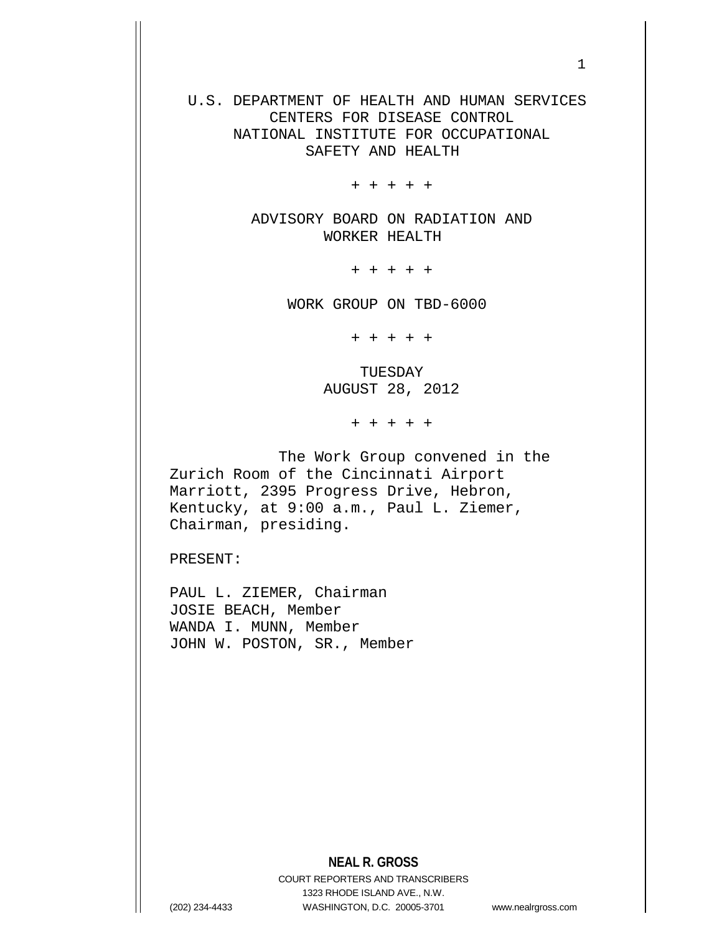U.S. DEPARTMENT OF HEALTH AND HUMAN SERVICES CENTERS FOR DISEASE CONTROL NATIONAL INSTITUTE FOR OCCUPATIONAL SAFETY AND HEALTH

+ + + + +

 ADVISORY BOARD ON RADIATION AND WORKER HEALTH

+ + + + +

WORK GROUP ON TBD-6000

+ + + + +

 TUESDAY AUGUST 28, 2012

+ + + + +

 The Work Group convened in the Zurich Room of the Cincinnati Airport Marriott, 2395 Progress Drive, Hebron, Kentucky, at 9:00 a.m., Paul L. Ziemer, Chairman, presiding.

PRESENT:

PAUL L. ZIEMER, Chairman JOSIE BEACH, Member WANDA I. MUNN, Member JOHN W. POSTON, SR., Member

## **NEAL R. GROSS**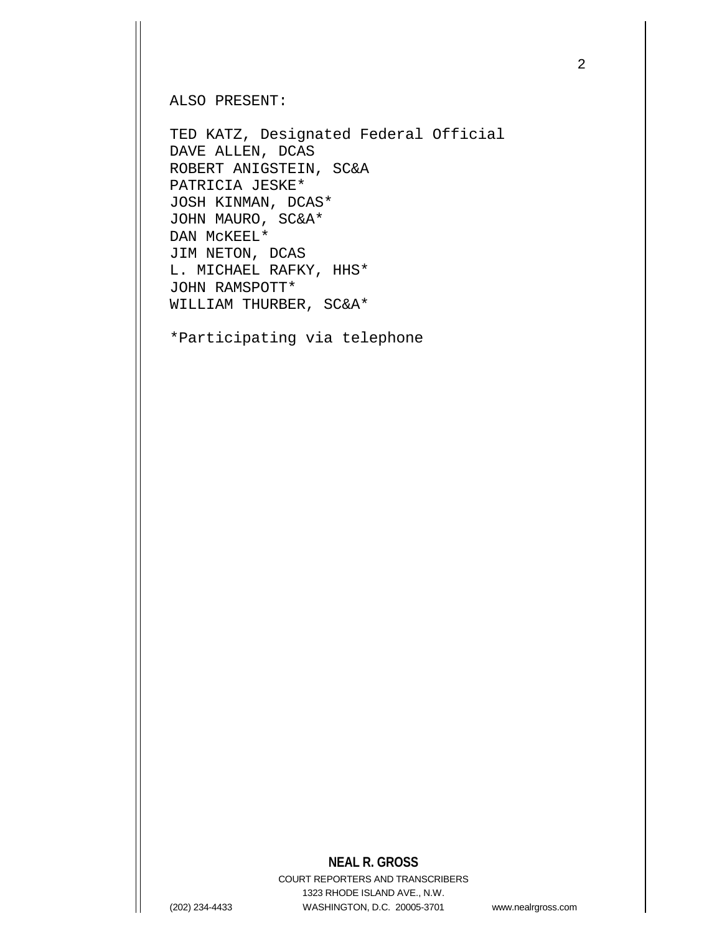ALSO PRESENT:

TED KATZ, Designated Federal Official DAVE ALLEN, DCAS ROBERT ANIGSTEIN, SC&A PATRICIA JESKE\* JOSH KINMAN, DCAS\* JOHN MAURO, SC&A\* DAN McKEEL\* JIM NETON, DCAS L. MICHAEL RAFKY, HHS\* JOHN RAMSPOTT\* WILLIAM THURBER, SC&A\*

\*Participating via telephone

# **NEAL R. GROSS**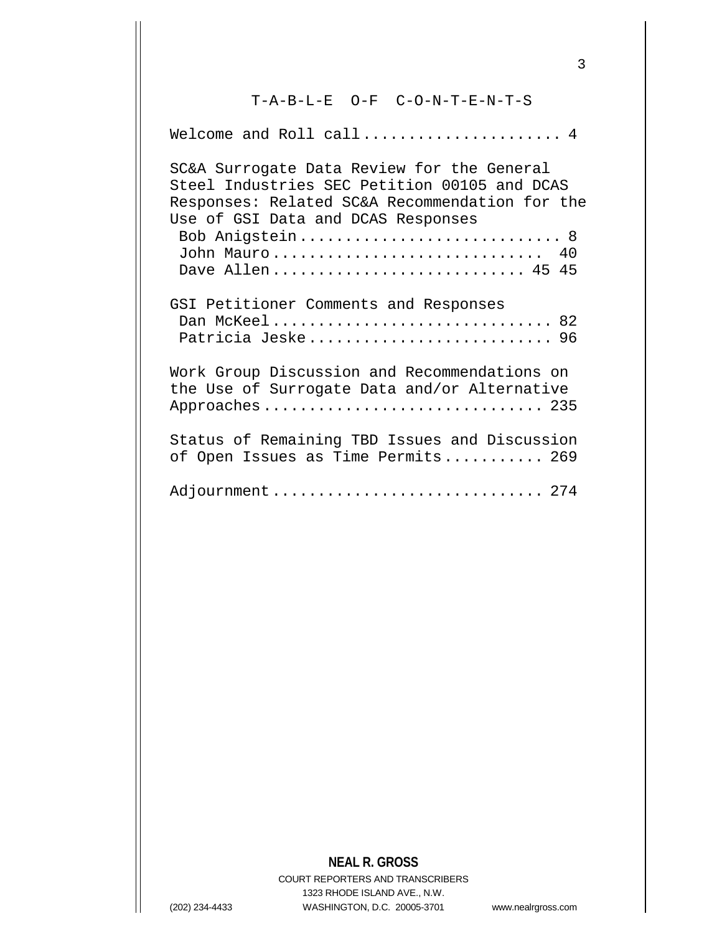## T-A-B-L-E O-F C-O-N-T-E-N-T-S

Welcome and Roll call...................... 4 SC&A Surrogate Data Review for the General Steel Industries SEC Petition 00105 and DCAS Responses: Related SC&A Recommendation for the Use of GSI Data and DCAS Responses Bob Anigstein............................... 8 John Mauro................................... 40 Dave Allen............................ 45 45 GSI Petitioner Comments and Responses Dan McKeel.................................. 82 Patricia Jeske........................... 96 Work Group Discussion and Recommendations on the Use of Surrogate Data and/or Alternative Approaches............................... 235 Status of Remaining TBD Issues and Discussion of Open Issues as Time Permits........... 269 Adjournment .................................. 274

# **NEAL R. GROSS**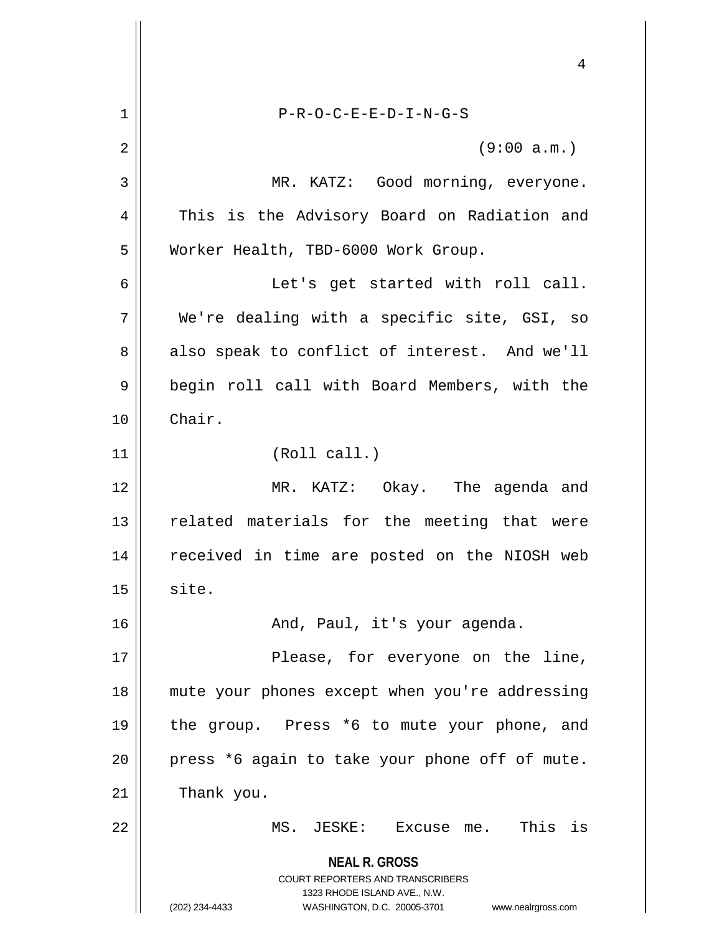**NEAL R. GROSS** COURT REPORTERS AND TRANSCRIBERS 1323 RHODE ISLAND AVE., N.W. (202) 234-4433 WASHINGTON, D.C. 20005-3701 www.nealrgross.com 4 1 P-R-O-C-E-E-D-I-N-G-S 2 || (9:00 a.m.) 3 MR. KATZ: Good morning, everyone. 4 || This is the Advisory Board on Radiation and 5 | Worker Health, TBD-6000 Work Group. 6 Let's get started with roll call. 7 We're dealing with a specific site, GSI, so  $8 \parallel$  also speak to conflict of interest. And we'll 9 || begin roll call with Board Members, with the 10 Chair. 11 || (Roll call.) 12 MR. KATZ: Okay. The agenda and 13 || related materials for the meeting that were 14 || received in time are posted on the NIOSH web  $15$  site. 16 | The Mond, Paul, it's your agenda. 17 || Please, for everyone on the line, 18 mute your phones except when you're addressing 19 the group. Press \*6 to mute your phone, and 20 || press \*6 again to take your phone off of mute.  $21$  | Thank you. 22 || MS. JESKE: Excuse me. This is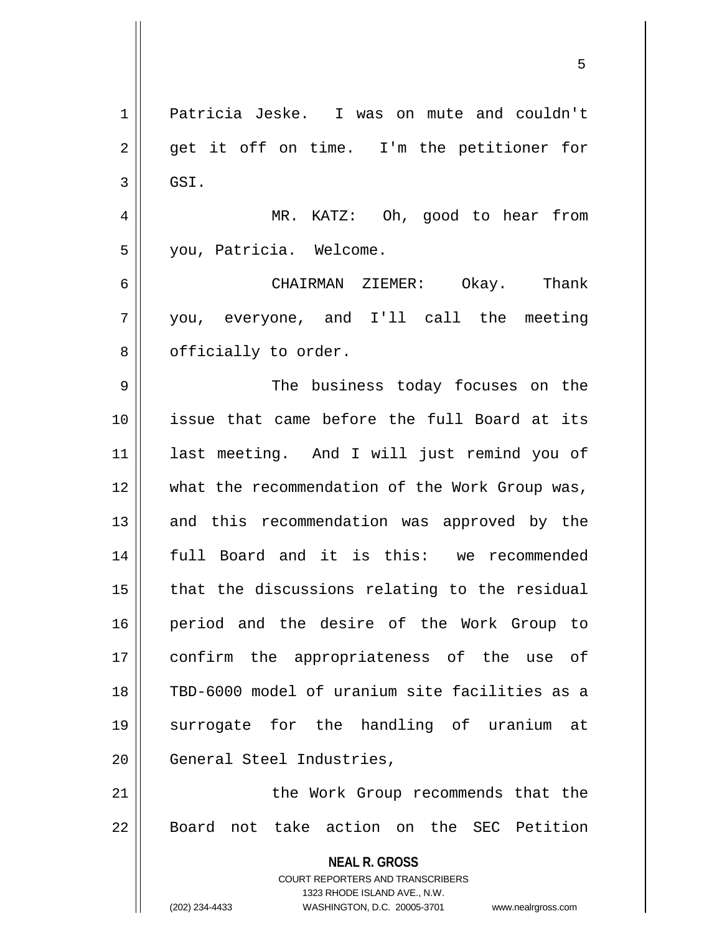**NEAL R. GROSS** COURT REPORTERS AND TRANSCRIBERS 1323 RHODE ISLAND AVE., N.W. (202) 234-4433 WASHINGTON, D.C. 20005-3701 www.nealrgross.com 1 Patricia Jeske. I was on mute and couldn't 2 || get it off on time. I'm the petitioner for  $3 \parallel$  GSI. 4 MR. KATZ: Oh, good to hear from 5 you, Patricia. Welcome. 6 CHAIRMAN ZIEMER: Okay. Thank 7 you, everyone, and I'll call the meeting  $8 \parallel$  officially to order. 9 The business today focuses on the 10 issue that came before the full Board at its 11 last meeting. And I will just remind you of 12 what the recommendation of the Work Group was, 13 || and this recommendation was approved by the 14 full Board and it is this: we recommended  $15$  || that the discussions relating to the residual 16 period and the desire of the Work Group to 17 confirm the appropriateness of the use of 18 TBD-6000 model of uranium site facilities as a 19 surrogate for the handling of uranium at 20 | General Steel Industries, 21 || the Work Group recommends that the 22 Board not take action on the SEC Petition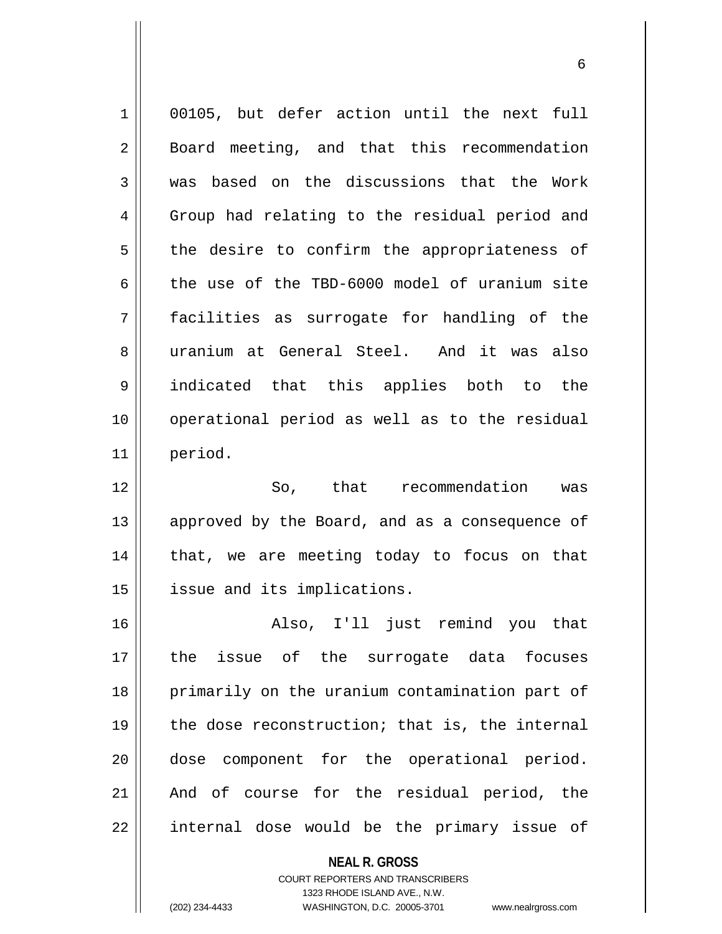1 00105, but defer action until the next full 2 | Board meeting, and that this recommendation 3 || was based on the discussions that the Work 4 Group had relating to the residual period and  $5$  the desire to confirm the appropriateness of 6 the use of the TBD-6000 model of uranium site 7 facilities as surrogate for handling of the 8 uranium at General Steel. And it was also 9 indicated that this applies both to the 10 || operational period as well as to the residual 11 period. 12 So, that recommendation was 13 || approved by the Board, and as a consequence of  $14$  | that, we are meeting today to focus on that 15 | issue and its implications. 16 Also, I'll just remind you that 17 the issue of the surrogate data focuses 18 || primarily on the uranium contamination part of

 $\parallel$  the dose reconstruction; that is, the internal dose component for the operational period. And of course for the residual period, the || internal dose would be the primary issue of

> **NEAL R. GROSS** COURT REPORTERS AND TRANSCRIBERS 1323 RHODE ISLAND AVE., N.W. (202) 234-4433 WASHINGTON, D.C. 20005-3701 www.nealrgross.com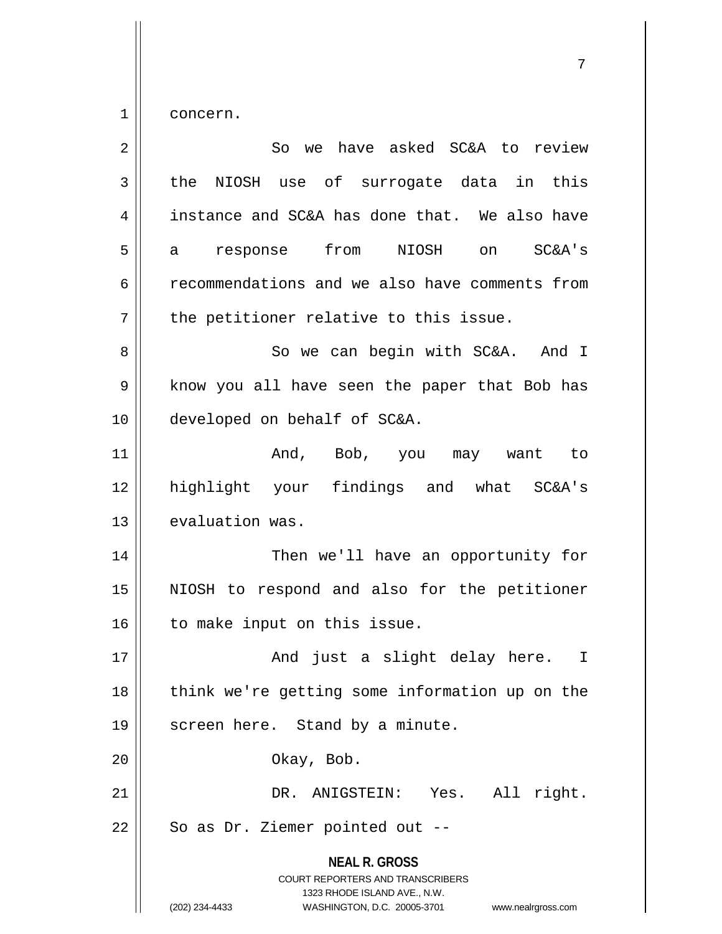$1 \parallel$  concern.

| $\overline{2}$ | So we have asked SC&A to review                                                                                                                                        |
|----------------|------------------------------------------------------------------------------------------------------------------------------------------------------------------------|
| 3              | NIOSH use of surrogate data in this<br>the                                                                                                                             |
| 4              | instance and SC&A has done that. We also have                                                                                                                          |
| 5              | response from<br>NIOSH on<br>SC&A's<br>a                                                                                                                               |
| 6              | recommendations and we also have comments from                                                                                                                         |
| 7              | the petitioner relative to this issue.                                                                                                                                 |
| 8              | So we can begin with SC&A. And I                                                                                                                                       |
| 9              | know you all have seen the paper that Bob has                                                                                                                          |
| 10             | developed on behalf of SC&A.                                                                                                                                           |
| 11             | And, Bob, you may want to                                                                                                                                              |
| 12             | highlight your findings and what SC&A's                                                                                                                                |
| 13             | evaluation was.                                                                                                                                                        |
| 14             | Then we'll have an opportunity for                                                                                                                                     |
| 15             | NIOSH to respond and also for the petitioner                                                                                                                           |
| 16             | to make input on this issue.                                                                                                                                           |
| 17             | And just a slight delay here. I                                                                                                                                        |
| 18             | think we're getting some information up on the                                                                                                                         |
| 19             | screen here. Stand by a minute.                                                                                                                                        |
| 20             | Okay, Bob.                                                                                                                                                             |
| 21             | DR. ANIGSTEIN: Yes. All right.                                                                                                                                         |
| 22             | So as Dr. Ziemer pointed out --                                                                                                                                        |
|                | <b>NEAL R. GROSS</b><br><b>COURT REPORTERS AND TRANSCRIBERS</b><br>1323 RHODE ISLAND AVE., N.W.<br>(202) 234-4433<br>WASHINGTON, D.C. 20005-3701<br>www.nealrgross.com |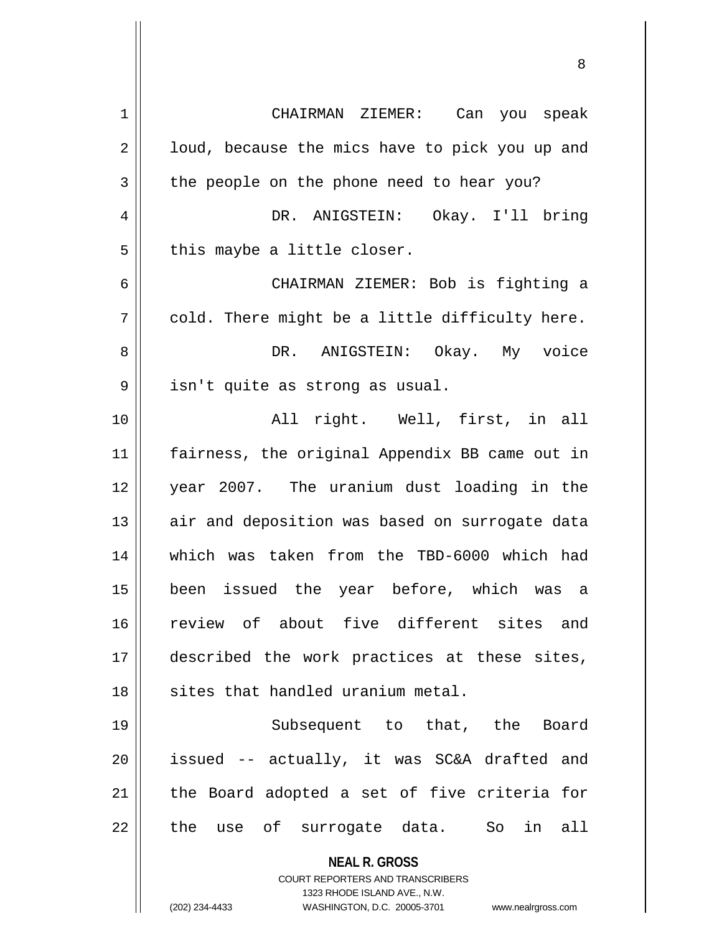| 1  | CHAIRMAN ZIEMER:<br>Can you speak                                                                                                                                      |
|----|------------------------------------------------------------------------------------------------------------------------------------------------------------------------|
| 2  | loud, because the mics have to pick you up and                                                                                                                         |
| 3  | the people on the phone need to hear you?                                                                                                                              |
| 4  | DR. ANIGSTEIN: Okay. I'll bring                                                                                                                                        |
| 5  | this maybe a little closer.                                                                                                                                            |
| 6  | CHAIRMAN ZIEMER: Bob is fighting a                                                                                                                                     |
| 7  | cold. There might be a little difficulty here.                                                                                                                         |
| 8  | DR. ANIGSTEIN: Okay. My voice                                                                                                                                          |
| 9  | isn't quite as strong as usual.                                                                                                                                        |
| 10 | All right. Well, first, in all                                                                                                                                         |
| 11 | fairness, the original Appendix BB came out in                                                                                                                         |
| 12 | year 2007. The uranium dust loading in the                                                                                                                             |
| 13 | air and deposition was based on surrogate data                                                                                                                         |
| 14 | which was taken from the TBD-6000 which had                                                                                                                            |
| 15 | been issued the year before, which was<br>- a                                                                                                                          |
| 16 | review of about five different sites<br>and                                                                                                                            |
| 17 | described the work practices at these sites,                                                                                                                           |
| 18 | sites that handled uranium metal.                                                                                                                                      |
| 19 | Subsequent to that, the Board                                                                                                                                          |
| 20 | issued -- actually, it was SC&A drafted and                                                                                                                            |
| 21 | the Board adopted a set of five criteria for                                                                                                                           |
| 22 | the use of surrogate data.<br>So<br>in<br>all                                                                                                                          |
|    | <b>NEAL R. GROSS</b><br><b>COURT REPORTERS AND TRANSCRIBERS</b><br>1323 RHODE ISLAND AVE., N.W.<br>(202) 234-4433<br>WASHINGTON, D.C. 20005-3701<br>www.nealrgross.com |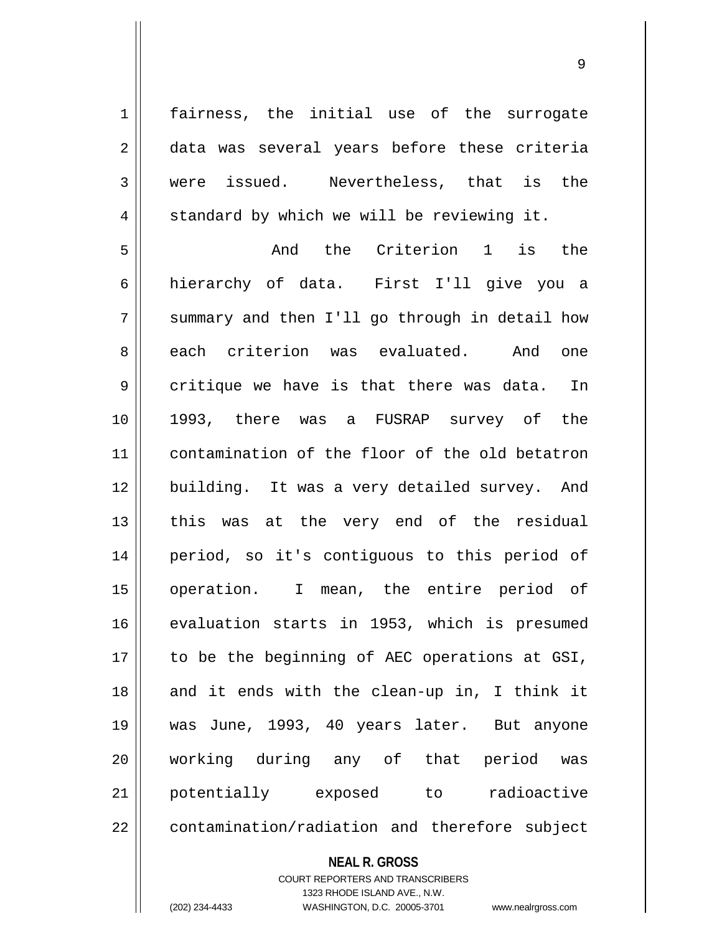1 || fairness, the initial use of the surrogate 2 data was several years before these criteria were issued. Nevertheless, that is the  $4 \parallel$  standard by which we will be reviewing it. And the Criterion 1 is the hierarchy of data. First I'll give you a  $7 \parallel$  summary and then I'll go through in detail how 8 each criterion was evaluated. And one  $9 \parallel$  critique we have is that there was data. In 1993, there was a FUSRAP survey of the contamination of the floor of the old betatron 12 || building. It was a very detailed survey. And || this was at the very end of the residual period, so it's contiguous to this period of operation. I mean, the entire period of evaluation starts in 1953, which is presumed | to be the beginning of AEC operations at GSI, 18 || and it ends with the clean-up in, I think it was June, 1993, 40 years later. But anyone working during any of that period was potentially exposed to radioactive || contamination/radiation and therefore subject

#### **NEAL R. GROSS**

COURT REPORTERS AND TRANSCRIBERS 1323 RHODE ISLAND AVE., N.W. (202) 234-4433 WASHINGTON, D.C. 20005-3701 www.nealrgross.com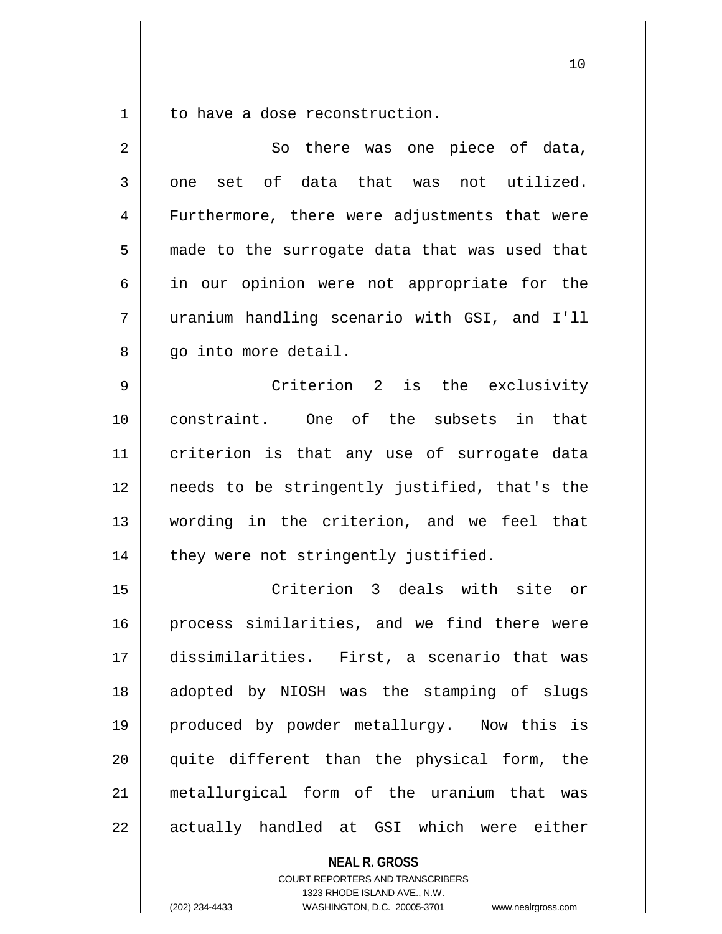$1 \parallel$  to have a dose reconstruction.

| $\overline{2}$ | So there was one piece of data,               |
|----------------|-----------------------------------------------|
| 3              | one set of data that was not utilized.        |
| 4              | Furthermore, there were adjustments that were |
| 5              | made to the surrogate data that was used that |
| 6              | in our opinion were not appropriate for the   |
| 7              | uranium handling scenario with GSI, and I'll  |
| 8              | go into more detail.                          |
| 9              | Criterion 2 is the exclusivity                |
| 10             | constraint. One of the subsets in that        |
| 11             | criterion is that any use of surrogate data   |
| 12             | needs to be stringently justified, that's the |
| 13             | wording in the criterion, and we feel that    |
| 14             | they were not stringently justified.          |
| 15             | Criterion 3 deals with site or                |
| 16             | process similarities, and we find there were  |
| 17             | dissimilarities. First, a scenario that was   |
| 18             | adopted by NIOSH was the stamping of slugs    |
| 19             | produced by powder metallurgy. Now this is    |
| 20             | quite different than the physical form, the   |
| 21             | metallurgical form of the uranium that<br>was |
| 22             | actually handled at GSI which were either     |

**NEAL R. GROSS** COURT REPORTERS AND TRANSCRIBERS 1323 RHODE ISLAND AVE., N.W. (202) 234-4433 WASHINGTON, D.C. 20005-3701 www.nealrgross.com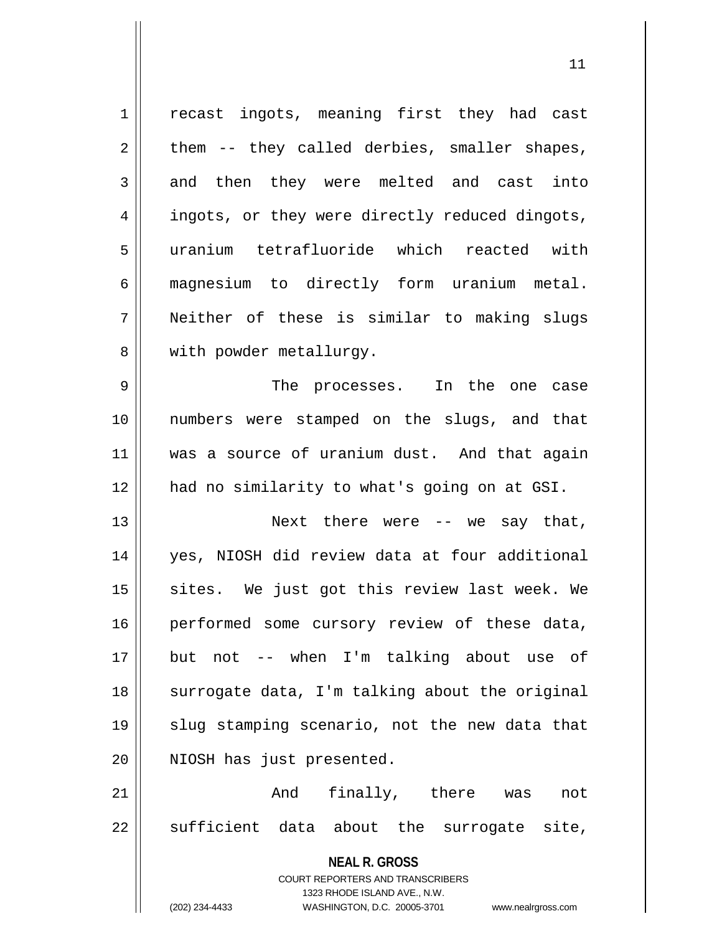| 1           | recast ingots, meaning first they had cast                                                          |
|-------------|-----------------------------------------------------------------------------------------------------|
| 2           | them -- they called derbies, smaller shapes,                                                        |
| 3           | and then they were melted and cast into                                                             |
| 4           | ingots, or they were directly reduced dingots,                                                      |
| 5           | uranium tetrafluoride which reacted with                                                            |
| 6           | magnesium to directly form uranium metal.                                                           |
| 7           | Neither of these is similar to making slugs                                                         |
| 8           | with powder metallurgy.                                                                             |
| $\mathsf 9$ | The processes. In the one case                                                                      |
| 10          | numbers were stamped on the slugs, and that                                                         |
| 11          | was a source of uranium dust. And that again                                                        |
| 12          | had no similarity to what's going on at GSI.                                                        |
| 13          | Next there were $-$ we say that,                                                                    |
| 14          | yes, NIOSH did review data at four additional                                                       |
| 15          | sites. We just got this review last week. We                                                        |
| 16          | performed some cursory review of these data,                                                        |
| 17          | but not -- when I'm talking about use of                                                            |
| 18          | surrogate data, I'm talking about the original                                                      |
| 19          | slug stamping scenario, not the new data that                                                       |
| 20          | NIOSH has just presented.                                                                           |
| 21          | finally, there was<br>And<br>not                                                                    |
| 22          | sufficient data about the surrogate site,                                                           |
|             | <b>NEAL R. GROSS</b>                                                                                |
|             | COURT REPORTERS AND TRANSCRIBERS                                                                    |
|             | 1323 RHODE ISLAND AVE., N.W.<br>(202) 234-4433<br>WASHINGTON, D.C. 20005-3701<br>www.nealrgross.com |
|             |                                                                                                     |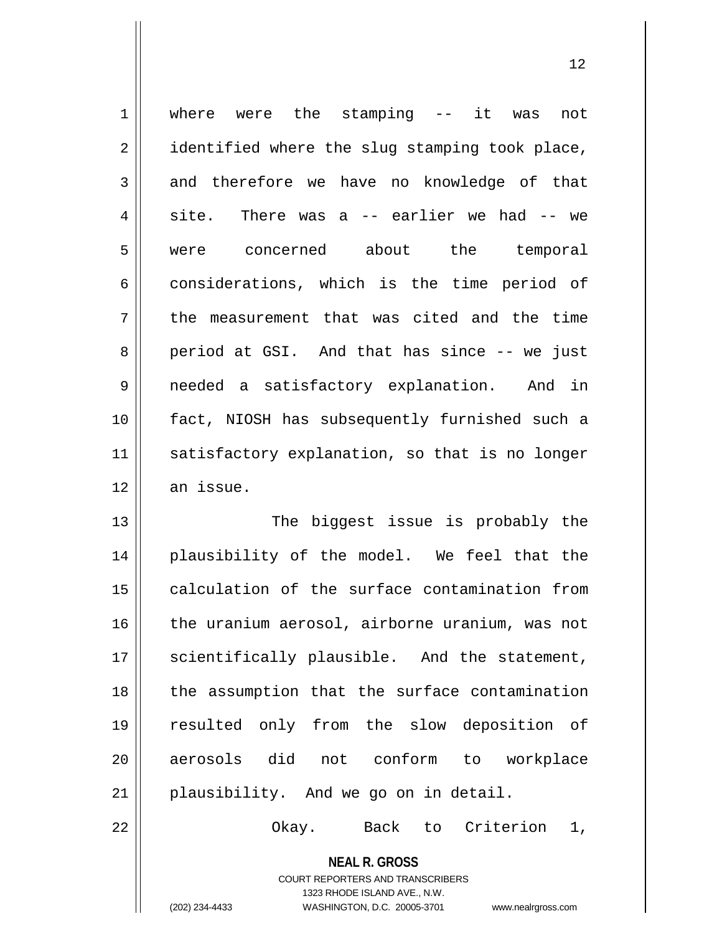| $\mathbf 1$    | where were the stamping -- it<br>not<br>was    |
|----------------|------------------------------------------------|
| $\overline{2}$ | identified where the slug stamping took place, |
| 3              | and therefore we have no knowledge of that     |
| $\overline{4}$ | There was a $-$ earlier we had $-$ we<br>site. |
| 5              | concerned about the<br>temporal<br>were        |
| 6              | considerations, which is the time period of    |
| 7              | the measurement that was cited and the time    |
| 8              | period at GSI. And that has since -- we just   |
| 9              | needed a satisfactory explanation. And in      |
| 10             | fact, NIOSH has subsequently furnished such a  |
| 11             | satisfactory explanation, so that is no longer |
| 12             | an issue.                                      |
| 13             | The biggest issue is probably the              |
| 14             | plausibility of the model. We feel that the    |
| 15             | calculation of the surface contamination from  |
| 16             | the uranium aerosol, airborne uranium, was not |

 scientifically plausible. And the statement, | the assumption that the surface contamination 19 || resulted only from the slow deposition of 20 aerosols did not conform to workplace plausibility. And we go on in detail.

22 | Chay. Back to Criterion 1,

**NEAL R. GROSS** COURT REPORTERS AND TRANSCRIBERS

1323 RHODE ISLAND AVE., N.W.

(202) 234-4433 WASHINGTON, D.C. 20005-3701 www.nealrgross.com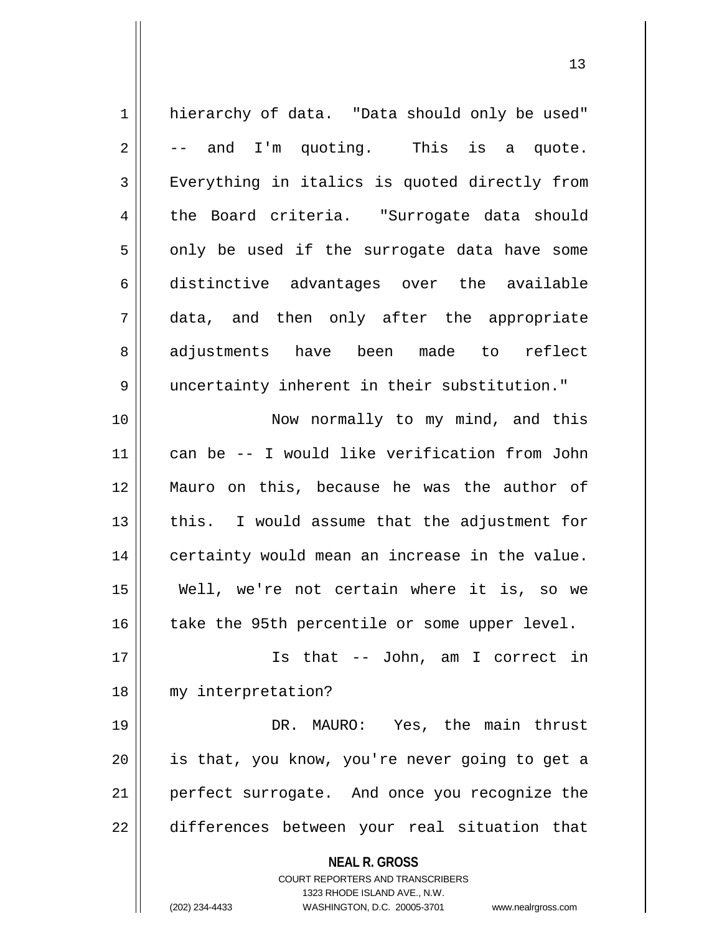| $\mathbf 1$    | hierarchy of data. "Data should only be used"                                                                                                                          |
|----------------|------------------------------------------------------------------------------------------------------------------------------------------------------------------------|
| $\sqrt{2}$     | -- and I'm quoting. This is a quote.                                                                                                                                   |
| $\mathsf 3$    | Everything in italics is quoted directly from                                                                                                                          |
| $\overline{4}$ | the Board criteria. "Surrogate data should                                                                                                                             |
| 5              | only be used if the surrogate data have some                                                                                                                           |
| $\epsilon$     | distinctive advantages over the available                                                                                                                              |
| 7              | data, and then only after the appropriate                                                                                                                              |
| 8              | adjustments have been made to<br>reflect                                                                                                                               |
| $\mathsf 9$    | uncertainty inherent in their substitution."                                                                                                                           |
| 10             | Now normally to my mind, and this                                                                                                                                      |
| 11             | can be -- I would like verification from John                                                                                                                          |
| 12             | Mauro on this, because he was the author of                                                                                                                            |
| 13             | this. I would assume that the adjustment for                                                                                                                           |
| 14             | certainty would mean an increase in the value.                                                                                                                         |
| 15             | Well, we're not certain where it is, so we                                                                                                                             |
| 16             | take the 95th percentile or some upper level.                                                                                                                          |
| 17             | Is that -- John, am I correct in                                                                                                                                       |
| 18             | my interpretation?                                                                                                                                                     |
| 19             | DR. MAURO: Yes, the main thrust                                                                                                                                        |
| 20             | is that, you know, you're never going to get a                                                                                                                         |
| 21             | perfect surrogate. And once you recognize the                                                                                                                          |
| 22             | differences between your real situation that                                                                                                                           |
|                | <b>NEAL R. GROSS</b><br><b>COURT REPORTERS AND TRANSCRIBERS</b><br>1323 RHODE ISLAND AVE., N.W.<br>(202) 234-4433<br>WASHINGTON, D.C. 20005-3701<br>www.nealrgross.com |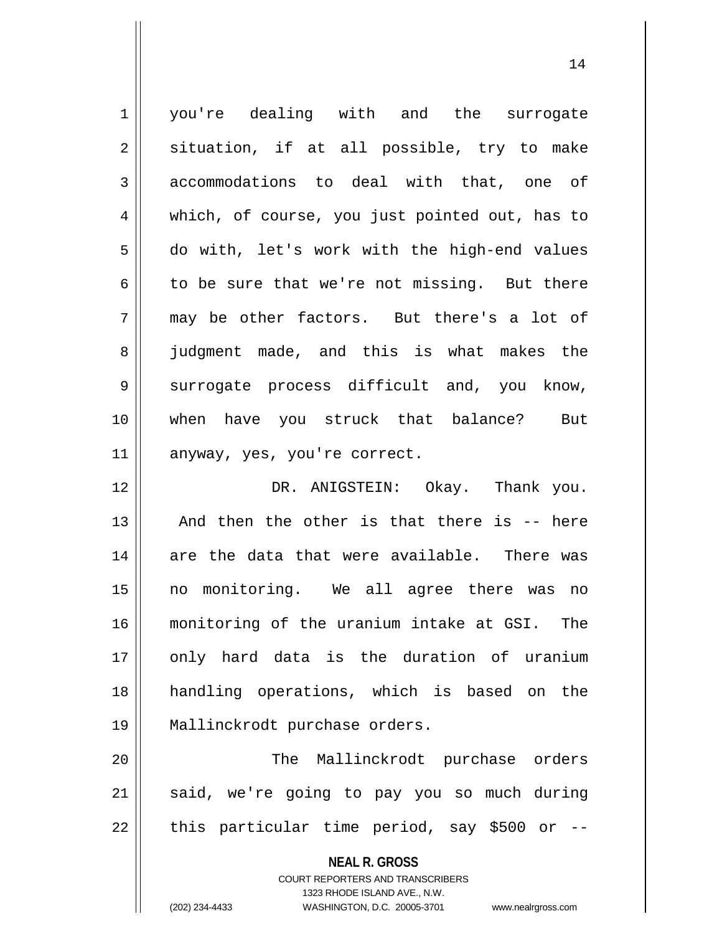1 | you're dealing with and the surrogate  $2 \parallel$  situation, if at all possible, try to make 3 accommodations to deal with that, one of 4 || which, of course, you just pointed out, has to 5 do with, let's work with the high-end values  $6 \parallel$  to be sure that we're not missing. But there  $7 \parallel$  may be other factors. But there's a lot of 8 iudgment made, and this is what makes the 9 || surrogate process difficult and, you know, 10 when have you struck that balance? But 11 | anyway, yes, you're correct. 12 DR. ANIGSTEIN: Okay. Thank you.  $13$  || And then the other is that there is  $-$  here  $14$  are the data that were available. There was 15 no monitoring. We all agree there was no 16 monitoring of the uranium intake at GSI. The 17 || only hard data is the duration of uranium 18 handling operations, which is based on the 19 Mallinckrodt purchase orders. 20 The Mallinckrodt purchase orders 21 || said, we're going to pay you so much during

> **NEAL R. GROSS** COURT REPORTERS AND TRANSCRIBERS 1323 RHODE ISLAND AVE., N.W.

 $22$  || this particular time period, say \$500 or --

14

(202) 234-4433 WASHINGTON, D.C. 20005-3701 www.nealrgross.com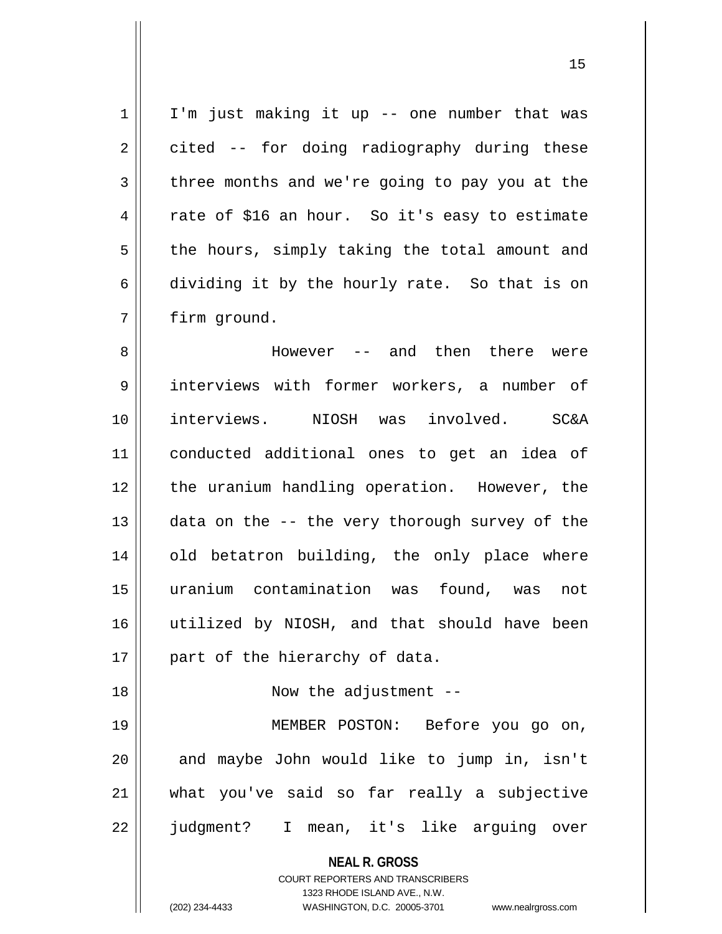$1 \parallel$  I'm just making it up -- one number that was  $2 \parallel$  cited -- for doing radiography during these  $3 \parallel$  three months and we're going to pay you at the 4 Tate of \$16 an hour. So it's easy to estimate  $5 \parallel$  the hours, simply taking the total amount and  $6 \parallel$  dividing it by the hourly rate. So that is on 7 | firm ground.

 However -- and then there were interviews with former workers, a number of interviews. NIOSH was involved. SC&A conducted additional ones to get an idea of 12 || the uranium handling operation. However, the  $\parallel$  data on the -- the very thorough survey of the 14 || old betatron building, the only place where uranium contamination was found, was not utilized by NIOSH, and that should have been | part of the hierarchy of data.

18 || Now the adjustment --

 MEMBER POSTON: Before you go on, || and maybe John would like to jump in, isn't what you've said so far really a subjective judgment? I mean, it's like arguing over

> **NEAL R. GROSS** COURT REPORTERS AND TRANSCRIBERS 1323 RHODE ISLAND AVE., N.W. (202) 234-4433 WASHINGTON, D.C. 20005-3701 www.nealrgross.com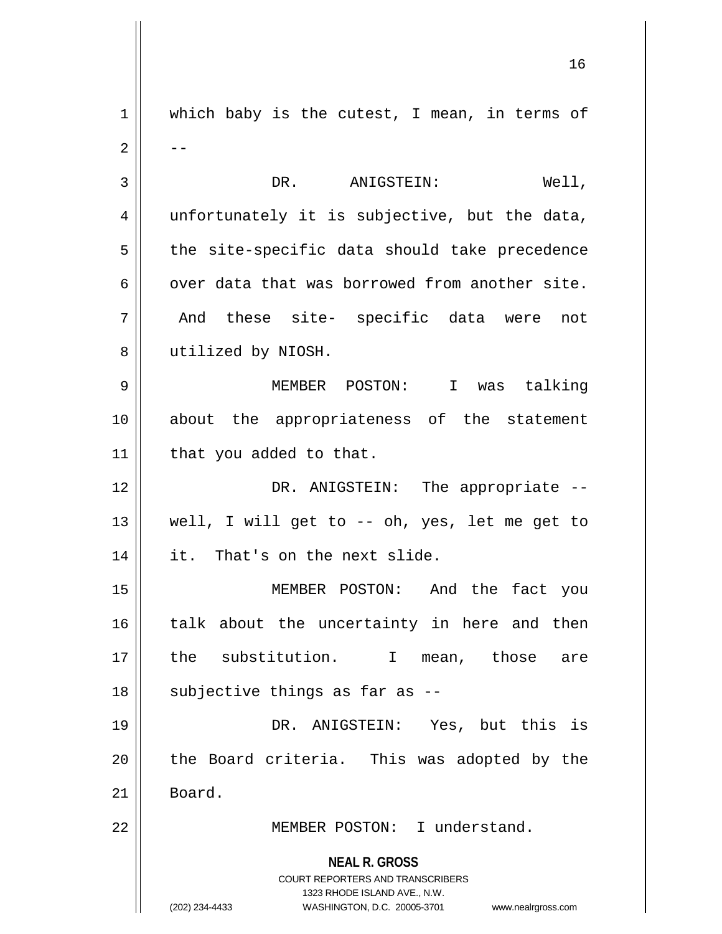**NEAL R. GROSS** COURT REPORTERS AND TRANSCRIBERS 1323 RHODE ISLAND AVE., N.W. (202) 234-4433 WASHINGTON, D.C. 20005-3701 www.nealrgross.com 1 || which baby is the cutest, I mean, in terms of  $2 \parallel - -$ 3 DR. ANIGSTEIN: Well,  $4 \parallel$  unfortunately it is subjective, but the data,  $5 \parallel$  the site-specific data should take precedence  $6 \parallel$  over data that was borrowed from another site. 7 And these site- specific data were not 8 | utilized by NIOSH. 9 MEMBER POSTON: I was talking 10 about the appropriateness of the statement 11 | that you added to that. 12 DR. ANIGSTEIN: The appropriate -- 13  $\parallel$  well, I will get to -- oh, yes, let me get to 14 | it. That's on the next slide. 15 MEMBER POSTON: And the fact you 16 || talk about the uncertainty in here and then 17 || the substitution. I mean, those are  $18$  || subjective things as far as --19 DR. ANIGSTEIN: Yes, but this is 20 || the Board criteria. This was adopted by the  $21$  Board. 22 MEMBER POSTON: I understand.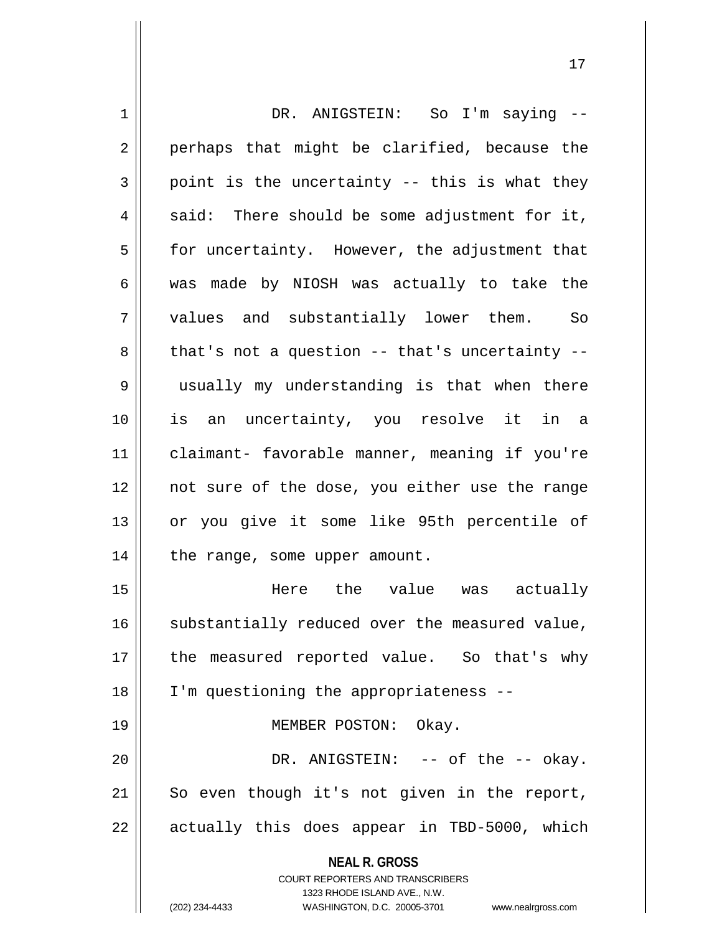| $\mathbf 1$    | DR. ANIGSTEIN: So I'm saying --                                     |
|----------------|---------------------------------------------------------------------|
| $\overline{2}$ | perhaps that might be clarified, because the                        |
| 3              | point is the uncertainty -- this is what they                       |
| 4              | said: There should be some adjustment for it,                       |
| 5              | for uncertainty. However, the adjustment that                       |
| 6              | was made by NIOSH was actually to take the                          |
| 7              | values and substantially lower them.<br>So <sub>s</sub>             |
| 8              | that's not a question $--$ that's uncertainty $--$                  |
| 9              | usually my understanding is that when there                         |
| 10             | is an uncertainty, you resolve it in a                              |
| 11             | claimant- favorable manner, meaning if you're                       |
| 12             | not sure of the dose, you either use the range                      |
| 13             | or you give it some like 95th percentile of                         |
| 14             | the range, some upper amount.                                       |
| 15             | Here the value was actually                                         |
| 16             | substantially reduced over the measured value,                      |
| 17             | the measured reported value. So that's why                          |
| 18             | I'm questioning the appropriateness --                              |
| 19             | MEMBER POSTON: Okay.                                                |
| 20             | DR. ANIGSTEIN: -- of the -- okay.                                   |
| 21             | So even though it's not given in the report,                        |
| 22             | actually this does appear in TBD-5000, which                        |
|                | <b>NEAL R. GROSS</b><br>COURT REPORTERS AND TRANSCRIBERS            |
|                | 1323 RHODE ISLAND AVE., N.W.                                        |
|                | (202) 234-4433<br>WASHINGTON, D.C. 20005-3701<br>www.nealrgross.com |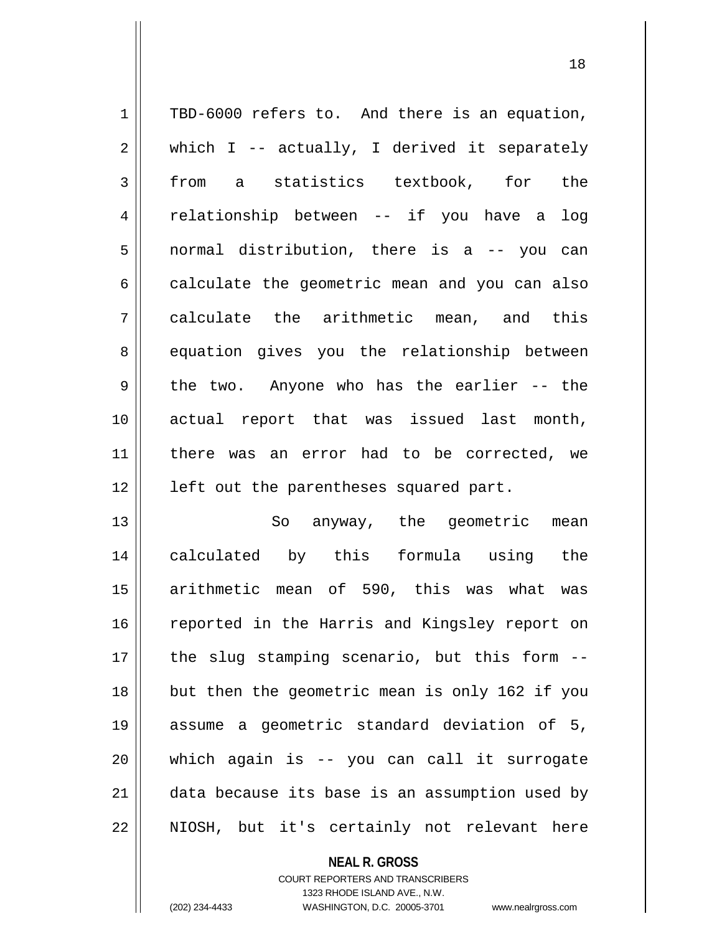| $\mathbf 1$    | TBD-6000 refers to. And there is an equation,  |
|----------------|------------------------------------------------|
| $\overline{a}$ | which I -- actually, I derived it separately   |
| 3              | a statistics textbook, for the<br>from         |
| 4              | relationship between -- if you have a<br>log   |
| 5              | normal distribution, there is a -- you can     |
| 6              | calculate the geometric mean and you can also  |
| 7              | calculate the arithmetic mean, and this        |
| 8              | equation gives you the relationship between    |
| 9              | the two. Anyone who has the earlier -- the     |
| 10             | actual report that was issued last month,      |
| 11             | there was an error had to be corrected, we     |
| 12             | left out the parentheses squared part.         |
| 13             | So anyway, the geometric<br>mean               |
| 14             | calculated by this formula using the           |
| 15             | arithmetic mean of 590, this was what was      |
| 16             | reported in the Harris and Kingsley report on  |
| 17             | the slug stamping scenario, but this form --   |
| 18             | but then the geometric mean is only 162 if you |
| 19             | assume a geometric standard deviation of 5,    |

 which again is -- you can call it surrogate  $\parallel$  data because its base is an assumption used by NIOSH, but it's certainly not relevant here

> **NEAL R. GROSS** COURT REPORTERS AND TRANSCRIBERS 1323 RHODE ISLAND AVE., N.W. (202) 234-4433 WASHINGTON, D.C. 20005-3701 www.nealrgross.com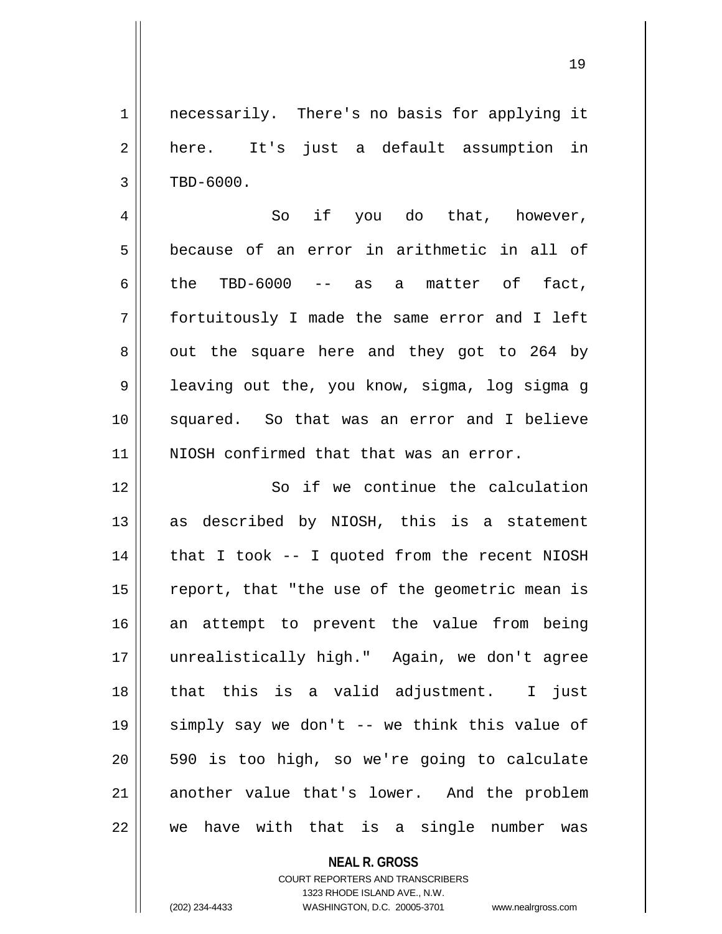1 || necessarily. There's no basis for applying it 2 || here. It's just a default assumption in  $3 \parallel$  TBD-6000.

4 So if you do that, however, 5 because of an error in arithmetic in all of 6 the TBD-6000 -- as a matter of fact, 7 fortuitously I made the same error and I left  $8 \parallel$  out the square here and they got to 264 by 9 || leaving out the, you know, sigma, log sigma g 10 squared. So that was an error and I believe 11 || NIOSH confirmed that that was an error.

12 || So if we continue the calculation as described by NIOSH, this is a statement | that I took -- I quoted from the recent NIOSH | report, that "the use of the geometric mean is an attempt to prevent the value from being unrealistically high." Again, we don't agree 18 || that this is a valid adjustment. I just simply say we don't -- we think this value of || 590 is too high, so we're going to calculate 21 another value that's lower. And the problem we have with that is a single number was

## **NEAL R. GROSS** COURT REPORTERS AND TRANSCRIBERS 1323 RHODE ISLAND AVE., N.W. (202) 234-4433 WASHINGTON, D.C. 20005-3701 www.nealrgross.com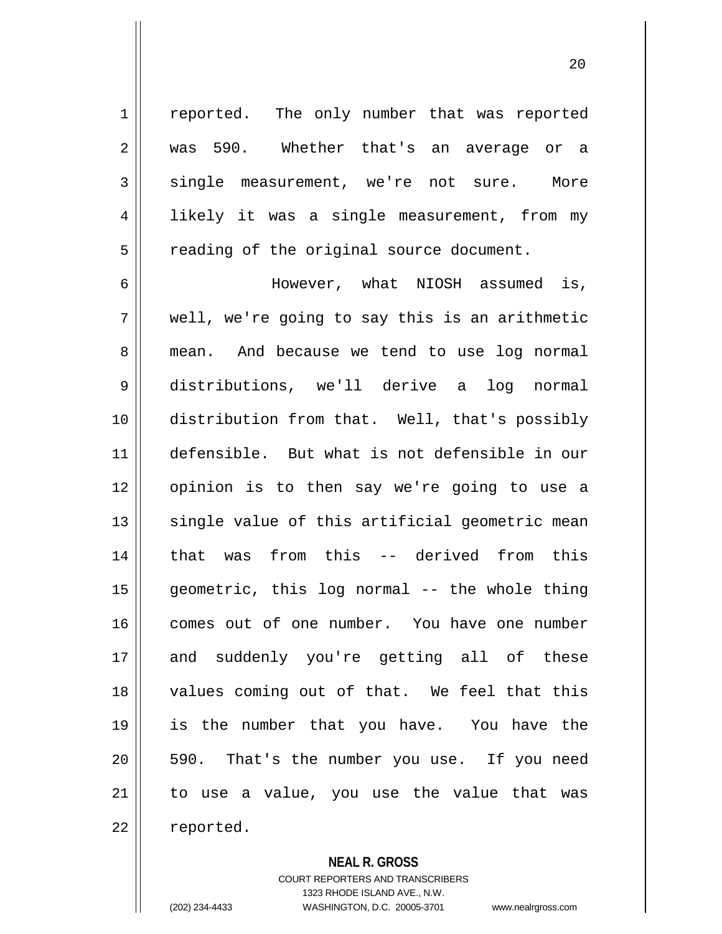1 || reported. The only number that was reported 2 was 590. Whether that's an average or a 3 single measurement, we're not sure. More 4 || likely it was a single measurement, from my  $5 \parallel$  reading of the original source document.

6 However, what NIOSH assumed is,  $7 \parallel$  well, we're going to say this is an arithmetic 8 || mean. And because we tend to use log normal 9 distributions, we'll derive a log normal 10 distribution from that. Well, that's possibly 11 defensible. But what is not defensible in our 12 opinion is to then say we're going to use a  $13$  single value of this artificial geometric mean 14 || that was from this -- derived from this 15 geometric, this log normal -- the whole thing 16 comes out of one number. You have one number 17 and suddenly you're getting all of these 18 || values coming out of that. We feel that this 19 is the number that you have. You have the 20 || 590. That's the number you use. If you need  $21$  to use a value, you use the value that was 22 | reported.

**NEAL R. GROSS**

COURT REPORTERS AND TRANSCRIBERS 1323 RHODE ISLAND AVE., N.W. (202) 234-4433 WASHINGTON, D.C. 20005-3701 www.nealrgross.com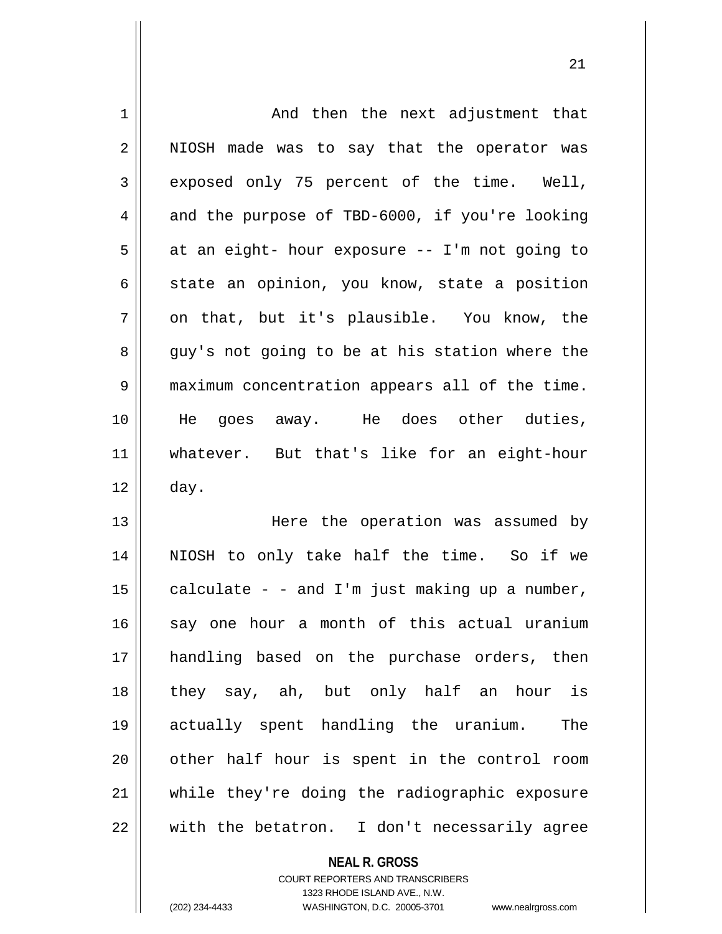| $\mathbf 1$    | And then the next adjustment that              |
|----------------|------------------------------------------------|
| $\overline{2}$ | NIOSH made was to say that the operator was    |
| 3              | exposed only 75 percent of the time. Well,     |
| 4              | and the purpose of TBD-6000, if you're looking |
| 5              | at an eight- hour exposure -- I'm not going to |
| 6              | state an opinion, you know, state a position   |
| 7              | on that, but it's plausible. You know, the     |
| 8              | guy's not going to be at his station where the |
| 9              | maximum concentration appears all of the time. |
| 10             | He goes away. He does other duties,            |
| 11             | whatever. But that's like for an eight-hour    |
| 12             | day.                                           |
| 13             | Here the operation was assumed by              |
| 14             | NIOSH to only take half the time. So if we     |
| 15             | calculate - - and I'm just making up a number, |
| 16             | say one hour a month of this actual uranium    |
| 17             | handling based on the purchase orders, then    |
| 18             | they say, ah, but only half an hour is         |
| 19             | actually spent handling the uranium.<br>The    |
| 20             | other half hour is spent in the control room   |
| 21             | while they're doing the radiographic exposure  |
| 22             | with the betatron. I don't necessarily agree   |

**NEAL R. GROSS** COURT REPORTERS AND TRANSCRIBERS

1323 RHODE ISLAND AVE., N.W.

(202) 234-4433 WASHINGTON, D.C. 20005-3701 www.nealrgross.com

 $\mathbf{I}$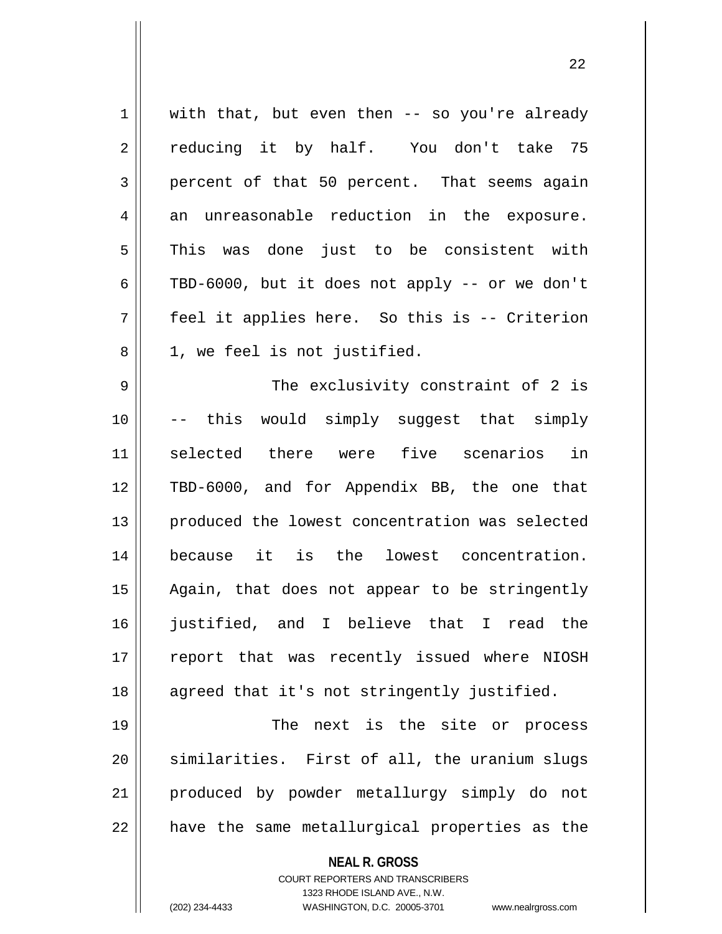**NEAL R. GROSS**  $1 \parallel$  with that, but even then -- so you're already 2 || reducing it by half. You don't take 75 3 percent of that 50 percent. That seems again  $4 \parallel$  an unreasonable reduction in the exposure. 5 This was done just to be consistent with 6 | TBD-6000, but it does not apply -- or we don't 7 feel it applies here. So this is -- Criterion 8 || 1, we feel is not justified. 9 The exclusivity constraint of 2 is 10 -- this would simply suggest that simply 11 selected there were five scenarios in 12 TBD-6000, and for Appendix BB, the one that 13 produced the lowest concentration was selected 14 because it is the lowest concentration. 15 || Again, that does not appear to be stringently 16 justified, and I believe that I read the 17 || report that was recently issued where NIOSH 18 || agreed that it's not stringently justified. 19 || The next is the site or process  $20$  similarities. First of all, the uranium slugs 21 produced by powder metallurgy simply do not  $22$  || have the same metallurgical properties as the

> COURT REPORTERS AND TRANSCRIBERS 1323 RHODE ISLAND AVE., N.W.

(202) 234-4433 WASHINGTON, D.C. 20005-3701 www.nealrgross.com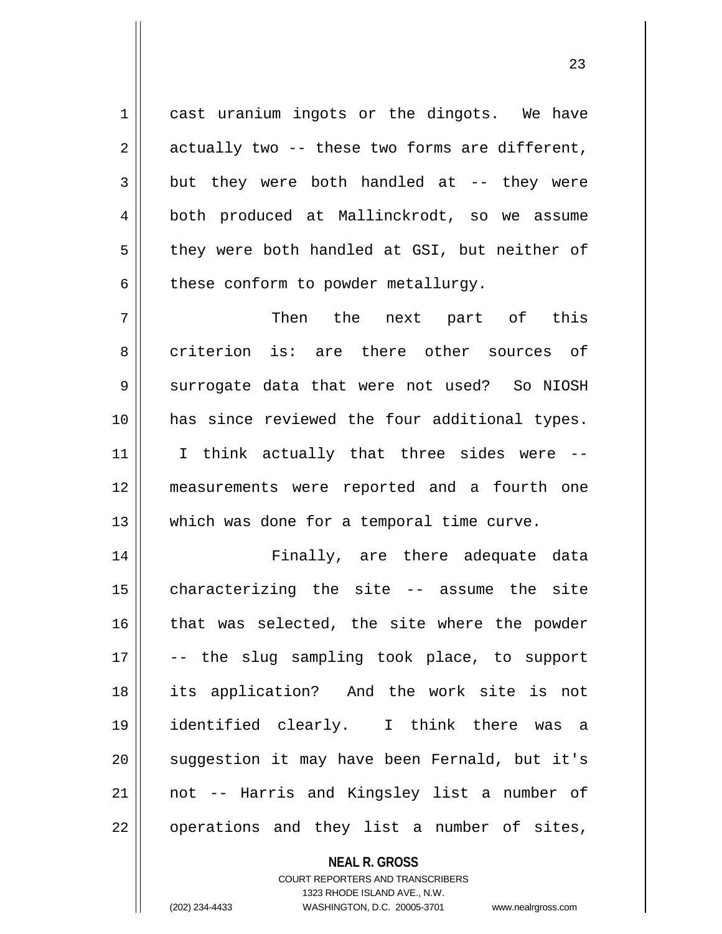1 || cast uranium ingots or the dingots. We have  $2 \parallel$  actually two -- these two forms are different,  $3 \parallel$  but they were both handled at -- they were 4 || both produced at Mallinckrodt, so we assume  $5 \parallel$  they were both handled at GSI, but neither of  $6$  | these conform to powder metallurgy.

7 Then the next part of this 8 criterion is: are there other sources of 9 Surrogate data that were not used? So NIOSH 10 has since reviewed the four additional types. 11 || I think actually that three sides were --12 measurements were reported and a fourth one 13 Which was done for a temporal time curve.

 Finally, are there adequate data characterizing the site -- assume the site 16 || that was selected, the site where the powder -- the slug sampling took place, to support its application? And the work site is not identified clearly. I think there was a 20 || suggestion it may have been Fernald, but it's not -- Harris and Kingsley list a number of 22 || operations and they list a number of sites,

**NEAL R. GROSS**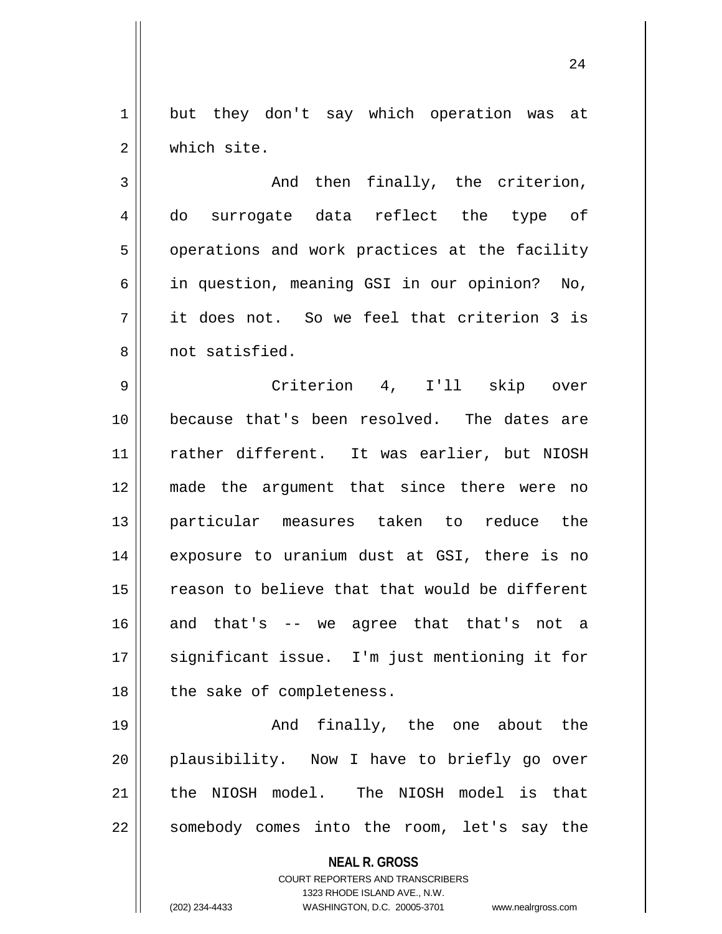1 || but they don't say which operation was at 2 | which site.

 $3 \parallel$  and then finally, the criterion, 4 do surrogate data reflect the type of 5 | operations and work practices at the facility 6 || in question, meaning GSI in our opinion? No,  $7 \parallel$  it does not. So we feel that criterion 3 is 8 || not satisfied.

9 Criterion 4, I'll skip over 10 because that's been resolved. The dates are 11 || rather different. It was earlier, but NIOSH 12 made the argument that since there were no 13 particular measures taken to reduce the 14 || exposure to uranium dust at GSI, there is no 15 || reason to believe that that would be different  $16$  and that's -- we agree that that's not a 17 || significant issue. I'm just mentioning it for  $18$  | the sake of completeness.

19 And finally, the one about the 20 || plausibility. Now I have to briefly go over 21 || the NIOSH model. The NIOSH model is that 22 || somebody comes into the room, let's say the

**NEAL R. GROSS**

COURT REPORTERS AND TRANSCRIBERS 1323 RHODE ISLAND AVE., N.W. (202) 234-4433 WASHINGTON, D.C. 20005-3701 www.nealrgross.com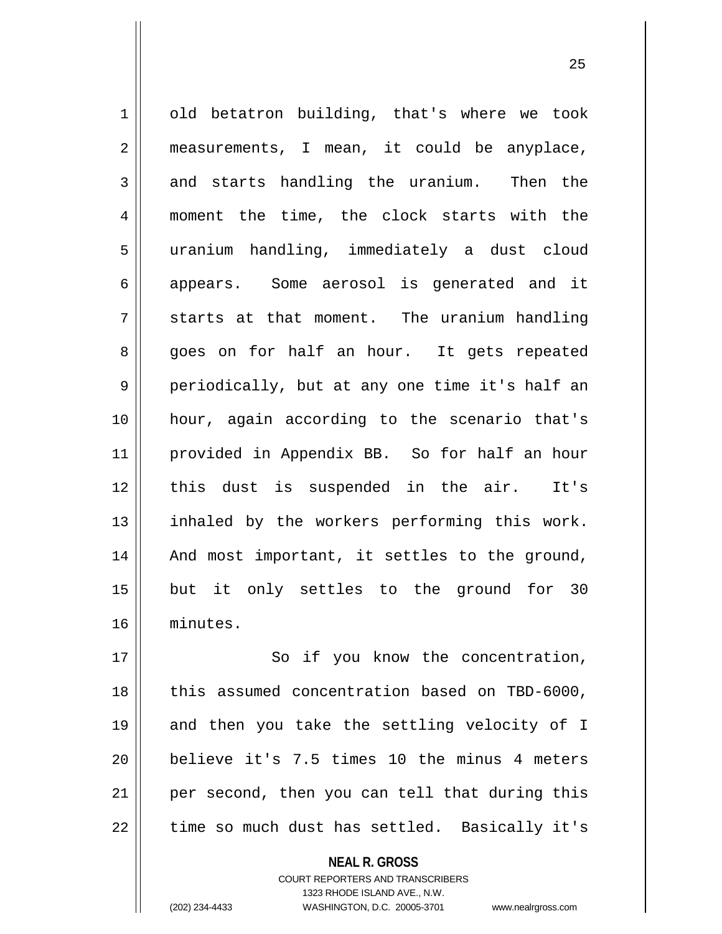1 | old betatron building, that's where we took 2 || measurements, I mean, it could be anyplace,  $3 \parallel$  and starts handling the uranium. Then the 4 || moment the time, the clock starts with the 5 uranium handling, immediately a dust cloud 6 appears. Some aerosol is generated and it  $7 \parallel$  starts at that moment. The uranium handling 8 || goes on for half an hour. It gets repeated 9 || periodically, but at any one time it's half an 10 hour, again according to the scenario that's 11 provided in Appendix BB. So for half an hour 12 || this dust is suspended in the air. It's 13 || inhaled by the workers performing this work.  $14$  | And most important, it settles to the ground, 15 but it only settles to the ground for 30 16 minutes.

17 || So if you know the concentration, 18 || this assumed concentration based on TBD-6000, 19 and then you take the settling velocity of I 20 || believe it's 7.5 times 10 the minus 4 meters 21 || per second, then you can tell that during this  $22$  | time so much dust has settled. Basically it's

> **NEAL R. GROSS** COURT REPORTERS AND TRANSCRIBERS 1323 RHODE ISLAND AVE., N.W.

(202) 234-4433 WASHINGTON, D.C. 20005-3701 www.nealrgross.com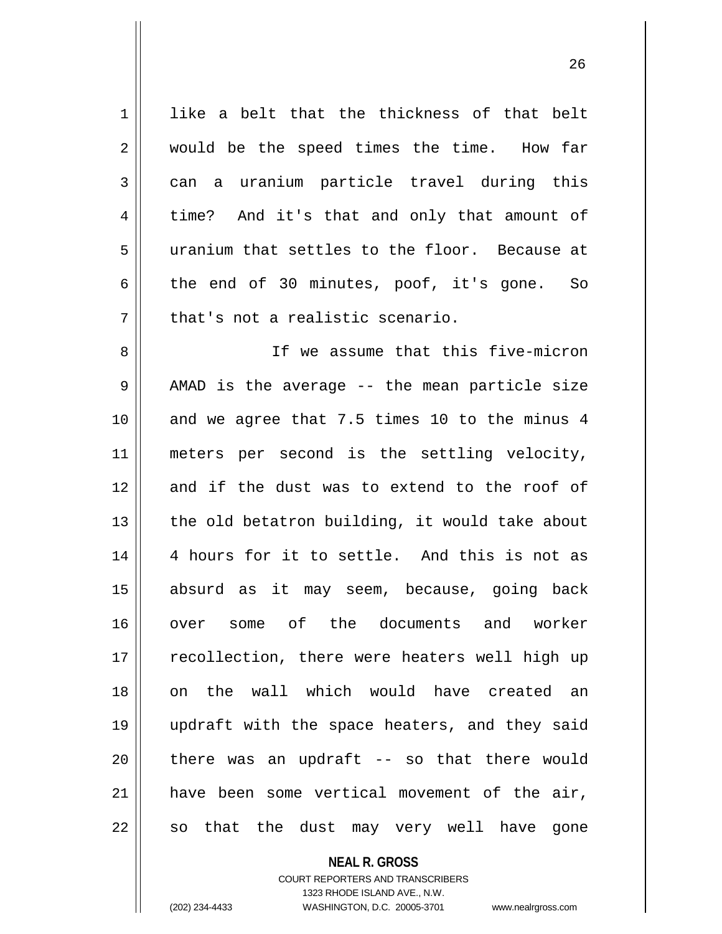| 1              | like a belt that the thickness of that belt    |
|----------------|------------------------------------------------|
| 2              | would be the speed times the time. How far     |
| $\mathsf{3}$   | can a uranium particle travel during this      |
| $\overline{4}$ | time? And it's that and only that amount of    |
| 5              | uranium that settles to the floor. Because at  |
| 6              | the end of 30 minutes, poof, it's gone. So     |
| 7              | that's not a realistic scenario.               |
| 8              | If we assume that this five-micron             |
| $\mathsf 9$    | AMAD is the average -- the mean particle size  |
| 10             | and we agree that 7.5 times 10 to the minus 4  |
| 11             | meters per second is the settling velocity,    |
| 12             | and if the dust was to extend to the roof of   |
| 13             | the old betatron building, it would take about |
| 14             | 4 hours for it to settle. And this is not as   |
| 15             | absurd as it may seem, because, going back     |
| 16             | over some of the documents and worker          |
| 17             | recollection, there were heaters well high up  |
| 18             | on the wall which would have created an        |
| 19             | updraft with the space heaters, and they said  |
| 20             | there was an updraft -- so that there would    |
| 21             | have been some vertical movement of the air,   |
|                |                                                |
| 22             | so that the dust may very well have gone       |

**NEAL R. GROSS**

COURT REPORTERS AND TRANSCRIBERS 1323 RHODE ISLAND AVE., N.W. (202) 234-4433 WASHINGTON, D.C. 20005-3701 www.nealrgross.com

 $\mathsf{I}$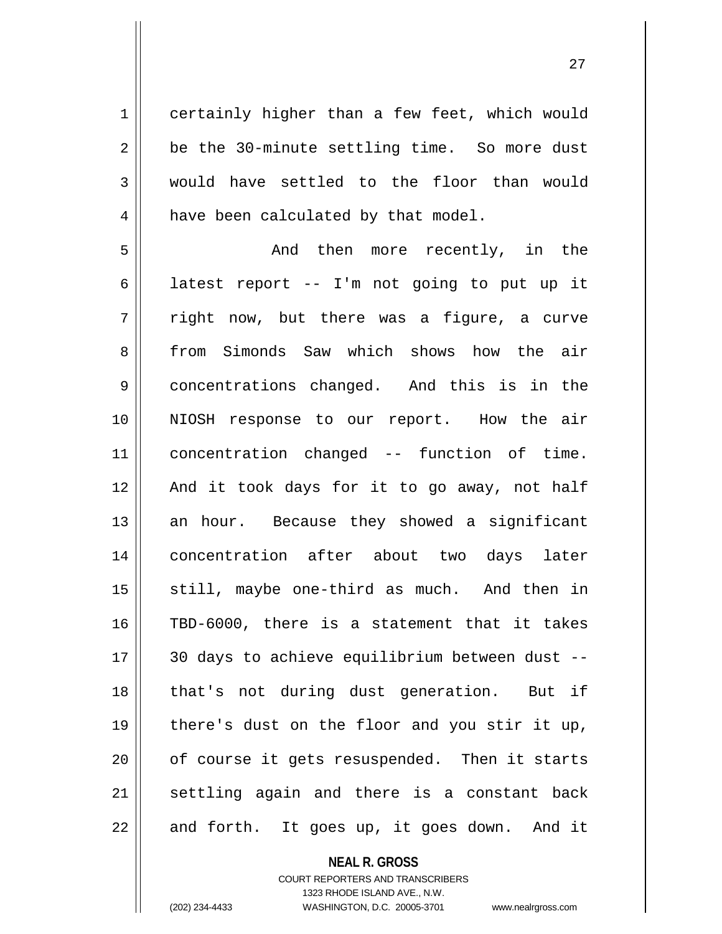1 certainly higher than a few feet, which would  $2 \parallel$  be the 30-minute settling time. So more dust 3 would have settled to the floor than would 4 | have been calculated by that model.

5 || The Mondu then more recently, in the 6 | latest report  $-$ - I'm not going to put up it  $7 \parallel$  right now, but there was a figure, a curve 8 from Simonds Saw which shows how the air concentrations changed. And this is in the NIOSH response to our report. How the air concentration changed -- function of time. 12 || And it took days for it to go away, not half an hour. Because they showed a significant concentration after about two days later still, maybe one-third as much. And then in TBD-6000, there is a statement that it takes 30 days to achieve equilibrium between dust -- 18 || that's not during dust generation. But if there's dust on the floor and you stir it up, 20 || of course it gets resuspended. Then it starts settling again and there is a constant back || and forth. It goes up, it goes down. And it

## **NEAL R. GROSS** COURT REPORTERS AND TRANSCRIBERS 1323 RHODE ISLAND AVE., N.W. (202) 234-4433 WASHINGTON, D.C. 20005-3701 www.nealrgross.com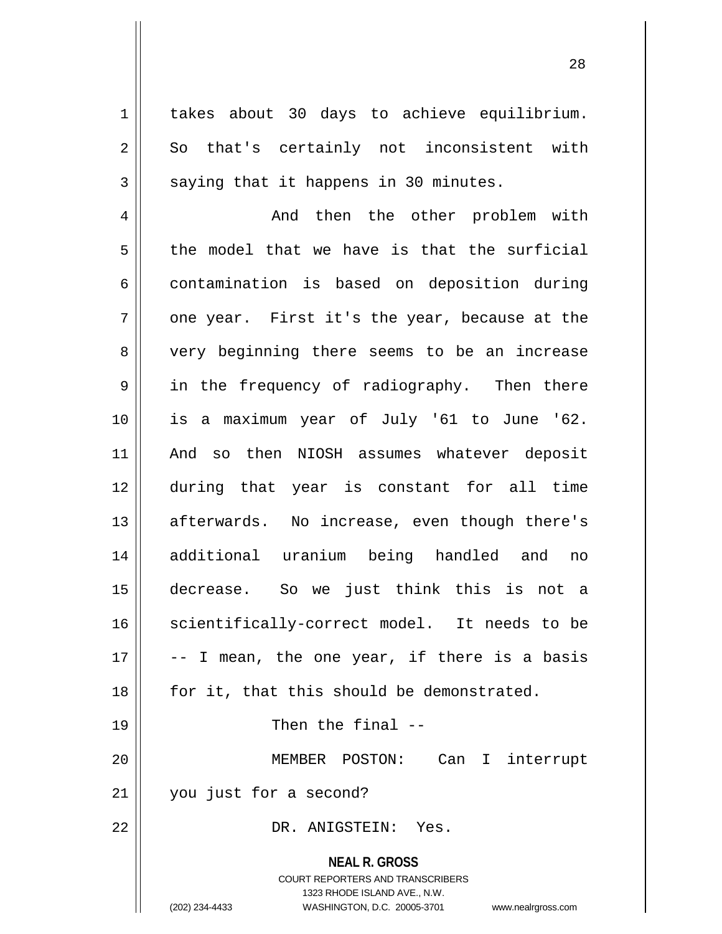1 || takes about 30 days to achieve equilibrium. 2 So that's certainly not inconsistent with  $3 \parallel$  saying that it happens in 30 minutes.

4 And then the other problem with  $5 \parallel$  the model that we have is that the surficial 6 contamination is based on deposition during  $7 \parallel$  one year. First it's the year, because at the 8 very beginning there seems to be an increase 9 || in the frequency of radiography. Then there 10 is a maximum year of July '61 to June '62. 11 And so then NIOSH assumes whatever deposit 12 during that year is constant for all time 13 || afterwards. No increase, even though there's 14 additional uranium being handled and no 15 decrease. So we just think this is not a 16 || scientifically-correct model. It needs to be  $17 \parallel$  -- I mean, the one year, if there is a basis  $18$  | for it, that this should be demonstrated. 19 || Then the final --20 MEMBER POSTON: Can I interrupt 21 | you just for a second?

22 DR. ANIGSTEIN: Yes.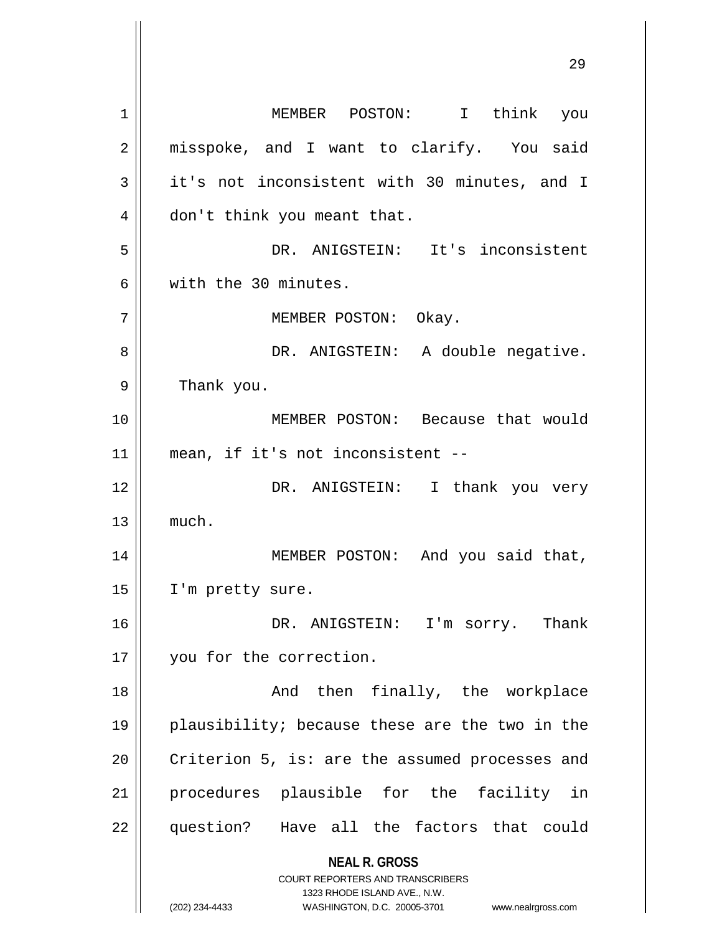**NEAL R. GROSS** COURT REPORTERS AND TRANSCRIBERS 1323 RHODE ISLAND AVE., N.W. (202) 234-4433 WASHINGTON, D.C. 20005-3701 www.nealrgross.com 1 MEMBER POSTON: I think you 2 || misspoke, and I want to clarify. You said  $3 \parallel$  it's not inconsistent with 30 minutes, and I 4 | don't think you meant that. 5 DR. ANIGSTEIN: It's inconsistent 6 with the 30 minutes. 7 | MEMBER POSTON: Okay. 8 DR. ANIGSTEIN: A double negative. 9 | Thank you. 10 MEMBER POSTON: Because that would 11 mean, if it's not inconsistent -- 12 DR. ANIGSTEIN: I thank you very  $13 \parallel$  much. 14 MEMBER POSTON: And you said that, 15 | I'm pretty sure. 16 DR. ANIGSTEIN: I'm sorry. Thank 17 || you for the correction. 18 || The Mondu then finally, the workplace 19 plausibility; because these are the two in the 20  $\parallel$  Criterion 5, is: are the assumed processes and 21 procedures plausible for the facility in 22 question? Have all the factors that could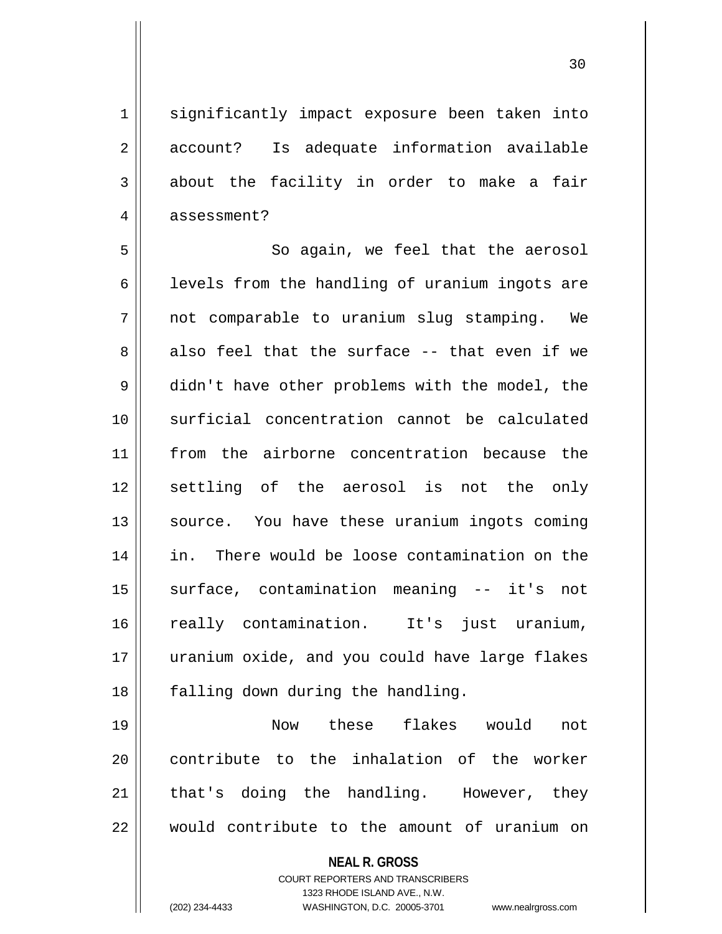1 || significantly impact exposure been taken into 2 || account? Is adequate information available  $3 \parallel$  about the facility in order to make a fair 4 | assessment?

5 || So again, we feel that the aerosol  $6$  | levels from the handling of uranium ingots are 7 not comparable to uranium slug stamping. We  $8 \parallel$  also feel that the surface -- that even if we 9 didn't have other problems with the model, the 10 surficial concentration cannot be calculated 11 from the airborne concentration because the 12 settling of the aerosol is not the only 13 || source. You have these uranium ingots coming 14 in. There would be loose contamination on the 15 surface, contamination meaning -- it's not 16 really contamination. It's just uranium, 17 uranium oxide, and you could have large flakes 18 || falling down during the handling.

19 Now these flakes would not 20 || contribute to the inhalation of the worker  $21$  | that's doing the handling. However, they 22 Would contribute to the amount of uranium on

# **NEAL R. GROSS**

COURT REPORTERS AND TRANSCRIBERS 1323 RHODE ISLAND AVE., N.W. (202) 234-4433 WASHINGTON, D.C. 20005-3701 www.nealrgross.com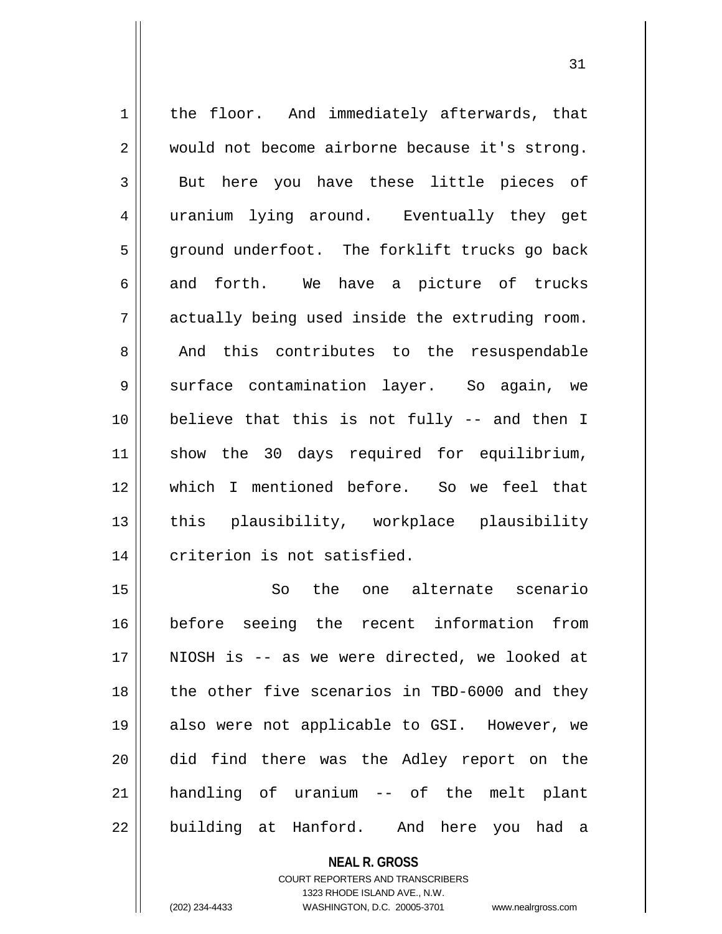1 || the floor. And immediately afterwards, that 2 would not become airborne because it's strong. 3 But here you have these little pieces of 4 || uranium lying around. Eventually they get 5 || ground underfoot. The forklift trucks go back 6 and forth. We have a picture of trucks  $7 \parallel$  actually being used inside the extruding room. 8 And this contributes to the resuspendable 9 Surface contamination layer. So again, we 10 believe that this is not fully -- and then I 11 show the 30 days required for equilibrium, 12 which I mentioned before. So we feel that 13 || this plausibility, workplace plausibility 14 criterion is not satisfied.

 So the one alternate scenario before seeing the recent information from NIOSH is -- as we were directed, we looked at 18 || the other five scenarios in TBD-6000 and they also were not applicable to GSI. However, we did find there was the Adley report on the handling of uranium -- of the melt plant 22 || building at Hanford. And here you had a

> COURT REPORTERS AND TRANSCRIBERS 1323 RHODE ISLAND AVE., N.W. (202) 234-4433 WASHINGTON, D.C. 20005-3701 www.nealrgross.com

**NEAL R. GROSS**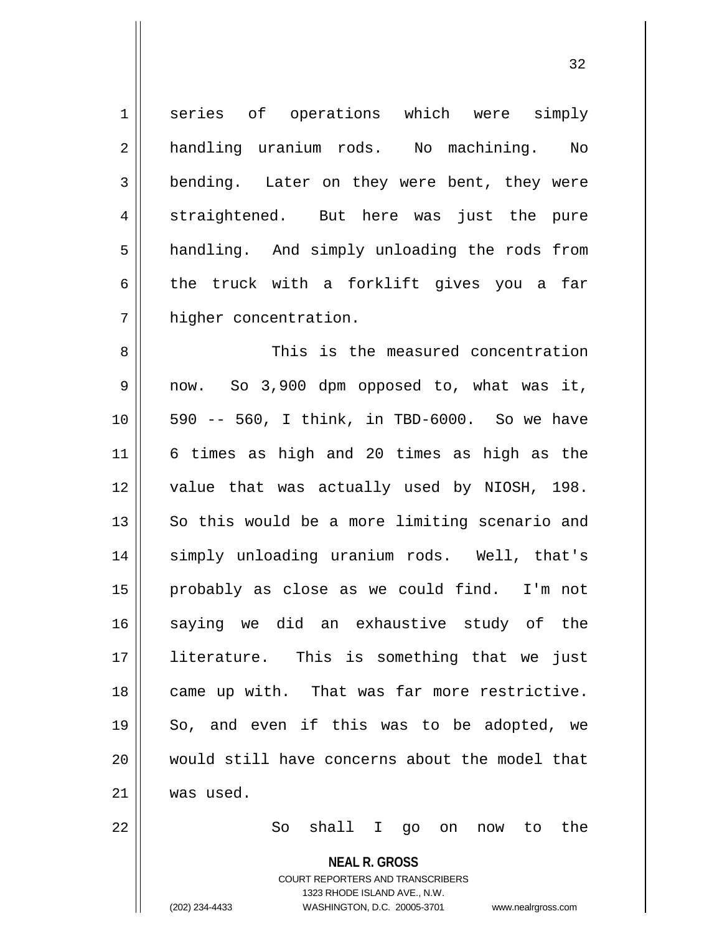1 series of operations which were simply 2 handling uranium rods. No machining. No 3 bending. Later on they were bent, they were 4 straightened. But here was just the pure 5 | handling. And simply unloading the rods from 6 the truck with a forklift gives you a far 7 higher concentration.

 This is the measured concentration 9 || now. So 3,900 dpm opposed to, what was it, || 590 -- 560, I think, in TBD-6000. So we have 6 times as high and 20 times as high as the value that was actually used by NIOSH, 198. So this would be a more limiting scenario and 14 || simply unloading uranium rods. Well, that's probably as close as we could find. I'm not saying we did an exhaustive study of the literature. This is something that we just 18 || came up with. That was far more restrictive.  $19 \parallel$  So, and even if this was to be adopted, we would still have concerns about the model that was used.

22 So shall I go on now to the

**NEAL R. GROSS**

COURT REPORTERS AND TRANSCRIBERS 1323 RHODE ISLAND AVE., N.W. (202) 234-4433 WASHINGTON, D.C. 20005-3701 www.nealrgross.com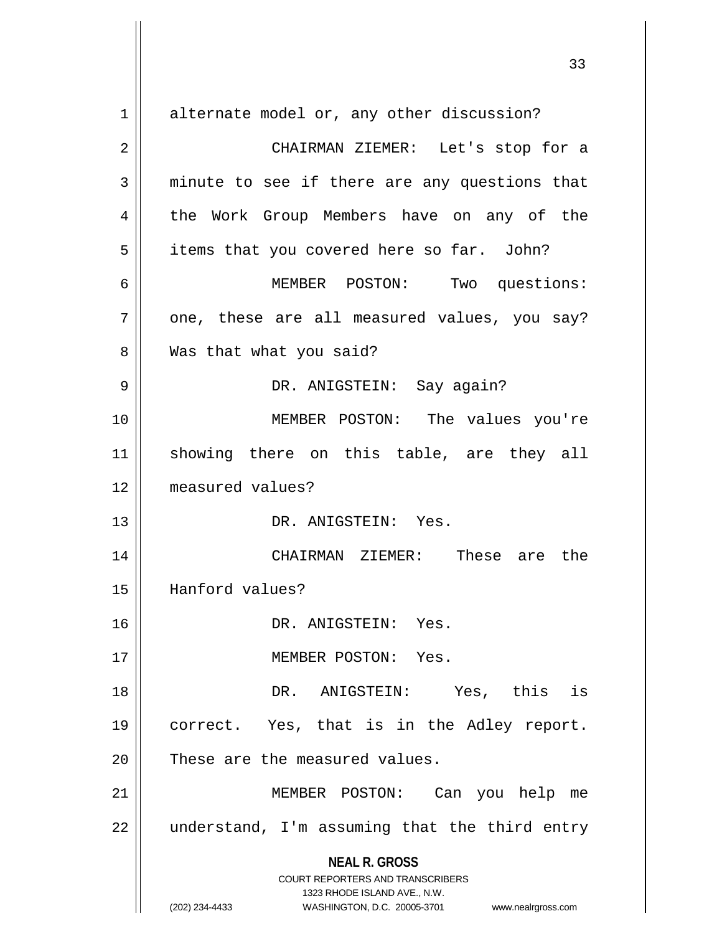**NEAL R. GROSS** COURT REPORTERS AND TRANSCRIBERS 1323 RHODE ISLAND AVE., N.W. (202) 234-4433 WASHINGTON, D.C. 20005-3701 www.nealrgross.com 1 alternate model or, any other discussion? 2 CHAIRMAN ZIEMER: Let's stop for a  $3 \parallel$  minute to see if there are any questions that 4 the Work Group Members have on any of the 5 | items that you covered here so far. John? 6 MEMBER POSTON: Two questions:  $7 \parallel$  one, these are all measured values, you say? 8 | Was that what you said? 9 DR. ANIGSTEIN: Say again? 10 || MEMBER POSTON: The values you're 11 showing there on this table, are they all 12 measured values? 13 DR. ANIGSTEIN: Yes. 14 CHAIRMAN ZIEMER: These are the 15 Hanford values? 16 DR. ANIGSTEIN: Yes. 17 MEMBER POSTON: Yes. 18 DR. ANIGSTEIN: Yes, this is 19 correct. Yes, that is in the Adley report.  $20$  | These are the measured values. 21 MEMBER POSTON: Can you help me  $22$  || understand, I'm assuming that the third entry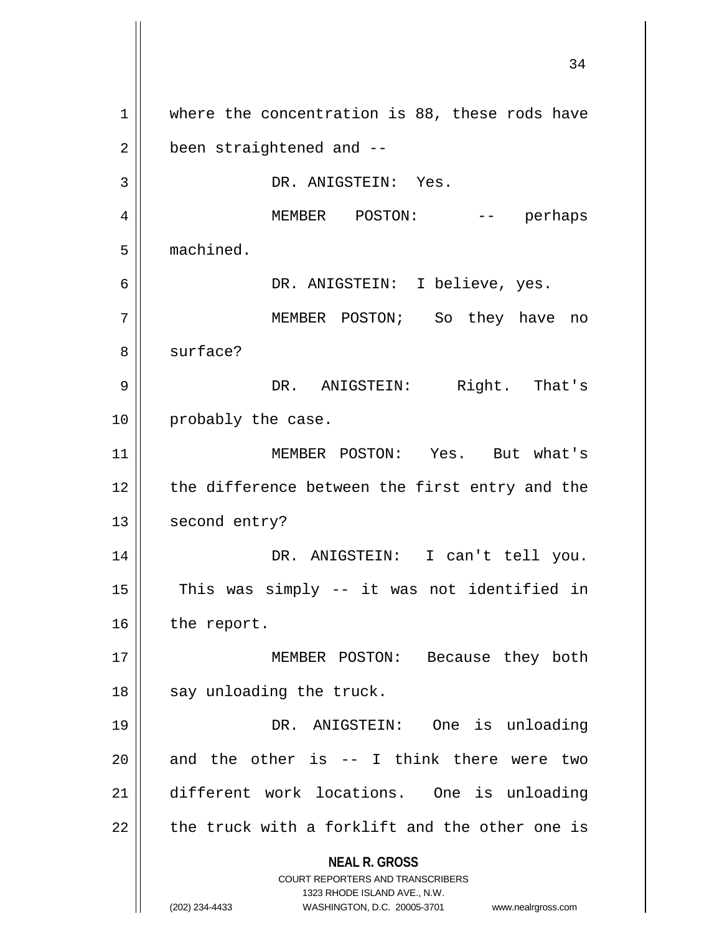**NEAL R. GROSS** COURT REPORTERS AND TRANSCRIBERS 1323 RHODE ISLAND AVE., N.W. (202) 234-4433 WASHINGTON, D.C. 20005-3701 www.nealrgross.com 1 || where the concentration is 88, these rods have  $2 \parallel$  been straightened and  $-$ 3 || DR. ANIGSTEIN: Yes. 4 MEMBER POSTON: -- perhaps 5 machined. 6 DR. ANIGSTEIN: I believe, yes. 7 MEMBER POSTON; So they have no 8 || surface? 9 DR. ANIGSTEIN: Right. That's 10 || probably the case. 11 MEMBER POSTON: Yes. But what's 12 the difference between the first entry and the 13 | second entry? 14 DR. ANIGSTEIN: I can't tell you.  $15$  This was simply -- it was not identified in 16 | the report. 17 || MEMBER POSTON: Because they both  $18$  || say unloading the truck. 19 DR. ANIGSTEIN: One is unloading 20  $\parallel$  and the other is -- I think there were two 21 different work locations. One is unloading  $22$  | the truck with a forklift and the other one is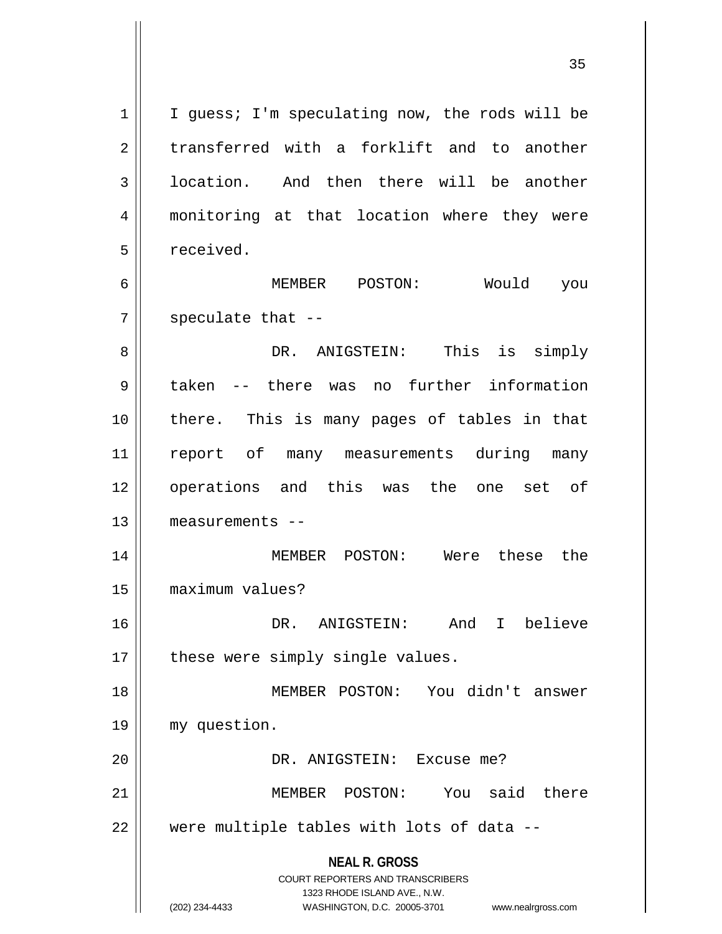**NEAL R. GROSS** COURT REPORTERS AND TRANSCRIBERS 1323 RHODE ISLAND AVE., N.W.  $1 \parallel$  I guess; I'm speculating now, the rods will be  $2 \parallel$  transferred with a forklift and to another 3 | location. And then there will be another 4 monitoring at that location where they were 5 | received. 6 MEMBER POSTON: Would you  $7$  || speculate that  $-$ -8 DR. ANIGSTEIN: This is simply 9 taken -- there was no further information 10 there. This is many pages of tables in that 11 || report of many measurements during many 12 || operations and this was the one set of 13 measurements -- 14 MEMBER POSTON: Were these the 15 maximum values? 16 DR. ANIGSTEIN: And I believe  $17$  | these were simply single values. 18 MEMBER POSTON: You didn't answer 19 my question. 20 || DR. ANIGSTEIN: Excuse me? 21 || MEMBER POSTON: You said there  $22$   $\parallel$  were multiple tables with lots of data --

<sup>(202) 234-4433</sup> WASHINGTON, D.C. 20005-3701 www.nealrgross.com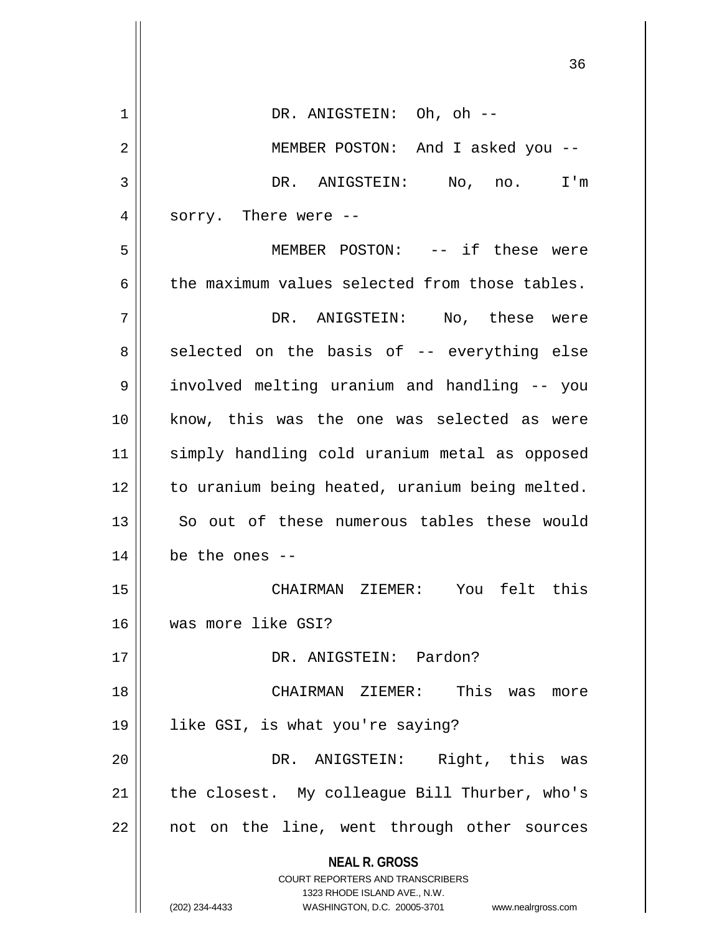| 1  | DR. ANIGSTEIN: Oh, oh --                                                |
|----|-------------------------------------------------------------------------|
| 2  | MEMBER POSTON: And I asked you --                                       |
| 3  | DR. ANIGSTEIN: No, no. I'm                                              |
| 4  | sorry. There were --                                                    |
| 5  | MEMBER POSTON: -- if these were                                         |
| 6  | the maximum values selected from those tables.                          |
| 7  | DR. ANIGSTEIN: No, these were                                           |
| 8  | selected on the basis of -- everything else                             |
| 9  | involved melting uranium and handling -- you                            |
| 10 | know, this was the one was selected as were                             |
| 11 | simply handling cold uranium metal as opposed                           |
| 12 | to uranium being heated, uranium being melted.                          |
| 13 | So out of these numerous tables these would                             |
| 14 | be the ones $-$                                                         |
| 15 | CHAIRMAN ZIEMER: You felt this                                          |
| 16 | was more like GSI?                                                      |
| 17 | DR. ANIGSTEIN: Pardon?                                                  |
| 18 | CHAIRMAN ZIEMER: This was<br>more                                       |
| 19 | like GSI, is what you're saying?                                        |
| 20 | Right, this was<br>DR. ANIGSTEIN:                                       |
| 21 | the closest. My colleague Bill Thurber, who's                           |
| 22 | not on the line, went through other sources                             |
|    | <b>NEAL R. GROSS</b>                                                    |
|    | <b>COURT REPORTERS AND TRANSCRIBERS</b><br>1323 RHODE ISLAND AVE., N.W. |
|    | WASHINGTON, D.C. 20005-3701<br>(202) 234-4433<br>www.nealrgross.com     |

 $\mathbf{I}$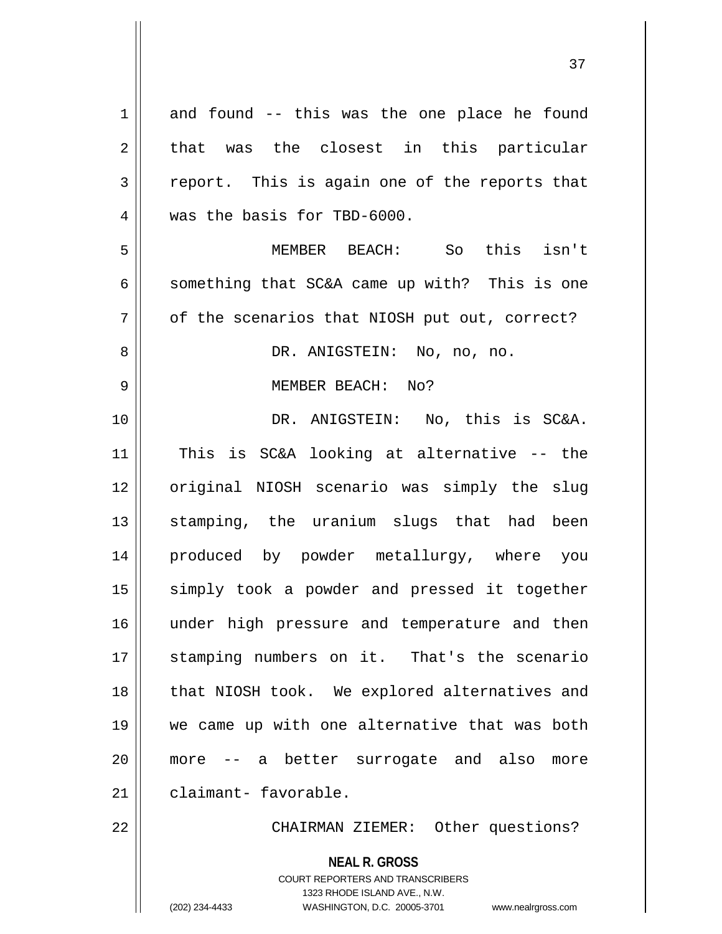| $\mathbf 1$    | and found -- this was the one place he found                                                        |
|----------------|-----------------------------------------------------------------------------------------------------|
| $\overline{2}$ | that was the closest in this particular                                                             |
| 3              | report. This is again one of the reports that                                                       |
| 4              | was the basis for TBD-6000.                                                                         |
| 5              | MEMBER BEACH: So this isn't                                                                         |
| 6              | something that SC&A came up with? This is one                                                       |
| 7              | of the scenarios that NIOSH put out, correct?                                                       |
| 8              | DR. ANIGSTEIN: No, no, no.                                                                          |
| 9              | MEMBER BEACH: No?                                                                                   |
| 10             | DR. ANIGSTEIN: No, this is SC&A.                                                                    |
| 11             | This is SC&A looking at alternative -- the                                                          |
| 12             | original NIOSH scenario was simply the slug                                                         |
| 13             | stamping, the uranium slugs that had been                                                           |
| 14             | produced by powder metallurgy, where you                                                            |
| 15             | simply took a powder and pressed it together                                                        |
| 16             | under high pressure and temperature and then                                                        |
| 17             | stamping numbers on it. That's the scenario                                                         |
| 18             | that NIOSH took. We explored alternatives and                                                       |
| 19             | we came up with one alternative that was both                                                       |
| 20             | -- a better surrogate and also<br>more<br>more                                                      |
| 21             | claimant- favorable.                                                                                |
| 22             | CHAIRMAN ZIEMER: Other questions?                                                                   |
|                | <b>NEAL R. GROSS</b>                                                                                |
|                | <b>COURT REPORTERS AND TRANSCRIBERS</b>                                                             |
|                | 1323 RHODE ISLAND AVE., N.W.<br>(202) 234-4433<br>WASHINGTON, D.C. 20005-3701<br>www.nealrgross.com |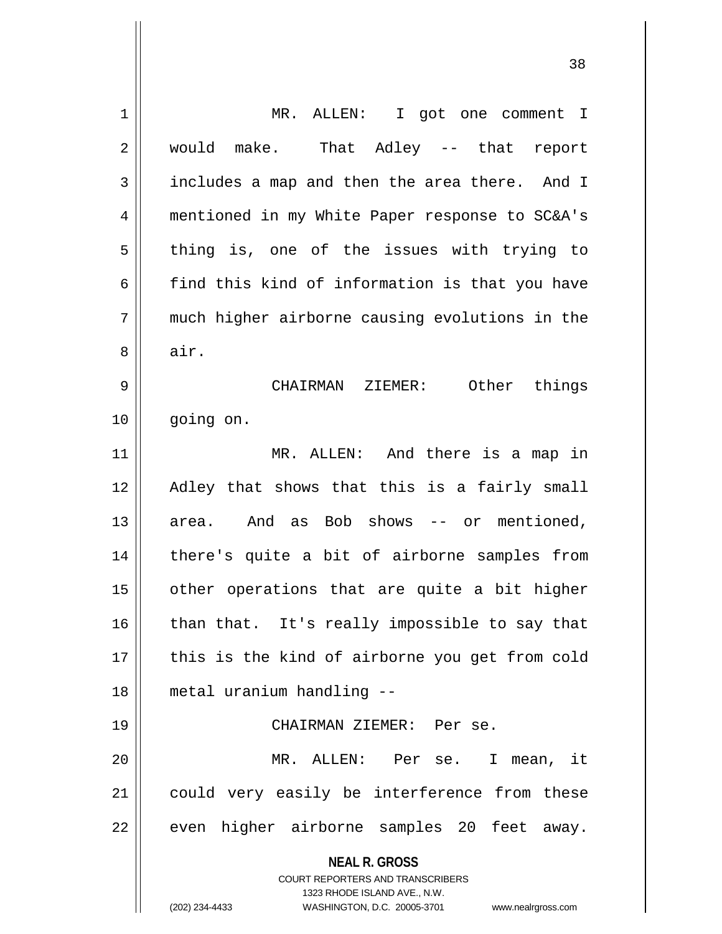| $\mathbf 1$ | MR. ALLEN: I got one comment I                                                                                                                                  |
|-------------|-----------------------------------------------------------------------------------------------------------------------------------------------------------------|
| 2           | would make. That Adley -- that report                                                                                                                           |
| 3           | includes a map and then the area there. And I                                                                                                                   |
| 4           | mentioned in my White Paper response to SC&A's                                                                                                                  |
| 5           | thing is, one of the issues with trying to                                                                                                                      |
| 6           | find this kind of information is that you have                                                                                                                  |
| 7           | much higher airborne causing evolutions in the                                                                                                                  |
| 8           | air.                                                                                                                                                            |
| 9           | CHAIRMAN ZIEMER: Other things                                                                                                                                   |
| 10          | going on.                                                                                                                                                       |
| 11          | MR. ALLEN: And there is a map in                                                                                                                                |
| 12          | Adley that shows that this is a fairly small                                                                                                                    |
| 13          | area. And as Bob shows -- or mentioned,                                                                                                                         |
| 14          | there's quite a bit of airborne samples from                                                                                                                    |
| 15          | other operations that are quite a bit higher                                                                                                                    |
| 16          | than that. It's really impossible to say that                                                                                                                   |
| 17          | this is the kind of airborne you get from cold                                                                                                                  |
| 18          | metal uranium handling --                                                                                                                                       |
| 19          | CHAIRMAN ZIEMER: Per se.                                                                                                                                        |
| 20          | MR. ALLEN: Per se. I mean, it                                                                                                                                   |
| 21          | could very easily be interference from these                                                                                                                    |
| 22          | even higher airborne samples 20 feet away.                                                                                                                      |
|             | <b>NEAL R. GROSS</b><br>COURT REPORTERS AND TRANSCRIBERS<br>1323 RHODE ISLAND AVE., N.W.<br>(202) 234-4433<br>WASHINGTON, D.C. 20005-3701<br>www.nealrgross.com |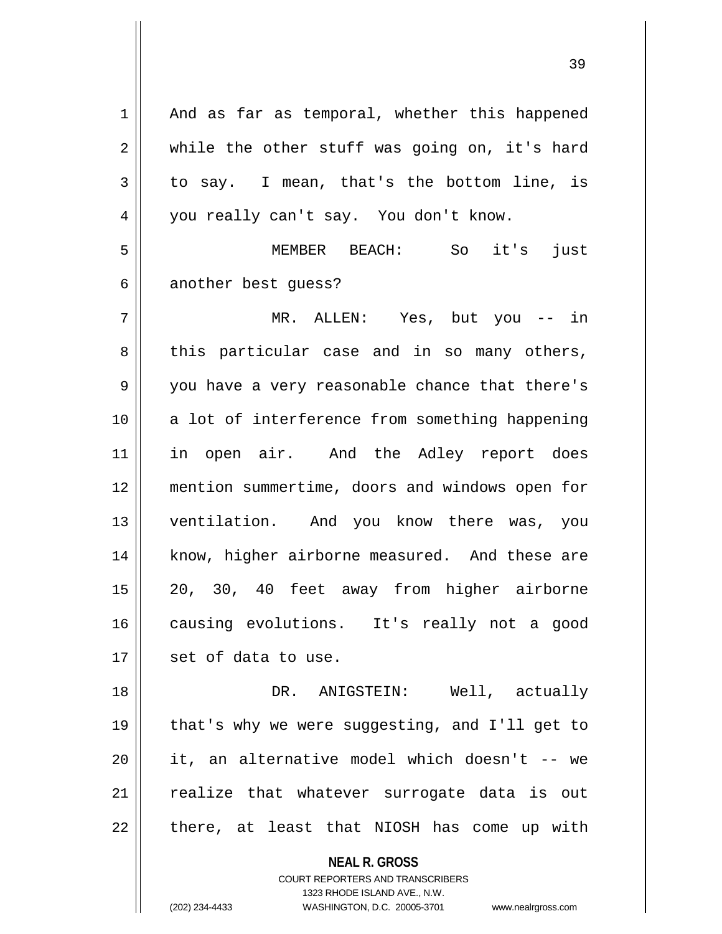**NEAL R. GROSS** COURT REPORTERS AND TRANSCRIBERS 1323 RHODE ISLAND AVE., N.W.  $1 \parallel$  And as far as temporal, whether this happened  $2 \parallel$  while the other stuff was going on, it's hard  $3 \parallel$  to say. I mean, that's the bottom line, is 4 | you really can't say. You don't know. 5 MEMBER BEACH: So it's just 6 another best quess? 7 MR. ALLEN: Yes, but you -- in  $8 \parallel$  this particular case and in so many others, 9 || you have a very reasonable chance that there's 10 || a lot of interference from something happening 11 || in open air. And the Adley report does 12 mention summertime, doors and windows open for 13 || ventilation. And you know there was, you 14 || know, higher airborne measured. And these are 15 20, 30, 40 feet away from higher airborne 16 causing evolutions. It's really not a good  $17$  | set of data to use. 18 DR. ANIGSTEIN: Well, actually 19 || that's why we were suggesting, and I'll get to 20 it, an alternative model which doesn't -- we 21 || realize that whatever surrogate data is out  $22$  || there, at least that NIOSH has come up with

(202) 234-4433 WASHINGTON, D.C. 20005-3701 www.nealrgross.com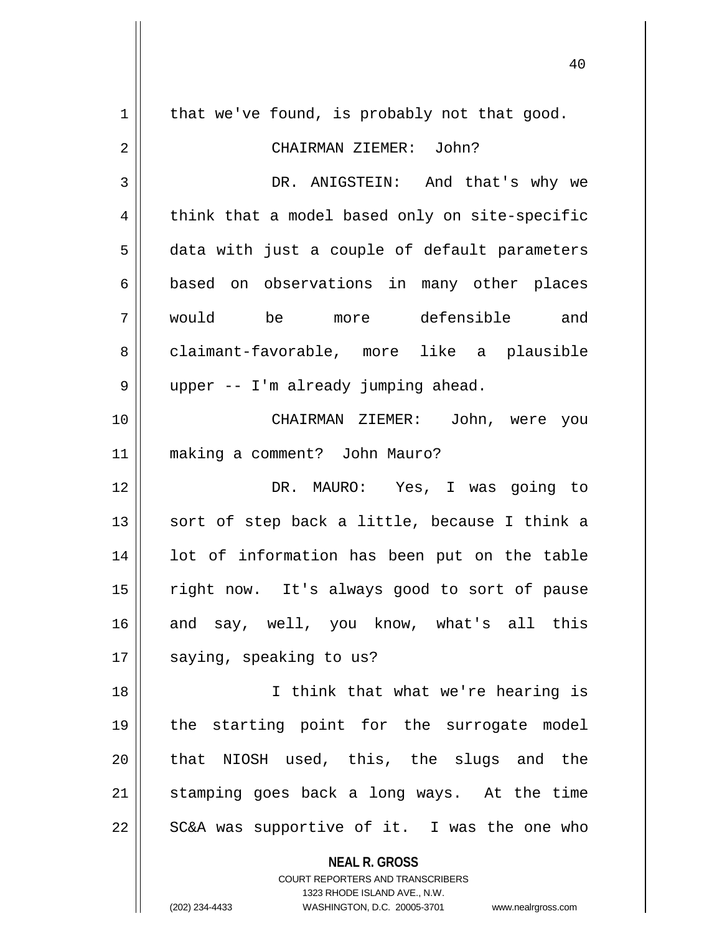| 1  | that we've found, is probably not that good.                            |
|----|-------------------------------------------------------------------------|
| 2  | CHAIRMAN ZIEMER: John?                                                  |
| 3  | DR. ANIGSTEIN: And that's why we                                        |
| 4  | think that a model based only on site-specific                          |
| 5  | data with just a couple of default parameters                           |
| 6  | based on observations in many other places                              |
| 7  | would be more defensible and                                            |
| 8  | claimant-favorable, more like a plausible                               |
| 9  | upper -- I'm already jumping ahead.                                     |
| 10 | CHAIRMAN ZIEMER: John, were you                                         |
| 11 | making a comment? John Mauro?                                           |
| 12 | DR. MAURO: Yes, I was going to                                          |
| 13 | sort of step back a little, because I think a                           |
| 14 | lot of information has been put on the table                            |
| 15 | right now. It's always good to sort of pause                            |
| 16 | and say, well, you know, what's all this                                |
| 17 | saying, speaking to us?                                                 |
| 18 | I think that what we're hearing is                                      |
| 19 | the starting point for the surrogate model                              |
| 20 | that NIOSH used, this, the slugs and the                                |
| 21 | stamping goes back a long ways. At the time                             |
| 22 | SC&A was supportive of it. I was the one who                            |
|    |                                                                         |
|    | <b>NEAL R. GROSS</b>                                                    |
|    | <b>COURT REPORTERS AND TRANSCRIBERS</b><br>1323 RHODE ISLAND AVE., N.W. |
|    | (202) 234-4433<br>WASHINGTON, D.C. 20005-3701<br>www.nealrgross.com     |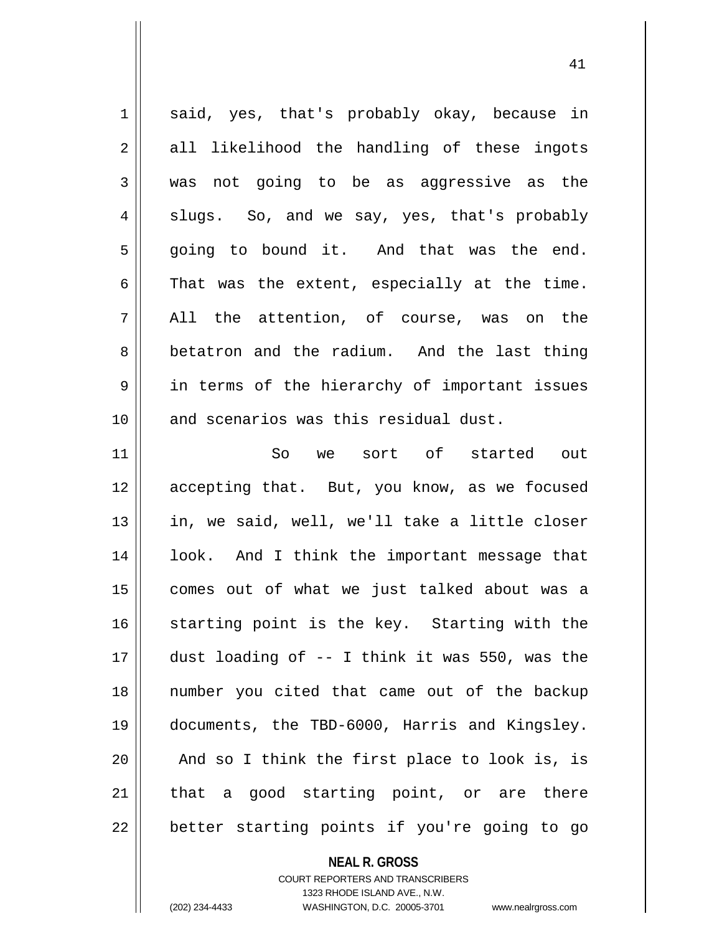1 || said, yes, that's probably okay, because in  $2 \parallel$  all likelihood the handling of these ingots 3 was not going to be as aggressive as the  $4 \parallel$  slugs. So, and we say, yes, that's probably  $5 \parallel$  going to bound it. And that was the end.  $6 \parallel$  That was the extent, especially at the time.  $7 \parallel$  All the attention, of course, was on the 8 betatron and the radium. And the last thing 9 || in terms of the hierarchy of important issues 10 || and scenarios was this residual dust. 11 So we sort of started out 12 accepting that. But, you know, as we focused 13 || in, we said, well, we'll take a little closer 14 look. And I think the important message that 15 comes out of what we just talked about was a  $16$  starting point is the key. Starting with the 17 dust loading of -- I think it was 550, was the 18 number you cited that came out of the backup 19 documents, the TBD-6000, Harris and Kingsley.  $20$  || And so I think the first place to look is, is  $21$  that a good starting point, or are there  $22$  || better starting points if you're going to go

**NEAL R. GROSS**

COURT REPORTERS AND TRANSCRIBERS 1323 RHODE ISLAND AVE., N.W. (202) 234-4433 WASHINGTON, D.C. 20005-3701 www.nealrgross.com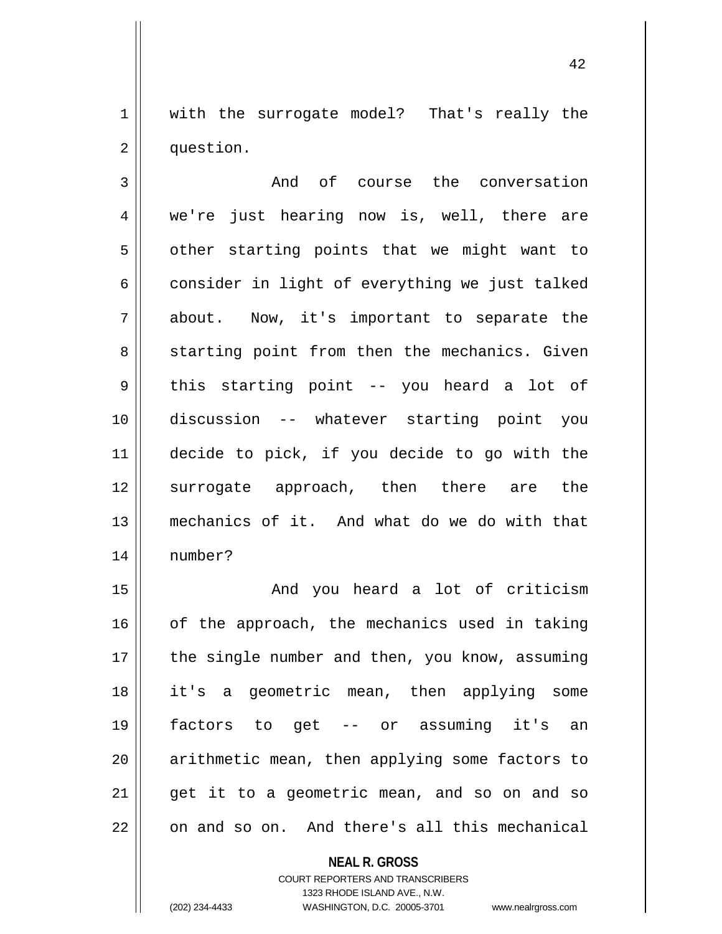1 || with the surrogate model? That's really the 2 | question.

3 || The course the conversation 4 we're just hearing now is, well, there are  $5 \parallel$  other starting points that we might want to  $6 \parallel$  consider in light of everything we just talked 7 about. Now, it's important to separate the 8 Starting point from then the mechanics. Given  $9 \parallel$  this starting point -- you heard a lot of 10 discussion -- whatever starting point you 11 decide to pick, if you decide to go with the 12 surrogate approach, then there are the 13 mechanics of it. And what do we do with that 14 number?

15 || The Collection And you heard a lot of criticism  $16$  of the approach, the mechanics used in taking 17 || the single number and then, you know, assuming 18 it's a geometric mean, then applying some 19 factors to get -- or assuming it's an 20 || arithmetic mean, then applying some factors to  $21$  || get it to a geometric mean, and so on and so 22 || on and so on. And there's all this mechanical

> **NEAL R. GROSS** COURT REPORTERS AND TRANSCRIBERS 1323 RHODE ISLAND AVE., N.W. (202) 234-4433 WASHINGTON, D.C. 20005-3701 www.nealrgross.com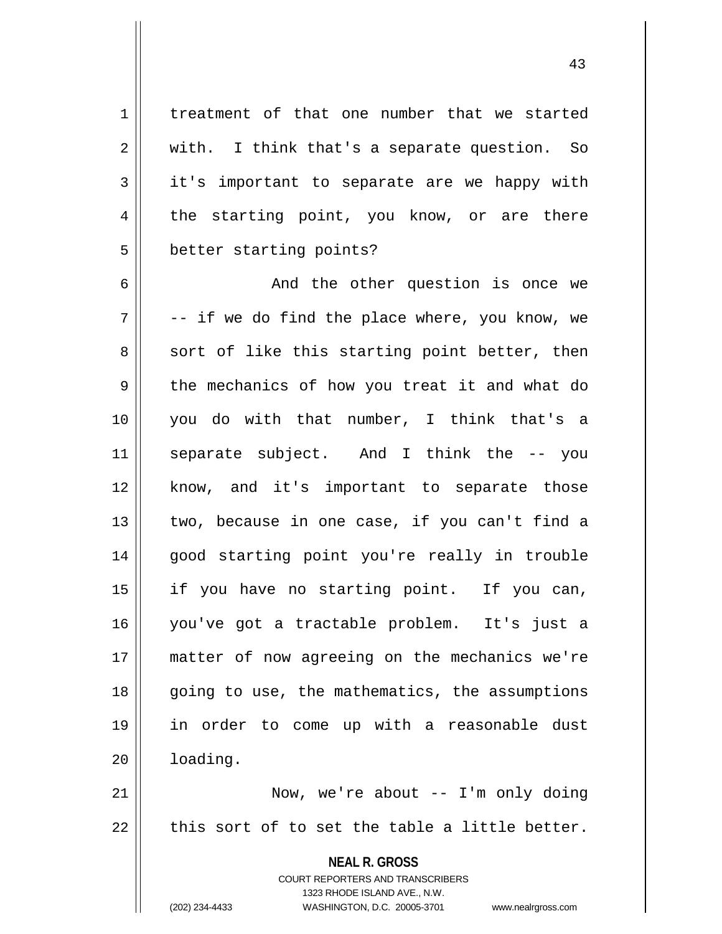1 | treatment of that one number that we started  $2 \parallel$  with. I think that's a separate question. So 3 it's important to separate are we happy with 4 the starting point, you know, or are there 5 | better starting points?

6 And the other question is once we  $7 \parallel$  -- if we do find the place where, you know, we  $8 \parallel$  sort of like this starting point better, then 9 the mechanics of how you treat it and what do 10 you do with that number, I think that's a 11 separate subject. And I think the -- you 12 || know, and it's important to separate those  $13$  | two, because in one case, if you can't find a 14 good starting point you're really in trouble 15 if you have no starting point. If you can, 16 you've got a tractable problem. It's just a 17 matter of now agreeing on the mechanics we're 18 || going to use, the mathematics, the assumptions 19 in order to come up with a reasonable dust 20 loading.

21 Now, we're about -- I'm only doing  $22$   $\parallel$  this sort of to set the table a little better.

> **NEAL R. GROSS** COURT REPORTERS AND TRANSCRIBERS 1323 RHODE ISLAND AVE., N.W. (202) 234-4433 WASHINGTON, D.C. 20005-3701 www.nealrgross.com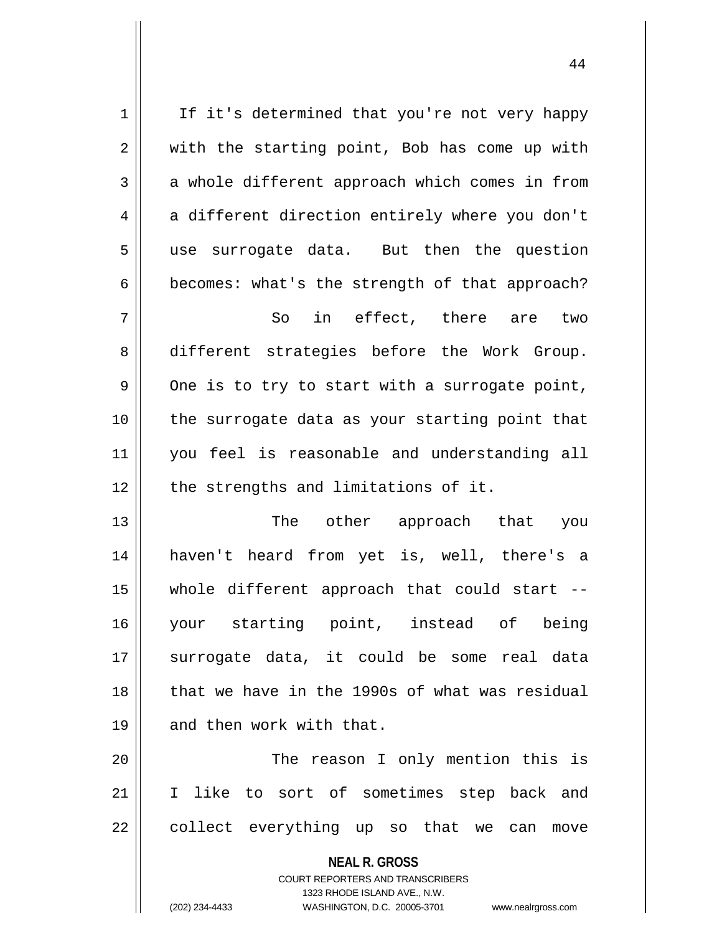| $\mathbf 1$    | If it's determined that you're not very happy  |
|----------------|------------------------------------------------|
| $\mathbf 2$    | with the starting point, Bob has come up with  |
| 3              | a whole different approach which comes in from |
| $\overline{4}$ | a different direction entirely where you don't |
| 5              | use surrogate data. But then the question      |
| 6              | becomes: what's the strength of that approach? |
| 7              | in effect, there are two<br>So                 |
| 8              | different strategies before the Work Group.    |
| 9              | One is to try to start with a surrogate point, |
| 10             | the surrogate data as your starting point that |
| 11             | you feel is reasonable and understanding all   |
| 12             | the strengths and limitations of it.           |
| 13             | The other approach that<br>you                 |
| 14             | haven't heard from yet is, well, there's a     |
| 15             | whole different approach that could start --   |
| 16             | your starting point, instead of being          |
| 17             | surrogate data, it could be some real data     |
| 18             | that we have in the 1990s of what was residual |
| 19             | and then work with that.                       |
| 20             | The reason I only mention this is              |
| 21             | I like to sort of sometimes step back and      |
| 22             | collect everything up so that we can<br>move   |
|                |                                                |

1323 RHODE ISLAND AVE., N.W.

 $\mathop{\text{||}}$ 

(202) 234-4433 WASHINGTON, D.C. 20005-3701 www.nealrgross.com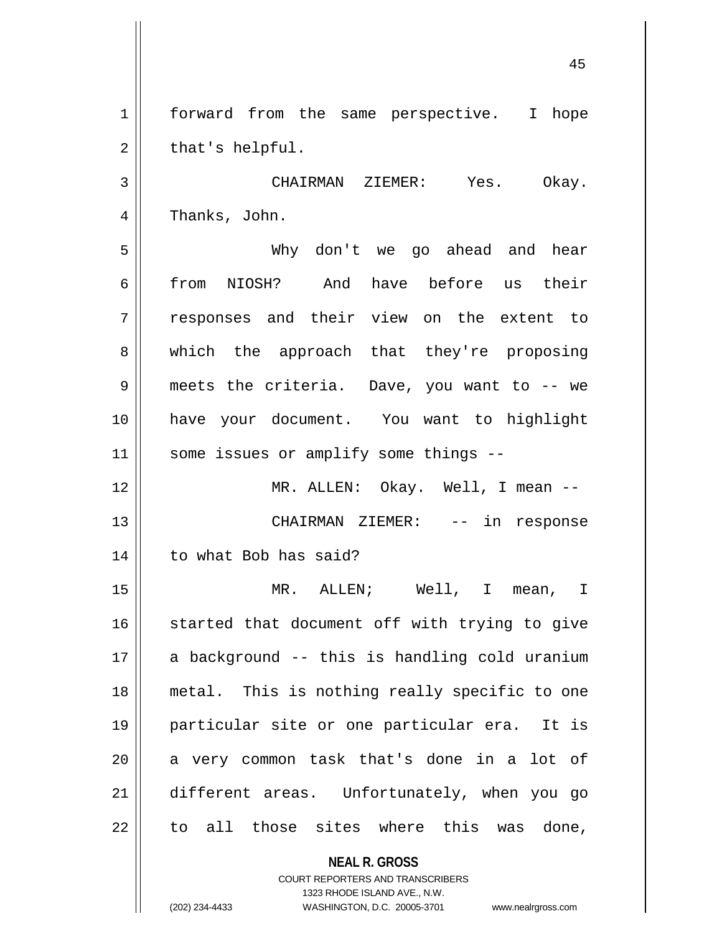1 | forward from the same perspective. I hope  $2 \parallel$  that's helpful.

3 CHAIRMAN ZIEMER: Yes. Okay. 4 | Thanks, John.

5 Why don't we go ahead and hear 6 from NIOSH? And have before us their 7 || responses and their view on the extent to 8 || which the approach that they're proposing 9 meets the criteria. Dave, you want to -- we 10 have your document. You want to highlight 11 || some issues or amplify some things --

12 MR. ALLEN: Okay. Well, I mean -- 13 CHAIRMAN ZIEMER: -- in response 14 | to what Bob has said?

 MR. ALLEN; Well, I mean, I started that document off with trying to give 17 || a background -- this is handling cold uranium metal. This is nothing really specific to one particular site or one particular era. It is a very common task that's done in a lot of different areas. Unfortunately, when you go to all those sites where this was done,

**NEAL R. GROSS**

COURT REPORTERS AND TRANSCRIBERS 1323 RHODE ISLAND AVE., N.W. (202) 234-4433 WASHINGTON, D.C. 20005-3701 www.nealrgross.com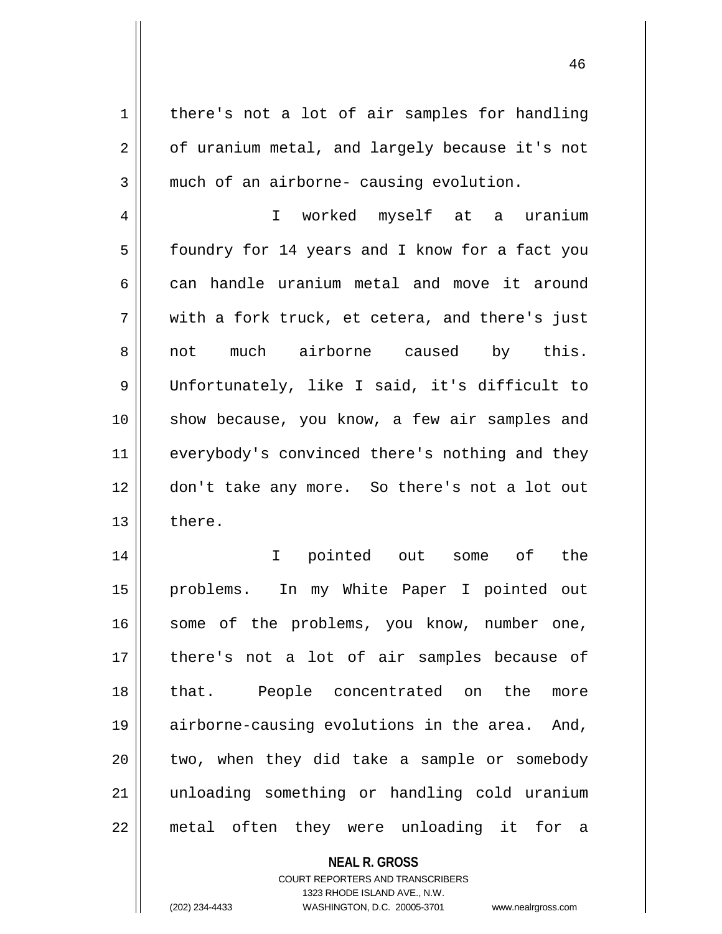$1 \parallel$  there's not a lot of air samples for handling  $2 \parallel$  of uranium metal, and largely because it's not  $3 \parallel$  much of an airborne- causing evolution.

4 I worked myself at a uranium 5 | foundry for 14 years and I know for a fact you  $6 \parallel$  can handle uranium metal and move it around  $7 \parallel$  with a fork truck, et cetera, and there's just 8 || not much airborne caused by this. 9 Unfortunately, like I said, it's difficult to 10 || show because, you know, a few air samples and 11 || everybody's convinced there's nothing and they 12 don't take any more. So there's not a lot out 13 ll there.

 I pointed out some of the problems. In my White Paper I pointed out 16 || some of the problems, you know, number one, there's not a lot of air samples because of that. People concentrated on the more airborne-causing evolutions in the area. And, || two, when they did take a sample or somebody unloading something or handling cold uranium metal often they were unloading it for a

> **NEAL R. GROSS** COURT REPORTERS AND TRANSCRIBERS

> > 1323 RHODE ISLAND AVE., N.W.

(202) 234-4433 WASHINGTON, D.C. 20005-3701 www.nealrgross.com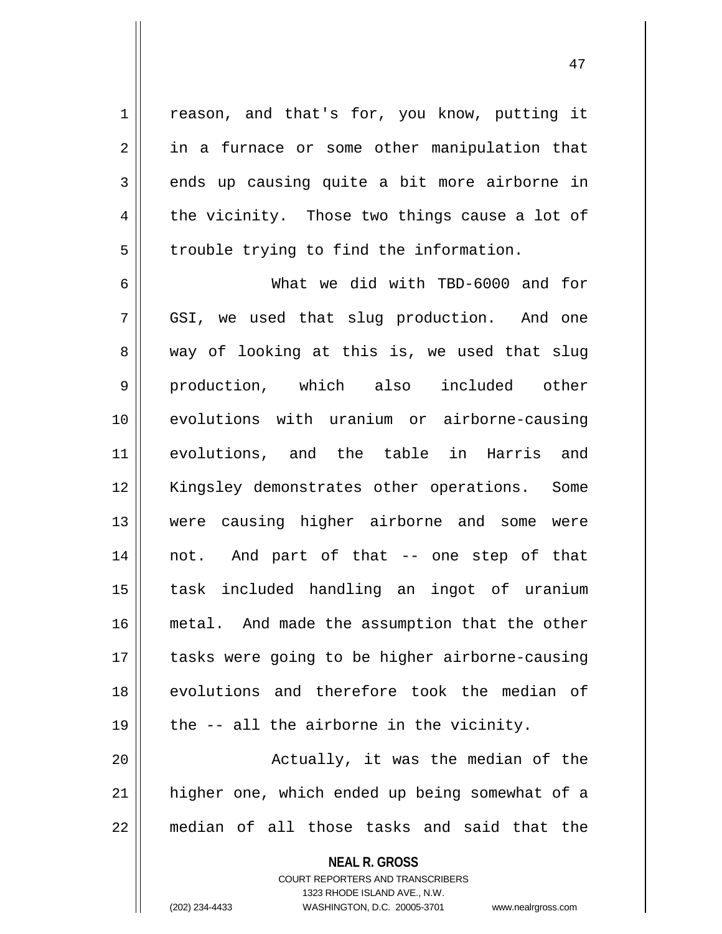1 || reason, and that's for, you know, putting it 2 || in a furnace or some other manipulation that  $3 \parallel$  ends up causing quite a bit more airborne in  $4 \parallel$  the vicinity. Those two things cause a lot of  $5 \parallel$  trouble trying to find the information.

 What we did with TBD-6000 and for GSI, we used that slug production. And one  $8 \parallel$  way of looking at this is, we used that slug 9 || production, which also included other evolutions with uranium or airborne-causing evolutions, and the table in Harris and 12 || Kingsley demonstrates other operations. Some were causing higher airborne and some were not. And part of that -- one step of that task included handling an ingot of uranium metal. And made the assumption that the other 17 || tasks were going to be higher airborne-causing 18 evolutions and therefore took the median of  $\parallel$  the -- all the airborne in the vicinity.

20 Actually, it was the median of the 21 higher one, which ended up being somewhat of a 22 median of all those tasks and said that the

> **NEAL R. GROSS** COURT REPORTERS AND TRANSCRIBERS 1323 RHODE ISLAND AVE., N.W. (202) 234-4433 WASHINGTON, D.C. 20005-3701 www.nealrgross.com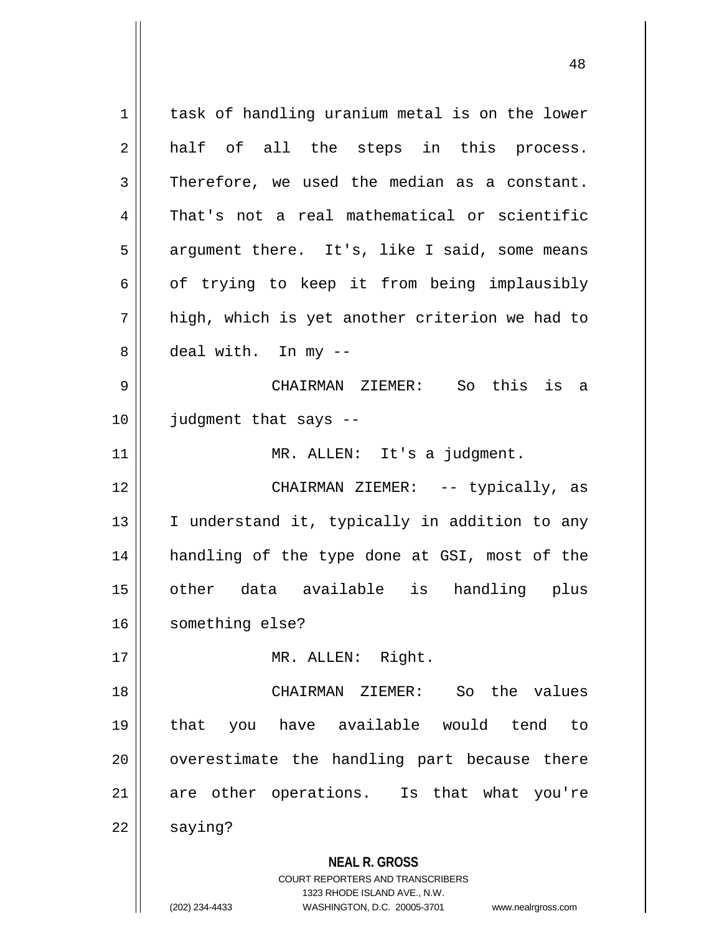**NEAL R. GROSS** COURT REPORTERS AND TRANSCRIBERS 1323 RHODE ISLAND AVE., N.W. (202) 234-4433 WASHINGTON, D.C. 20005-3701 www.nealrgross.com 1 | task of handling uranium metal is on the lower 2 half of all the steps in this process.  $3$  Therefore, we used the median as a constant. 4 That's not a real mathematical or scientific 5 | argument there. It's, like I said, some means  $6 \parallel$  of trying to keep it from being implausibly  $7 \parallel$  high, which is yet another criterion we had to 8 deal with. In my --9 CHAIRMAN ZIEMER: So this is a 10 judgment that says -- 11 | MR. ALLEN: It's a judgment. 12 CHAIRMAN ZIEMER: -- typically, as 13 || I understand it, typically in addition to any 14 handling of the type done at GSI, most of the 15 other data available is handling plus 16 | something else? 17 || MR. ALLEN: Right. 18 CHAIRMAN ZIEMER: So the values 19 that you have available would tend to  $20$  || overestimate the handling part because there 21 || are other operations. Is that what you're  $22 \parallel$  saying?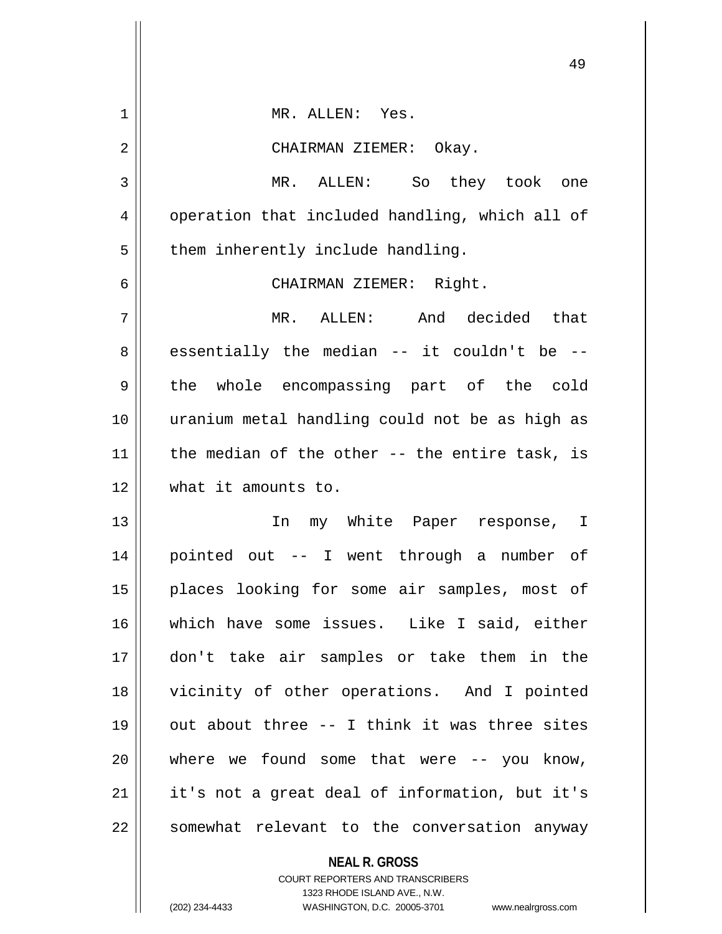|             | 49                                                |
|-------------|---------------------------------------------------|
| $\mathbf 1$ | MR. ALLEN: Yes.                                   |
| 2           | CHAIRMAN ZIEMER: Okay.                            |
| 3           | MR. ALLEN: So they took one                       |
| 4           | operation that included handling, which all of    |
| 5           | them inherently include handling.                 |
| 6           | CHAIRMAN ZIEMER: Right.                           |
| 7           | MR. ALLEN: And decided that                       |
| 8           | essentially the median -- it couldn't be --       |
| 9           | the whole encompassing part of the cold           |
| 10          | uranium metal handling could not be as high as    |
| 11          | the median of the other $-$ - the entire task, is |
| 12          | what it amounts to.                               |
| 13          | In my White Paper response, I                     |
| 14          | pointed out -- I went through a number of         |
| 15          | places looking for some air samples, most of      |
| 16          | which have some issues. Like I said, either       |
| 17          | don't take air samples or take them in the        |
| 18          | vicinity of other operations. And I pointed       |
| 19          | out about three -- I think it was three sites     |
| 20          | where we found some that were $-$ you know,       |
| 21          | it's not a great deal of information, but it's    |
| 22          | somewhat relevant to the conversation anyway      |
|             | <b>NEAL R. GROSS</b>                              |

COURT REPORTERS AND TRANSCRIBERS 1323 RHODE ISLAND AVE., N.W.

(202) 234-4433 WASHINGTON, D.C. 20005-3701 www.nealrgross.com

 $\mathbf{I}$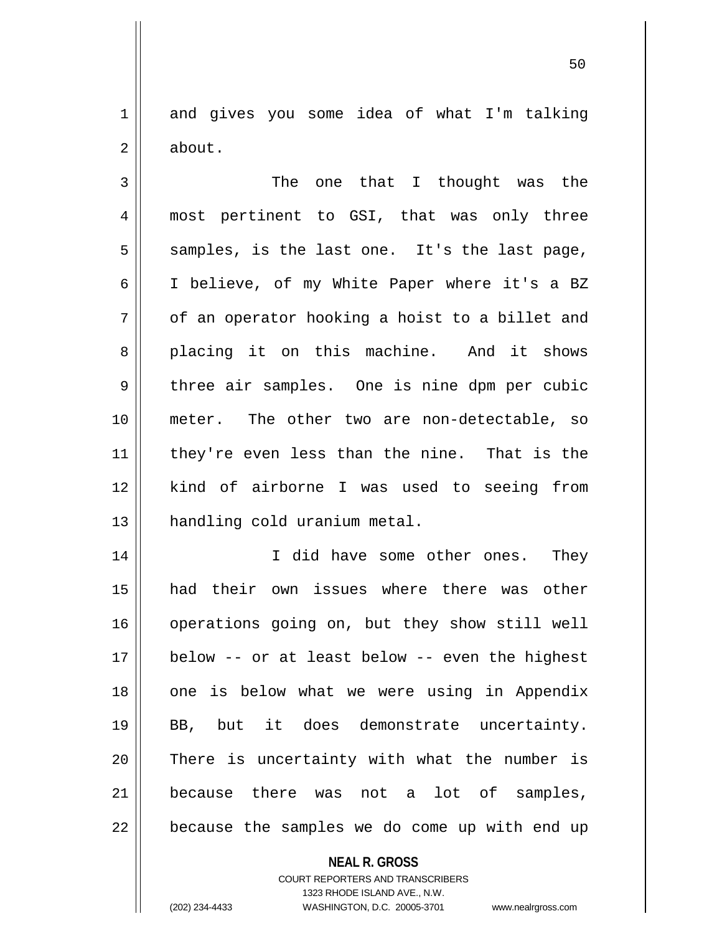1 and gives you some idea of what I'm talking 2 | about.

3 || The one that I thought was the 4 || most pertinent to GSI, that was only three  $5 \parallel$  samples, is the last one. It's the last page, 6 I believe, of my White Paper where it's a BZ  $7 \parallel$  of an operator hooking a hoist to a billet and 8 placing it on this machine. And it shows  $9 \parallel$  three air samples. One is nine dpm per cubic 10 meter. The other two are non-detectable, so 11 || they're even less than the nine. That is the 12 kind of airborne I was used to seeing from 13 handling cold uranium metal.

14 || I did have some other ones. They 15 had their own issues where there was other 16 | operations going on, but they show still well 17 below -- or at least below -- even the highest 18 || one is below what we were using in Appendix 19 BB, but it does demonstrate uncertainty. 20 || There is uncertainty with what the number is 21 || because there was not a lot of samples,  $22$  | because the samples we do come up with end up

> **NEAL R. GROSS** COURT REPORTERS AND TRANSCRIBERS 1323 RHODE ISLAND AVE., N.W.

(202) 234-4433 WASHINGTON, D.C. 20005-3701 www.nealrgross.com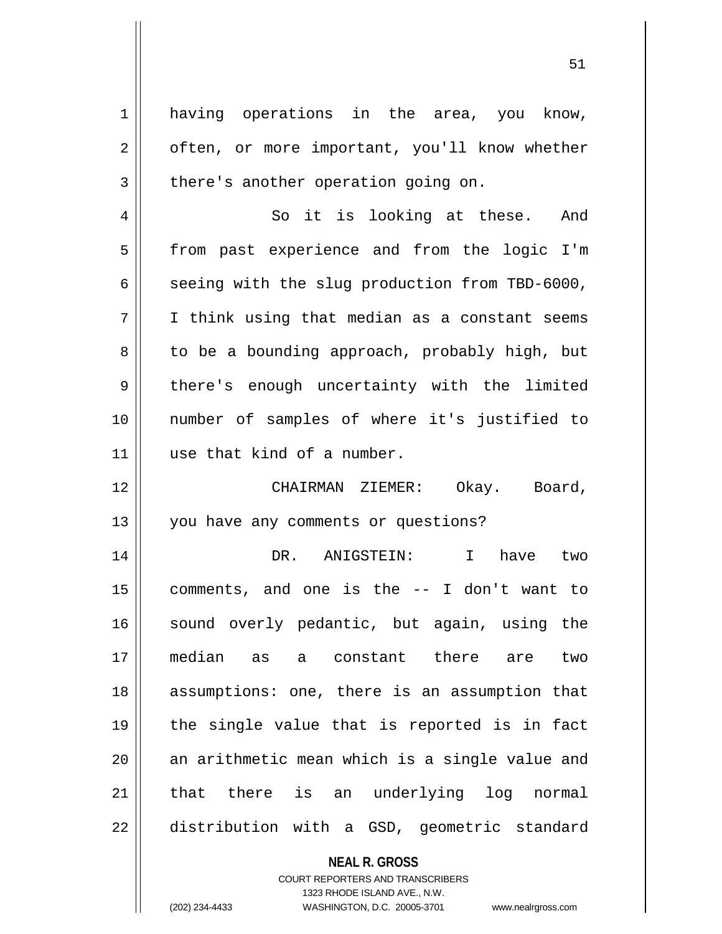1 having operations in the area, you know, 2 | often, or more important, you'll know whether  $3 \parallel$  there's another operation going on.

4 So it is looking at these. And 5 | from past experience and from the logic I'm  $6 \parallel$  seeing with the slug production from TBD-6000,  $7 \parallel$  I think using that median as a constant seems 8 | to be a bounding approach, probably high, but 9 || there's enough uncertainty with the limited 10 number of samples of where it's justified to 11 || use that kind of a number.

12 CHAIRMAN ZIEMER: Okay. Board, 13 || you have any comments or questions?

14 DR. ANIGSTEIN: I have two 15 comments, and one is the -- I don't want to 16 sound overly pedantic, but again, using the 17 median as a constant there are two 18 || assumptions: one, there is an assumption that  $19$  || the single value that is reported is in fact 20 || an arithmetic mean which is a single value and 21 || that there is an underlying log normal 22 distribution with a GSD, geometric standard

## **NEAL R. GROSS**

COURT REPORTERS AND TRANSCRIBERS 1323 RHODE ISLAND AVE., N.W. (202) 234-4433 WASHINGTON, D.C. 20005-3701 www.nealrgross.com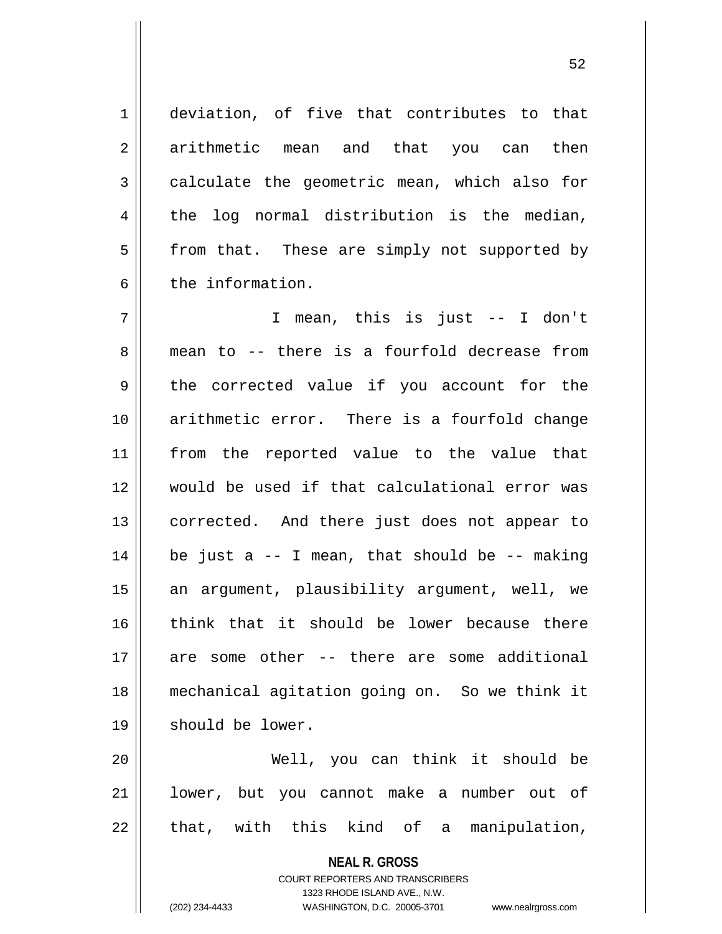1 deviation, of five that contributes to that 2 arithmetic mean and that you can then 3 calculate the geometric mean, which also for  $4 \parallel$  the log normal distribution is the median, 5 | from that. These are simply not supported by 6 b the information.

 I mean, this is just -- I don't 8 mean to -- there is a fourfold decrease from 9 the corrected value if you account for the arithmetic error. There is a fourfold change from the reported value to the value that would be used if that calculational error was 13 || corrected. And there just does not appear to | be just a -- I mean, that should be -- making 15 || an argument, plausibility argument, well, we think that it should be lower because there are some other -- there are some additional mechanical agitation going on. So we think it 19 || should be lower.

20 Well, you can think it should be 21 || lower, but you cannot make a number out of  $22 \parallel$  that, with this kind of a manipulation,

> **NEAL R. GROSS** COURT REPORTERS AND TRANSCRIBERS 1323 RHODE ISLAND AVE., N.W.

<sup>(202) 234-4433</sup> WASHINGTON, D.C. 20005-3701 www.nealrgross.com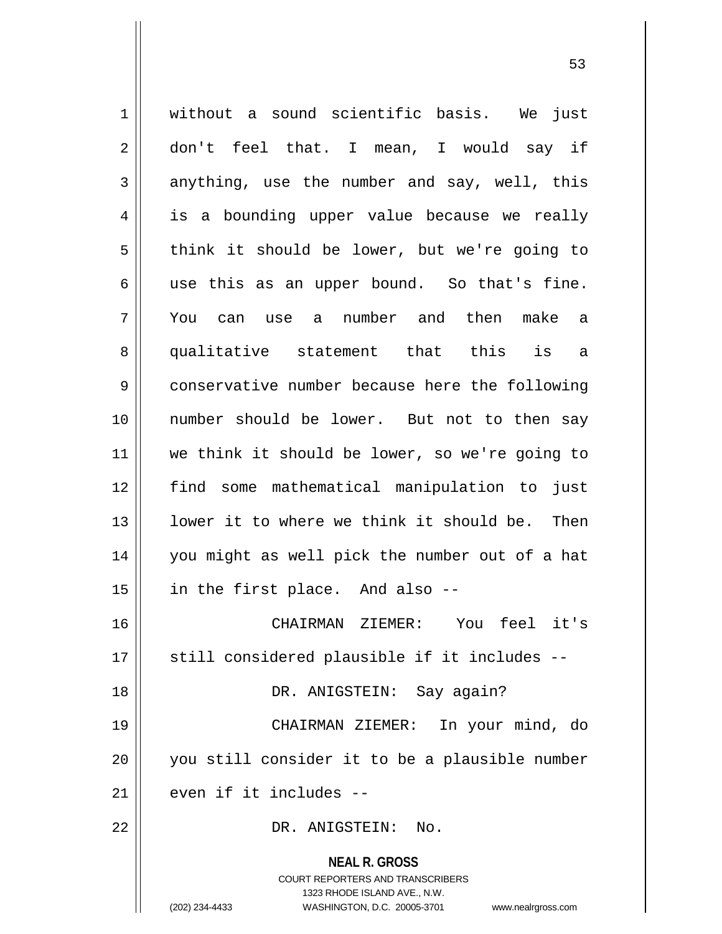**NEAL R. GROSS** COURT REPORTERS AND TRANSCRIBERS 1323 RHODE ISLAND AVE., N.W. 1 || without a sound scientific basis. We just 2 don't feel that. I mean, I would say if  $3 \parallel$  anything, use the number and say, well, this 4 || is a bounding upper value because we really  $5 \parallel$  think it should be lower, but we're going to  $6 \parallel$  use this as an upper bound. So that's fine. 7 You can use a number and then make a 8 qualitative statement that this is a 9 conservative number because here the following 10 number should be lower. But not to then say 11 we think it should be lower, so we're going to 12 find some mathematical manipulation to just 13 || lower it to where we think it should be. Then 14 you might as well pick the number out of a hat  $15$  | in the first place. And also --16 CHAIRMAN ZIEMER: You feel it's 17 || still considered plausible if it includes --18 DR. ANIGSTEIN: Say again? 19 CHAIRMAN ZIEMER: In your mind, do 20 you still consider it to be a plausible number  $21$  even if it includes  $-$ 22 DR. ANIGSTEIN: No.

(202) 234-4433 WASHINGTON, D.C. 20005-3701 www.nealrgross.com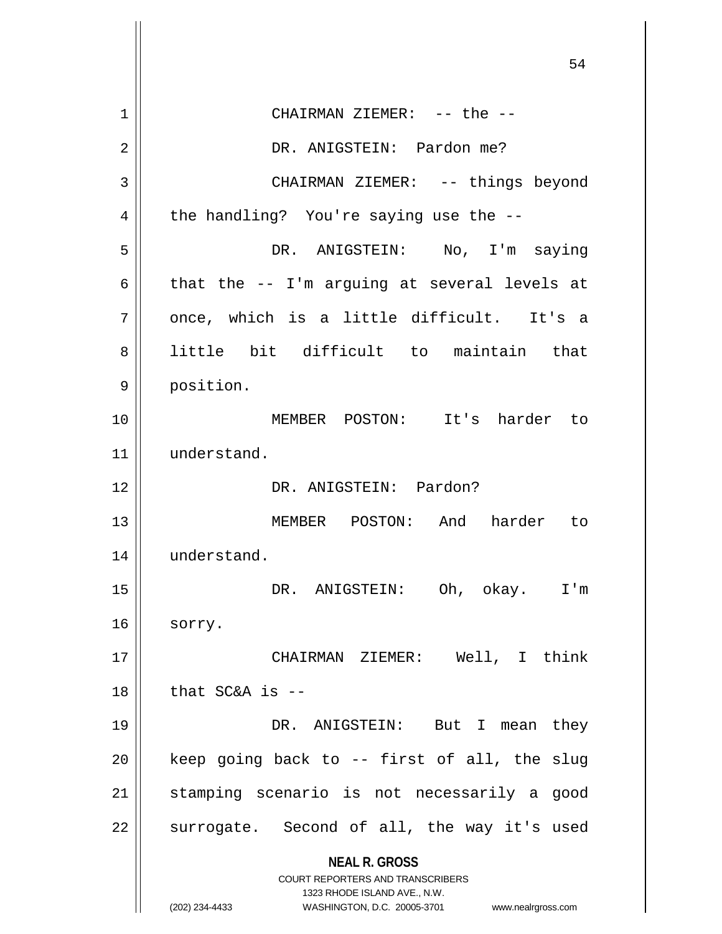**NEAL R. GROSS** COURT REPORTERS AND TRANSCRIBERS 1323 RHODE ISLAND AVE., N.W. (202) 234-4433 WASHINGTON, D.C. 20005-3701 www.nealrgross.com 1 CHAIRMAN ZIEMER: -- the -- 2 | DR. ANIGSTEIN: Pardon me? 3 CHAIRMAN ZIEMER: -- things beyond  $4 \parallel$  the handling? You're saying use the --5 DR. ANIGSTEIN: No, I'm saying 6  $\parallel$  that the -- I'm arguing at several levels at  $7$  | once, which is a little difficult. It's a 8 || little bit difficult to maintain that 9 | position. 10 MEMBER POSTON: It's harder to 11 understand. 12 DR. ANIGSTEIN: Pardon? 13 || MEMBER POSTON: And harder to 14 | understand. 15 DR. ANIGSTEIN: Oh, okay. I'm  $16 \parallel$  sorry. 17 || CHAIRMAN ZIEMER: Well, I think  $18$   $\parallel$  that SC&A is --19 DR. ANIGSTEIN: But I mean they  $20$  | keep going back to -- first of all, the slug 21 || stamping scenario is not necessarily a good  $22$  surrogate. Second of all, the way it's used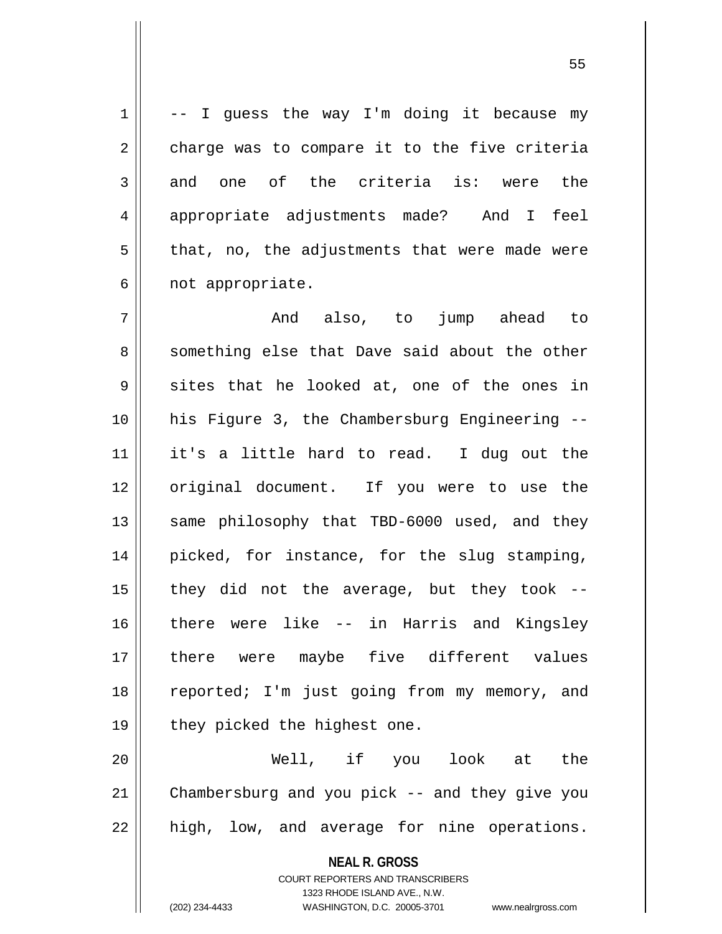$1 \parallel$  -- I guess the way I'm doing it because my  $2 \parallel$  charge was to compare it to the five criteria  $3 \parallel$  and one of the criteria is: were the 4 appropriate adjustments made? And I feel  $5 \parallel$  that, no, the adjustments that were made were  $6 \parallel$  not appropriate.

 And also, to jump ahead to 8 something else that Dave said about the other  $9 \parallel$  sites that he looked at, one of the ones in his Figure 3, the Chambersburg Engineering -- it's a little hard to read. I dug out the 12 || original document. If you were to use the 13 || same philosophy that TBD-6000 used, and they picked, for instance, for the slug stamping,  $\parallel$  they did not the average, but they took -- there were like -- in Harris and Kingsley there were maybe five different values 18 || reported; I'm just going from my memory, and  $\parallel$  they picked the highest one.

20 Well, if you look at the 21 Chambersburg and you pick -- and they give you  $22$  || high, low, and average for nine operations.

> **NEAL R. GROSS** COURT REPORTERS AND TRANSCRIBERS

> > 1323 RHODE ISLAND AVE., N.W.

(202) 234-4433 WASHINGTON, D.C. 20005-3701 www.nealrgross.com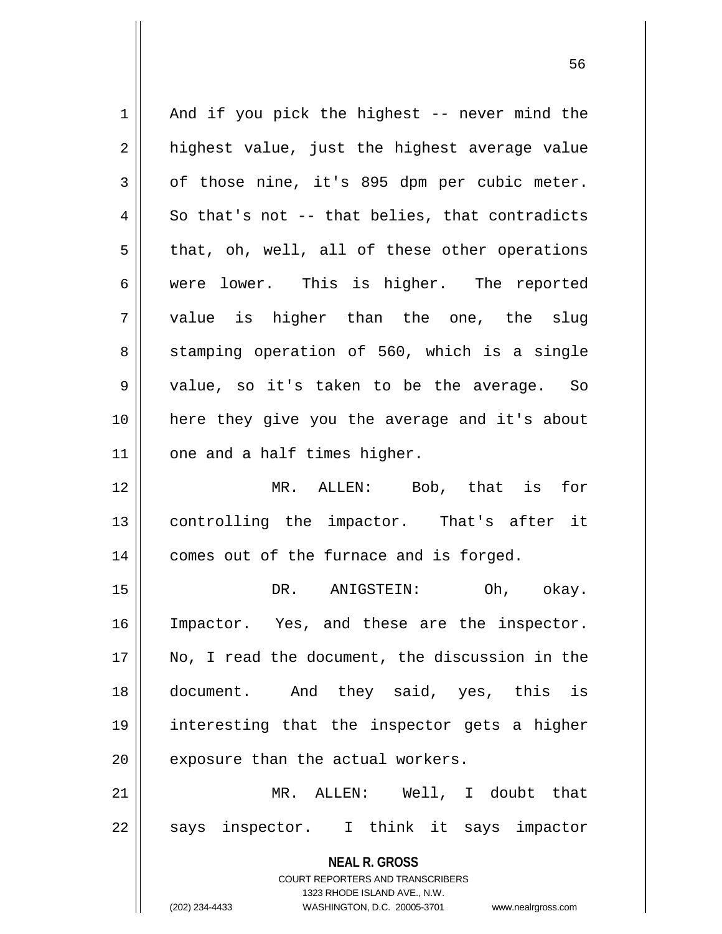**NEAL R. GROSS** COURT REPORTERS AND TRANSCRIBERS 1323 RHODE ISLAND AVE., N.W. (202) 234-4433 WASHINGTON, D.C. 20005-3701 www.nealrgross.com  $1 \parallel$  And if you pick the highest -- never mind the  $2 \parallel$  highest value, just the highest average value  $3 \parallel$  of those nine, it's 895 dpm per cubic meter.  $4 \parallel$  So that's not -- that belies, that contradicts  $5 \parallel$  that, oh, well, all of these other operations 6 were lower. This is higher. The reported  $7 \parallel$  value is higher than the one, the slug 8 || stamping operation of 560, which is a single 9 value, so it's taken to be the average. So 10 here they give you the average and it's about  $11$  | one and a half times higher. 12 MR. ALLEN: Bob, that is for 13 controlling the impactor. That's after it 14 | comes out of the furnace and is forged. 15 DR. ANIGSTEIN: Oh, okay. 16 Impactor. Yes, and these are the inspector. 17 No, I read the document, the discussion in the 18 document. And they said, yes, this is 19 interesting that the inspector gets a higher  $20$  | exposure than the actual workers. 21 MR. ALLEN: Well, I doubt that  $22 \parallel$  says inspector. I think it says impactor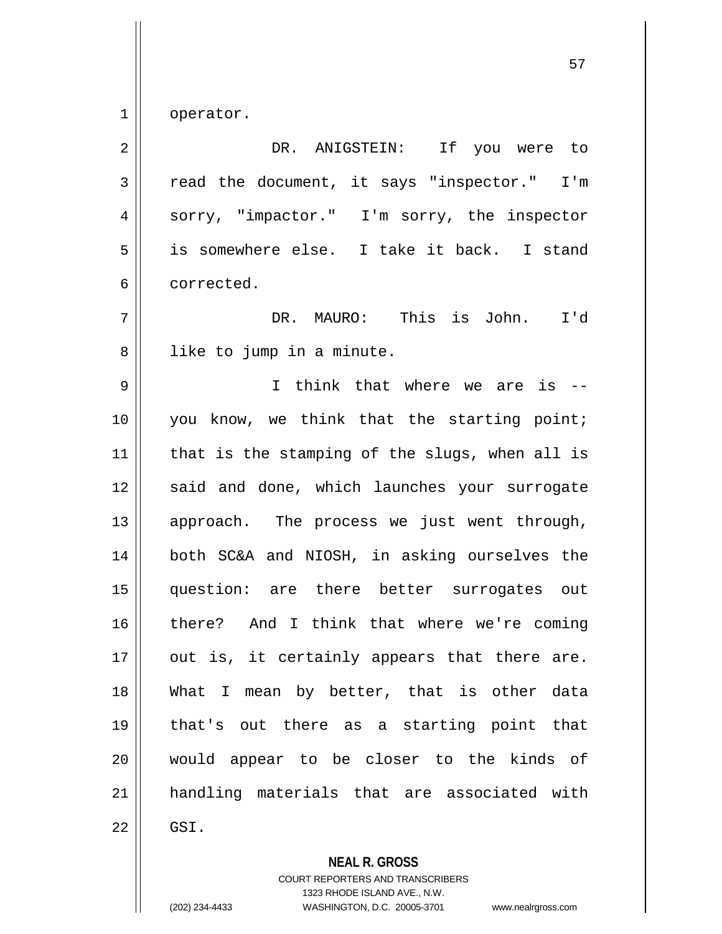1 | operator.

| $\overline{2}$ | DR. ANIGSTEIN: If you were to                  |
|----------------|------------------------------------------------|
| 3              | read the document, it says "inspector." I'm    |
| 4              | sorry, "impactor." I'm sorry, the inspector    |
| 5              | is somewhere else. I take it back. I stand     |
| 6              | corrected.                                     |
| 7              | DR. MAURO: This is John.<br>I'd                |
| 8              | like to jump in a minute.                      |
| 9              | I think that where we are is --                |
| 10             | you know, we think that the starting point;    |
| 11             | that is the stamping of the slugs, when all is |
| 12             | said and done, which launches your surrogate   |
| 13             | approach. The process we just went through,    |
| 14             | both SC&A and NIOSH, in asking ourselves the   |
| 15             | question: are there better surrogates out      |
| 16             | there? And I think that where we're coming     |
| 17             | out is, it certainly appears that there are.   |
| 18             | What I mean by better, that is other data      |
| 19             | that's out there as a starting point that      |
| 20             | would appear to be closer to the kinds of      |
| 21             | handling materials that are associated with    |
| 22             | GSI.                                           |

**NEAL R. GROSS**

COURT REPORTERS AND TRANSCRIBERS 1323 RHODE ISLAND AVE., N.W. (202) 234-4433 WASHINGTON, D.C. 20005-3701 www.nealrgross.com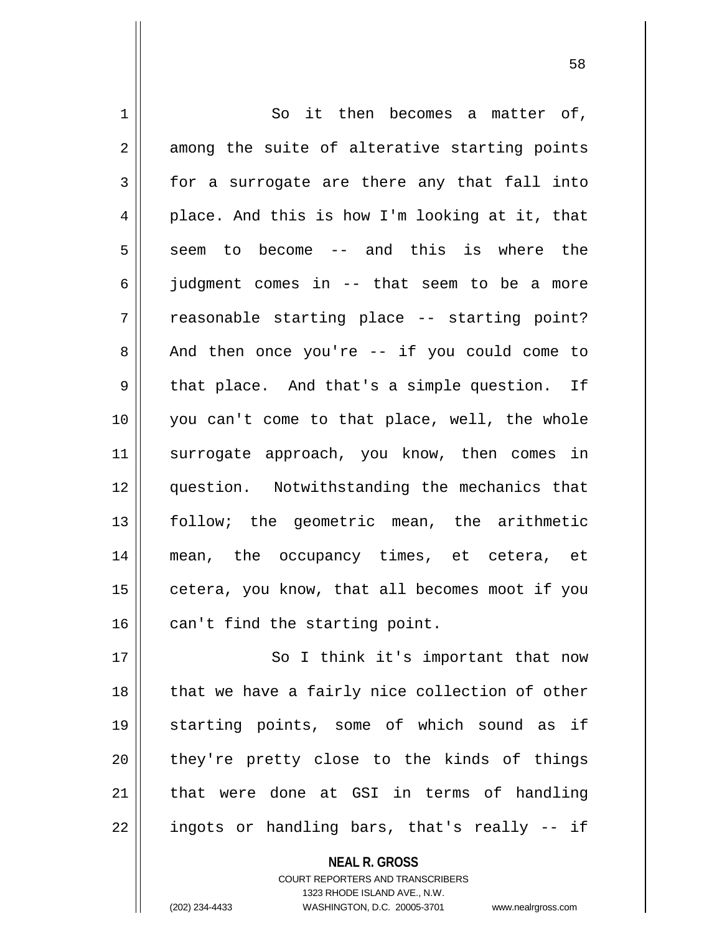| $\mathbf 1$ | So it then becomes a matter of,                |
|-------------|------------------------------------------------|
| 2           | among the suite of alterative starting points  |
| 3           | for a surrogate are there any that fall into   |
| 4           | place. And this is how I'm looking at it, that |
| 5           | to become -- and this is where the<br>seem     |
| 6           | judgment comes in -- that seem to be a more    |
| 7           | reasonable starting place -- starting point?   |
| 8           | And then once you're $-$ if you could come to  |
| 9           | that place. And that's a simple question. If   |
| 10          | you can't come to that place, well, the whole  |
| 11          | surrogate approach, you know, then comes in    |
| 12          | question. Notwithstanding the mechanics that   |
| 13          | follow; the geometric mean, the arithmetic     |
| 14          | mean, the occupancy times, et cetera, et       |
| 15          | cetera, you know, that all becomes moot if you |
| 16          | can't find the starting point.                 |
| 17          | So I think it's important that now             |
| 18          | that we have a fairly nice collection of other |
| 19          | starting points, some of which sound as if     |
| 20          | they're pretty close to the kinds of things    |
| 21          | that were done at GSI in terms of handling     |

ingots or handling bars, that's really -- if

**NEAL R. GROSS** COURT REPORTERS AND TRANSCRIBERS

1323 RHODE ISLAND AVE., N.W.

(202) 234-4433 WASHINGTON, D.C. 20005-3701 www.nealrgross.com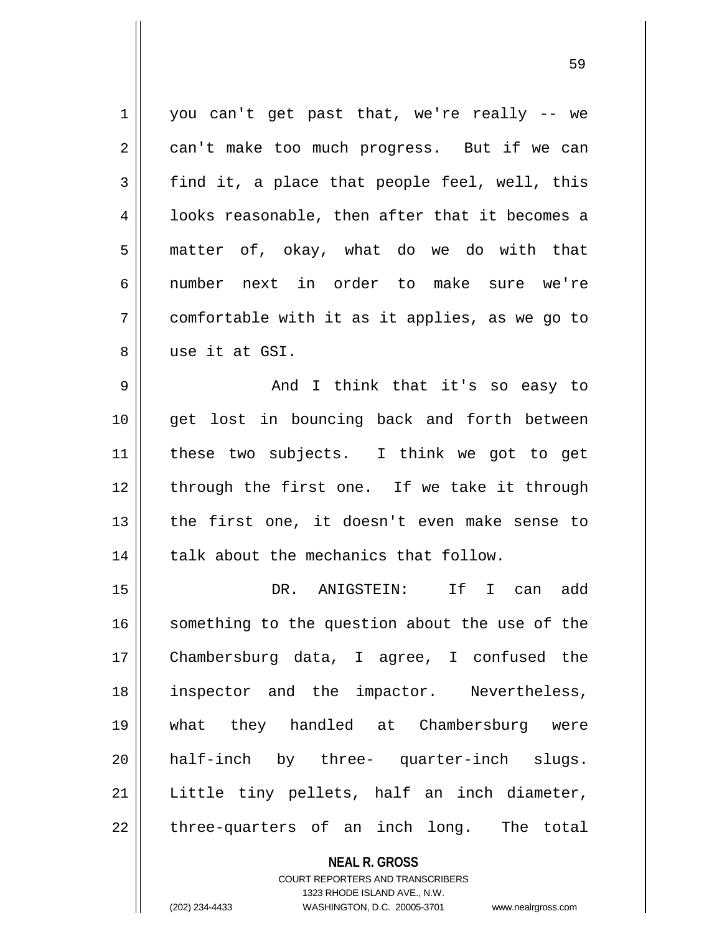1 || you can't get past that, we're really -- we 2 | can't make too much progress. But if we can  $3 \parallel$  find it, a place that people feel, well, this 4 || looks reasonable, then after that it becomes a  $5 \parallel$  matter of, okay, what do we do with that 6 number next in order to make sure we're  $7 \parallel$  comfortable with it as it applies, as we go to 8 use it at GSI. 9 And I think that it's so easy to 10 || get lost in bouncing back and forth between 11 these two subjects. I think we got to get 12 || through the first one. If we take it through 13 || the first one, it doesn't even make sense to  $14$  | talk about the mechanics that follow. 15 DR. ANIGSTEIN: If I can add 16 || something to the question about the use of the 17 Chambersburg data, I agree, I confused the 18 inspector and the impactor. Nevertheless, 19 what they handled at Chambersburg were 20 half-inch by three- quarter-inch slugs.

 $21$  Little tiny pellets, half an inch diameter,  $22$  || three-quarters of an inch long. The total

> **NEAL R. GROSS** COURT REPORTERS AND TRANSCRIBERS 1323 RHODE ISLAND AVE., N.W. (202) 234-4433 WASHINGTON, D.C. 20005-3701 www.nealrgross.com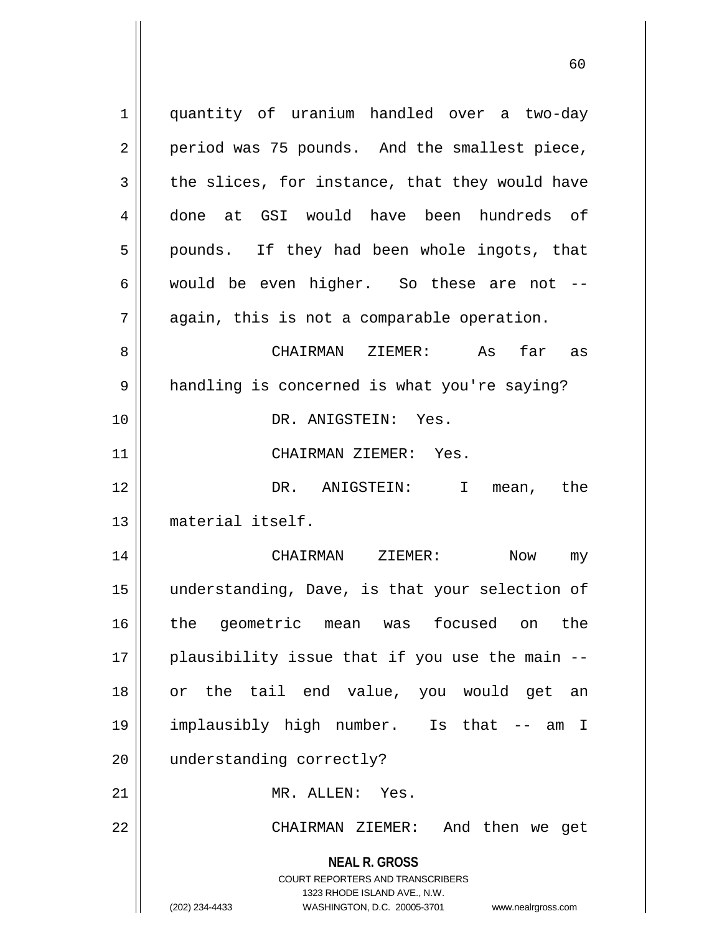**NEAL R. GROSS** COURT REPORTERS AND TRANSCRIBERS 1323 RHODE ISLAND AVE., N.W. (202) 234-4433 WASHINGTON, D.C. 20005-3701 www.nealrgross.com 1 || quantity of uranium handled over a two-day  $2 \parallel$  period was 75 pounds. And the smallest piece,  $3 \parallel$  the slices, for instance, that they would have 4 done at GSI would have been hundreds of  $5 \parallel$  pounds. If they had been whole ingots, that 6 | would be even higher. So these are not  $7 \parallel$  again, this is not a comparable operation. 8 CHAIRMAN ZIEMER: As far as 9 || handling is concerned is what you're saying? 10 DR. ANIGSTEIN: Yes. 11 CHAIRMAN ZIEMER: Yes. 12 DR. ANIGSTEIN: I mean, the 13 material itself. 14 CHAIRMAN ZIEMER: Now my 15 understanding, Dave, is that your selection of 16 the geometric mean was focused on the  $17$  || plausibility issue that if you use the main  $-$ -18 or the tail end value, you would get an 19 implausibly high number. Is that -- am I 20 || understanding correctly? 21 MR. ALLEN: Yes. 22 CHAIRMAN ZIEMER: And then we get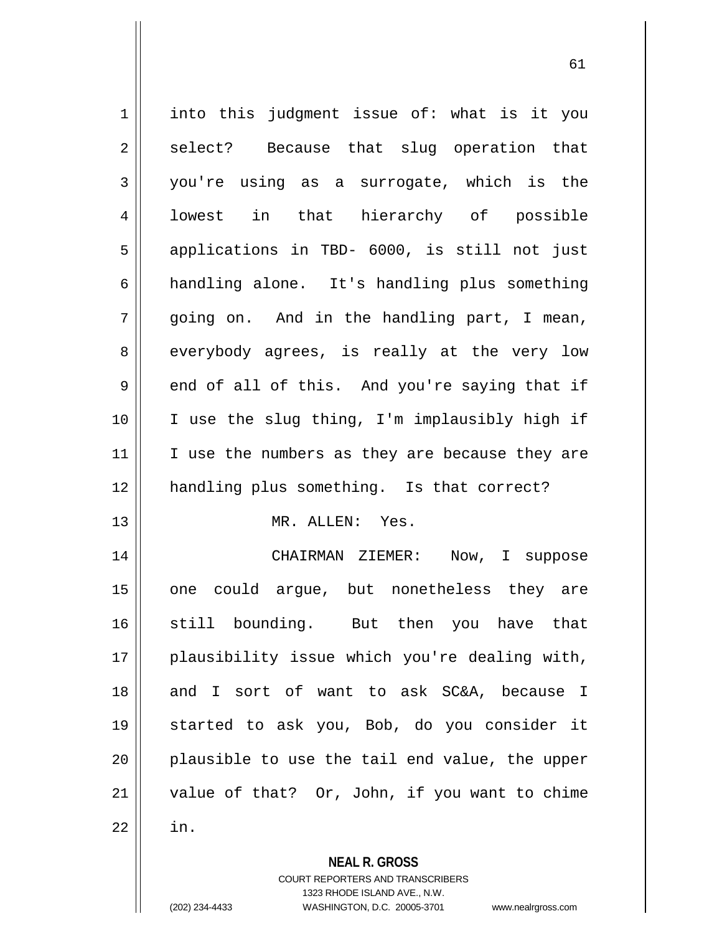| 1                                | into this judgment issue of: what is it you    |
|----------------------------------|------------------------------------------------|
| 2                                | select? Because that slug operation that       |
| $\mathfrak{Z}$                   | you're using as a surrogate, which is the      |
| 4                                | lowest in that hierarchy of possible           |
| 5                                | applications in TBD- 6000, is still not just   |
| 6                                | handling alone. It's handling plus something   |
| 7                                | going on. And in the handling part, I mean,    |
| 8                                | everybody agrees, is really at the very low    |
| 9                                | end of all of this. And you're saying that if  |
| 10                               | I use the slug thing, I'm implausibly high if  |
| 11                               | I use the numbers as they are because they are |
|                                  |                                                |
|                                  |                                                |
|                                  | handling plus something. Is that correct?      |
|                                  | MR. ALLEN: Yes.                                |
|                                  | CHAIRMAN ZIEMER:<br>Now, I suppose             |
|                                  | one could argue, but nonetheless they are      |
|                                  | still bounding. But then you have that         |
| 12<br>13<br>14<br>15<br>16<br>17 | plausibility issue which you're dealing with,  |
| 18                               | and I sort of want to ask SC&A, because I      |
| 19                               | started to ask you, Bob, do you consider it    |
| 20                               | plausible to use the tail end value, the upper |
| 21                               | value of that? Or, John, if you want to chime  |
| 22                               | in.                                            |

**NEAL R. GROSS** COURT REPORTERS AND TRANSCRIBERS

1323 RHODE ISLAND AVE., N.W.

(202) 234-4433 WASHINGTON, D.C. 20005-3701 www.nealrgross.com

 $\mathsf{I}$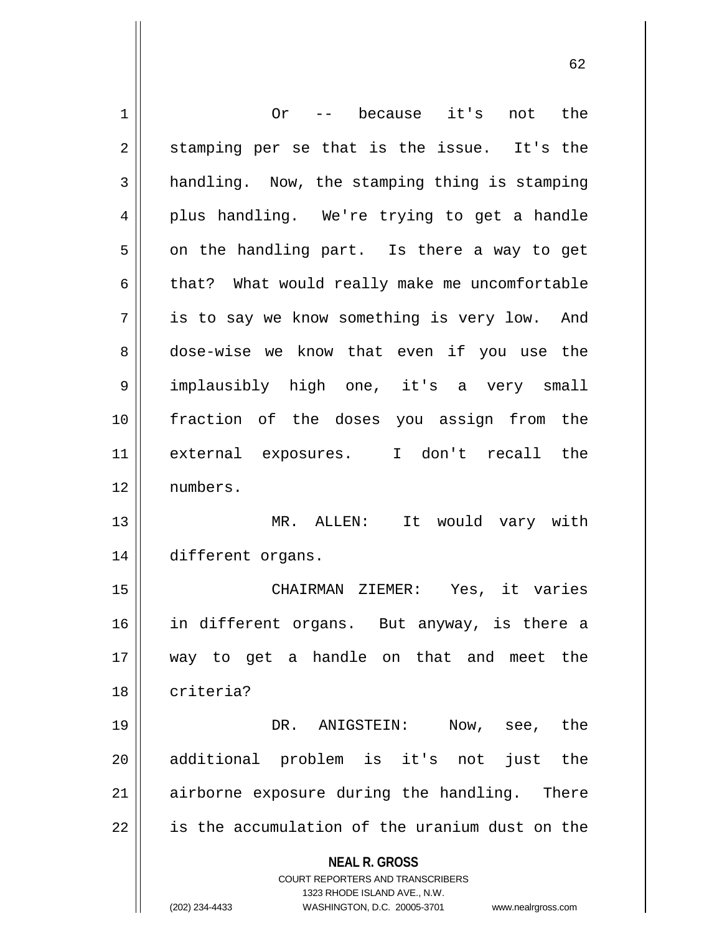| 1  | -- because it's<br>not the<br>Or                                    |
|----|---------------------------------------------------------------------|
| 2  | stamping per se that is the issue. It's the                         |
| 3  | handling. Now, the stamping thing is stamping                       |
| 4  | plus handling. We're trying to get a handle                         |
| 5  | on the handling part. Is there a way to get                         |
| 6  | that? What would really make me uncomfortable                       |
| 7  | is to say we know something is very low. And                        |
| 8  | dose-wise we know that even if you use the                          |
| 9  | implausibly high one, it's a very small                             |
| 10 | fraction of the doses you assign from the                           |
| 11 | external exposures. I don't recall the                              |
| 12 | numbers.                                                            |
| 13 | MR. ALLEN: It would vary with                                       |
| 14 | different organs.                                                   |
| 15 | Yes, it varies<br>CHAIRMAN ZIEMER:                                  |
| 16 | in different organs. But anyway, is there a                         |
| 17 | way to get a handle on that and meet the                            |
| 18 | criteria?                                                           |
| 19 | DR. ANIGSTEIN:<br>Now, see, the                                     |
|    | additional problem is it's not                                      |
| 20 | just<br>the                                                         |
| 21 | airborne exposure during the handling. There                        |
| 22 | is the accumulation of the uranium dust on the                      |
|    | <b>NEAL R. GROSS</b>                                                |
|    | COURT REPORTERS AND TRANSCRIBERS<br>1323 RHODE ISLAND AVE., N.W.    |
|    | (202) 234-4433<br>WASHINGTON, D.C. 20005-3701<br>www.nealrgross.com |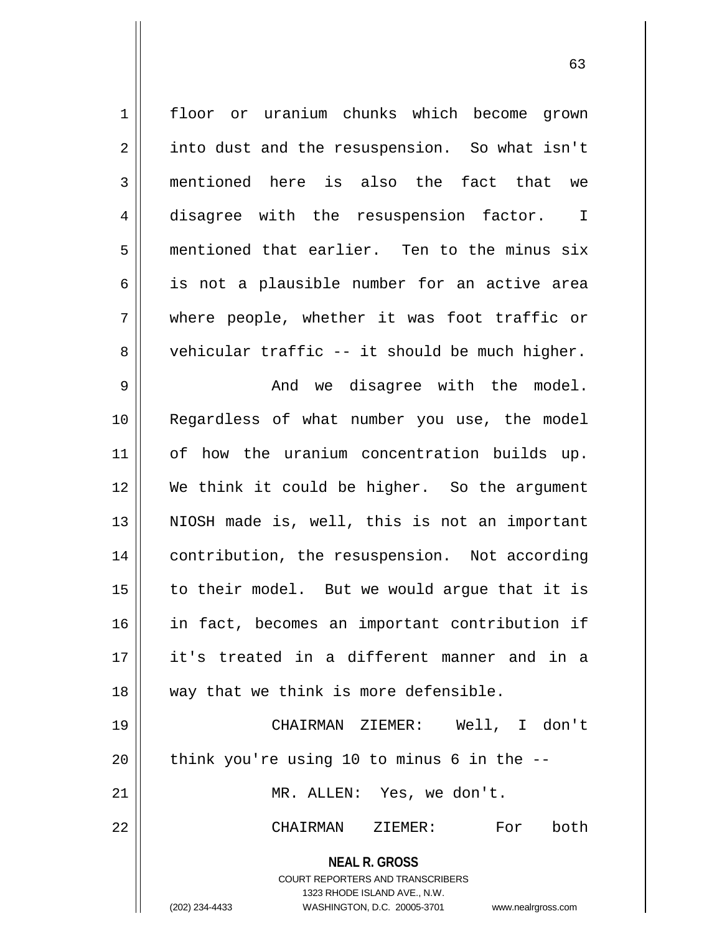| $\mathbf 1$    | floor or uranium chunks which become grown                                                                                                                      |
|----------------|-----------------------------------------------------------------------------------------------------------------------------------------------------------------|
| $\sqrt{2}$     | into dust and the resuspension. So what isn't                                                                                                                   |
| $\mathbf{3}$   | mentioned here is also the fact that we                                                                                                                         |
| $\overline{4}$ | disagree with the resuspension factor.<br>$\mathbf{I}$                                                                                                          |
| 5              | mentioned that earlier. Ten to the minus six                                                                                                                    |
| 6              | is not a plausible number for an active area                                                                                                                    |
| 7              | where people, whether it was foot traffic or                                                                                                                    |
| 8              | vehicular traffic -- it should be much higher.                                                                                                                  |
| 9              | And we disagree with the model.                                                                                                                                 |
| 10             | Regardless of what number you use, the model                                                                                                                    |
| 11             | of how the uranium concentration builds up.                                                                                                                     |
| 12             | We think it could be higher. So the argument                                                                                                                    |
| 13             | NIOSH made is, well, this is not an important                                                                                                                   |
| 14             | contribution, the resuspension. Not according                                                                                                                   |
| 15             | to their model. But we would argue that it is                                                                                                                   |
| 16             | in fact, becomes an important contribution if                                                                                                                   |
| 17             | it's treated in a different manner and in a                                                                                                                     |
| 18             | way that we think is more defensible.                                                                                                                           |
| 19             | CHAIRMAN ZIEMER: Well, I don't                                                                                                                                  |
| 20             | think you're using 10 to minus 6 in the --                                                                                                                      |
| 21             | MR. ALLEN: Yes, we don't.                                                                                                                                       |
| 22             | both<br>CHAIRMAN ZIEMER: For                                                                                                                                    |
|                | <b>NEAL R. GROSS</b><br>COURT REPORTERS AND TRANSCRIBERS<br>1323 RHODE ISLAND AVE., N.W.<br>(202) 234-4433<br>WASHINGTON, D.C. 20005-3701<br>www.nealrgross.com |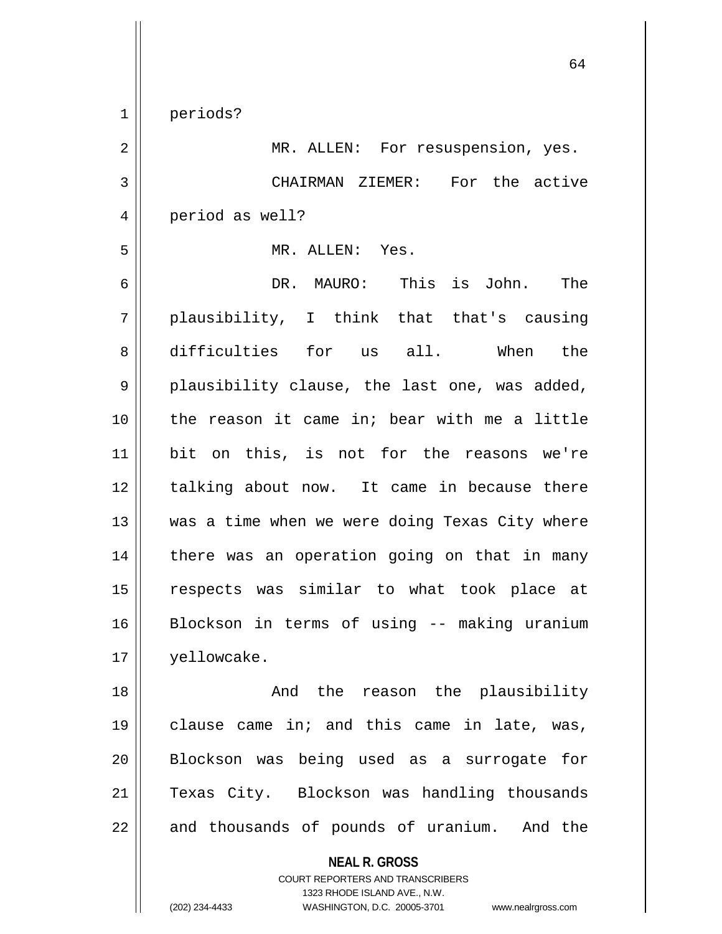1 periods? 2 || MR. ALLEN: For resuspension, yes. 3 CHAIRMAN ZIEMER: For the active 4 | period as well? 5 MR. ALLEN: Yes. 6 DR. MAURO: This is John. The  $7 \parallel$  plausibility, I think that that's causing 8 difficulties for us all. When the  $9 \parallel$  plausibility clause, the last one, was added, 10 the reason it came in; bear with me a little 11 bit on this, is not for the reasons we're 12 || talking about now. It came in because there 13 || was a time when we were doing Texas City where 14 || there was an operation going on that in many 15 respects was similar to what took place at 16 Blockson in terms of using -- making uranium 17 yellowcake. 18 And the reason the plausibility 19 || clause came in; and this came in late, was, 20 Blockson was being used as a surrogate for 21 Texas City. Blockson was handling thousands

**NEAL R. GROSS** COURT REPORTERS AND TRANSCRIBERS 1323 RHODE ISLAND AVE., N.W.  $22$  || and thousands of pounds of uranium. And the

(202) 234-4433 WASHINGTON, D.C. 20005-3701 www.nealrgross.com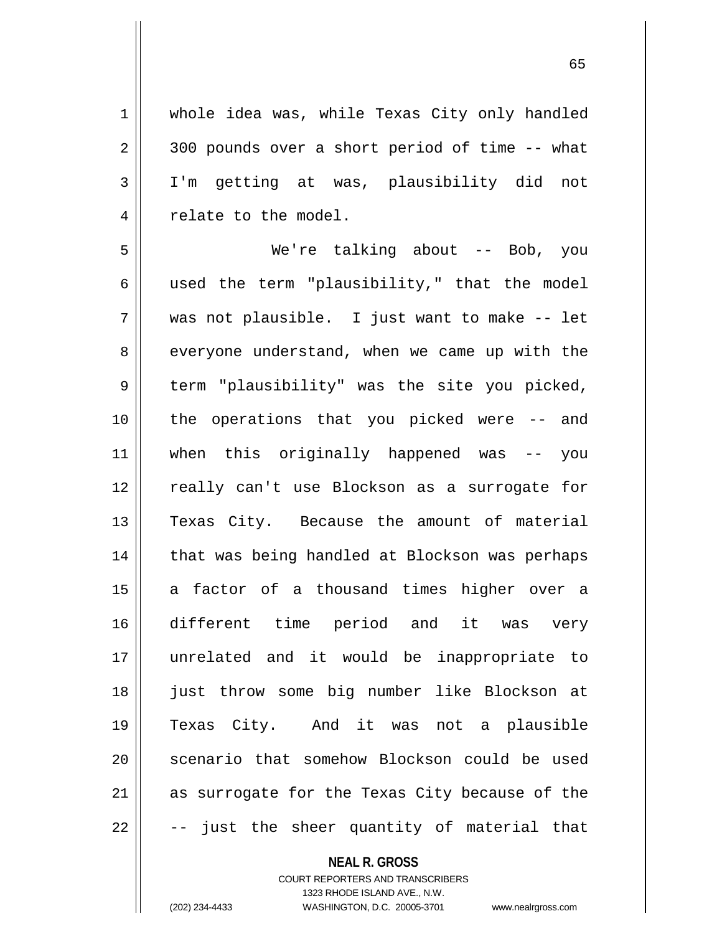1 whole idea was, while Texas City only handled  $2 \parallel$  300 pounds over a short period of time -- what 3 I'm getting at was, plausibility did not 4 | relate to the model.

5 We're talking about -- Bob, you  $6 \parallel$  used the term "plausibility," that the model 7 was not plausible. I just want to make -- let 8 everyone understand, when we came up with the 9 || term "plausibility" was the site you picked, 10 || the operations that you picked were -- and 11 when this originally happened was -- you 12 || really can't use Blockson as a surrogate for 13 Texas City. Because the amount of material 14 || that was being handled at Blockson was perhaps 15 || a factor of a thousand times higher over a 16 different time period and it was very 17 unrelated and it would be inappropriate to 18 just throw some big number like Blockson at 19 Texas City. And it was not a plausible 20 || scenario that somehow Blockson could be used 21 || as surrogate for the Texas City because of the  $22 \parallel$  -- just the sheer quantity of material that

## **NEAL R. GROSS**

COURT REPORTERS AND TRANSCRIBERS 1323 RHODE ISLAND AVE., N.W. (202) 234-4433 WASHINGTON, D.C. 20005-3701 www.nealrgross.com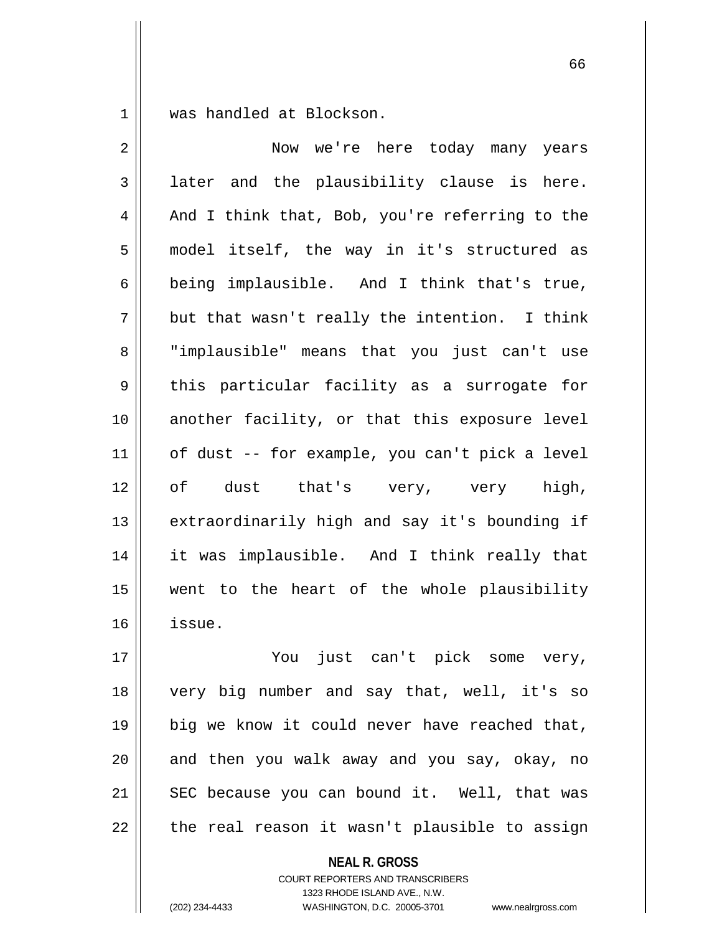1 || was handled at Blockson.

| 2              | Now we're here today many years                |
|----------------|------------------------------------------------|
| $\mathfrak{Z}$ | later and the plausibility clause is here.     |
| 4              | And I think that, Bob, you're referring to the |
| 5              | model itself, the way in it's structured as    |
| 6              | being implausible. And I think that's true,    |
| 7              | but that wasn't really the intention. I think  |
| 8              | "implausible" means that you just can't use    |
| 9              | this particular facility as a surrogate for    |
| 10             | another facility, or that this exposure level  |
| 11             | of dust -- for example, you can't pick a level |
| 12             | of dust that's very, very high,                |
| 13             | extraordinarily high and say it's bounding if  |
| 14             | it was implausible. And I think really that    |
| 15             | went to the heart of the whole plausibility    |
| 16             | issue.                                         |
| 17             | You just can't pick some very,                 |
| 18             | very big number and say that, well, it's so    |
| 19             | big we know it could never have reached that,  |
| 20             | and then you walk away and you say, okay, no   |
| 21             | SEC because you can bound it. Well, that was   |

the real reason it wasn't plausible to assign

**NEAL R. GROSS**

COURT REPORTERS AND TRANSCRIBERS 1323 RHODE ISLAND AVE., N.W. (202) 234-4433 WASHINGTON, D.C. 20005-3701 www.nealrgross.com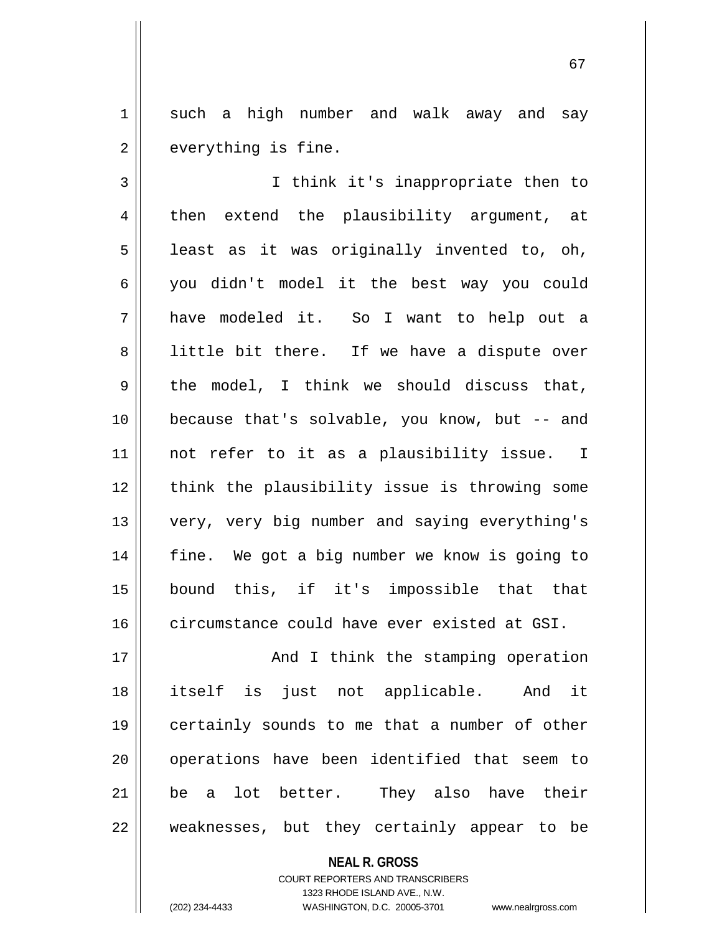1 such a high number and walk away and say  $2 \parallel$  everything is fine.

3 I think it's inappropriate then to 4 || then extend the plausibility argument, at  $5 \parallel$  least as it was originally invented to, oh, 6 you didn't model it the best way you could 7 have modeled it. So I want to help out a 8 || little bit there. If we have a dispute over  $9 \parallel$  the model, I think we should discuss that, 10 because that's solvable, you know, but -- and 11 || not refer to it as a plausibility issue. I 12 || think the plausibility issue is throwing some 13 very, very big number and saying everything's 14 || fine. We got a big number we know is going to 15 bound this, if it's impossible that that 16 circumstance could have ever existed at GSI.

17 || And I think the stamping operation 18 itself is just not applicable. And it 19 certainly sounds to me that a number of other 20 || operations have been identified that seem to 21 be a lot better. They also have their 22 || weaknesses, but they certainly appear to be

> **NEAL R. GROSS** COURT REPORTERS AND TRANSCRIBERS 1323 RHODE ISLAND AVE., N.W. (202) 234-4433 WASHINGTON, D.C. 20005-3701 www.nealrgross.com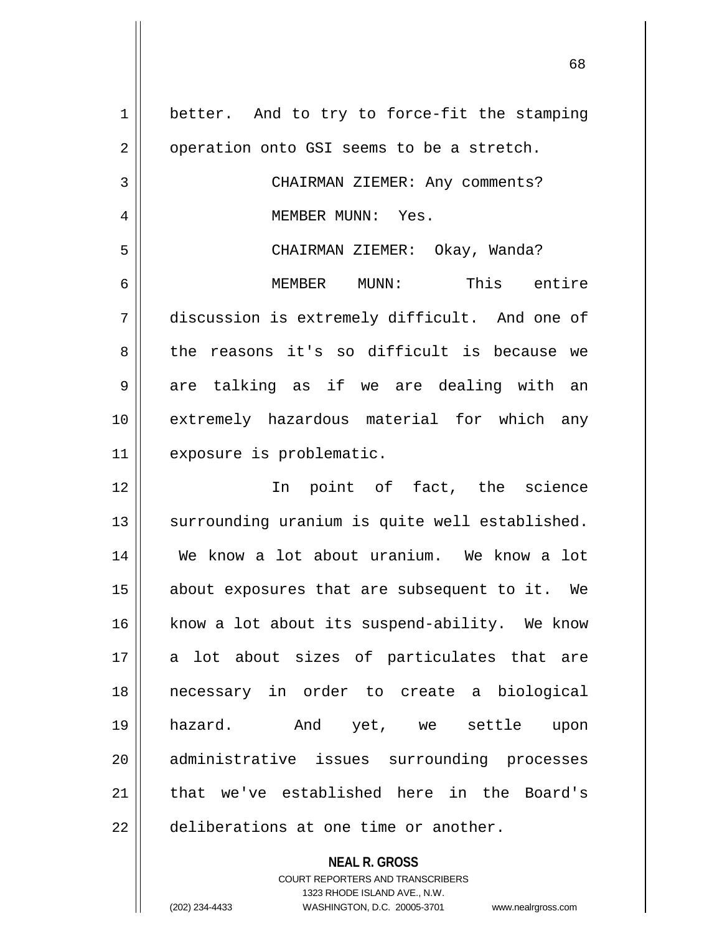1 | better. And to try to force-fit the stamping  $2 \parallel$  operation onto GSI seems to be a stretch. 3 || CHAIRMAN ZIEMER: Any comments? 4 MEMBER MUNN: Yes. 5 CHAIRMAN ZIEMER: Okay, Wanda? 6 MEMBER MUNN: This entire 7 discussion is extremely difficult. And one of 8 the reasons it's so difficult is because we  $9 \parallel$  are talking as if we are dealing with an 10 extremely hazardous material for which any 11 exposure is problematic. 12 In point of fact, the science 13 || surrounding uranium is quite well established. 14 We know a lot about uranium. We know a lot 15 about exposures that are subsequent to it. We 16 || know a lot about its suspend-ability. We know 17 a lot about sizes of particulates that are 18 necessary in order to create a biological 19 hazard. And yet, we settle upon 20 administrative issues surrounding processes 21 that we've established here in the Board's  $22$  | deliberations at one time or another.

> 1323 RHODE ISLAND AVE., N.W. (202) 234-4433 WASHINGTON, D.C. 20005-3701 www.nealrgross.com

**NEAL R. GROSS** COURT REPORTERS AND TRANSCRIBERS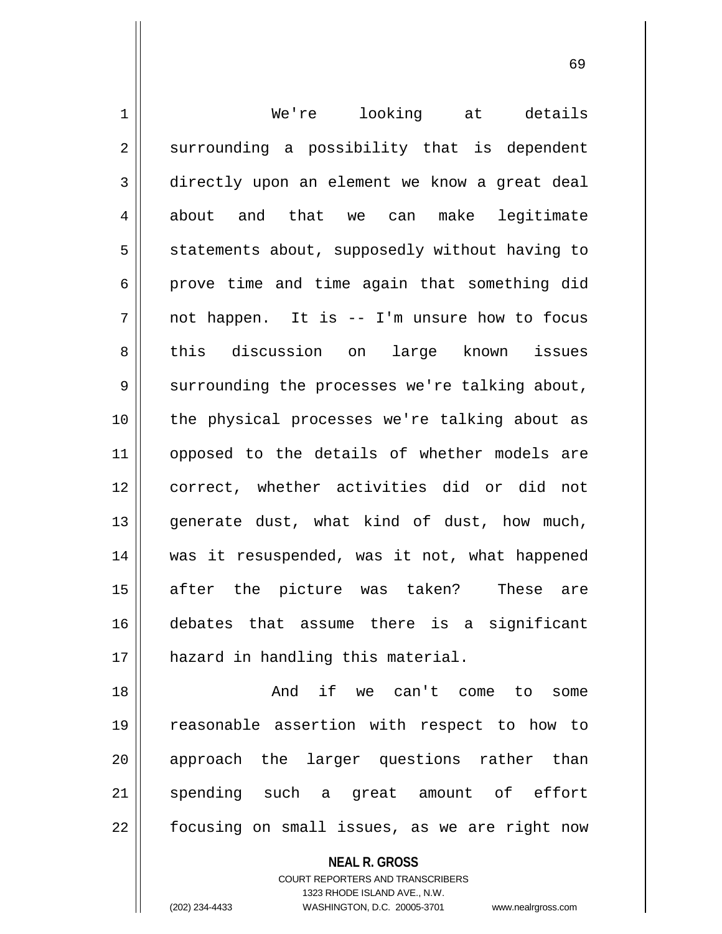1 We're looking at details  $2 \parallel$  surrounding a possibility that is dependent 3 directly upon an element we know a great deal 4 about and that we can make legitimate  $5 \parallel$  statements about, supposedly without having to  $6 \parallel$  prove time and time again that something did  $7 \parallel$  not happen. It is -- I'm unsure how to focus 8 this discussion on large known issues  $9 \parallel$  surrounding the processes we're talking about, 10 the physical processes we're talking about as 11 || opposed to the details of whether models are 12 correct, whether activities did or did not 13 || generate dust, what kind of dust, how much, 14 || was it resuspended, was it not, what happened 15 after the picture was taken? These are 16 debates that assume there is a significant 17 || hazard in handling this material.

18 || The Can't come to some to the And if we can't come to some 19 reasonable assertion with respect to how to 20 || approach the larger questions rather than 21 spending such a great amount of effort 22 || focusing on small issues, as we are right now

> **NEAL R. GROSS** COURT REPORTERS AND TRANSCRIBERS 1323 RHODE ISLAND AVE., N.W. (202) 234-4433 WASHINGTON, D.C. 20005-3701 www.nealrgross.com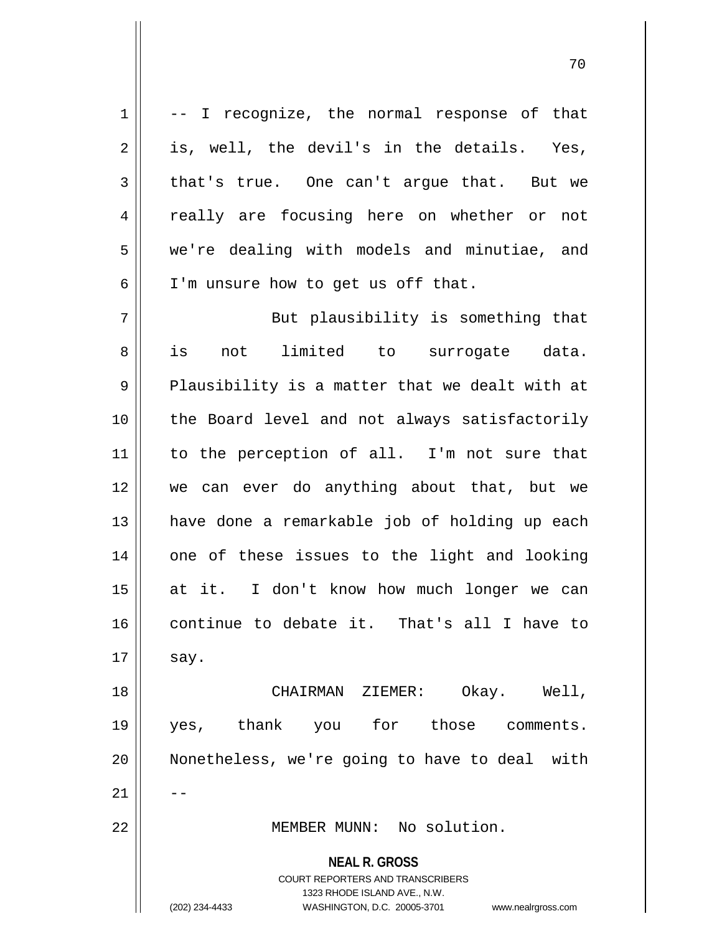**NEAL R. GROSS** COURT REPORTERS AND TRANSCRIBERS 1323 RHODE ISLAND AVE., N.W. (202) 234-4433 WASHINGTON, D.C. 20005-3701 www.nealrgross.com  $1 \parallel$  -- I recognize, the normal response of that  $2 \parallel$  is, well, the devil's in the details. Yes,  $3 \parallel$  that's true. One can't arque that. But we 4 || really are focusing here on whether or not 5 | we're dealing with models and minutiae, and  $6 \parallel$  I'm unsure how to get us off that. 7 || But plausibility is something that 8 is not limited to surrogate data.  $9 \parallel$  Plausibility is a matter that we dealt with at 10 || the Board level and not always satisfactorily 11 || to the perception of all. I'm not sure that 12 we can ever do anything about that, but we 13 || have done a remarkable job of holding up each 14 || one of these issues to the light and looking 15 at it. I don't know how much longer we can 16 continue to debate it. That's all I have to  $17 \parallel$  say. 18 CHAIRMAN ZIEMER: Okay. Well, 19 yes, thank you for those comments. 20 || Nonetheless, we're going to have to deal with  $21$   $\parallel$   $-$ 22 MEMBER MUNN: No solution.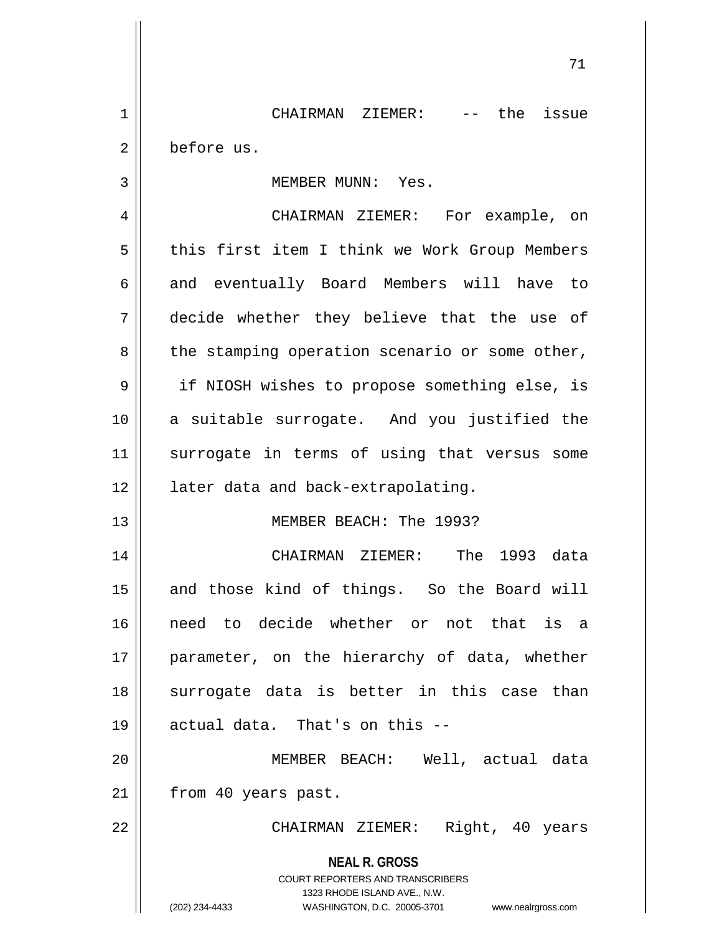1 | CHAIRMAN ZIEMER: -- the issue 2 | before us.

3 || MEMBER MUNN: Yes.

4 CHAIRMAN ZIEMER: For example, on 5 | this first item I think we Work Group Members 6 || and eventually Board Members will have to 7 decide whether they believe that the use of  $8 \parallel$  the stamping operation scenario or some other, 9 || if NIOSH wishes to propose something else, is 10 a suitable surrogate. And you justified the 11 || surrogate in terms of using that versus some 12 || later data and back-extrapolating.

## 13 MEMBER BEACH: The 1993?

14 CHAIRMAN ZIEMER: The 1993 data 15 || and those kind of things. So the Board will 16 need to decide whether or not that is a 17 || parameter, on the hierarchy of data, whether 18 || surrogate data is better in this case than  $19$  || actual data. That's on this  $-$ 

20 MEMBER BEACH: Well, actual data 21 | from 40 years past.

22 CHAIRMAN ZIEMER: Right, 40 years

**NEAL R. GROSS**

COURT REPORTERS AND TRANSCRIBERS 1323 RHODE ISLAND AVE., N.W. (202) 234-4433 WASHINGTON, D.C. 20005-3701 www.nealrgross.com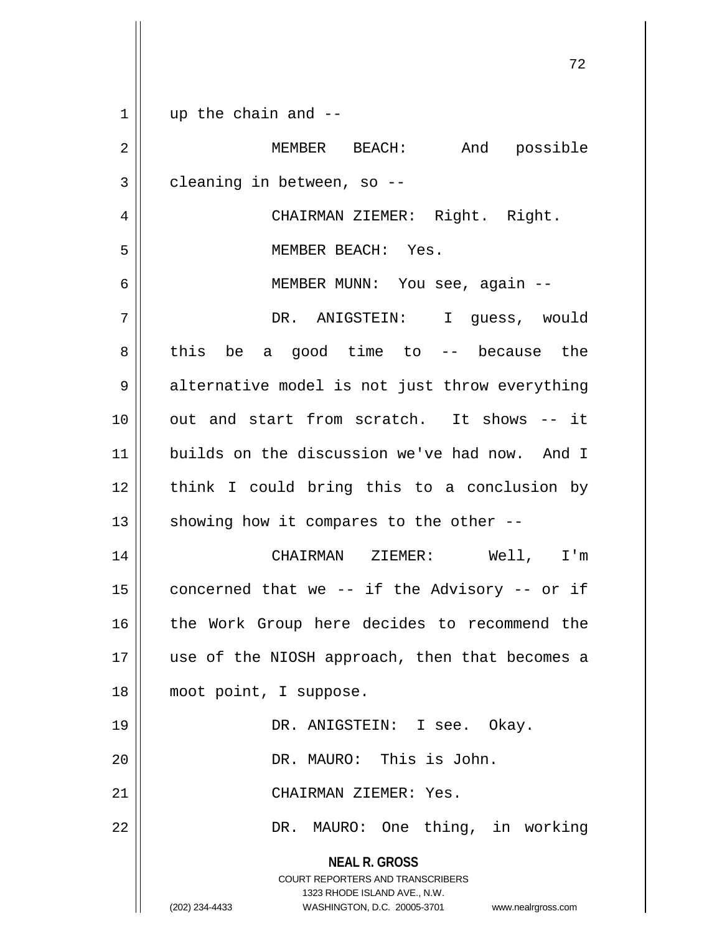**NEAL R. GROSS** COURT REPORTERS AND TRANSCRIBERS 1323 RHODE ISLAND AVE., N.W. (202) 234-4433 WASHINGTON, D.C. 20005-3701 www.nealrgross.com  $1 \parallel$  up the chain and --2 MEMBER BEACH: And possible  $3 \parallel$  cleaning in between, so --4 CHAIRMAN ZIEMER: Right. Right. 5 MEMBER BEACH: Yes. 6 MEMBER MUNN: You see, again -- 7 DR. ANIGSTEIN: I guess, would  $8 \parallel$  this be a good time to -- because the 9 || alternative model is not just throw everything 10 out and start from scratch. It shows -- it 11 builds on the discussion we've had now. And I 12 || think I could bring this to a conclusion by 13  $\parallel$  showing how it compares to the other --14 CHAIRMAN ZIEMER: Well, I'm 15  $\parallel$  concerned that we -- if the Advisory -- or if 16 || the Work Group here decides to recommend the 17 || use of the NIOSH approach, then that becomes a 18 moot point, I suppose. 19 DR. ANIGSTEIN: I see. Okay. 20 DR. MAURO: This is John. 21 CHAIRMAN ZIEMER: Yes. 22 DR. MAURO: One thing, in working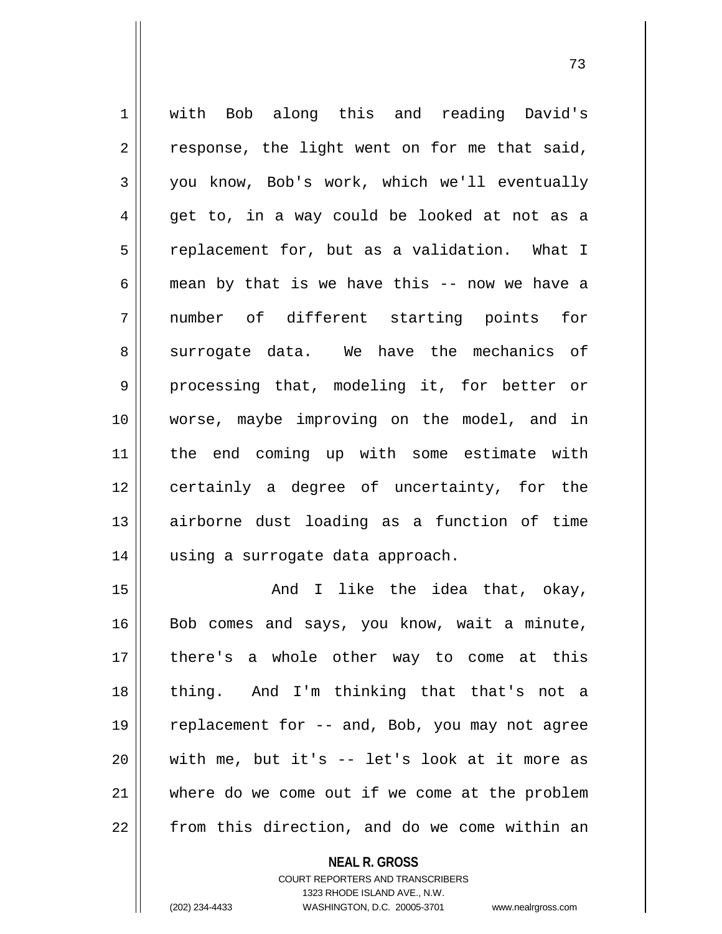1 with Bob along this and reading David's  $2 \parallel$  response, the light went on for me that said,  $3 \parallel$  you know, Bob's work, which we'll eventually  $4 \parallel$  get to, in a way could be looked at not as a 5 | replacement for, but as a validation. What I 6  $\parallel$  mean by that is we have this -- now we have a 7 number of different starting points for 8 surrogate data. We have the mechanics of 9 processing that, modeling it, for better or 10 worse, maybe improving on the model, and in 11 the end coming up with some estimate with 12 certainly a degree of uncertainty, for the 13 airborne dust loading as a function of time 14 || using a surrogate data approach.

15 || The Like the idea that, okay, 16 || Bob comes and says, you know, wait a minute, there's a whole other way to come at this thing. And I'm thinking that that's not a replacement for -- and, Bob, you may not agree with me, but it's -- let's look at it more as where do we come out if we come at the problem | from this direction, and do we come within an

> **NEAL R. GROSS** COURT REPORTERS AND TRANSCRIBERS 1323 RHODE ISLAND AVE., N.W. (202) 234-4433 WASHINGTON, D.C. 20005-3701 www.nealrgross.com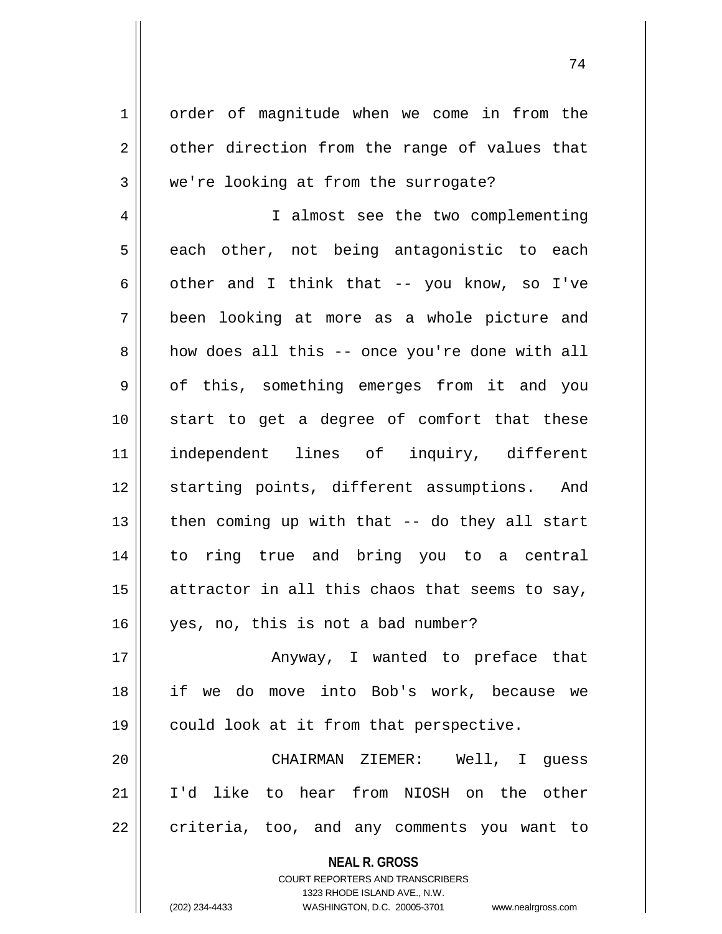1 | order of magnitude when we come in from the  $2 \parallel$  other direction from the range of values that  $3 \parallel$  we're looking at from the surrogate?

4 | I almost see the two complementing  $5 \parallel$  each other, not being antagonistic to each  $\parallel$  other and I think that -- you know, so I've been looking at more as a whole picture and 8 how does all this -- once you're done with all 9 || of this, something emerges from it and you start to get a degree of comfort that these independent lines of inquiry, different 12 || starting points, different assumptions. And  $\parallel$  then coming up with that -- do they all start to ring true and bring you to a central  $\parallel$  attractor in all this chaos that seems to say, yes, no, this is not a bad number?

17 || Anyway, I wanted to preface that 18 if we do move into Bob's work, because we 19 could look at it from that perspective.

20 CHAIRMAN ZIEMER: Well, I guess 21 I'd like to hear from NIOSH on the other  $22$  | criteria, too, and any comments you want to

> **NEAL R. GROSS** COURT REPORTERS AND TRANSCRIBERS 1323 RHODE ISLAND AVE., N.W. (202) 234-4433 WASHINGTON, D.C. 20005-3701 www.nealrgross.com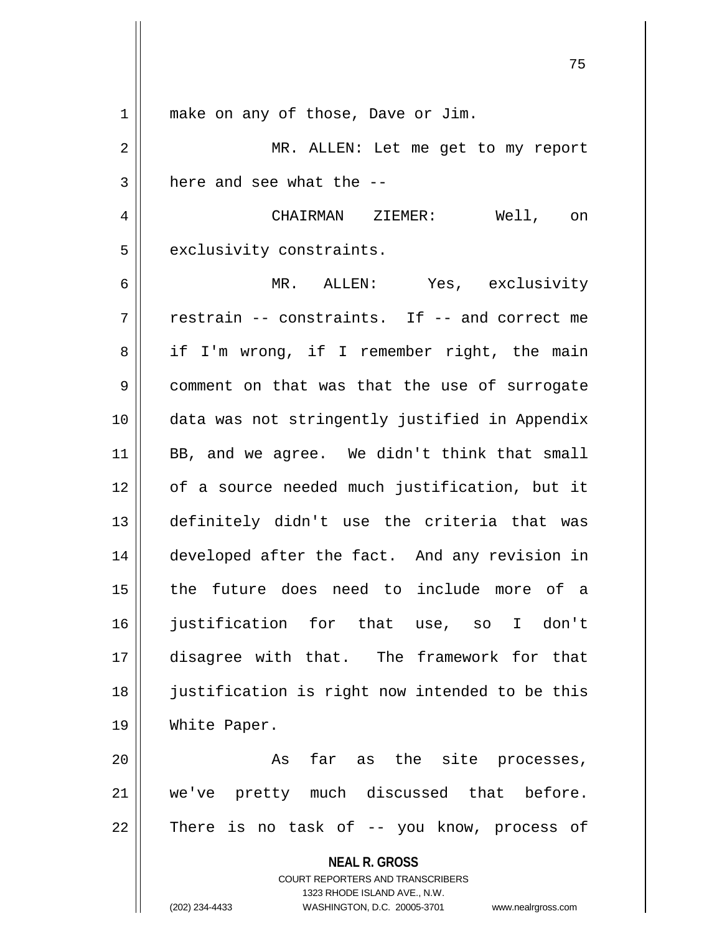| 1  | make on any of those, Dave or Jim.                                                                  |
|----|-----------------------------------------------------------------------------------------------------|
| 2  | MR. ALLEN: Let me get to my report                                                                  |
| 3  | here and see what the --                                                                            |
| 4  | CHAIRMAN ZIEMER:<br>Well, on                                                                        |
| 5  | exclusivity constraints.                                                                            |
| 6  | MR. ALLEN: Yes, exclusivity                                                                         |
| 7  | restrain -- constraints. If -- and correct me                                                       |
| 8  | if I'm wrong, if I remember right, the main                                                         |
| 9  | comment on that was that the use of surrogate                                                       |
| 10 | data was not stringently justified in Appendix                                                      |
| 11 | BB, and we agree. We didn't think that small                                                        |
| 12 | of a source needed much justification, but it                                                       |
| 13 | definitely didn't use the criteria that was                                                         |
| 14 | developed after the fact. And any revision in                                                       |
| 15 | the future does need to include more of a                                                           |
| 16 | justification for that use, so<br>I don't                                                           |
| 17 | disagree with that. The framework for that                                                          |
| 18 | justification is right now intended to be this                                                      |
| 19 | White Paper.                                                                                        |
| 20 | far as the site processes,<br>As                                                                    |
| 21 | we've pretty much discussed that before.                                                            |
| 22 | There is no task of -- you know, process of                                                         |
|    | <b>NEAL R. GROSS</b>                                                                                |
|    | <b>COURT REPORTERS AND TRANSCRIBERS</b>                                                             |
|    | 1323 RHODE ISLAND AVE., N.W.<br>(202) 234-4433<br>WASHINGTON, D.C. 20005-3701<br>www.nealrgross.com |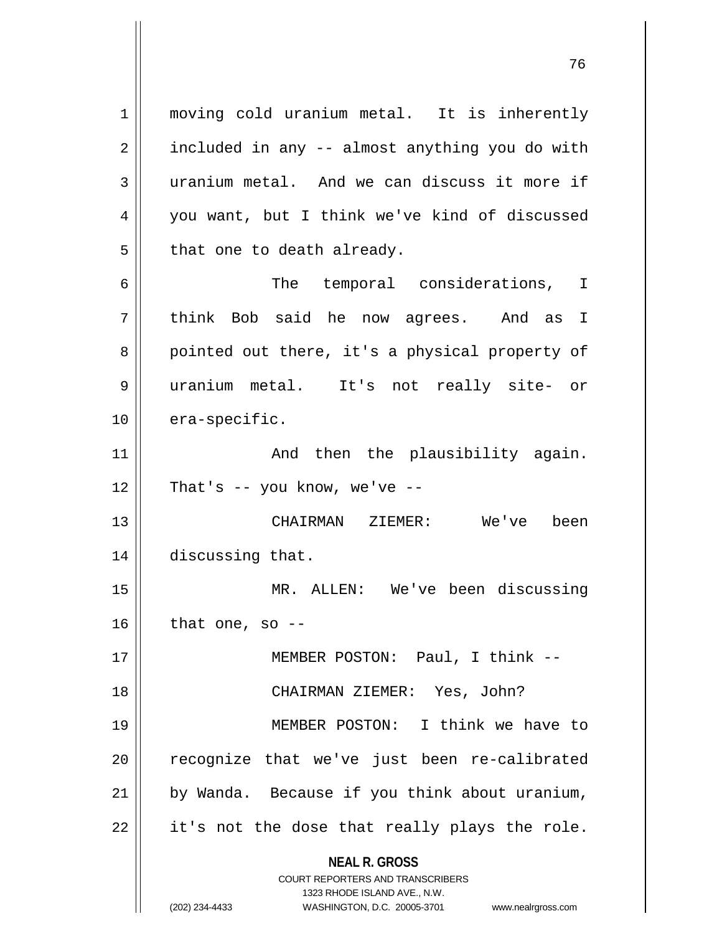**NEAL R. GROSS** COURT REPORTERS AND TRANSCRIBERS 1323 RHODE ISLAND AVE., N.W. 1 moving cold uranium metal. It is inherently  $2 \parallel$  included in any -- almost anything you do with 3 uranium metal. And we can discuss it more if 4 you want, but I think we've kind of discussed  $5$  || that one to death already. 6 || The temporal considerations, I 7 think Bob said he now agrees. And as I 8 || pointed out there, it's a physical property of 9 uranium metal. It's not really site- or 10 era-specific. 11 || The Plausibility again.  $12$  | That's -- you know, we've --13 CHAIRMAN ZIEMER: We've been 14 | discussing that. 15 MR. ALLEN: We've been discussing  $16$  | that one, so --17 MEMBER POSTON: Paul, I think -- 18 || CHAIRMAN ZIEMER: Yes, John? 19 MEMBER POSTON: I think we have to 20 || recognize that we've just been re-calibrated  $21$  | by Wanda. Because if you think about uranium,  $22$  || it's not the dose that really plays the role.

(202) 234-4433 WASHINGTON, D.C. 20005-3701 www.nealrgross.com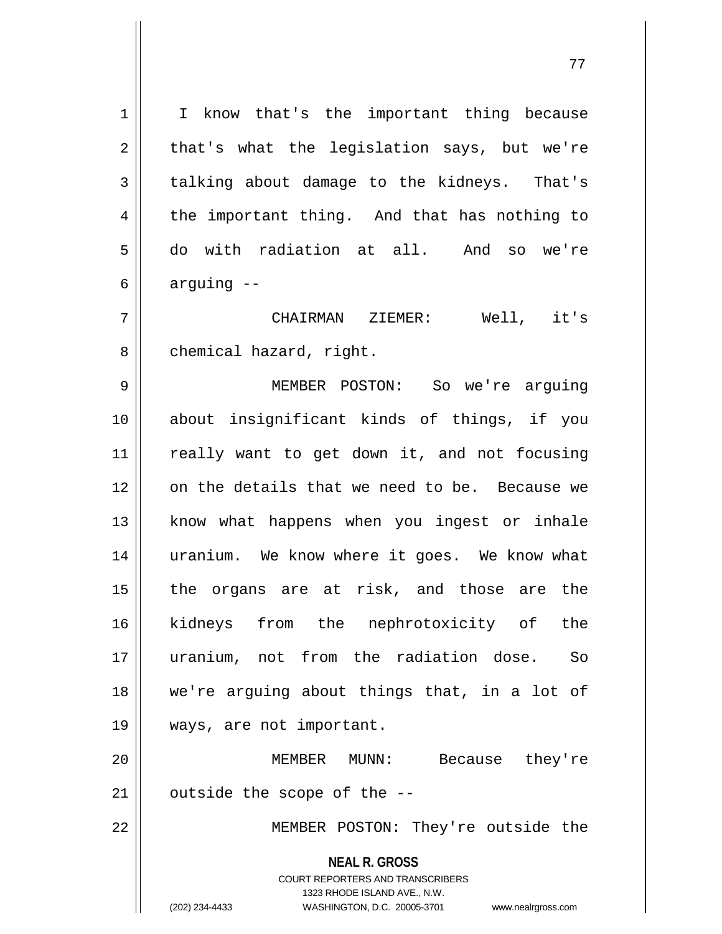**NEAL R. GROSS** COURT REPORTERS AND TRANSCRIBERS 1323 RHODE ISLAND AVE., N.W. (202) 234-4433 WASHINGTON, D.C. 20005-3701 www.nealrgross.com 1 || I know that's the important thing because  $2 \parallel$  that's what the legislation says, but we're  $3 \parallel$  talking about damage to the kidneys. That's  $4 \parallel$  the important thing. And that has nothing to 5 do with radiation at all. And so we're  $6 \parallel$  arguing  $-$ 7 CHAIRMAN ZIEMER: Well, it's  $8 \parallel$  chemical hazard, right. 9 MEMBER POSTON: So we're arguing 10 about insignificant kinds of things, if you 11 || really want to get down it, and not focusing 12 || on the details that we need to be. Because we 13 || know what happens when you ingest or inhale 14 || uranium. We know where it goes. We know what 15 || the organs are at risk, and those are the 16 kidneys from the nephrotoxicity of the 17 uranium, not from the radiation dose. So 18 we're arguing about things that, in a lot of 19 ways, are not important. 20 MEMBER MUNN: Because they're  $21$  || outside the scope of the  $-$ -22 || MEMBER POSTON: They're outside the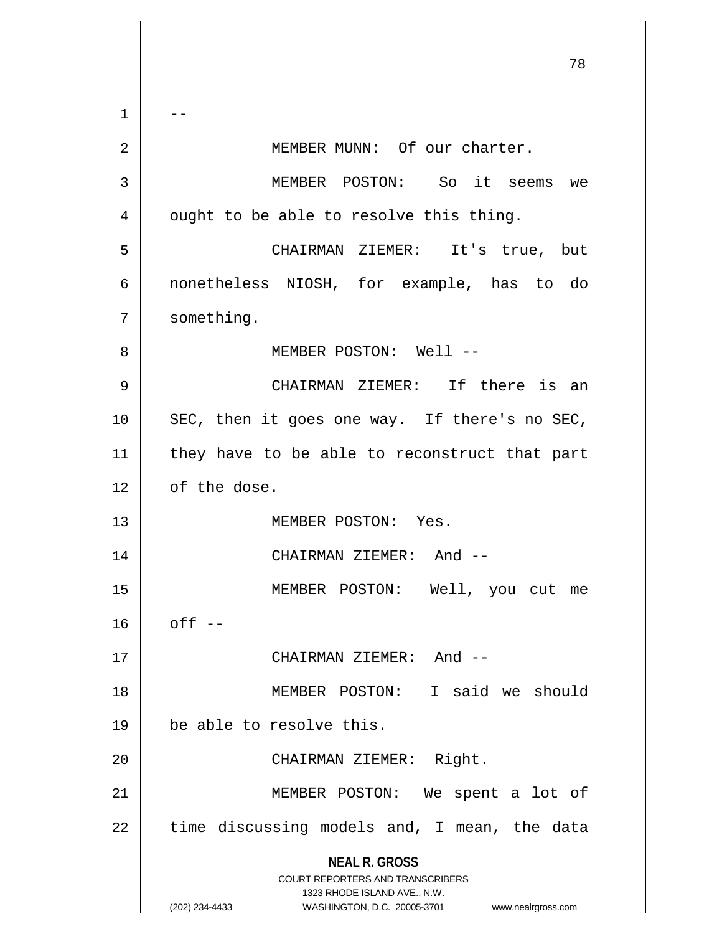**NEAL R. GROSS** COURT REPORTERS AND TRANSCRIBERS 1323 RHODE ISLAND AVE., N.W. (202) 234-4433 WASHINGTON, D.C. 20005-3701 www.nealrgross.com 78  $1 \parallel - -$ 2 || MEMBER MUNN: Of our charter. 3 MEMBER POSTON: So it seems we  $4 \parallel$  ought to be able to resolve this thing. 5 CHAIRMAN ZIEMER: It's true, but 6 nonetheless NIOSH, for example, has to do 7 | something. 8 MEMBER POSTON: Well -- 9 CHAIRMAN ZIEMER: If there is an 10 SEC, then it goes one way. If there's no SEC, 11 || they have to be able to reconstruct that part  $12 \parallel$  of the dose. 13 || MEMBER POSTON: Yes. 14 || CHAIRMAN ZIEMER: And --15 MEMBER POSTON: Well, you cut me  $16$  | off --17 CHAIRMAN ZIEMER: And -- 18 || MEMBER POSTON: I said we should 19 be able to resolve this. 20 || CHAIRMAN ZIEMER: Right. 21 || MEMBER POSTON: We spent a lot of  $22$  || time discussing models and, I mean, the data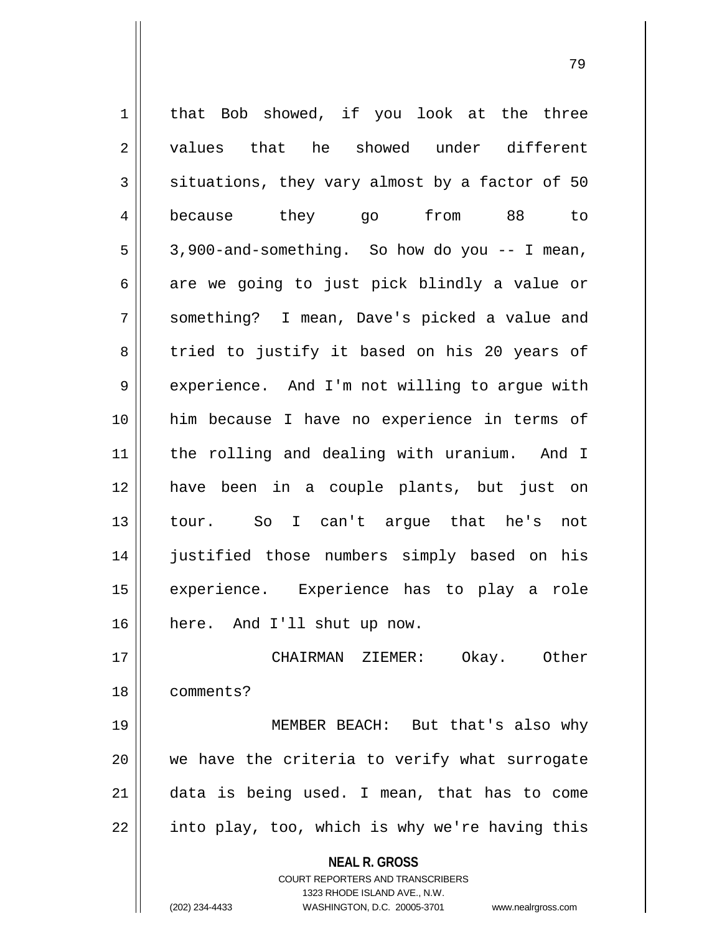**NEAL R. GROSS** COURT REPORTERS AND TRANSCRIBERS 1323 RHODE ISLAND AVE., N.W. 1 | that Bob showed, if you look at the three 2 || values that he showed under different  $3 \parallel$  situations, they vary almost by a factor of 50 4 because they go from 88 to  $5 \parallel 3,900$ -and-something. So how do you -- I mean,  $6 \parallel$  are we going to just pick blindly a value or 7 something? I mean, Dave's picked a value and 8 tried to justify it based on his 20 years of 9 | experience. And I'm not willing to argue with 10 him because I have no experience in terms of 11 the rolling and dealing with uranium. And I 12 have been in a couple plants, but just on 13 tour. So I can't argue that he's not 14 || justified those numbers simply based on his 15 experience. Experience has to play a role 16 here. And I'll shut up now. 17 CHAIRMAN ZIEMER: Okay. Other 18 comments? 19 MEMBER BEACH: But that's also why 20 we have the criteria to verify what surrogate 21 data is being used. I mean, that has to come 22 || into play, too, which is why we're having this

(202) 234-4433 WASHINGTON, D.C. 20005-3701 www.nealrgross.com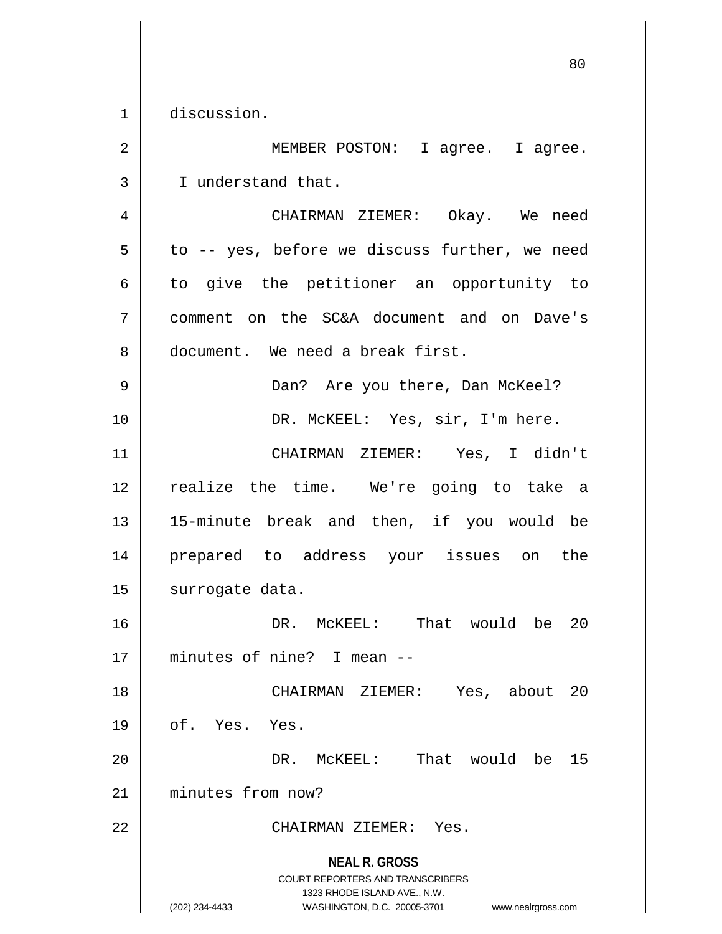1 discussion.

**NEAL R. GROSS** COURT REPORTERS AND TRANSCRIBERS 1323 RHODE ISLAND AVE., N.W. 2 || MEMBER POSTON: I agree. I agree. 3 | I understand that. 4 CHAIRMAN ZIEMER: Okay. We need  $5 \parallel$  to -- yes, before we discuss further, we need 6 to give the petitioner an opportunity to 7 comment on the SC&A document and on Dave's 8 | document. We need a break first. 9 Dan? Are you there, Dan McKeel? 10 || DR. McKEEL: Yes, sir, I'm here. 11 CHAIRMAN ZIEMER: Yes, I didn't 12 || realize the time. We're going to take a 13 15-minute break and then, if you would be 14 prepared to address your issues on the 15 | surrogate data. 16 || DR. McKEEL: That would be 20 17 minutes of nine? I mean -- 18 CHAIRMAN ZIEMER: Yes, about 20  $19 \parallel$  of. Yes. Yes. 20 DR. McKEEL: That would be 15 21 minutes from now? 22 CHAIRMAN ZIEMER: Yes.

(202) 234-4433 WASHINGTON, D.C. 20005-3701 www.nealrgross.com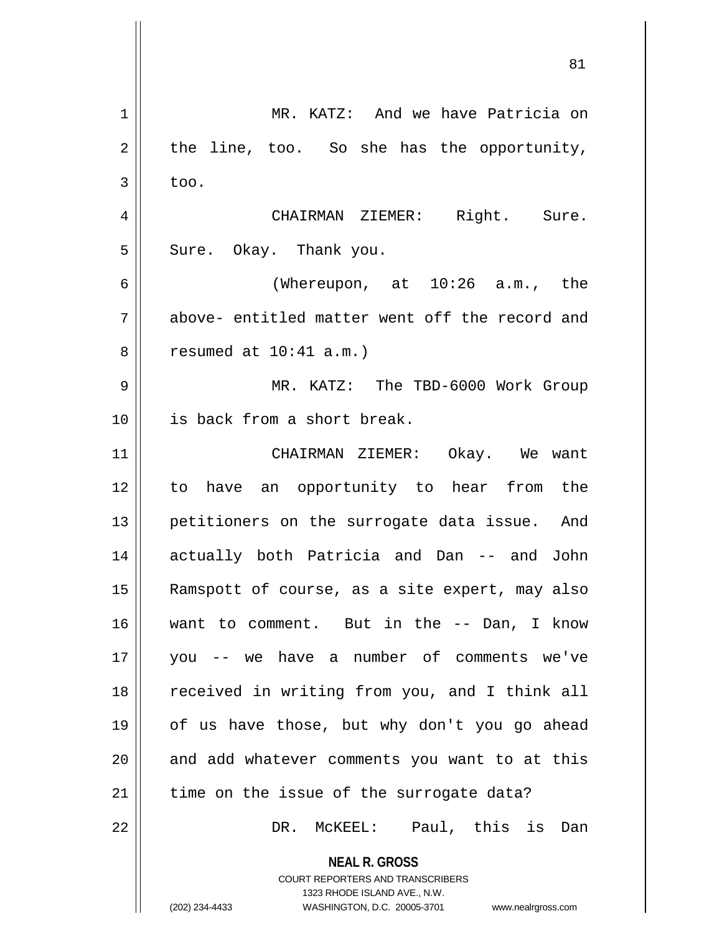| $\mathbf 1$ | MR. KATZ: And we have Patricia on                                                                                                                                      |
|-------------|------------------------------------------------------------------------------------------------------------------------------------------------------------------------|
| 2           | the line, too. So she has the opportunity,                                                                                                                             |
| 3           | too.                                                                                                                                                                   |
| 4           | CHAIRMAN ZIEMER: Right. Sure.                                                                                                                                          |
| 5           | Sure. Okay. Thank you.                                                                                                                                                 |
| 6           | (Whereupon, at 10:26 a.m., the                                                                                                                                         |
| 7           | above- entitled matter went off the record and                                                                                                                         |
| 8           | resumed at $10:41$ a.m.)                                                                                                                                               |
| 9           | MR. KATZ: The TBD-6000 Work Group                                                                                                                                      |
| 10          | is back from a short break.                                                                                                                                            |
| 11          | CHAIRMAN ZIEMER: Okay. We want                                                                                                                                         |
| 12          | to have an opportunity to hear from the                                                                                                                                |
| 13          | petitioners on the surrogate data issue. And                                                                                                                           |
| 14          | actually both Patricia and Dan -- and<br>John                                                                                                                          |
| 15          | Ramspott of course, as a site expert, may also                                                                                                                         |
| 16          | want to comment. But in the -- Dan, I know                                                                                                                             |
| 17          | -- we have a number of comments we've<br>you                                                                                                                           |
| 18          | received in writing from you, and I think all                                                                                                                          |
| 19          | of us have those, but why don't you go ahead                                                                                                                           |
| 20          | and add whatever comments you want to at this                                                                                                                          |
| 21          | time on the issue of the surrogate data?                                                                                                                               |
| 22          | DR. MCKEEL: Paul, this is Dan                                                                                                                                          |
|             | <b>NEAL R. GROSS</b><br><b>COURT REPORTERS AND TRANSCRIBERS</b><br>1323 RHODE ISLAND AVE., N.W.<br>(202) 234-4433<br>WASHINGTON, D.C. 20005-3701<br>www.nealrgross.com |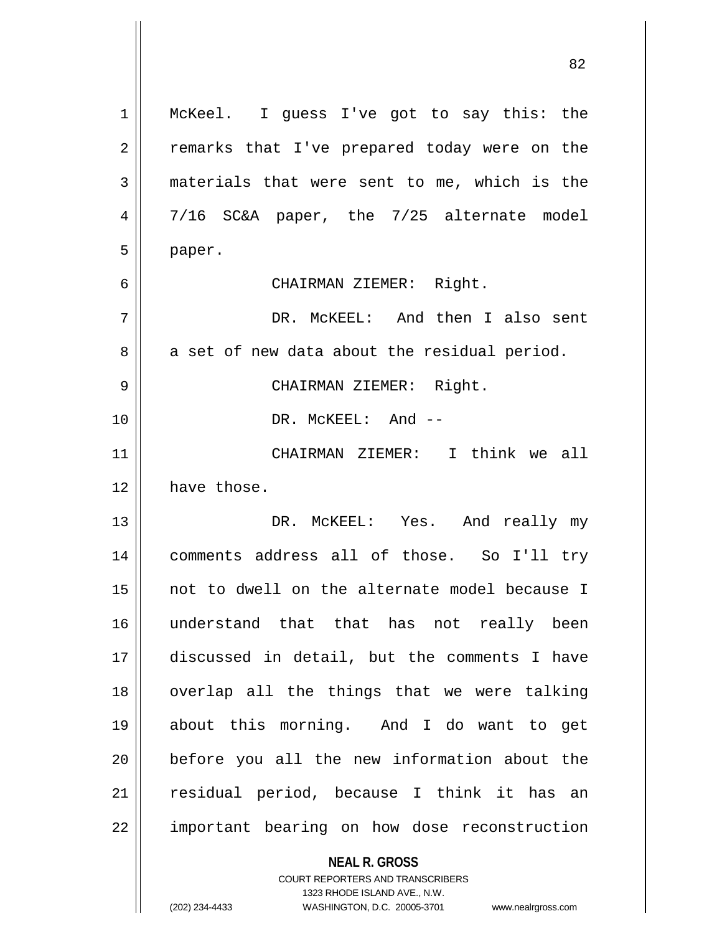| 1              | McKeel. I guess I've got to say this: the                |
|----------------|----------------------------------------------------------|
| $\overline{2}$ | remarks that I've prepared today were on the             |
| 3              | materials that were sent to me, which is the             |
| 4              | 7/16 SC&A paper, the 7/25 alternate model                |
| 5              | paper.                                                   |
| 6              | CHAIRMAN ZIEMER: Right.                                  |
| 7              | DR. MCKEEL: And then I also sent                         |
| 8              | a set of new data about the residual period.             |
| 9              | CHAIRMAN ZIEMER: Right.                                  |
| 10             | DR. MCKEEL: And --                                       |
| 11             | CHAIRMAN ZIEMER: I think we all                          |
| 12             | have those.                                              |
| 13             | DR. MCKEEL: Yes. And really my                           |
| 14             | comments address all of those. So I'll try               |
| 15             | not to dwell on the alternate model because I            |
| 16             | understand that that has not really been                 |
| 17             | discussed in detail, but the comments I have             |
| 18             | overlap all the things that we were talking              |
| 19             | about this morning. And I do want to get                 |
| 20             | before you all the new information about the             |
| 21             | residual period, because I think it has an               |
| 22             | important bearing on how dose reconstruction             |
|                |                                                          |
|                | <b>NEAL R. GROSS</b><br>COURT REPORTERS AND TRANSCRIBERS |

1323 RHODE ISLAND AVE., N.W.

 $\prod$ 

(202) 234-4433 WASHINGTON, D.C. 20005-3701 www.nealrgross.com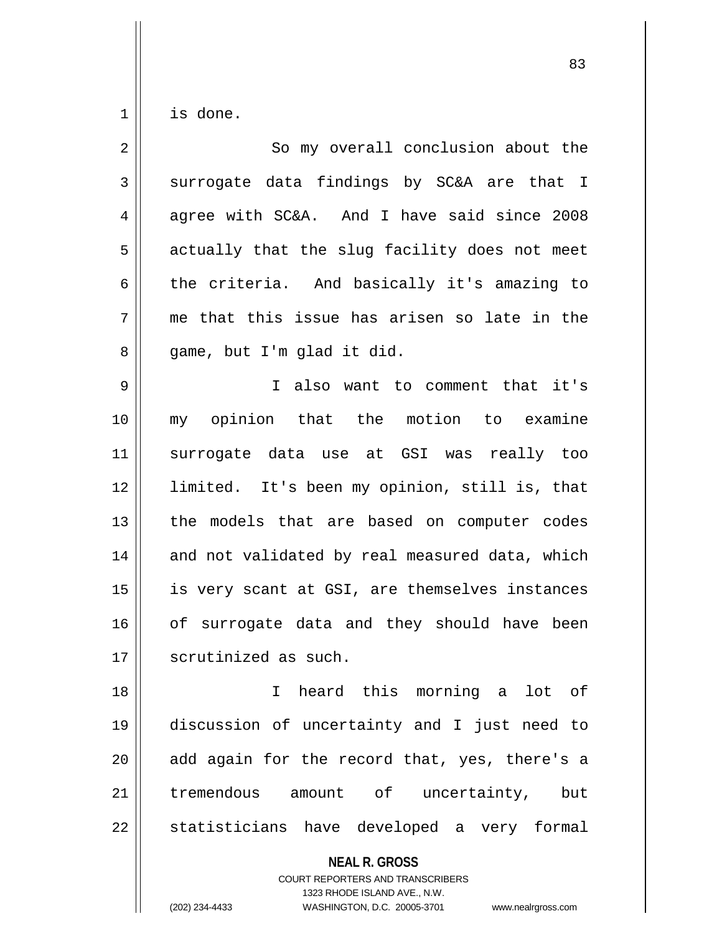$1 \parallel$  is done.

| $\overline{2}$ | So my overall conclusion about the             |
|----------------|------------------------------------------------|
| $\mathfrak{Z}$ | surrogate data findings by SC&A are that I     |
| $\overline{4}$ | agree with SC&A. And I have said since 2008    |
| 5              | actually that the slug facility does not meet  |
| 6              | the criteria. And basically it's amazing to    |
| 7              | me that this issue has arisen so late in the   |
| 8              | game, but I'm glad it did.                     |
| 9              | I also want to comment that it's               |
| 10             | my opinion that the motion to examine          |
| 11             | surrogate data use at GSI was really too       |
| 12             | limited. It's been my opinion, still is, that  |
| 13             | the models that are based on computer codes    |
| 14             | and not validated by real measured data, which |
| 15             | is very scant at GSI, are themselves instances |
| 16             | of surrogate data and they should have been    |
| 17             | scrutinized as such.                           |
| 18             | I heard this morning a lot of                  |
| 19             | discussion of uncertainty and I just need to   |
| 20             | add again for the record that, yes, there's a  |
| 21             | tremendous amount of uncertainty, but          |
| 22             | statisticians have developed a very formal     |
|                | <b>NEAL R. GROSS</b>                           |

COURT REPORTERS AND TRANSCRIBERS 1323 RHODE ISLAND AVE., N.W.

(202) 234-4433 WASHINGTON, D.C. 20005-3701 www.nealrgross.com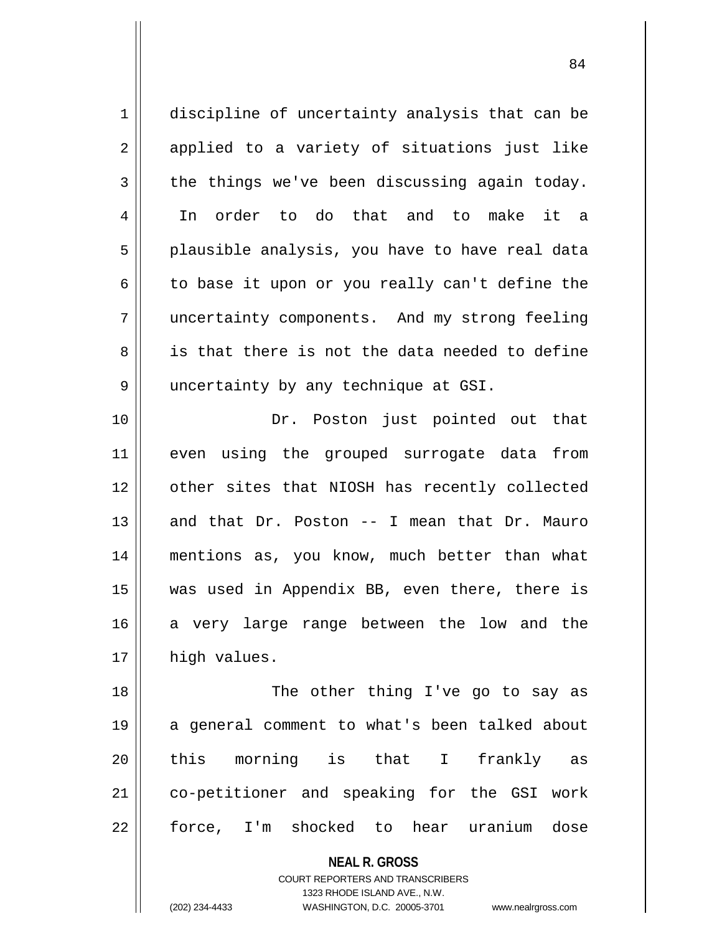| $\mathbf 1$ | discipline of uncertainty analysis that can be           |
|-------------|----------------------------------------------------------|
| 2           | applied to a variety of situations just like             |
| 3           | the things we've been discussing again today.            |
| 4           | order to do that and to make it a<br>In                  |
| 5           | plausible analysis, you have to have real data           |
| 6           | to base it upon or you really can't define the           |
| 7           | uncertainty components. And my strong feeling            |
| 8           | is that there is not the data needed to define           |
| 9           | uncertainty by any technique at GSI.                     |
| 10          | Dr. Poston just pointed out that                         |
| 11          | even using the grouped surrogate data from               |
| 12          | other sites that NIOSH has recently collected            |
| 13          | and that Dr. Poston -- I mean that Dr. Mauro             |
| 14          | mentions as, you know, much better than what             |
| 15          | was used in Appendix BB, even there, there is            |
| 16          | a very large range between the low and the               |
| 17          | high values.                                             |
| 18          | The other thing I've go to say as                        |
| 19          | a general comment to what's been talked about            |
| 20          | this morning is that I frankly as                        |
| 21          | co-petitioner and speaking for the GSI work              |
| 22          | force, I'm shocked to hear uranium dose                  |
|             | <b>NEAL R. GROSS</b><br>COURT REPORTERS AND TRANSCRIBERS |

1323 RHODE ISLAND AVE., N.W.

(202) 234-4433 WASHINGTON, D.C. 20005-3701 www.nealrgross.com

 $\mathop{\text{||}}$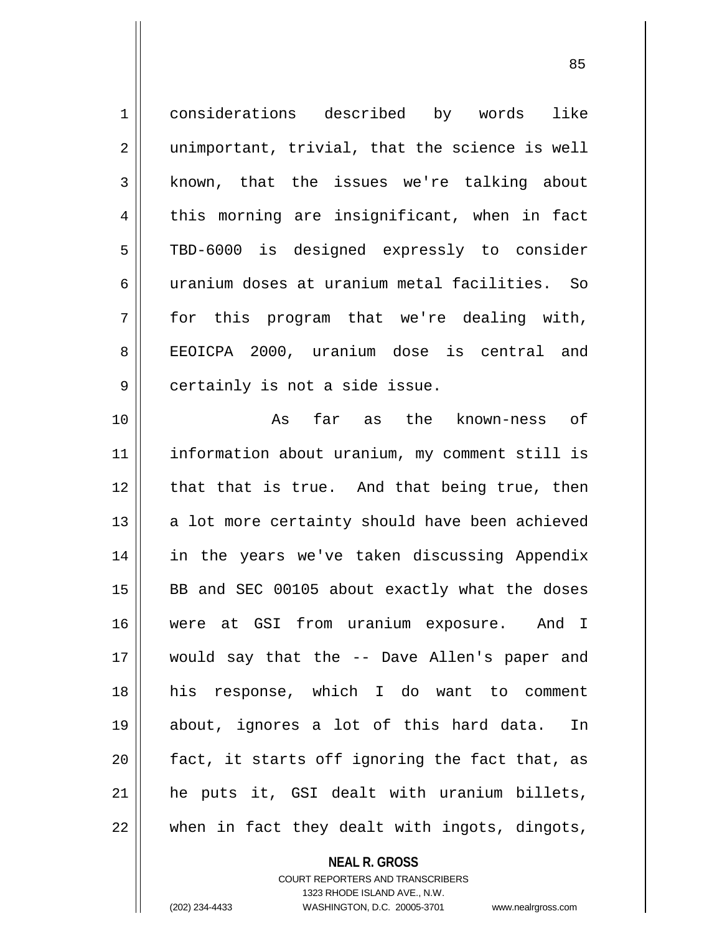1<sup>1</sup> considerations described by words like  $2 \parallel$  unimportant, trivial, that the science is well 3 | known, that the issues we're talking about  $4 \parallel$  this morning are insignificant, when in fact 5 || TBD-6000 is designed expressly to consider 6 uranium doses at uranium metal facilities. So  $7 \parallel$  for this program that we're dealing with, 8 || EEOICPA 2000, uranium dose is central and 9 | certainly is not a side issue. 10 As far as the known-ness of 11 information about uranium, my comment still is  $12$  | that that is true. And that being true, then  $13$  || a lot more certainty should have been achieved 14 || in the years we've taken discussing Appendix  $15$  BB and SEC 00105 about exactly what the doses 16 were at GSI from uranium exposure. And I 17 would say that the -- Dave Allen's paper and 18 his response, which I do want to comment 19 about, ignores a lot of this hard data. In  $20$  || fact, it starts off ignoring the fact that, as 21 he puts it, GSI dealt with uranium billets, 22 when in fact they dealt with ingots, dingots,

> **NEAL R. GROSS** COURT REPORTERS AND TRANSCRIBERS

> > 1323 RHODE ISLAND AVE., N.W.

(202) 234-4433 WASHINGTON, D.C. 20005-3701 www.nealrgross.com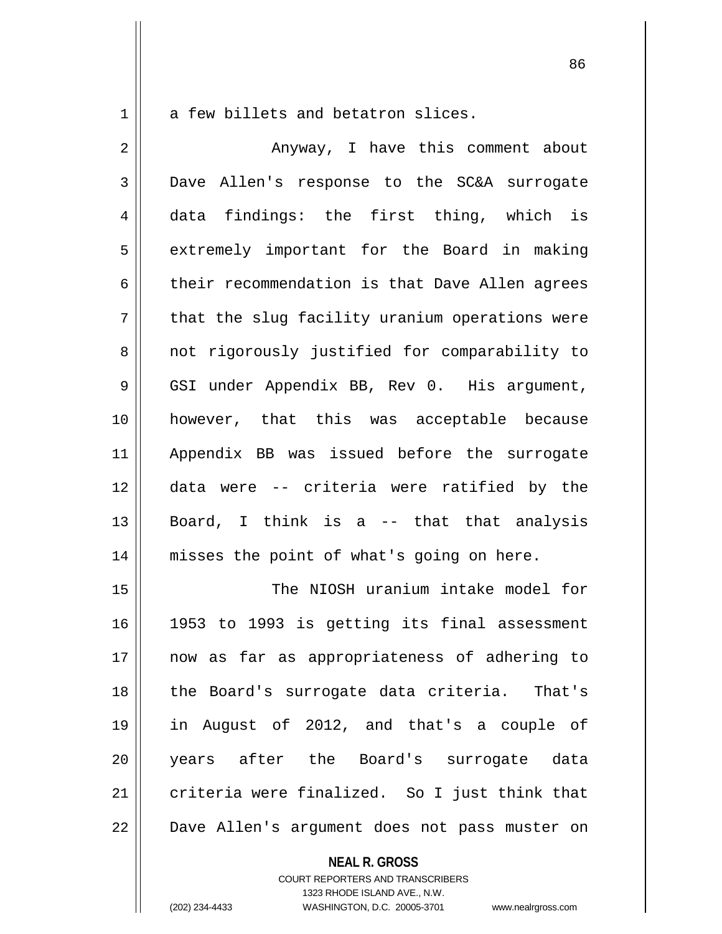$1 \parallel$  a few billets and betatron slices.

| $\overline{2}$ | Anyway, I have this comment about              |
|----------------|------------------------------------------------|
| 3              | Dave Allen's response to the SC&A surrogate    |
| 4              | data findings: the first thing, which is       |
| 5              | extremely important for the Board in making    |
| 6              | their recommendation is that Dave Allen agrees |
| 7              | that the slug facility uranium operations were |
| 8              | not rigorously justified for comparability to  |
| 9              | GSI under Appendix BB, Rev 0. His argument,    |
| 10             | however, that this was acceptable because      |
| 11             | Appendix BB was issued before the surrogate    |
| 12             | data were -- criteria were ratified by the     |
| 13             | Board, I think is a -- that that analysis      |
| 14             | misses the point of what's going on here.      |
| 15             | The NIOSH uranium intake model for             |
| 16             | 1953 to 1993 is getting its final assessment   |
| 17             | now as far as appropriateness of adhering to   |
| 18             | the Board's surrogate data criteria. That's    |
| 19             | in August of 2012, and that's a couple of      |
| 20             | years after the Board's surrogate data         |
| 21             | criteria were finalized. So I just think that  |
| 22             | Dave Allen's argument does not pass muster on  |
|                | <b>NEAL R. GROSS</b>                           |

COURT REPORTERS AND TRANSCRIBERS 1323 RHODE ISLAND AVE., N.W. (202) 234-4433 WASHINGTON, D.C. 20005-3701 www.nealrgross.com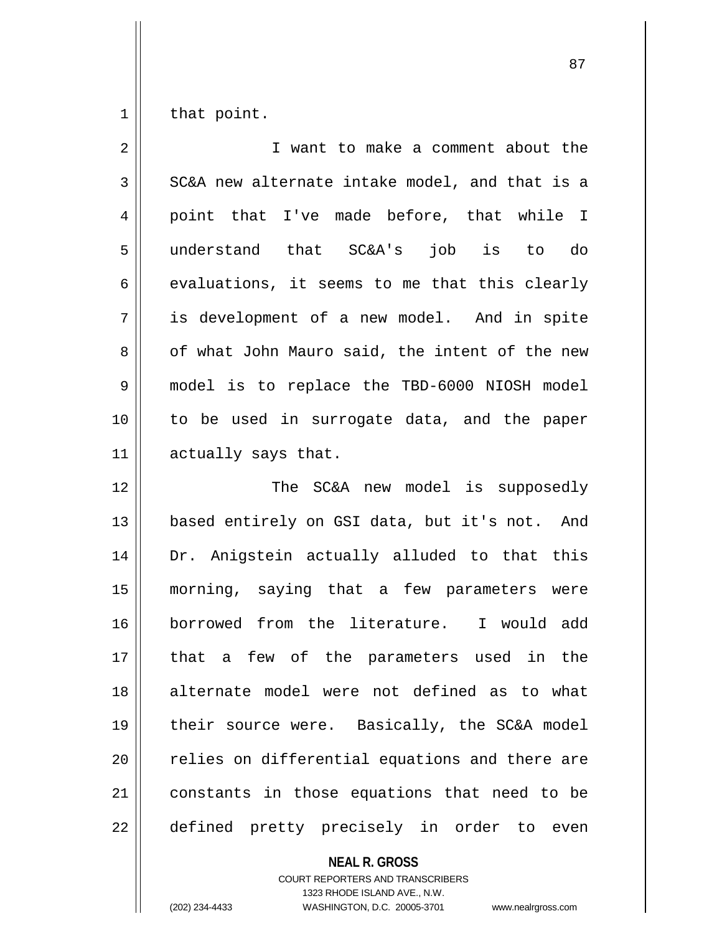$1 \parallel$  that point.

| $\overline{2}$ | I want to make a comment about the             |
|----------------|------------------------------------------------|
| 3              | SC&A new alternate intake model, and that is a |
| 4              | point that I've made before, that while I      |
| 5              | understand that SC&A's<br>job is to do         |
| 6              | evaluations, it seems to me that this clearly  |
| 7              | is development of a new model. And in spite    |
| 8              | of what John Mauro said, the intent of the new |
| 9              | model is to replace the TBD-6000 NIOSH model   |
| 10             | to be used in surrogate data, and the paper    |
| 11             | actually says that.                            |
| 12             | The SC&A new model is supposedly               |
| 13             | based entirely on GSI data, but it's not. And  |
| 14             | Dr. Anigstein actually alluded to that this    |
| 15             | morning, saying that a few parameters were     |
| 16             | borrowed from the literature. I would add      |
| 17             | a few of the parameters used in the<br>that    |
| 18             | alternate model were not defined as to what    |
| 19             | their source were. Basically, the SC&A model   |
| 20             | relies on differential equations and there are |
| 21             | constants in those equations that need to be   |
| 22             | defined pretty precisely in order to even      |

**NEAL R. GROSS**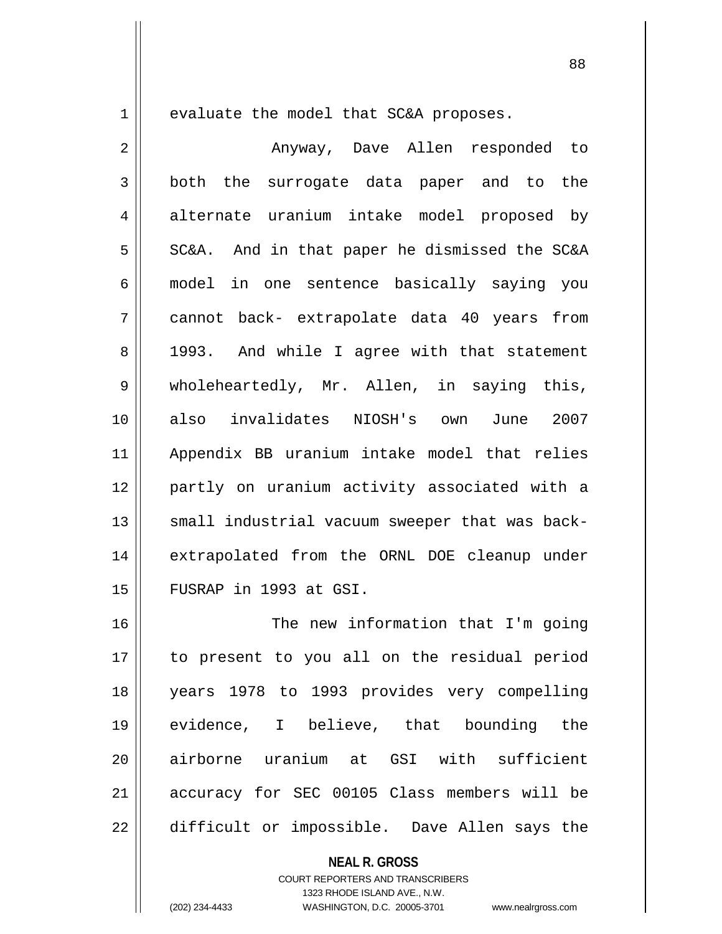$1 \parallel$  evaluate the model that SC&A proposes.

| $\overline{2}$ | Anyway, Dave Allen responded to                |
|----------------|------------------------------------------------|
| 3              | both the surrogate data paper and to the       |
| $\overline{4}$ | alternate uranium intake model proposed by     |
| 5              | SC&A. And in that paper he dismissed the SC&A  |
| 6              | model in one sentence basically saying you     |
| 7              | cannot back- extrapolate data 40 years from    |
| 8              | 1993. And while I agree with that statement    |
| 9              | wholeheartedly, Mr. Allen, in saying this,     |
| 10             | also invalidates NIOSH's own June<br>2007      |
| 11             | Appendix BB uranium intake model that relies   |
| 12             | partly on uranium activity associated with a   |
| 13             | small industrial vacuum sweeper that was back- |
| 14             | extrapolated from the ORNL DOE cleanup under   |
| 15             | FUSRAP in 1993 at GSI.                         |
| 16             | The new information that I'm going             |
| 17             | to present to you all on the residual period   |
| 18             | years 1978 to 1993 provides very compelling    |
| 19             | evidence, I believe, that bounding the         |
| 20             | airborne uranium at GSI with sufficient        |
| 21             | accuracy for SEC 00105 Class members will be   |
| 22             | difficult or impossible. Dave Allen says the   |

**NEAL R. GROSS**

COURT REPORTERS AND TRANSCRIBERS 1323 RHODE ISLAND AVE., N.W. (202) 234-4433 WASHINGTON, D.C. 20005-3701 www.nealrgross.com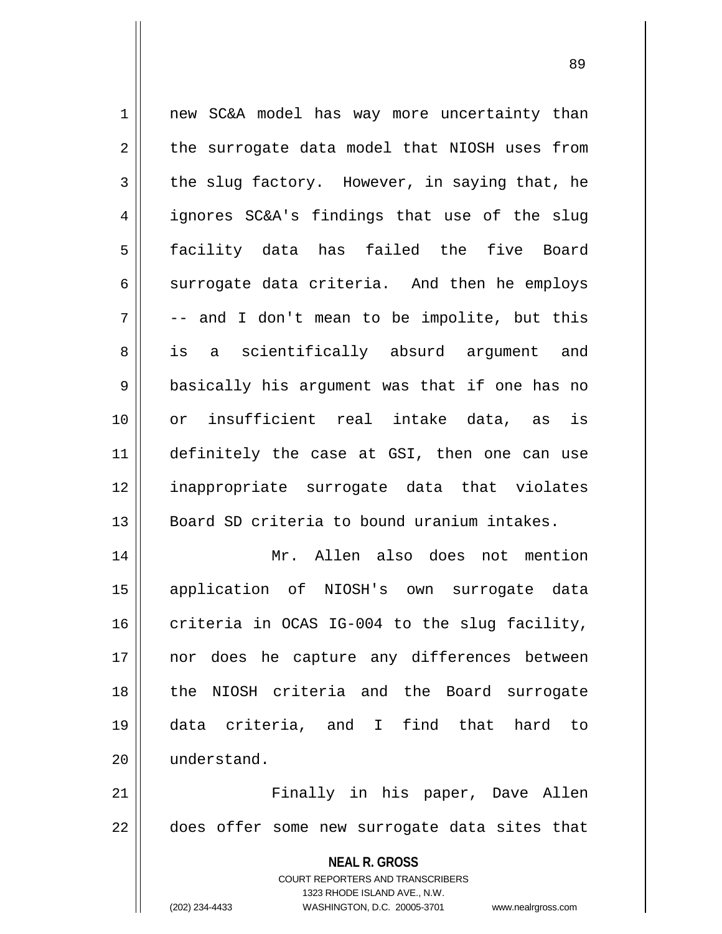**NEAL R. GROSS** 1 || new SC&A model has way more uncertainty than  $2 \parallel$  the surrogate data model that NIOSH uses from  $3 \parallel$  the slug factory. However, in saying that, he 4 || ignores SC&A's findings that use of the slug 5 facility data has failed the five Board  $6 \parallel$  surrogate data criteria. And then he employs  $7 \parallel$  -- and I don't mean to be impolite, but this 8 || is a scientifically absurd argument and 9 || basically his argument was that if one has no 10 or insufficient real intake data, as is 11 definitely the case at GSI, then one can use 12 inappropriate surrogate data that violates 13 Board SD criteria to bound uranium intakes. 14 Mr. Allen also does not mention 15 application of NIOSH's own surrogate data 16 criteria in OCAS IG-004 to the slug facility, 17 nor does he capture any differences between 18 the NIOSH criteria and the Board surrogate 19 data criteria, and I find that hard to 20 understand. 21 Finally in his paper, Dave Allen  $22$   $\parallel$  does offer some new surrogate data sites that

> COURT REPORTERS AND TRANSCRIBERS 1323 RHODE ISLAND AVE., N.W.

(202) 234-4433 WASHINGTON, D.C. 20005-3701 www.nealrgross.com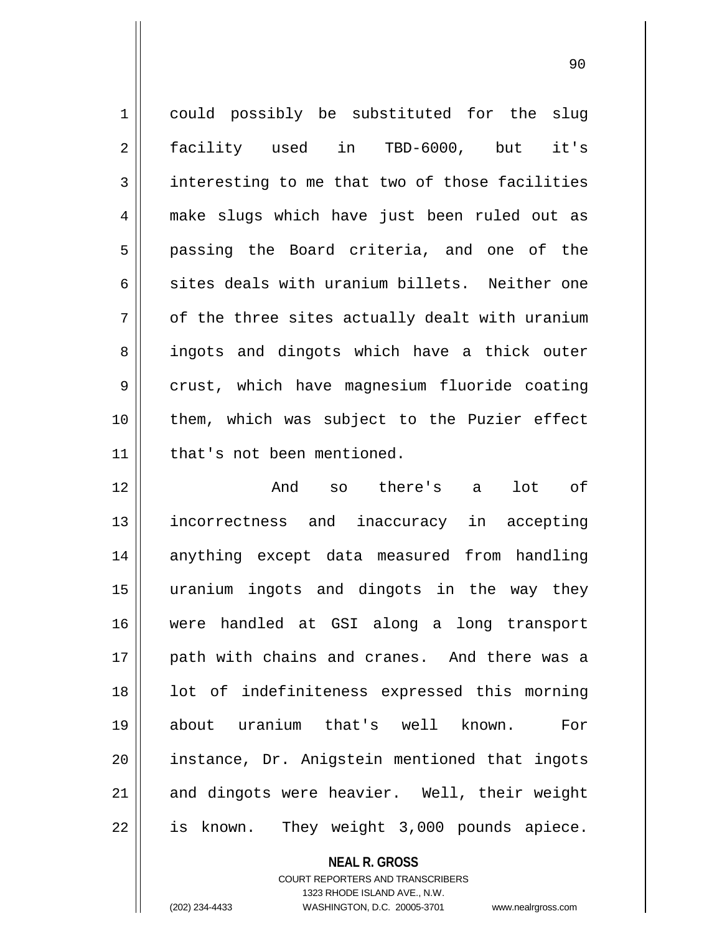1 could possibly be substituted for the slug 2 facility used in TBD-6000, but it's  $3 \parallel$  interesting to me that two of those facilities 4 make slugs which have just been ruled out as 5 || passing the Board criteria, and one of the 6 sites deals with uranium billets. Neither one  $7 \parallel$  of the three sites actually dealt with uranium 8 || ingots and dingots which have a thick outer 9 crust, which have magnesium fluoride coating 10 || them, which was subject to the Puzier effect 11 that's not been mentioned. 12 And so there's a lot of 13 incorrectness and inaccuracy in accepting 14 anything except data measured from handling 15 uranium ingots and dingots in the way they 16 were handled at GSI along a long transport 17 || path with chains and cranes. And there was a 18 || lot of indefiniteness expressed this morning 19 about uranium that's well known. For 20 instance, Dr. Anigstein mentioned that ingots 21 || and dingots were heavier. Well, their weight 22 || is known. They weight 3,000 pounds apiece.

> **NEAL R. GROSS** COURT REPORTERS AND TRANSCRIBERS

> > 1323 RHODE ISLAND AVE., N.W.

(202) 234-4433 WASHINGTON, D.C. 20005-3701 www.nealrgross.com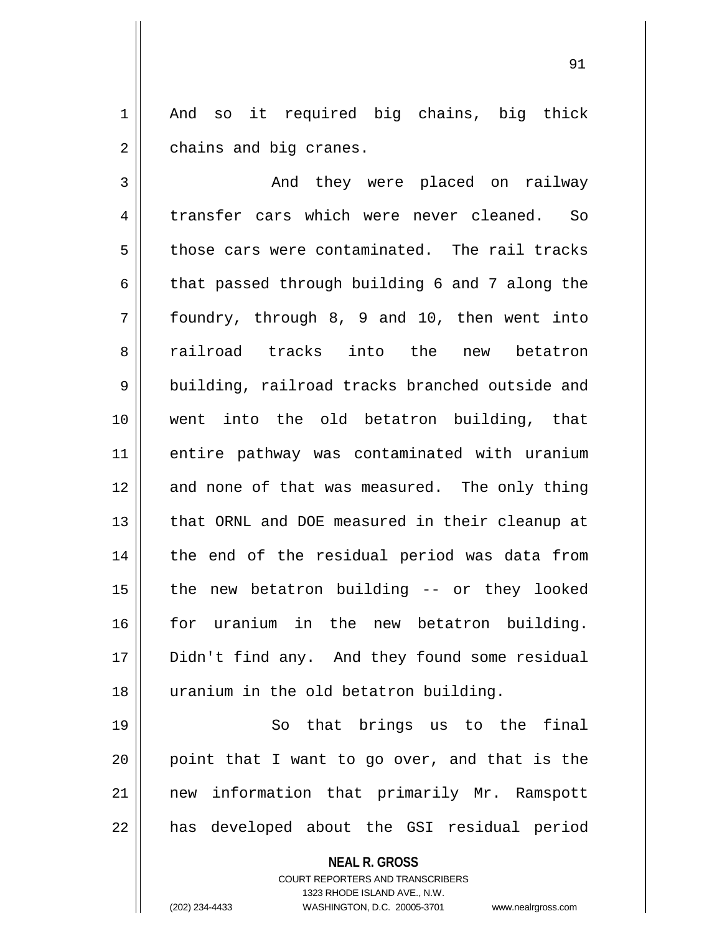1 || And so it required big chains, big thick  $2 \parallel$  chains and big cranes.

91

3 | And they were placed on railway 4 transfer cars which were never cleaned. So  $5 \parallel$  those cars were contaminated. The rail tracks  $6 \parallel$  that passed through building 6 and 7 along the  $7 \parallel$  foundry, through 8, 9 and 10, then went into 8 || railroad tracks into the new betatron 9 | building, railroad tracks branched outside and 10 went into the old betatron building, that 11 entire pathway was contaminated with uranium 12 and none of that was measured. The only thing 13 || that ORNL and DOE measured in their cleanup at 14 || the end of the residual period was data from  $15$  | the new betatron building  $-$  or they looked 16 for uranium in the new betatron building. 17 || Didn't find any. And they found some residual 18 uranium in the old betatron building.

19 || So that brings us to the final || point that I want to go over, and that is the new information that primarily Mr. Ramspott || has developed about the GSI residual period

**NEAL R. GROSS**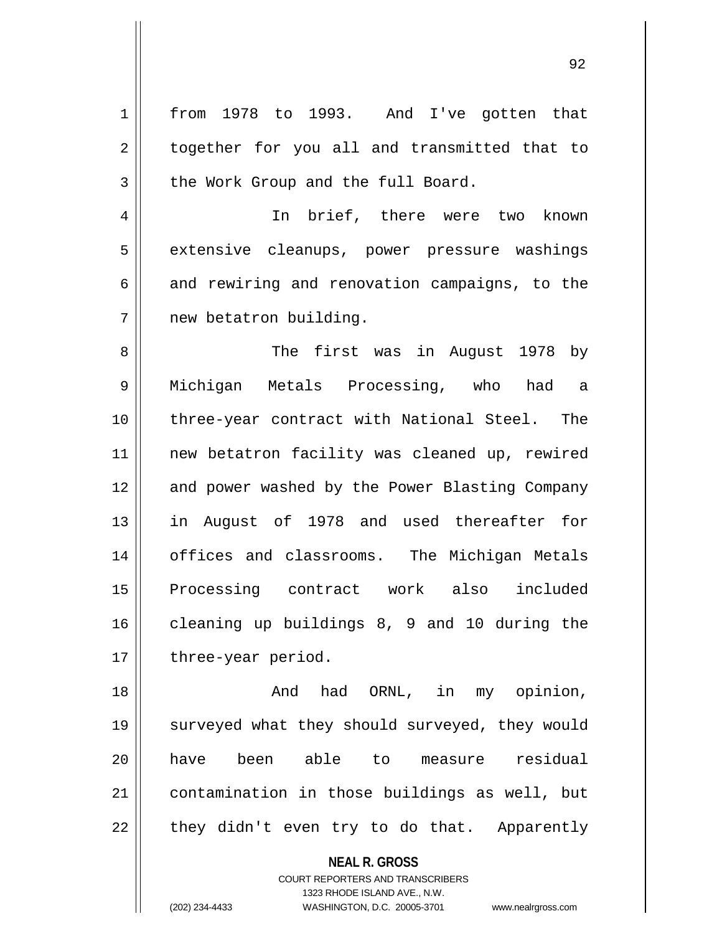1 || from 1978 to 1993. And I've gotten that 2 || together for you all and transmitted that to  $3 \parallel$  the Work Group and the full Board.

4 || In brief, there were two known 5 || extensive cleanups, power pressure washings  $6 \parallel$  and rewiring and renovation campaigns, to the 7 | new betatron building.

 The first was in August 1978 by Michigan Metals Processing, who had a three-year contract with National Steel. The new betatron facility was cleaned up, rewired 12 || and power washed by the Power Blasting Company in August of 1978 and used thereafter for 14 || offices and classrooms. The Michigan Metals Processing contract work also included cleaning up buildings 8, 9 and 10 during the  $17 \parallel$  three-year period.

18 || The Mode of And had ORNL, in my opinion, 19 || surveyed what they should surveyed, they would 20 have been able to measure residual 21 contamination in those buildings as well, but  $22 \parallel$  they didn't even try to do that. Apparently

**NEAL R. GROSS**

COURT REPORTERS AND TRANSCRIBERS 1323 RHODE ISLAND AVE., N.W. (202) 234-4433 WASHINGTON, D.C. 20005-3701 www.nealrgross.com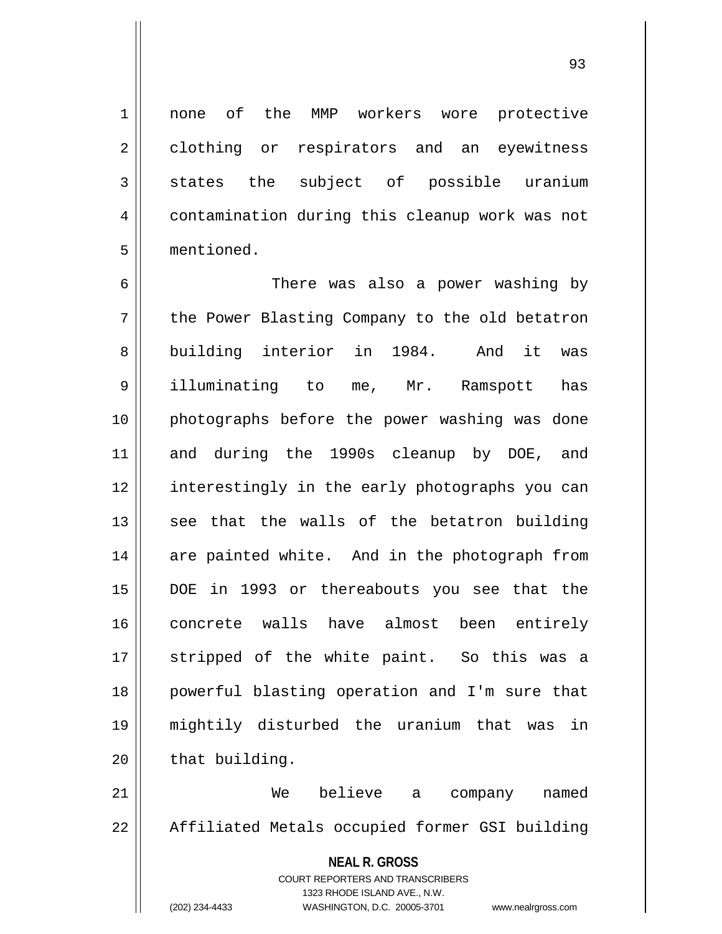1 none of the MMP workers wore protective 2 clothing or respirators and an eyewitness  $3 \parallel$  states the subject of possible uranium 4 | contamination during this cleanup work was not 5 mentioned.

 There was also a power washing by 7 || the Power Blasting Company to the old betatron 8 || building interior in 1984. And it was illuminating to me, Mr. Ramspott has photographs before the power washing was done and during the 1990s cleanup by DOE, and 12 || interestingly in the early photographs you can see that the walls of the betatron building 14 || are painted white. And in the photograph from DOE in 1993 or thereabouts you see that the concrete walls have almost been entirely 17 || stripped of the white paint. So this was a powerful blasting operation and I'm sure that mightily disturbed the uranium that was in | that building.

21 We believe a company named 22 | Affiliated Metals occupied former GSI building

> **NEAL R. GROSS** COURT REPORTERS AND TRANSCRIBERS 1323 RHODE ISLAND AVE., N.W. (202) 234-4433 WASHINGTON, D.C. 20005-3701 www.nealrgross.com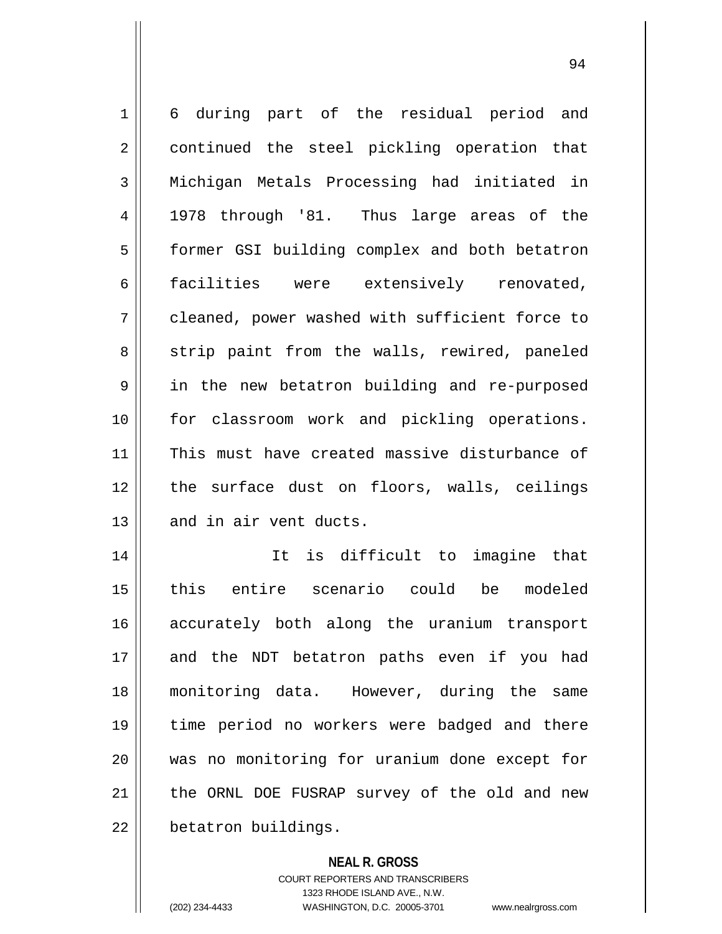1 6 during part of the residual period and 2 || continued the steel pickling operation that 3 || Michigan Metals Processing had initiated in 4 || 1978 through '81. Thus large areas of the 5 | former GSI building complex and both betatron 6 facilities were extensively renovated, 7 cleaned, power washed with sufficient force to 8 || strip paint from the walls, rewired, paneled 9 || in the new betatron building and re-purposed 10 || for classroom work and pickling operations. 11 || This must have created massive disturbance of 12 || the surface dust on floors, walls, ceilings 13 || and in air vent ducts. 14 It is difficult to imagine that 15 this entire scenario could be modeled 16 accurately both along the uranium transport 17 || and the NDT betatron paths even if you had 18 monitoring data. However, during the same 19 time period no workers were badged and there 20 was no monitoring for uranium done except for 21 || the ORNL DOE FUSRAP survey of the old and new  $22$  | betatron buildings.

> **NEAL R. GROSS** COURT REPORTERS AND TRANSCRIBERS 1323 RHODE ISLAND AVE., N.W. (202) 234-4433 WASHINGTON, D.C. 20005-3701 www.nealrgross.com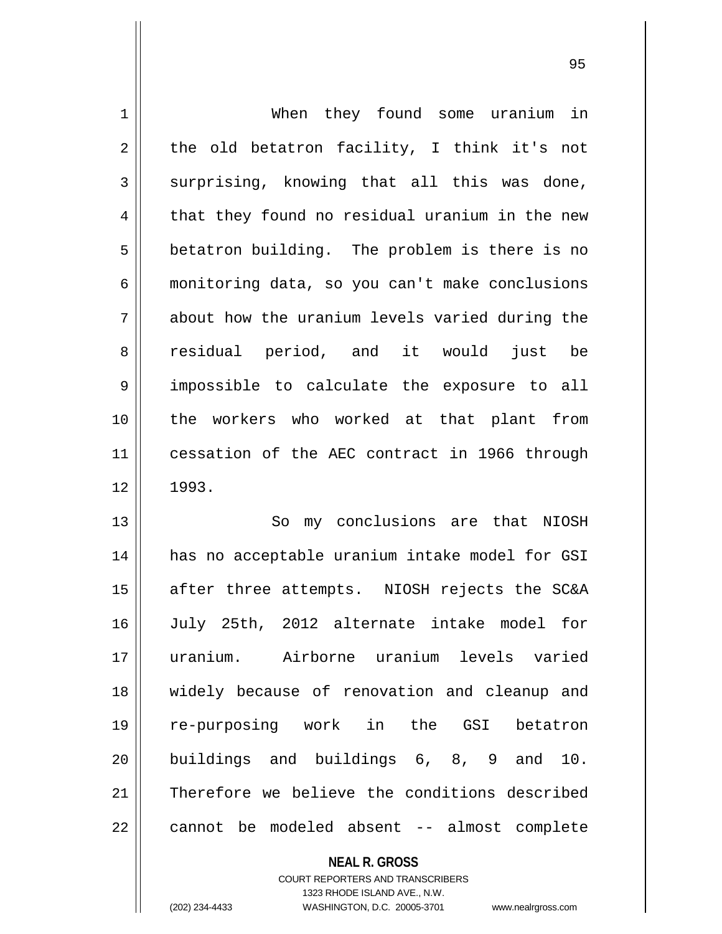| $\mathbf 1$    | When they found some uranium in                |
|----------------|------------------------------------------------|
| $\overline{2}$ | the old betatron facility, I think it's not    |
| 3              | surprising, knowing that all this was done,    |
| 4              | that they found no residual uranium in the new |
| 5              | betatron building. The problem is there is no  |
| 6              | monitoring data, so you can't make conclusions |
| 7              | about how the uranium levels varied during the |
| 8              | residual period, and it would<br>just<br>be    |
| $\mathsf 9$    | impossible to calculate the exposure to all    |
| 10             | the workers who worked at that plant from      |
| 11             | cessation of the AEC contract in 1966 through  |
| 12             | 1993.                                          |
| 13             | So my conclusions are that NIOSH               |
| 14             | has no acceptable uranium intake model for GSI |
| 15             | after three attempts. NIOSH rejects the SC&A   |
| 16             | July 25th, 2012 alternate intake model for     |
| 17             | uranium. Airborne uranium levels varied        |
| 18             | widely because of renovation and cleanup and   |
| 19             | re-purposing work in the GSI<br>betatron       |
| 20             | buildings and buildings 6, 8, 9 and 10.        |
| 21             | Therefore we believe the conditions described  |
| 22             | cannot be modeled absent -- almost complete    |

**NEAL R. GROSS**

COURT REPORTERS AND TRANSCRIBERS 1323 RHODE ISLAND AVE., N.W. (202) 234-4433 WASHINGTON, D.C. 20005-3701 www.nealrgross.com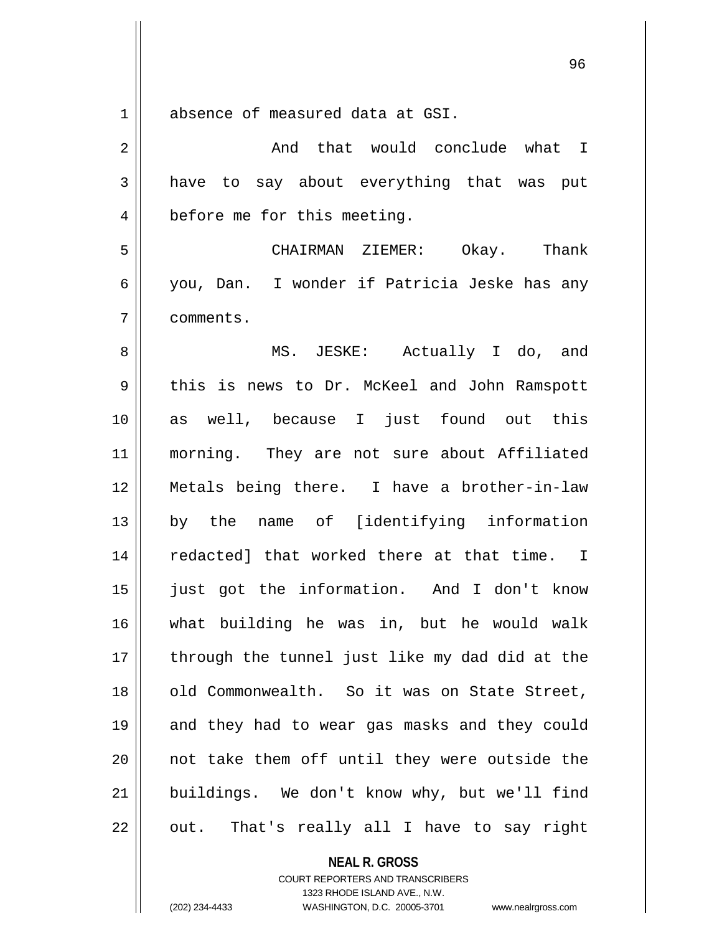absence of measured data at GSI.

| $\overline{2}$ | And that would conclude what I                 |
|----------------|------------------------------------------------|
| 3              | have to say about everything that was put      |
| $\overline{4}$ | before me for this meeting.                    |
| 5              | CHAIRMAN ZIEMER: Okay. Thank                   |
| 6              | you, Dan. I wonder if Patricia Jeske has any   |
| 7              | comments.                                      |
| 8              | MS. JESKE: Actually I do, and                  |
| 9              | this is news to Dr. McKeel and John Ramspott   |
| 10             | as well, because I just found out this         |
| 11             | morning. They are not sure about Affiliated    |
| 12             | Metals being there. I have a brother-in-law    |
| 13             | by the name of [identifying information        |
| 14             | redacted] that worked there at that time. I    |
| 15             | just got the information. And I don't know     |
| 16             | what building he was in, but he would walk     |
| 17             | through the tunnel just like my dad did at the |
| 18             | old Commonwealth. So it was on State Street,   |
| 19             | and they had to wear gas masks and they could  |
| 20             | not take them off until they were outside the  |
| 21             | buildings. We don't know why, but we'll find   |
| 22             | out. That's really all I have to say right     |

**NEAL R. GROSS** COURT REPORTERS AND TRANSCRIBERS

1323 RHODE ISLAND AVE., N.W. (202) 234-4433 WASHINGTON, D.C. 20005-3701 www.nealrgross.com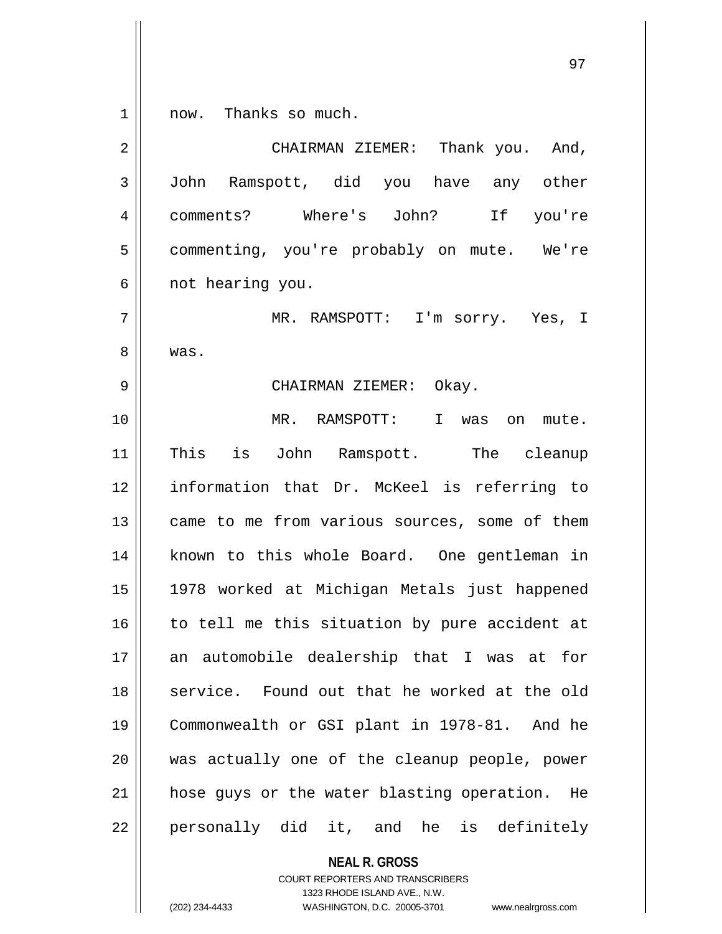1 || now. Thanks so much.

2 CHAIRMAN ZIEMER: Thank you. And, 3 John Ramspott, did you have any other 4 comments? Where's John? If you're 5 | commenting, you're probably on mute. We're 6 || not hearing you. 7 MR. RAMSPOTT: I'm sorry. Yes, I 8 | was. 9 CHAIRMAN ZIEMER: Okay. 10 MR. RAMSPOTT: I was on mute. 11 || This is John Ramspott. The cleanup 12 information that Dr. McKeel is referring to 13 || came to me from various sources, some of them 14 || known to this whole Board. One gentleman in 15 1978 worked at Michigan Metals just happened  $16$  to tell me this situation by pure accident at 17 an automobile dealership that I was at for 18 || service. Found out that he worked at the old 19 Commonwealth or GSI plant in 1978-81. And he 20 was actually one of the cleanup people, power 21 || hose guys or the water blasting operation. He  $22 \parallel$  personally did it, and he is definitely

**NEAL R. GROSS**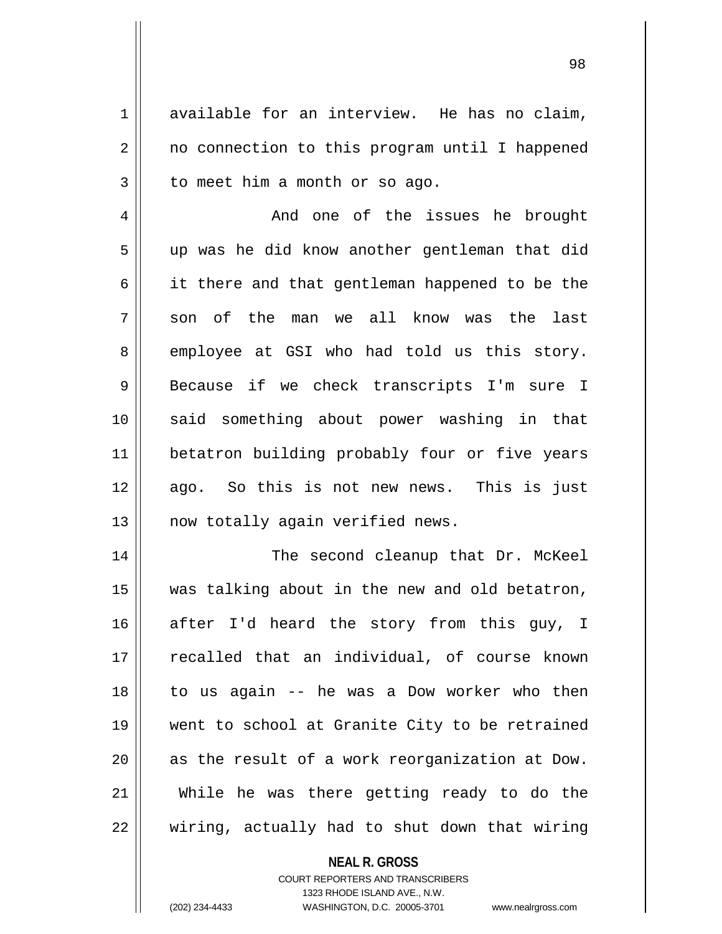$1 \parallel$  available for an interview. He has no claim, 2 | no connection to this program until I happened  $3 \parallel$  to meet him a month or so ago.

4 And one of the issues he brought 5 || up was he did know another gentleman that did  $6 \parallel$  it there and that gentleman happened to be the  $7 \parallel$  son of the man we all know was the last 8 employee at GSI who had told us this story. 9 || Because if we check transcripts I'm sure I 10 said something about power washing in that 11 || betatron building probably four or five years 12 || ago. So this is not new news. This is just 13 || now totally again verified news.

 The second cleanup that Dr. McKeel was talking about in the new and old betatron, after I'd heard the story from this guy, I 17 || recalled that an individual, of course known to us again -- he was a Dow worker who then went to school at Granite City to be retrained as the result of a work reorganization at Dow. While he was there getting ready to do the  $\parallel$  wiring, actually had to shut down that wiring

## **NEAL R. GROSS**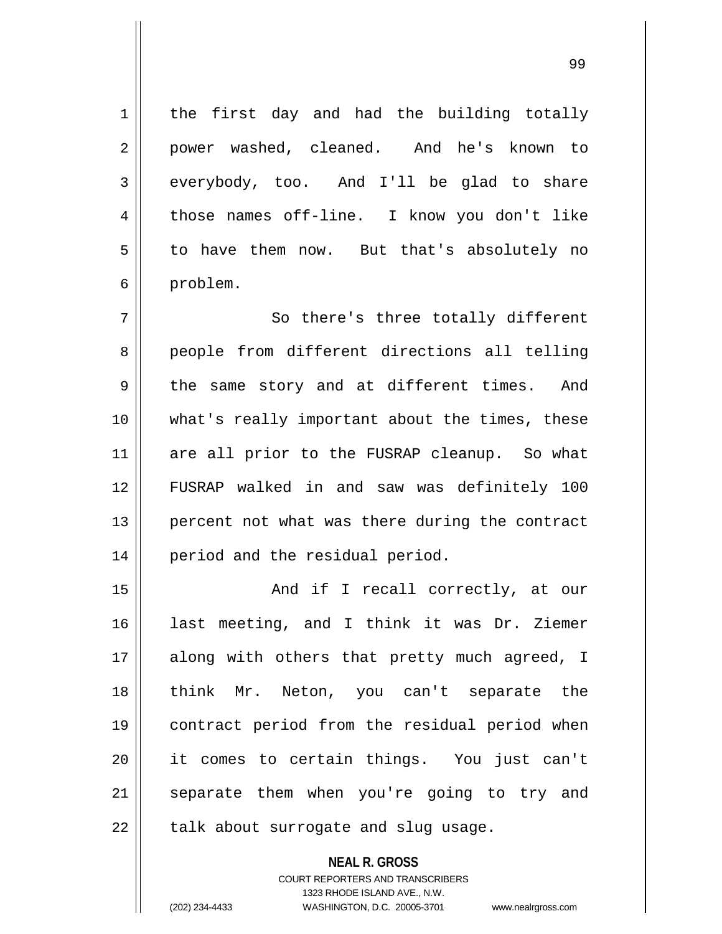1 | the first day and had the building totally 2 power washed, cleaned. And he's known to  $3 \parallel$  everybody, too. And I'll be glad to share 4 || those names off-line. I know you don't like  $5 \parallel$  to have them now. But that's absolutely no 6 | problem.

7 || So there's three totally different 8 || people from different directions all telling 9 the same story and at different times. And 10 || what's really important about the times, these 11 are all prior to the FUSRAP cleanup. So what 12 FUSRAP walked in and saw was definitely 100 13 || percent not what was there during the contract 14 || period and the residual period.

15 || And if I recall correctly, at our last meeting, and I think it was Dr. Ziemer 17 || along with others that pretty much agreed, I think Mr. Neton, you can't separate the contract period from the residual period when it comes to certain things. You just can't 21 || separate them when you're going to try and || talk about surrogate and slug usage.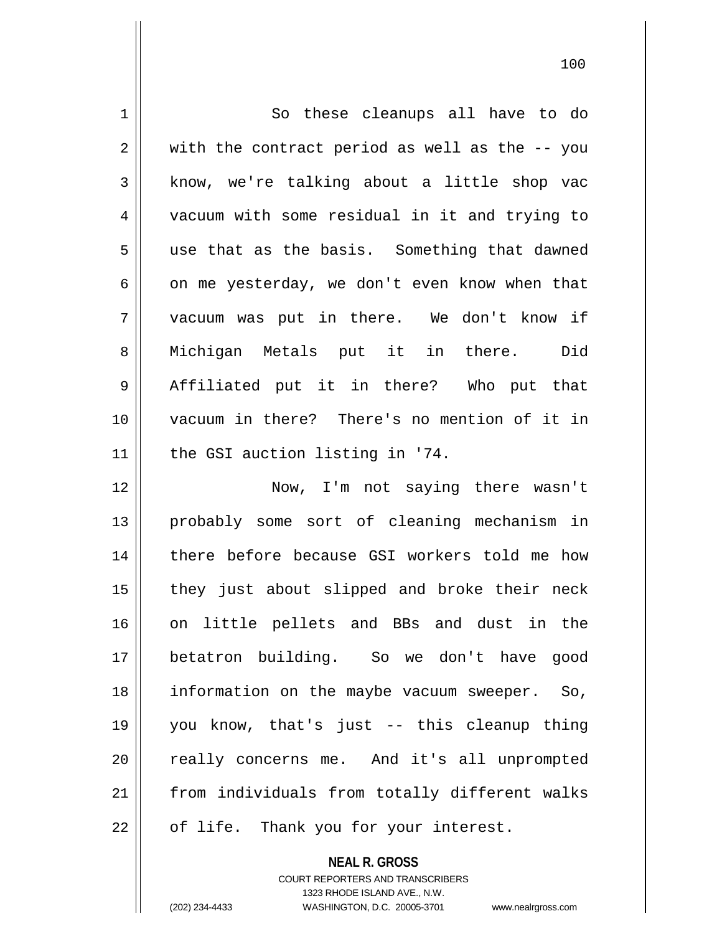1 | So these cleanups all have to do  $2 \parallel$  with the contract period as well as the  $-$ - you 3 | know, we're talking about a little shop vac 4 vacuum with some residual in it and trying to  $5 \parallel$  use that as the basis. Something that dawned  $6 \parallel$  on me yesterday, we don't even know when that 7 vacuum was put in there. We don't know if 8 || Michigan Metals put it in there. Did 9 Affiliated put it in there? Who put that 10 vacuum in there? There's no mention of it in 11 | the GSI auction listing in '74. 12 || Now, I'm not saying there wasn't 13 probably some sort of cleaning mechanism in 14 || there before because GSI workers told me how 15 || they just about slipped and broke their neck 16 || on little pellets and BBs and dust in the 17 betatron building. So we don't have good 18 information on the maybe vacuum sweeper. So, 19 you know, that's just -- this cleanup thing 20 || really concerns me. And it's all unprompted 21 from individuals from totally different walks 22 || of life. Thank you for your interest.

> COURT REPORTERS AND TRANSCRIBERS 1323 RHODE ISLAND AVE., N.W.

**NEAL R. GROSS**

(202) 234-4433 WASHINGTON, D.C. 20005-3701 www.nealrgross.com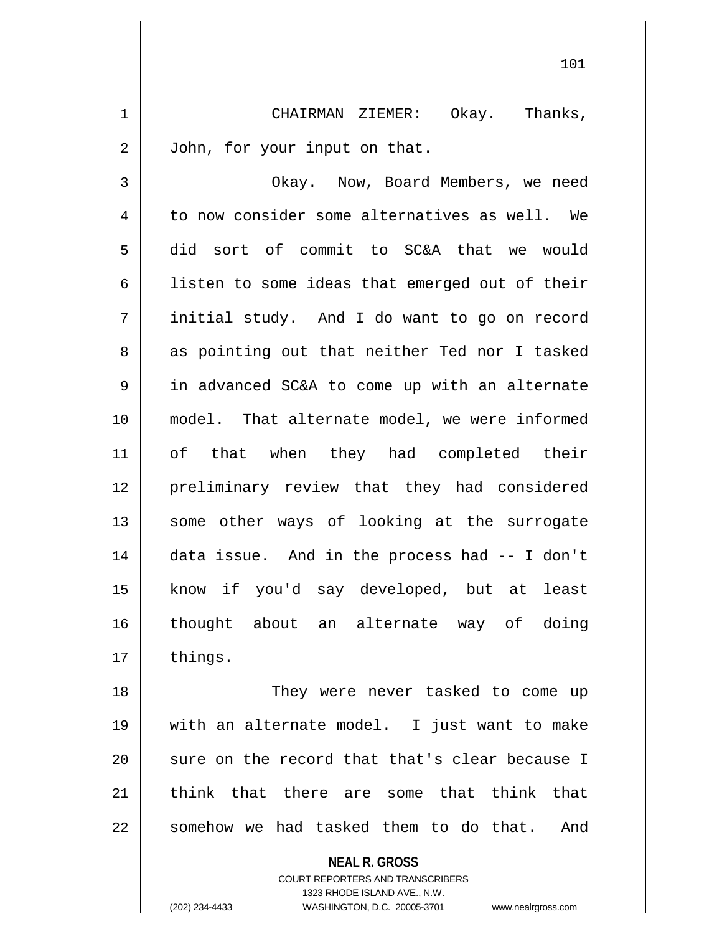1 | CHAIRMAN ZIEMER: Okay. Thanks, 2 | John, for your input on that.

3 | Okay. Now, Board Members, we need  $4 \parallel$  to now consider some alternatives as well. We 5 did sort of commit to SC&A that we would 6 | listen to some ideas that emerged out of their 7 initial study. And I do want to go on record 8 || as pointing out that neither Ted nor I tasked 9 | in advanced SC&A to come up with an alternate 10 || model. That alternate model, we were informed 11 of that when they had completed their 12 preliminary review that they had considered 13 || some other ways of looking at the surrogate 14 data issue. And in the process had -- I don't 15 know if you'd say developed, but at least 16 thought about an alternate way of doing 17 | things.

 They were never tasked to come up with an alternate model. I just want to make  $\parallel$  sure on the record that that's clear because I 21 think that there are some that think that somehow we had tasked them to do that. And

**NEAL R. GROSS**

COURT REPORTERS AND TRANSCRIBERS 1323 RHODE ISLAND AVE., N.W. (202) 234-4433 WASHINGTON, D.C. 20005-3701 www.nealrgross.com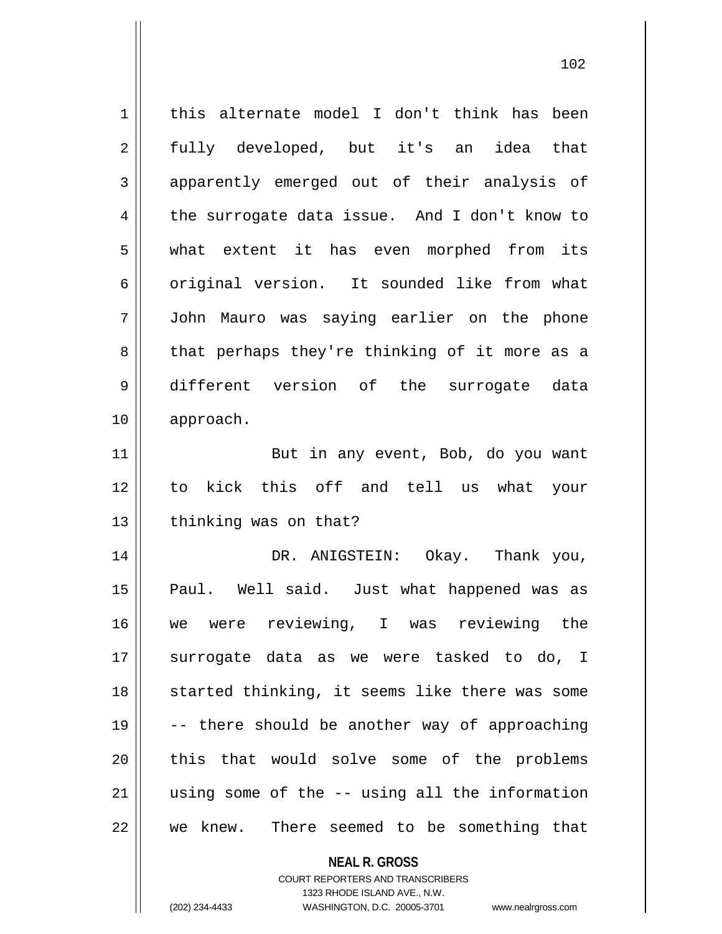1 | this alternate model I don't think has been 2 fully developed, but it's an idea that 3 apparently emerged out of their analysis of  $4 \parallel$  the surrogate data issue. And I don't know to 5 what extent it has even morphed from its 6 || original version. It sounded like from what 7 John Mauro was saying earlier on the phone 8 || that perhaps they're thinking of it more as a 9 different version of the surrogate data 10 approach. 11 || But in any event, Bob, do you want 12 to kick this off and tell us what your  $13$  | thinking was on that? 14 DR. ANIGSTEIN: Okay. Thank you, 15 || Paul. Well said. Just what happened was as 16 we were reviewing, I was reviewing the 17 || surrogate data as we were tasked to do, I 18 || started thinking, it seems like there was some 19  $\parallel$  -- there should be another way of approaching 20 II this that would solve some of the problems  $21$  || using some of the  $-$ - using all the information  $22$  | we knew. There seemed to be something that

> COURT REPORTERS AND TRANSCRIBERS 1323 RHODE ISLAND AVE., N.W.

**NEAL R. GROSS**

(202) 234-4433 WASHINGTON, D.C. 20005-3701 www.nealrgross.com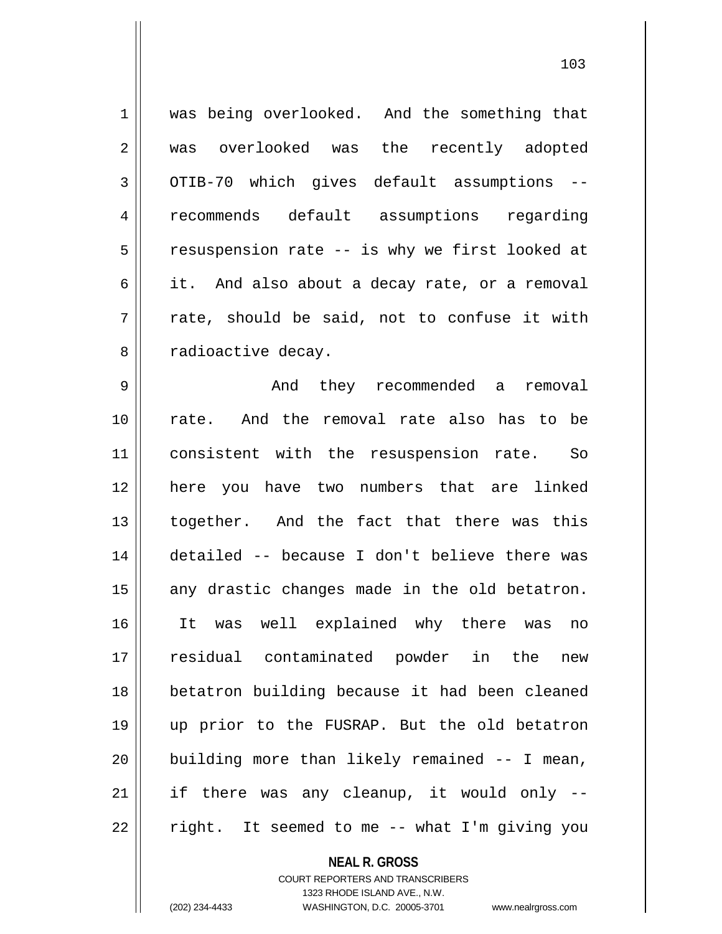| 1  | was being overlooked. And the something that   |
|----|------------------------------------------------|
| 2  | was overlooked was the recently adopted        |
| 3  | OTIB-70 which gives default assumptions --     |
| 4  | recommends default assumptions regarding       |
| 5  | resuspension rate -- is why we first looked at |
| 6  | it. And also about a decay rate, or a removal  |
| 7  | rate, should be said, not to confuse it with   |
| 8  | radioactive decay.                             |
| 9  | And they recommended a removal                 |
| 10 | rate. And the removal rate also has to be      |
| 11 | consistent with the resuspension rate. So      |
| 12 | here you have two numbers that are linked      |
| 13 | together. And the fact that there was this     |
| 14 | detailed -- because I don't believe there was  |
| 15 | any drastic changes made in the old betatron.  |
| 16 | It was well explained why there was<br>no      |
| 17 | residual contaminated powder in the<br>new     |
| 18 | betatron building because it had been cleaned  |
| 19 | up prior to the FUSRAP. But the old betatron   |
| 20 | building more than likely remained -- I mean,  |
| 21 | if there was any cleanup, it would only --     |
| 22 | right. It seemed to me -- what I'm giving you  |
|    |                                                |

**NEAL R. GROSS** COURT REPORTERS AND TRANSCRIBERS

1323 RHODE ISLAND AVE., N.W.

 $\mathsf{I}$ 

(202) 234-4433 WASHINGTON, D.C. 20005-3701 www.nealrgross.com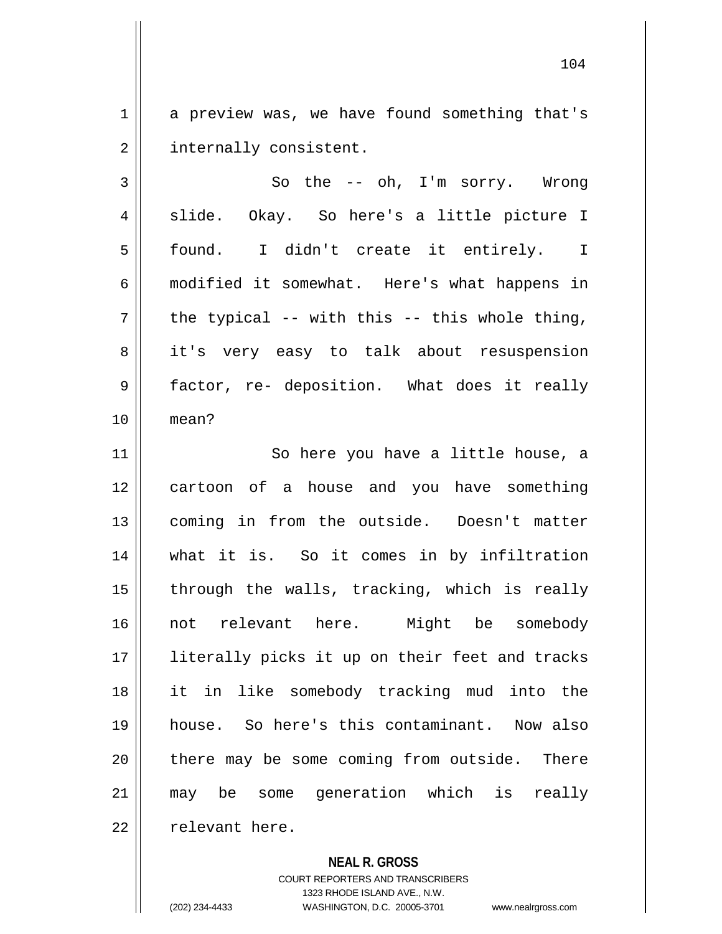1 a preview was, we have found something that's 2 | internally consistent.

 $3 \parallel$  So the -- oh, I'm sorry. Wrong 4 || slide. Okay. So here's a little picture I 5 found. I didn't create it entirely. I 6 modified it somewhat. Here's what happens in  $7 \parallel$  the typical -- with this -- this whole thing, 8 || it's very easy to talk about resuspension 9 factor, re- deposition. What does it really 10 mean?

11 || So here you have a little house, a 12 || cartoon of a house and you have something 13 coming in from the outside. Doesn't matter 14 what it is. So it comes in by infiltration  $15$  || through the walls, tracking, which is really 16 not relevant here. Might be somebody 17 || literally picks it up on their feet and tracks 18 it in like somebody tracking mud into the 19 house. So here's this contaminant. Now also 20 || there may be some coming from outside. There 21 may be some generation which is really 22 | relevant here.

## **NEAL R. GROSS**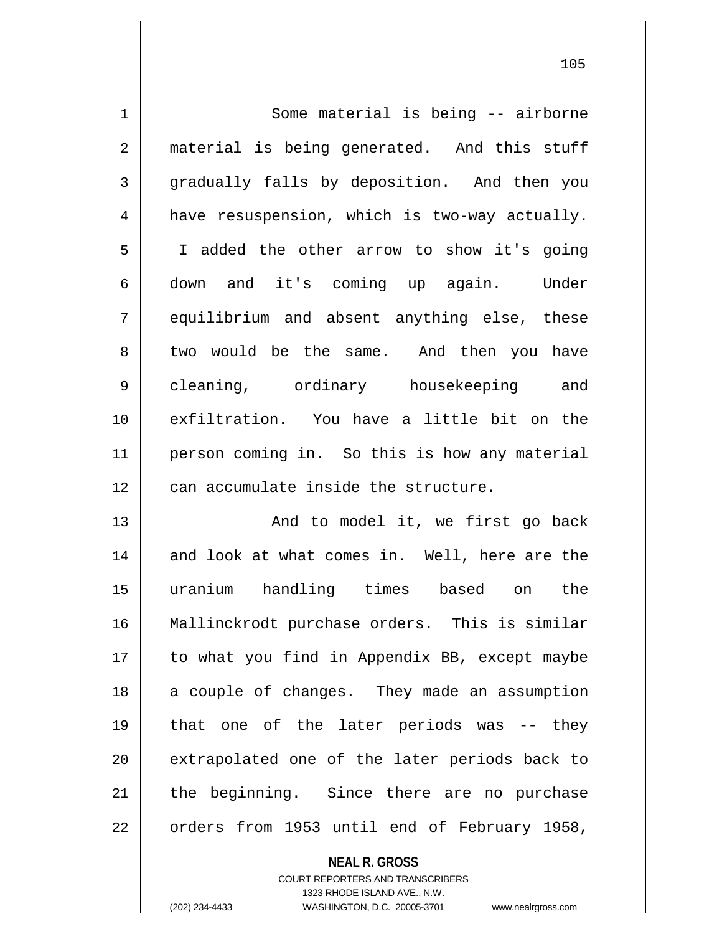1 | Some material is being -- airborne 2 || material is being generated. And this stuff 3 gradually falls by deposition. And then you  $4 \parallel$  have resuspension, which is two-way actually. 5 I added the other arrow to show it's going 6 down and it's coming up again. Under 7 equilibrium and absent anything else, these 8 two would be the same. And then you have 9 cleaning, ordinary housekeeping and 10 exfiltration. You have a little bit on the 11 || person coming in. So this is how any material  $12$   $\parallel$  can accumulate inside the structure.

13 || And to model it, we first go back 14 and look at what comes in. Well, here are the 15 uranium handling times based on the 16 Mallinckrodt purchase orders. This is similar 17 || to what you find in Appendix BB, except maybe 18 || a couple of changes. They made an assumption 19 that one of the later periods was -- they 20 || extrapolated one of the later periods back to  $21$  the beginning. Since there are no purchase 22 | orders from 1953 until end of February 1958,

**NEAL R. GROSS**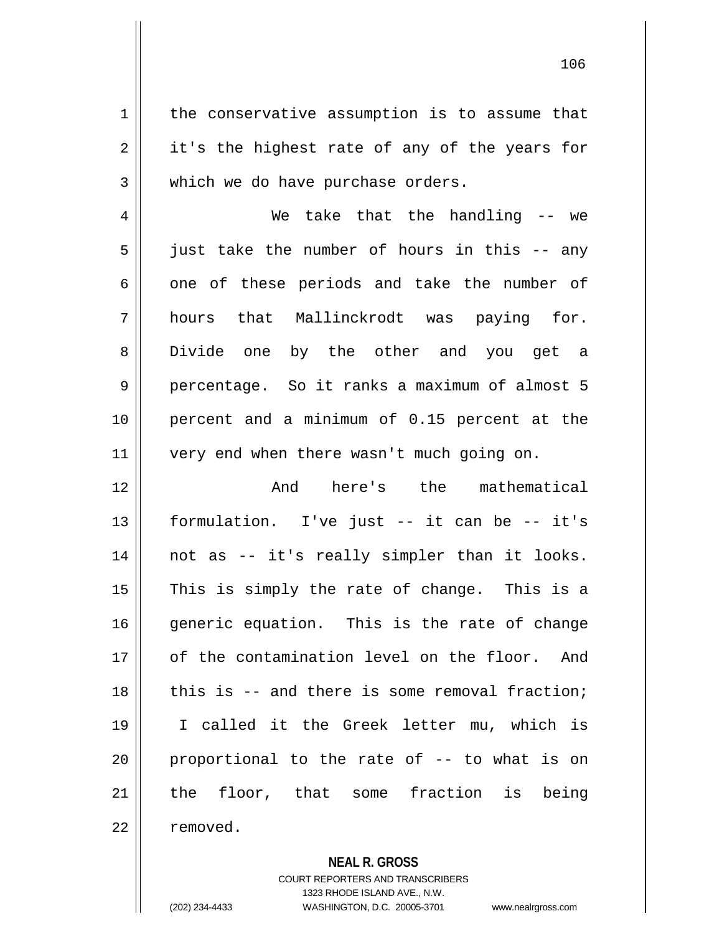$1 \parallel$  the conservative assumption is to assume that  $2 \parallel$  it's the highest rate of any of the years for 3 Which we do have purchase orders.

4 We take that the handling -- we  $5 \parallel$  just take the number of hours in this -- any  $6 \parallel$  one of these periods and take the number of 7 || hours that Mallinckrodt was paying for. 8 Divide one by the other and you get a 9 percentage. So it ranks a maximum of almost 5 10 percent and a minimum of 0.15 percent at the 11 || very end when there wasn't much going on.

12 || The mathematical can also here's the mathematical 13 formulation. I've just -- it can be -- it's 14 || not as -- it's really simpler than it looks.  $15$  This is simply the rate of change. This is a 16 generic equation. This is the rate of change 17 || of the contamination level on the floor. And  $18$  || this is -- and there is some removal fraction; 19 I called it the Greek letter mu, which is  $20$  || proportional to the rate of  $-$  to what is on 21 || the floor, that some fraction is being 22 l removed.

**NEAL R. GROSS**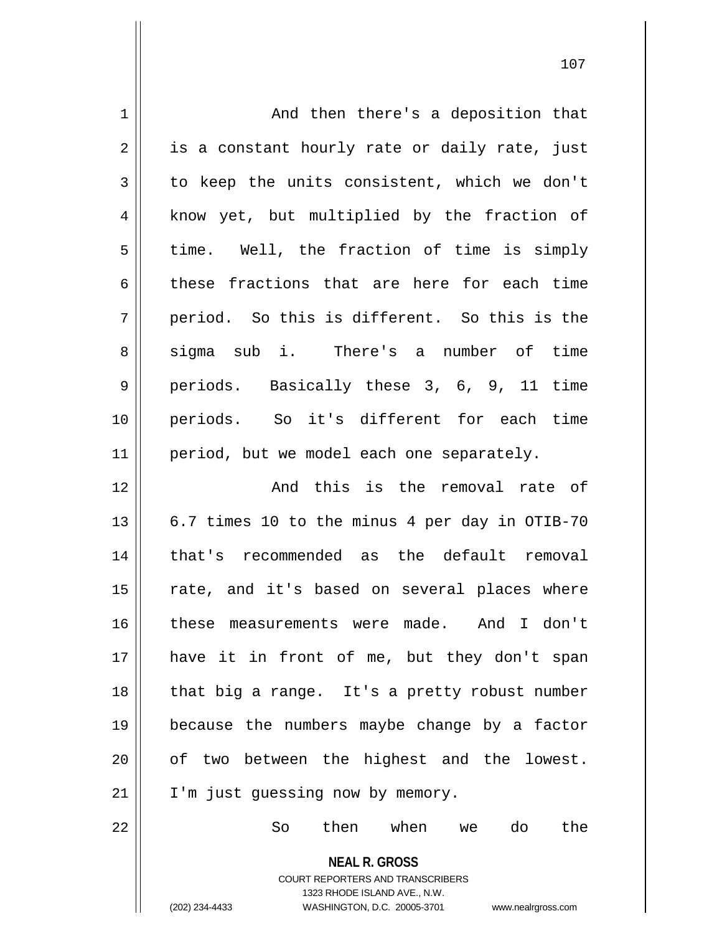| $\mathbf 1$    | And then there's a deposition that                                                                                                                                     |
|----------------|------------------------------------------------------------------------------------------------------------------------------------------------------------------------|
| $\overline{2}$ | is a constant hourly rate or daily rate, just                                                                                                                          |
| 3              | to keep the units consistent, which we don't                                                                                                                           |
| $\overline{4}$ | know yet, but multiplied by the fraction of                                                                                                                            |
| 5              | time. Well, the fraction of time is simply                                                                                                                             |
| 6              | these fractions that are here for each time                                                                                                                            |
| 7              | period. So this is different. So this is the                                                                                                                           |
| 8              | sigma sub i. There's a number of time                                                                                                                                  |
| 9              | periods. Basically these 3, 6, 9, 11 time                                                                                                                              |
| 10             | periods. So it's different for each time                                                                                                                               |
| 11             | period, but we model each one separately.                                                                                                                              |
| 12             | And this is the removal rate of                                                                                                                                        |
| 13             | 6.7 times 10 to the minus 4 per day in OTIB-70                                                                                                                         |
| 14             | that's recommended as the default removal                                                                                                                              |
| 15             | rate, and it's based on several places where                                                                                                                           |
| 16             | these measurements were made. And I don't                                                                                                                              |
| 17             | have it in front of me, but they don't span                                                                                                                            |
| 18             | that big a range. It's a pretty robust number                                                                                                                          |
| 19             | because the numbers maybe change by a factor                                                                                                                           |
| 20             | of two between the highest and the lowest.                                                                                                                             |
| 21             | I'm just guessing now by memory.                                                                                                                                       |
| 22             | then<br>when<br>do<br>the<br>So<br>we                                                                                                                                  |
|                | <b>NEAL R. GROSS</b><br><b>COURT REPORTERS AND TRANSCRIBERS</b><br>1323 RHODE ISLAND AVE., N.W.<br>(202) 234-4433<br>WASHINGTON, D.C. 20005-3701<br>www.nealrgross.com |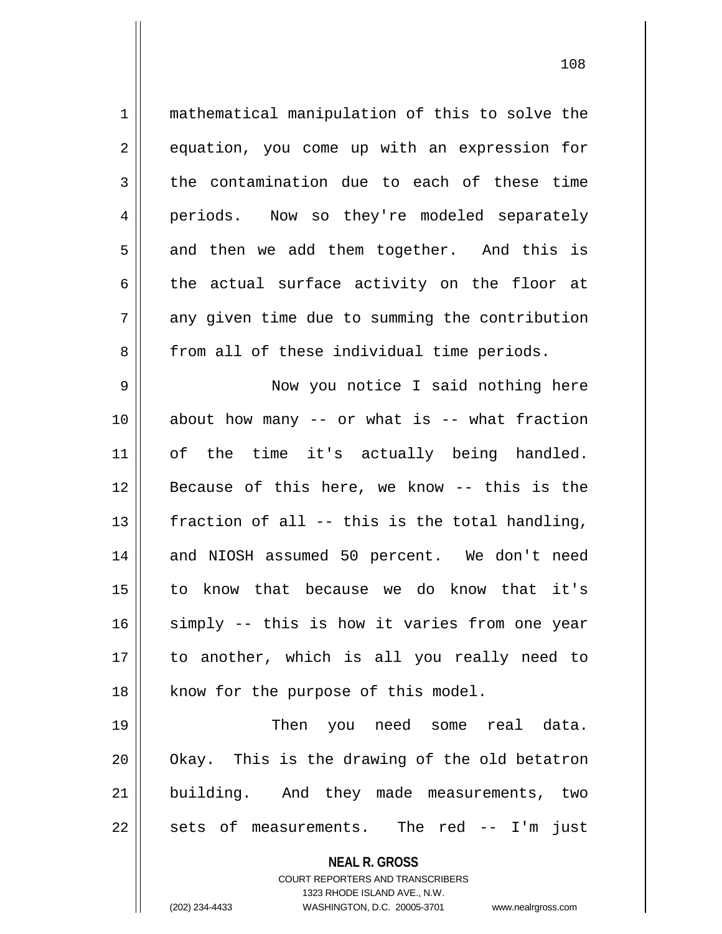1 || mathematical manipulation of this to solve the 2 equation, you come up with an expression for  $3 \parallel$  the contamination due to each of these time 4 || periods. Now so they're modeled separately  $5 \parallel$  and then we add them together. And this is  $6 \parallel$  the actual surface activity on the floor at  $7 \parallel$  any given time due to summing the contribution 8 || from all of these individual time periods. 9 || Now you notice I said nothing here 10 || about how many -- or what is -- what fraction 11 || of the time it's actually being handled. 12 Because of this here, we know -- this is the 13  $\parallel$  fraction of all -- this is the total handling, 14 and NIOSH assumed 50 percent. We don't need 15 to know that because we do know that it's 16 || simply -- this is how it varies from one year 17 to another, which is all you really need to 18 || know for the purpose of this model.

19 || Then you need some real data.  $20$  || Okay. This is the drawing of the old betatron 21 || building. And they made measurements, two  $22$  || sets of measurements. The red -- I'm just

> **NEAL R. GROSS** COURT REPORTERS AND TRANSCRIBERS

> > 1323 RHODE ISLAND AVE., N.W.

(202) 234-4433 WASHINGTON, D.C. 20005-3701 www.nealrgross.com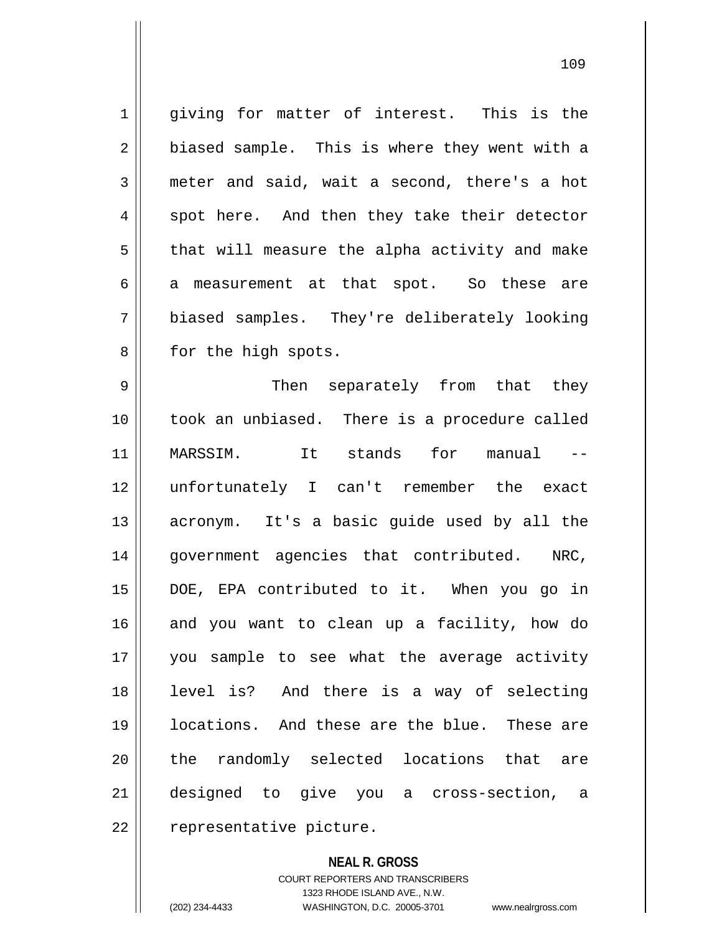1 qiving for matter of interest. This is the  $2 \parallel$  biased sample. This is where they went with a 3 meter and said, wait a second, there's a hot  $4 \parallel$  spot here. And then they take their detector  $5 \parallel$  that will measure the alpha activity and make  $6 \parallel$  a measurement at that spot. So these are 7 biased samples. They're deliberately looking 8 || for the high spots.

 Then separately from that they took an unbiased. There is a procedure called MARSSIM. It stands for manual -- unfortunately I can't remember the exact 13 || acronym. It's a basic guide used by all the 14 || government agencies that contributed. NRC, DOE, EPA contributed to it. When you go in 16 and you want to clean up a facility, how do you sample to see what the average activity level is? And there is a way of selecting locations. And these are the blue. These are 20 || the randomly selected locations that are designed to give you a cross-section, a 22 | representative picture.

> **NEAL R. GROSS** COURT REPORTERS AND TRANSCRIBERS 1323 RHODE ISLAND AVE., N.W. (202) 234-4433 WASHINGTON, D.C. 20005-3701 www.nealrgross.com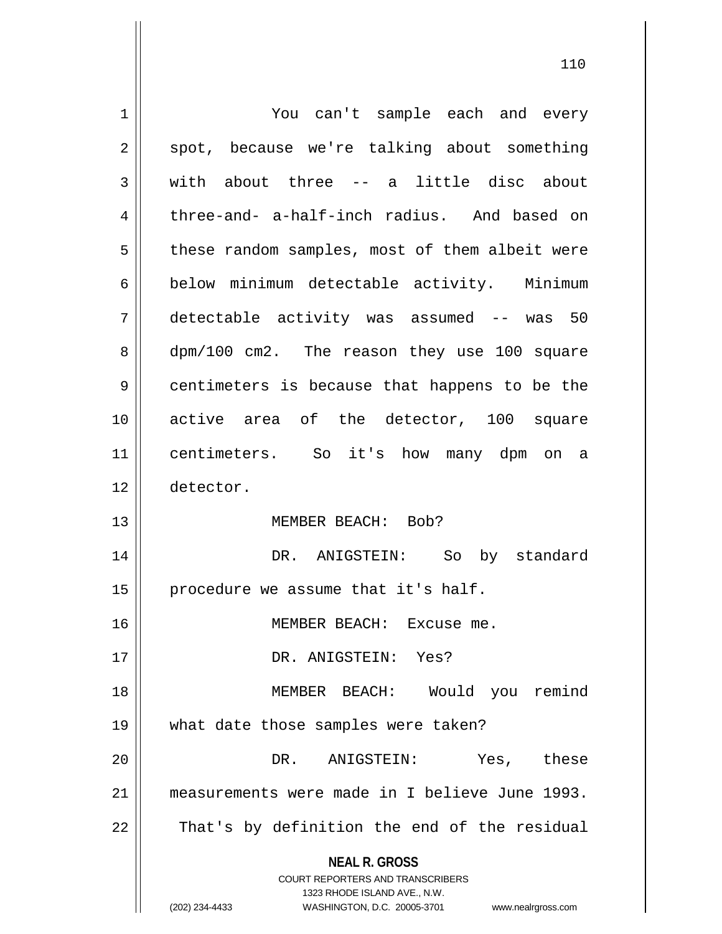| $\mathbf 1$ | You can't sample each and every                                                                     |
|-------------|-----------------------------------------------------------------------------------------------------|
| 2           | spot, because we're talking about something                                                         |
| 3           | with about three -- a little disc about                                                             |
| 4           | three-and- a-half-inch radius. And based on                                                         |
| 5           | these random samples, most of them albeit were                                                      |
| 6           | below minimum detectable activity. Minimum                                                          |
| 7           | detectable activity was assumed -- was 50                                                           |
| 8           | dpm/100 cm2. The reason they use 100 square                                                         |
| 9           | centimeters is because that happens to be the                                                       |
| 10          | active area of the detector, 100 square                                                             |
| 11          | centimeters. So it's how many dpm on a                                                              |
| 12          | detector.                                                                                           |
| 13          | MEMBER BEACH: Bob?                                                                                  |
| 14          | DR. ANIGSTEIN: So by standard                                                                       |
| 15          | procedure we assume that it's half.                                                                 |
| 16          | MEMBER BEACH: Excuse me.                                                                            |
| 17          | DR. ANIGSTEIN: Yes?                                                                                 |
| 18          | MEMBER BEACH: Would you remind                                                                      |
| 19          | what date those samples were taken?                                                                 |
| 20          | Yes, these<br>DR. ANIGSTEIN:                                                                        |
| 21          | measurements were made in I believe June 1993.                                                      |
| 22          | That's by definition the end of the residual                                                        |
|             | <b>NEAL R. GROSS</b>                                                                                |
|             | <b>COURT REPORTERS AND TRANSCRIBERS</b>                                                             |
|             | 1323 RHODE ISLAND AVE., N.W.<br>(202) 234-4433<br>WASHINGTON, D.C. 20005-3701<br>www.nealrgross.com |
|             |                                                                                                     |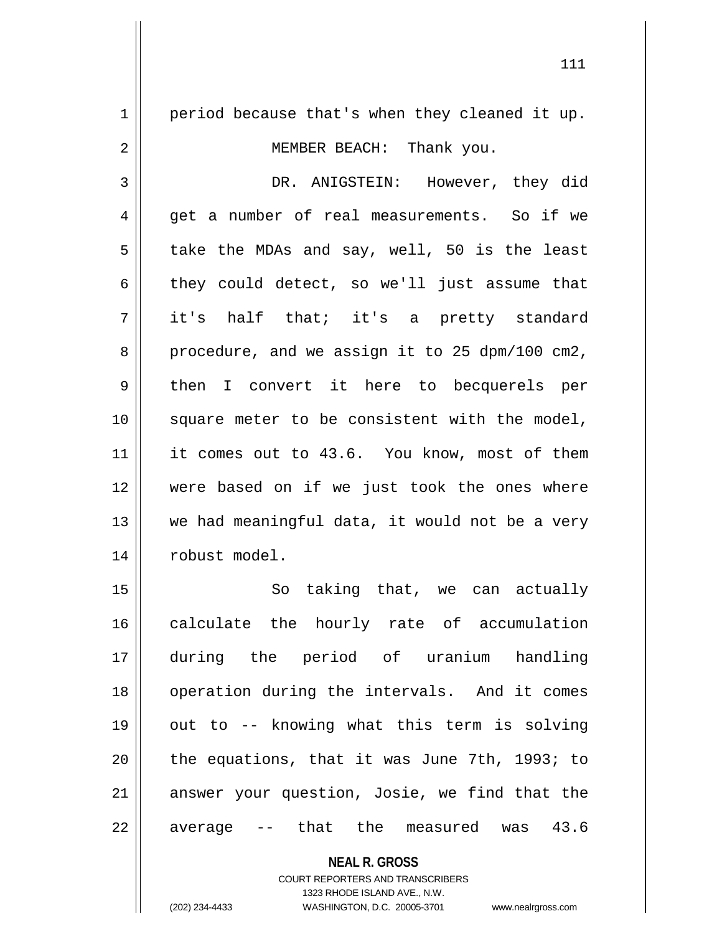$1 \parallel$  period because that's when they cleaned it up. 2 || MEMBER BEACH: Thank you. 3 DR. ANIGSTEIN: However, they did 4 get a number of real measurements. So if we  $5 \parallel$  take the MDAs and say, well, 50 is the least  $6 \parallel$  they could detect, so we'll just assume that 7 it's half that; it's a pretty standard  $8 \parallel$  procedure, and we assign it to 25 dpm/100 cm2, 9 || then I convert it here to becquerels per 10 square meter to be consistent with the model, 11 it comes out to 43.6. You know, most of them 12 were based on if we just took the ones where  $13$  we had meaningful data, it would not be a very 14 | robust model. 15 || So taking that, we can actually 16 calculate the hourly rate of accumulation 17 during the period of uranium handling 18 || operation during the intervals. And it comes 19 || out to -- knowing what this term is solving 20  $\parallel$  the equations, that it was June 7th, 1993; to

 $22 \parallel$  average  $-$  that the measured was 43.6

**NEAL R. GROSS** COURT REPORTERS AND TRANSCRIBERS

21 answer your question, Josie, we find that the

1323 RHODE ISLAND AVE., N.W.

(202) 234-4433 WASHINGTON, D.C. 20005-3701 www.nealrgross.com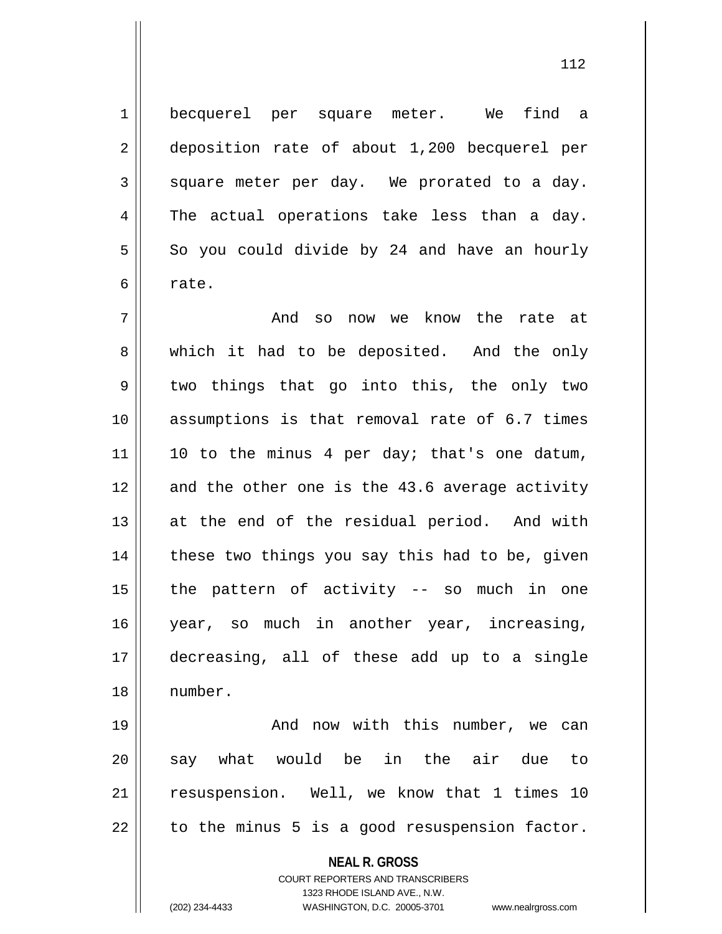1 becquerel per square meter. We find a 2 deposition rate of about 1,200 becquerel per  $3 \parallel$  square meter per day. We prorated to a day.  $4 \parallel$  The actual operations take less than a day.  $5 \parallel$  So you could divide by 24 and have an hourly  $6 \mid$  rate.

 And so now we know the rate at 8 Which it had to be deposited. And the only 9 || two things that go into this, the only two assumptions is that removal rate of 6.7 times 10 to the minus 4 per day; that's one datum, and the other one is the 43.6 average activity at the end of the residual period. And with | these two things you say this had to be, given | the pattern of activity -- so much in one year, so much in another year, increasing, decreasing, all of these add up to a single 18 number.

 And now with this number, we can 20 || say what would be in the air due to resuspension. Well, we know that 1 times 10 | to the minus 5 is a good resuspension factor.

> **NEAL R. GROSS** COURT REPORTERS AND TRANSCRIBERS 1323 RHODE ISLAND AVE., N.W.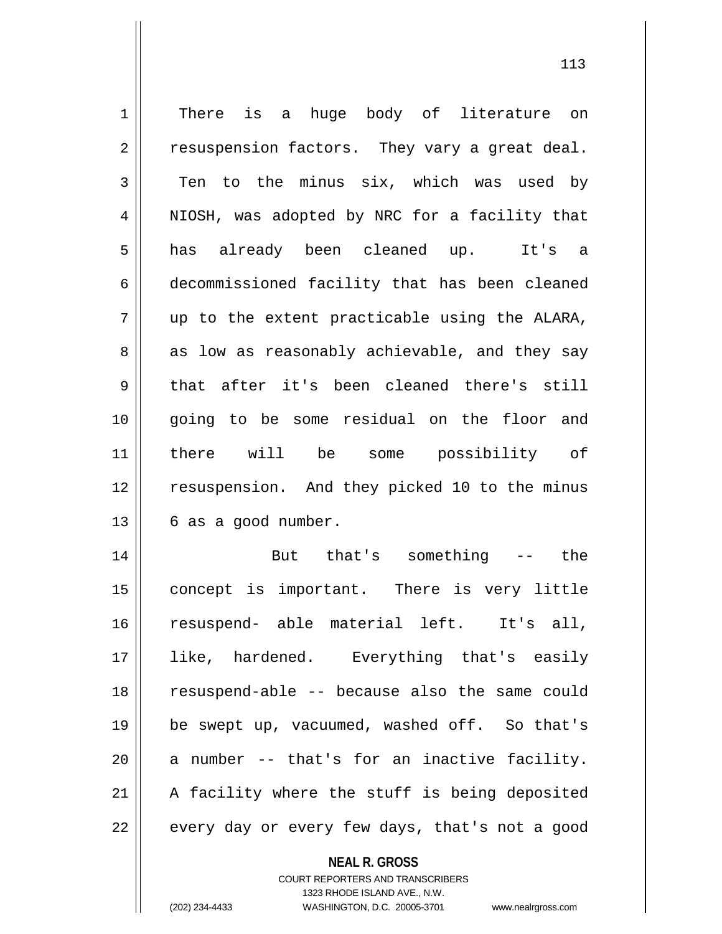| $\mathbf 1$    | There is a huge body of literature on         |
|----------------|-----------------------------------------------|
| 2              | resuspension factors. They vary a great deal. |
| 3              | Ten to the minus six, which was used by       |
| $\overline{4}$ | NIOSH, was adopted by NRC for a facility that |
| 5              | has already been cleaned up.<br>It's a        |
| 6              | decommissioned facility that has been cleaned |
| 7              | up to the extent practicable using the ALARA, |
| 8              | as low as reasonably achievable, and they say |
| 9              | that after it's been cleaned there's still    |
| 10             | going to be some residual on the floor and    |
| 11             | there will be some possibility of             |
| 12             | resuspension. And they picked 10 to the minus |
|                |                                               |
| 13             | 6 as a good number.                           |
| 14             | But that's something -- the                   |
| 15             | concept is important. There is very little    |
| 16             | resuspend- able material left. It's all,      |
| 17             | like, hardened. Everything that's easily      |
| 18             | resuspend-able -- because also the same could |
| 19             | be swept up, vacuumed, washed off. So that's  |
| 20             | a number -- that's for an inactive facility.  |
| 21             | A facility where the stuff is being deposited |

**NEAL R. GROSS** COURT REPORTERS AND TRANSCRIBERS

1323 RHODE ISLAND AVE., N.W.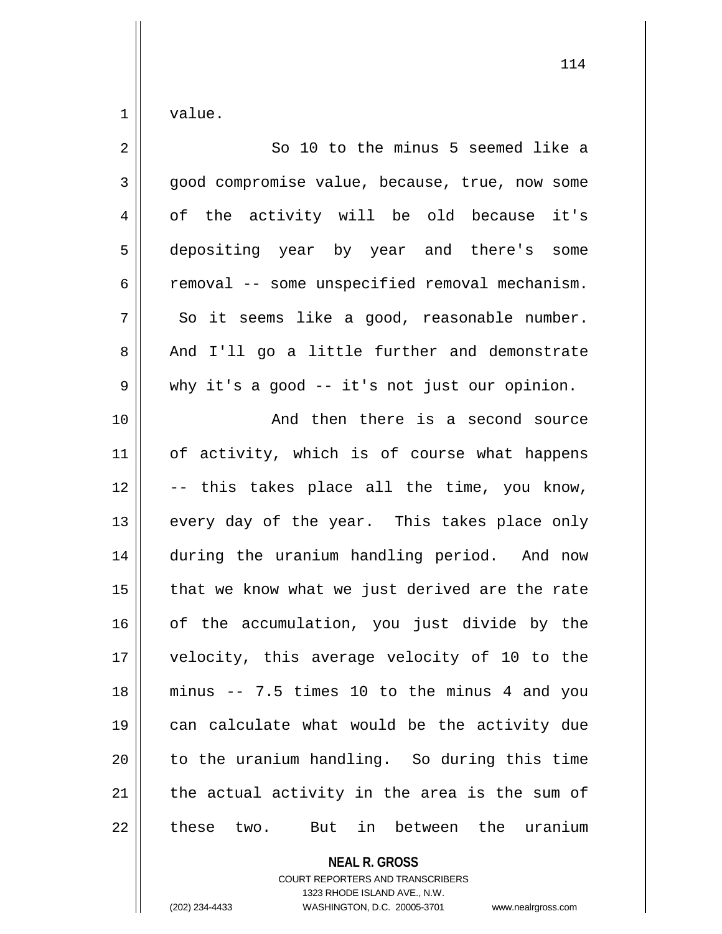$1 \parallel$  value.

| $\overline{2}$ | So 10 to the minus 5 seemed like a                   |
|----------------|------------------------------------------------------|
| $\mathbf{3}$   | good compromise value, because, true, now some       |
| 4              | of the activity will be old because it's             |
| 5              | depositing year by year and there's some             |
| 6              | removal -- some unspecified removal mechanism.       |
| 7              | So it seems like a good, reasonable number.          |
| 8              | And I'll go a little further and demonstrate         |
| $\mathsf 9$    | why it's a good -- it's not just our opinion.        |
| 10             | And then there is a second source                    |
| 11             | of activity, which is of course what happens         |
| 12             | -- this takes place all the time, you know,          |
| 13             | every day of the year. This takes place only         |
| 14             | during the uranium handling period. And now          |
| 15             | that we know what we just derived are the rate       |
| 16             | of the accumulation, you just divide by the          |
| 17             | velocity, this average velocity of 10 to the         |
| 18             | minus -- 7.5 times 10 to the minus 4 and you         |
| 19             | can calculate what would be the activity due         |
| 20             | to the uranium handling. So during this time         |
| 21             | the actual activity in the area is the sum of        |
| 22             | these<br>between the<br>uranium<br>two.<br>But<br>in |

**NEAL R. GROSS** COURT REPORTERS AND TRANSCRIBERS

1323 RHODE ISLAND AVE., N.W.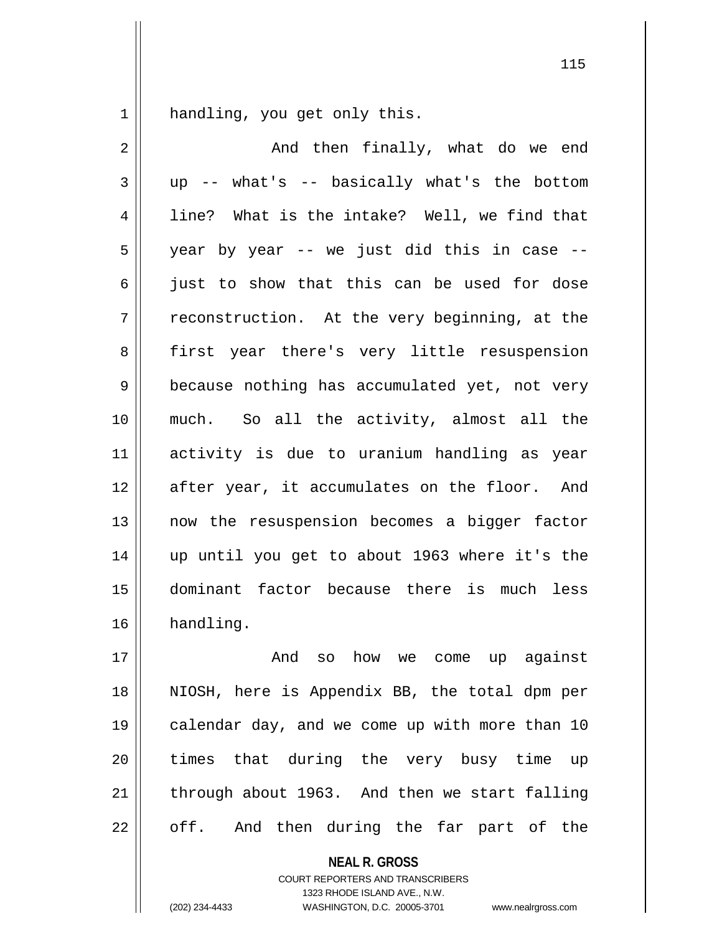1 || handling, you get only this.

2 And then finally, what do we end  $3 \parallel$  up -- what's -- basically what's the bottom  $4 \parallel$  line? What is the intake? Well, we find that  $5 \parallel$  year by year -- we just did this in case -- $6 \parallel$  just to show that this can be used for dose  $7 \parallel$  reconstruction. At the very beginning, at the 8 || first year there's very little resuspension  $9 \parallel$  because nothing has accumulated yet, not very 10 much. So all the activity, almost all the 11 activity is due to uranium handling as year 12 || after year, it accumulates on the floor. And 13 || now the resuspension becomes a bigger factor 14 up until you get to about 1963 where it's the 15 dominant factor because there is much less 16 handling.

17 And so how we come up against 18 NIOSH, here is Appendix BB, the total dpm per 19 || calendar day, and we come up with more than 10 20 || times that during the very busy time up  $21$  through about 1963. And then we start falling  $22 \parallel$  off. And then during the far part of the

> **NEAL R. GROSS** COURT REPORTERS AND TRANSCRIBERS

> > 1323 RHODE ISLAND AVE., N.W.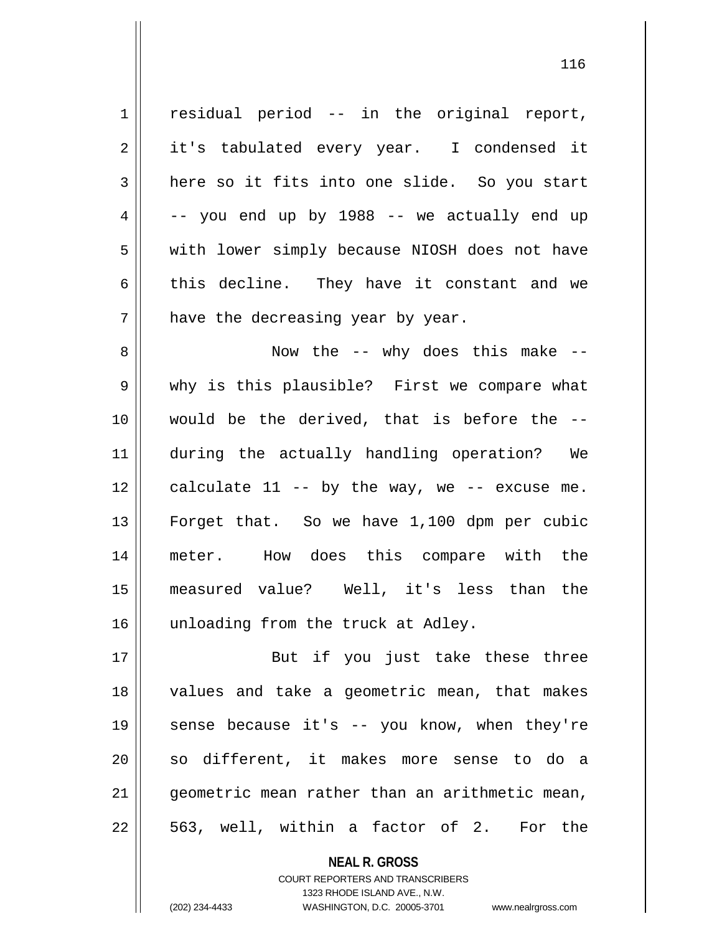$1 \parallel$  residual period -- in the original report, 2 || it's tabulated every year. I condensed it  $3$  here so it fits into one slide. So you start  $4 \parallel$  -- you end up by 1988 -- we actually end up 5 | with lower simply because NIOSH does not have  $6 \parallel$  this decline. They have it constant and we  $7$  | have the decreasing year by year.

 Now the -- why does this make -- 9 why is this plausible? First we compare what would be the derived, that is before the -- during the actually handling operation? We | calculate 11 -- by the way, we -- excuse me. Forget that. So we have 1,100 dpm per cubic meter. How does this compare with the measured value? Well, it's less than the 16 || unloading from the truck at Adley.

17 || But if you just take these three 18 values and take a geometric mean, that makes 19 || sense because it's -- you know, when they're 20 || so different, it makes more sense to do a 21 geometric mean rather than an arithmetic mean,  $22 \parallel 563$ , well, within a factor of 2. For the

> **NEAL R. GROSS** COURT REPORTERS AND TRANSCRIBERS 1323 RHODE ISLAND AVE., N.W. (202) 234-4433 WASHINGTON, D.C. 20005-3701 www.nealrgross.com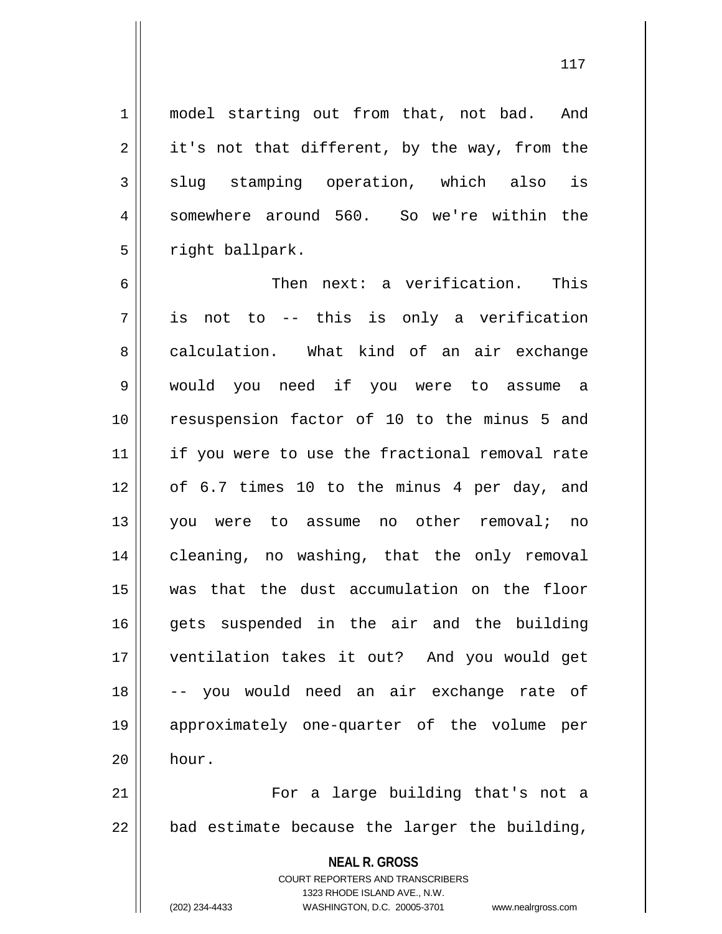1 || model starting out from that, not bad. And  $2 \parallel$  it's not that different, by the way, from the  $3 \parallel$  slug stamping operation, which also is 4 Somewhere around 560. So we're within the

6 Then next: a verification. This  $7$  is not to -- this is only a verification 8 calculation. What kind of an air exchange 9 would you need if you were to assume a 10 resuspension factor of 10 to the minus 5 and 11 || if you were to use the fractional removal rate 12 of 6.7 times 10 to the minus 4 per day, and 13 || you were to assume no other removal; no 14 || cleaning, no washing, that the only removal 15 was that the dust accumulation on the floor 16 || gets suspended in the air and the building 17 ventilation takes it out? And you would get 18 -- you would need an air exchange rate of 19 approximately one-quarter of the volume per  $20$  hour.

21 For a large building that's not a  $22$  | bad estimate because the larger the building,

> **NEAL R. GROSS** COURT REPORTERS AND TRANSCRIBERS 1323 RHODE ISLAND AVE., N.W.

 $5 \parallel$  right ballpark.

<sup>(202) 234-4433</sup> WASHINGTON, D.C. 20005-3701 www.nealrgross.com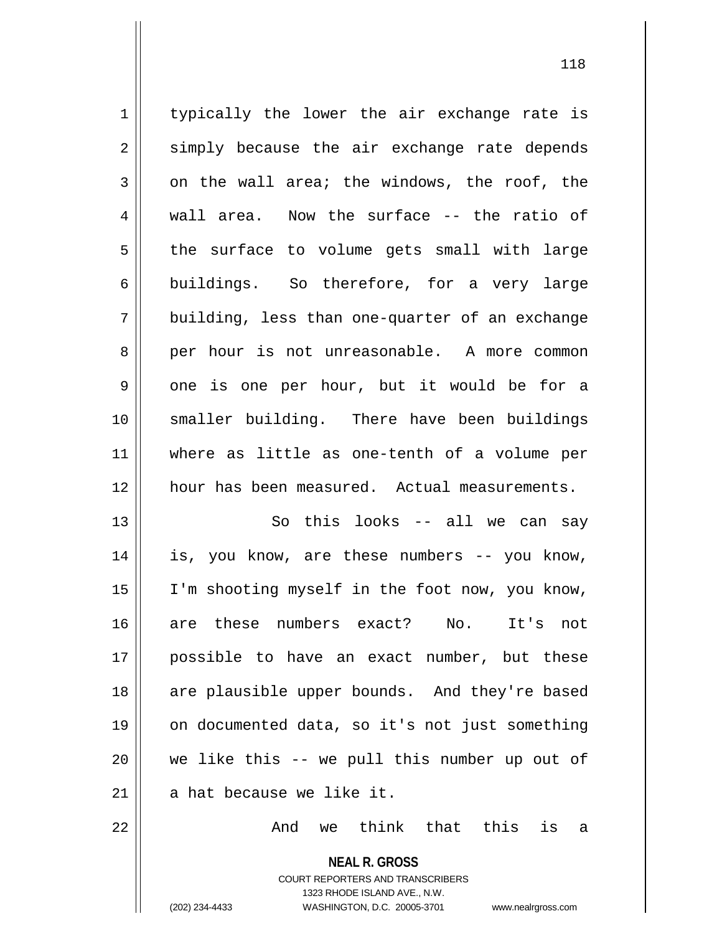$1 \parallel$  typically the lower the air exchange rate is  $2 \parallel$  simply because the air exchange rate depends  $3 \parallel$  on the wall area; the windows, the roof, the 4 || wall area. Now the surface -- the ratio of  $5$  the surface to volume gets small with large  $6 \parallel$  buildings. So therefore, for a very large  $7 \parallel$  building, less than one-quarter of an exchange 8 per hour is not unreasonable. A more common 9 || one is one per hour, but it would be for a 10 smaller building. There have been buildings 11 where as little as one-tenth of a volume per 12 hour has been measured. Actual measurements. 13 || So this looks -- all we can say 14 is, you know, are these numbers -- you know, 15 I'm shooting myself in the foot now, you know, 16 are these numbers exact? No. It's not 17 possible to have an exact number, but these 18 || are plausible upper bounds. And they're based 19 on documented data, so it's not just something  $20$  we like this  $-$  we pull this number up out of  $21$  || a hat because we like it.  $22$   $\parallel$  and we think that this is a

> **NEAL R. GROSS** COURT REPORTERS AND TRANSCRIBERS 1323 RHODE ISLAND AVE., N.W. (202) 234-4433 WASHINGTON, D.C. 20005-3701 www.nealrgross.com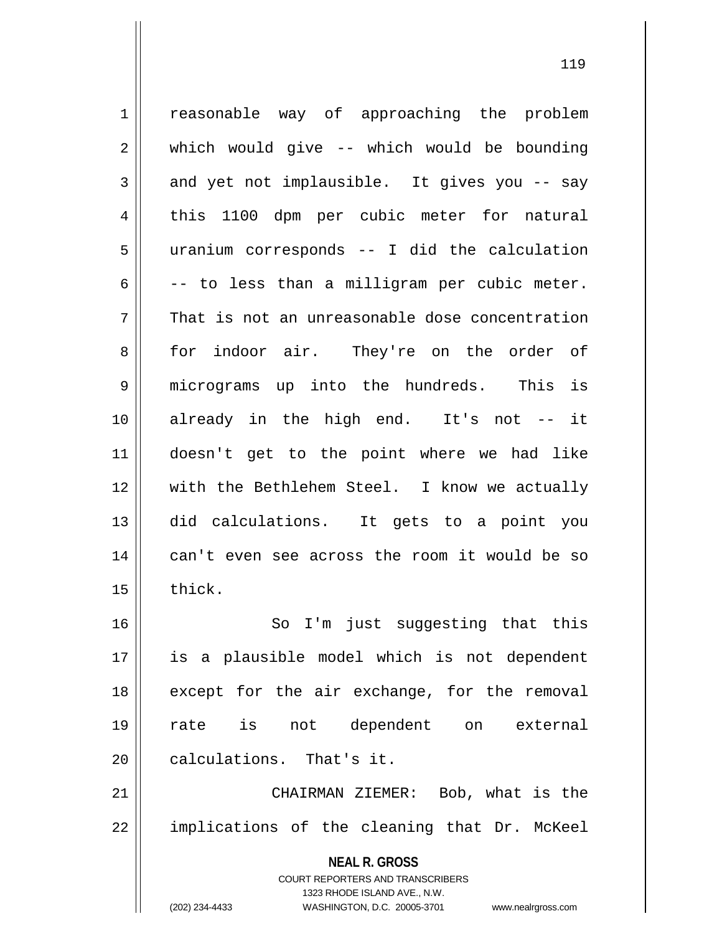**NEAL R. GROSS** COURT REPORTERS AND TRANSCRIBERS 1323 RHODE ISLAND AVE., N.W. 1 || reasonable way of approaching the problem  $2 \parallel$  which would give -- which would be bounding  $3 \parallel$  and yet not implausible. It gives you -- say 4 this 1100 dpm per cubic meter for natural 5 uranium corresponds -- I did the calculation  $6 \parallel$  -- to less than a milligram per cubic meter.  $7 \parallel$  That is not an unreasonable dose concentration 8 for indoor air. They're on the order of 9 || micrograms up into the hundreds. This is 10 already in the high end. It's not -- it 11 doesn't get to the point where we had like 12 with the Bethlehem Steel. I know we actually 13 did calculations. It gets to a point you 14 || can't even see across the room it would be so  $15$   $\parallel$  thick. 16 || So I'm just suggesting that this 17 is a plausible model which is not dependent  $18$  || except for the air exchange, for the removal 19 rate is not dependent on external 20 | calculations. That's it. 21 CHAIRMAN ZIEMER: Bob, what is the  $22$  || implications of the cleaning that Dr. McKeel

(202) 234-4433 WASHINGTON, D.C. 20005-3701 www.nealrgross.com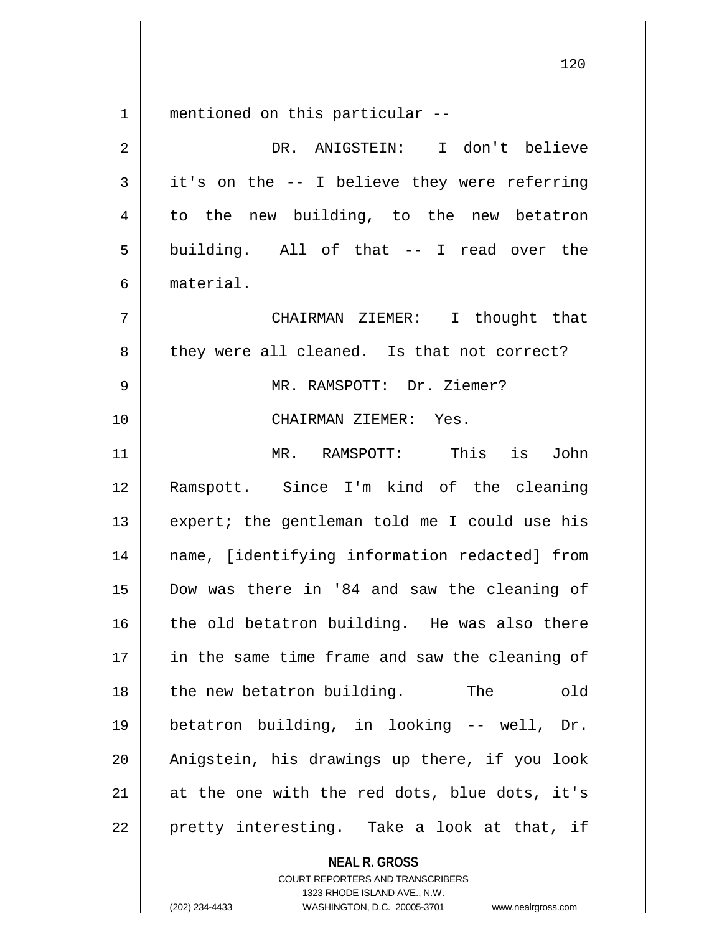mentioned on this particular --

| $\overline{2}$ | DR. ANIGSTEIN: I don't believe                 |
|----------------|------------------------------------------------|
| 3              | it's on the -- I believe they were referring   |
| 4              | to the new building, to the new betatron       |
| 5              | building. All of that -- I read over the       |
| 6              | material.                                      |
| 7              | CHAIRMAN ZIEMER: I thought that                |
| 8              | they were all cleaned. Is that not correct?    |
| 9              | MR. RAMSPOTT: Dr. Ziemer?                      |
| 10             | CHAIRMAN ZIEMER: Yes.                          |
| 11             | MR. RAMSPOTT: This<br>is<br>John               |
| 12             | Ramspott. Since I'm kind of the cleaning       |
| 13             | expert; the gentleman told me I could use his  |
| 14             | name, [identifying information redacted] from  |
| 15             | Dow was there in '84 and saw the cleaning of   |
| 16             | the old betatron building. He was also there   |
| $17\,$         | in the same time frame and saw the cleaning of |
| 18             | The<br>the new betatron building.<br>old       |
| 19             | betatron building, in looking -- well, Dr.     |
| 20             | Anigstein, his drawings up there, if you look  |
| 21             | at the one with the red dots, blue dots, it's  |
| 22             | pretty interesting. Take a look at that, if    |
|                | <b>NEAL R. GROSS</b>                           |

COURT REPORTERS AND TRANSCRIBERS 1323 RHODE ISLAND AVE., N.W.

(202) 234-4433 WASHINGTON, D.C. 20005-3701 www.nealrgross.com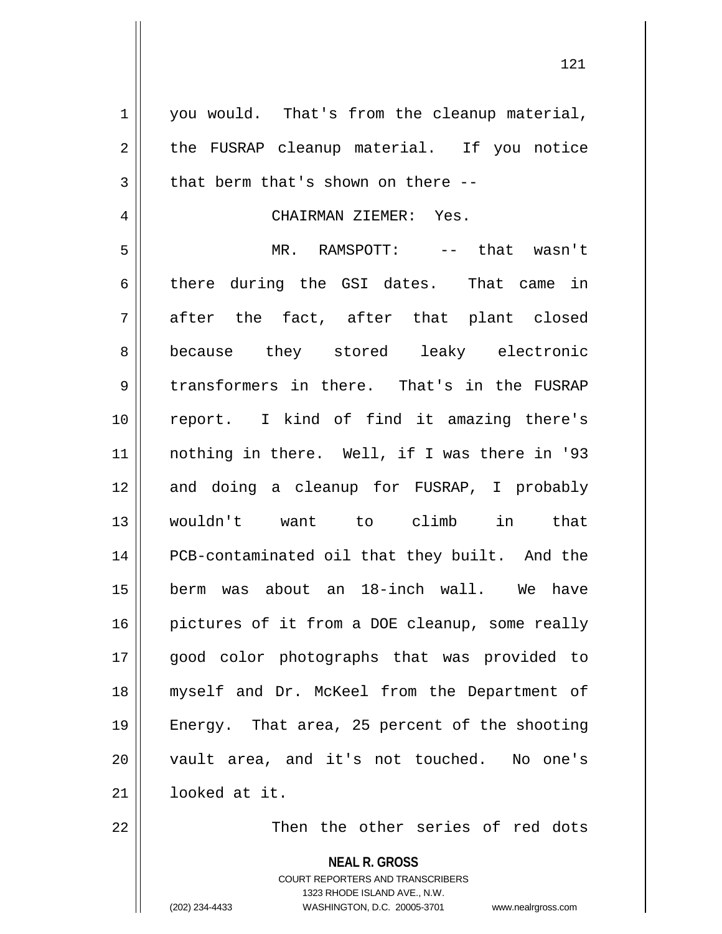1 || you would. That's from the cleanup material,  $2 \parallel$  the FUSRAP cleanup material. If you notice  $3 \parallel$  that berm that's shown on there --4 | CHAIRMAN ZIEMER: Yes. 5 MR. RAMSPOTT: -- that wasn't 6 there during the GSI dates. That came in  $7 \parallel$  after the fact, after that plant closed 8 because they stored leaky electronic 9 transformers in there. That's in the FUSRAP 10 report. I kind of find it amazing there's 11 nothing in there. Well, if I was there in '93 12 and doing a cleanup for FUSRAP, I probably 13 wouldn't want to climb in that 14 || PCB-contaminated oil that they built. And the 15 berm was about an 18-inch wall. We have 16 || pictures of it from a DOE cleanup, some really 17 good color photographs that was provided to 18 myself and Dr. McKeel from the Department of 19 Energy. That area, 25 percent of the shooting 20 vault area, and it's not touched. No one's 21 looked at it. 22 || Then the other series of red dots

> **NEAL R. GROSS** COURT REPORTERS AND TRANSCRIBERS 1323 RHODE ISLAND AVE., N.W. (202) 234-4433 WASHINGTON, D.C. 20005-3701 www.nealrgross.com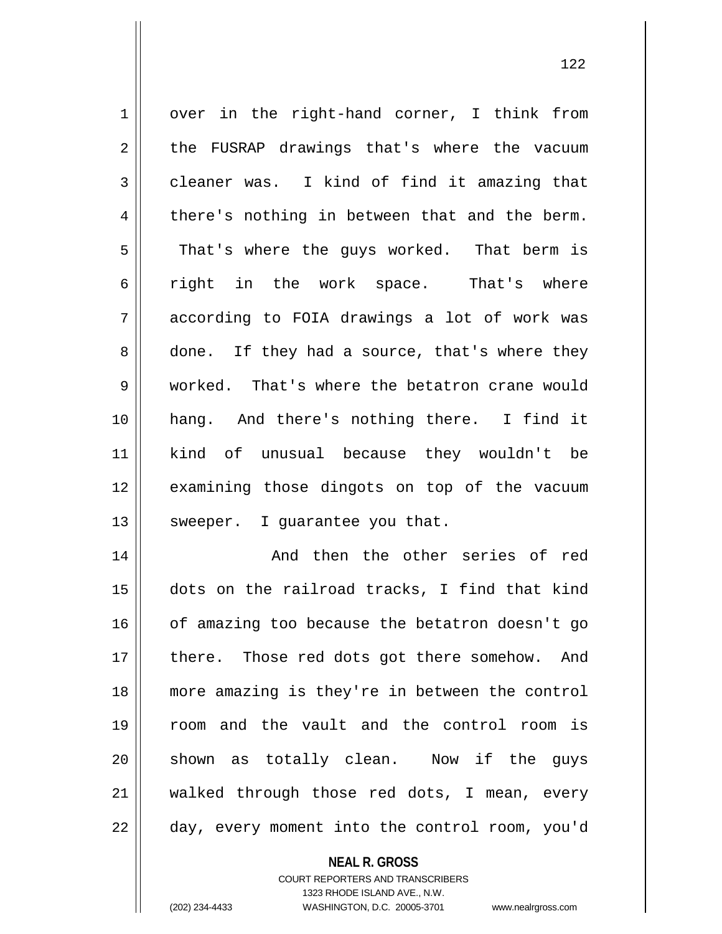1 || over in the right-hand corner, I think from 2 || the FUSRAP drawings that's where the vacuum  $3 \parallel$  cleaner was. I kind of find it amazing that  $4 \parallel$  there's nothing in between that and the berm. 5 || That's where the guys worked. That berm is 6 fold right in the work space. That's where  $7 \parallel$  according to FOIA drawings a lot of work was  $8 \parallel$  done. If they had a source, that's where they 9 Worked. That's where the betatron crane would 10 hang. And there's nothing there. I find it 11 kind of unusual because they wouldn't be 12 || examining those dingots on top of the vacuum  $13$  | sweeper. I guarantee you that. 14 And then the other series of red

 dots on the railroad tracks, I find that kind | of amazing too because the betatron doesn't go 17 || there. Those red dots got there somehow. And more amazing is they're in between the control room and the vault and the control room is 20 || shown as totally clean. Now if the guys walked through those red dots, I mean, every 22 || day, every moment into the control room, you'd

> **NEAL R. GROSS** COURT REPORTERS AND TRANSCRIBERS

> > 1323 RHODE ISLAND AVE., N.W.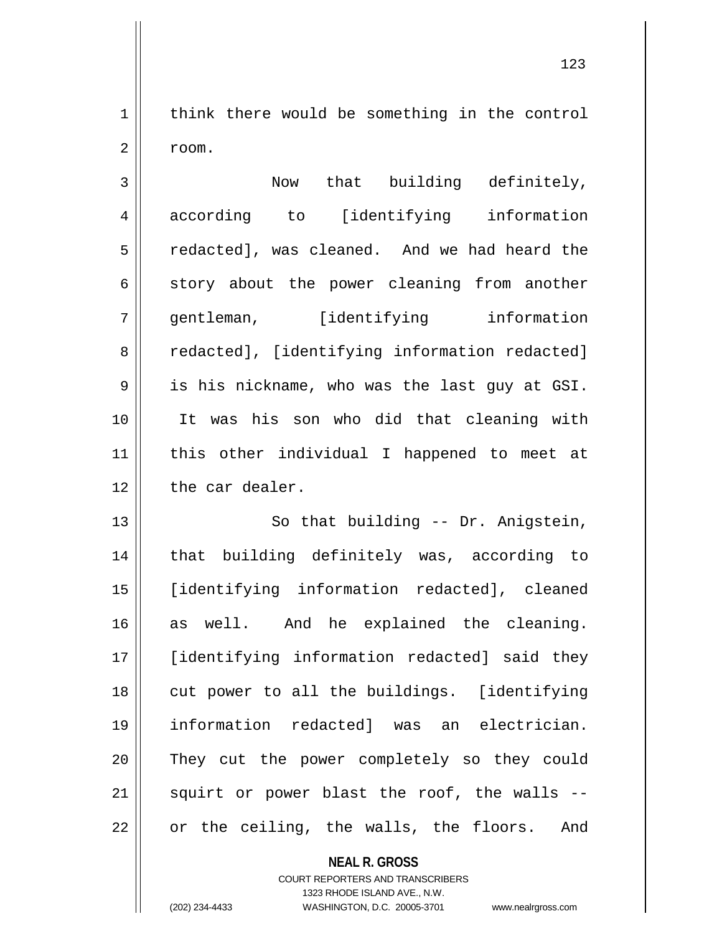$1 \parallel$  think there would be something in the control  $2 \parallel$  room.

3 Now that building definitely, 4 according to [identifying information 5 | redacted], was cleaned. And we had heard the  $6 \parallel$  story about the power cleaning from another 7 gentleman, [identifying information 8 | redacted], [identifying information redacted]  $9 \parallel$  is his nickname, who was the last guy at GSI. 10 It was his son who did that cleaning with 11 this other individual I happened to meet at 12 the car dealer.

13 || So that building -- Dr. Anigstein, 14 || that building definitely was, according to 15 [identifying information redacted], cleaned 16 as well. And he explained the cleaning. 17 [identifying information redacted] said they 18 || cut power to all the buildings. [identifying 19 information redacted] was an electrician. 20 They cut the power completely so they could  $21$  squirt or power blast the roof, the walls  $22 \parallel$  or the ceiling, the walls, the floors. And

> **NEAL R. GROSS** COURT REPORTERS AND TRANSCRIBERS 1323 RHODE ISLAND AVE., N.W.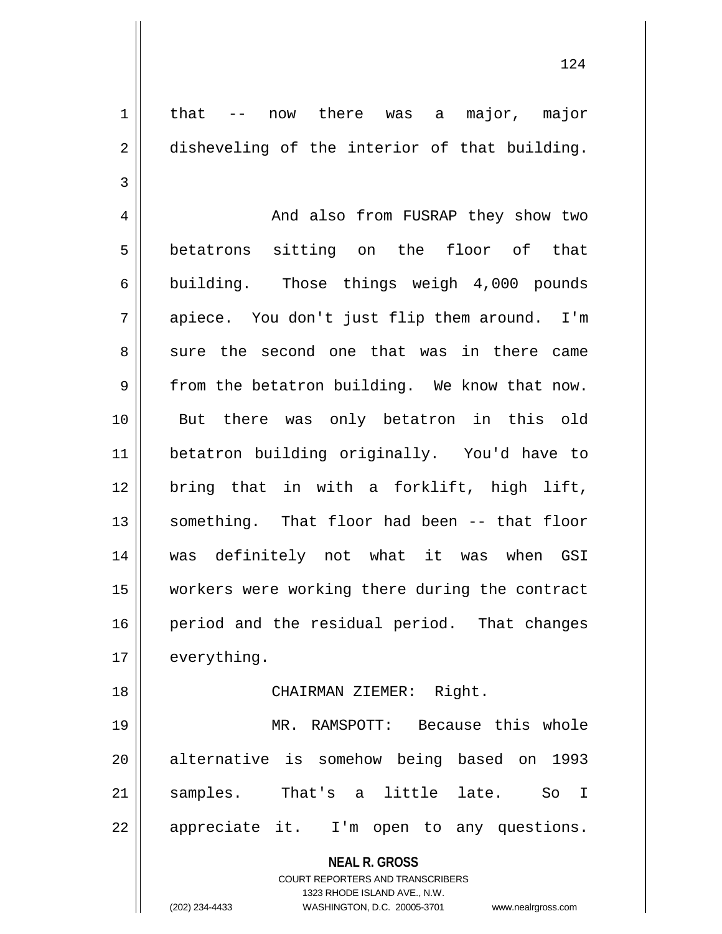1 that -- now there was a major, major 2 disheveling of the interior of that building. 3 4 And also from FUSRAP they show two 5 betatrons sitting on the floor of that 6 building. Those things weigh 4,000 pounds 7 || apiece. You don't just flip them around. I'm 8 sure the second one that was in there came  $9 \parallel$  from the betatron building. We know that now. 10 But there was only betatron in this old 11 betatron building originally. You'd have to 12 bring that in with a forklift, high lift, 13 something. That floor had been -- that floor 14 was definitely not what it was when GSI 15 workers were working there during the contract 16 || period and the residual period. That changes 17 | everything. 18 || CHAIRMAN ZIEMER: Right. 19 MR. RAMSPOTT: Because this whole 20 || alternative is somehow being based on 1993 21 || samples. That's a little late. So I

22 || appreciate it. I'm open to any questions.

**NEAL R. GROSS** COURT REPORTERS AND TRANSCRIBERS

1323 RHODE ISLAND AVE., N.W.

(202) 234-4433 WASHINGTON, D.C. 20005-3701 www.nealrgross.com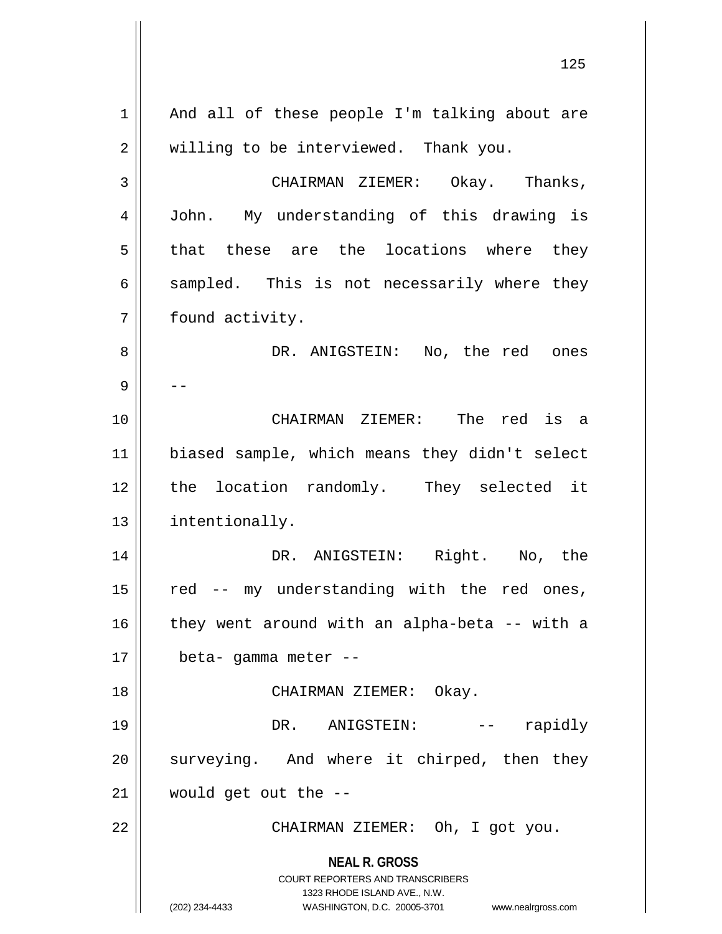**NEAL R. GROSS** COURT REPORTERS AND TRANSCRIBERS 1323 RHODE ISLAND AVE., N.W. (202) 234-4433 WASHINGTON, D.C. 20005-3701 www.nealrgross.com  $1 \parallel$  And all of these people I'm talking about are 2 || willing to be interviewed. Thank you. 3 CHAIRMAN ZIEMER: Okay. Thanks, 4 John. My understanding of this drawing is 5 that these are the locations where they  $6 \parallel$  sampled. This is not necessarily where they 7 | found activity. 8 DR. ANIGSTEIN: No, the red ones 9 | --10 CHAIRMAN ZIEMER: The red is a 11 biased sample, which means they didn't select 12 || the location randomly. They selected it 13 | intentionally. 14 DR. ANIGSTEIN: Right. No, the  $15$  red -- my understanding with the red ones,  $16$  | they went around with an alpha-beta -- with a  $17$  | beta- gamma meter --18 CHAIRMAN ZIEMER: Okay. 19 DR. ANIGSTEIN: -- rapidly 20 || surveying. And where it chirped, then they  $21$  | would get out the  $-$ 22 | CHAIRMAN ZIEMER: Oh, I got you.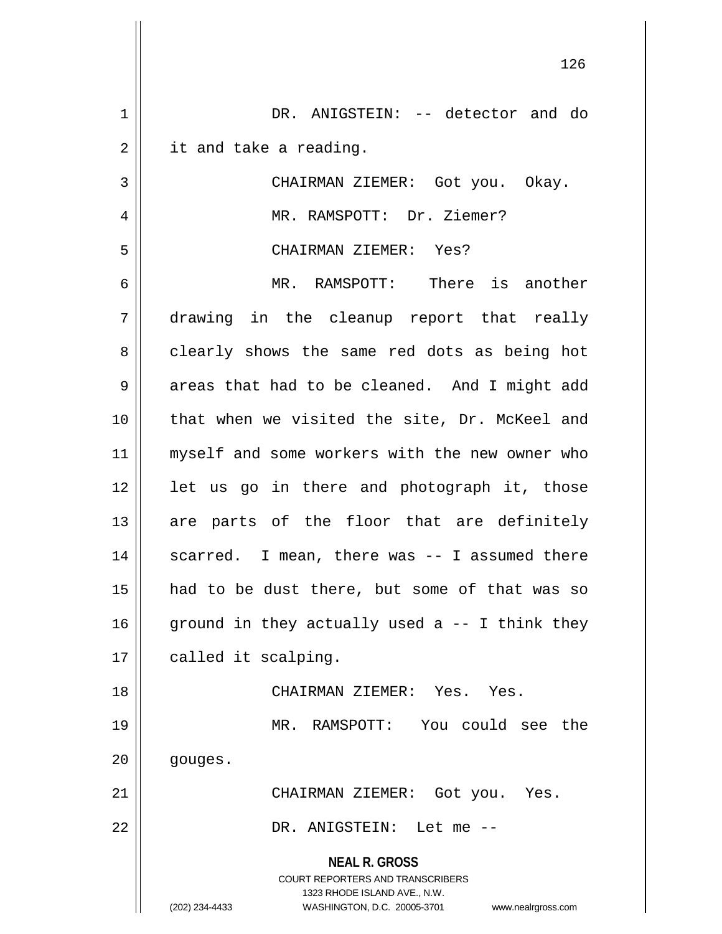| $\mathbf 1$    | DR. ANIGSTEIN: -- detector and do                                                                   |
|----------------|-----------------------------------------------------------------------------------------------------|
| $\overline{2}$ | it and take a reading.                                                                              |
| 3              | CHAIRMAN ZIEMER: Got you. Okay.                                                                     |
| 4              | MR. RAMSPOTT: Dr. Ziemer?                                                                           |
| 5              | CHAIRMAN ZIEMER: Yes?                                                                               |
| 6              | MR. RAMSPOTT: There is another                                                                      |
| 7              | drawing in the cleanup report that really                                                           |
| 8              | clearly shows the same red dots as being hot                                                        |
| 9              | areas that had to be cleaned. And I might add                                                       |
| 10             | that when we visited the site, Dr. McKeel and                                                       |
| 11             | myself and some workers with the new owner who                                                      |
| 12             | let us go in there and photograph it, those                                                         |
| 13             | are parts of the floor that are definitely                                                          |
| 14             | scarred. I mean, there was -- I assumed there                                                       |
| 15             | had to be dust there, but some of that was so                                                       |
| 16             | ground in they actually used a $-$ - I think they                                                   |
| 17             | called it scalping.                                                                                 |
| 18             | CHAIRMAN ZIEMER: Yes. Yes.                                                                          |
| 19             | MR. RAMSPOTT: You could see the                                                                     |
| 20             | gouges.                                                                                             |
| 21             | CHAIRMAN ZIEMER: Got you. Yes.                                                                      |
| 22             | DR. ANIGSTEIN: Let me --                                                                            |
|                | <b>NEAL R. GROSS</b>                                                                                |
|                | <b>COURT REPORTERS AND TRANSCRIBERS</b>                                                             |
|                | 1323 RHODE ISLAND AVE., N.W.<br>WASHINGTON, D.C. 20005-3701<br>(202) 234-4433<br>www.nealrgross.com |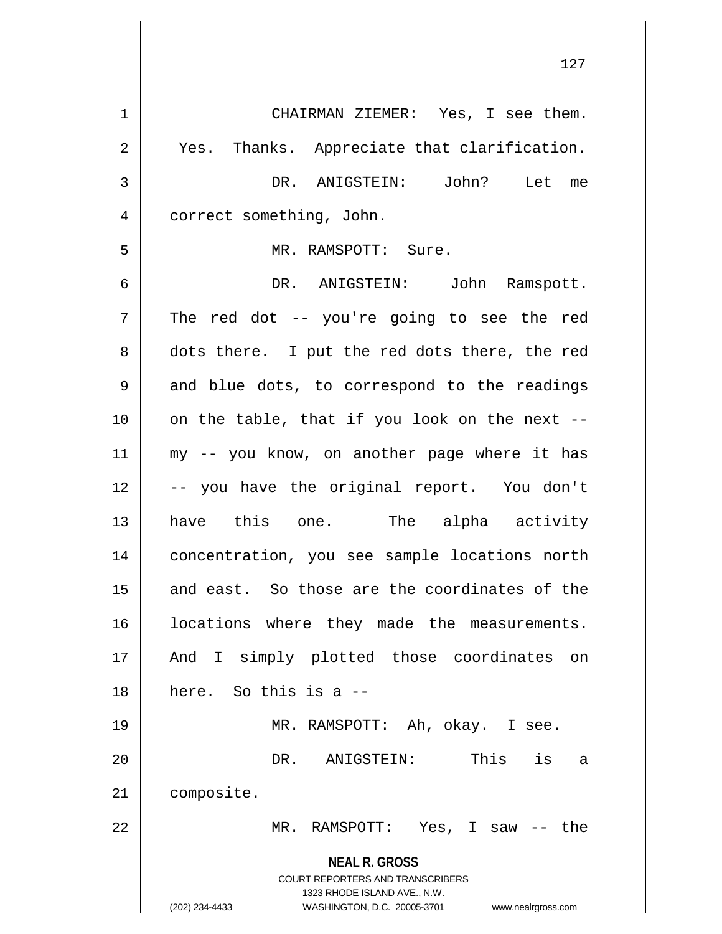**NEAL R. GROSS** COURT REPORTERS AND TRANSCRIBERS 1323 RHODE ISLAND AVE., N.W. (202) 234-4433 WASHINGTON, D.C. 20005-3701 www.nealrgross.com 1 CHAIRMAN ZIEMER: Yes, I see them. 2 || Yes. Thanks. Appreciate that clarification. 3 DR. ANIGSTEIN: John? Let me 4 | correct something, John. 5 MR. RAMSPOTT: Sure. 6 DR. ANIGSTEIN: John Ramspott.  $7 \parallel$  The red dot -- you're going to see the red 8 dots there. I put the red dots there, the red  $9 \parallel$  and blue dots, to correspond to the readings  $10$  | on the table, that if you look on the next --11 my -- you know, on another page where it has 12 || -- you have the original report. You don't 13 have this one. The alpha activity 14 || concentration, you see sample locations north 15 || and east. So those are the coordinates of the 16 || locations where they made the measurements. 17 || And I simply plotted those coordinates on 18 here. So this is a -- 19 MR. RAMSPOTT: Ah, okay. I see. 20 DR. ANIGSTEIN: This is a 21 | composite. 22 MR. RAMSPOTT: Yes, I saw -- the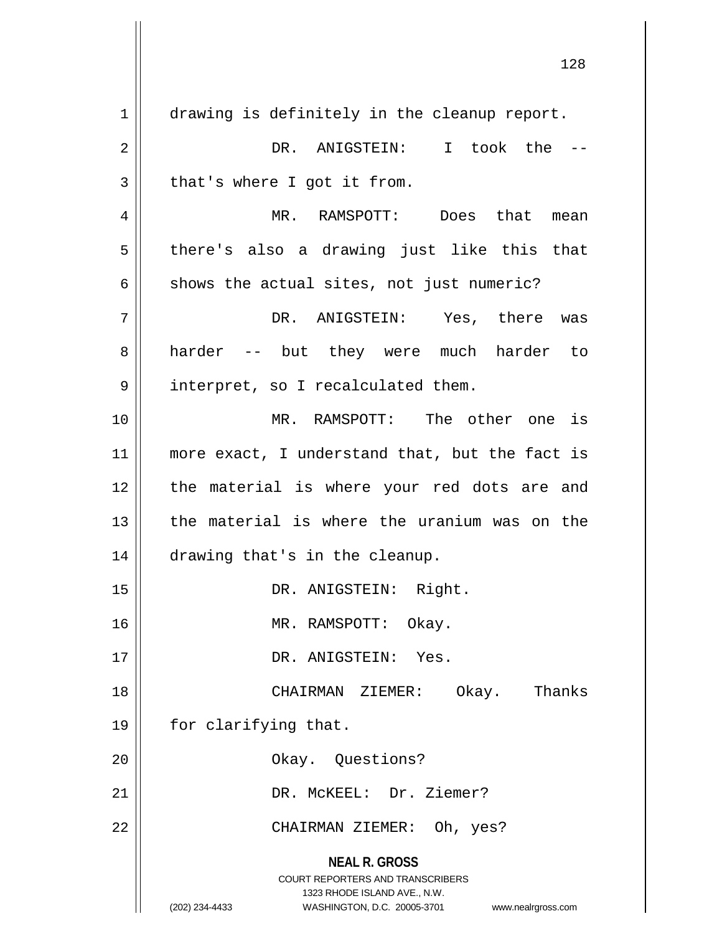**NEAL R. GROSS** COURT REPORTERS AND TRANSCRIBERS 1323 RHODE ISLAND AVE., N.W. (202) 234-4433 WASHINGTON, D.C. 20005-3701 www.nealrgross.com 1 drawing is definitely in the cleanup report. 2 DR. ANIGSTEIN: I took the --  $3 \parallel$  that's where I got it from. 4 MR. RAMSPOTT: Does that mean  $5 \parallel$  there's also a drawing just like this that  $6 \parallel$  shows the actual sites, not just numeric? 7 DR. ANIGSTEIN: Yes, there was 8 || harder -- but they were much harder to 9 || interpret, so I recalculated them. 10 MR. RAMSPOTT: The other one is 11 || more exact, I understand that, but the fact is 12 the material is where your red dots are and 13 the material is where the uranium was on the 14 drawing that's in the cleanup. 15 || DR. ANIGSTEIN: Right. 16 MR. RAMSPOTT: Okay. 17 || DR. ANIGSTEIN: Yes. 18 CHAIRMAN ZIEMER: Okay. Thanks 19 || for clarifying that. 20 || Chay. Questions? 21 DR. McKEEL: Dr. Ziemer? 22 CHAIRMAN ZIEMER: Oh, yes?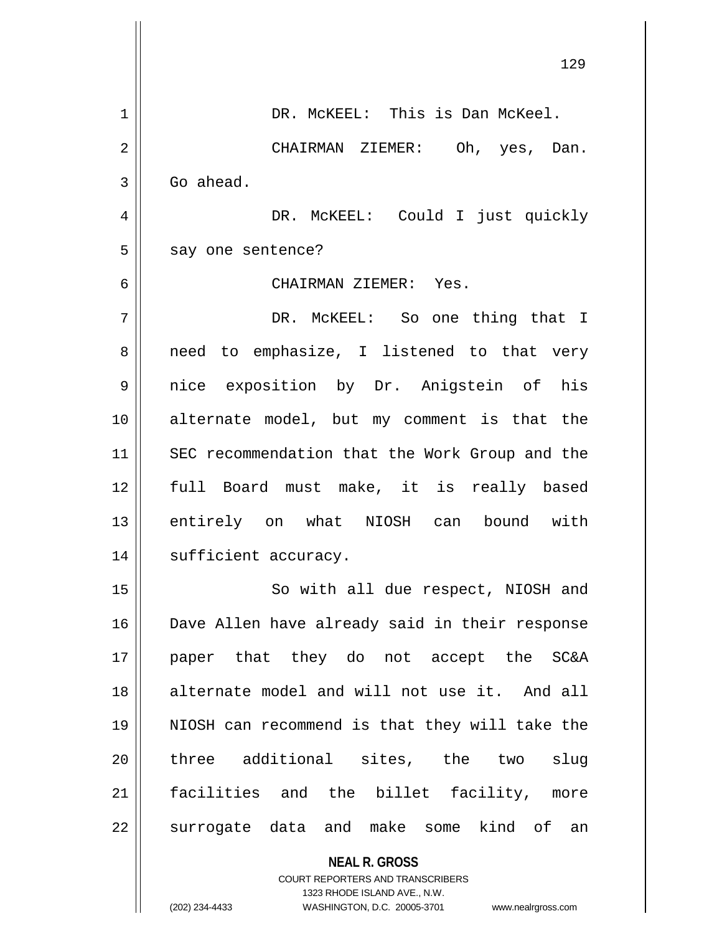|    | 129                                            |
|----|------------------------------------------------|
| 1  | DR. MCKEEL: This is Dan McKeel.                |
| 2  | CHAIRMAN ZIEMER: Oh, yes, Dan.                 |
| 3  | Go ahead.                                      |
| 4  | DR. MCKEEL: Could I just quickly               |
| 5  | say one sentence?                              |
| 6  | CHAIRMAN ZIEMER: Yes.                          |
| 7  | DR. MCKEEL: So one thing that I                |
| 8  | need to emphasize, I listened to that very     |
| 9  | nice exposition by Dr. Anigstein of his        |
| 10 | alternate model, but my comment is that the    |
| 11 | SEC recommendation that the Work Group and the |
| 12 | full Board must make, it is really based       |
| 13 | entirely on what NIOSH can bound with          |
| 14 | sufficient accuracy.                           |
| 15 | So with all due respect, NIOSH and             |
| 16 | Dave Allen have already said in their response |
| 17 | paper that they do not accept the SC&A         |
| 18 | alternate model and will not use it. And all   |
| 19 | NIOSH can recommend is that they will take the |
| 20 | three additional sites, the two<br>slug        |
| 21 | facilities and the billet facility, more       |
| 22 | surrogate data and make some kind of an        |
|    | <b>NEAL R. GROSS</b>                           |

 $\mathbb{I}$ 

 $\mathsf{II}$ 

COURT REPORTERS AND TRANSCRIBERS 1323 RHODE ISLAND AVE., N.W. (202) 234-4433 WASHINGTON, D.C. 20005-3701 www.nealrgross.com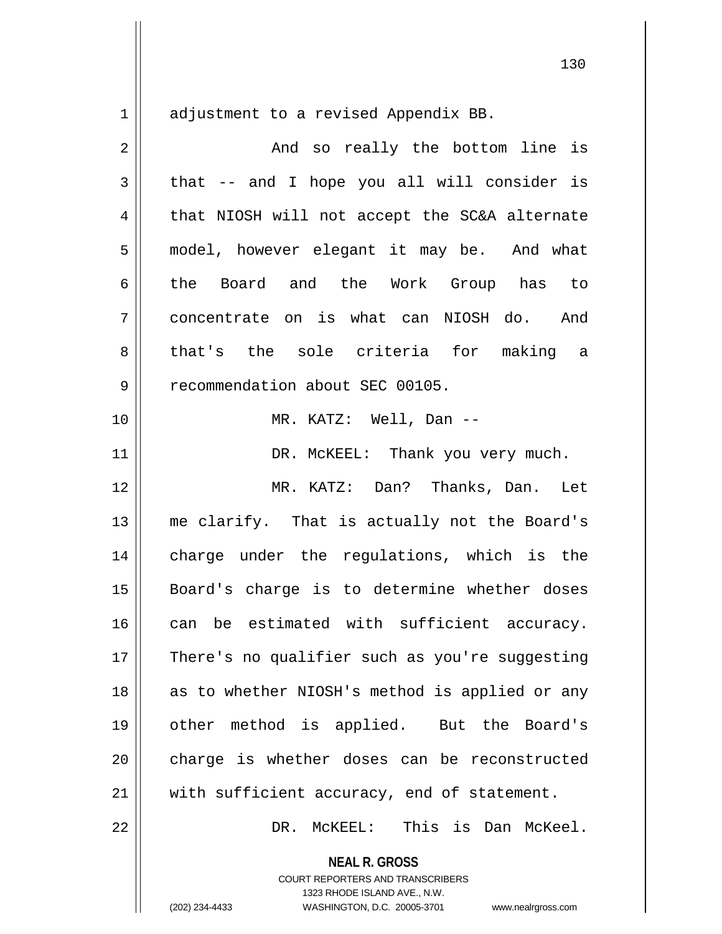adjustment to a revised Appendix BB.

| 2  | And so really the bottom line is               |
|----|------------------------------------------------|
| 3  | that -- and I hope you all will consider is    |
| 4  | that NIOSH will not accept the SC&A alternate  |
| 5  | model, however elegant it may be. And what     |
| б  | the Board and the Work Group has to            |
| 7  | concentrate on is what can NIOSH do. And       |
| 8  | that's the sole criteria for making a          |
| 9  | recommendation about SEC 00105.                |
| 10 | MR. KATZ: Well, Dan --                         |
| 11 | DR. MCKEEL: Thank you very much.               |
| 12 | MR. KATZ: Dan? Thanks, Dan. Let                |
| 13 | me clarify. That is actually not the Board's   |
| 14 | charge under the regulations, which is the     |
| 15 | Board's charge is to determine whether doses   |
| 16 | can be estimated with sufficient accuracy.     |
| 17 | There's no qualifier such as you're suggesting |
| 18 | as to whether NIOSH's method is applied or any |
| 19 | other method is applied. But the Board's       |
| 20 | charge is whether doses can be reconstructed   |
| 21 | with sufficient accuracy, end of statement.    |
| 22 | DR. MCKEEL: This is Dan McKeel.                |
|    | <b>NEAL R. GROSS</b>                           |

COURT REPORTERS AND TRANSCRIBERS 1323 RHODE ISLAND AVE., N.W.

(202) 234-4433 WASHINGTON, D.C. 20005-3701 www.nealrgross.com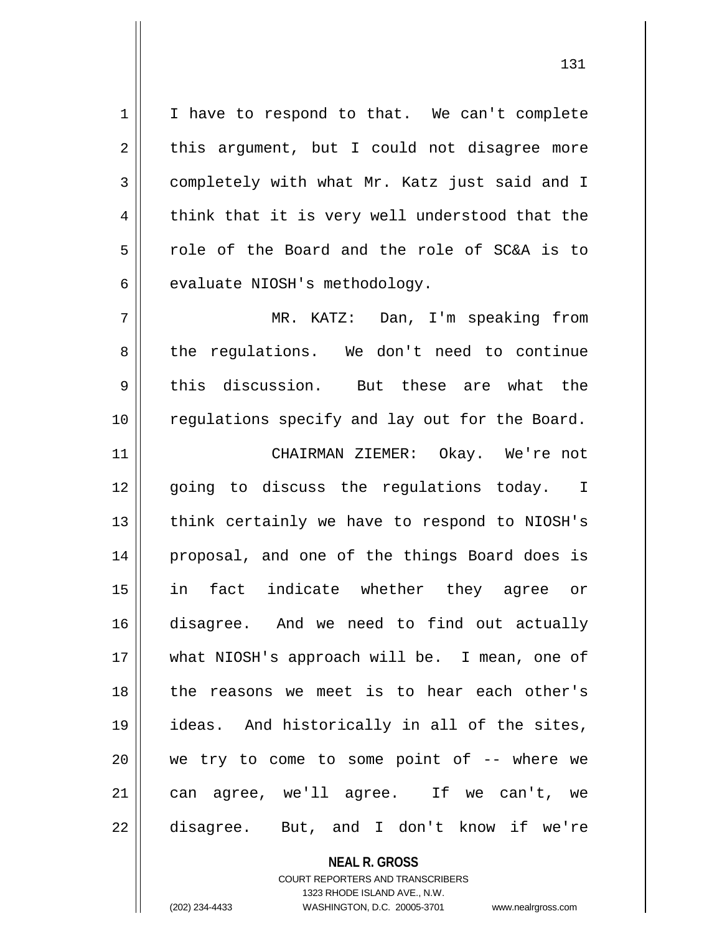1 | I have to respond to that. We can't complete  $2 \parallel$  this argument, but I could not disagree more 3 completely with what Mr. Katz just said and I  $4 \parallel$  think that it is very well understood that the 5 cole of the Board and the role of SC&A is to  $6$  || evaluate NIOSH's methodology.

7 MR. KATZ: Dan, I'm speaking from 8 || the regulations. We don't need to continue  $9 \parallel$  this discussion. But these are what the 10 || regulations specify and lay out for the Board.

 CHAIRMAN ZIEMER: Okay. We're not 12 || qoing to discuss the requlations today. I || think certainly we have to respond to NIOSH's 14 || proposal, and one of the things Board does is in fact indicate whether they agree or disagree. And we need to find out actually 17 || what NIOSH's approach will be. I mean, one of the reasons we meet is to hear each other's ideas. And historically in all of the sites, we try to come to some point of -- where we can agree, we'll agree. If we can't, we 22 disagree. But, and I don't know if we're

> **NEAL R. GROSS** COURT REPORTERS AND TRANSCRIBERS 1323 RHODE ISLAND AVE., N.W. (202) 234-4433 WASHINGTON, D.C. 20005-3701 www.nealrgross.com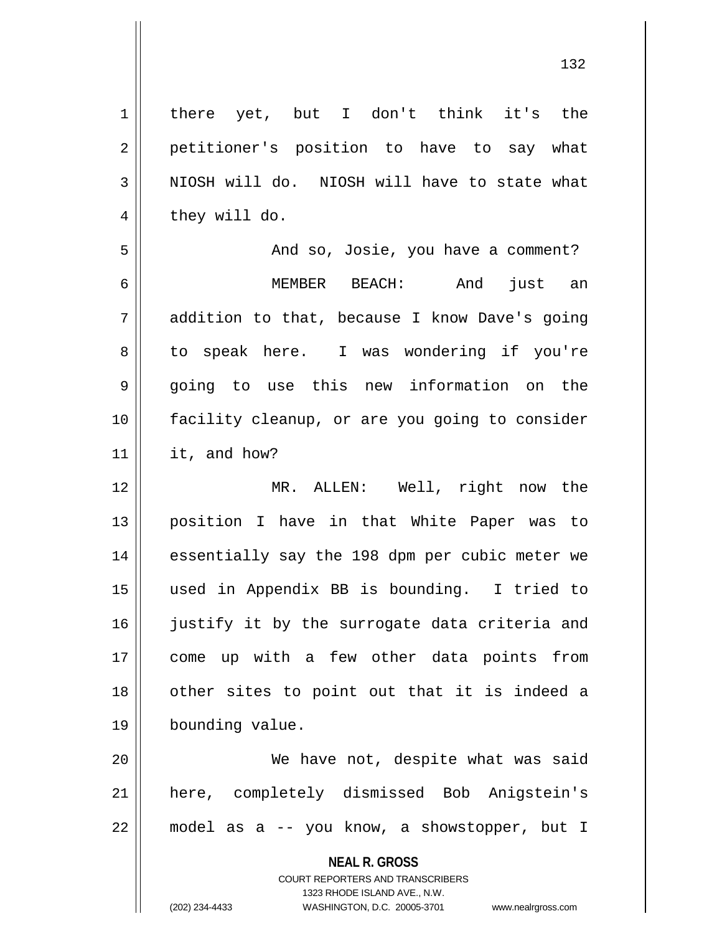**NEAL R. GROSS** COURT REPORTERS AND TRANSCRIBERS 1323 RHODE ISLAND AVE., N.W. 1 | there yet, but I don't think it's the 2 || petitioner's position to have to say what  $3$  NIOSH will do. NIOSH will have to state what  $4 \parallel$  they will do. 5 And so, Josie, you have a comment? 6 MEMBER BEACH: And just an 7 addition to that, because I know Dave's going 8 to speak here. I was wondering if you're 9 going to use this new information on the 10 facility cleanup, or are you going to consider 11 it, and how? 12 MR. ALLEN: Well, right now the 13 position I have in that White Paper was to 14 || essentially say the 198 dpm per cubic meter we 15 used in Appendix BB is bounding. I tried to 16 || justify it by the surrogate data criteria and 17 come up with a few other data points from 18 || other sites to point out that it is indeed a 19 bounding value. 20 We have not, despite what was said 21 here, completely dismissed Bob Anigstein's 22 model as a -- you know, a showstopper, but I

(202) 234-4433 WASHINGTON, D.C. 20005-3701 www.nealrgross.com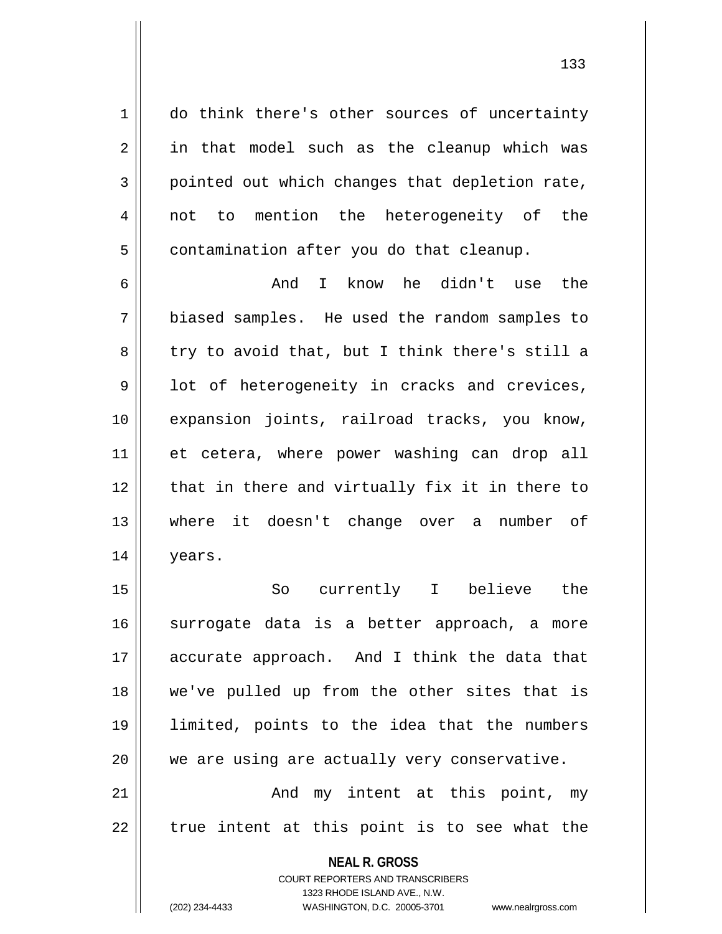1 do think there's other sources of uncertainty  $2 \parallel$  in that model such as the cleanup which was 3 pointed out which changes that depletion rate, 4 || not to mention the heterogeneity of the  $5 \parallel$  contamination after you do that cleanup.

6 And I know he didn't use the 7 biased samples. He used the random samples to  $8 \parallel$  try to avoid that, but I think there's still a 9 || lot of heterogeneity in cracks and crevices, 10 expansion joints, railroad tracks, you know, 11 et cetera, where power washing can drop all 12 || that in there and virtually fix it in there to 13 where it doesn't change over a number of 14 years.

15 So currently I believe the 16 || surrogate data is a better approach, a more 17 accurate approach. And I think the data that 18 we've pulled up from the other sites that is 19 limited, points to the idea that the numbers 20 || we are using are actually very conservative. 21 || The Mode may intent at this point, my  $22$  || true intent at this point is to see what the

> **NEAL R. GROSS** COURT REPORTERS AND TRANSCRIBERS 1323 RHODE ISLAND AVE., N.W.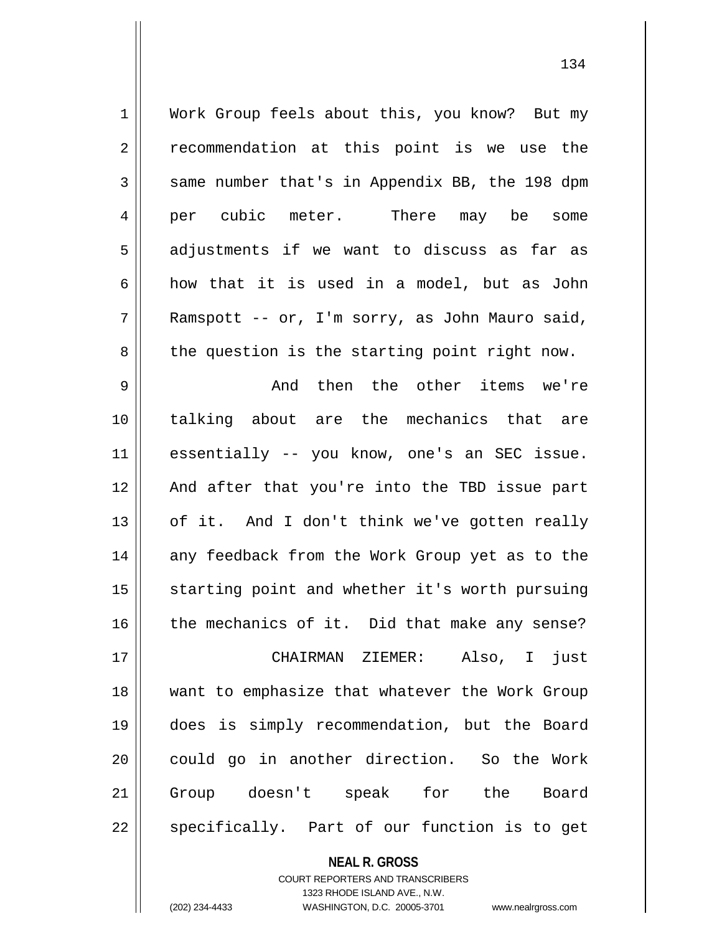| $\mathbf 1$    | Work Group feels about this, you know? But my  |
|----------------|------------------------------------------------|
| 2              | recommendation at this point is we use the     |
| 3              | same number that's in Appendix BB, the 198 dpm |
| $\overline{4}$ | There may be some<br>per cubic meter.          |
| 5              | adjustments if we want to discuss as far as    |
| 6              | how that it is used in a model, but as John    |
| 7              | Ramspott -- or, I'm sorry, as John Mauro said, |
| 8              | the question is the starting point right now.  |
| $\mathsf 9$    | And then the other items we're                 |
| 10             | talking about are the mechanics that are       |
| 11             | essentially -- you know, one's an SEC issue.   |
| 12             | And after that you're into the TBD issue part  |
| 13             | of it. And I don't think we've gotten really   |
| 14             | any feedback from the Work Group yet as to the |
| 15             | starting point and whether it's worth pursuing |
| 16             | the mechanics of it. Did that make any sense?  |
| 17             | Also, I just<br>CHAIRMAN ZIEMER:               |
| 18             | want to emphasize that whatever the Work Group |
| 19             | does is simply recommendation, but the Board   |
| 20             | could go in another direction. So the Work     |
| 21             | Group doesn't speak for the Board              |
| 22             | specifically. Part of our function is to get   |

**NEAL R. GROSS**

COURT REPORTERS AND TRANSCRIBERS 1323 RHODE ISLAND AVE., N.W. (202) 234-4433 WASHINGTON, D.C. 20005-3701 www.nealrgross.com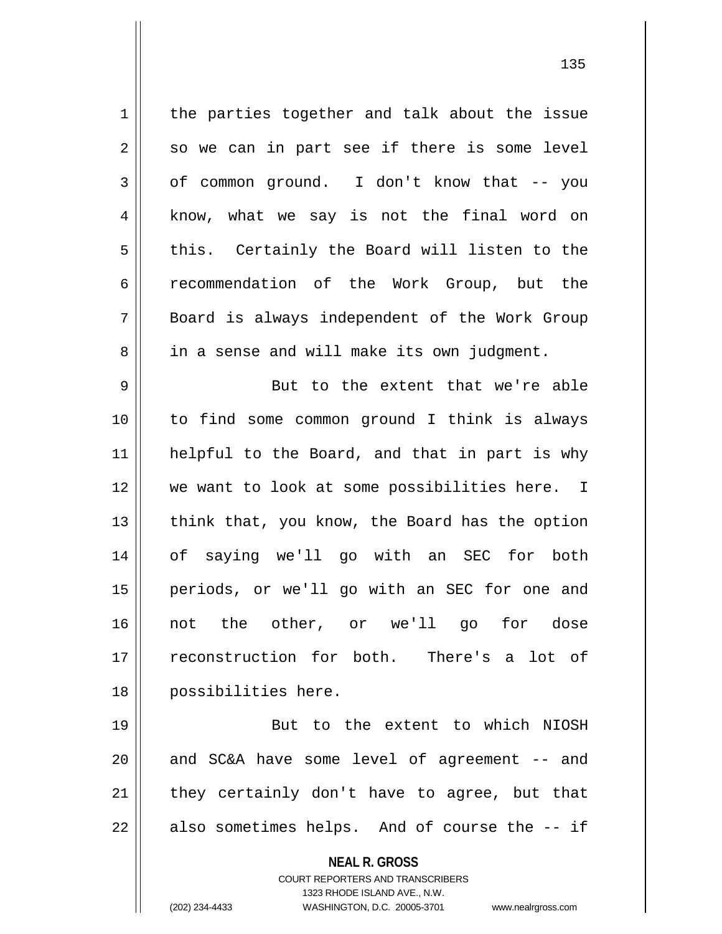**NEAL R. GROSS** COURT REPORTERS AND TRANSCRIBERS 1323 RHODE ISLAND AVE., N.W.  $1$  the parties together and talk about the issue  $2 \parallel$  so we can in part see if there is some level  $3 \parallel$  of common ground. I don't know that -- you 4 || know, what we say is not the final word on  $5 \parallel$  this. Certainly the Board will listen to the 6 recommendation of the Work Group, but the 7 Board is always independent of the Work Group 8 || in a sense and will make its own judgment. 9 || But to the extent that we're able 10 to find some common ground I think is always 11 || helpful to the Board, and that in part is why 12 we want to look at some possibilities here. I 13  $\parallel$  think that, you know, the Board has the option 14 of saying we'll go with an SEC for both 15 periods, or we'll go with an SEC for one and 16 not the other, or we'll go for dose 17 reconstruction for both. There's a lot of 18 possibilities here. 19 || But to the extent to which NIOSH  $20$  and SC&A have some level of agreement  $-$  and  $21$  they certainly don't have to agree, but that  $22$  || also sometimes helps. And of course the  $-$  if

(202) 234-4433 WASHINGTON, D.C. 20005-3701 www.nealrgross.com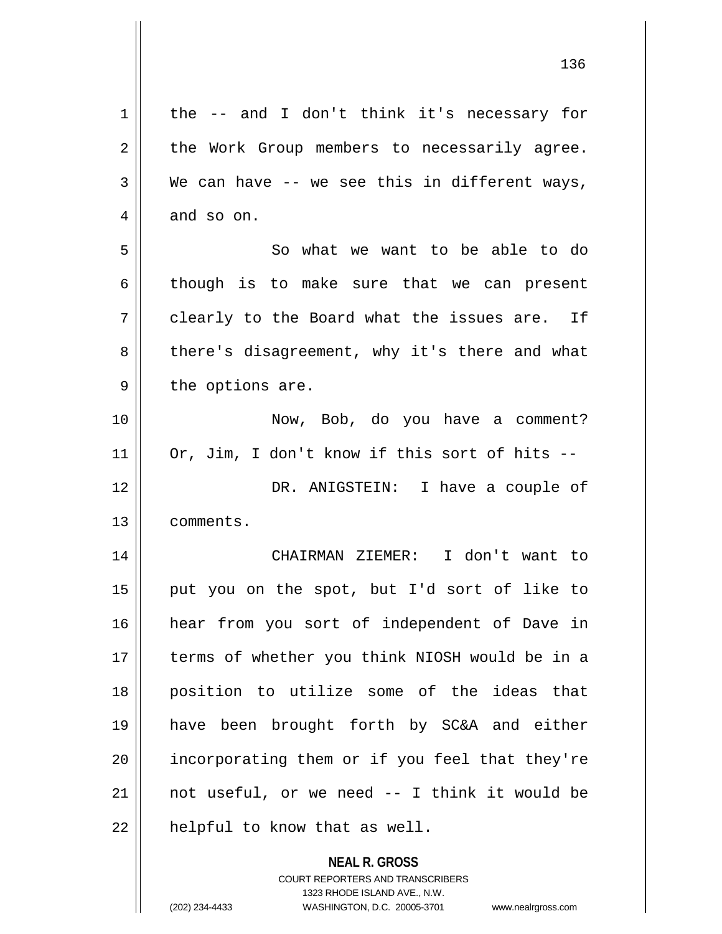| 1  | the -- and I don't think it's necessary for              |
|----|----------------------------------------------------------|
| 2  | the Work Group members to necessarily agree.             |
| 3  | We can have $-$ we see this in different ways,           |
| 4  | and so on.                                               |
| 5  | So what we want to be able to do                         |
| 6  | though is to make sure that we can present               |
| 7  | clearly to the Board what the issues are. If             |
| 8  | there's disagreement, why it's there and what            |
| 9  | the options are.                                         |
| 10 | Now, Bob, do you have a comment?                         |
| 11 | Or, Jim, I don't know if this sort of hits --            |
| 12 | DR. ANIGSTEIN: I have a couple of                        |
| 13 | comments.                                                |
| 14 | CHAIRMAN ZIEMER: I don't want to                         |
| 15 | put you on the spot, but I'd sort of like to             |
| 16 | hear from you sort of independent of Dave in             |
| 17 | terms of whether you think NIOSH would be in a           |
| 18 | position to utilize some of the ideas that               |
| 19 | have been brought forth by SC&A and either               |
| 20 | incorporating them or if you feel that they're           |
| 21 | not useful, or we need -- I think it would be            |
| 22 | helpful to know that as well.                            |
|    | <b>NEAL R. GROSS</b><br>COURT REPORTERS AND TRANSCRIBERS |

1323 RHODE ISLAND AVE., N.W.

 $\mathop{\text{||}}$ 

(202) 234-4433 WASHINGTON, D.C. 20005-3701 www.nealrgross.com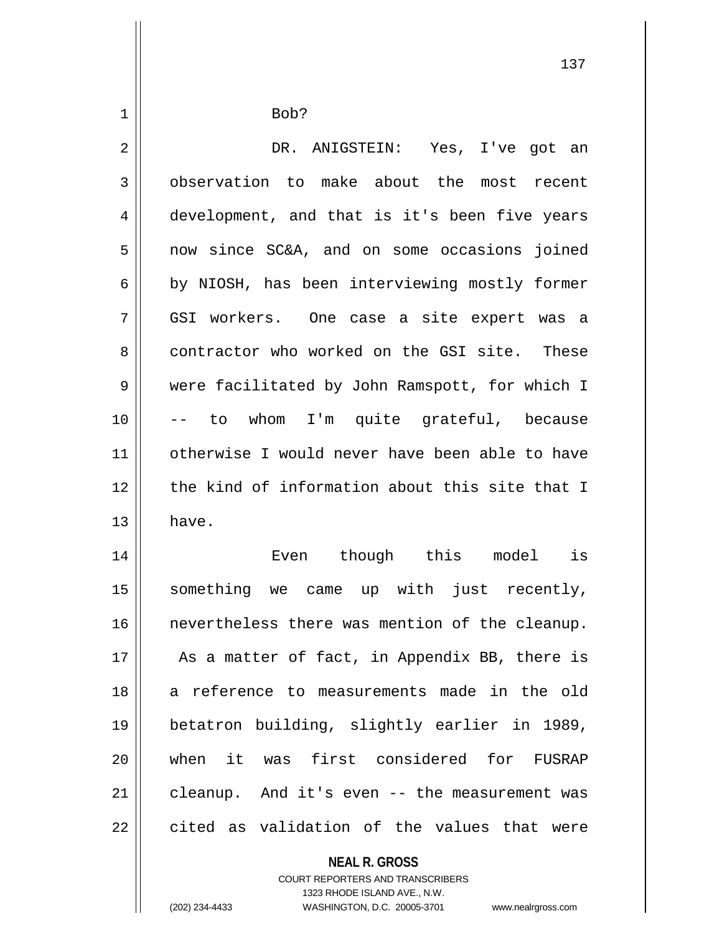$1 \parallel$  Bob? DR. ANIGSTEIN: Yes, I've got an 3 | observation to make about the most recent 4 development, and that is it's been five years now since SC&A, and on some occasions joined  $6 \parallel$  by NIOSH, has been interviewing mostly former GSI workers. One case a site expert was a 8 contractor who worked on the GSI site. These were facilitated by John Ramspott, for which I -- to whom I'm quite grateful, because otherwise I would never have been able to have 12 the kind of information about this site that I  $13 \parallel$  have. Even though this model is something we came up with just recently, nevertheless there was mention of the cleanup. || As a matter of fact, in Appendix BB, there is 18 || a reference to measurements made in the old betatron building, slightly earlier in 1989, when it was first considered for FUSRAP | cleanup. And it's even  $-$  the measurement was  $\parallel$  cited as validation of the values that were

> **NEAL R. GROSS** COURT REPORTERS AND TRANSCRIBERS 1323 RHODE ISLAND AVE., N.W.

(202) 234-4433 WASHINGTON, D.C. 20005-3701 www.nealrgross.com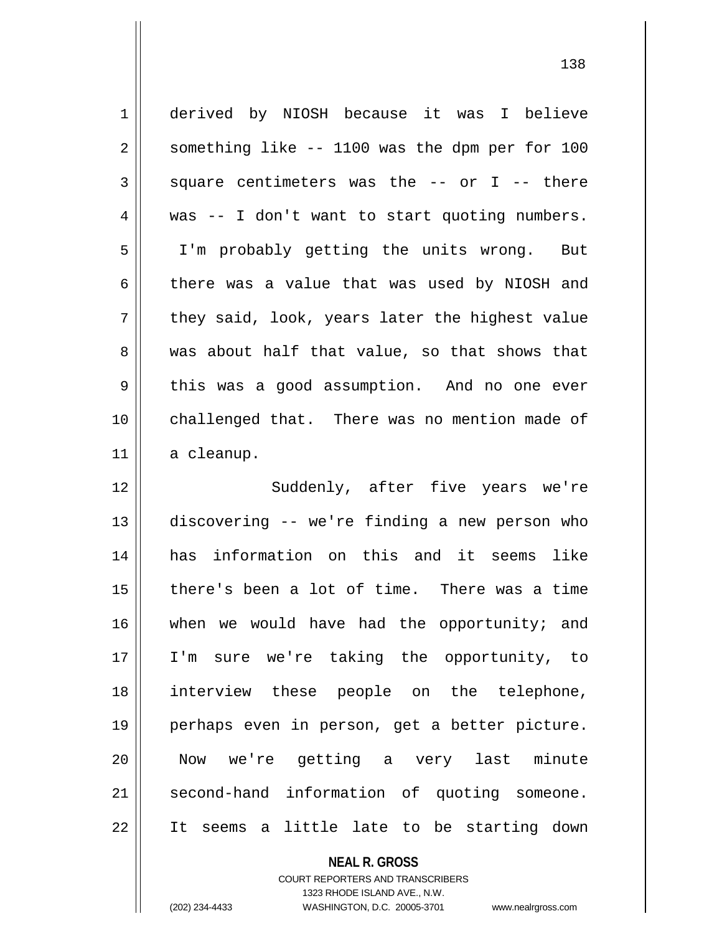| $\mathbf 1$ | derived by NIOSH because it was I believe      |
|-------------|------------------------------------------------|
| 2           | something like -- 1100 was the dpm per for 100 |
| 3           | square centimeters was the -- or I -- there    |
| 4           | was -- I don't want to start quoting numbers.  |
| 5           | I'm probably getting the units wrong. But      |
| 6           | there was a value that was used by NIOSH and   |
| 7           | they said, look, years later the highest value |
| 8           | was about half that value, so that shows that  |
| 9           | this was a good assumption. And no one ever    |
| 10          | challenged that. There was no mention made of  |
| 11          | a cleanup.                                     |
| 12          | Suddenly, after five years we're               |
| 13          | discovering -- we're finding a new person who  |
| 14          | has information on this and it seems<br>like   |
| 15          | there's been a lot of time. There was a time   |
| 16          | when we would have had the opportunity; and    |
| 17          | I'm sure we're taking the opportunity, to      |
| 18          | interview these people on the telephone,       |
| 19          | perhaps even in person, get a better picture.  |
| 20          | Now we're getting a very last minute           |
| 21          |                                                |
|             | second-hand information of quoting someone.    |

**NEAL R. GROSS**

COURT REPORTERS AND TRANSCRIBERS 1323 RHODE ISLAND AVE., N.W. (202) 234-4433 WASHINGTON, D.C. 20005-3701 www.nealrgross.com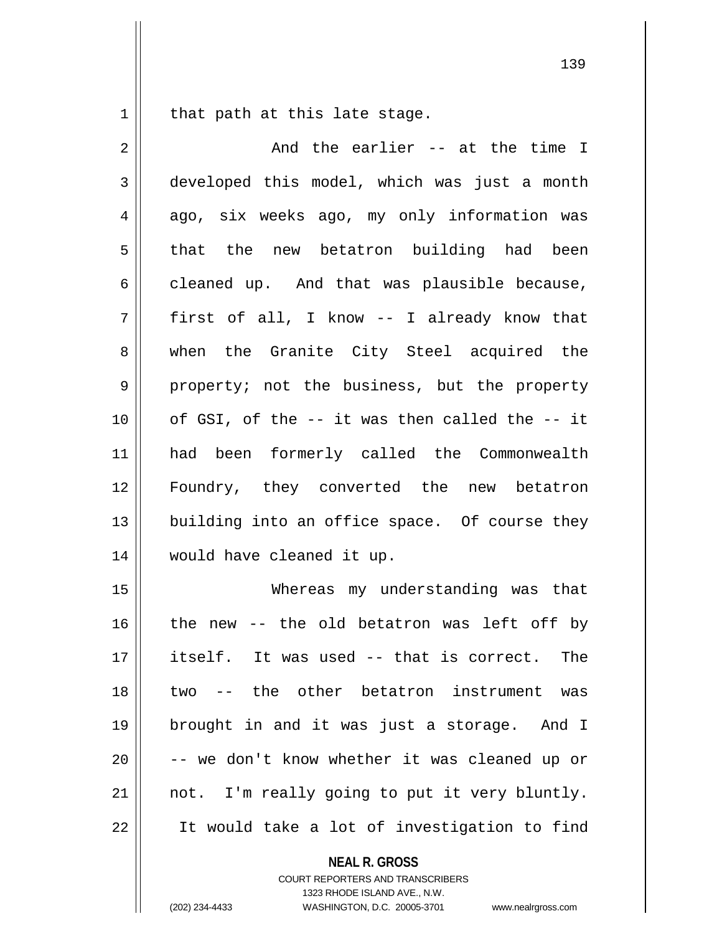that path at this late stage.

| $\overline{2}$ | And the earlier -- at the time I               |
|----------------|------------------------------------------------|
| 3              | developed this model, which was just a month   |
| 4              | ago, six weeks ago, my only information was    |
| 5              | the new betatron building had been<br>that     |
| 6              | cleaned up. And that was plausible because,    |
| 7              | first of all, I know -- I already know that    |
| 8              | when the Granite City Steel acquired the       |
| 9              | property; not the business, but the property   |
| 10             | of GSI, of the -- it was then called the -- it |
| 11             | had been formerly called the Commonwealth      |
| 12             | Foundry, they converted the new betatron       |
| 13             | building into an office space. Of course they  |
| 14             | would have cleaned it up.                      |
| 15             | Whereas my understanding was that              |
| 16             | the new -- the old betatron was left off by    |
| 17             | itself. It was used -- that is correct. The    |
| 18             | -- the other betatron instrument was<br>two    |
| 19             | brought in and it was just a storage. And I    |
| 20             | -- we don't know whether it was cleaned up or  |
| 21             | not. I'm really going to put it very bluntly.  |
| 22             | It would take a lot of investigation to find   |

**NEAL R. GROSS** COURT REPORTERS AND TRANSCRIBERS

1323 RHODE ISLAND AVE., N.W.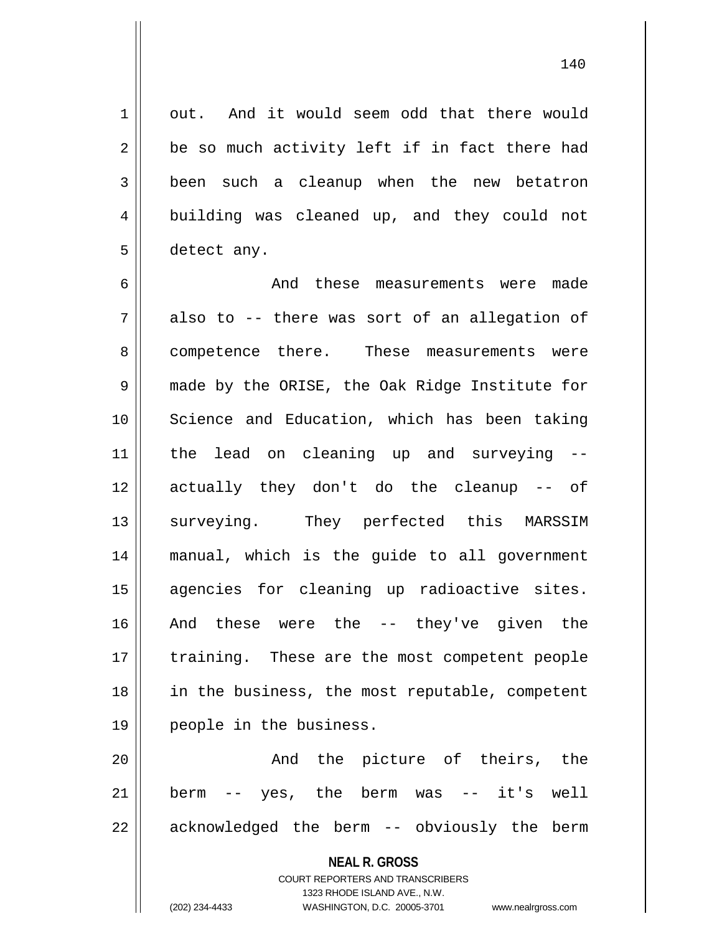1 | out. And it would seem odd that there would  $2 \parallel$  be so much activity left if in fact there had 3 been such a cleanup when the new betatron 4 building was cleaned up, and they could not 5 detect any.

6 and these measurements were made  $7 \parallel$  also to -- there was sort of an allegation of 8 competence there. These measurements were 9 || made by the ORISE, the Oak Ridge Institute for 10 Science and Education, which has been taking 11 the lead on cleaning up and surveying -- 12 actually they don't do the cleanup -- of 13 || surveying. They perfected this MARSSIM 14 manual, which is the guide to all government 15 agencies for cleaning up radioactive sites. 16 And these were the -- they've given the 17 || training. These are the most competent people 18 in the business, the most reputable, competent 19 people in the business.

20 And the picture of theirs, the 21 berm -- yes, the berm was -- it's well 22 || acknowledged the berm -- obviously the berm

## **NEAL R. GROSS**

COURT REPORTERS AND TRANSCRIBERS 1323 RHODE ISLAND AVE., N.W. (202) 234-4433 WASHINGTON, D.C. 20005-3701 www.nealrgross.com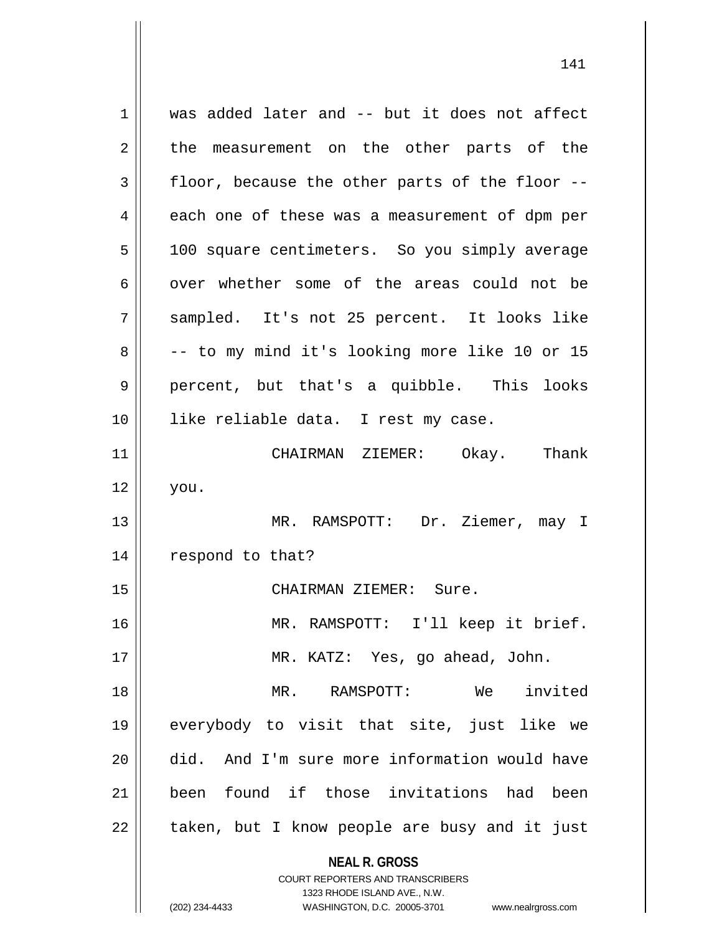**NEAL R. GROSS** COURT REPORTERS AND TRANSCRIBERS 1 was added later and -- but it does not affect 2 the measurement on the other parts of the  $3 \parallel$  floor, because the other parts of the floor -- $4 \parallel$  each one of these was a measurement of dpm per 5 | 100 square centimeters. So you simply average  $6 \parallel$  over whether some of the areas could not be 7 sampled. It's not 25 percent. It looks like  $8 \parallel$  -- to my mind it's looking more like 10 or 15 9 || percent, but that's a quibble. This looks 10 || like reliable data. I rest my case. 11 CHAIRMAN ZIEMER: Okay. Thank  $12 \parallel$  you. 13 MR. RAMSPOTT: Dr. Ziemer, may I 14 || respond to that? 15 || CHAIRMAN ZIEMER: Sure. 16 MR. RAMSPOTT: I'll keep it brief. 17 MR. KATZ: Yes, go ahead, John. 18 MR. RAMSPOTT: We invited 19 everybody to visit that site, just like we 20 || did. And I'm sure more information would have 21 been found if those invitations had been  $22$  | taken, but I know people are busy and it just

1323 RHODE ISLAND AVE., N.W.

(202) 234-4433 WASHINGTON, D.C. 20005-3701 www.nealrgross.com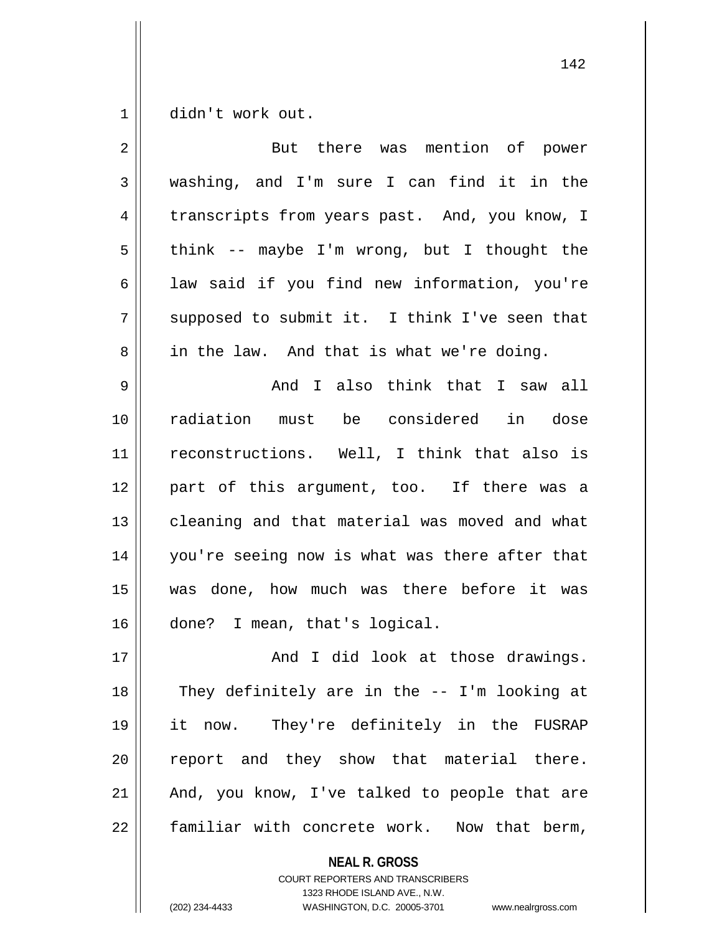1 didn't work out.

| $\overline{2}$ | But there was mention of power                 |
|----------------|------------------------------------------------|
| 3              | washing, and I'm sure I can find it in the     |
| 4              | transcripts from years past. And, you know, I  |
| 5              | think -- maybe I'm wrong, but I thought the    |
| 6              | law said if you find new information, you're   |
| 7              | supposed to submit it. I think I've seen that  |
| 8              | in the law. And that is what we're doing.      |
| 9              | And I also think that I saw all                |
| 10             | radiation must be considered in dose           |
| 11             | reconstructions. Well, I think that also is    |
| 12             | part of this argument, too. If there was a     |
| 13             | cleaning and that material was moved and what  |
| 14             | you're seeing now is what was there after that |
| 15             | was done, how much was there before it was     |
| 16             | done? I mean, that's logical.                  |
| 17             | And I did look at those drawings.              |
| 18             | They definitely are in the -- I'm looking at   |
| 19             | it now. They're definitely in the FUSRAP       |
| 20             | report and they show that material there.      |
| 21             | And, you know, I've talked to people that are  |
| 22             | familiar with concrete work. Now that berm,    |

**NEAL R. GROSS**

COURT REPORTERS AND TRANSCRIBERS 1323 RHODE ISLAND AVE., N.W. (202) 234-4433 WASHINGTON, D.C. 20005-3701 www.nealrgross.com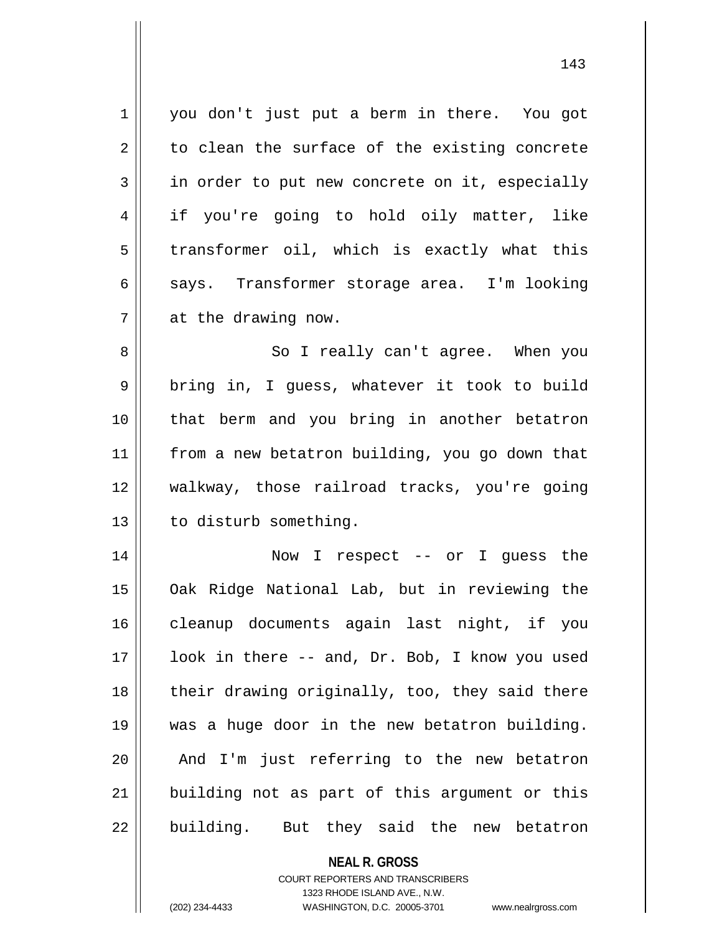1 || you don't just put a berm in there. You got  $2 \parallel$  to clean the surface of the existing concrete  $3 \parallel$  in order to put new concrete on it, especially 4 if you're going to hold oily matter, like  $5 \parallel$  transformer oil, which is exactly what this 6 says. Transformer storage area. I'm looking 7 at the drawing now. 8 || So I really can't agree. When you 9 || bring in, I guess, whatever it took to build

 that berm and you bring in another betatron from a new betatron building, you go down that walkway, those railroad tracks, you're going 13 | to disturb something.

 Now I respect -- or I guess the Oak Ridge National Lab, but in reviewing the cleanup documents again last night, if you 17 || look in there -- and, Dr. Bob, I know you used || their drawing originally, too, they said there was a huge door in the new betatron building. || And I'm just referring to the new betatron building not as part of this argument or this || building. But they said the new betatron

> **NEAL R. GROSS** COURT REPORTERS AND TRANSCRIBERS 1323 RHODE ISLAND AVE., N.W. (202) 234-4433 WASHINGTON, D.C. 20005-3701 www.nealrgross.com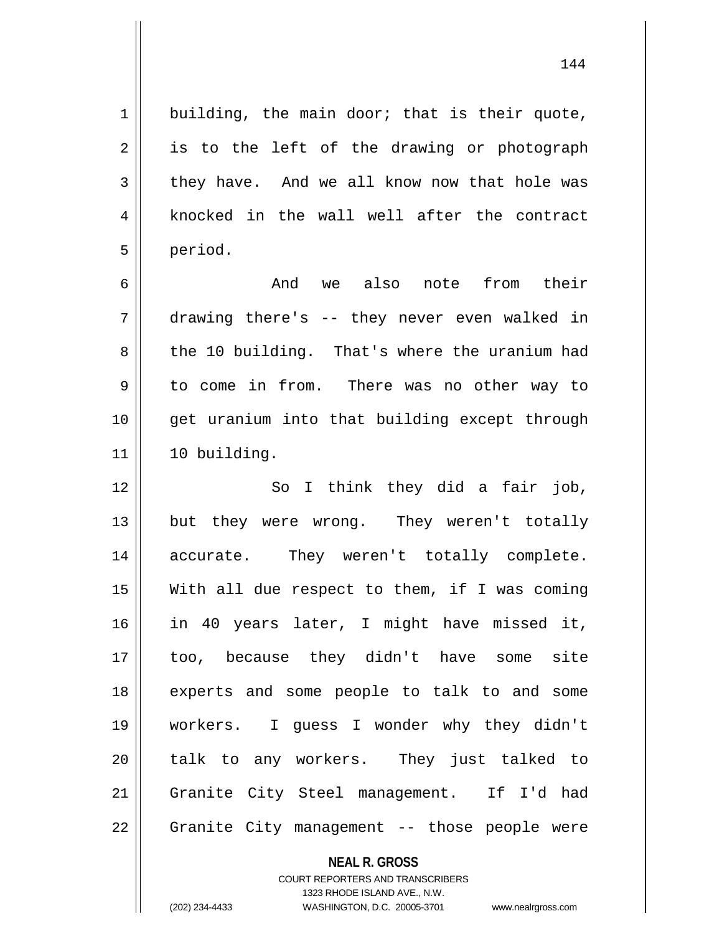$1 \parallel$  building, the main door; that is their quote,  $2 \parallel$  is to the left of the drawing or photograph  $3 \parallel$  they have. And we all know now that hole was 4 || knocked in the wall well after the contract 5 period.

 And we also note from their drawing there's -- they never even walked in 8 the 10 building. That's where the uranium had to come in from. There was no other way to get uranium into that building except through 10 building.

12 || So I think they did a fair job, 13 || but they were wrong. They weren't totally 14 accurate. They weren't totally complete. 15  $\parallel$  With all due respect to them, if I was coming 16 in 40 years later, I might have missed it, 17 too, because they didn't have some site 18 experts and some people to talk to and some 19 workers. I guess I wonder why they didn't 20 talk to any workers. They just talked to 21 Granite City Steel management. If I'd had 22 || Granite City management -- those people were

**NEAL R. GROSS**

COURT REPORTERS AND TRANSCRIBERS 1323 RHODE ISLAND AVE., N.W. (202) 234-4433 WASHINGTON, D.C. 20005-3701 www.nealrgross.com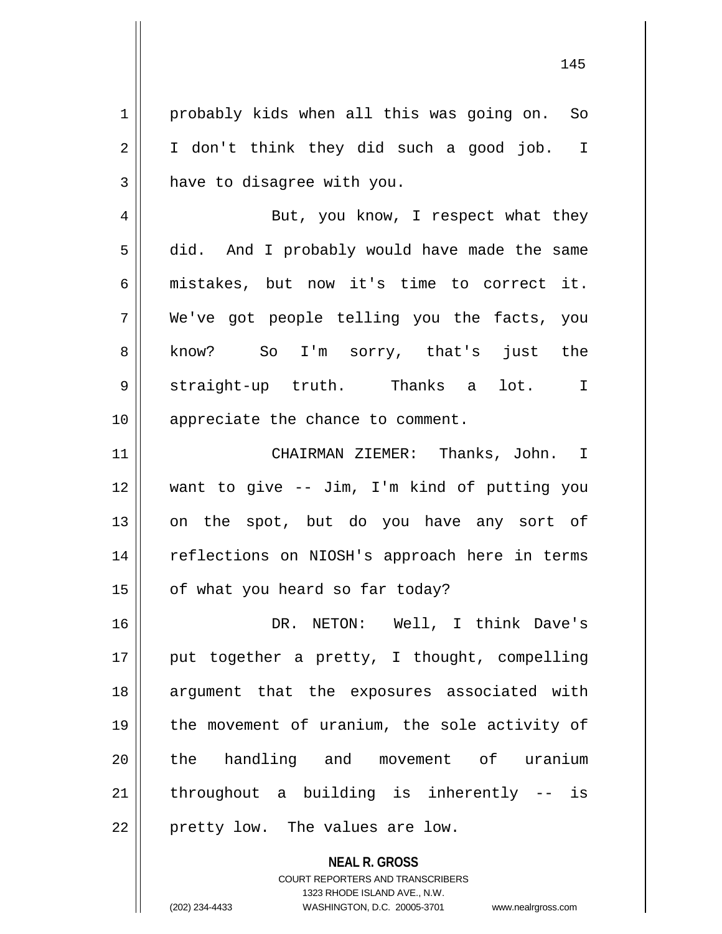1 | probably kids when all this was going on. So 2 || I don't think they did such a good job. I  $3$  | have to disagree with you. 4 || But, you know, I respect what they 5 did. And I probably would have made the same 6 mistakes, but now it's time to correct it. 7 We've got people telling you the facts, you 8 || know? So I'm sorry, that's just the 9 Straight-up truth. Thanks a lot. I 10 || appreciate the chance to comment. 11 CHAIRMAN ZIEMER: Thanks, John. I 12 want to give -- Jim, I'm kind of putting you 13 || on the spot, but do you have any sort of 14 || reflections on NIOSH's approach here in terms  $15$  | of what you heard so far today? 16 DR. NETON: Well, I think Dave's  $17$  || put together a pretty, I thought, compelling 18 || argument that the exposures associated with 19 the movement of uranium, the sole activity of 20 || the handling and movement of uranium  $21$  || throughout a building is inherently -- is  $22$  | pretty low. The values are low.

> **NEAL R. GROSS** COURT REPORTERS AND TRANSCRIBERS 1323 RHODE ISLAND AVE., N.W. (202) 234-4433 WASHINGTON, D.C. 20005-3701 www.nealrgross.com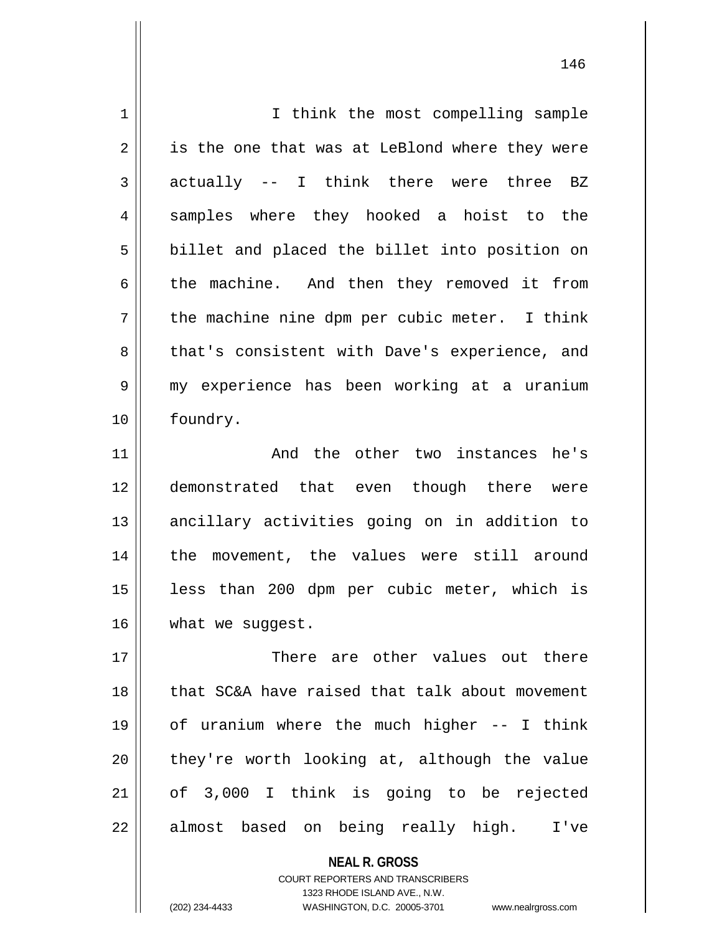| $\mathbf 1$    | I think the most compelling sample             |
|----------------|------------------------------------------------|
| $\overline{2}$ | is the one that was at LeBlond where they were |
| 3              | actually -- I think there were three BZ        |
| 4              | samples where they hooked a hoist to the       |
| 5              | billet and placed the billet into position on  |
| 6              | the machine. And then they removed it from     |
| 7              | the machine nine dpm per cubic meter. I think  |
| 8              | that's consistent with Dave's experience, and  |
| 9              | my experience has been working at a uranium    |
| 10             | foundry.                                       |
| 11             | And the other two instances he's               |
|                |                                                |
| 12             | demonstrated that even though there were       |
| 13             | ancillary activities going on in addition to   |
| 14             | the movement, the values were still around     |
| 15             | less than 200 dpm per cubic meter, which is    |
| 16             | what we suggest.                               |
| 17             | There are other values out there               |
| 18             | that SC&A have raised that talk about movement |
| 19             | of uranium where the much higher -- I think    |
| 20             | they're worth looking at, although the value   |
| 21             | of 3,000 I think is going to be rejected       |

**NEAL R. GROSS** COURT REPORTERS AND TRANSCRIBERS

1323 RHODE ISLAND AVE., N.W.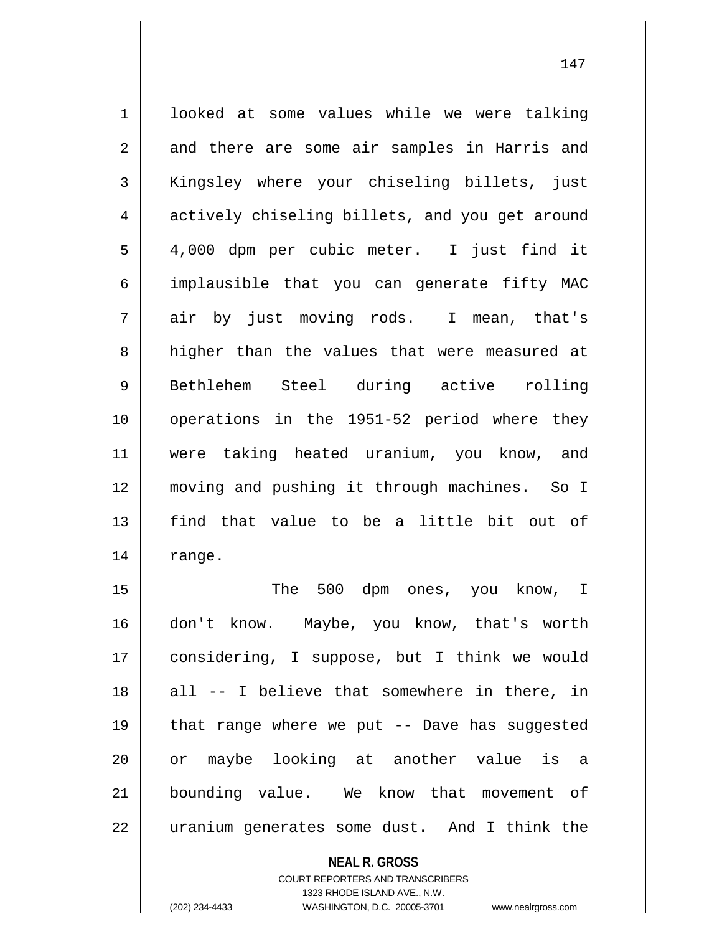1 looked at some values while we were talking 2 || and there are some air samples in Harris and 3 Kingsley where your chiseling billets, just 4 actively chiseling billets, and you get around 5 4,000 dpm per cubic meter. I just find it 6 implausible that you can generate fifty MAC 7 air by just moving rods. I mean, that's 8 higher than the values that were measured at 9 Bethlehem Steel during active rolling 10 || operations in the 1951-52 period where they 11 were taking heated uranium, you know, and 12 moving and pushing it through machines. So I 13 || find that value to be a little bit out of  $14$  | range.

 The 500 dpm ones, you know, I don't know. Maybe, you know, that's worth considering, I suppose, but I think we would 18 || all -- I believe that somewhere in there, in  $\parallel$  that range where we put -- Dave has suggested or maybe looking at another value is a bounding value. We know that movement of 22 || uranium generates some dust. And I think the

> **NEAL R. GROSS** COURT REPORTERS AND TRANSCRIBERS 1323 RHODE ISLAND AVE., N.W.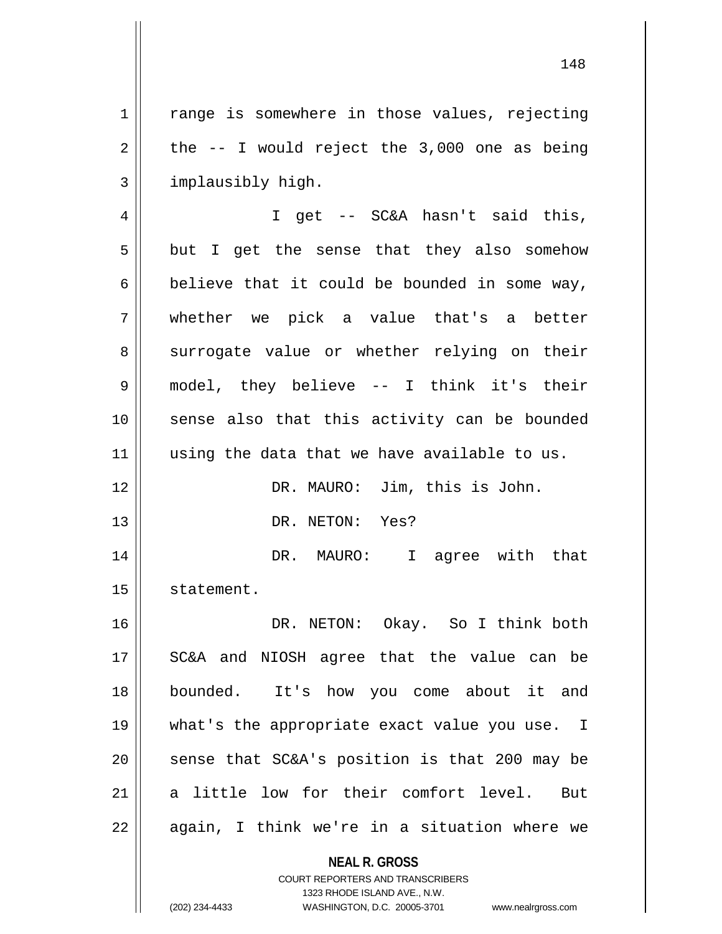1 || range is somewhere in those values, rejecting  $2 \parallel$  the  $-$  I would reject the 3,000 one as being 3 | implausibly high.

4 || I get -- SC&A hasn't said this,  $5 \parallel$  but I get the sense that they also somehow  $6 \parallel$  believe that it could be bounded in some way, 7 whether we pick a value that's a better 8 surrogate value or whether relying on their 9 model, they believe -- I think it's their 10 sense also that this activity can be bounded  $11$  using the data that we have available to us.

12 || DR. MAURO: Jim, this is John. 13 DR. NETON: Yes?

14 DR. MAURO: I agree with that 15 | statement.

 DR. NETON: Okay. So I think both 17 || SC&A and NIOSH agree that the value can be bounded. It's how you come about it and what's the appropriate exact value you use. I  $\parallel$  sense that SC&A's position is that 200 may be a little low for their comfort level. But  $22 \parallel$  again, I think we're in a situation where we

> **NEAL R. GROSS** COURT REPORTERS AND TRANSCRIBERS 1323 RHODE ISLAND AVE., N.W.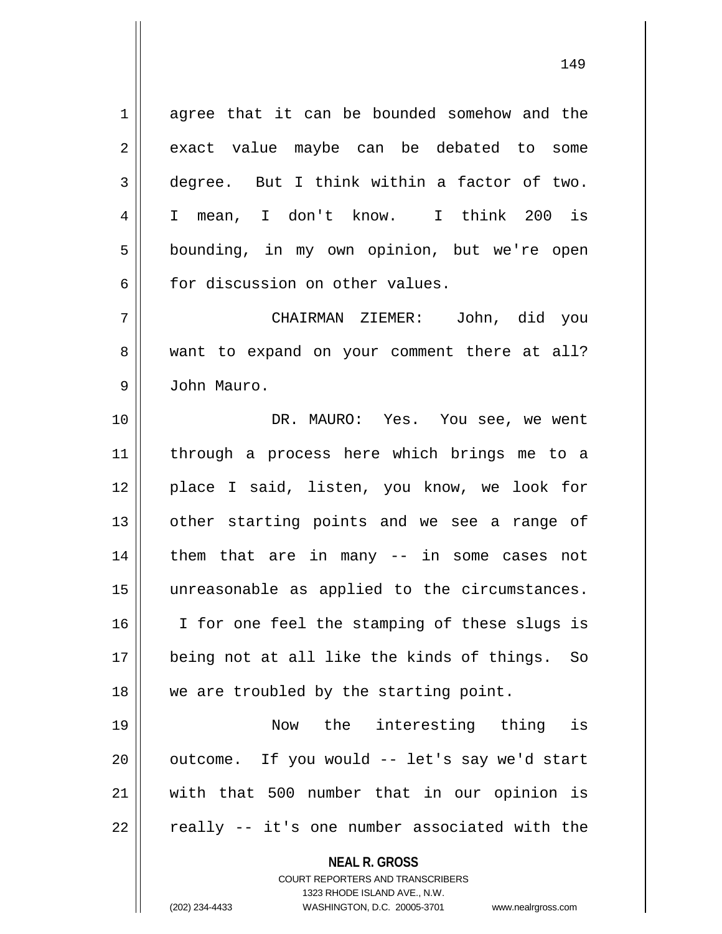1 agree that it can be bounded somehow and the  $2 \parallel$  exact value maybe can be debated to some  $3 \parallel$  degree. But I think within a factor of two. 4 I mean, I don't know. I think 200 is 5 | bounding, in my own opinion, but we're open 6 for discussion on other values.

7 CHAIRMAN ZIEMER: John, did you 8 want to expand on your comment there at all? 9 John Mauro.

10 DR. MAURO: Yes. You see, we went 11 through a process here which brings me to a 12 || place I said, listen, you know, we look for 13 || other starting points and we see a range of 14 || them that are in many -- in some cases not 15 unreasonable as applied to the circumstances. 16 || I for one feel the stamping of these slugs is 17 being not at all like the kinds of things. So 18 || we are troubled by the starting point.

 Now the interesting thing is || outcome. If you would  $-$  let's say we'd start with that 500 number that in our opinion is |  $\sqrt{ }$  really -- it's one number associated with the

**NEAL R. GROSS**

COURT REPORTERS AND TRANSCRIBERS 1323 RHODE ISLAND AVE., N.W. (202) 234-4433 WASHINGTON, D.C. 20005-3701 www.nealrgross.com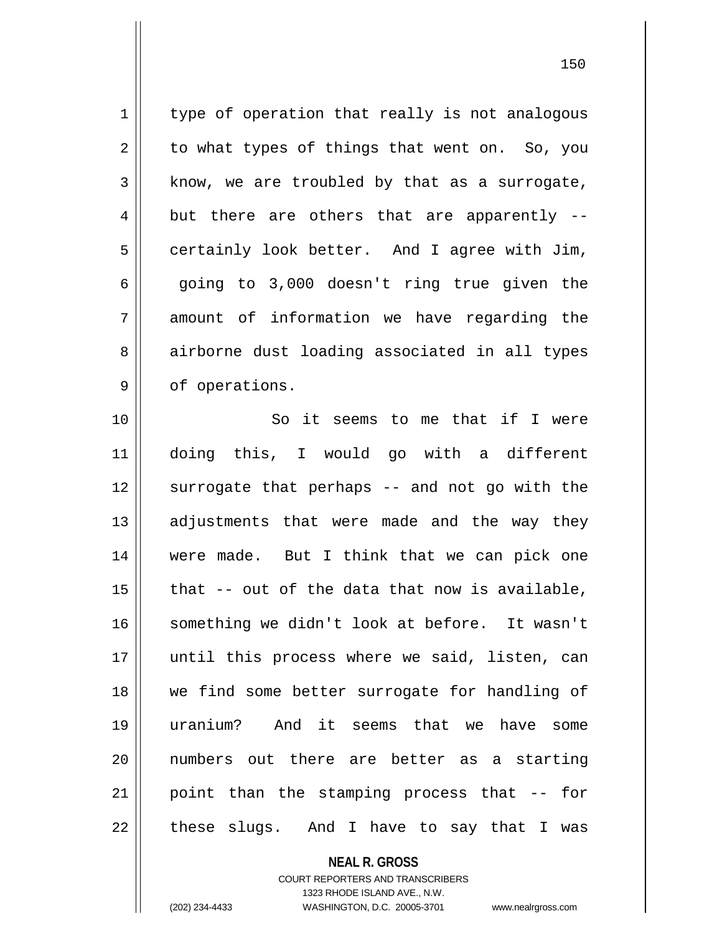$1$  type of operation that really is not analogous  $2 \parallel$  to what types of things that went on. So, you  $3 \parallel$  know, we are troubled by that as a surrogate,  $4 \parallel$  but there are others that are apparently -- $5 \parallel$  certainly look better. And I agree with Jim,  $6 \parallel$  going to 3,000 doesn't ring true given the  $7 \parallel$  amount of information we have regarding the 8 airborne dust loading associated in all types  $9 \parallel$  of operations.

10 || The So it seems to me that if I were doing this, I would go with a different 12 || surrogate that perhaps -- and not go with the adjustments that were made and the way they were made. But I think that we can pick one | that -- out of the data that now is available, something we didn't look at before. It wasn't 17 || until this process where we said, listen, can we find some better surrogate for handling of uranium? And it seems that we have some numbers out there are better as a starting 21 || point than the stamping process that -- for || these slugs. And I have to say that I was

### **NEAL R. GROSS** COURT REPORTERS AND TRANSCRIBERS 1323 RHODE ISLAND AVE., N.W.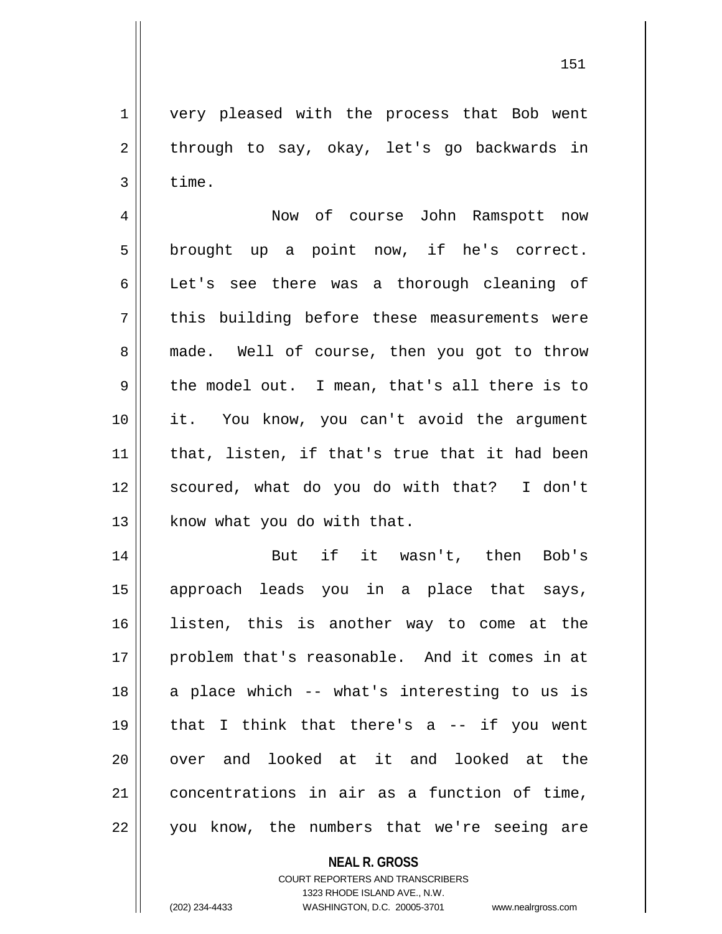1 | very pleased with the process that Bob went  $2 \parallel$  through to say, okay, let's go backwards in  $3 \parallel$  time.

4 Now of course John Ramspott now  $5 \parallel$  brought up a point now, if he's correct. 6 | Let's see there was a thorough cleaning of  $7 \parallel$  this building before these measurements were 8 made. Well of course, then you got to throw  $9 \parallel$  the model out. I mean, that's all there is to 10 || it. You know, you can't avoid the argument 11 || that, listen, if that's true that it had been 12 || scoured, what do you do with that? I don't 13 | know what you do with that.

14 || But if it wasn't, then Bob's 15 approach leads you in a place that says, 16 listen, this is another way to come at the 17 || problem that's reasonable. And it comes in at 18 || a place which -- what's interesting to us is 19 that I think that there's a -- if you went 20 || over and looked at it and looked at the 21 concentrations in air as a function of time, 22 || you know, the numbers that we're seeing are

> **NEAL R. GROSS** COURT REPORTERS AND TRANSCRIBERS 1323 RHODE ISLAND AVE., N.W.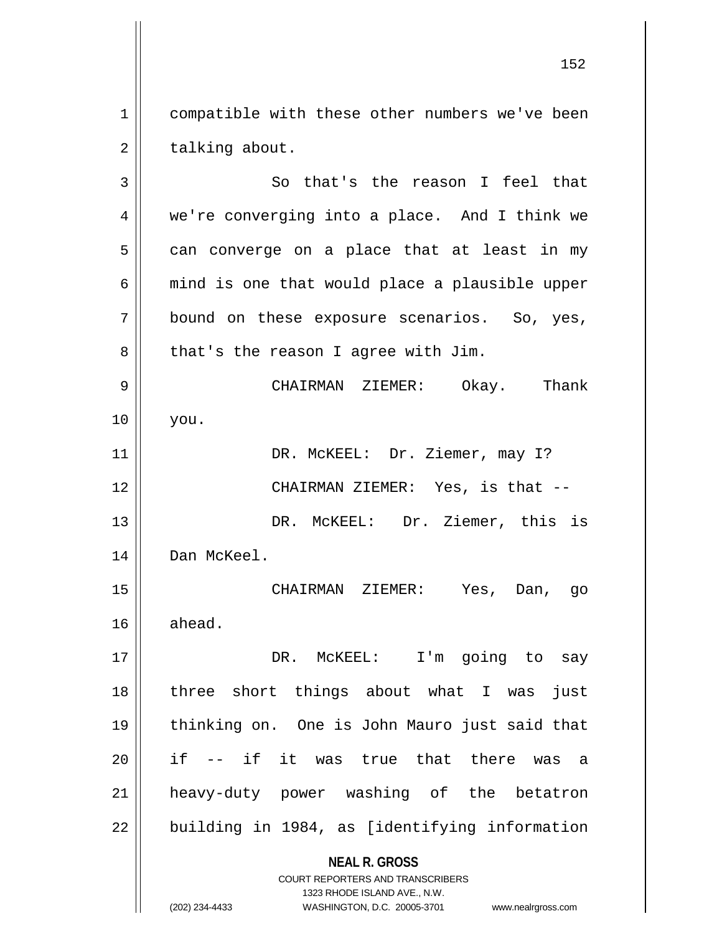1 compatible with these other numbers we've been  $2 \parallel$  talking about.

**NEAL R. GROSS** COURT REPORTERS AND TRANSCRIBERS 1323 RHODE ISLAND AVE., N.W. 3 || So that's the reason I feel that 4 || we're converging into a place. And I think we  $5 \parallel$  can converge on a place that at least in my  $6 \parallel$  mind is one that would place a plausible upper  $7 \parallel$  bound on these exposure scenarios. So, yes,  $8 \parallel$  that's the reason I agree with Jim. 9 CHAIRMAN ZIEMER: Okay. Thank 10 you. 11 || DR. McKEEL: Dr. Ziemer, may I? 12 CHAIRMAN ZIEMER: Yes, is that -- 13 DR. McKEEL: Dr. Ziemer, this is 14 | Dan McKeel. 15 CHAIRMAN ZIEMER: Yes, Dan, go  $16$  ahead. 17 || DR. McKEEL: I'm going to say 18 three short things about what I was just 19 thinking on. One is John Mauro just said that  $20$  || if -- if it was true that there was a 21 heavy-duty power washing of the betatron  $22$  | building in 1984, as [identifying information

(202) 234-4433 WASHINGTON, D.C. 20005-3701 www.nealrgross.com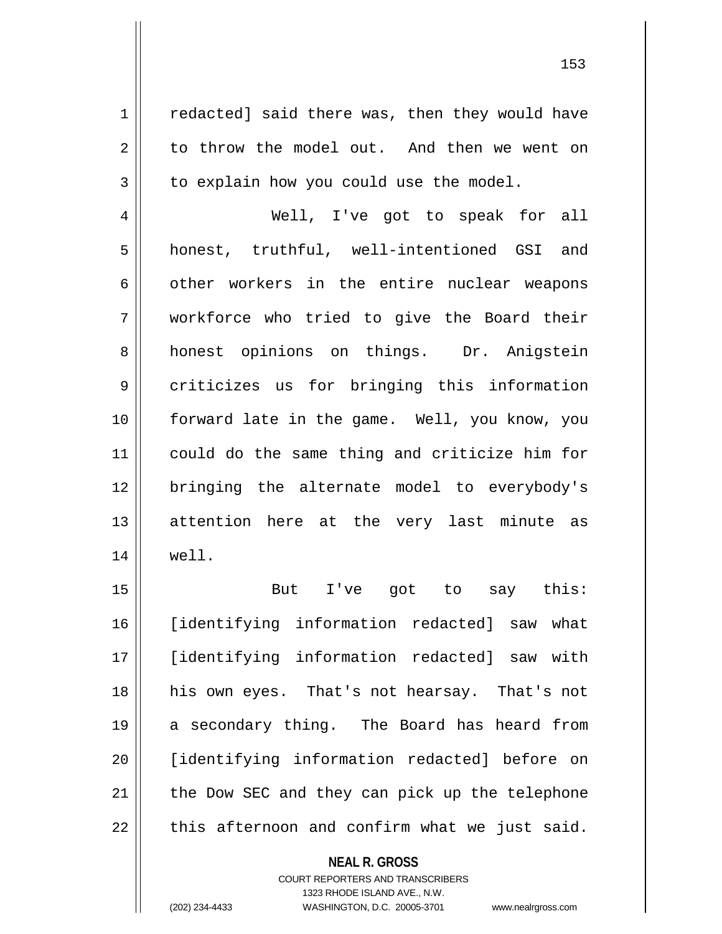1 | redacted] said there was, then they would have 2 to throw the model out. And then we went on  $3 \parallel$  to explain how you could use the model.

 Well, I've got to speak for all honest, truthful, well-intentioned GSI and 6 other workers in the entire nuclear weapons workforce who tried to give the Board their 8 || honest opinions on things. Dr. Anigstein criticizes us for bringing this information forward late in the game. Well, you know, you could do the same thing and criticize him for bringing the alternate model to everybody's attention here at the very last minute as well.

 But I've got to say this: [identifying information redacted] saw what [identifying information redacted] saw with his own eyes. That's not hearsay. That's not a secondary thing. The Board has heard from [identifying information redacted] before on | the Dow SEC and they can pick up the telephone | this afternoon and confirm what we just said.

### **NEAL R. GROSS**

COURT REPORTERS AND TRANSCRIBERS 1323 RHODE ISLAND AVE., N.W. (202) 234-4433 WASHINGTON, D.C. 20005-3701 www.nealrgross.com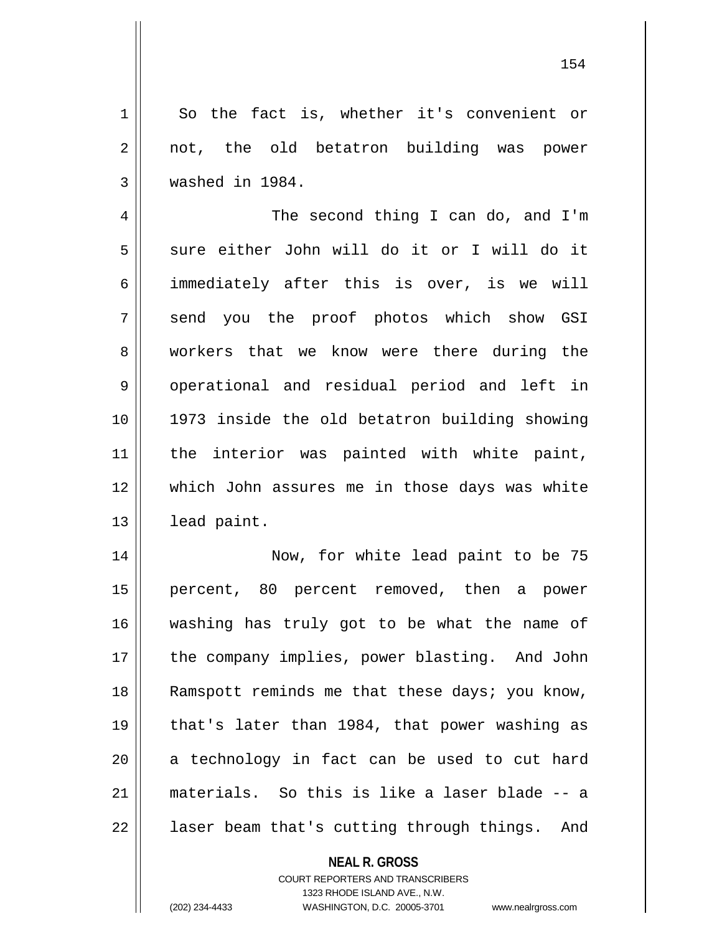1 So the fact is, whether it's convenient or 2 || not, the old betatron building was power 3 washed in 1984.

4 || The second thing I can do, and I'm  $5 \parallel$  sure either John will do it or I will do it 6 | immediately after this is over, is we will 7 || send you the proof photos which show GSI 8 workers that we know were there during the 9 || operational and residual period and left in 10 1973 inside the old betatron building showing 11 || the interior was painted with white paint, 12 which John assures me in those days was white 13 | lead paint.

 Now, for white lead paint to be 75 percent, 80 percent removed, then a power washing has truly got to be what the name of 17 || the company implies, power blasting. And John 18 || Ramspott reminds me that these days; you know, that's later than 1984, that power washing as a technology in fact can be used to cut hard materials. So this is like a laser blade -- a  $22 \parallel$  laser beam that's cutting through things. And

# **NEAL R. GROSS**

COURT REPORTERS AND TRANSCRIBERS 1323 RHODE ISLAND AVE., N.W. (202) 234-4433 WASHINGTON, D.C. 20005-3701 www.nealrgross.com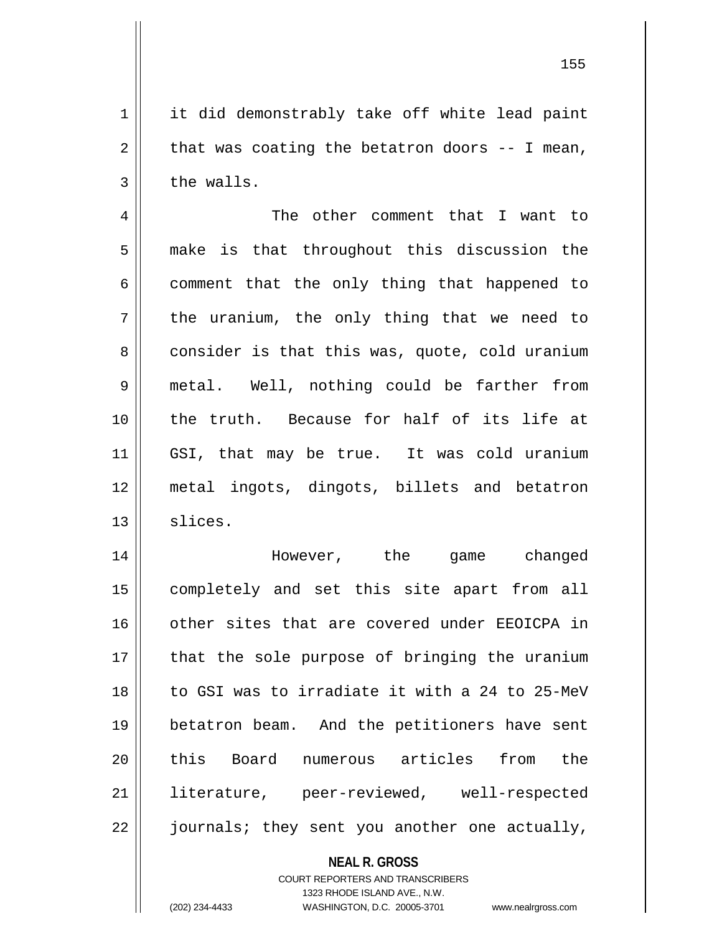1 || it did demonstrably take off white lead paint  $2 \parallel$  that was coating the betatron doors -- I mean,  $3 \parallel$  the walls.

4 The other comment that I want to  $5 \parallel$  make is that throughout this discussion the  $6 \parallel$  comment that the only thing that happened to  $7 \parallel$  the uranium, the only thing that we need to 8 | consider is that this was, quote, cold uranium 9 metal. Well, nothing could be farther from 10 the truth. Because for half of its life at 11 GSI, that may be true. It was cold uranium 12 metal ingots, dingots, billets and betatron  $13 \parallel$  slices.

 However, the game changed completely and set this site apart from all 16 || other sites that are covered under EEOICPA in || that the sole purpose of bringing the uranium to GSI was to irradiate it with a 24 to 25-MeV betatron beam. And the petitioners have sent 20 || this Board numerous articles from the literature, peer-reviewed, well-respected || journals; they sent you another one actually,

# **NEAL R. GROSS** COURT REPORTERS AND TRANSCRIBERS 1323 RHODE ISLAND AVE., N.W. (202) 234-4433 WASHINGTON, D.C. 20005-3701 www.nealrgross.com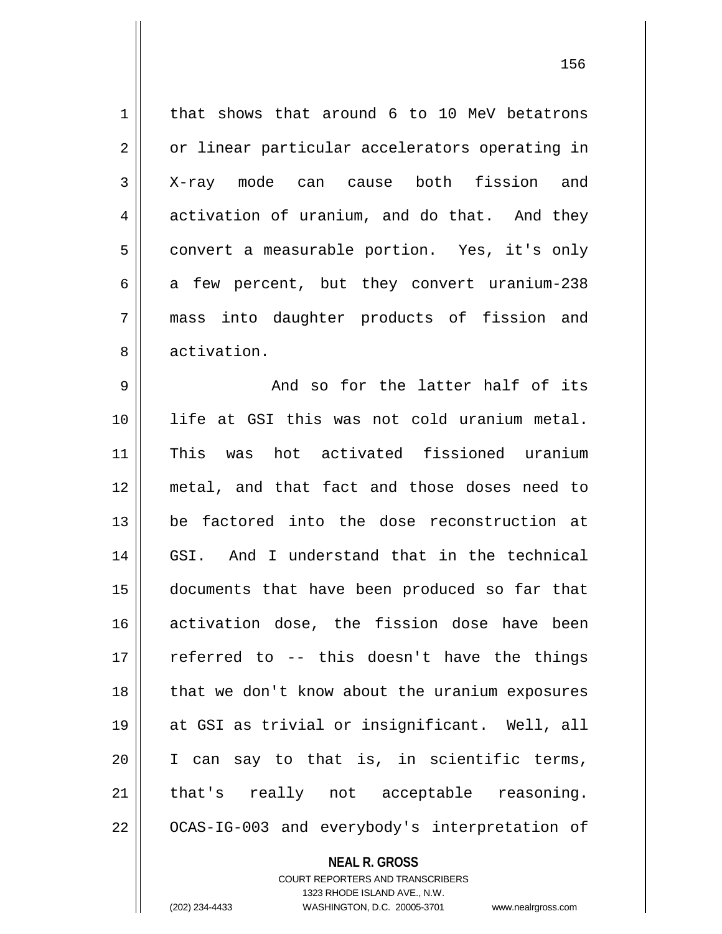1 | that shows that around 6 to 10 MeV betatrons 2 | or linear particular accelerators operating in X-ray mode can cause both fission and  $4 \parallel$  activation of uranium, and do that. And they 5 | convert a measurable portion. Yes, it's only  $\vert$  a few percent, but they convert uranium-238 mass into daughter products of fission and 8 || activation. And so for the latter half of its life at GSI this was not cold uranium metal. This was hot activated fissioned uranium metal, and that fact and those doses need to be factored into the dose reconstruction at GSI. And I understand that in the technical documents that have been produced so far that activation dose, the fission dose have been  $\parallel$  referred to -- this doesn't have the things 18 || that we don't know about the uranium exposures at GSI as trivial or insignificant. Well, all I can say to that is, in scientific terms, 21 || that's really not acceptable reasoning.

 $22$  |  $OCAS-IG-003$  and everybody's interpretation of

#### **NEAL R. GROSS**

COURT REPORTERS AND TRANSCRIBERS 1323 RHODE ISLAND AVE., N.W. (202) 234-4433 WASHINGTON, D.C. 20005-3701 www.nealrgross.com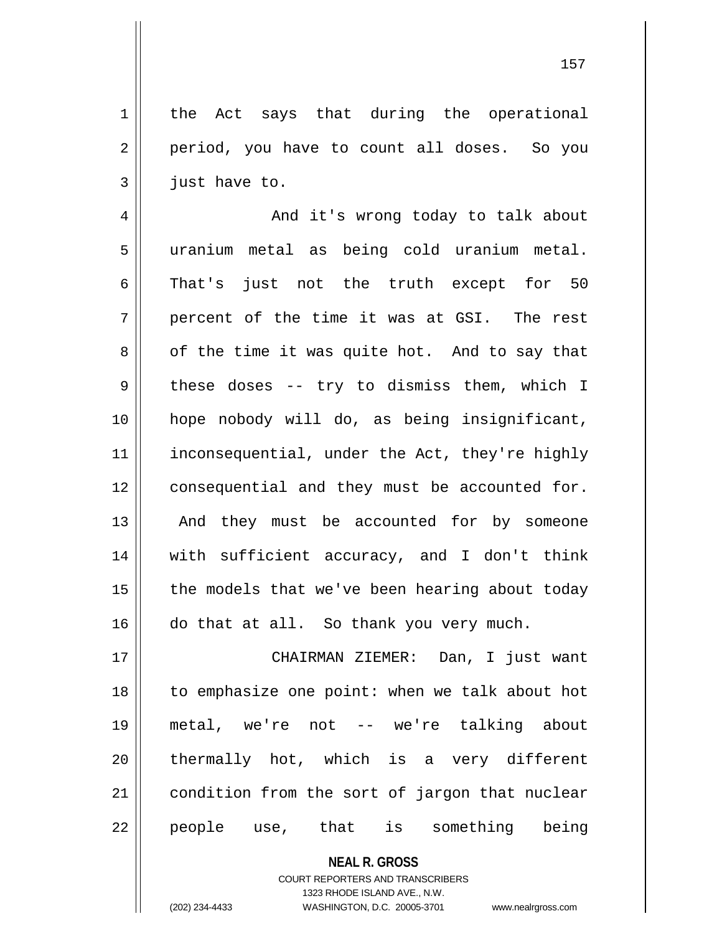1 | the Act says that during the operational 2 | period, you have to count all doses. So you  $3 \parallel$  just have to.

4 And it's wrong today to talk about 5 uranium metal as being cold uranium metal.  $6 \parallel$  That's just not the truth except for 50  $7 \parallel$  percent of the time it was at GSI. The rest  $8 \parallel$  of the time it was quite hot. And to say that  $9 \parallel$  these doses -- try to dismiss them, which I 10 hope nobody will do, as being insignificant, 11 | inconsequential, under the Act, they're highly 12 || consequential and they must be accounted for. 13 || And they must be accounted for by someone 14 with sufficient accuracy, and I don't think  $15$  | the models that we've been hearing about today 16 do that at all. So thank you very much.

17 CHAIRMAN ZIEMER: Dan, I just want 18 to emphasize one point: when we talk about hot 19 metal, we're not -- we're talking about 20 || thermally hot, which is a very different 21 | condition from the sort of jargon that nuclear 22 || people use, that is something being

> **NEAL R. GROSS** COURT REPORTERS AND TRANSCRIBERS 1323 RHODE ISLAND AVE., N.W.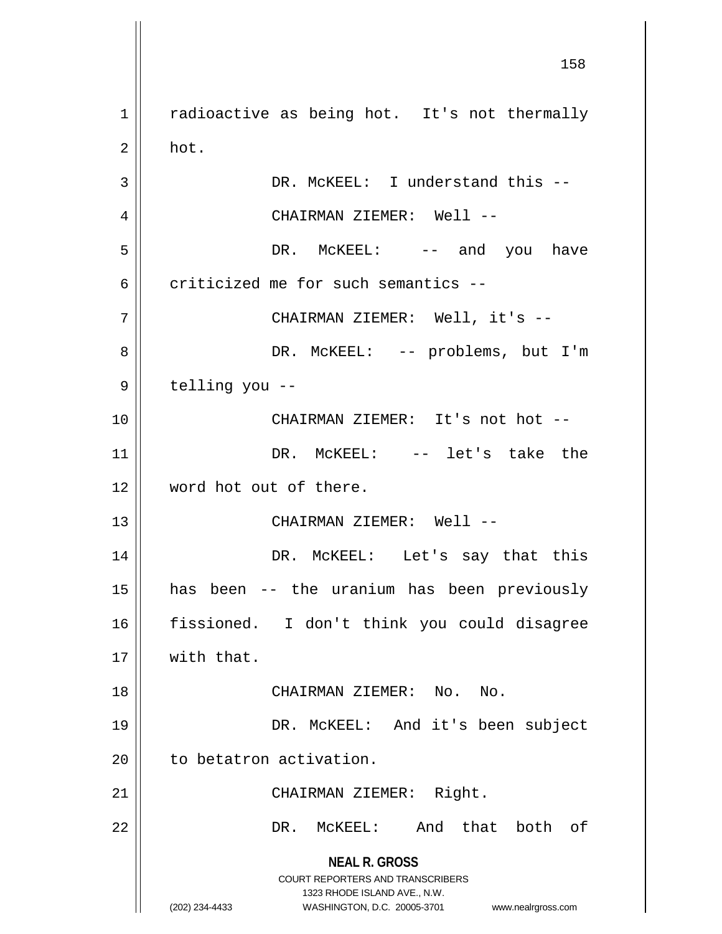**NEAL R. GROSS** COURT REPORTERS AND TRANSCRIBERS 1323 RHODE ISLAND AVE., N.W. (202) 234-4433 WASHINGTON, D.C. 20005-3701 www.nealrgross.com 1 | radioactive as being hot. It's not thermally  $2 \parallel$  hot. 3 || DR. McKEEL: I understand this --4 CHAIRMAN ZIEMER: Well -- 5 DR. McKEEL: -- and you have 6  $\parallel$  criticized me for such semantics --7 CHAIRMAN ZIEMER: Well, it's -- 8 DR. McKEEL: -- problems, but I'm  $9 \parallel$  telling you --10 CHAIRMAN ZIEMER: It's not hot -- 11 || DR. McKEEL: -- let's take the 12 word hot out of there. 13 CHAIRMAN ZIEMER: Well -- 14 DR. McKEEL: Let's say that this 15 has been -- the uranium has been previously 16 fissioned. I don't think you could disagree 17 With that. 18 CHAIRMAN ZIEMER: No. No. 19 DR. McKEEL: And it's been subject  $20$  | to betatron activation. 21 || CHAIRMAN ZIEMER: Right. 22 DR. McKEEL: And that both of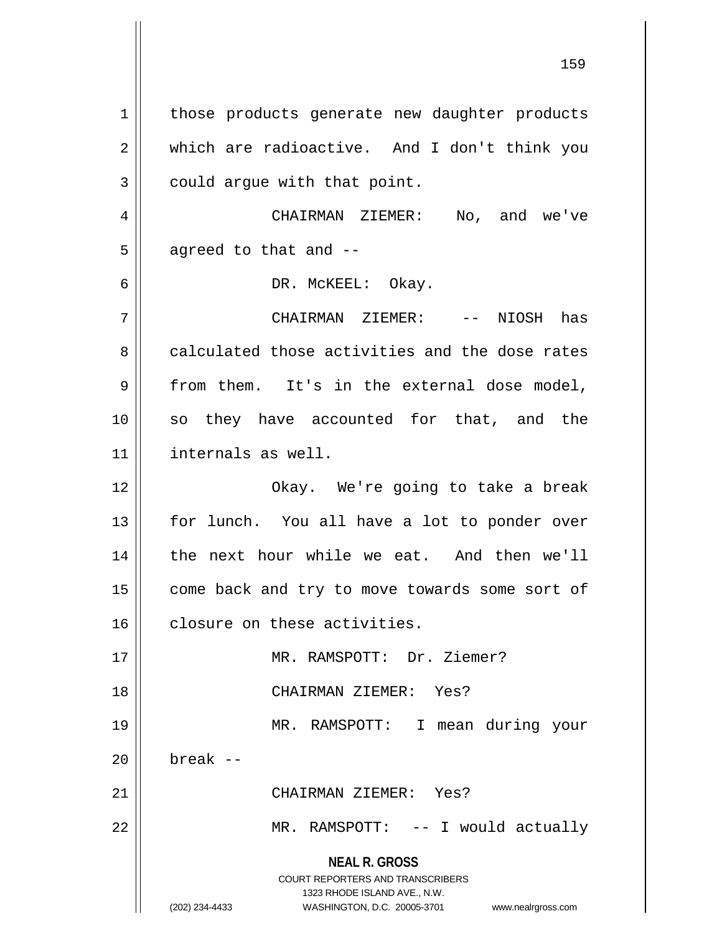**NEAL R. GROSS** COURT REPORTERS AND TRANSCRIBERS 1323 RHODE ISLAND AVE., N.W. (202) 234-4433 WASHINGTON, D.C. 20005-3701 www.nealrgross.com 1 | those products generate new daughter products 2 which are radioactive. And I don't think you  $3 \parallel$  could argue with that point. 4 CHAIRMAN ZIEMER: No, and we've  $5$  || agreed to that and  $-$ 6 DR. McKEEL: Okay. 7 CHAIRMAN ZIEMER: -- NIOSH has 8 calculated those activities and the dose rates  $9 \parallel$  from them. It's in the external dose model, 10 so they have accounted for that, and the 11 internals as well. 12 Okay. We're going to take a break 13 || for lunch. You all have a lot to ponder over 14 || the next hour while we eat. And then we'll 15 | come back and try to move towards some sort of 16 | closure on these activities. 17 MR. RAMSPOTT: Dr. Ziemer? 18 CHAIRMAN ZIEMER: Yes? 19 MR. RAMSPOTT: I mean during your  $20$  break  $-$ 21 CHAIRMAN ZIEMER: Yes? 22 MR. RAMSPOTT: -- I would actually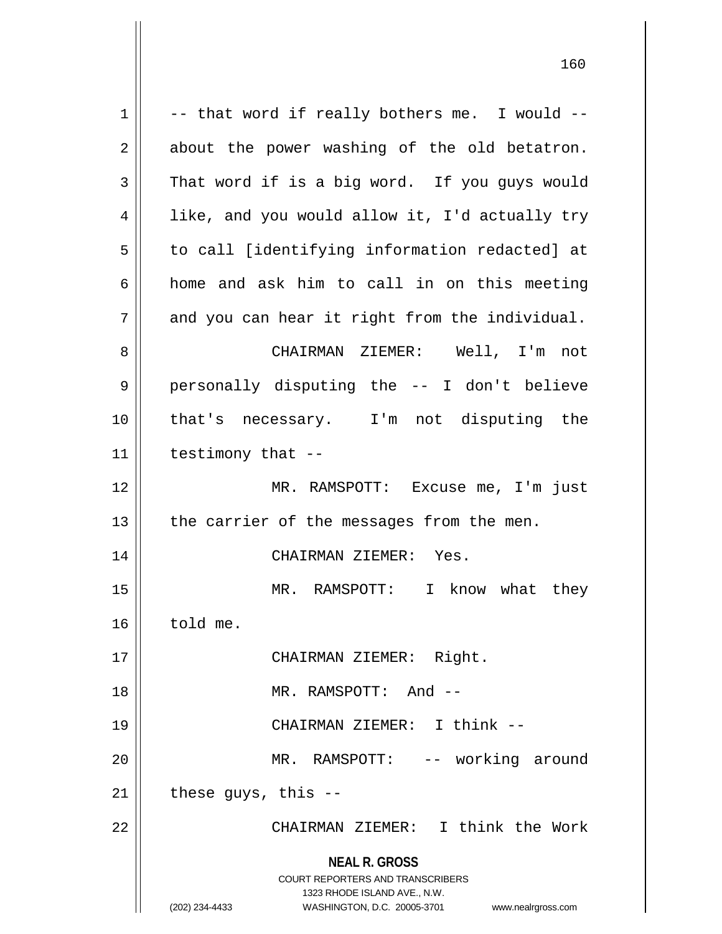| 1  | -- that word if really bothers me. I would --                       |
|----|---------------------------------------------------------------------|
| 2  | about the power washing of the old betatron.                        |
| 3  | That word if is a big word. If you guys would                       |
| 4  | like, and you would allow it, I'd actually try                      |
| 5  | to call [identifying information redacted] at                       |
| 6  | home and ask him to call in on this meeting                         |
| 7  | and you can hear it right from the individual.                      |
| 8  | CHAIRMAN ZIEMER: Well, I'm not                                      |
| 9  | personally disputing the -- I don't believe                         |
| 10 | that's necessary. I'm not disputing the                             |
| 11 | testimony that --                                                   |
| 12 | MR. RAMSPOTT: Excuse me, I'm just                                   |
| 13 | the carrier of the messages from the men.                           |
| 14 | CHAIRMAN ZIEMER: Yes.                                               |
|    |                                                                     |
| 15 | MR. RAMSPOTT: I know what they                                      |
| 16 | told me.                                                            |
| 17 | CHAIRMAN ZIEMER: Right.                                             |
| 18 | MR. RAMSPOTT: And --                                                |
| 19 | CHAIRMAN ZIEMER: I think --                                         |
| 20 | MR. RAMSPOTT: -- working around                                     |
| 21 | these guys, this --                                                 |
| 22 | CHAIRMAN ZIEMER: I think the Work                                   |
|    | <b>NEAL R. GROSS</b>                                                |
|    | <b>COURT REPORTERS AND TRANSCRIBERS</b>                             |
|    | 1323 RHODE ISLAND AVE., N.W.                                        |
|    | (202) 234-4433<br>WASHINGTON, D.C. 20005-3701<br>www.nealrgross.com |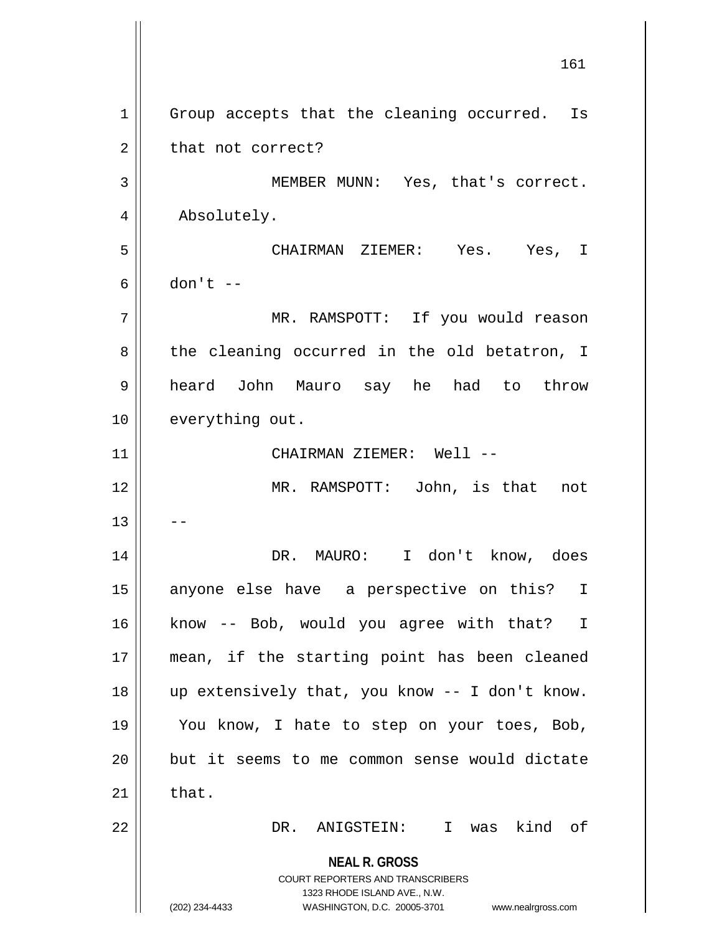**NEAL R. GROSS** COURT REPORTERS AND TRANSCRIBERS 1323 RHODE ISLAND AVE., N.W. (202) 234-4433 WASHINGTON, D.C. 20005-3701 www.nealrgross.com 1 || Group accepts that the cleaning occurred. Is  $2 \parallel$  that not correct? 3 MEMBER MUNN: Yes, that's correct. 4 | Absolutely. 5 CHAIRMAN ZIEMER: Yes. Yes, I  $6 \parallel$  don't  $-$ 7 MR. RAMSPOTT: If you would reason  $8 \parallel$  the cleaning occurred in the old betatron, I 9 heard John Mauro say he had to throw 10 || everything out. 11 CHAIRMAN ZIEMER: Well -- 12 MR. RAMSPOTT: John, is that not  $13$ 14 DR. MAURO: I don't know, does 15 anyone else have a perspective on this? I 16 || know -- Bob, would you agree with that? I 17 mean, if the starting point has been cleaned 18 up extensively that, you know -- I don't know. 19 || You know, I hate to step on your toes, Bob, 20 but it seems to me common sense would dictate  $21$   $\parallel$  that. 22 DR. ANIGSTEIN: I was kind of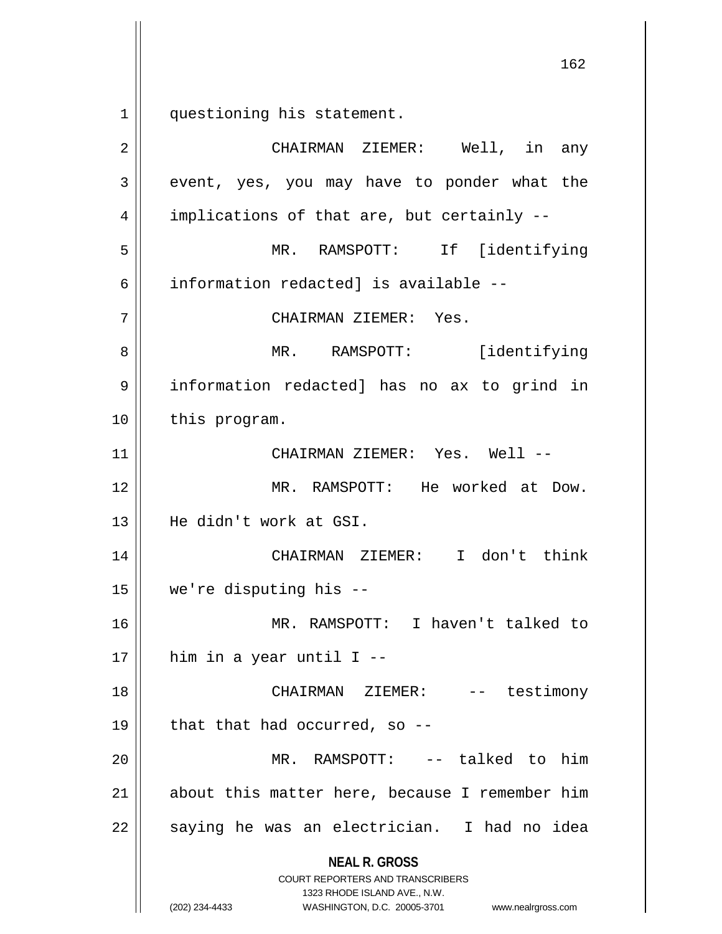1 questioning his statement.

| 2  | CHAIRMAN ZIEMER: Well, in any                                                                                                                                          |
|----|------------------------------------------------------------------------------------------------------------------------------------------------------------------------|
| 3  | event, yes, you may have to ponder what the                                                                                                                            |
| 4  | implications of that are, but certainly --                                                                                                                             |
| 5  | MR. RAMSPOTT: If [identifying                                                                                                                                          |
| 6  | information redacted] is available --                                                                                                                                  |
| 7  | CHAIRMAN ZIEMER: Yes.                                                                                                                                                  |
| 8  | [identifying]<br>MR. RAMSPOTT:                                                                                                                                         |
| 9  | information redacted] has no ax to grind in                                                                                                                            |
| 10 | this program.                                                                                                                                                          |
| 11 | CHAIRMAN ZIEMER: Yes. Well --                                                                                                                                          |
| 12 | MR. RAMSPOTT: He worked at Dow.                                                                                                                                        |
| 13 | He didn't work at GSI.                                                                                                                                                 |
| 14 | CHAIRMAN ZIEMER: I don't think                                                                                                                                         |
| 15 | we're disputing his --                                                                                                                                                 |
| 16 | MR. RAMSPOTT: I haven't talked to                                                                                                                                      |
| 17 | him in a year until I --                                                                                                                                               |
| 18 | CHAIRMAN ZIEMER: -- testimony                                                                                                                                          |
| 19 | that that had occurred, so --                                                                                                                                          |
| 20 | MR. RAMSPOTT:<br>-- talked to him                                                                                                                                      |
| 21 | about this matter here, because I remember him                                                                                                                         |
| 22 | saying he was an electrician. I had no idea                                                                                                                            |
|    | <b>NEAL R. GROSS</b><br><b>COURT REPORTERS AND TRANSCRIBERS</b><br>1323 RHODE ISLAND AVE., N.W.<br>(202) 234-4433<br>WASHINGTON, D.C. 20005-3701<br>www.nealrgross.com |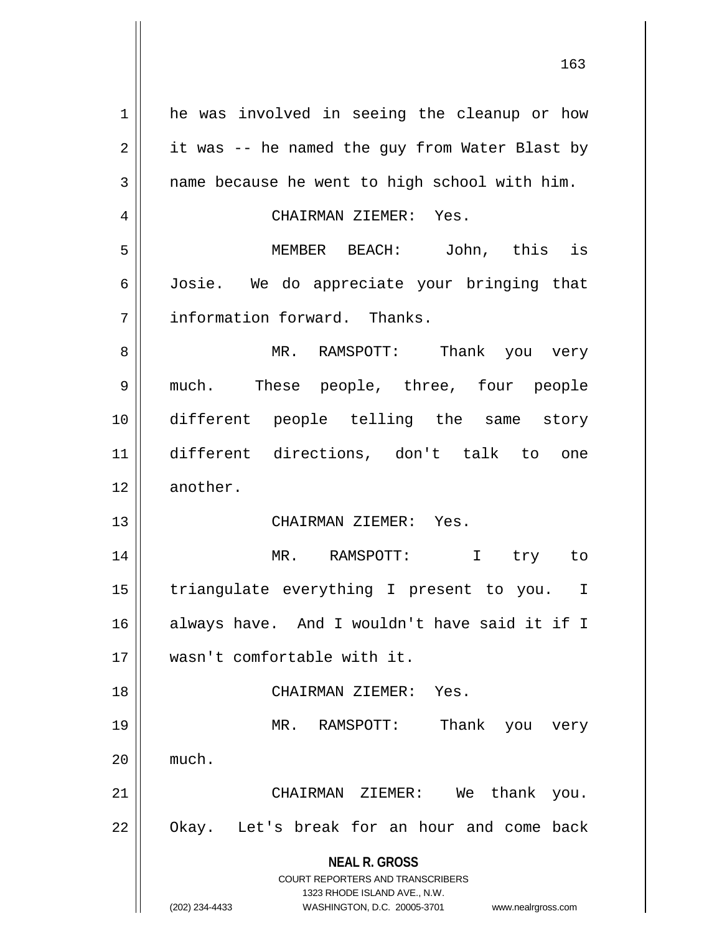**NEAL R. GROSS** COURT REPORTERS AND TRANSCRIBERS 1323 RHODE ISLAND AVE., N.W. (202) 234-4433 WASHINGTON, D.C. 20005-3701 www.nealrgross.com 1 | he was involved in seeing the cleanup or how  $2 \parallel$  it was -- he named the guy from Water Blast by  $3 \parallel$  name because he went to high school with him. 4 CHAIRMAN ZIEMER: Yes. 5 MEMBER BEACH: John, this is 6 Josie. We do appreciate your bringing that 7 | information forward. Thanks. 8 MR. RAMSPOTT: Thank you very 9 much. These people, three, four people 10 different people telling the same story 11 different directions, don't talk to one 12 || another. 13 CHAIRMAN ZIEMER: Yes. 14 MR. RAMSPOTT: I try to 15 || triangulate everything I present to you. I 16 always have. And I wouldn't have said it if I 17 wasn't comfortable with it. 18 CHAIRMAN ZIEMER: Yes. 19 MR. RAMSPOTT: Thank you very  $20$   $\parallel$  much. 21 CHAIRMAN ZIEMER: We thank you. 22 || Okay. Let's break for an hour and come back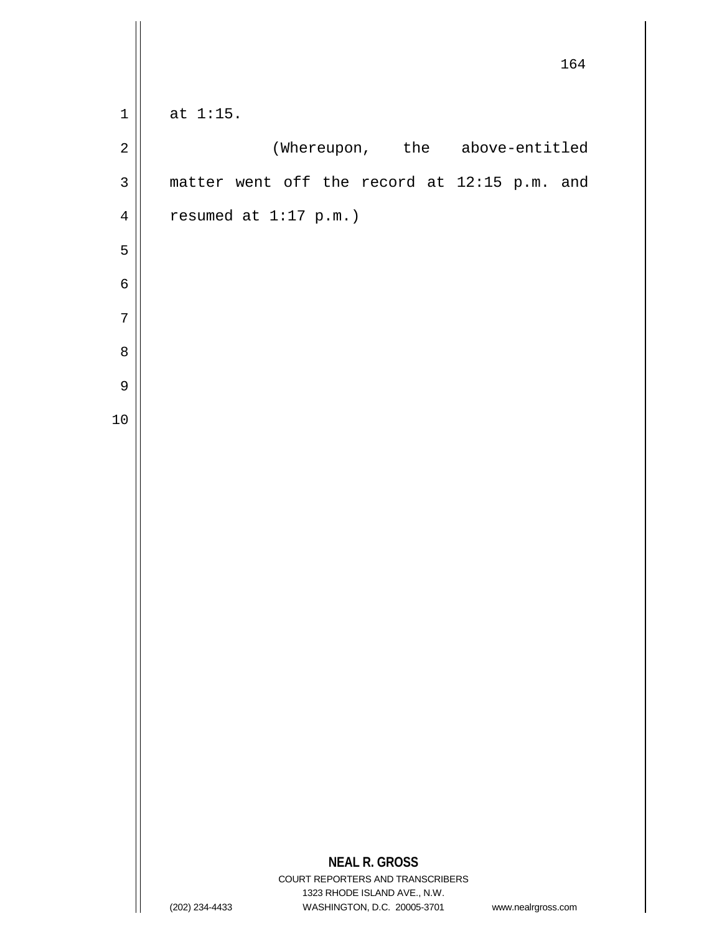|                |                                                                                                     | 164 |
|----------------|-----------------------------------------------------------------------------------------------------|-----|
| $\mathbf 1$    | at $1:15$ .                                                                                         |     |
| $\overline{2}$ | (Whereupon, the above-entitled                                                                      |     |
| $\mathsf 3$    | matter went off the record at 12:15 p.m. and                                                        |     |
| $\sqrt{4}$     | resumed at $1:17$ p.m.)                                                                             |     |
| 5              |                                                                                                     |     |
| $\epsilon$     |                                                                                                     |     |
| $\overline{7}$ |                                                                                                     |     |
| $\, 8$         |                                                                                                     |     |
| $\mathsf 9$    |                                                                                                     |     |
| 10             |                                                                                                     |     |
|                |                                                                                                     |     |
|                |                                                                                                     |     |
|                |                                                                                                     |     |
|                |                                                                                                     |     |
|                |                                                                                                     |     |
|                |                                                                                                     |     |
|                |                                                                                                     |     |
|                |                                                                                                     |     |
|                |                                                                                                     |     |
|                |                                                                                                     |     |
|                |                                                                                                     |     |
|                |                                                                                                     |     |
|                | <b>NEAL R. GROSS</b><br>COURT REPORTERS AND TRANSCRIBERS                                            |     |
|                | 1323 RHODE ISLAND AVE., N.W.<br>WASHINGTON, D.C. 20005-3701<br>(202) 234-4433<br>www.nealrgross.com |     |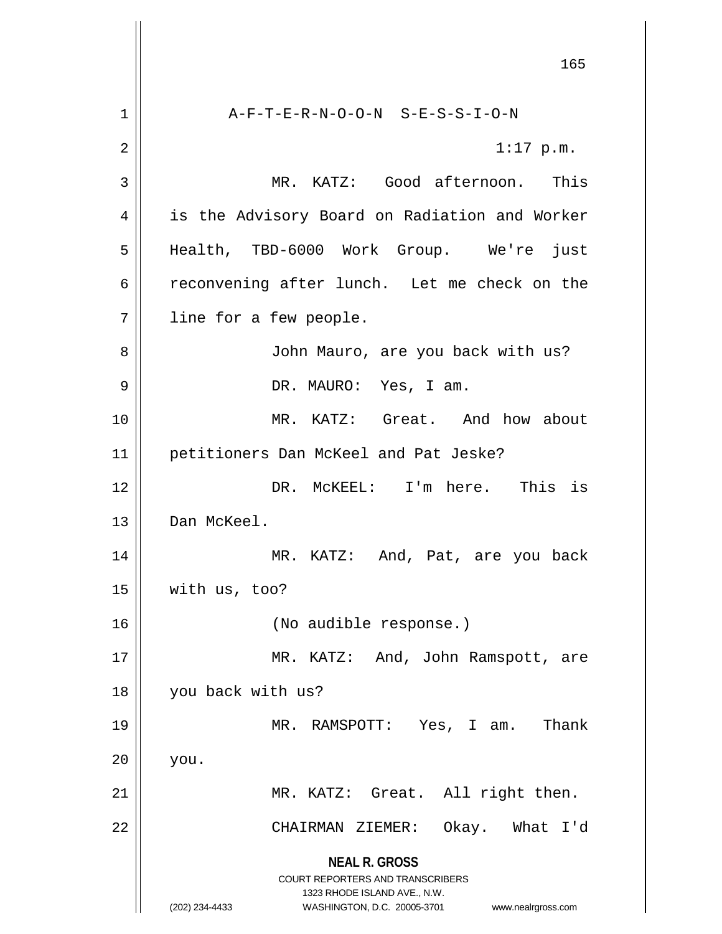**NEAL R. GROSS** COURT REPORTERS AND TRANSCRIBERS 1323 RHODE ISLAND AVE., N.W. (202) 234-4433 WASHINGTON, D.C. 20005-3701 www.nealrgross.com 1 A-F-T-E-R-N-O-O-N S-E-S-S-I-O-N  $2 \parallel$  1:17 p.m. 3 MR. KATZ: Good afternoon. This 4 || is the Advisory Board on Radiation and Worker 5 Health, TBD-6000 Work Group. We're just 6 ceconvening after lunch. Let me check on the 7 | line for a few people. 8 || John Mauro, are you back with us? 9 DR. MAURO: Yes, I am. 10 MR. KATZ: Great. And how about 11 petitioners Dan McKeel and Pat Jeske? 12 DR. McKEEL: I'm here. This is 13 Dan McKeel. 14 || MR. KATZ: And, Pat, are you back  $15$  | with us, too? 16 (No audible response.) 17 || MR. KATZ: And, John Ramspott, are 18 || you back with us? 19 MR. RAMSPOTT: Yes, I am. Thank  $20$  | you. 21 MR. KATZ: Great. All right then. 22 CHAIRMAN ZIEMER: Okay. What I'd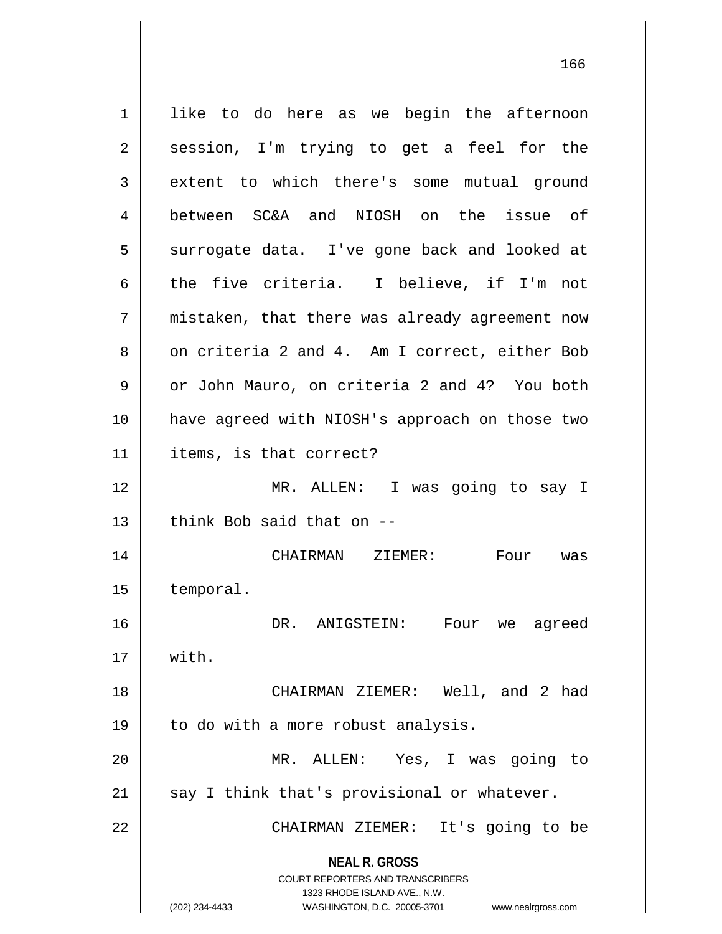**NEAL R. GROSS** COURT REPORTERS AND TRANSCRIBERS 1323 RHODE ISLAND AVE., N.W. (202) 234-4433 WASHINGTON, D.C. 20005-3701 www.nealrgross.com 1 || like to do here as we begin the afternoon  $2 \parallel$  session, I'm trying to get a feel for the 3 extent to which there's some mutual ground 4 between SC&A and NIOSH on the issue of 5 || surrogate data. I've gone back and looked at 6 the five criteria. I believe, if I'm not 7 || mistaken, that there was already agreement now 8 on criteria 2 and 4. Am I correct, either Bob 9 | or John Mauro, on criteria 2 and 4? You both 10 have agreed with NIOSH's approach on those two 11 items, is that correct? 12 MR. ALLEN: I was going to say I  $13$   $\parallel$  think Bob said that on  $-$ 14 CHAIRMAN ZIEMER: Four was 15 temporal. 16 DR. ANIGSTEIN: Four we agreed  $17 \parallel$  with. 18 CHAIRMAN ZIEMER: Well, and 2 had 19 | to do with a more robust analysis. 20 MR. ALLEN: Yes, I was going to  $21$  say I think that's provisional or whatever. 22 || CHAIRMAN ZIEMER: It's going to be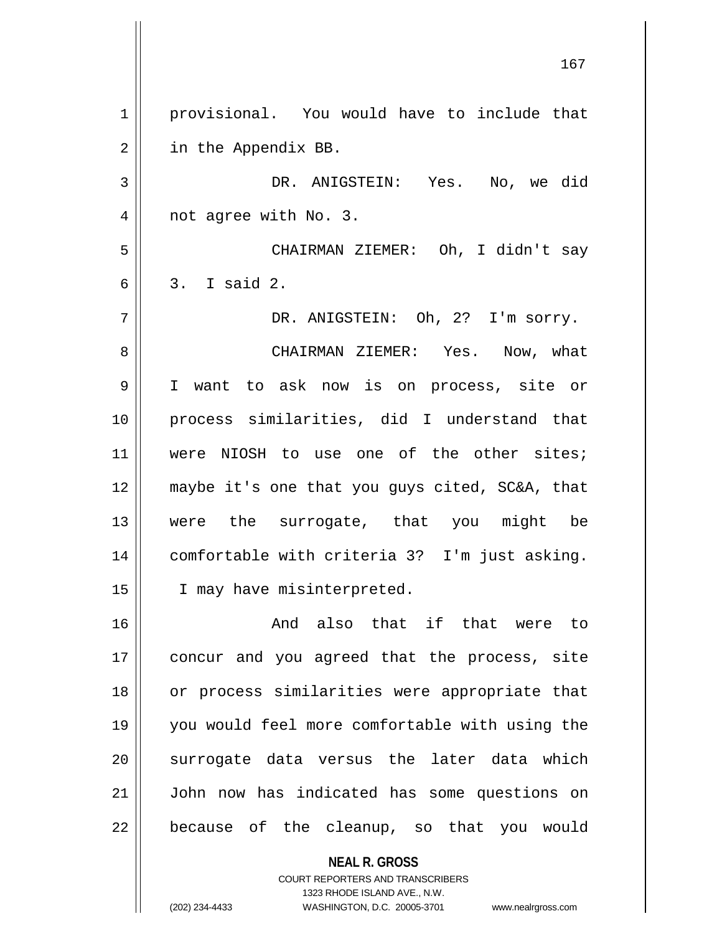1 || provisional. You would have to include that 2 | in the Appendix BB. 3 DR. ANIGSTEIN: Yes. No, we did 4 || not agree with No. 3. 5 CHAIRMAN ZIEMER: Oh, I didn't say  $6 \parallel 3$ . I said 2. 7 DR. ANIGSTEIN: Oh, 2? I'm sorry. 8 CHAIRMAN ZIEMER: Yes. Now, what 9 I want to ask now is on process, site or 10 process similarities, did I understand that 11 || were NIOSH to use one of the other sites; 12 maybe it's one that you guys cited, SC&A, that 13 were the surrogate, that you might be 14 comfortable with criteria 3? I'm just asking. 15 || I may have misinterpreted. 16 and also that if that were to 17 || concur and you agreed that the process, site 18 or process similarities were appropriate that 19 you would feel more comfortable with using the 20 || surrogate data versus the later data which 21 John now has indicated has some questions on 22 || because of the cleanup, so that you would

> **NEAL R. GROSS** COURT REPORTERS AND TRANSCRIBERS 1323 RHODE ISLAND AVE., N.W.

(202) 234-4433 WASHINGTON, D.C. 20005-3701 www.nealrgross.com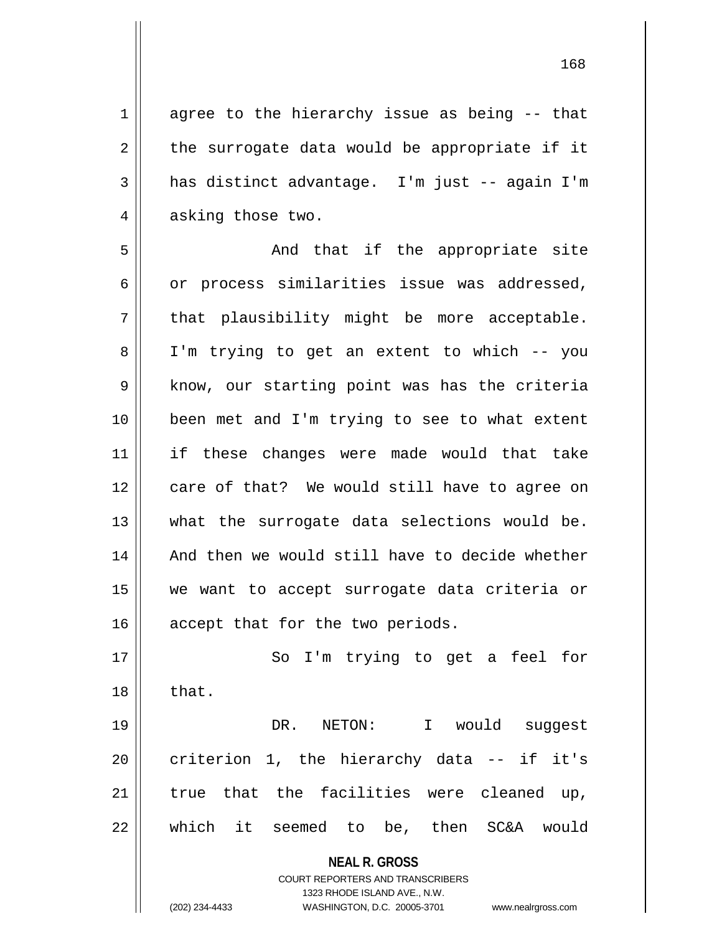$1 \parallel$  agree to the hierarchy issue as being -- that  $2 \parallel$  the surrogate data would be appropriate if it 3 has distinct advantage. I'm just -- again I'm 4 || asking those two.

5 And that if the appropriate site  $6 \parallel$  or process similarities issue was addressed,  $7 \parallel$  that plausibility might be more acceptable. 8 I'm trying to get an extent to which -- you  $9 \parallel$  know, our starting point was has the criteria 10 been met and I'm trying to see to what extent 11 if these changes were made would that take 12 || care of that? We would still have to agree on 13 || what the surrogate data selections would be. 14 || And then we would still have to decide whether 15 we want to accept surrogate data criteria or 16 || accept that for the two periods.

17 || So I'm trying to get a feel for  $18 \parallel$  that. DR. NETON: I would suggest criterion 1, the hierarchy data -- if it's | true that the facilities were cleaned up, which it seemed to be, then SC&A would

**NEAL R. GROSS**

COURT REPORTERS AND TRANSCRIBERS 1323 RHODE ISLAND AVE., N.W. (202) 234-4433 WASHINGTON, D.C. 20005-3701 www.nealrgross.com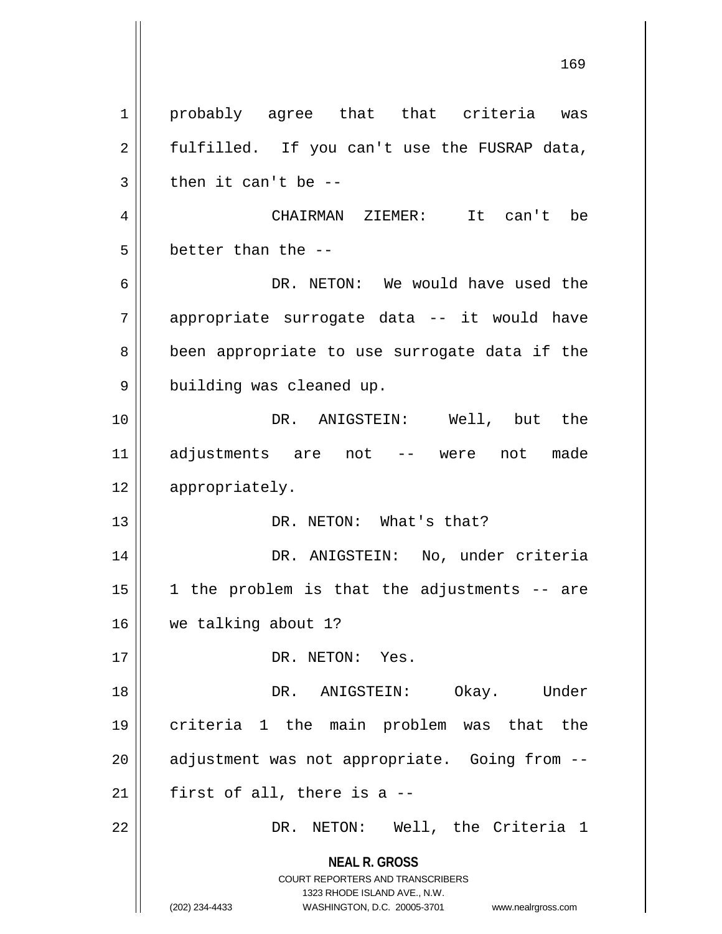**NEAL R. GROSS** COURT REPORTERS AND TRANSCRIBERS 1323 RHODE ISLAND AVE., N.W. (202) 234-4433 WASHINGTON, D.C. 20005-3701 www.nealrgross.com 169 1 || probably agree that that criteria was  $2 \parallel$  fulfilled. If you can't use the FUSRAP data,  $3 \parallel$  then it can't be --4 CHAIRMAN ZIEMER: It can't be  $5 \parallel$  better than the --6 DR. NETON: We would have used the 7 appropriate surrogate data -- it would have 8 || been appropriate to use surrogate data if the 9 | building was cleaned up. 10 || The DR. ANIGSTEIN: Well, but the 11 adjustments are not -- were not made 12 | appropriately. 13 || DR. NETON: What's that? 14 DR. ANIGSTEIN: No, under criteria  $15 \parallel$  1 the problem is that the adjustments -- are 16 we talking about 1? 17 || DR. NETON: Yes. 18 DR. ANIGSTEIN: Okay. Under 19 criteria 1 the main problem was that the  $20$  || adjustment was not appropriate. Going from  $-$ - $21$  | first of all, there is a --22 DR. NETON: Well, the Criteria 1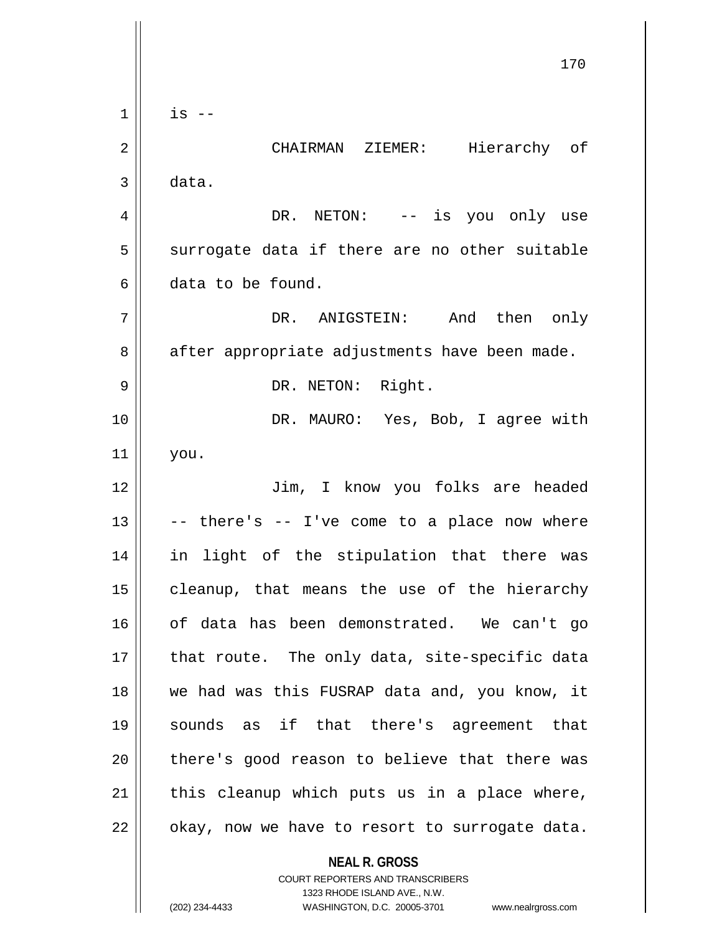**NEAL R. GROSS** COURT REPORTERS AND TRANSCRIBERS 170  $1 \parallel$  is  $-$ 2 CHAIRMAN ZIEMER: Hierarchy of  $3 \parallel$  data. 4 DR. NETON: -- is you only use  $5 \parallel$  surrogate data if there are no other suitable 6 data to be found. 7 DR. ANIGSTEIN: And then only 8 | after appropriate adjustments have been made. 9 || DR. NETON: Right. 10 || DR. MAURO: Yes, Bob, I agree with 11 you. 12 Jim, I know you folks are headed  $13 \parallel$  -- there's -- I've come to a place now where 14 in light of the stipulation that there was  $15$  cleanup, that means the use of the hierarchy 16 of data has been demonstrated. We can't go  $17$  || that route. The only data, site-specific data 18 we had was this FUSRAP data and, you know, it 19 sounds as if that there's agreement that 20 || there's good reason to believe that there was  $21$  this cleanup which puts us in a place where,  $22$  | okay, now we have to resort to surrogate data.

1323 RHODE ISLAND AVE., N.W.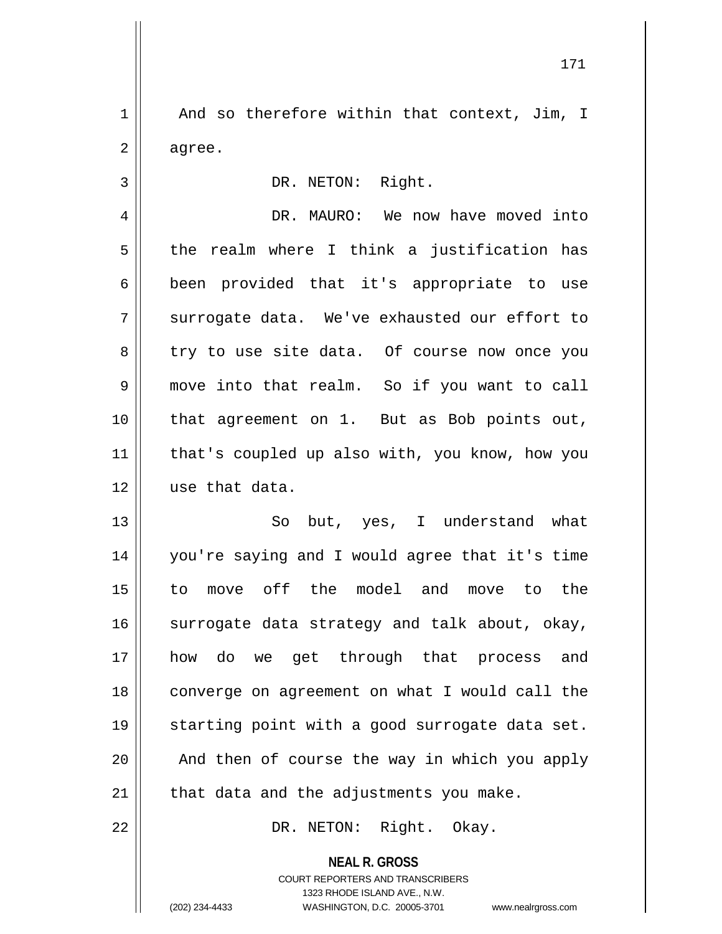$1 \parallel$  And so therefore within that context, Jim, I  $2 \parallel$  agree.

3 || DR. NETON: Right.

4 DR. MAURO: We now have moved into  $5 \parallel$  the realm where I think a justification has 6 been provided that it's appropriate to use  $7 \parallel$  surrogate data. We've exhausted our effort to 8 || try to use site data. Of course now once you 9 move into that realm. So if you want to call 10 that agreement on 1. But as Bob points out, 11 || that's coupled up also with, you know, how you 12 use that data.

 So but, yes, I understand what you're saying and I would agree that it's time to move off the model and move to the  $\parallel$  surrogate data strategy and talk about, okay, how do we get through that process and converge on agreement on what I would call the 19 || starting point with a good surrogate data set. || And then of course the way in which you apply || that data and the adjustments you make.

22 || DR. NETON: Right. Okay.

**NEAL R. GROSS** COURT REPORTERS AND TRANSCRIBERS 1323 RHODE ISLAND AVE., N.W. (202) 234-4433 WASHINGTON, D.C. 20005-3701 www.nealrgross.com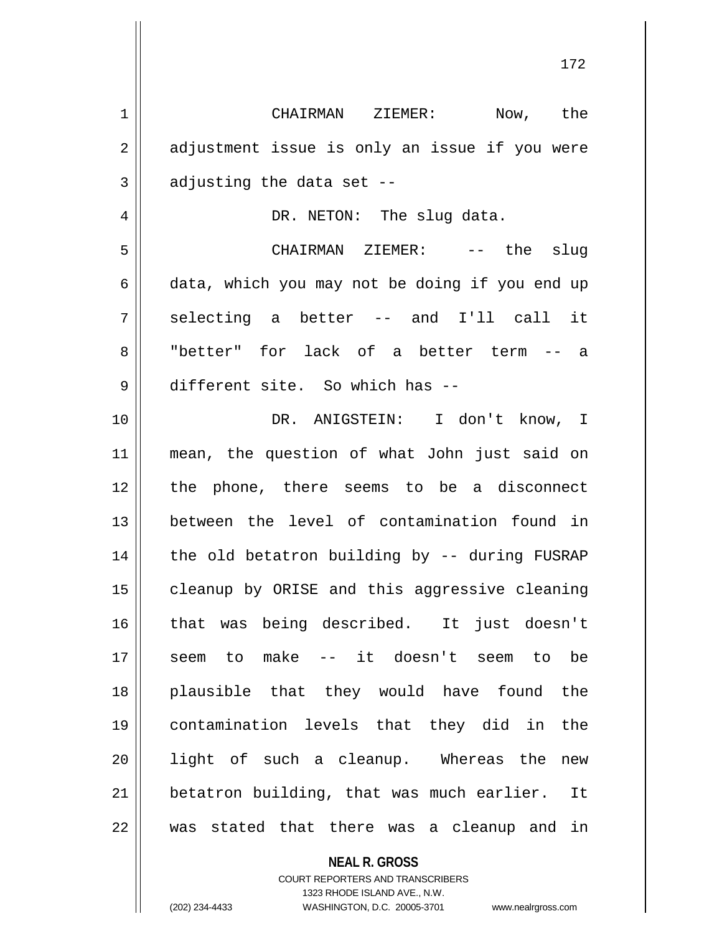CHAIRMAN ZIEMER: Now, the  $2 \parallel$  adjustment issue is only an issue if you were  $3 \parallel$  adjusting the data set -- DR. NETON: The slug data. CHAIRMAN ZIEMER: -- the slug  $6 \parallel$  data, which you may not be doing if you end up  $7 \parallel$  selecting a better -- and I'll call it "better" for lack of a better term -- a different site. So which has -- DR. ANIGSTEIN: I don't know, I mean, the question of what John just said on 12 || the phone, there seems to be a disconnect between the level of contamination found in | the old betatron building by -- during FUSRAP 15 | cleanup by ORISE and this aggressive cleaning that was being described. It just doesn't seem to make -- it doesn't seem to be plausible that they would have found the contamination levels that they did in the 20 || light of such a cleanup. Whereas the new betatron building, that was much earlier. It was stated that there was a cleanup and in

**NEAL R. GROSS**

COURT REPORTERS AND TRANSCRIBERS 1323 RHODE ISLAND AVE., N.W. (202) 234-4433 WASHINGTON, D.C. 20005-3701 www.nealrgross.com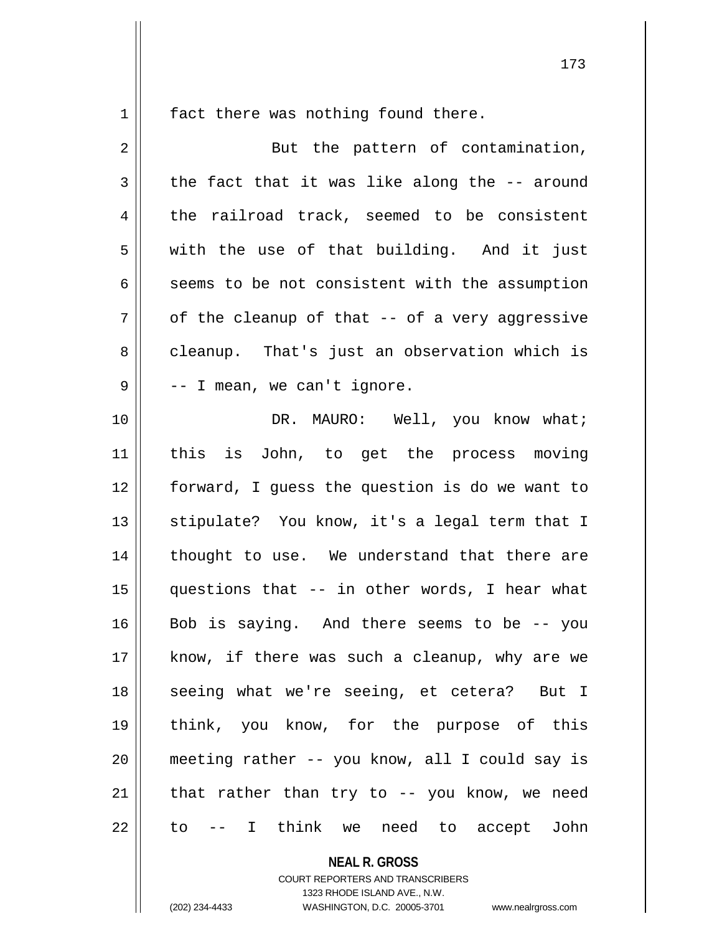$1 \parallel$  fact there was nothing found there.

| $\overline{2}$ | But the pattern of contamination,              |
|----------------|------------------------------------------------|
| 3              | the fact that it was like along the -- around  |
| 4              | the railroad track, seemed to be consistent    |
| 5              | with the use of that building. And it just     |
| 6              | seems to be not consistent with the assumption |
| 7              | of the cleanup of that -- of a very aggressive |
| 8              | cleanup. That's just an observation which is   |
| $\mathsf 9$    | -- I mean, we can't ignore.                    |
| 10             | DR. MAURO: Well, you know what;                |
| 11             | this is John, to get the process moving        |
| 12             | forward, I guess the question is do we want to |
| 13             | stipulate? You know, it's a legal term that I  |
| 14             | thought to use. We understand that there are   |
| 15             | questions that -- in other words, I hear what  |
| 16             | Bob is saying. And there seems to be -- you    |
| 17             | know, if there was such a cleanup, why are we  |
| 18             | seeing what we're seeing, et cetera? But I     |
| 19             | think, you know, for the purpose of this       |
| 20             | meeting rather -- you know, all I could say is |
| 21             | that rather than try to -- you know, we need   |
| 22             | - I think we<br>need to accept<br>John<br>to   |

**NEAL R. GROSS**

COURT REPORTERS AND TRANSCRIBERS 1323 RHODE ISLAND AVE., N.W. (202) 234-4433 WASHINGTON, D.C. 20005-3701 www.nealrgross.com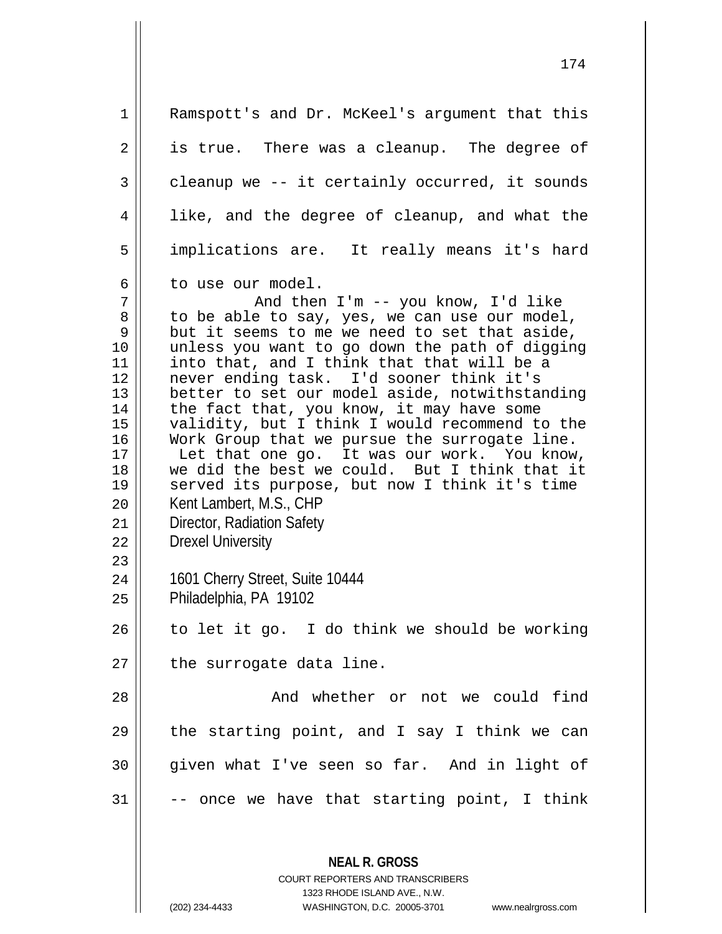**NEAL R. GROSS** COURT REPORTERS AND TRANSCRIBERS 1323 RHODE ISLAND AVE., N.W. (202) 234-4433 WASHINGTON, D.C. 20005-3701 www.nealrgross.com 1 || Ramspott's and Dr. McKeel's argument that this  $2 \parallel$  is true. There was a cleanup. The degree of  $3 \parallel$  cleanup we -- it certainly occurred, it sounds  $4 \parallel$  like, and the degree of cleanup, and what the 5 implications are. It really means it's hard 6 l to use our model. 7 And then I'm -- you know, I'd like 8 to be able to say, yes, we can use our model,<br>9 but it seems to me we need to set that aside, 9 but it seems to me we need to set that aside,<br>10 unless you want to go down the path of diggin 10 unless you want to go down the path of digging<br>11 into that, and I think that that will be a 11 into that, and I think that that will be a<br>12 never ending task. I'd sooner think it's 12 never ending task. I'd sooner think it's<br>13 better to set our model aside, notwithsta: 13 better to set our model aside, notwithstanding<br>14 the fact that, you know, it may have some 14 the fact that, you know, it may have some<br>15 validity, but I think I would recommend t 15 validity, but I think I would recommend to the<br>16 Work Group that we pursue the surrogate line. 16 Work Group that we pursue the surrogate line.<br>17 The that one go. It was our work. You know 17 Let that one go. It was our work. You know,<br>18 we did the best we could. But I think that it  $\begin{array}{c|c} 18 & \text{we did the best we could.} \end{array}$  served its purpose, but no served its purpose, but now I think it's time 20 | Kent Lambert, M.S., CHP 21 Director, Radiation Safety 22 | Drexel University 23 24 1601 Cherry Street, Suite 10444  $25$  | Philadelphia, PA 19102  $26$  to let it go. I do think we should be working  $27$  | the surrogate data line. 28 And whether or not we could find 29  $\parallel$  the starting point, and I say I think we can 30 given what I've seen so far. And in light of  $31 \parallel$  -- once we have that starting point, I think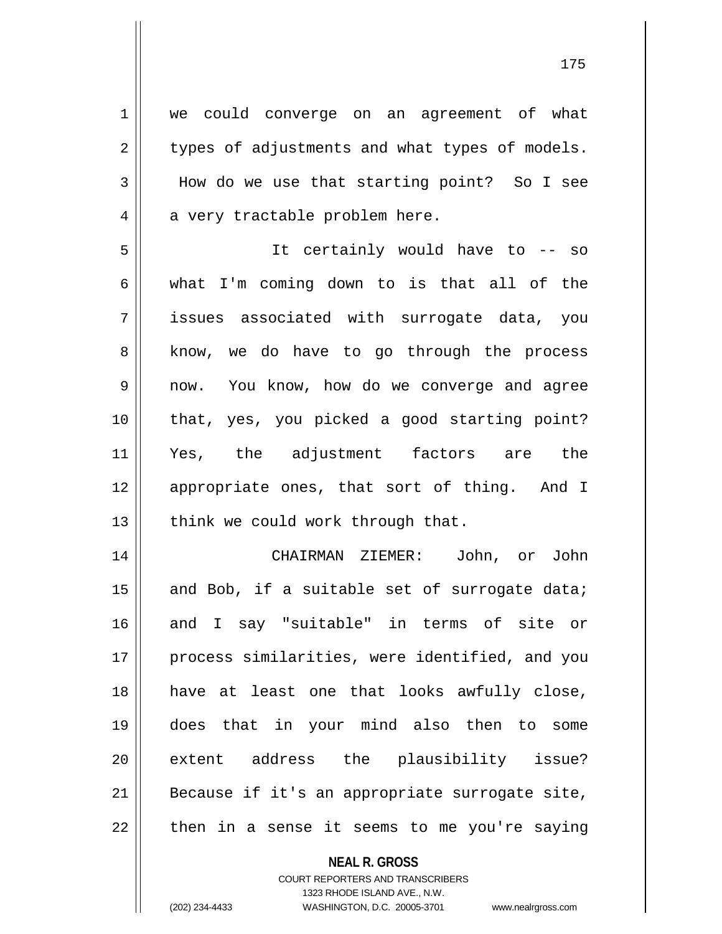1 || we could converge on an agreement of what  $2 \parallel$  types of adjustments and what types of models. How do we use that starting point? So I see  $4 \parallel$  a very tractable problem here. It certainly would have to -- so 6 What I'm coming down to is that all of the issues associated with surrogate data, you 8 || know, we do have to go through the process now. You know, how do we converge and agree that, yes, you picked a good starting point? Yes, the adjustment factors are the 12 || appropriate ones, that sort of thing. And I | think we could work through that. CHAIRMAN ZIEMER: John, or John  $\parallel$  and Bob, if a suitable set of surrogate data; and I say "suitable" in terms of site or 17 || process similarities, were identified, and you have at least one that looks awfully close, does that in your mind also then to some 20 extent address the plausibility issue? | Because if it's an appropriate surrogate site, || then in a sense it seems to me you're saying

> **NEAL R. GROSS** COURT REPORTERS AND TRANSCRIBERS 1323 RHODE ISLAND AVE., N.W.

(202) 234-4433 WASHINGTON, D.C. 20005-3701 www.nealrgross.com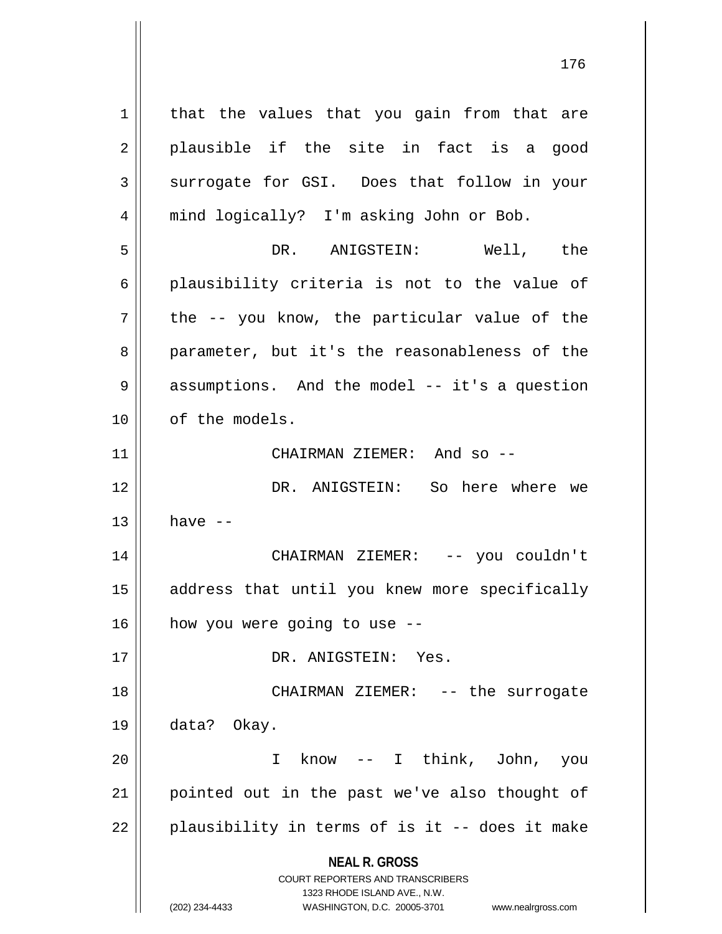**NEAL R. GROSS** COURT REPORTERS AND TRANSCRIBERS 1323 RHODE ISLAND AVE., N.W. (202) 234-4433 WASHINGTON, D.C. 20005-3701 www.nealrgross.com  $1$  that the values that you gain from that are  $2 \parallel$  plausible if the site in fact is a good 3 Surrogate for GSI. Does that follow in your 4 || mind logically? I'm asking John or Bob. 5 DR. ANIGSTEIN: Well, the  $6 \parallel$  plausibility criteria is not to the value of  $7 \parallel$  the -- you know, the particular value of the 8 || parameter, but it's the reasonableness of the 9 assumptions. And the model -- it's a question 10 | of the models. 11 CHAIRMAN ZIEMER: And so -- 12 DR. ANIGSTEIN: So here where we  $13$  have  $-$ 14 CHAIRMAN ZIEMER: -- you couldn't 15 || address that until you knew more specifically  $16$  | how you were going to use  $-$ 17 DR. ANIGSTEIN: Yes. 18 CHAIRMAN ZIEMER: -- the surrogate 19 data? Okay. 20 I know -- I think, John, you 21 || pointed out in the past we've also thought of  $22$  || plausibility in terms of is it -- does it make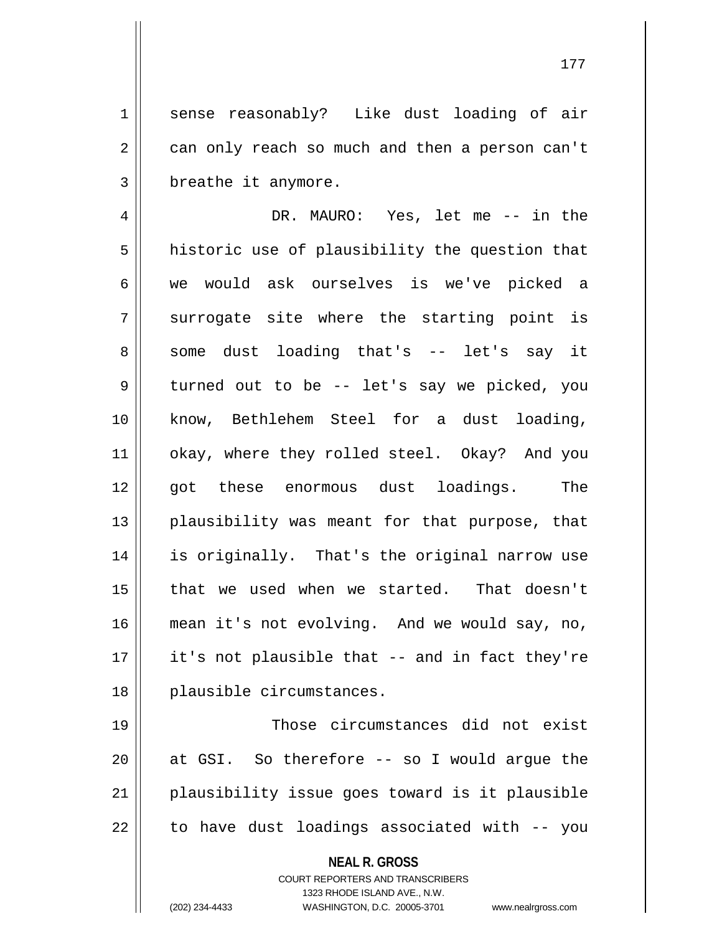1 || sense reasonably? Like dust loading of air  $2 \parallel$  can only reach so much and then a person can't 3 | breathe it anymore.

4 DR. MAURO: Yes, let me -- in the  $5$  historic use of plausibility the question that 6 we would ask ourselves is we've picked a  $7 \parallel$  surrogate site where the starting point is 8 some dust loading that's -- let's say it 9 || turned out to be -- let's say we picked, you 10 know, Bethlehem Steel for a dust loading, 11 || okay, where they rolled steel. Okay? And you 12 || got these enormous dust loadings. The 13 || plausibility was meant for that purpose, that 14 is originally. That's the original narrow use 15 that we used when we started. That doesn't 16 mean it's not evolving. And we would say, no,  $17$  || it's not plausible that -- and in fact they're 18 || plausible circumstances.

19 || Those circumstances did not exist  $\parallel$  at GSI. So therefore  $-$  so I would argue the plausibility issue goes toward is it plausible | to have dust loadings associated with  $-$ - you

**NEAL R. GROSS**

COURT REPORTERS AND TRANSCRIBERS 1323 RHODE ISLAND AVE., N.W. (202) 234-4433 WASHINGTON, D.C. 20005-3701 www.nealrgross.com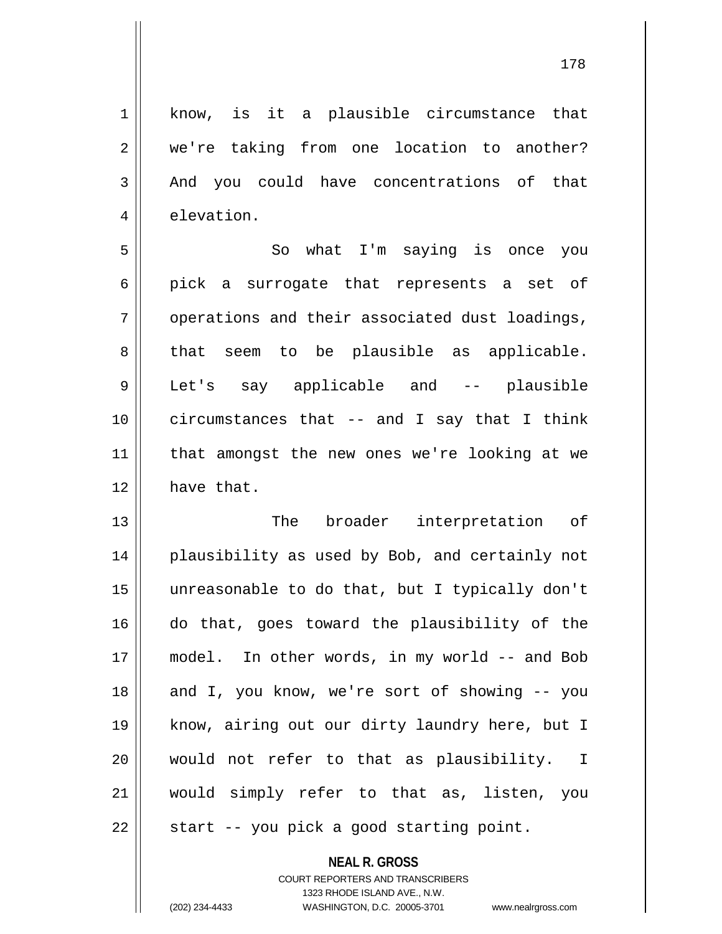1 know, is it a plausible circumstance that 2 we're taking from one location to another? 3 And you could have concentrations of that 4 elevation. 5 || So what I'm saying is once you  $6 \parallel$  pick a surrogate that represents a set of  $7 \parallel$  operations and their associated dust loadings, 8 that seem to be plausible as applicable. 9 Let's say applicable and -- plausible 10 circumstances that -- and I say that I think 11 that amongst the new ones we're looking at we 12 have that. 13 || The broader interpretation of 14 || plausibility as used by Bob, and certainly not 15 unreasonable to do that, but I typically don't 16 do that, goes toward the plausibility of the 17 model. In other words, in my world -- and Bob 18 || and I, you know, we're sort of showing -- you 19 know, airing out our dirty laundry here, but I

21 would simply refer to that as, listen, you

 $22 \parallel$  start -- you pick a good starting point.

# **NEAL R. GROSS** COURT REPORTERS AND TRANSCRIBERS 1323 RHODE ISLAND AVE., N.W. (202) 234-4433 WASHINGTON, D.C. 20005-3701 www.nealrgross.com

20 would not refer to that as plausibility. I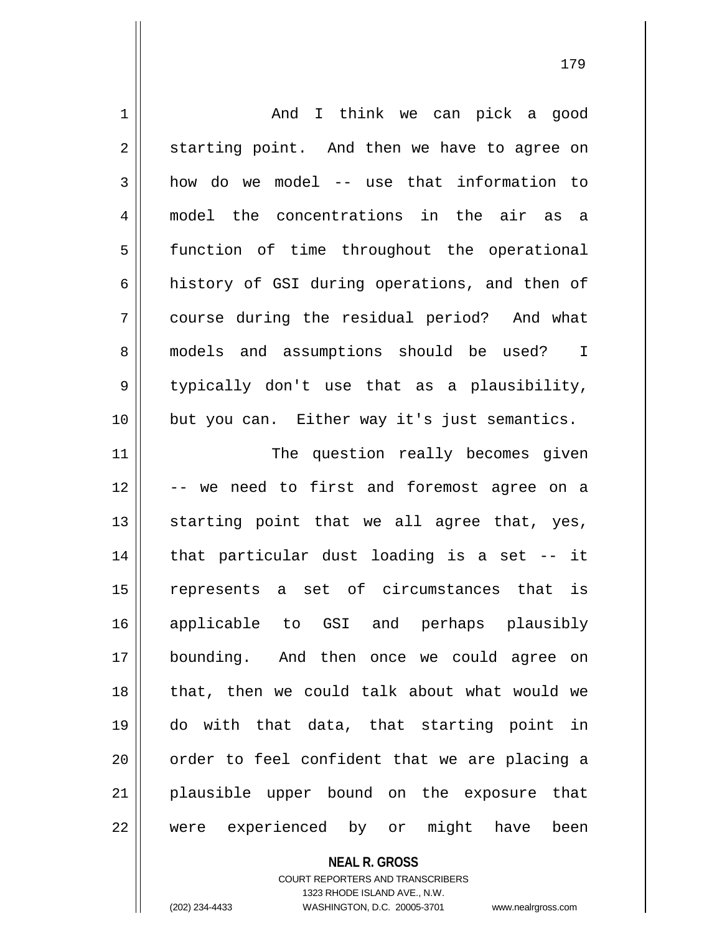| 1  | And I think we can pick a good                        |
|----|-------------------------------------------------------|
| 2  | starting point. And then we have to agree on          |
| 3  | how do we model -- use that information to            |
| 4  | model the concentrations in the air as a              |
| 5  | function of time throughout the operational           |
| 6  | history of GSI during operations, and then of         |
| 7  | course during the residual period? And what           |
| 8  | models and assumptions should be used?<br>$\mathbf I$ |
| 9  | typically don't use that as a plausibility,           |
| 10 | but you can. Either way it's just semantics.          |
| 11 | The question really becomes given                     |
| 12 | -- we need to first and foremost agree on a           |
| 13 | starting point that we all agree that, yes,           |
| 14 | that particular dust loading is a set -- it           |
| 15 | represents a set of circumstances that is             |
| 16 | applicable to GSI and perhaps plausibly               |
| 17 | bounding. And then once we could agree on             |
| 18 | that, then we could talk about what would we          |
| 19 | do with that data, that starting point in             |
| 20 | order to feel confident that we are placing a         |
| 21 | plausible upper bound on the exposure that            |
| 22 | were experienced by or might have<br>been             |
|    | <b>NEAL R. GROSS</b>                                  |

COURT REPORTERS AND TRANSCRIBERS 1323 RHODE ISLAND AVE., N.W.

 $\mathsf{II}$ 

(202) 234-4433 WASHINGTON, D.C. 20005-3701 www.nealrgross.com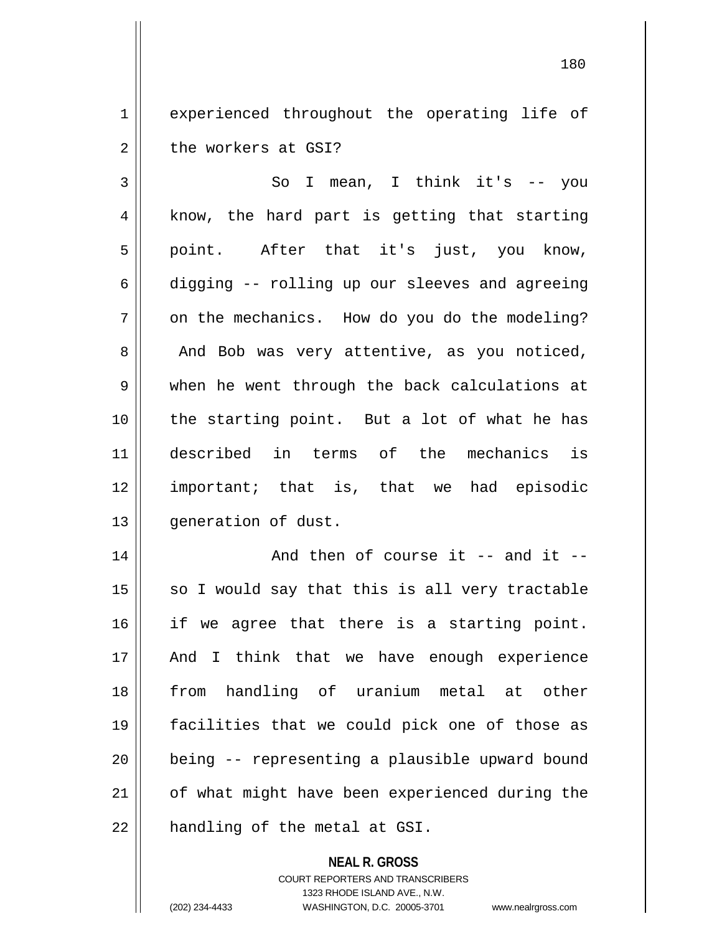1 || experienced throughout the operating life of 2 | the workers at GSI?

3 || So I mean, I think it's -- you  $4 \parallel$  know, the hard part is getting that starting 5 || point. After that it's just, you know, 6 digging -- rolling up our sleeves and agreeing  $7 \parallel$  on the mechanics. How do you do the modeling?  $8 \parallel$  And Bob was very attentive, as you noticed, 9 when he went through the back calculations at 10 || the starting point. But a lot of what he has 11 described in terms of the mechanics is 12 important; that is, that we had episodic 13 | qeneration of dust.

  $\parallel$  and then of course it -- and it -- so I would say that this is all very tractable 16 || if we agree that there is a starting point. And I think that we have enough experience 18 || from handling of uranium metal at other facilities that we could pick one of those as || being -- representing a plausible upward bound 21 | of what might have been experienced during the | handling of the metal at GSI.

> **NEAL R. GROSS** COURT REPORTERS AND TRANSCRIBERS 1323 RHODE ISLAND AVE., N.W. (202) 234-4433 WASHINGTON, D.C. 20005-3701 www.nealrgross.com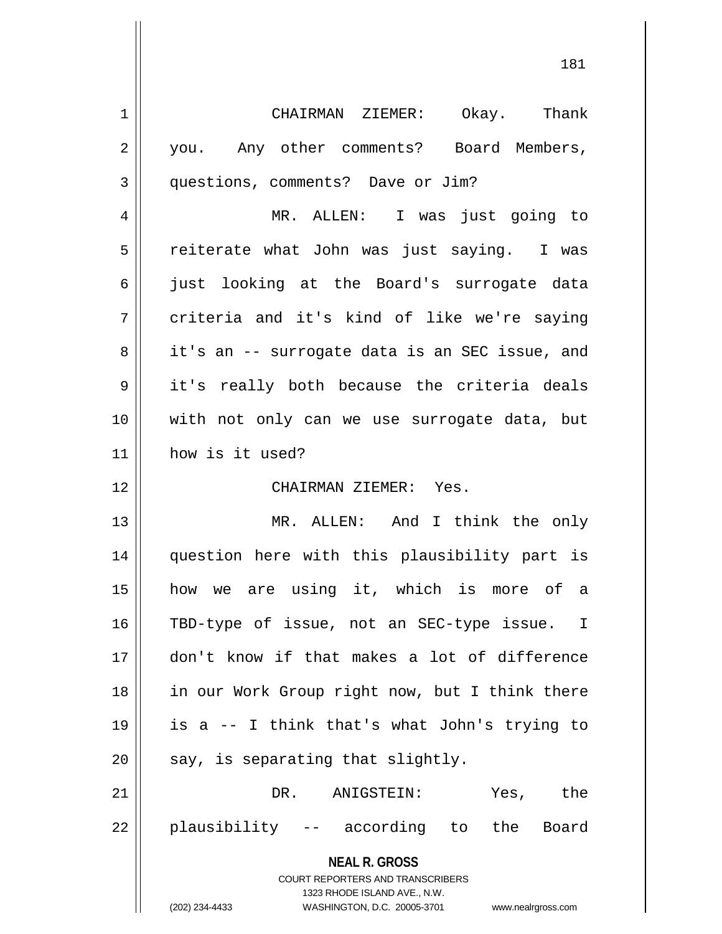| 1  | CHAIRMAN ZIEMER: Okay. Thank                                        |
|----|---------------------------------------------------------------------|
| 2  | you. Any other comments? Board Members,                             |
| 3  | questions, comments? Dave or Jim?                                   |
| 4  | MR. ALLEN: I was just going to                                      |
| 5  | reiterate what John was just saying. I was                          |
| 6  | just looking at the Board's surrogate data                          |
| 7  | criteria and it's kind of like we're saying                         |
| 8  | it's an -- surrogate data is an SEC issue, and                      |
| 9  | it's really both because the criteria deals                         |
| 10 | with not only can we use surrogate data, but                        |
| 11 | how is it used?                                                     |
| 12 | CHAIRMAN ZIEMER: Yes.                                               |
| 13 | MR. ALLEN: And I think the only                                     |
| 14 | question here with this plausibility part is                        |
| 15 | how we are using it, which is more of a                             |
| 16 | TBD-type of issue, not an SEC-type issue. I                         |
| 17 | don't know if that makes a lot of difference                        |
| 18 | in our Work Group right now, but I think there                      |
| 19 | is a -- I think that's what John's trying to                        |
|    |                                                                     |
| 20 | say, is separating that slightly.                                   |
| 21 | DR.<br>ANIGSTEIN:<br>Yes, the                                       |
| 22 | plausibility -- according to the Board                              |
|    | <b>NEAL R. GROSS</b><br><b>COURT REPORTERS AND TRANSCRIBERS</b>     |
|    | 1323 RHODE ISLAND AVE., N.W.                                        |
|    | (202) 234-4433<br>WASHINGTON, D.C. 20005-3701<br>www.nealrgross.com |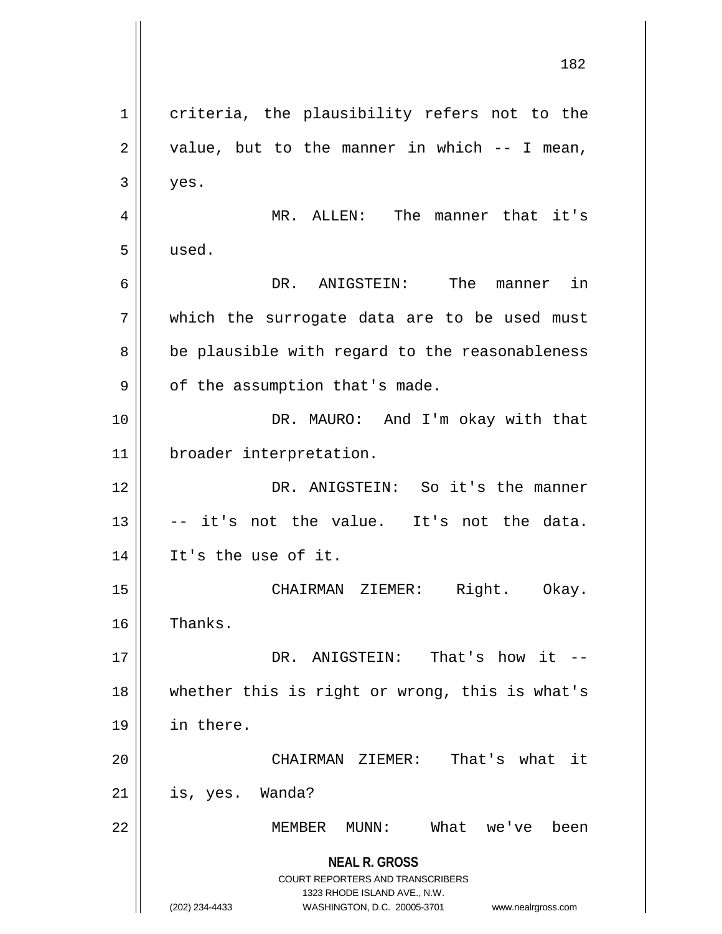**NEAL R. GROSS** COURT REPORTERS AND TRANSCRIBERS 1323 RHODE ISLAND AVE., N.W. (202) 234-4433 WASHINGTON, D.C. 20005-3701 www.nealrgross.com 1 criteria, the plausibility refers not to the  $2 \parallel$  value, but to the manner in which  $-$  I mean,  $3 \parallel$  yes. 4 MR. ALLEN: The manner that it's 5 used. 6 DR. ANIGSTEIN: The manner in 7 which the surrogate data are to be used must 8 || be plausible with regard to the reasonableness  $9 \parallel$  of the assumption that's made. 10 || DR. MAURO: And I'm okay with that 11 broader interpretation. 12 DR. ANIGSTEIN: So it's the manner  $13$   $\parallel$  -- it's not the value. It's not the data. 14 || It's the use of it. 15 || CHAIRMAN ZIEMER: Right. Okay. 16 | Thanks. 17 DR. ANIGSTEIN: That's how it -- 18 whether this is right or wrong, this is what's 19 in there. 20 CHAIRMAN ZIEMER: That's what it  $21$  | is, yes. Wanda? 22 MEMBER MUNN: What we've been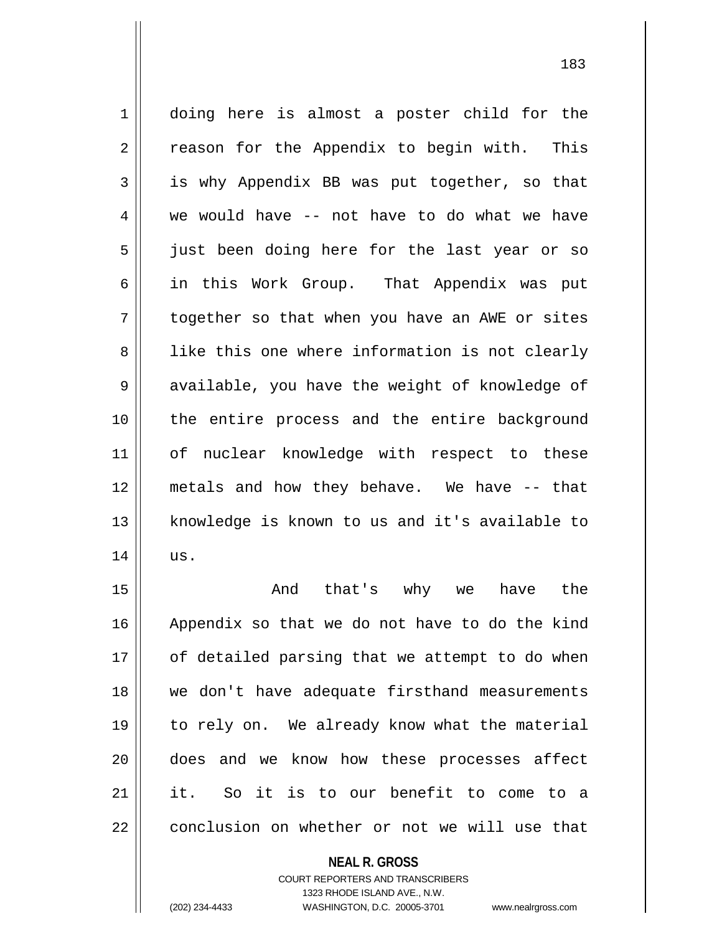1 || doing here is almost a poster child for the  $2 \parallel$  reason for the Appendix to begin with. This 3 is why Appendix BB was put together, so that  $4 \parallel$  we would have -- not have to do what we have 5 || just been doing here for the last year or so 6 in this Work Group. That Appendix was put 7 || together so that when you have an AWE or sites 8 || like this one where information is not clearly 9 || available, you have the weight of knowledge of 10 the entire process and the entire background 11 || of nuclear knowledge with respect to these 12 metals and how they behave. We have -- that 13 knowledge is known to us and it's available to  $14$  | us.

 And that's why we have the Appendix so that we do not have to do the kind | of detailed parsing that we attempt to do when we don't have adequate firsthand measurements to rely on. We already know what the material does and we know how these processes affect it. So it is to our benefit to come to a 22 | conclusion on whether or not we will use that

## **NEAL R. GROSS**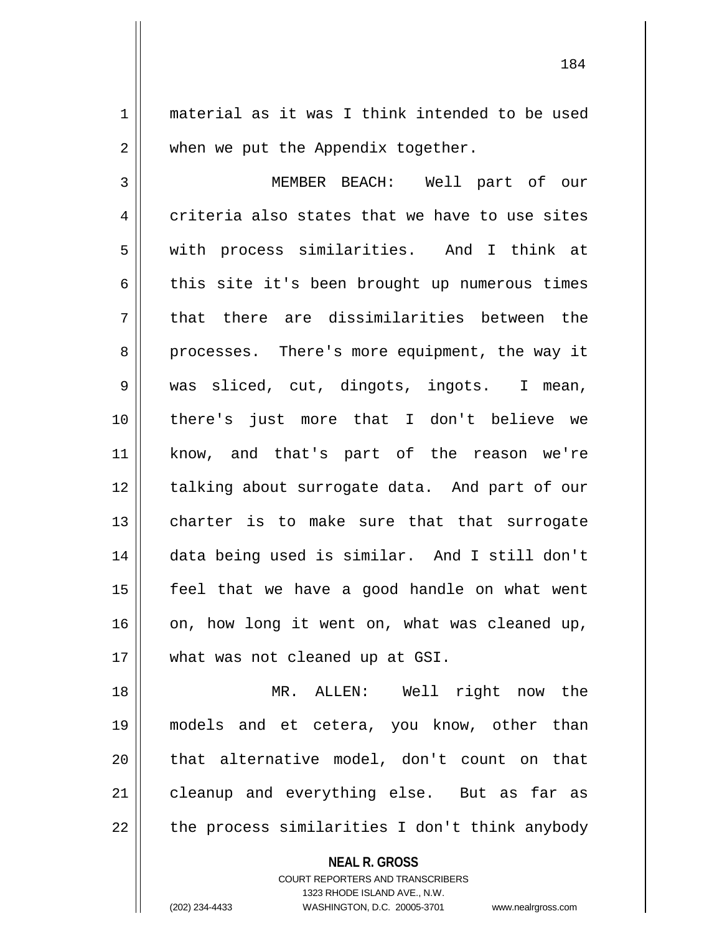1 material as it was I think intended to be used  $2 \parallel$  when we put the Appendix together.

3 MEMBER BEACH: Well part of our  $4 \parallel$  criteria also states that we have to use sites 5 || with process similarities. And I think at  $6 \parallel$  this site it's been brought up numerous times  $7 \parallel$  that there are dissimilarities between the 8 || processes. There's more equipment, the way it 9 was sliced, cut, dingots, ingots. I mean, 10 there's just more that I don't believe we 11 know, and that's part of the reason we're 12 || talking about surrogate data. And part of our 13 || charter is to make sure that that surrogate 14 data being used is similar. And I still don't 15 feel that we have a good handle on what went  $16$  on, how long it went on, what was cleaned up, 17 || what was not cleaned up at GSI.

 MR. ALLEN: Well right now the models and et cetera, you know, other than || that alternative model, don't count on that 21 || cleanup and everything else. But as far as | the process similarities I don't think anybody

**NEAL R. GROSS**

COURT REPORTERS AND TRANSCRIBERS 1323 RHODE ISLAND AVE., N.W. (202) 234-4433 WASHINGTON, D.C. 20005-3701 www.nealrgross.com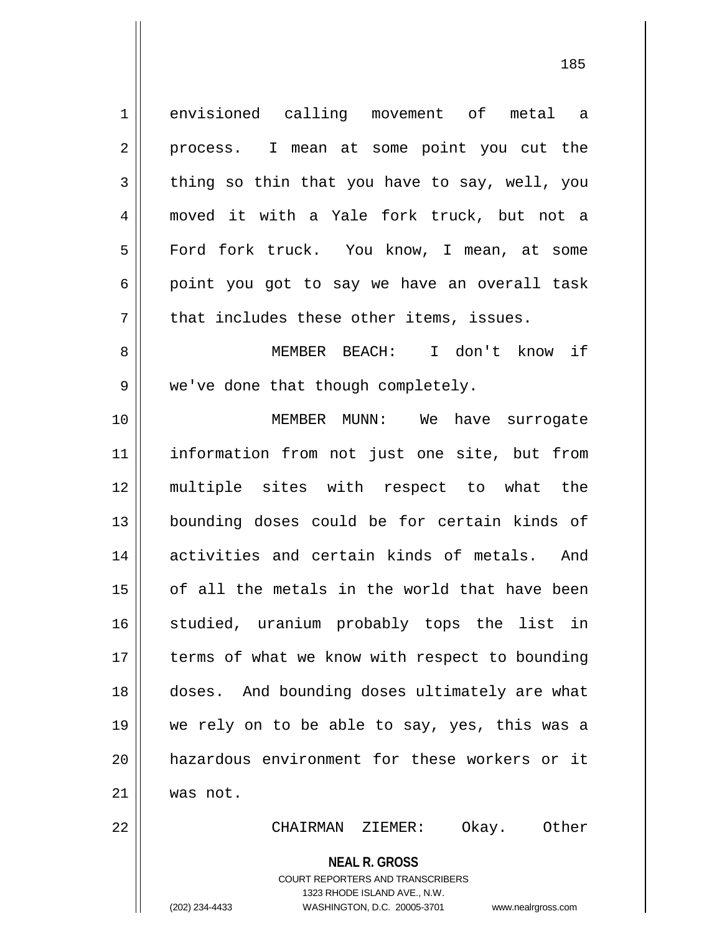envisioned calling movement of metal a 2 || process. I mean at some point you cut the  $3 \parallel$  thing so thin that you have to say, well, you moved it with a Yale fork truck, but not a 5 | Ford fork truck. You know, I mean, at some  $6 \parallel$  point you got to say we have an overall task || that includes these other items, issues. MEMBER BEACH: I don't know if 9 || we've done that though completely. MEMBER MUNN: We have surrogate information from not just one site, but from multiple sites with respect to what the bounding doses could be for certain kinds of activities and certain kinds of metals. And of all the metals in the world that have been 16 || studied, uranium probably tops the list in 17 || terms of what we know with respect to bounding doses. And bounding doses ultimately are what we rely on to be able to say, yes, this was a hazardous environment for these workers or it 21 was not. CHAIRMAN ZIEMER: Okay. Other

> COURT REPORTERS AND TRANSCRIBERS 1323 RHODE ISLAND AVE., N.W. (202) 234-4433 WASHINGTON, D.C. 20005-3701 www.nealrgross.com

**NEAL R. GROSS**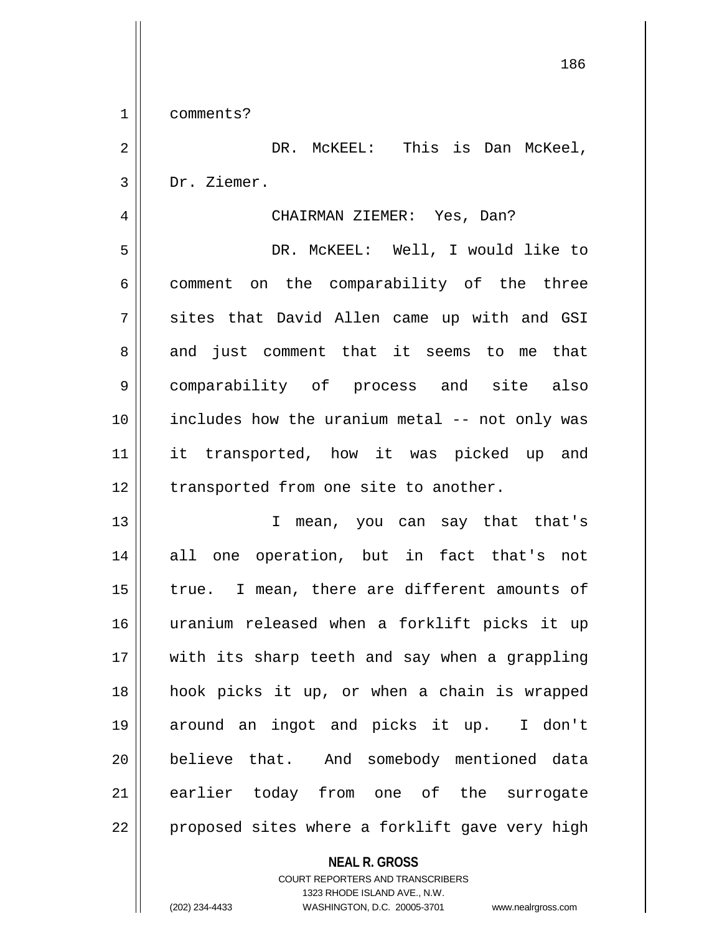1 comments?

2 | DR. McKEEL: This is Dan McKeel, 3 Dr. Ziemer.

4 CHAIRMAN ZIEMER: Yes, Dan?

5 DR. McKEEL: Well, I would like to 6 comment on the comparability of the three  $7 \parallel$  sites that David Allen came up with and GSI 8 and just comment that it seems to me that 9 comparability of process and site also 10 || includes how the uranium metal -- not only was 11 it transported, how it was picked up and 12 || transported from one site to another.

13 || T mean, you can say that that's 14 all one operation, but in fact that's not  $15$  | true. I mean, there are different amounts of 16 uranium released when a forklift picks it up 17 || with its sharp teeth and say when a grappling 18 hook picks it up, or when a chain is wrapped 19 around an ingot and picks it up. I don't 20 believe that. And somebody mentioned data 21 earlier today from one of the surrogate 22 || proposed sites where a forklift gave very high

## **NEAL R. GROSS**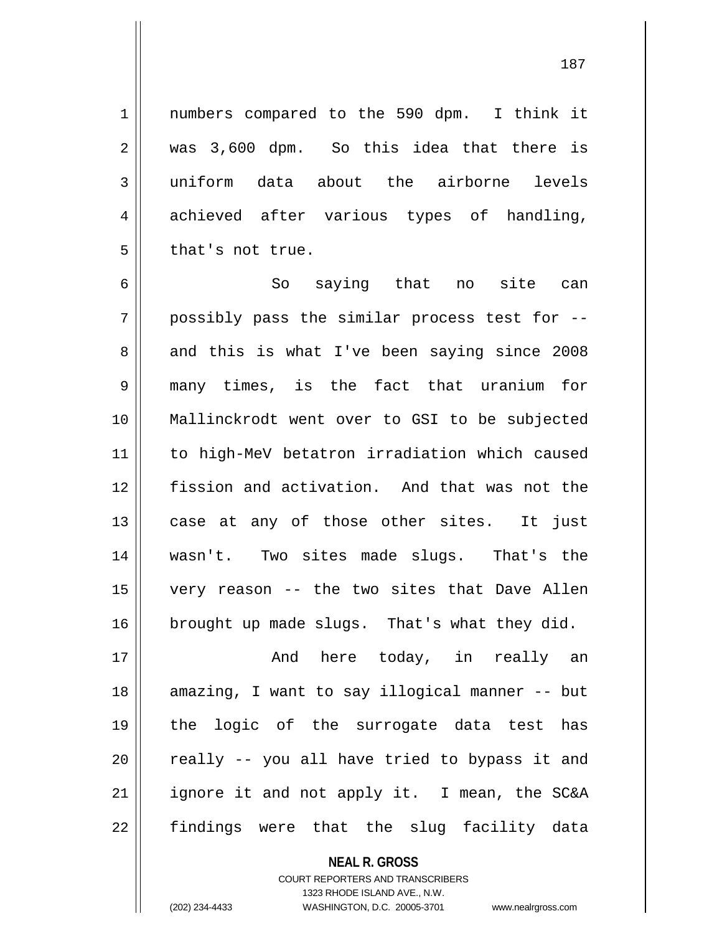1 || numbers compared to the 590 dpm. I think it 2 was 3,600 dpm. So this idea that there is 3 uniform data about the airborne levels 4 achieved after various types of handling,  $5 \parallel$  that's not true.

 $6 \parallel$  So saying that no site can  $7 \parallel$  possibly pass the similar process test for  $-$ -8 and this is what I've been saying since 2008 many times, is the fact that uranium for Mallinckrodt went over to GSI to be subjected to high-MeV betatron irradiation which caused fission and activation. And that was not the case at any of those other sites. It just wasn't. Two sites made slugs. That's the very reason -- the two sites that Dave Allen brought up made slugs. That's what they did.

 And here today, in really an 18 || amazing, I want to say illogical manner -- but the logic of the surrogate data test has  $\parallel$  really -- you all have tried to bypass it and ignore it and not apply it. I mean, the SC&A 22 || findings were that the slug facility data

> **NEAL R. GROSS** COURT REPORTERS AND TRANSCRIBERS 1323 RHODE ISLAND AVE., N.W.

(202) 234-4433 WASHINGTON, D.C. 20005-3701 www.nealrgross.com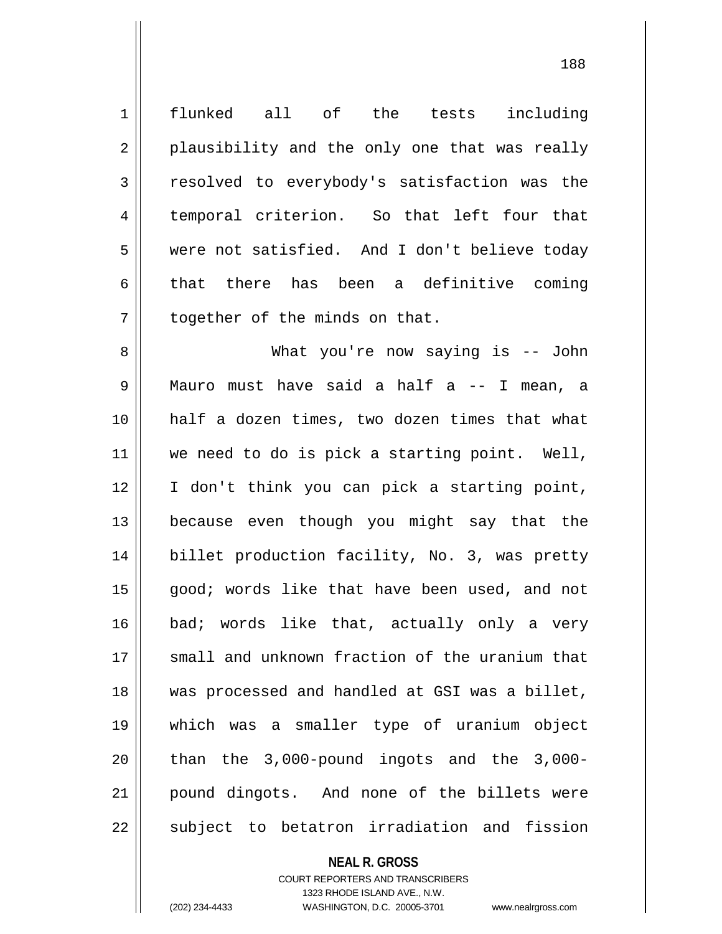1 || flunked all of the tests including  $2 \parallel$  plausibility and the only one that was really 3 Tesolved to everybody's satisfaction was the 4 temporal criterion. So that left four that 5 were not satisfied. And I don't believe today 6 that there has been a definitive coming  $7$  | together of the minds on that. 8 What you're now saying is -- John 9 Mauro must have said a half a -- I mean, a 10 half a dozen times, two dozen times that what 11 || we need to do is pick a starting point. Well, 12 I don't think you can pick a starting point, 13 because even though you might say that the 14 billet production facility, No. 3, was pretty 15 || good; words like that have been used, and not 16 bad; words like that, actually only a very 17 || small and unknown fraction of the uranium that 18 was processed and handled at GSI was a billet, 19 which was a smaller type of uranium object  $20$  || than the 3,000-pound ingots and the 3,000-21 pound dingots. And none of the billets were 22 || subject to betatron irradiation and fission

**NEAL R. GROSS**

COURT REPORTERS AND TRANSCRIBERS 1323 RHODE ISLAND AVE., N.W. (202) 234-4433 WASHINGTON, D.C. 20005-3701 www.nealrgross.com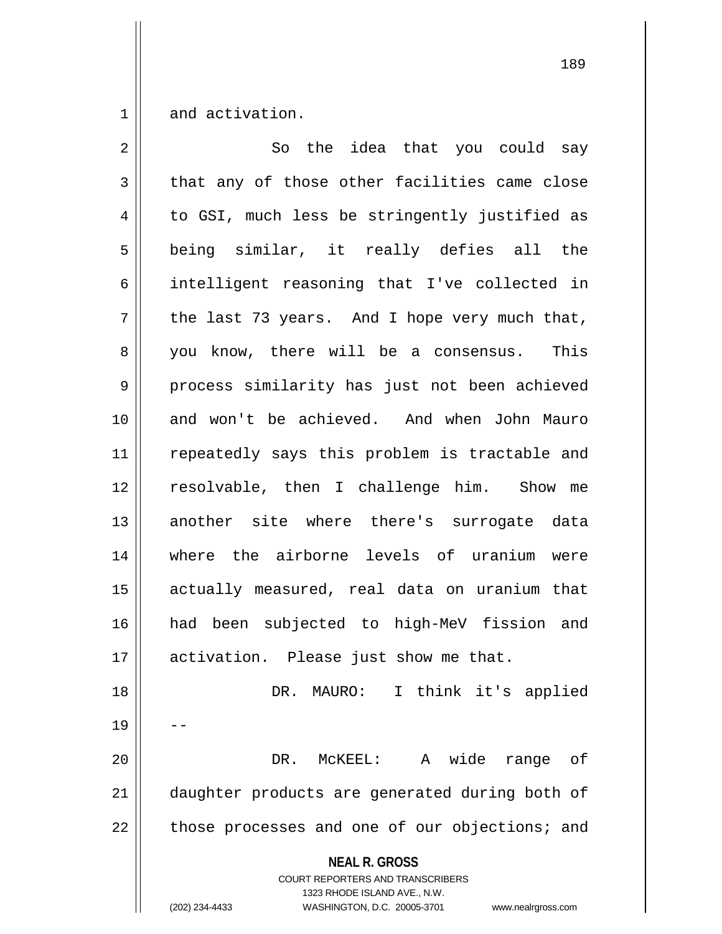$1 \parallel$  and activation.

| $\overline{2}$ | So the idea that you could say                                                                                                                                         |
|----------------|------------------------------------------------------------------------------------------------------------------------------------------------------------------------|
| $\mathfrak{Z}$ | that any of those other facilities came close                                                                                                                          |
| 4              | to GSI, much less be stringently justified as                                                                                                                          |
| 5              | being similar, it really defies all the                                                                                                                                |
| 6              | intelligent reasoning that I've collected in                                                                                                                           |
| 7              | the last 73 years. And I hope very much that,                                                                                                                          |
| 8              | you know, there will be a consensus. This                                                                                                                              |
| $\mathsf 9$    | process similarity has just not been achieved                                                                                                                          |
| 10             | and won't be achieved. And when John Mauro                                                                                                                             |
| 11             | repeatedly says this problem is tractable and                                                                                                                          |
| 12             | resolvable, then I challenge him. Show me                                                                                                                              |
| 13             | another site where there's surrogate data                                                                                                                              |
| 14             | where the airborne levels of uranium were                                                                                                                              |
| 15             | actually measured, real data on uranium that                                                                                                                           |
| 16             | had been subjected to high-MeV fission and                                                                                                                             |
| 17             | activation. Please just show me that.                                                                                                                                  |
| 18             | DR. MAURO: I think it's applied                                                                                                                                        |
| 19             |                                                                                                                                                                        |
| 20             | wide<br>DR.<br>MCKEEL:<br>A<br>range<br>of                                                                                                                             |
| 21             | daughter products are generated during both of                                                                                                                         |
| 22             | those processes and one of our objections; and                                                                                                                         |
|                | <b>NEAL R. GROSS</b><br><b>COURT REPORTERS AND TRANSCRIBERS</b><br>1323 RHODE ISLAND AVE., N.W.<br>(202) 234-4433<br>WASHINGTON, D.C. 20005-3701<br>www.nealrgross.com |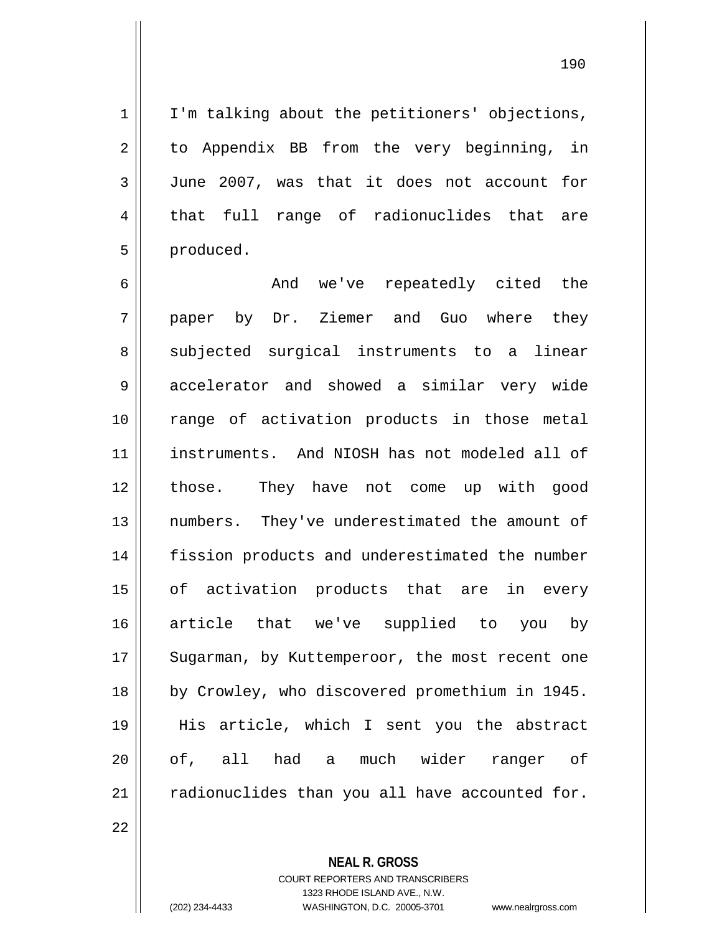$1 \parallel$  I'm talking about the petitioners' objections, 2 || to Appendix BB from the very beginning, in 3 June 2007, was that it does not account for 4 || that full range of radionuclides that are 5 | produced.

 And we've repeatedly cited the 7 || paper by Dr. Ziemer and Guo where they 8 subjected surgical instruments to a linear 9 accelerator and showed a similar very wide range of activation products in those metal instruments. And NIOSH has not modeled all of those. They have not come up with good numbers. They've underestimated the amount of fission products and underestimated the number 15 || of activation products that are in every article that we've supplied to you by 17 || Sugarman, by Kuttemperoor, the most recent one by Crowley, who discovered promethium in 1945. His article, which I sent you the abstract 20 || of, all had a much wider ranger of radionuclides than you all have accounted for.

22

**NEAL R. GROSS**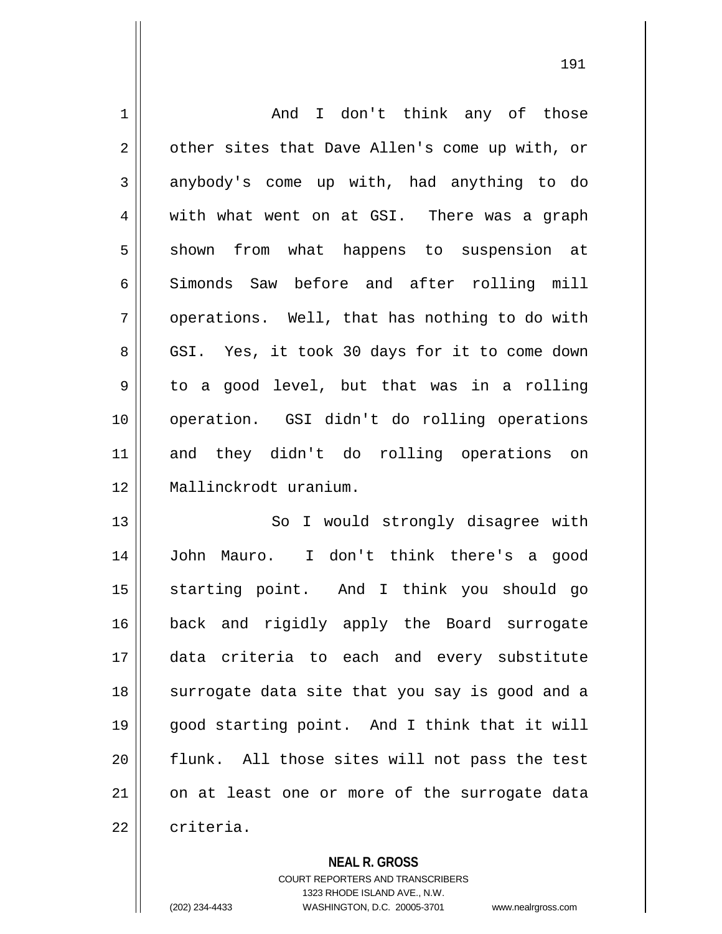| $\mathbf 1$ | I don't think any of those<br>And              |
|-------------|------------------------------------------------|
| 2           | other sites that Dave Allen's come up with, or |
| 3           | anybody's come up with, had anything to do     |
| 4           | with what went on at GSI. There was a graph    |
| 5           | shown from<br>what happens to suspension at    |
| 6           | Simonds Saw before and after rolling mill      |
| 7           | operations. Well, that has nothing to do with  |
| 8           | GSI. Yes, it took 30 days for it to come down  |
| $\mathsf 9$ | to a good level, but that was in a rolling     |
| 10          | operation. GSI didn't do rolling operations    |
| 11          | and they didn't do rolling operations on       |
| 12          | Mallinckrodt uranium.                          |
| 13          | So I would strongly disagree with              |
| 14          | Mauro. I don't think there's a good<br>John    |
| 15          | starting point. And I think you should go      |
| 16          | back and rigidly apply the Board surrogate     |
| 17          | criteria to each and every substitute<br>data  |
| 18          | surrogate data site that you say is good and a |
| 19          | good starting point. And I think that it will  |
| 20          | flunk. All those sites will not pass the test  |
| 21          | on at least one or more of the surrogate data  |
|             |                                                |

**NEAL R. GROSS**

COURT REPORTERS AND TRANSCRIBERS 1323 RHODE ISLAND AVE., N.W. (202) 234-4433 WASHINGTON, D.C. 20005-3701 www.nealrgross.com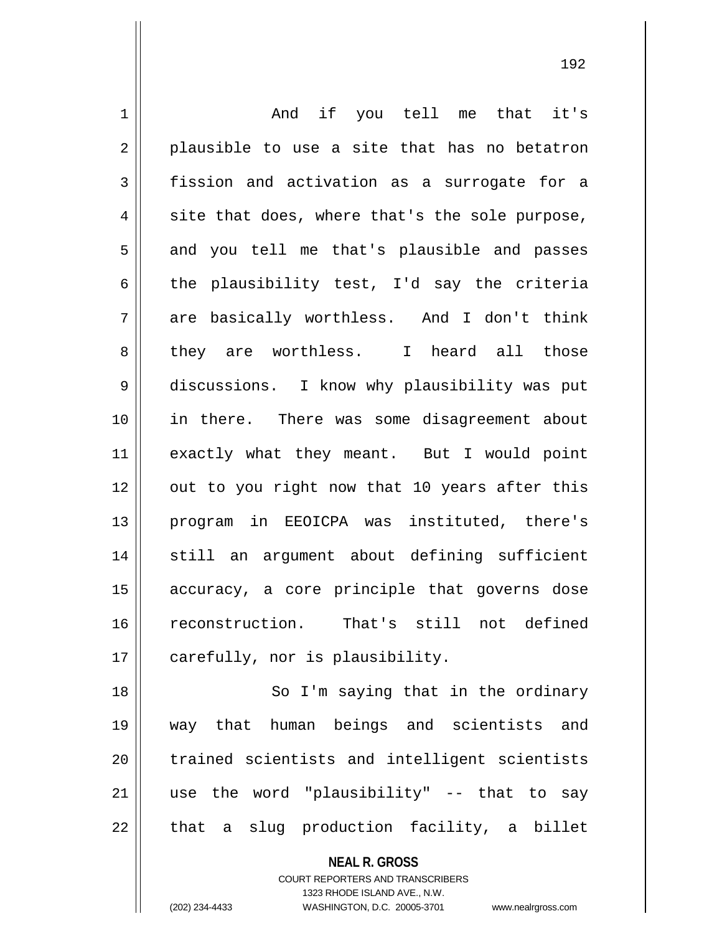1 and if you tell me that it's  $2 \parallel$  plausible to use a site that has no betatron 3 fission and activation as a surrogate for a  $4 \parallel$  site that does, where that's the sole purpose,  $5 \parallel$  and you tell me that's plausible and passes 6 the plausibility test, I'd say the criteria  $7 \parallel$  are basically worthless. And I don't think 8 || they are worthless. I heard all those 9 discussions. I know why plausibility was put 10 in there. There was some disagreement about 11 || exactly what they meant. But I would point 12 || out to you right now that 10 years after this 13 program in EEOICPA was instituted, there's 14 || still an argument about defining sufficient 15 accuracy, a core principle that governs dose 16 reconstruction. That's still not defined 17 | carefully, nor is plausibility. 18 || So I'm saying that in the ordinary 19 way that human beings and scientists and

20 || trained scientists and intelligent scientists  $21$  use the word "plausibility" -- that to say

 $22$  || that a slug production facility, a billet

**NEAL R. GROSS** COURT REPORTERS AND TRANSCRIBERS 1323 RHODE ISLAND AVE., N.W.

(202) 234-4433 WASHINGTON, D.C. 20005-3701 www.nealrgross.com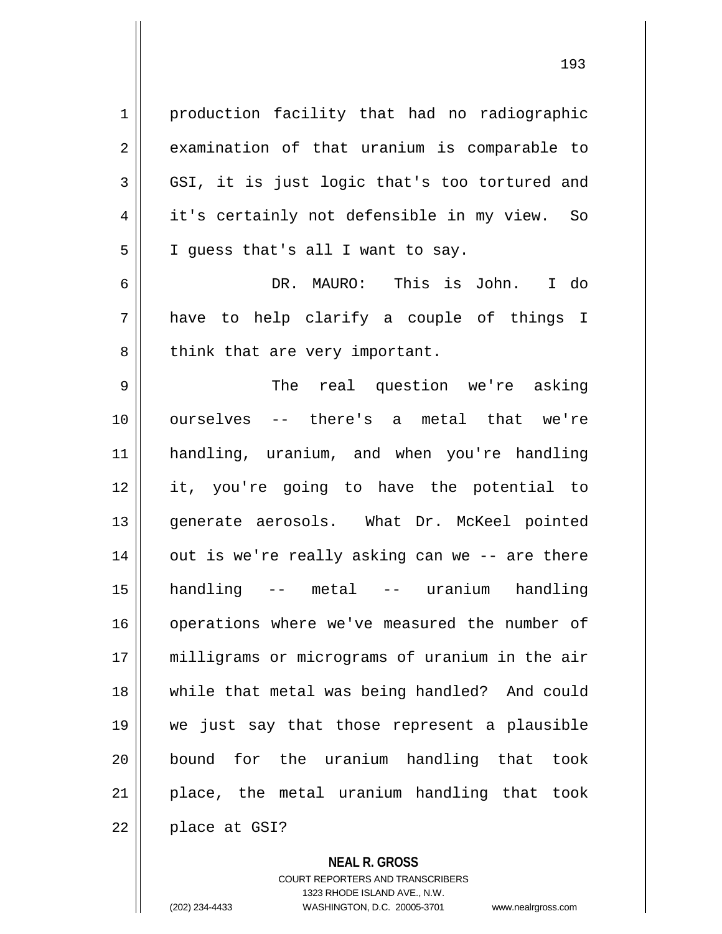1 | production facility that had no radiographic  $2 \parallel$  examination of that uranium is comparable to 3 GSI, it is just logic that's too tortured and 4 || it's certainly not defensible in my view. So  $5 \parallel$  I guess that's all I want to say.

6 DR. MAURO: This is John. I do  $7 \parallel$  have to help clarify a couple of things I  $8$  || think that are very important.

 The real question we're asking ourselves -- there's a metal that we're handling, uranium, and when you're handling it, you're going to have the potential to 13 || generate aerosols. What Dr. McKeel pointed 14 || out is we're really asking can we -- are there handling -- metal -- uranium handling 16 || operations where we've measured the number of milligrams or micrograms of uranium in the air while that metal was being handled? And could we just say that those represent a plausible bound for the uranium handling that took || place, the metal uranium handling that took | place at GSI?

**NEAL R. GROSS**

COURT REPORTERS AND TRANSCRIBERS 1323 RHODE ISLAND AVE., N.W. (202) 234-4433 WASHINGTON, D.C. 20005-3701 www.nealrgross.com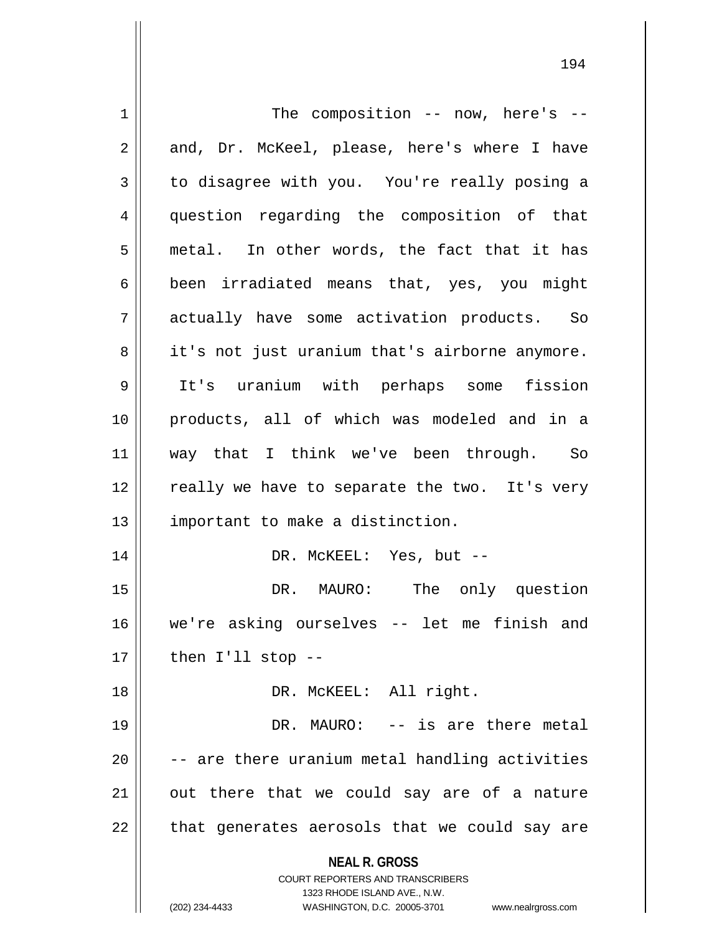| $\mathbf 1$ | The composition $--$ now, here's $--$                                   |
|-------------|-------------------------------------------------------------------------|
| 2           | and, Dr. McKeel, please, here's where I have                            |
| 3           | to disagree with you. You're really posing a                            |
| 4           | question regarding the composition of that                              |
| 5           | metal. In other words, the fact that it has                             |
| 6           | been irradiated means that, yes, you might                              |
| 7           | actually have some activation products. So                              |
| 8           | it's not just uranium that's airborne anymore.                          |
| 9           | It's uranium with perhaps some fission                                  |
| 10          | products, all of which was modeled and in a                             |
| 11          | way that I think we've been through. So                                 |
| 12          | really we have to separate the two. It's very                           |
| 13          | important to make a distinction.                                        |
| 14          | DR. MCKEEL: Yes, but --                                                 |
| 15          | DR. MAURO: The only question                                            |
| 16          | we're asking ourselves -- let me finish and                             |
| 17          | then $I'11$ stop --                                                     |
| 18          | DR. MCKEEL: All right.                                                  |
| 19          | DR. MAURO: -- is are there metal                                        |
| 20          | -- are there uranium metal handling activities                          |
| 21          | out there that we could say are of a nature                             |
| 22          | that generates aerosols that we could say are                           |
|             | <b>NEAL R. GROSS</b>                                                    |
|             | <b>COURT REPORTERS AND TRANSCRIBERS</b><br>1323 RHODE ISLAND AVE., N.W. |
|             | (202) 234-4433<br>WASHINGTON, D.C. 20005-3701<br>www.nealrgross.com     |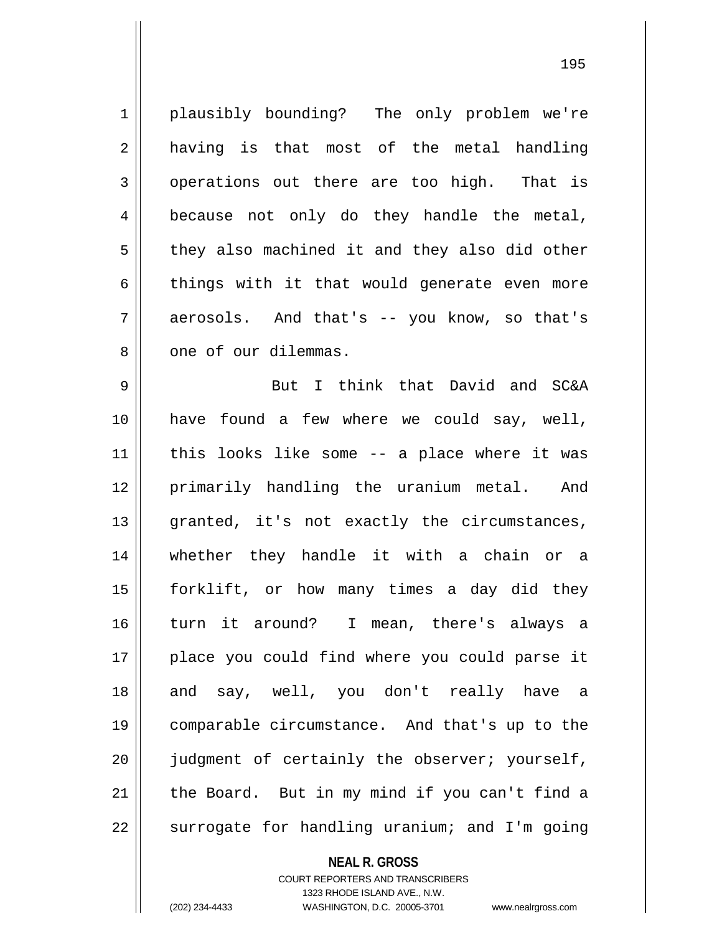1 plausibly bounding? The only problem we're 2 || having is that most of the metal handling  $3 \parallel$  operations out there are too high. That is  $4 \parallel$  because not only do they handle the metal,  $5 \parallel$  they also machined it and they also did other  $6 \parallel$  things with it that would generate even more 7 aerosols. And that's -- you know, so that's 8 0 one of our dilemmas.

 But I think that David and SC&A have found a few where we could say, well, | this looks like some -- a place where it was primarily handling the uranium metal. And 13 || granted, it's not exactly the circumstances, whether they handle it with a chain or a forklift, or how many times a day did they turn it around? I mean, there's always a 17 || place you could find where you could parse it 18 and say, well, you don't really have a comparable circumstance. And that's up to the  $\parallel$  judgment of certainly the observer; yourself, | the Board. But in my mind if you can't find a | surrogate for handling uranium; and I'm going

**NEAL R. GROSS**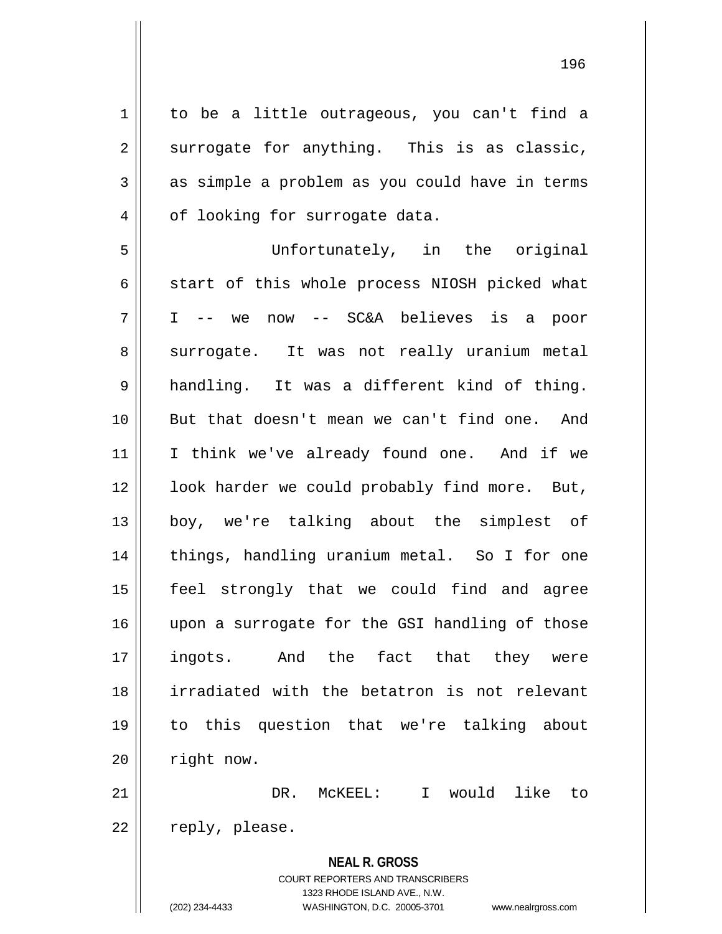1 | to be a little outrageous, you can't find a  $2 \parallel$  surrogate for anything. This is as classic,  $3 \parallel$  as simple a problem as you could have in terms 4 | of looking for surrogate data. 5 Unfortunately, in the original  $6 \parallel$  start of this whole process NIOSH picked what 7 I -- we now -- SC&A believes is a poor 8 surrogate. It was not really uranium metal 9 handling. It was a different kind of thing. 10 But that doesn't mean we can't find one. And 11 || I think we've already found one. And if we 12 || look harder we could probably find more. But, 13 boy, we're talking about the simplest of 14 || things, handling uranium metal. So I for one 15 feel strongly that we could find and agree 16 || upon a surrogate for the GSI handling of those 17 ingots. And the fact that they were 18 irradiated with the betatron is not relevant 19 to this question that we're talking about

21 DR. McKEEL: I would like to 22 || reply, please.

 $20$  | right now.

**NEAL R. GROSS** COURT REPORTERS AND TRANSCRIBERS 1323 RHODE ISLAND AVE., N.W. (202) 234-4433 WASHINGTON, D.C. 20005-3701 www.nealrgross.com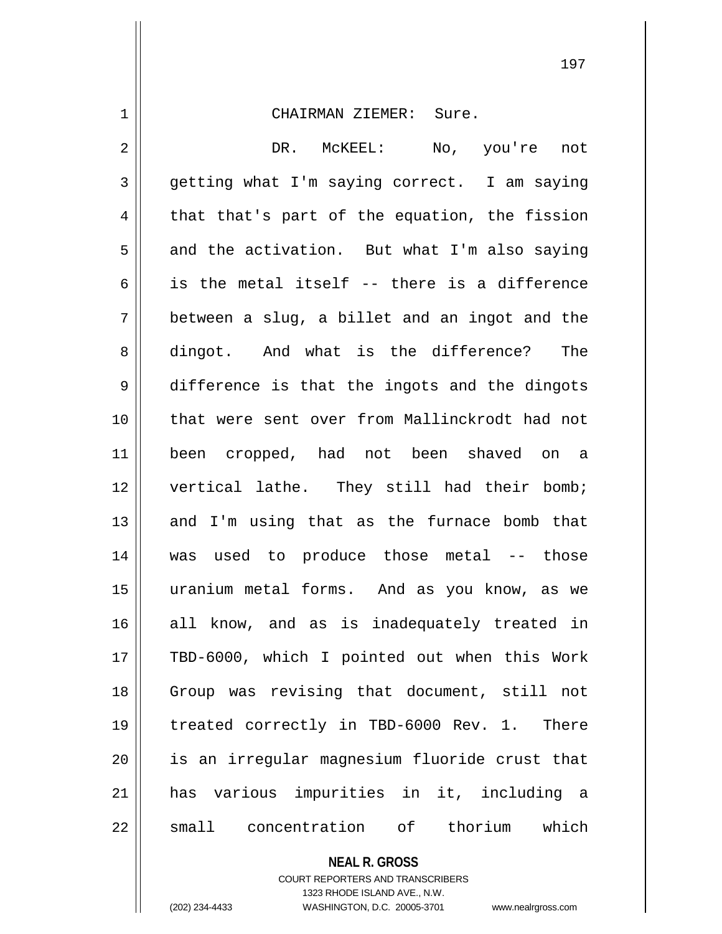1 CHAIRMAN ZIEMER: Sure. 2 DR. McKEEL: No, you're not  $3 \parallel$  qetting what I'm saying correct. I am saying  $4 \parallel$  that that's part of the equation, the fission  $5 \parallel$  and the activation. But what I'm also saying 6 is the metal itself -- there is a difference  $7 \parallel$  between a slug, a billet and an ingot and the 8 dingot. And what is the difference? The 9 difference is that the ingots and the dingots 10 that were sent over from Mallinckrodt had not 11 been cropped, had not been shaved on a 12 || vertical lathe. They still had their bomb;  $13$  and I'm using that as the furnace bomb that 14 was used to produce those metal -- those 15 uranium metal forms. And as you know, as we 16 all know, and as is inadequately treated in 17 || TBD-6000, which I pointed out when this Work 18 || Group was revising that document, still not 19 treated correctly in TBD-6000 Rev. 1. There 20 is an irregular magnesium fluoride crust that 21 has various impurities in it, including a 22 || small concentration of thorium which

> **NEAL R. GROSS** COURT REPORTERS AND TRANSCRIBERS

> > 1323 RHODE ISLAND AVE., N.W.

(202) 234-4433 WASHINGTON, D.C. 20005-3701 www.nealrgross.com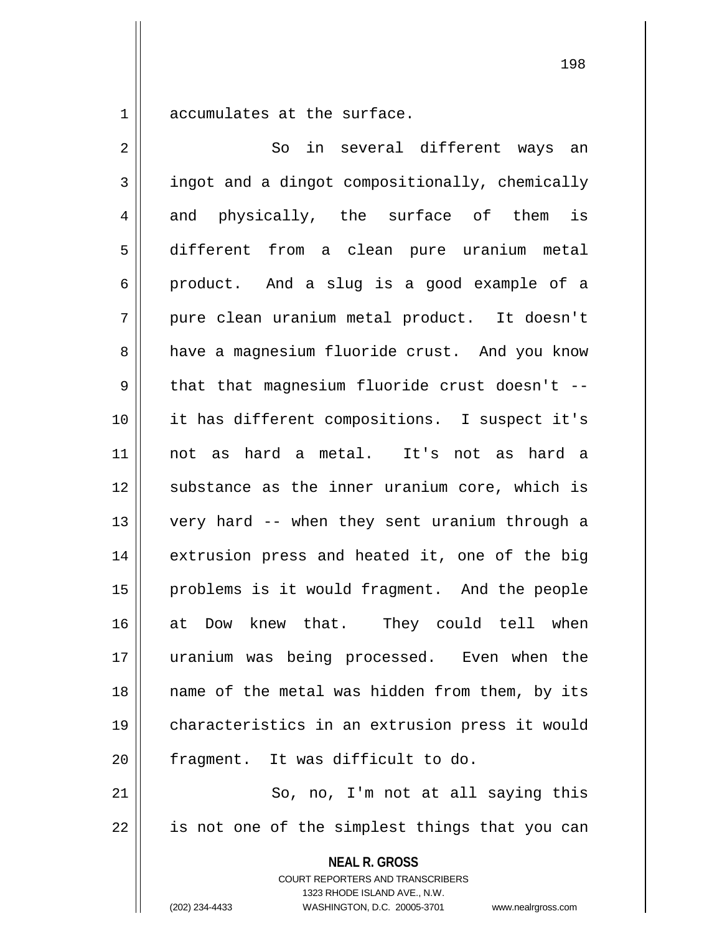1 || accumulates at the surface.

**NEAL R. GROSS** 2 So in several different ways an 3 | ingot and a dingot compositionally, chemically 4 and physically, the surface of them is 5 different from a clean pure uranium metal 6 product. And a slug is a good example of a 7 pure clean uranium metal product. It doesn't 8 a have a magnesium fluoride crust. And you know  $9 \parallel$  that that magnesium fluoride crust doesn't --10 it has different compositions. I suspect it's 11 not as hard a metal. It's not as hard a 12 || substance as the inner uranium core, which is 13 very hard -- when they sent uranium through a 14 || extrusion press and heated it, one of the big 15 || problems is it would fragment. And the people 16 at Dow knew that. They could tell when 17 uranium was being processed. Even when the 18 || name of the metal was hidden from them, by its 19 characteristics in an extrusion press it would 20 | fragment. It was difficult to do. 21 || So, no, I'm not at all saying this 22 || is not one of the simplest things that you can

> COURT REPORTERS AND TRANSCRIBERS 1323 RHODE ISLAND AVE., N.W.

(202) 234-4433 WASHINGTON, D.C. 20005-3701 www.nealrgross.com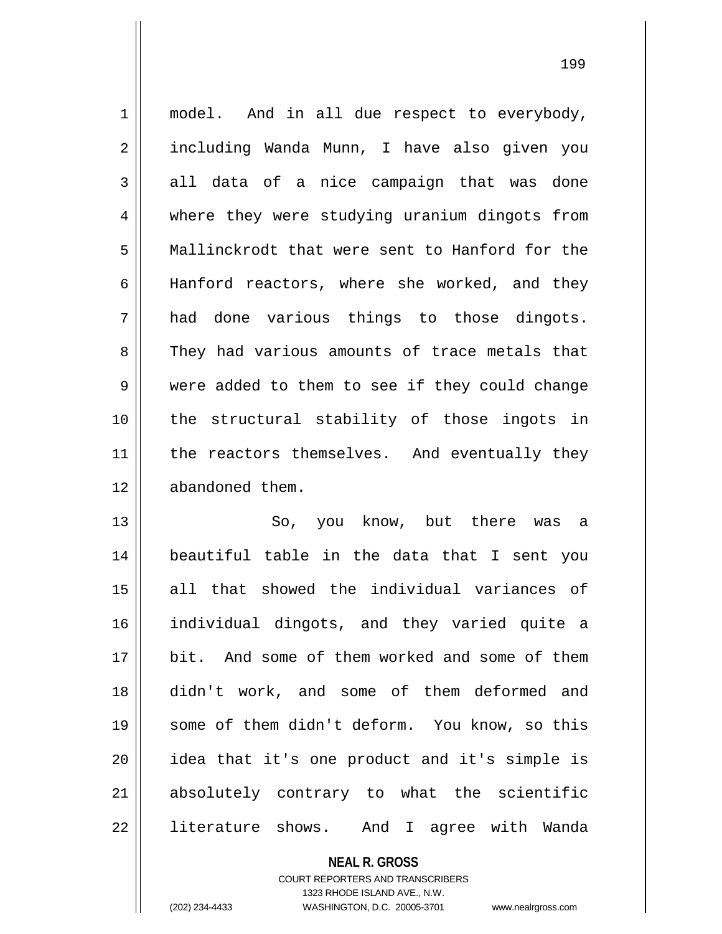1 || model. And in all due respect to everybody, 2 | including Wanda Munn, I have also given you  $3 \parallel$  all data of a nice campaign that was done 4 where they were studying uranium dingots from 5 Mallinckrodt that were sent to Hanford for the 6 || Hanford reactors, where she worked, and they  $7 \parallel$  had done various things to those dingots. 8 They had various amounts of trace metals that 9 were added to them to see if they could change 10 || the structural stability of those ingots in 11 || the reactors themselves. And eventually they 12 | abandoned them.

13 || So, you know, but there was a beautiful table in the data that I sent you all that showed the individual variances of individual dingots, and they varied quite a bit. And some of them worked and some of them didn't work, and some of them deformed and some of them didn't deform. You know, so this idea that it's one product and it's simple is absolutely contrary to what the scientific literature shows. And I agree with Wanda

**NEAL R. GROSS**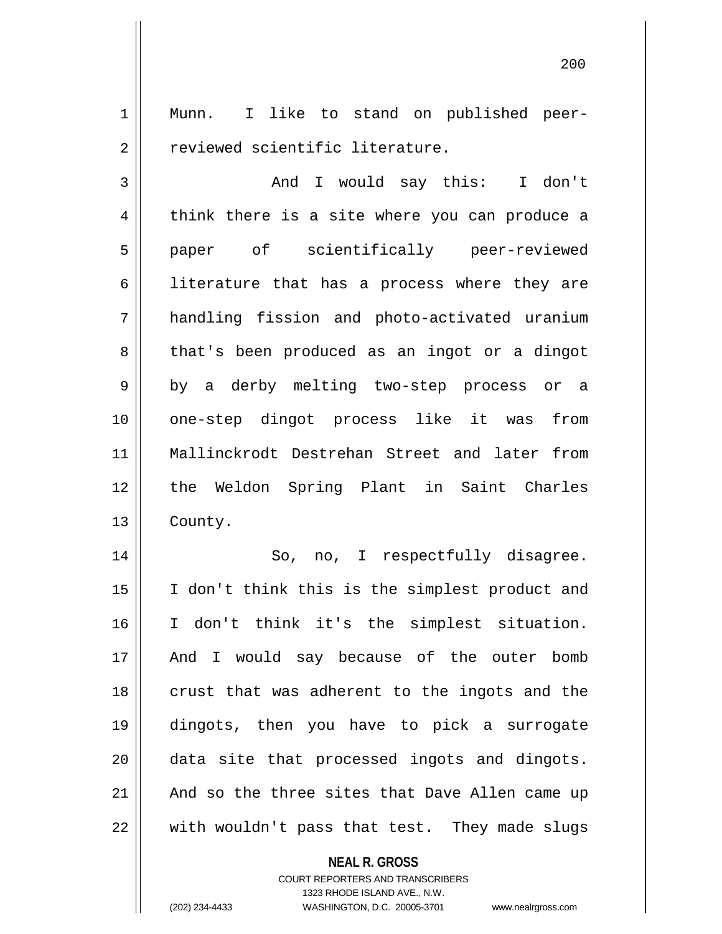1 Munn. I like to stand on published peer-2 || Treviewed scientific literature.

3 And I would say this: I don't 4 think there is a site where you can produce a 5 || paper of scientifically peer-reviewed  $6 \parallel$  literature that has a process where they are 7 handling fission and photo-activated uranium 8 | that's been produced as an ingot or a dingot 9 || by a derby melting two-step process or a 10 one-step dingot process like it was from 11 Mallinckrodt Destrehan Street and later from 12 the Weldon Spring Plant in Saint Charles 13 | County.

14 || So, no, I respectfully disagree. I don't think this is the simplest product and I don't think it's the simplest situation. 17 || And I would say because of the outer bomb 18 || crust that was adherent to the ingots and the dingots, then you have to pick a surrogate data site that processed ingots and dingots. | And so the three sites that Dave Allen came up with wouldn't pass that test. They made slugs

**NEAL R. GROSS**

COURT REPORTERS AND TRANSCRIBERS 1323 RHODE ISLAND AVE., N.W. (202) 234-4433 WASHINGTON, D.C. 20005-3701 www.nealrgross.com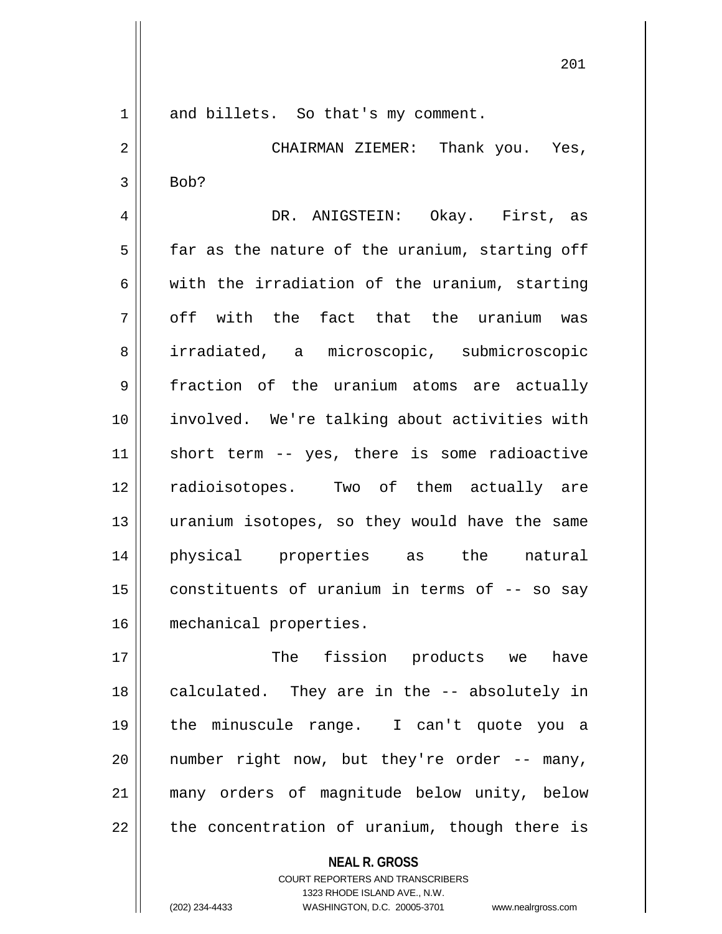201

1 and billets. So that's my comment.

2 CHAIRMAN ZIEMER: Thank you. Yes,  $3 \parallel$  Bob?

 DR. ANIGSTEIN: Okay. First, as far as the nature of the uranium, starting off  $\parallel$  with the irradiation of the uranium, starting  $7 \parallel$  off with the fact that the uranium was 8 || irradiated, a microscopic, submicroscopic 9 | fraction of the uranium atoms are actually involved. We're talking about activities with 11 || short term -- yes, there is some radioactive radioisotopes. Two of them actually are uranium isotopes, so they would have the same physical properties as the natural  $\parallel$  constituents of uranium in terms of -- so say mechanical properties.

 The fission products we have 18 || calculated. They are in the -- absolutely in the minuscule range. I can't quote you a || number right now, but they're order  $-$ - many, many orders of magnitude below unity, below | the concentration of uranium, though there is

> **NEAL R. GROSS** COURT REPORTERS AND TRANSCRIBERS 1323 RHODE ISLAND AVE., N.W.

(202) 234-4433 WASHINGTON, D.C. 20005-3701 www.nealrgross.com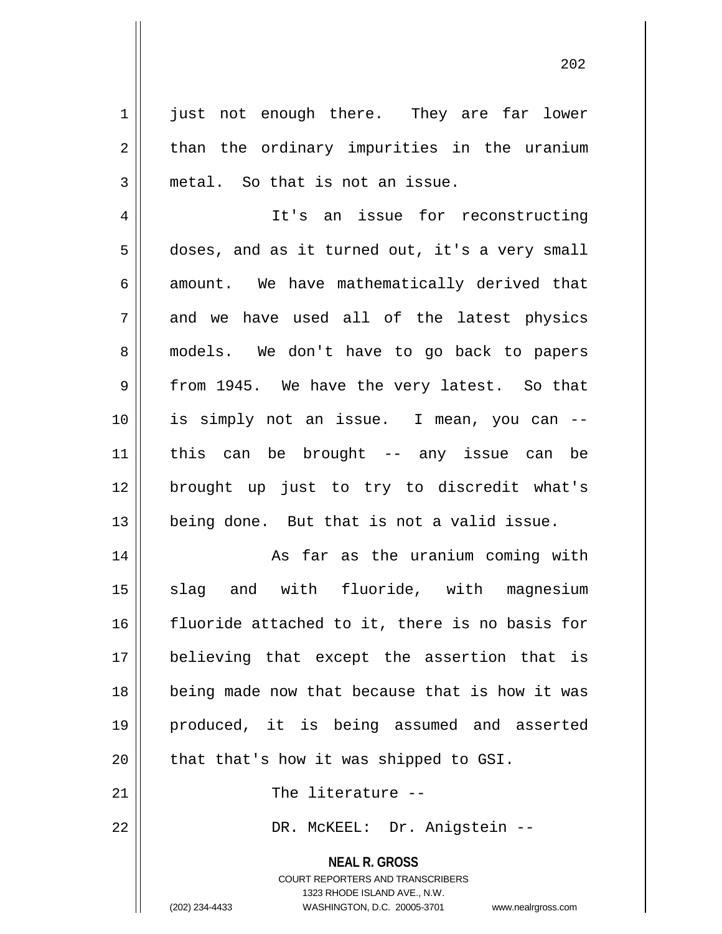1 || just not enough there. They are far lower  $2 \parallel$  than the ordinary impurities in the uranium  $3 \parallel$  metal. So that is not an issue.

4 || It's an issue for reconstructing  $5 \parallel$  doses, and as it turned out, it's a very small  $6 \parallel$  amount. We have mathematically derived that  $7 \parallel$  and we have used all of the latest physics 8 || models. We don't have to go back to papers  $9 \parallel$  from 1945. We have the very latest. So that 10 is simply not an issue. I mean, you can -- 11 this can be brought -- any issue can be 12 brought up just to try to discredit what's 13 being done. But that is not a valid issue.

14 || As far as the uranium coming with 15 || slag and with fluoride, with magnesium fluoride attached to it, there is no basis for believing that except the assertion that is being made now that because that is how it was produced, it is being assumed and asserted || that that's how it was shipped to GSI.

21 || The literature --

22 DR. McKEEL: Dr. Anigstein --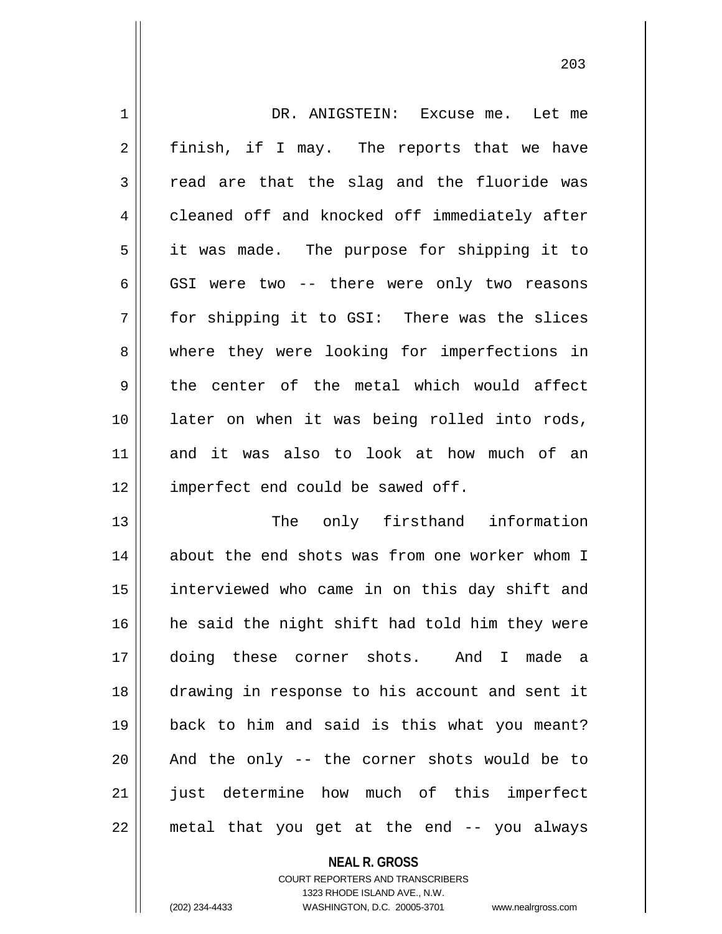| $\mathbf 1$    | DR. ANIGSTEIN: Excuse me. Let me               |
|----------------|------------------------------------------------|
| 2              | finish, if I may. The reports that we have     |
| 3              | read are that the slag and the fluoride was    |
| $\overline{4}$ | cleaned off and knocked off immediately after  |
| 5              | it was made. The purpose for shipping it to    |
| 6              | GSI were two -- there were only two reasons    |
| 7              | for shipping it to GSI: There was the slices   |
| 8              | where they were looking for imperfections in   |
| 9              | the center of the metal which would affect     |
| 10             | later on when it was being rolled into rods,   |
| 11             | and it was also to look at how much of an      |
| 12             | imperfect end could be sawed off.              |
| 13             | The only firsthand information                 |
| 14             | about the end shots was from one worker whom I |
| 15             | interviewed who came in on this day shift and  |
| 16             | he said the night shift had told him they were |
| 17             | doing these corner shots. And I made a         |
| 18             | drawing in response to his account and sent it |
| 19             | back to him and said is this what you meant?   |
| 20             | And the only -- the corner shots would be to   |
| 21             | just determine how much of this imperfect      |
| 22             | metal that you get at the end -- you always    |

 $\mathbf{I}$ 

COURT REPORTERS AND TRANSCRIBERS 1323 RHODE ISLAND AVE., N.W. (202) 234-4433 WASHINGTON, D.C. 20005-3701 www.nealrgross.com

**NEAL R. GROSS**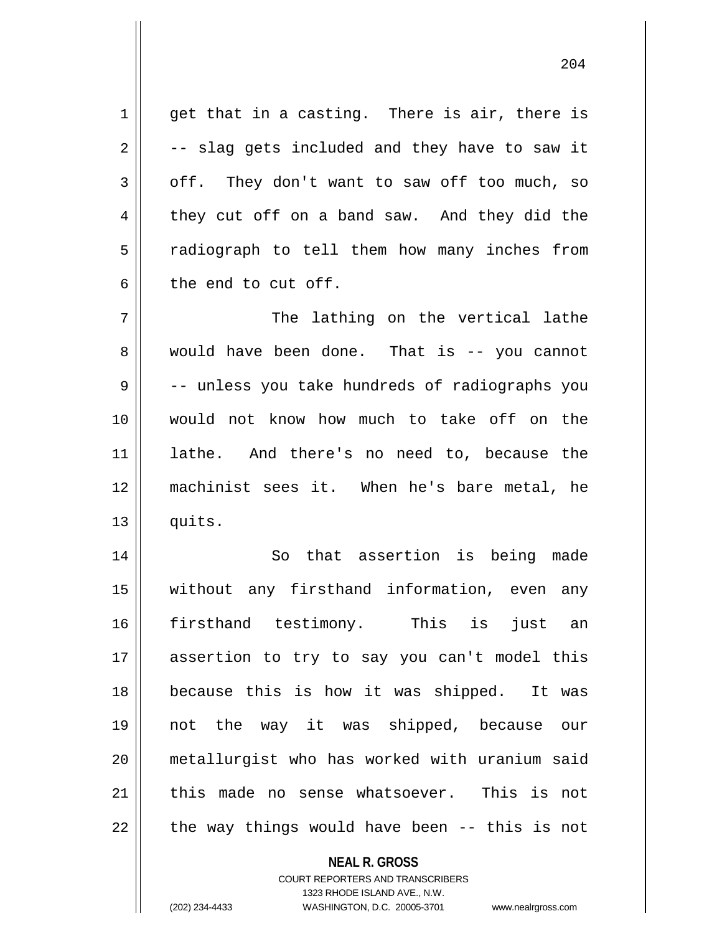$1 \parallel$  get that in a casting. There is air, there is  $2 \parallel$  -- slag gets included and they have to saw it  $3 \parallel$  off. They don't want to saw off too much, so  $4 \parallel$  they cut off on a band saw. And they did the 5 || radiograph to tell them how many inches from  $6 \parallel$  the end to cut off. 7 || The lathing on the vertical lathe 8 || would have been done. That is -- you cannot

9 || -- unless you take hundreds of radiographs you would not know how much to take off on the lathe. And there's no need to, because the machinist sees it. When he's bare metal, he  $\parallel$  quits.

14 || So that assertion is being made without any firsthand information, even any firsthand testimony. This is just an assertion to try to say you can't model this because this is how it was shipped. It was not the way it was shipped, because our metallurgist who has worked with uranium said 21 this made no sense whatsoever. This is not | the way things would have been -- this is not

## **NEAL R. GROSS**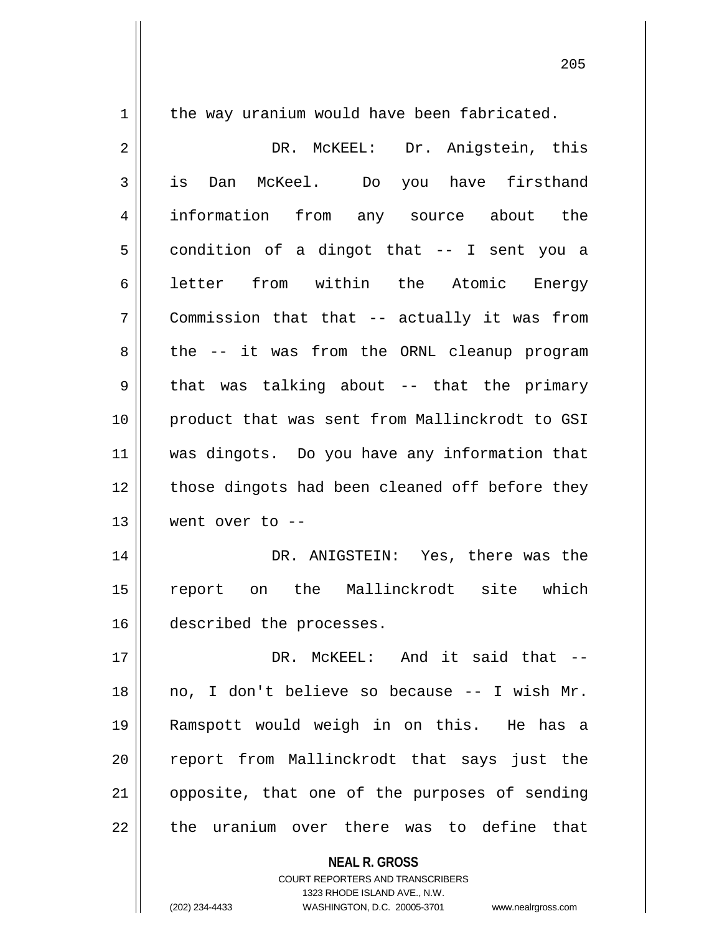1 | the way uranium would have been fabricated. DR. McKEEL: Dr. Anigstein, this is Dan McKeel. Do you have firsthand information from any source about the  $5 \parallel$  condition of a dingot that -- I sent you a 6|| letter from within the Atomic Energy Commission that that -- actually it was from  $8 \parallel$  the -- it was from the ORNL cleanup program  $9 \parallel$  that was talking about -- that the primary product that was sent from Mallinckrodt to GSI was dingots. Do you have any information that 12 || those dingots had been cleaned off before they went over to -- DR. ANIGSTEIN: Yes, there was the report on the Mallinckrodt site which described the processes. DR. McKEEL: And it said that -- no, I don't believe so because -- I wish Mr. Ramspott would weigh in on this. He has a 20 || report from Mallinckrodt that says just the | opposite, that one of the purposes of sending  $\parallel$  the uranium over there was to define that

> COURT REPORTERS AND TRANSCRIBERS 1323 RHODE ISLAND AVE., N.W.

**NEAL R. GROSS**

(202) 234-4433 WASHINGTON, D.C. 20005-3701 www.nealrgross.com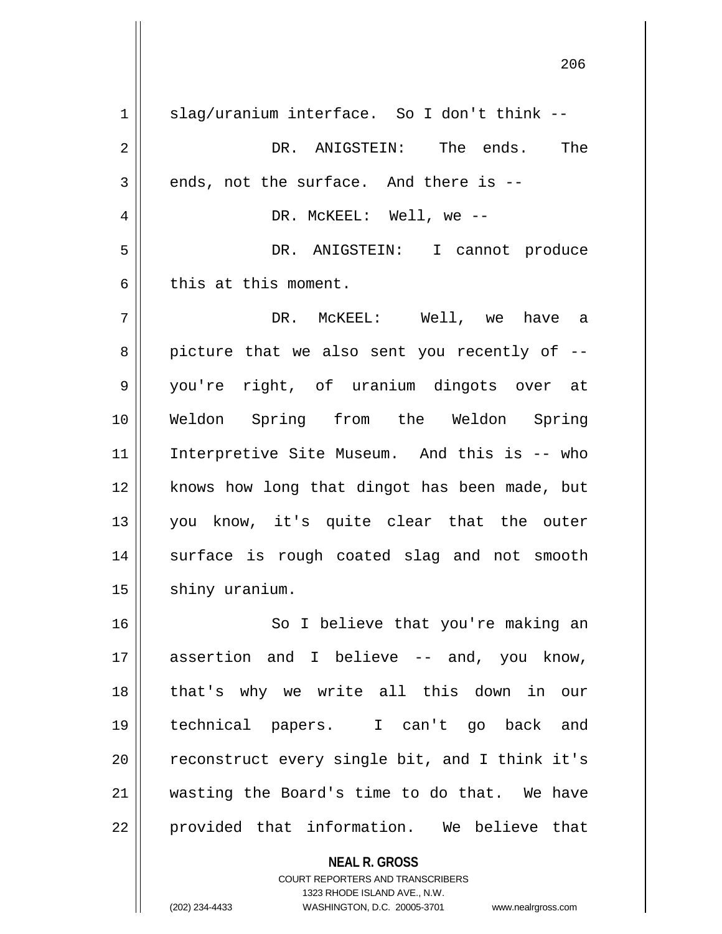**NEAL R. GROSS**  $1 \parallel$  slag/uranium interface. So I don't think --2 DR. ANIGSTEIN: The ends. The  $3 \parallel$  ends, not the surface. And there is --4 DR. McKEEL: Well, we -- 5 DR. ANIGSTEIN: I cannot produce  $6 \parallel$  this at this moment. 7 DR. McKEEL: Well, we have a  $8 \parallel$  picture that we also sent you recently of  $-$ 9 || you're right, of uranium dingots over at 10 Weldon Spring from the Weldon Spring 11 || Interpretive Site Museum. And this is -- who 12 || knows how long that dingot has been made, but 13 you know, it's quite clear that the outer 14 || surface is rough coated slag and not smooth 15 | shiny uranium. 16 || So I believe that you're making an 17 assertion and I believe -- and, you know, 18 that's why we write all this down in our 19 technical papers. I can't go back and  $20$  || reconstruct every single bit, and I think it's 21 wasting the Board's time to do that. We have 22 || provided that information. We believe that

> COURT REPORTERS AND TRANSCRIBERS 1323 RHODE ISLAND AVE., N.W.

(202) 234-4433 WASHINGTON, D.C. 20005-3701 www.nealrgross.com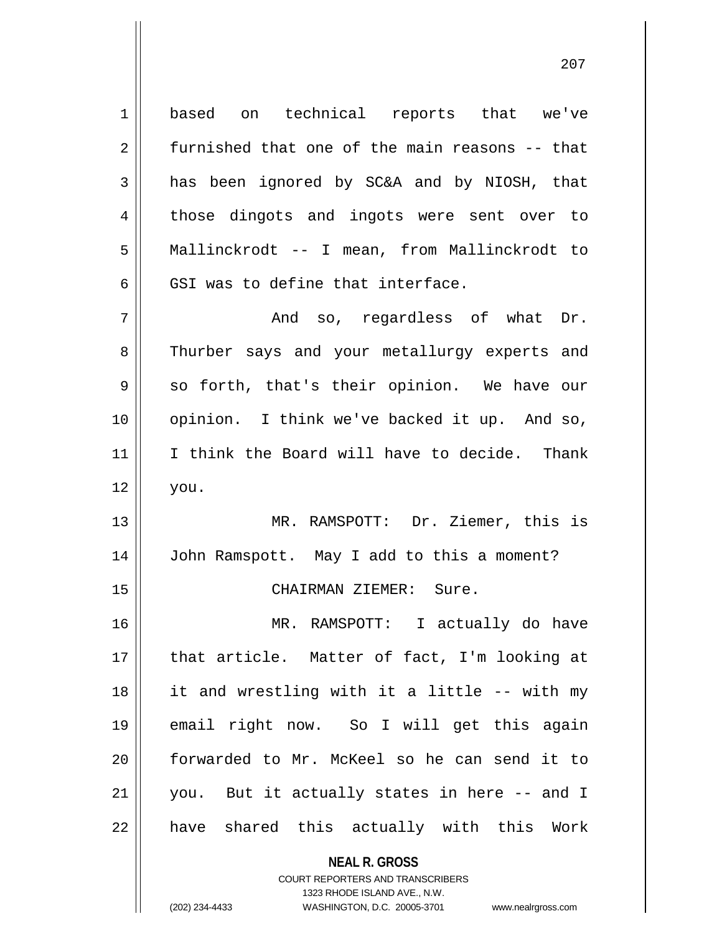**NEAL R. GROSS** 1 based on technical reports that we've 2 | furnished that one of the main reasons -- that 3 and has been ignored by SC&A and by NIOSH, that 4 those dingots and ingots were sent over to 5 Mallinckrodt -- I mean, from Mallinckrodt to  $6$   $\parallel$  GSI was to define that interface.  $7 \parallel$  and so, regardless of what Dr. 8 Thurber says and your metallurgy experts and  $9 \parallel$  so forth, that's their opinion. We have our 10 opinion. I think we've backed it up. And so, 11 || I think the Board will have to decide. Thank  $12 \parallel$  you. 13 MR. RAMSPOTT: Dr. Ziemer, this is 14 John Ramspott. May I add to this a moment? 15 || CHAIRMAN ZIEMER: Sure. 16 MR. RAMSPOTT: I actually do have 17 || that article. Matter of fact, I'm looking at 18 it and wrestling with it a little -- with my 19 email right now. So I will get this again 20 forwarded to Mr. McKeel so he can send it to 21 you. But it actually states in here -- and I 22 || have shared this actually with this Work

> COURT REPORTERS AND TRANSCRIBERS 1323 RHODE ISLAND AVE., N.W.

(202) 234-4433 WASHINGTON, D.C. 20005-3701 www.nealrgross.com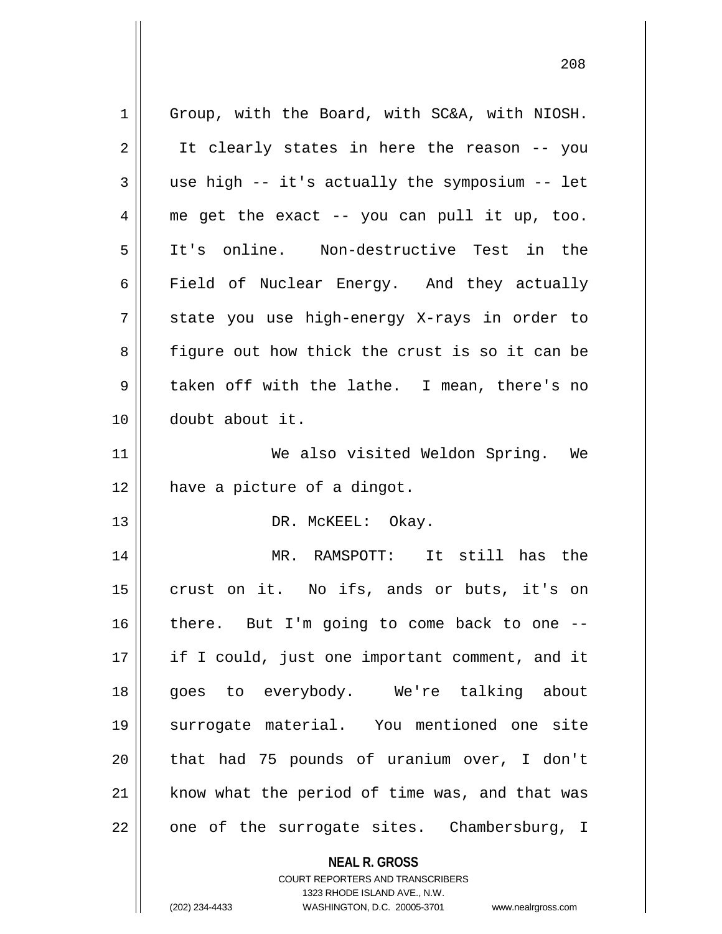**NEAL R. GROSS** 1 || Group, with the Board, with SC&A, with NIOSH.  $2 \parallel$  It clearly states in here the reason -- you  $3 \parallel$  use high -- it's actually the symposium -- let  $4 \parallel$  me get the exact -- you can pull it up, too. 5 It's online. Non-destructive Test in the 6 Field of Nuclear Energy. And they actually  $7 \parallel$  state you use high-energy X-rays in order to 8 figure out how thick the crust is so it can be 9 || taken off with the lathe. I mean, there's no 10 doubt about it. 11 We also visited Weldon Spring. We 12 | have a picture of a dingot. 13 || DR. McKEEL: Okay. 14 MR. RAMSPOTT: It still has the 15 || crust on it. No ifs, ands or buts, it's on  $16$  | there. But I'm going to come back to one --17 || if I could, just one important comment, and it 18 goes to everybody. We're talking about 19 surrogate material. You mentioned one site 20 || that had 75 pounds of uranium over, I don't 21 || know what the period of time was, and that was  $22 \parallel$  one of the surrogate sites. Chambersburg, I

> COURT REPORTERS AND TRANSCRIBERS 1323 RHODE ISLAND AVE., N.W.

(202) 234-4433 WASHINGTON, D.C. 20005-3701 www.nealrgross.com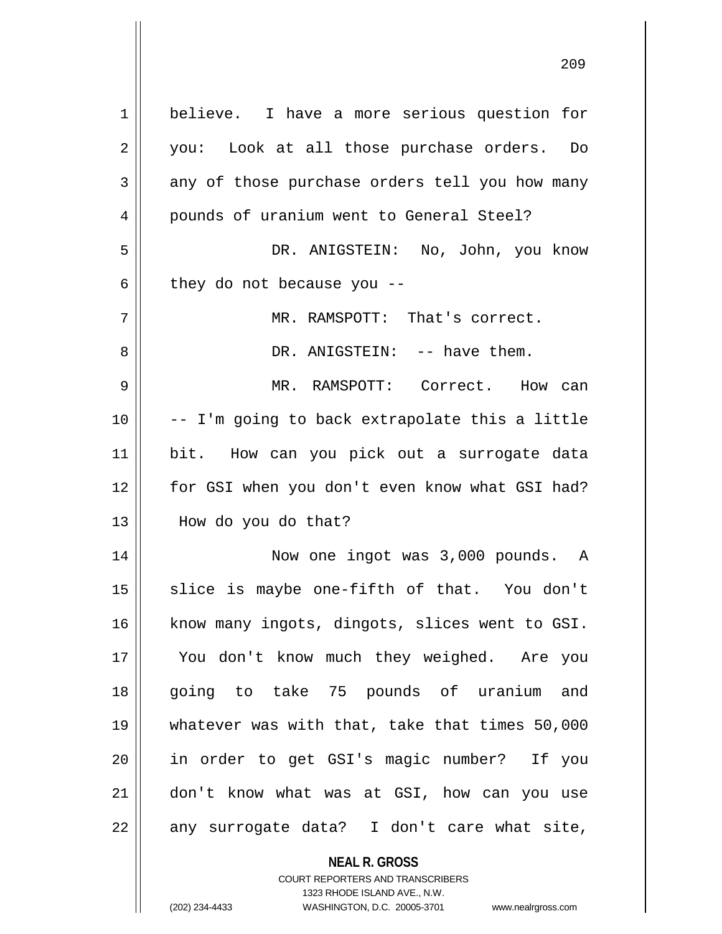| 1  | believe. I have a more serious question for                         |
|----|---------------------------------------------------------------------|
| 2  | you: Look at all those purchase orders. Do                          |
| 3  | any of those purchase orders tell you how many                      |
| 4  | pounds of uranium went to General Steel?                            |
| 5  | DR. ANIGSTEIN: No, John, you know                                   |
| 6  | they do not because you --                                          |
| 7  | MR. RAMSPOTT: That's correct.                                       |
| 8  | DR. ANIGSTEIN: -- have them.                                        |
| 9  | MR. RAMSPOTT: Correct. How can                                      |
| 10 | -- I'm going to back extrapolate this a little                      |
| 11 | bit. How can you pick out a surrogate data                          |
| 12 | for GSI when you don't even know what GSI had?                      |
| 13 | How do you do that?                                                 |
| 14 | Now one ingot was 3,000 pounds. A                                   |
| 15 | slice is maybe one-fifth of that. You don't                         |
| 16 | know many ingots, dingots, slices went to GSI.                      |
| 17 | You don't know much they weighed. Are you                           |
| 18 | going to take 75 pounds of uranium and                              |
| 19 | whatever was with that, take that times 50,000                      |
| 20 | in order to get GSI's magic number? If you                          |
| 21 | don't know what was at GSI, how can you use                         |
| 22 | any surrogate data? I don't care what site,                         |
|    | <b>NEAL R. GROSS</b>                                                |
|    | <b>COURT REPORTERS AND TRANSCRIBERS</b>                             |
|    | 1323 RHODE ISLAND AVE., N.W.                                        |
|    | (202) 234-4433<br>WASHINGTON, D.C. 20005-3701<br>www.nealrgross.com |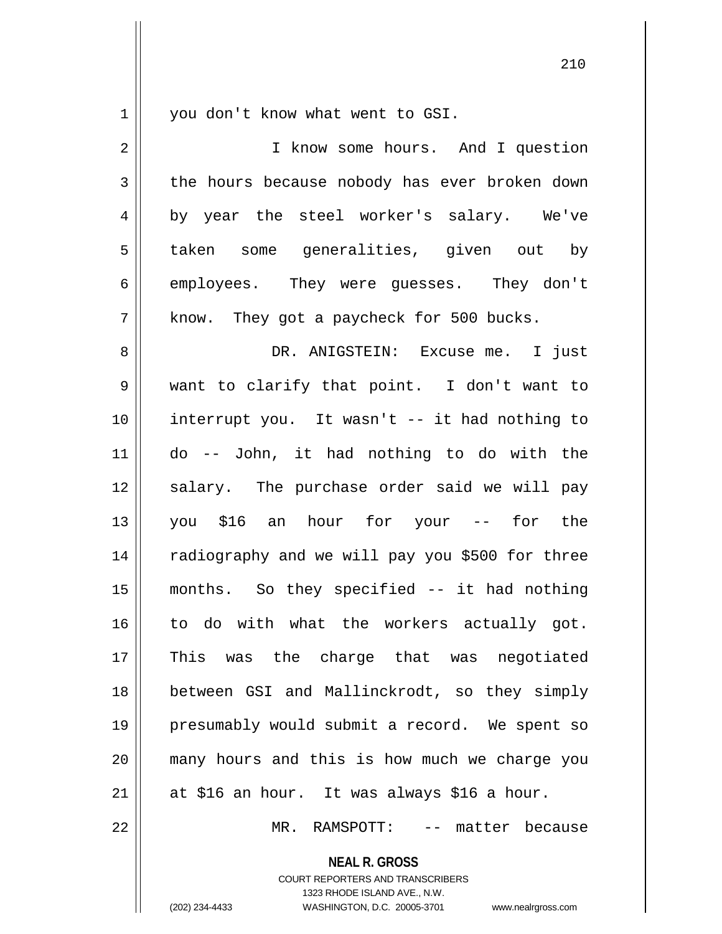$1 \parallel$  you don't know what went to GSI.

| 2              | I know some hours. And I question               |
|----------------|-------------------------------------------------|
| $\mathfrak{Z}$ | the hours because nobody has ever broken down   |
| 4              | by year the steel worker's salary. We've        |
| 5              | taken some generalities, given out by           |
| 6              | employees. They were quesses. They don't        |
| 7              | know. They got a paycheck for 500 bucks.        |
| 8              | DR. ANIGSTEIN: Excuse me. I just                |
| 9              | want to clarify that point. I don't want to     |
| 10             | interrupt you. It wasn't -- it had nothing to   |
| 11             | do -- John, it had nothing to do with the       |
| 12             | salary. The purchase order said we will pay     |
| 13             | you \$16 an hour for your --<br>for the         |
| 14             | radiography and we will pay you \$500 for three |
| 15             | months. So they specified -- it had nothing     |
| 16             | to do with what the workers actually got.       |
| 17             | This was the charge that was negotiated         |
| 18             | between GSI and Mallinckrodt, so they simply    |
| 19             | presumably would submit a record. We spent so   |
| 20             | many hours and this is how much we charge you   |
| 21             | at \$16 an hour. It was always \$16 a hour.     |
| 22             | MR. RAMSPOTT:<br>-- matter because              |

**NEAL R. GROSS**

COURT REPORTERS AND TRANSCRIBERS 1323 RHODE ISLAND AVE., N.W. (202) 234-4433 WASHINGTON, D.C. 20005-3701 www.nealrgross.com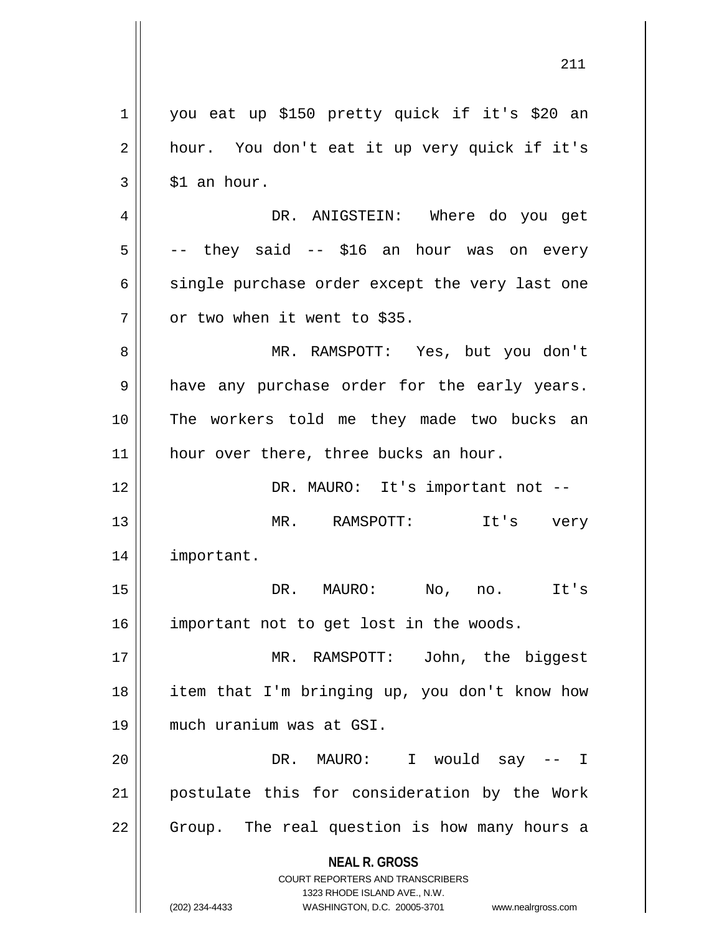**NEAL R. GROSS** COURT REPORTERS AND TRANSCRIBERS 1323 RHODE ISLAND AVE., N.W. (202) 234-4433 WASHINGTON, D.C. 20005-3701 www.nealrgross.com 1 you eat up \$150 pretty quick if it's \$20 an 2 || hour. You don't eat it up very quick if it's  $3 \parallel$  \$1 an hour. 4 DR. ANIGSTEIN: Where do you get  $5 \parallel$  -- they said -- \$16 an hour was on every  $6 \parallel$  single purchase order except the very last one  $7$  | or two when it went to \$35. 8 MR. RAMSPOTT: Yes, but you don't 9 || have any purchase order for the early years. 10 The workers told me they made two bucks an 11 || hour over there, three bucks an hour. 12 DR. MAURO: It's important not -- 13 MR. RAMSPOTT: It's very 14 important. 15 DR. MAURO: No, no. It's 16 | important not to get lost in the woods. 17 MR. RAMSPOTT: John, the biggest 18 item that I'm bringing up, you don't know how 19 much uranium was at GSI. 20 DR. MAURO: I would say -- I 21 postulate this for consideration by the Work 22 || Group. The real question is how many hours a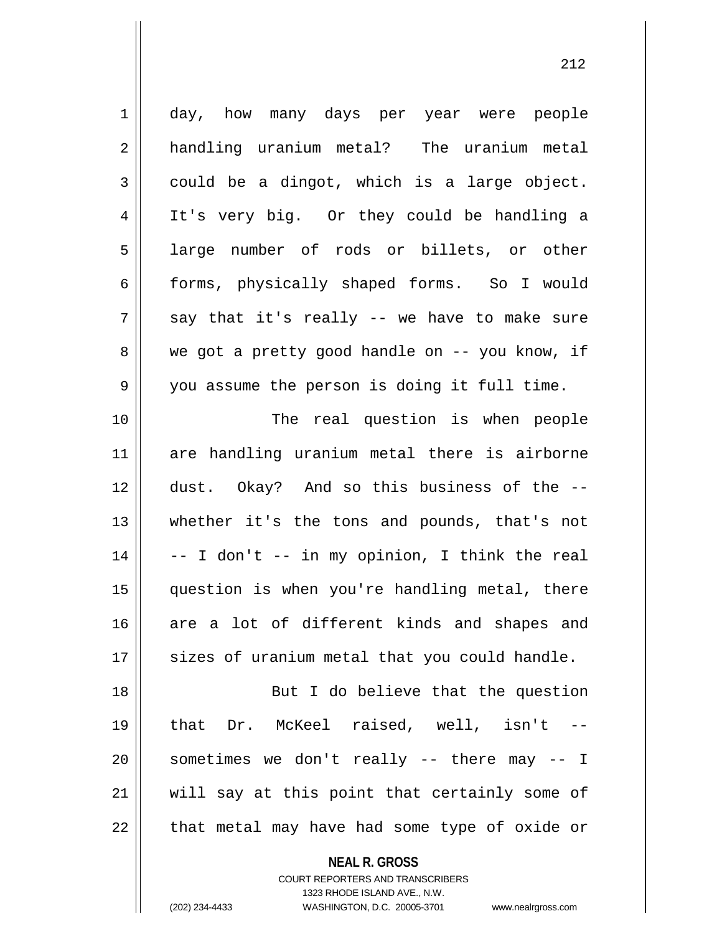| $\mathbf 1$ | day, how many days per year were people        |
|-------------|------------------------------------------------|
| 2           | handling uranium metal? The uranium metal      |
| 3           | could be a dingot, which is a large object.    |
| 4           | It's very big. Or they could be handling a     |
| 5           | large number of rods or billets, or other      |
| 6           | forms, physically shaped forms. So I would     |
| 7           | say that it's really -- we have to make sure   |
| 8           | we got a pretty good handle on -- you know, if |
| 9           | you assume the person is doing it full time.   |
| 10          | The real question is when people               |
| 11          | are handling uranium metal there is airborne   |
| 12          | dust. Okay? And so this business of the --     |
| 13          | whether it's the tons and pounds, that's not   |
| 14          | -- I don't -- in my opinion, I think the real  |
| 15          | question is when you're handling metal, there  |
| 16          | are a lot of different kinds and shapes and    |
| 17          | sizes of uranium metal that you could handle.  |
| 18          | But I do believe that the question             |
| 19          | that Dr. McKeel raised, well, isn't --         |
| 20          | sometimes we don't really -- there may -- I    |
| 21          | will say at this point that certainly some of  |
| 22          | that metal may have had some type of oxide or  |

**NEAL R. GROSS**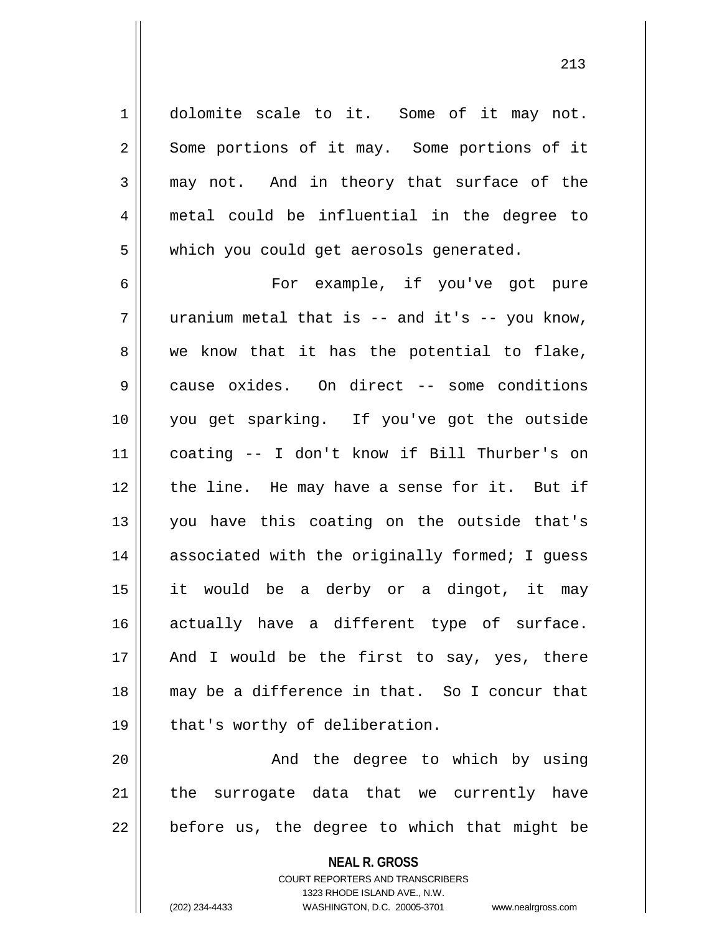1 dolomite scale to it. Some of it may not. 2 Some portions of it may. Some portions of it  $3 \parallel$  may not. And in theory that surface of the 4 metal could be influential in the degree to 5 | which you could get aerosols generated.

6 || For example, if you've got pure  $7 \parallel$  uranium metal that is -- and it's -- you know,  $8 \parallel$  we know that it has the potential to flake, 9 cause oxides. On direct -- some conditions 10 you get sparking. If you've got the outside 11 coating -- I don't know if Bill Thurber's on 12 || the line. He may have a sense for it. But if 13 you have this coating on the outside that's 14 || associated with the originally formed; I quess 15 it would be a derby or a dingot, it may 16 actually have a different type of surface.  $17$  || And I would be the first to say, yes, there 18 may be a difference in that. So I concur that  $19 \parallel$  that's worthy of deliberation.

20 And the degree to which by using 21 || the surrogate data that we currently have  $22$  | before us, the degree to which that might be

> **NEAL R. GROSS** COURT REPORTERS AND TRANSCRIBERS 1323 RHODE ISLAND AVE., N.W. (202) 234-4433 WASHINGTON, D.C. 20005-3701 www.nealrgross.com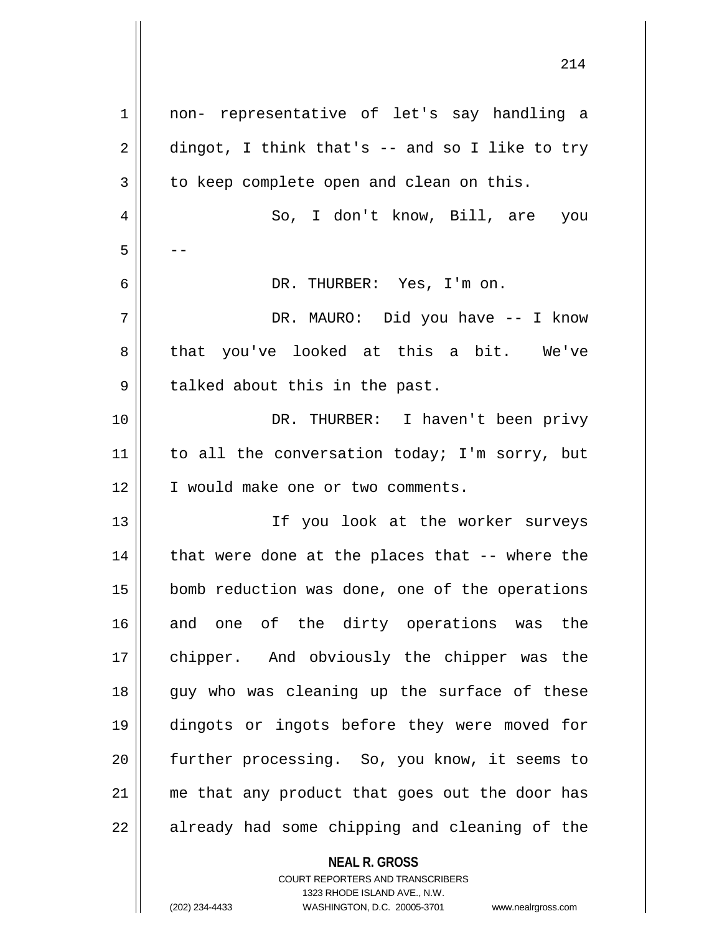| 1  | non- representative of let's say handling a     |
|----|-------------------------------------------------|
| 2  | dingot, I think that's $-$ and so I like to try |
| 3  | to keep complete open and clean on this.        |
| 4  | So, I don't know, Bill, are you                 |
| 5  |                                                 |
| 6  | DR. THURBER: Yes, I'm on.                       |
| 7  | DR. MAURO: Did you have -- I know               |
| 8  | that you've looked at this a bit. We've         |
| 9  | talked about this in the past.                  |
| 10 | DR. THURBER: I haven't been privy               |
| 11 | to all the conversation today; I'm sorry, but   |
| 12 | I would make one or two comments.               |
| 13 | If you look at the worker surveys               |
| 14 | that were done at the places that -- where the  |
| 15 | bomb reduction was done, one of the operations  |
| 16 | and one of the dirty operations was the         |
| 17 | chipper. And obviously the chipper was the      |
| 18 | guy who was cleaning up the surface of these    |
| 19 | dingots or ingots before they were moved for    |
| 20 | further processing. So, you know, it seems to   |
| 21 | me that any product that goes out the door has  |
| 22 | already had some chipping and cleaning of the   |
|    | <b>NEAL R. GROSS</b>                            |

COURT REPORTERS AND TRANSCRIBERS 1323 RHODE ISLAND AVE., N.W.

(202) 234-4433 WASHINGTON, D.C. 20005-3701 www.nealrgross.com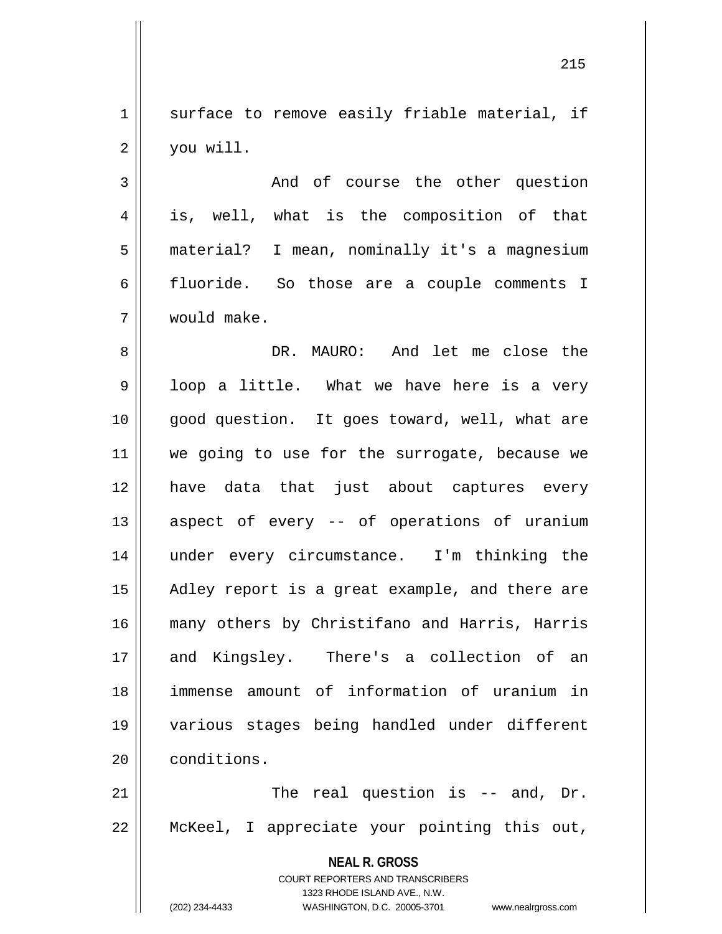1 surface to remove easily friable material, if  $2 \parallel$  you will.

3 || The Mand of course the other question 4 || is, well, what is the composition of that 5 material? I mean, nominally it's a magnesium 6 fluoride. So those are a couple comments I 7 would make.

8 DR. MAURO: And let me close the  $9 \parallel$  loop a little. What we have here is a very 10 || good question. It goes toward, well, what are 11 || we going to use for the surrogate, because we 12 have data that just about captures every 13 || aspect of every -- of operations of uranium 14 || under every circumstance. I'm thinking the 15 || Adley report is a great example, and there are 16 many others by Christifano and Harris, Harris 17 || and Kingsley. There's a collection of an 18 immense amount of information of uranium in 19 various stages being handled under different 20 | conditions.

 $21$   $\parallel$  The real question is -- and, Dr. 22 McKeel, I appreciate your pointing this out,

> **NEAL R. GROSS** COURT REPORTERS AND TRANSCRIBERS 1323 RHODE ISLAND AVE., N.W. (202) 234-4433 WASHINGTON, D.C. 20005-3701 www.nealrgross.com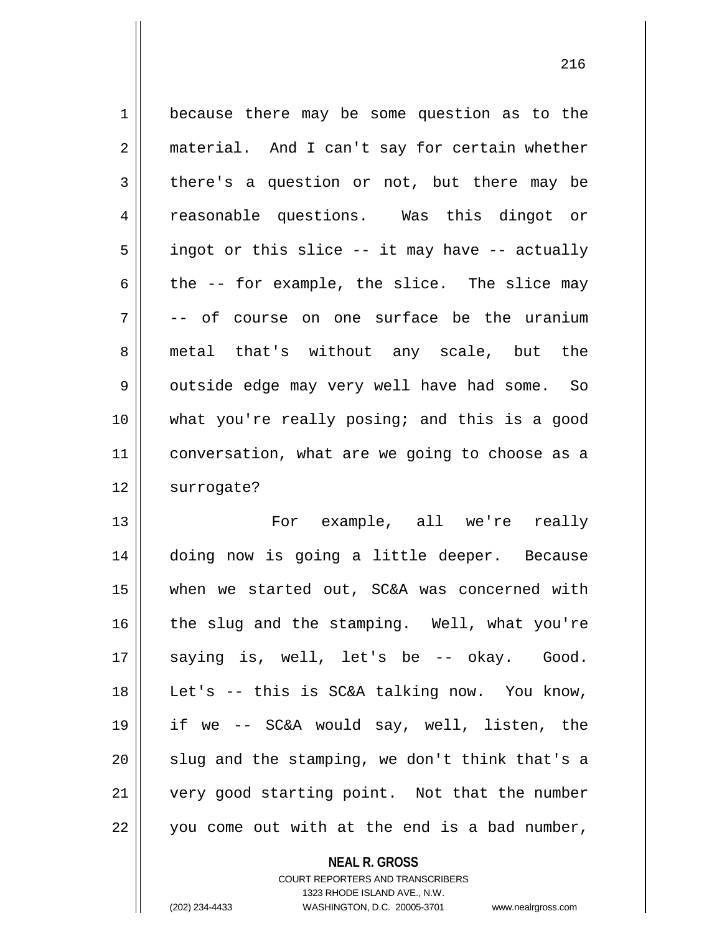| $\mathbf{1}$   | because there may be some question as to the   |
|----------------|------------------------------------------------|
| $\overline{2}$ | material. And I can't say for certain whether  |
| $\mathfrak{Z}$ | there's a question or not, but there may be    |
| $\overline{4}$ | reasonable questions. Was this dingot or       |
| 5              | ingot or this slice -- it may have -- actually |
| 6              | the -- for example, the slice. The slice may   |
| 7              | course on one surface be the uranium<br>-- of  |
| 8              | metal that's without any scale, but the        |
| 9              | outside edge may very well have had some. So   |
| 10             | what you're really posing; and this is a good  |
| 11             | conversation, what are we going to choose as a |
| 12             | surrogate?                                     |
| 13             | For example, all we're really                  |
| 14             | doing now is going a little deeper. Because    |
| 15             | when we started out, SC&A was concerned with   |
| 16             | the slug and the stamping. Well, what you're   |
| 17             | saying is, well, let's be -- okay. Good.       |
| 18             | Let's -- this is SC&A talking now. You know,   |
|                |                                                |

19 | if we  $-$  SC&A would say, well, listen, the slug and the stamping, we don't think that's a 21 | very good starting point. Not that the number

| you come out with at the end is a bad number,

**NEAL R. GROSS** COURT REPORTERS AND TRANSCRIBERS 1323 RHODE ISLAND AVE., N.W.

(202) 234-4433 WASHINGTON, D.C. 20005-3701 www.nealrgross.com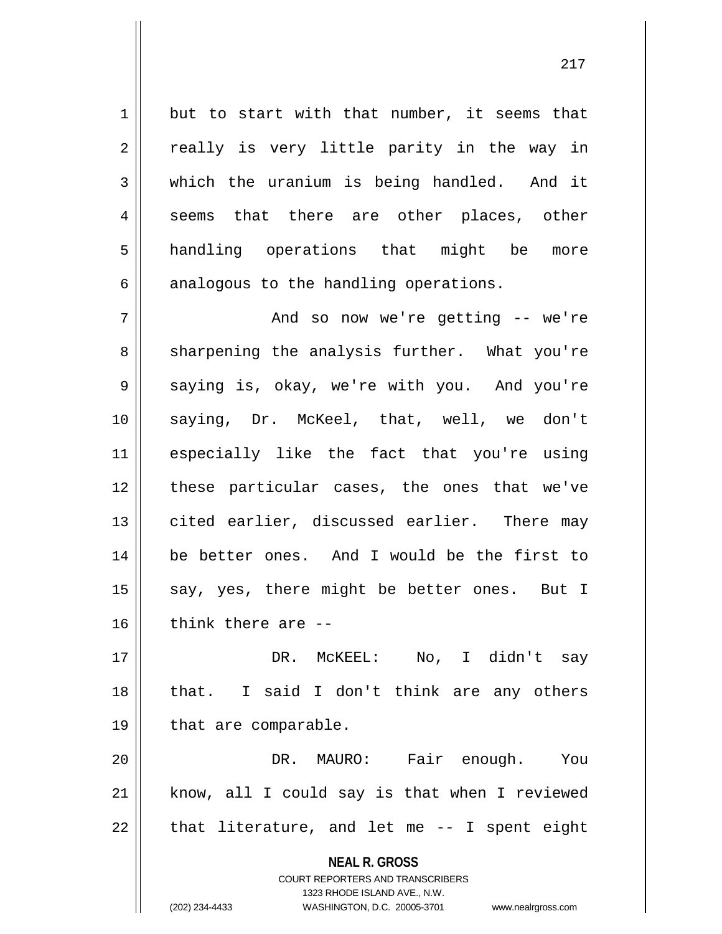$1 \parallel$  but to start with that number, it seems that  $2 \parallel$  really is very little parity in the way in  $3 \parallel$  which the uranium is being handled. And it 4 seems that there are other places, other 5 || handling operations that might be more  $6 \parallel$  analogous to the handling operations.

7 And so now we're getting -- we're 8 || sharpening the analysis further. What you're 9 Saying is, okay, we're with you. And you're 10 saying, Dr. McKeel, that, well, we don't 11 especially like the fact that you're using 12 || these particular cases, the ones that we've 13 cited earlier, discussed earlier. There may 14 be better ones. And I would be the first to 15  $\parallel$  say, yes, there might be better ones. But I  $16$  | think there are  $-$ 

17 DR. McKEEL: No, I didn't say 18 || that. I said I don't think are any others 19 | that are comparable.

20 DR. MAURO: Fair enough. You  $21$  know, all I could say is that when I reviewed  $22$  || that literature, and let me  $-$ - I spent eight

> **NEAL R. GROSS** COURT REPORTERS AND TRANSCRIBERS

> > 1323 RHODE ISLAND AVE., N.W.

(202) 234-4433 WASHINGTON, D.C. 20005-3701 www.nealrgross.com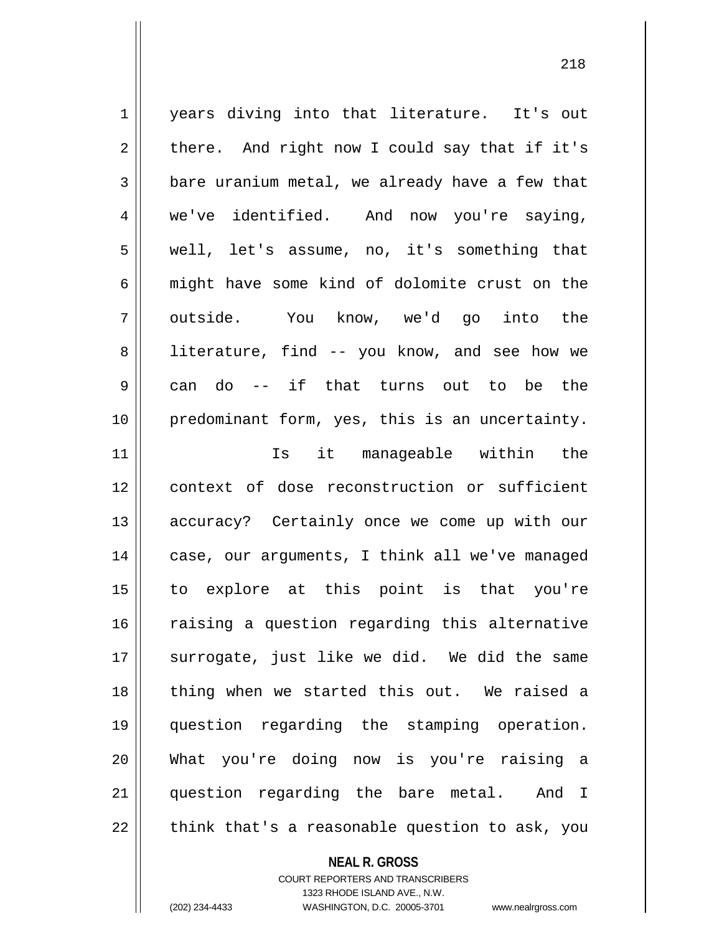1 years diving into that literature. It's out  $2 \parallel$  there. And right now I could say that if it's  $3 \parallel$  bare uranium metal, we already have a few that 4 we've identified. And now you're saying, 5 well, let's assume, no, it's something that 6 || might have some kind of dolomite crust on the 7|| outside. You know, we'd go into the 8 || literature, find -- you know, and see how we 9 can do -- if that turns out to be the 10 | predominant form, yes, this is an uncertainty. 11 Is it manageable within the 12 context of dose reconstruction or sufficient 13 || accuracy? Certainly once we come up with our 14 || case, our arguments, I think all we've managed 15 to explore at this point is that you're 16 || raising a question regarding this alternative 17 || surrogate, just like we did. We did the same 18 || thing when we started this out. We raised a 19 question regarding the stamping operation. 20 What you're doing now is you're raising a 21 question regarding the bare metal. And I  $22$  || think that's a reasonable question to ask, you

**NEAL R. GROSS**

COURT REPORTERS AND TRANSCRIBERS 1323 RHODE ISLAND AVE., N.W. (202) 234-4433 WASHINGTON, D.C. 20005-3701 www.nealrgross.com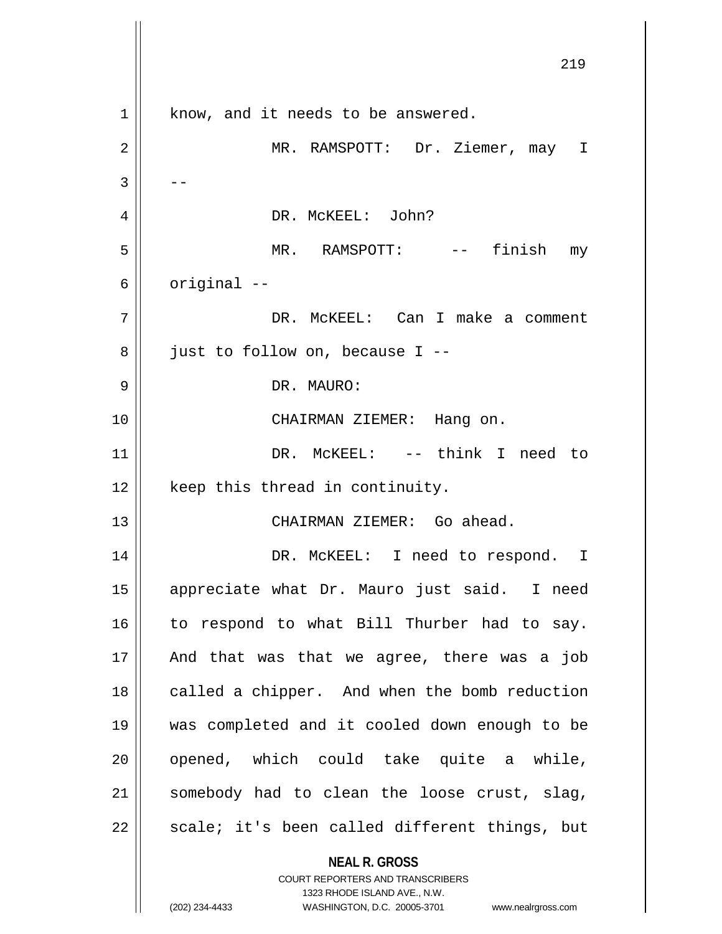**NEAL R. GROSS** COURT REPORTERS AND TRANSCRIBERS 1323 RHODE ISLAND AVE., N.W. 1 | know, and it needs to be answered. MR. RAMSPOTT: Dr. Ziemer, may I  $3 \parallel - -$  DR. McKEEL: John? MR. RAMSPOTT: -- finish my  $6 \parallel$  original  $-$  DR. McKEEL: Can I make a comment | just to follow on, because I -- DR. MAURO: CHAIRMAN ZIEMER: Hang on. DR. McKEEL: -- think I need to | keep this thread in continuity. CHAIRMAN ZIEMER: Go ahead. 14 || DR. McKEEL: I need to respond. I appreciate what Dr. Mauro just said. I need 16 || to respond to what Bill Thurber had to say. || And that was that we agree, there was a job 18 || called a chipper. And when the bomb reduction was completed and it cooled down enough to be || opened, which could take quite a while, somebody had to clean the loose crust, slag, || scale; it's been called different things, but

(202) 234-4433 WASHINGTON, D.C. 20005-3701 www.nealrgross.com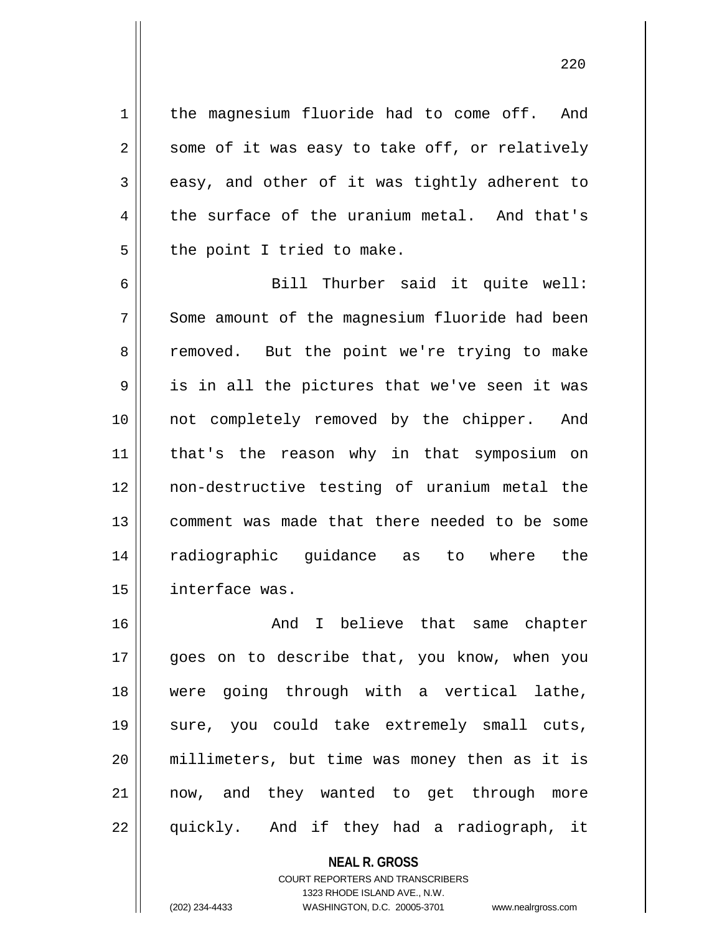220

1 | the magnesium fluoride had to come off. And  $2 \parallel$  some of it was easy to take off, or relatively  $3 \parallel$  easy, and other of it was tightly adherent to  $4 \parallel$  the surface of the uranium metal. And that's  $5$  || the point I tried to make.

 Bill Thurber said it quite well: 7 Some amount of the magnesium fluoride had been 8 || removed. But the point we're trying to make  $9 \parallel$  is in all the pictures that we've seen it was not completely removed by the chipper. And that's the reason why in that symposium on non-destructive testing of uranium metal the comment was made that there needed to be some radiographic guidance as to where the interface was.

16 And I believe that same chapter 17 || goes on to describe that, you know, when you 18 were going through with a vertical lathe, 19 sure, you could take extremely small cuts, 20 millimeters, but time was money then as it is 21 || now, and they wanted to get through more 22 || quickly. And if they had a radiograph, it

> **NEAL R. GROSS** COURT REPORTERS AND TRANSCRIBERS 1323 RHODE ISLAND AVE., N.W.

(202) 234-4433 WASHINGTON, D.C. 20005-3701 www.nealrgross.com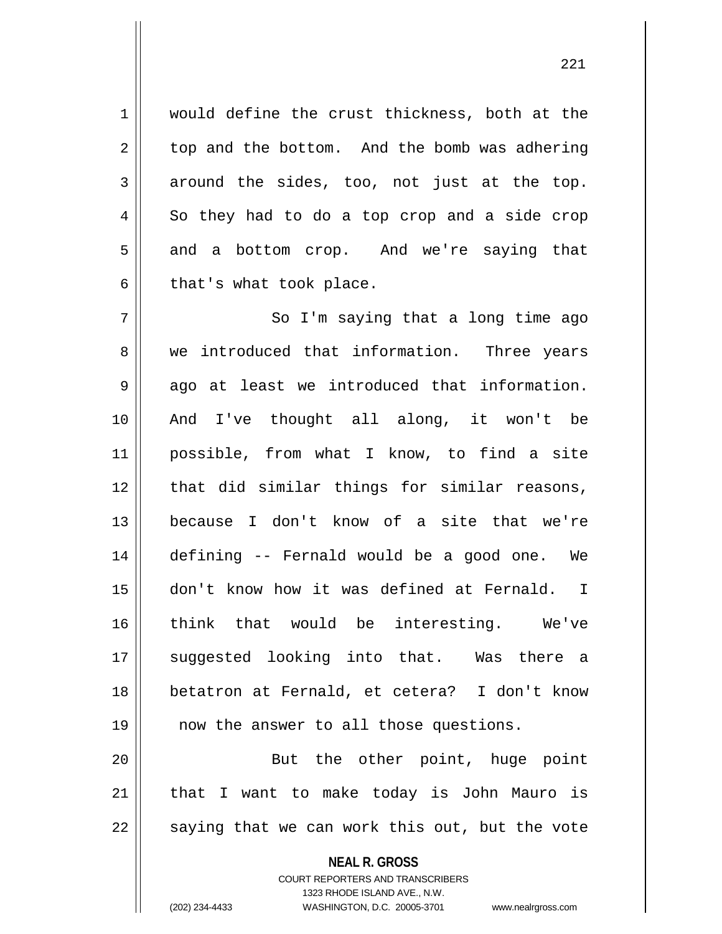1 | would define the crust thickness, both at the  $2 \parallel$  top and the bottom. And the bomb was adhering  $3 \parallel$  around the sides, too, not just at the top.  $4 \parallel$  So they had to do a top crop and a side crop  $5 \parallel$  and a bottom crop. And we're saying that  $6 \parallel$  that's what took place.

7 || So I'm saying that a long time ago 8 we introduced that information. Three years  $9 \parallel$  ago at least we introduced that information. 10 And I've thought all along, it won't be 11 possible, from what I know, to find a site 12 || that did similar things for similar reasons, 13 because I don't know of a site that we're 14 defining -- Fernald would be a good one. We 15 don't know how it was defined at Fernald. I 16 think that would be interesting. We've 17 || suggested looking into that. Was there a 18 betatron at Fernald, et cetera? I don't know 19 || now the answer to all those questions.

20 || But the other point, huge point 21 || that I want to make today is John Mauro is  $22 \parallel$  saying that we can work this out, but the vote

> **NEAL R. GROSS** COURT REPORTERS AND TRANSCRIBERS 1323 RHODE ISLAND AVE., N.W. (202) 234-4433 WASHINGTON, D.C. 20005-3701 www.nealrgross.com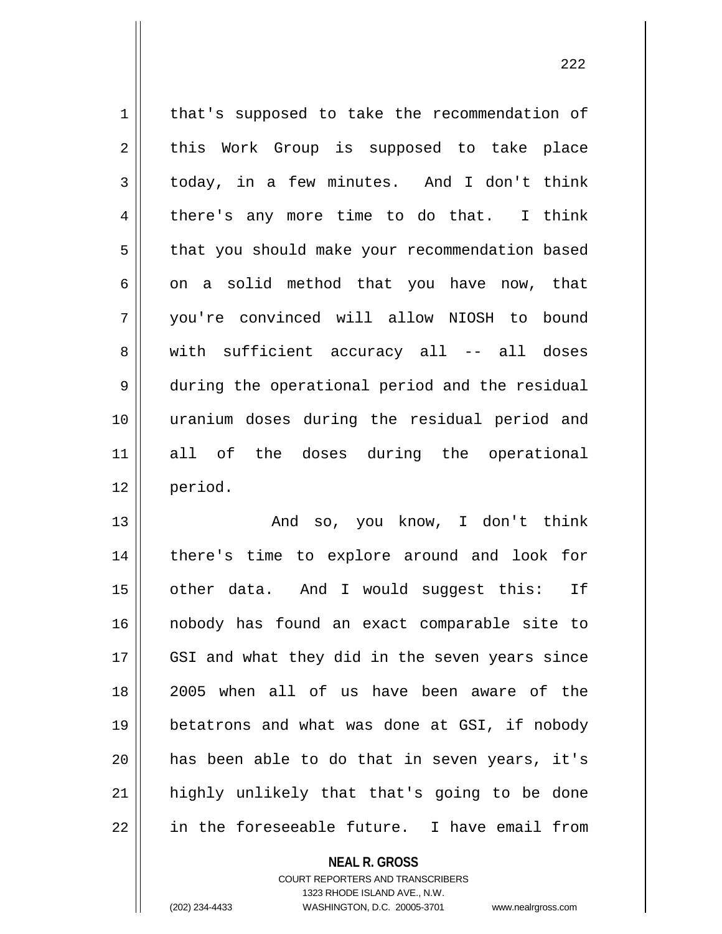1 | that's supposed to take the recommendation of  $2 \parallel$  this Work Group is supposed to take place 3 today, in a few minutes. And I don't think  $4 \parallel$  there's any more time to do that. I think 5 | that you should make your recommendation based  $6 \parallel$  on a solid method that you have now, that 7 you're convinced will allow NIOSH to bound 8 || with sufficient accuracy all -- all doses 9 || during the operational period and the residual 10 uranium doses during the residual period and 11 all of the doses during the operational 12 period.

 And so, you know, I don't think there's time to explore around and look for 15 || other data. And I would suggest this: If nobody has found an exact comparable site to 17 || GSI and what they did in the seven years since 2005 when all of us have been aware of the betatrons and what was done at GSI, if nobody has been able to do that in seven years, it's 21 || highly unlikely that that's going to be done || in the foreseeable future. I have email from

**NEAL R. GROSS**

COURT REPORTERS AND TRANSCRIBERS 1323 RHODE ISLAND AVE., N.W. (202) 234-4433 WASHINGTON, D.C. 20005-3701 www.nealrgross.com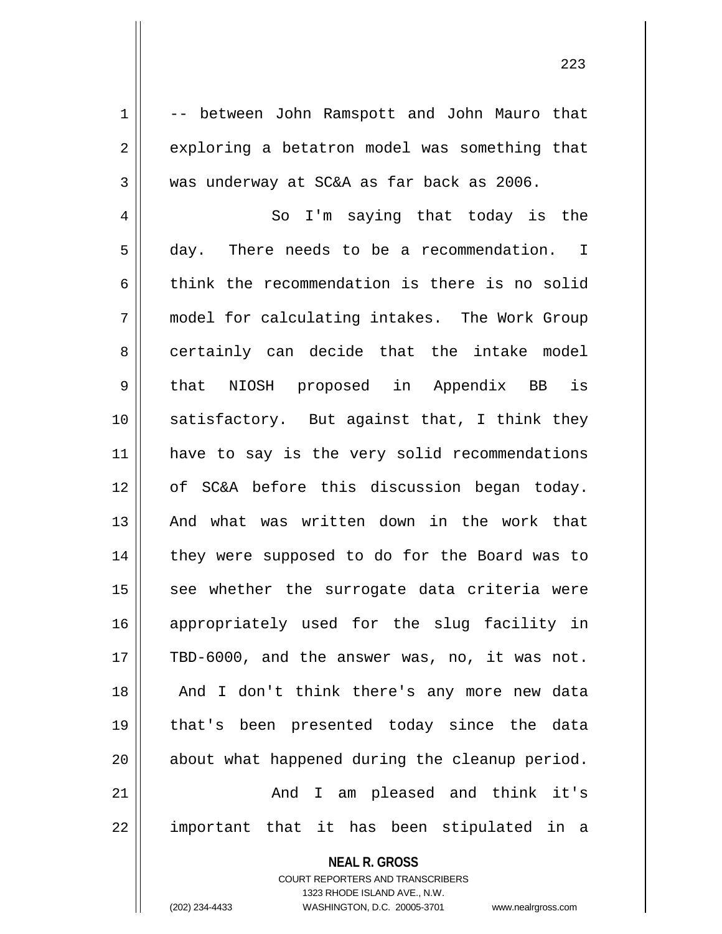1 -- between John Ramspott and John Mauro that  $2 \parallel$  exploring a betatron model was something that 3 | was underway at SC&A as far back as 2006.

4 So I'm saying that today is the 5 day. There needs to be a recommendation. I  $6 \parallel$  think the recommendation is there is no solid 7 model for calculating intakes. The Work Group 8 certainly can decide that the intake model 9 || that NIOSH proposed in Appendix BB is 10 || satisfactory. But against that, I think they 11 || have to say is the very solid recommendations 12 of SC&A before this discussion began today. 13 || And what was written down in the work that 14 || they were supposed to do for the Board was to  $15$  see whether the surrogate data criteria were 16 appropriately used for the slug facility in  $17$  | TBD-6000, and the answer was, no, it was not. 18 || And I don't think there's any more new data 19 that's been presented today since the data  $20$  | about what happened during the cleanup period. 21 And I am pleased and think it's  $22$  || important that it has been stipulated in a

**NEAL R. GROSS**

COURT REPORTERS AND TRANSCRIBERS 1323 RHODE ISLAND AVE., N.W. (202) 234-4433 WASHINGTON, D.C. 20005-3701 www.nealrgross.com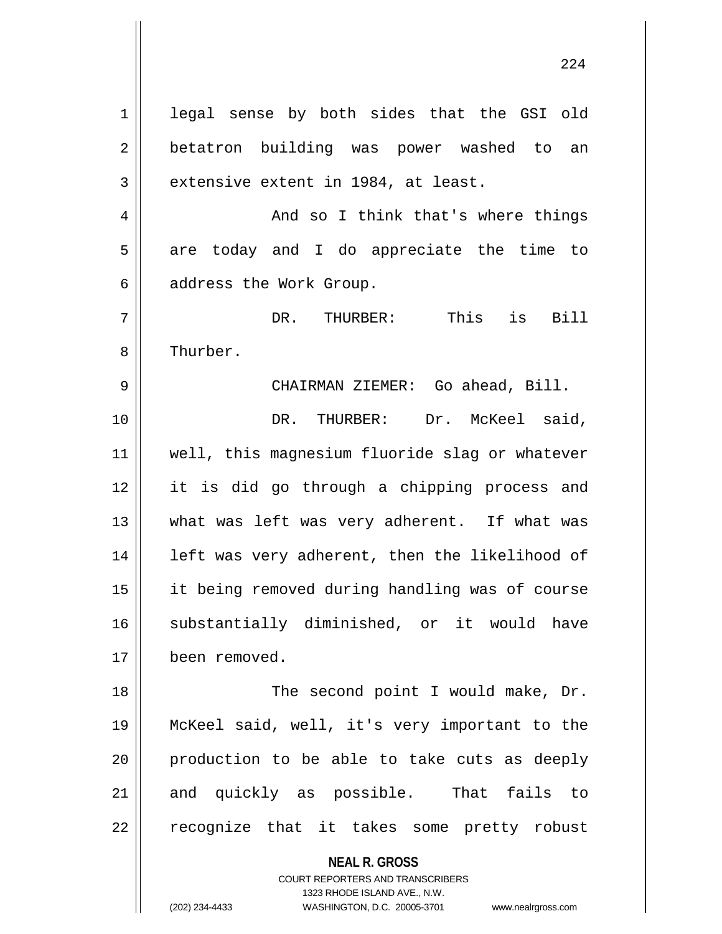**NEAL R. GROSS** COURT REPORTERS AND TRANSCRIBERS 1 || legal sense by both sides that the GSI old 2 || betatron building was power washed to an  $3 \parallel$  extensive extent in 1984, at least. 4 And so I think that's where things  $5 \parallel$  are today and I do appreciate the time to  $6 \parallel$  address the Work Group. 7 DR. THURBER: This is Bill 8 | Thurber. 9 CHAIRMAN ZIEMER: Go ahead, Bill. 10 DR. THURBER: Dr. McKeel said, 11 well, this magnesium fluoride slag or whatever 12 it is did go through a chipping process and 13 what was left was very adherent. If what was 14 || left was very adherent, then the likelihood of 15 it being removed during handling was of course 16 Substantially diminished, or it would have 17 been removed. 18 || The second point I would make, Dr. 19 McKeel said, well, it's very important to the 20 || production to be able to take cuts as deeply 21 and quickly as possible. That fails to 22 || recognize that it takes some pretty robust

1323 RHODE ISLAND AVE., N.W.

(202) 234-4433 WASHINGTON, D.C. 20005-3701 www.nealrgross.com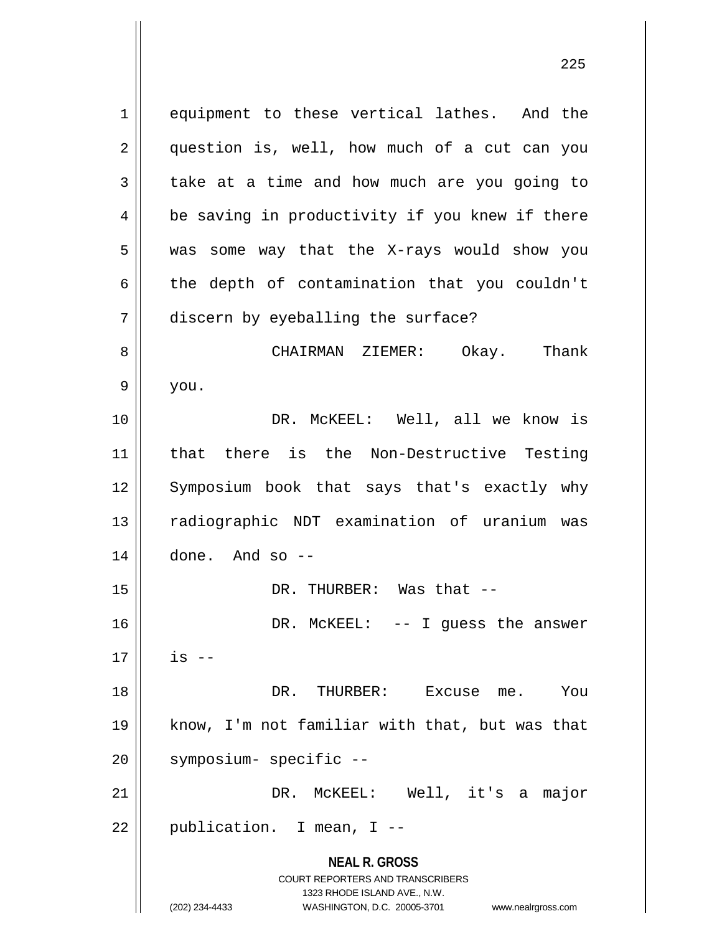**NEAL R. GROSS** COURT REPORTERS AND TRANSCRIBERS 1323 RHODE ISLAND AVE., N.W. 1 || equipment to these vertical lathes. And the 2 || question is, well, how much of a cut can you  $3 \parallel$  take at a time and how much are you going to 4 || be saving in productivity if you knew if there 5 || was some way that the X-rays would show you  $6 \parallel$  the depth of contamination that you couldn't 7 discern by eyeballing the surface? 8 CHAIRMAN ZIEMER: Okay. Thank  $9 \parallel$  you. 10 DR. McKEEL: Well, all we know is 11 that there is the Non-Destructive Testing 12 Symposium book that says that's exactly why 13 || radiographic NDT examination of uranium was  $14$  | done. And so  $-$ 15 DR. THURBER: Was that -- 16 DR. McKEEL: -- I guess the answer  $17 \parallel$  is  $-$ 18 DR. THURBER: Excuse me. You 19 know, I'm not familiar with that, but was that 20 || symposium- specific --21 DR. McKEEL: Well, it's a major  $22 \parallel$  publication. I mean, I --

<sup>(202) 234-4433</sup> WASHINGTON, D.C. 20005-3701 www.nealrgross.com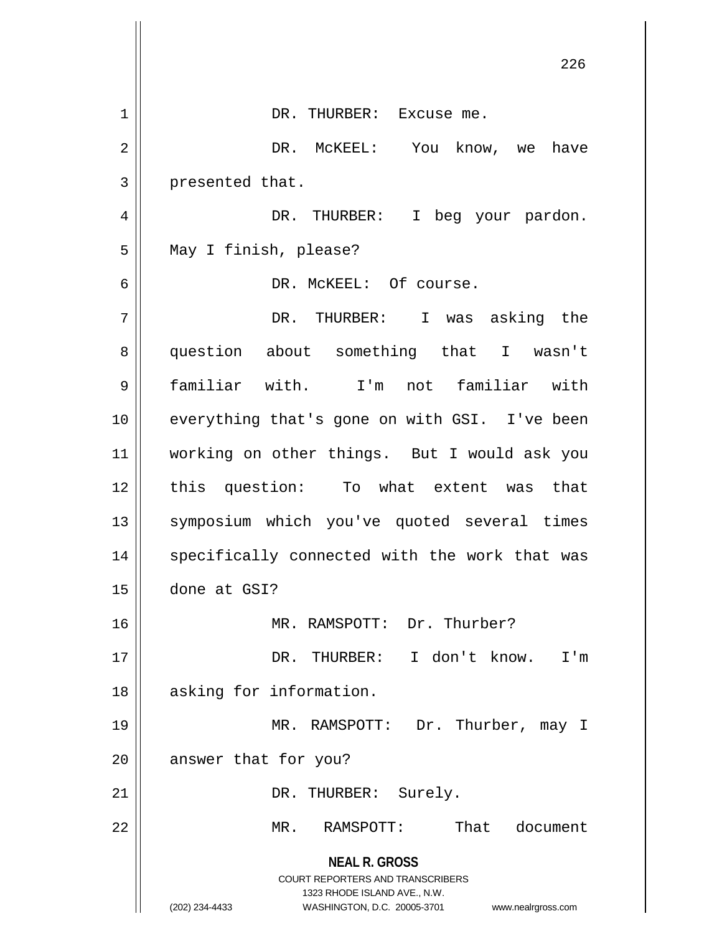|    | 226                                                                 |
|----|---------------------------------------------------------------------|
| 1  | DR. THURBER: Excuse me.                                             |
| 2  | DR. MCKEEL: You know, we have                                       |
| 3  | presented that.                                                     |
| 4  | DR. THURBER:<br>I beg your pardon.                                  |
| 5  | May I finish, please?                                               |
| 6  | DR. MCKEEL: Of course.                                              |
| 7  | DR. THURBER: I was asking the                                       |
| 8  | question about something that I wasn't                              |
| 9  | familiar with. I'm not familiar with                                |
| 10 | everything that's gone on with GSI. I've been                       |
| 11 | working on other things. But I would ask you                        |
| 12 | this question: To what extent was that                              |
| 13 | symposium which you've quoted several times                         |
| 14 | specifically connected with the work that was                       |
| 15 | done at GSI?                                                        |
| 16 | MR. RAMSPOTT: Dr. Thurber?                                          |
| 17 | DR. THURBER: I don't know.<br>I'm                                   |
| 18 | asking for information.                                             |
| 19 | MR. RAMSPOTT: Dr. Thurber, may I                                    |
| 20 | answer that for you?                                                |
| 21 | DR. THURBER: Surely.                                                |
| 22 | That document<br>RAMSPOTT:<br>MR.                                   |
|    | <b>NEAL R. GROSS</b>                                                |
|    | COURT REPORTERS AND TRANSCRIBERS<br>1323 RHODE ISLAND AVE., N.W.    |
|    | (202) 234-4433<br>WASHINGTON, D.C. 20005-3701<br>www.nealrgross.com |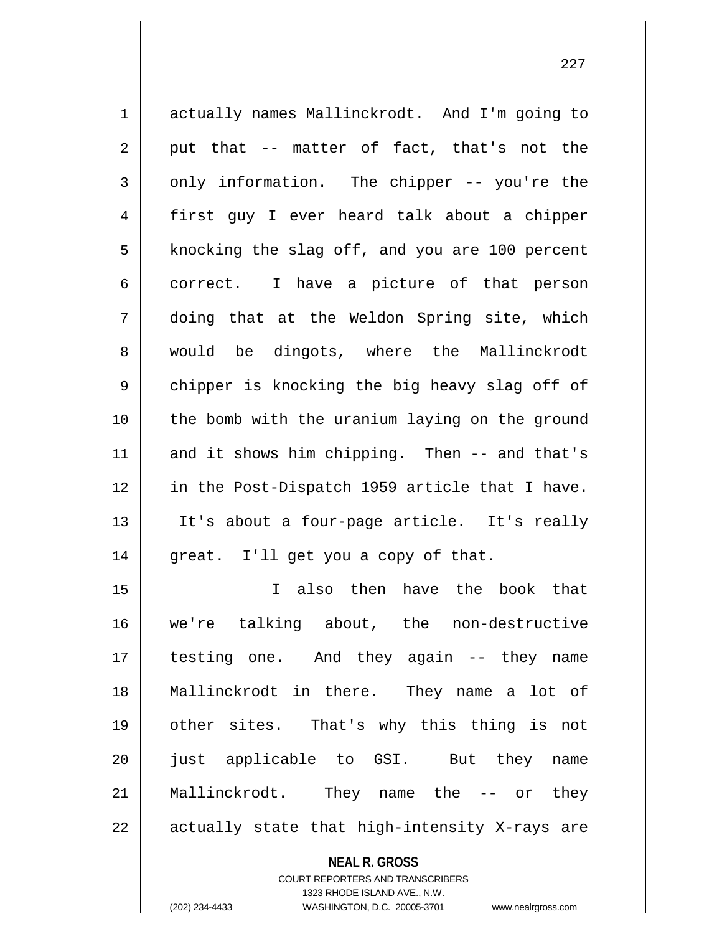| $\mathbf 1$ | actually names Mallinckrodt. And I'm going to  |
|-------------|------------------------------------------------|
| 2           | put that -- matter of fact, that's not the     |
| 3           | only information. The chipper -- you're the    |
| 4           | first guy I ever heard talk about a chipper    |
| 5           | knocking the slag off, and you are 100 percent |
| 6           | correct. I have a picture of that person       |
| 7           | doing that at the Weldon Spring site, which    |
| 8           | would be dingots, where the Mallinckrodt       |
| $\mathsf 9$ | chipper is knocking the big heavy slag off of  |
| 10          | the bomb with the uranium laying on the ground |
| 11          | and it shows him chipping. Then -- and that's  |
| 12          | in the Post-Dispatch 1959 article that I have. |
| 13          | It's about a four-page article. It's really    |
| 14          | great. I'll get you a copy of that.            |
| 15          | I also then have the book that                 |
| 16          | we're talking about, the non-destructive       |
| 17          | testing one. And they again -- they name       |
| 18          | Mallinckrodt in there. They name a lot of      |
| 19          | other sites. That's why this thing is not      |
| 20          | just applicable to GSI. But they name          |
| 21          | Mallinckrodt. They name the -- or they         |
| 22          | actually state that high-intensity X-rays are  |

**NEAL R. GROSS**

COURT REPORTERS AND TRANSCRIBERS 1323 RHODE ISLAND AVE., N.W. (202) 234-4433 WASHINGTON, D.C. 20005-3701 www.nealrgross.com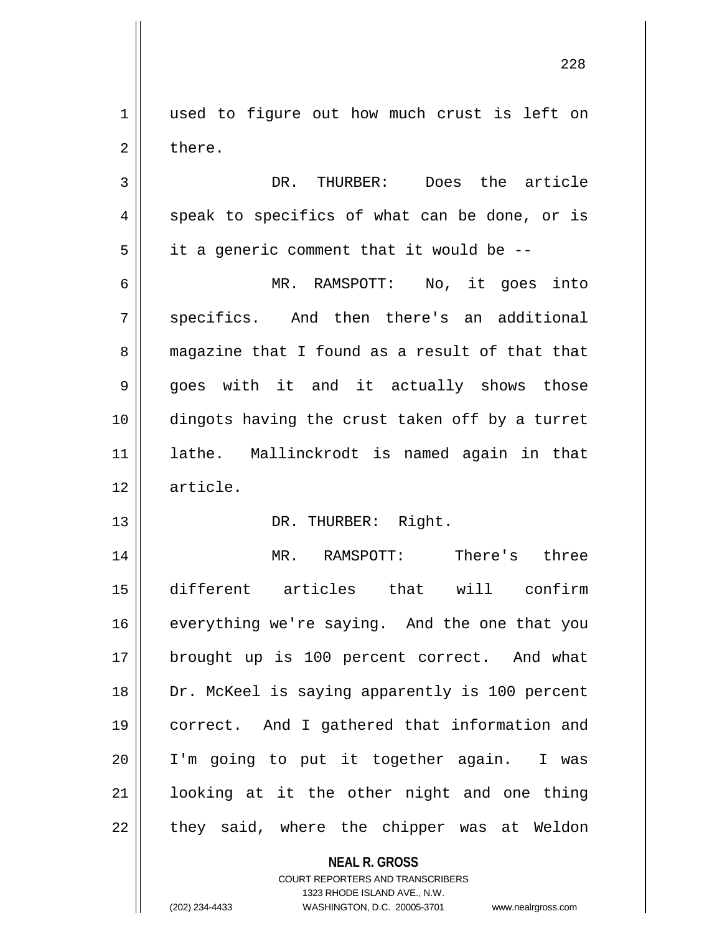1 || used to figure out how much crust is left on 2 l there.

3 DR. THURBER: Does the article  $4 \parallel$  speak to specifics of what can be done, or is  $5 \parallel$  it a generic comment that it would be --

6 MR. RAMSPOTT: No, it goes into 7 || specifics. And then there's an additional 8 magazine that I found as a result of that that  $9 \parallel$  goes with it and it actually shows those 10 dingots having the crust taken off by a turret 11 lathe. Mallinckrodt is named again in that 12 article.

## 13 || DR. THURBER: Right.

 MR. RAMSPOTT: There's three different articles that will confirm 16 || everything we're saying. And the one that you 17 || brought up is 100 percent correct. And what 18 || Dr. McKeel is saying apparently is 100 percent correct. And I gathered that information and I'm going to put it together again. I was looking at it the other night and one thing || they said, where the chipper was at Weldon

## **NEAL R. GROSS**

COURT REPORTERS AND TRANSCRIBERS 1323 RHODE ISLAND AVE., N.W. (202) 234-4433 WASHINGTON, D.C. 20005-3701 www.nealrgross.com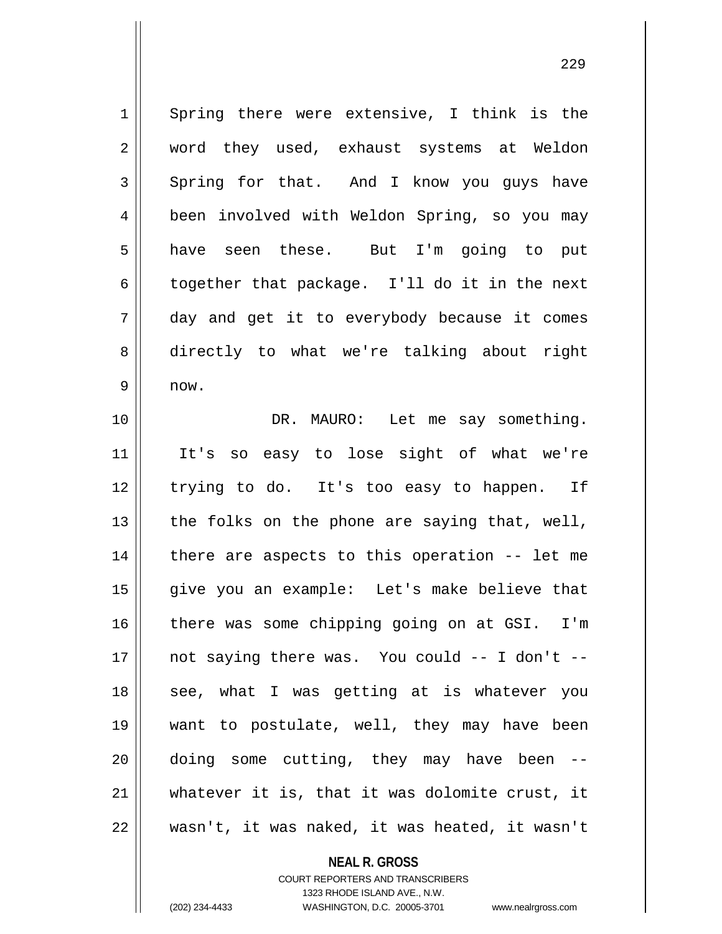1 Spring there were extensive, I think is the 2 word they used, exhaust systems at Weldon  $3 \parallel$  Spring for that. And I know you guys have 4 | been involved with Weldon Spring, so you may 5 have seen these. But I'm going to put 6 together that package. I'll do it in the next 7 day and get it to everybody because it comes 8 || directly to what we're talking about right  $9 \parallel$  now. 10 DR. MAURO: Let me say something. 11 It's so easy to lose sight of what we're 12 || trying to do. It's too easy to happen. If 13  $\parallel$  the folks on the phone are saying that, well,  $14$  | there are aspects to this operation -- let me 15 give you an example: Let's make believe that 16 || there was some chipping going on at GSI. I'm 17 not saying there was. You could -- I don't -- 18 || see, what I was getting at is whatever you 19 want to postulate, well, they may have been  $20$  || doing some cutting, they may have been  $-$ 21 whatever it is, that it was dolomite crust, it  $22$  || wasn't, it was naked, it was heated, it wasn't

> **NEAL R. GROSS** COURT REPORTERS AND TRANSCRIBERS

> > 1323 RHODE ISLAND AVE., N.W.

(202) 234-4433 WASHINGTON, D.C. 20005-3701 www.nealrgross.com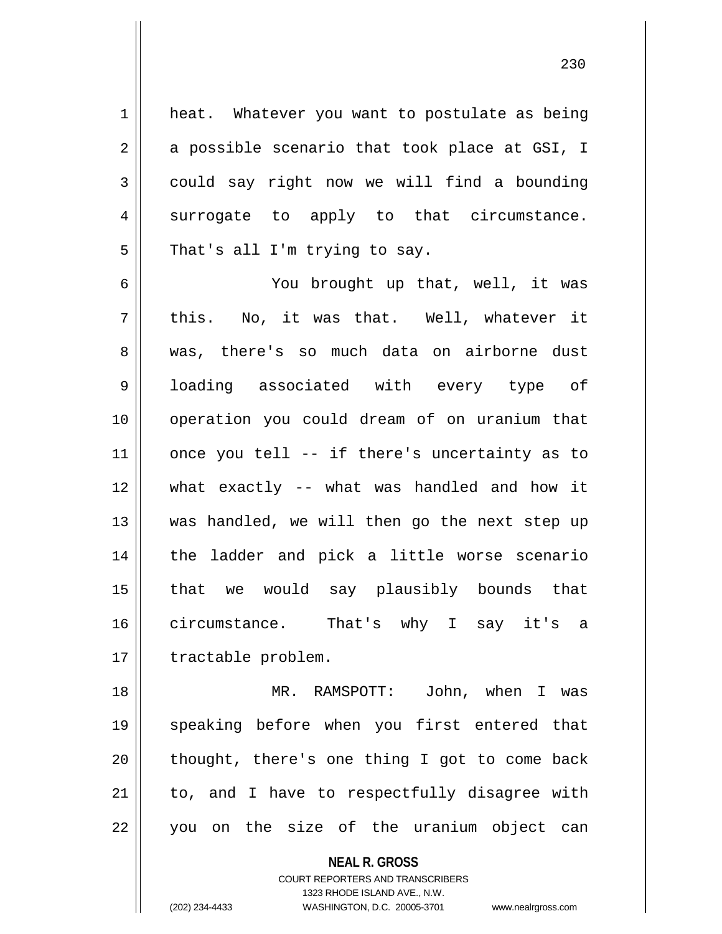1 | heat. Whatever you want to postulate as being  $2 \parallel$  a possible scenario that took place at GSI, I 3 could say right now we will find a bounding  $4 \parallel$  surrogate to apply to that circumstance.  $5$  || That's all I'm trying to say.

6 You brought up that, well, it was  $7 ||$  this. No, it was that. Well, whatever it 8 was, there's so much data on airborne dust 9 || loading associated with every type of 10 operation you could dream of on uranium that  $11$  | once you tell -- if there's uncertainty as to 12 what exactly -- what was handled and how it 13 || was handled, we will then go the next step up 14 || the ladder and pick a little worse scenario 15 that we would say plausibly bounds that 16 circumstance. That's why I say it's a 17 | tractable problem.

 MR. RAMSPOTT: John, when I was speaking before when you first entered that || thought, there's one thing I got to come back || to, and I have to respectfully disagree with 22 || you on the size of the uranium object can

**NEAL R. GROSS**

COURT REPORTERS AND TRANSCRIBERS 1323 RHODE ISLAND AVE., N.W. (202) 234-4433 WASHINGTON, D.C. 20005-3701 www.nealrgross.com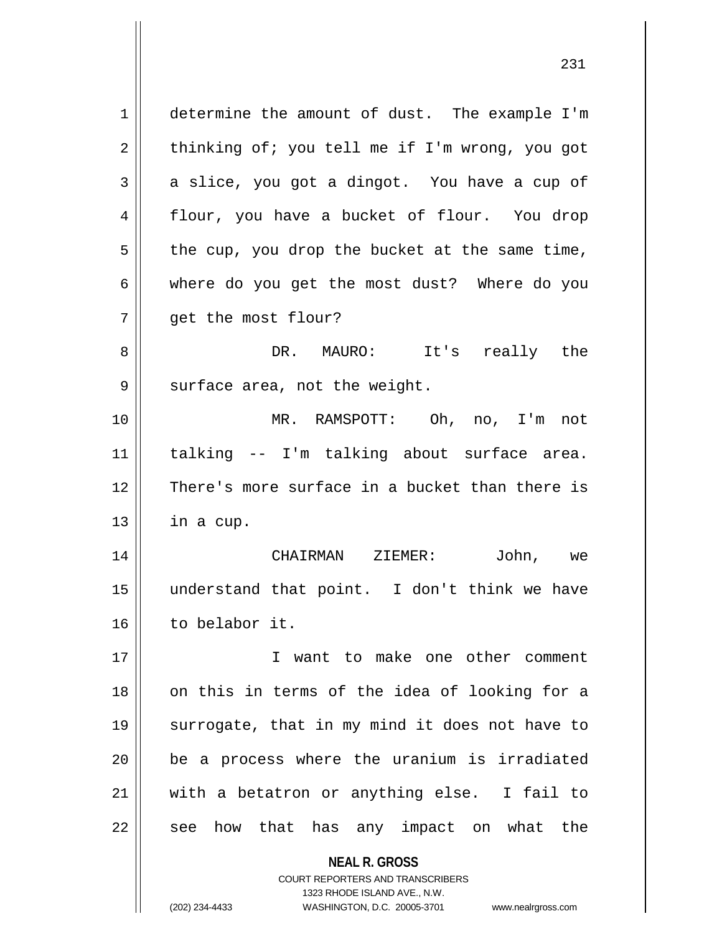**NEAL R. GROSS** COURT REPORTERS AND TRANSCRIBERS 1 determine the amount of dust. The example I'm  $2 \parallel$  thinking of; you tell me if I'm wrong, you got  $3 \parallel$  a slice, you got a dingot. You have a cup of 4 flour, you have a bucket of flour. You drop  $5 \parallel$  the cup, you drop the bucket at the same time, 6 where do you get the most dust? Where do you 7 | qet the most flour? 8 DR. MAURO: It's really the  $9 \parallel$  surface area, not the weight. 10 MR. RAMSPOTT: Oh, no, I'm not 11 talking -- I'm talking about surface area. 12 There's more surface in a bucket than there is  $13$  | in a cup. 14 CHAIRMAN ZIEMER: John, we 15 understand that point. I don't think we have 16 to belabor it. 17 || **I** want to make one other comment 18 on this in terms of the idea of looking for a 19 || surrogate, that in my mind it does not have to 20 be a process where the uranium is irradiated 21 with a betatron or anything else. I fail to  $22$  || see how that has any impact on what the

1323 RHODE ISLAND AVE., N.W.

(202) 234-4433 WASHINGTON, D.C. 20005-3701 www.nealrgross.com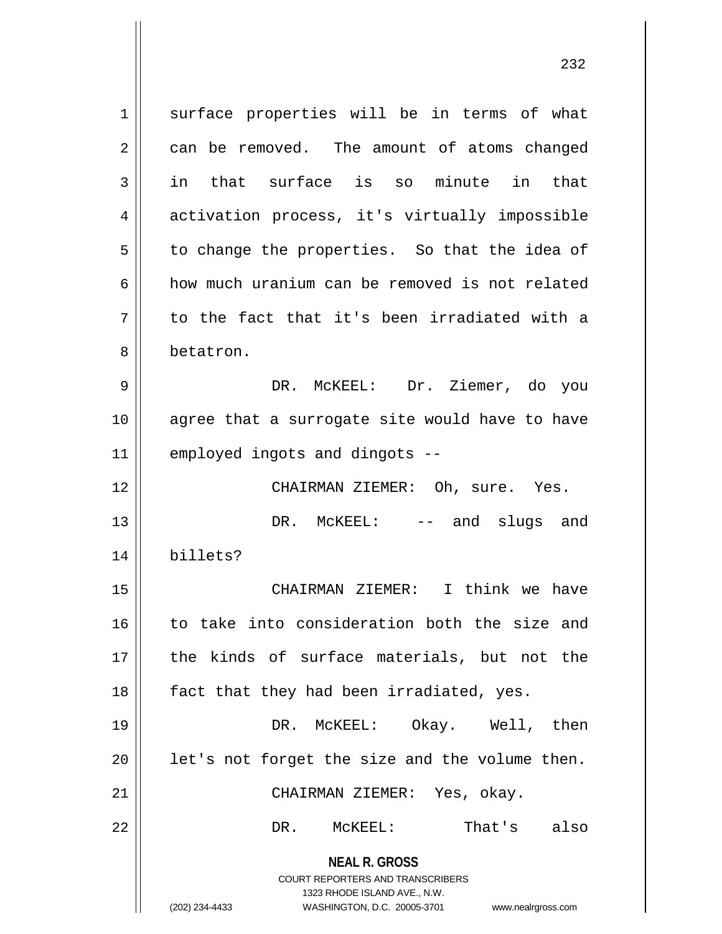**NEAL R. GROSS** COURT REPORTERS AND TRANSCRIBERS 1323 RHODE ISLAND AVE., N.W. (202) 234-4433 WASHINGTON, D.C. 20005-3701 www.nealrgross.com 1 || surface properties will be in terms of what  $2 \parallel$  can be removed. The amount of atoms changed  $3 \parallel$  in that surface is so minute in that 4 || activation process, it's virtually impossible  $5 \parallel$  to change the properties. So that the idea of 6 how much uranium can be removed is not related  $7||$  to the fact that it's been irradiated with a 8 betatron. 9 DR. McKEEL: Dr. Ziemer, do you 10 agree that a surrogate site would have to have 11 employed ingots and dingots -- 12 CHAIRMAN ZIEMER: Oh, sure. Yes. 13 DR. McKEEL: -- and slugs and 14 billets? 15 CHAIRMAN ZIEMER: I think we have 16 to take into consideration both the size and 17 || the kinds of surface materials, but not the 18 || fact that they had been irradiated, yes. 19 DR. McKEEL: Okay. Well, then  $20$  | let's not forget the size and the volume then. 21 CHAIRMAN ZIEMER: Yes, okay. 22 DR. McKEEL: That's also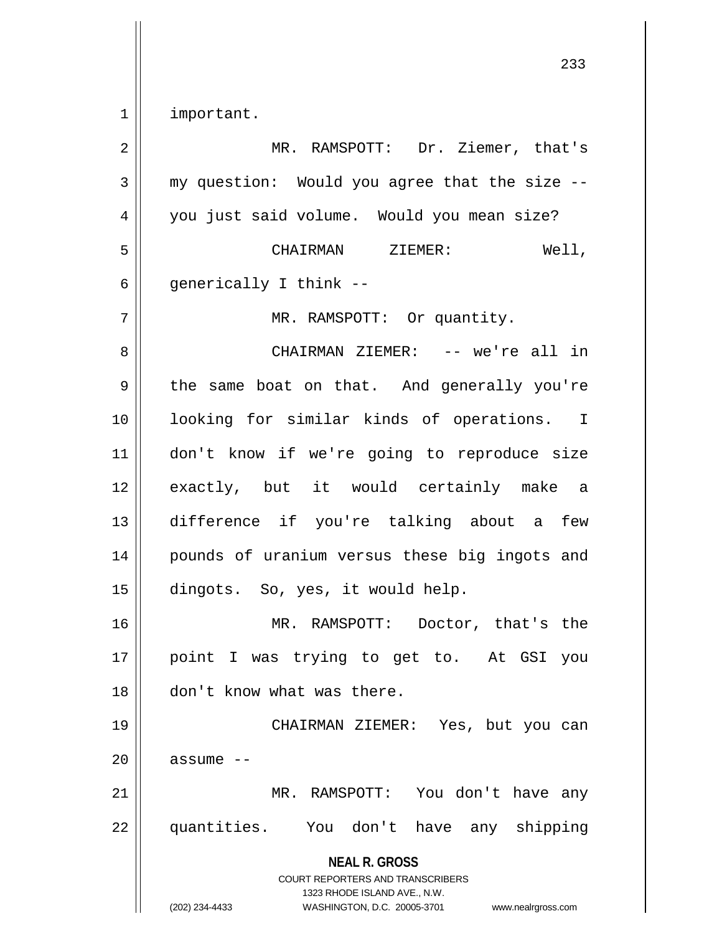| important.

| $\overline{2}$ | MR. RAMSPOTT: Dr. Ziemer, that's                                                                                                                                       |
|----------------|------------------------------------------------------------------------------------------------------------------------------------------------------------------------|
| 3              | my question: Would you agree that the size --                                                                                                                          |
| 4              | you just said volume. Would you mean size?                                                                                                                             |
| 5              | CHAIRMAN ZIEMER:<br>Well,                                                                                                                                              |
| 6              | generically I think --                                                                                                                                                 |
| 7              | MR. RAMSPOTT: Or quantity.                                                                                                                                             |
| 8              | CHAIRMAN ZIEMER: -- we're all in                                                                                                                                       |
| 9              | the same boat on that. And generally you're                                                                                                                            |
| 10             | looking for similar kinds of operations. I                                                                                                                             |
| 11             | don't know if we're going to reproduce size                                                                                                                            |
| 12             | exactly, but it would certainly make a                                                                                                                                 |
| 13             | difference if you're talking about a few                                                                                                                               |
| 14             | pounds of uranium versus these big ingots and                                                                                                                          |
| 15             | dingots. So, yes, it would help.                                                                                                                                       |
| 16             | MR. RAMSPOTT: Doctor, that's the                                                                                                                                       |
| 17             | point I was trying to get to. At GSI you                                                                                                                               |
| 18             | don't know what was there.                                                                                                                                             |
| 19             | CHAIRMAN ZIEMER: Yes, but you can                                                                                                                                      |
| 20             | assume --                                                                                                                                                              |
| 21             | MR. RAMSPOTT: You don't have any                                                                                                                                       |
| 22             | quantities. You don't have any shipping                                                                                                                                |
|                | <b>NEAL R. GROSS</b><br><b>COURT REPORTERS AND TRANSCRIBERS</b><br>1323 RHODE ISLAND AVE., N.W.<br>(202) 234-4433<br>WASHINGTON, D.C. 20005-3701<br>www.nealrgross.com |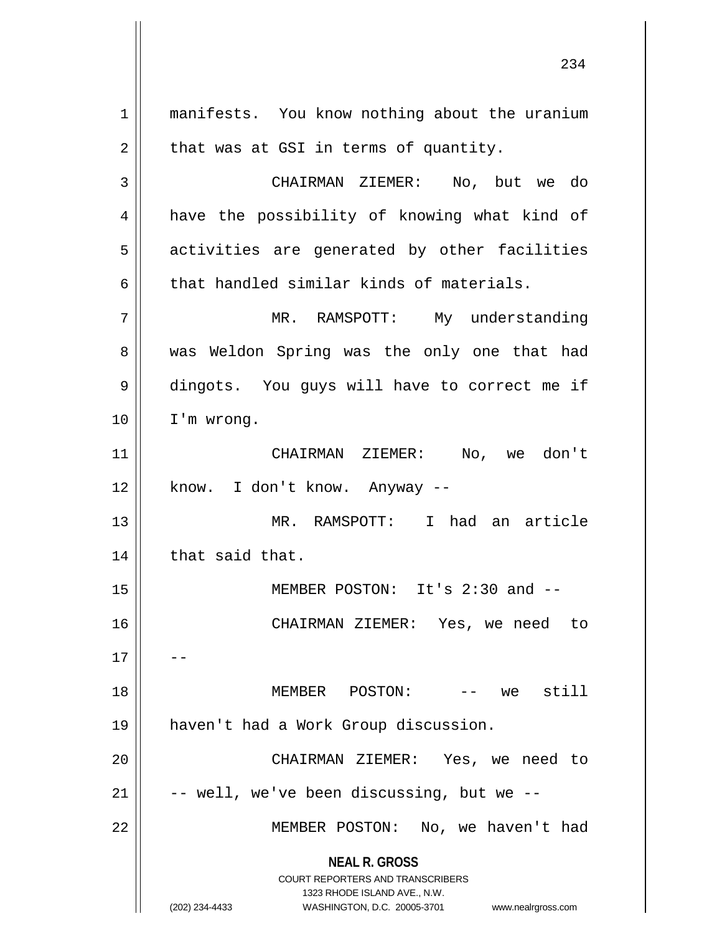**NEAL R. GROSS** COURT REPORTERS AND TRANSCRIBERS 1323 RHODE ISLAND AVE., N.W. (202) 234-4433 WASHINGTON, D.C. 20005-3701 www.nealrgross.com 1 || manifests. You know nothing about the uranium  $2 \parallel$  that was at GSI in terms of quantity. CHAIRMAN ZIEMER: No, but we do 4 || have the possibility of knowing what kind of 5 || activities are generated by other facilities that handled similar kinds of materials. MR. RAMSPOTT: My understanding 8 was Weldon Spring was the only one that had dingots. You guys will have to correct me if I'm wrong. CHAIRMAN ZIEMER: No, we don't || know. I don't know. Anyway  $-$  MR. RAMSPOTT: I had an article | that said that. MEMBER POSTON: It's 2:30 and -- CHAIRMAN ZIEMER: Yes, we need to MEMBER POSTON: -- we still haven't had a Work Group discussion. CHAIRMAN ZIEMER: Yes, we need to  $\vert$  -- well, we've been discussing, but we --MEMBER POSTON: No, we haven't had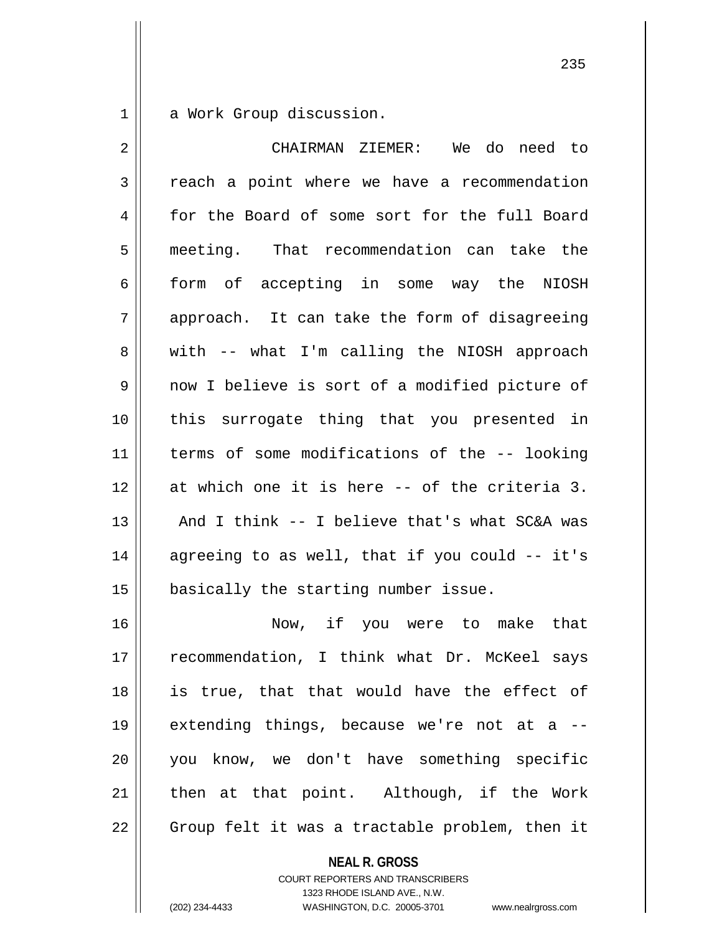1 a Work Group discussion.

| 2  | CHAIRMAN ZIEMER: We do need to                 |
|----|------------------------------------------------|
| 3  | reach a point where we have a recommendation   |
| 4  | for the Board of some sort for the full Board  |
| 5  | meeting. That recommendation can take the      |
| 6  | form of accepting in some way the NIOSH        |
| 7  | approach. It can take the form of disagreeing  |
| 8  | with -- what I'm calling the NIOSH approach    |
| 9  | now I believe is sort of a modified picture of |
| 10 | this surrogate thing that you presented in     |
| 11 | terms of some modifications of the -- looking  |
| 12 | at which one it is here -- of the criteria 3.  |
| 13 | And I think -- I believe that's what SC&A was  |
| 14 | agreeing to as well, that if you could -- it's |
| 15 | basically the starting number issue.           |
| 16 | Now, if you were to make that                  |
| 17 | recommendation, I think what Dr. McKeel says   |
| 18 | is true, that that would have the effect of    |
| 19 | extending things, because we're not at a       |
| 20 | you know, we don't have something specific     |
| 21 | then at that point. Although, if the Work      |
| 22 | Group felt it was a tractable problem, then it |

**NEAL R. GROSS**

COURT REPORTERS AND TRANSCRIBERS 1323 RHODE ISLAND AVE., N.W. (202) 234-4433 WASHINGTON, D.C. 20005-3701 www.nealrgross.com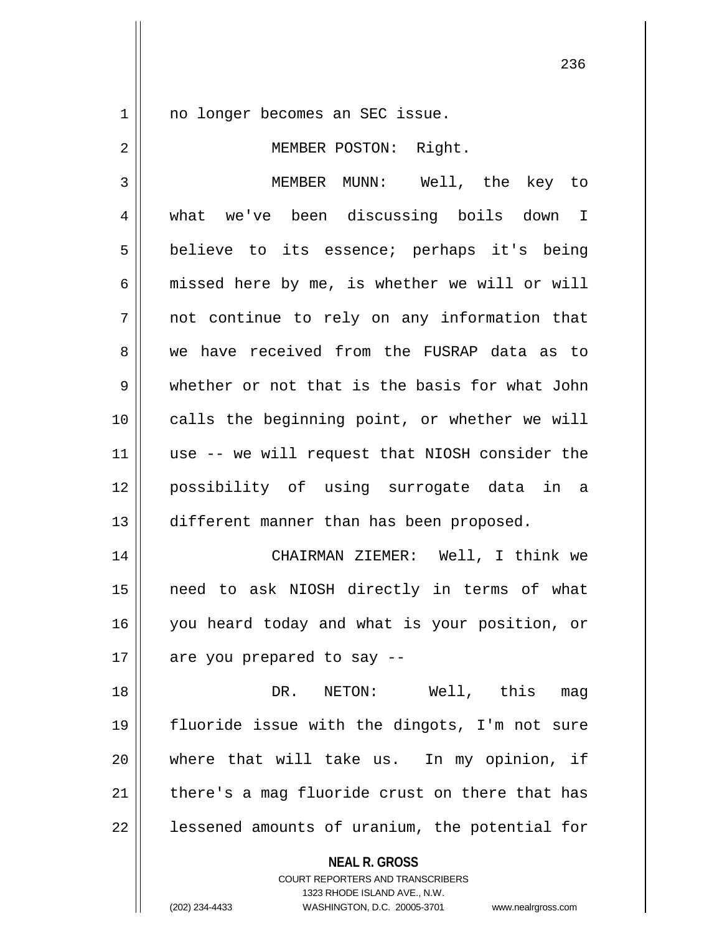1 || no longer becomes an SEC issue.

2 || MEMBER POSTON: Right. MEMBER MUNN: Well, the key to what we've been discussing boils down I 5 || believe to its essence; perhaps it's being  $6 \parallel$  missed here by me, is whether we will or will not continue to rely on any information that 8 we have received from the FUSRAP data as to whether or not that is the basis for what John calls the beginning point, or whether we will use -- we will request that NIOSH consider the possibility of using surrogate data in a

 CHAIRMAN ZIEMER: Well, I think we need to ask NIOSH directly in terms of what 16 || you heard today and what is your position, or || are you prepared to say --

13 || different manner than has been proposed.

 DR. NETON: Well, this mag fluoride issue with the dingots, I'm not sure where that will take us. In my opinion, if | there's a mag fluoride crust on there that has | lessened amounts of uranium, the potential for

**NEAL R. GROSS**

COURT REPORTERS AND TRANSCRIBERS 1323 RHODE ISLAND AVE., N.W. (202) 234-4433 WASHINGTON, D.C. 20005-3701 www.nealrgross.com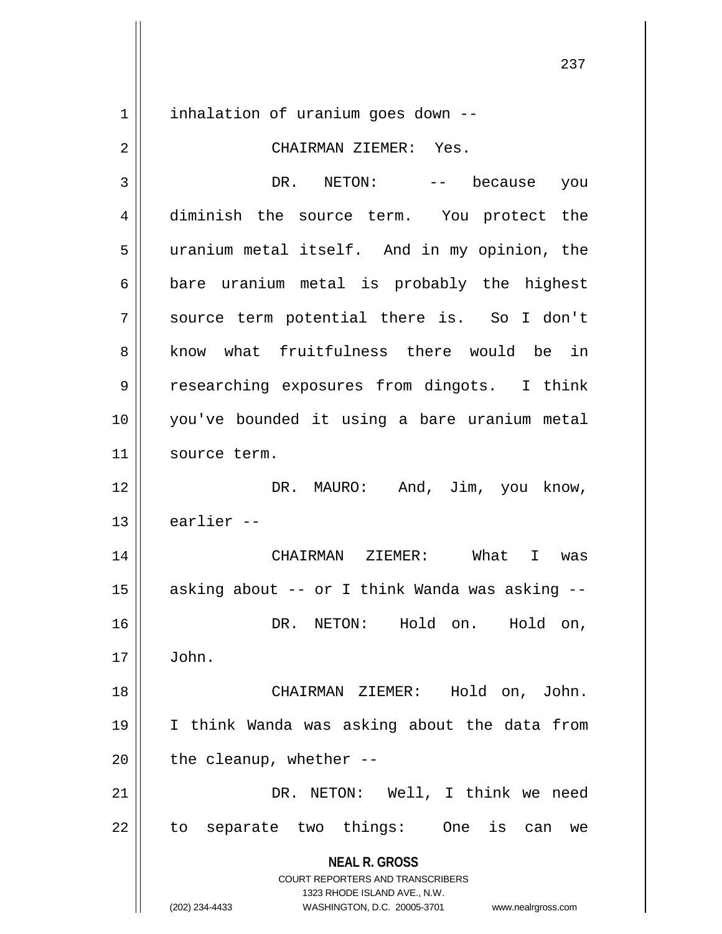1 | inhalation of uranium goes down --

## 2 CHAIRMAN ZIEMER: Yes.

**NEAL R. GROSS** COURT REPORTERS AND TRANSCRIBERS 1323 RHODE ISLAND AVE., N.W. (202) 234-4433 WASHINGTON, D.C. 20005-3701 www.nealrgross.com 3 DR. NETON: -- because you 4 diminish the source term. You protect the 5 || uranium metal itself. And in my opinion, the  $6 \parallel$  bare uranium metal is probably the highest 7 source term potential there is. So I don't 8 know what fruitfulness there would be in 9 researching exposures from dingots. I think 10 you've bounded it using a bare uranium metal 11 | source term. 12 DR. MAURO: And, Jim, you know,  $13$   $\parallel$  earlier --14 CHAIRMAN ZIEMER: What I was 15  $\parallel$  asking about -- or I think Wanda was asking --16 DR. NETON: Hold on. Hold on,  $17 \parallel$  John. 18 CHAIRMAN ZIEMER: Hold on, John. 19 I think Wanda was asking about the data from  $20$  || the cleanup, whether --21 DR. NETON: Well, I think we need  $22 \parallel$  to separate two things: One is can we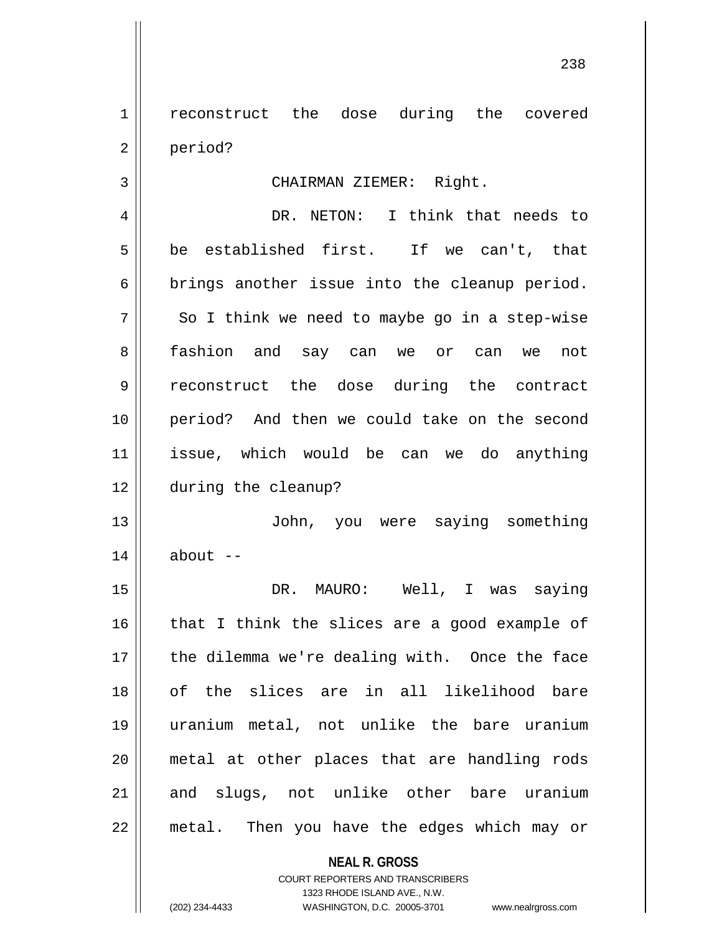1 | reconstruct the dose during the covered 2 period?

3 || CHAIRMAN ZIEMER: Right.

 DR. NETON: I think that needs to  $5 \parallel$  be established first. If we can't, that  $6 \parallel$  brings another issue into the cleanup period.  $7 \parallel$  So I think we need to maybe go in a step-wise fashion and say can we or can we not reconstruct the dose during the contract period? And then we could take on the second issue, which would be can we do anything during the cleanup?

13 John, you were saying something  $14$  | about  $-$ 

 DR. MAURO: Well, I was saying that I think the slices are a good example of 17 || the dilemma we're dealing with. Once the face of the slices are in all likelihood bare uranium metal, not unlike the bare uranium metal at other places that are handling rods 21 and slugs, not unlike other bare uranium metal. Then you have the edges which may or

> **NEAL R. GROSS** COURT REPORTERS AND TRANSCRIBERS 1323 RHODE ISLAND AVE., N.W. (202) 234-4433 WASHINGTON, D.C. 20005-3701 www.nealrgross.com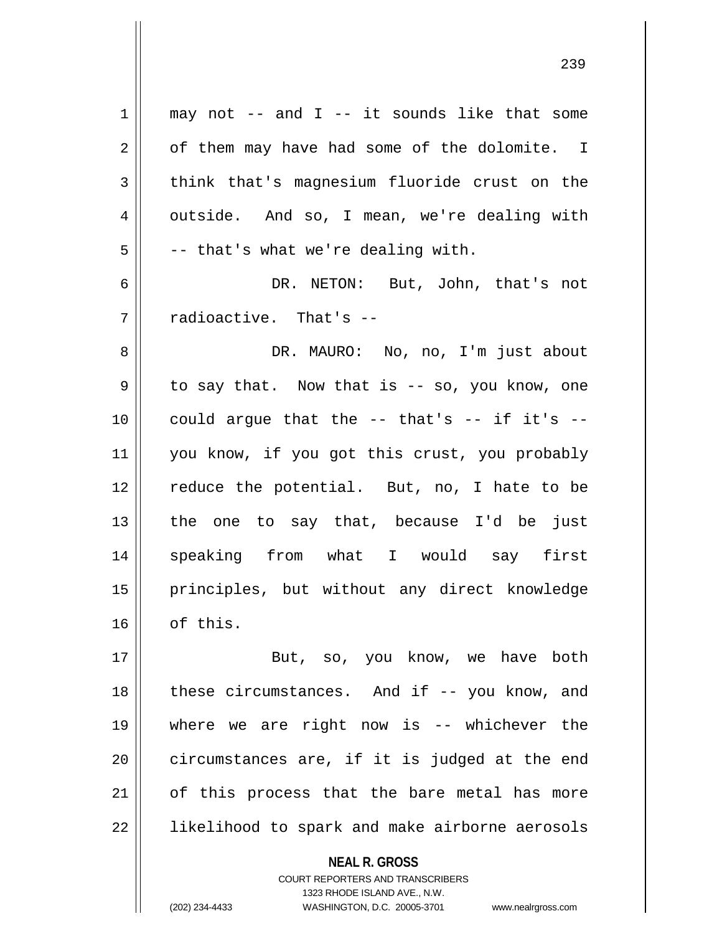| $\mathbf 1$ | may not -- and $I$ -- it sounds like that some     |
|-------------|----------------------------------------------------|
| 2           | of them may have had some of the dolomite. I       |
| 3           | think that's magnesium fluoride crust on the       |
| 4           | outside. And so, I mean, we're dealing with        |
| 5           | -- that's what we're dealing with.                 |
| 6           | DR. NETON: But, John, that's not                   |
| 7           | radioactive. That's --                             |
| 8           | DR. MAURO: No, no, I'm just about                  |
| 9           | to say that. Now that is -- so, you know, one      |
| 10          | could argue that the $--$ that's $--$ if it's $--$ |
| 11          | you know, if you got this crust, you probably      |
| 12          | reduce the potential. But, no, I hate to be        |
| 13          | the one to say that, because I'd be just           |
| 14          | speaking from what I would say first               |
| 15          | principles, but without any direct knowledge       |
| 16          | of this.                                           |
| 17          | But, so, you know, we have both                    |
| 18          | these circumstances. And if -- you know, and       |
| 19          | where we are right now is $-$ whichever the        |
| 20          | circumstances are, if it is judged at the end      |
| 21          | of this process that the bare metal has more       |
| 22          | likelihood to spark and make airborne aerosols     |
|             | <b>NEAL R. GROSS</b>                               |

COURT REPORTERS AND TRANSCRIBERS 1323 RHODE ISLAND AVE., N.W.

 $\mathsf{II}$ 

(202) 234-4433 WASHINGTON, D.C. 20005-3701 www.nealrgross.com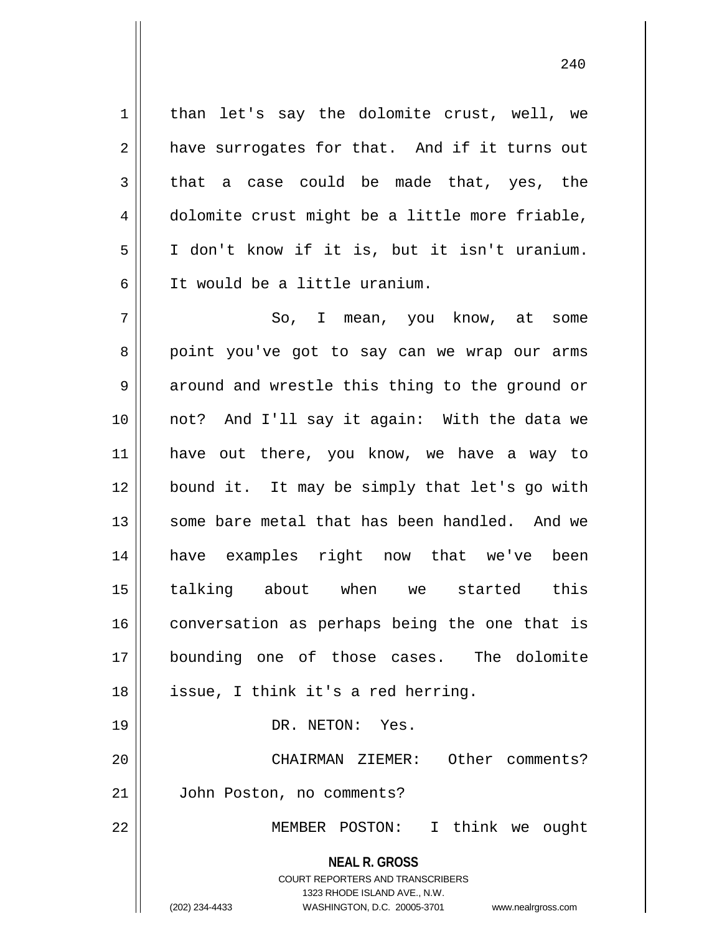1 || than let's say the dolomite crust, well, we  $2 \parallel$  have surrogates for that. And if it turns out  $3 \parallel$  that a case could be made that, yes, the 4 dolomite crust might be a little more friable, 5 I don't know if it is, but it isn't uranium. 6 It would be a little uranium.

**NEAL R. GROSS** COURT REPORTERS AND TRANSCRIBERS 7 So, I mean, you know, at some 8 point you've got to say can we wrap our arms  $9 \parallel$  around and wrestle this thing to the ground or 10 not? And I'll say it again: With the data we 11 have out there, you know, we have a way to 12 bound it. It may be simply that let's go with 13 || some bare metal that has been handled. And we 14 have examples right now that we've been 15 talking about when we started this 16 | conversation as perhaps being the one that is 17 bounding one of those cases. The dolomite 18 || issue, I think it's a red herring. 19 || DR. NETON: Yes. 20 CHAIRMAN ZIEMER: Other comments? 21 John Poston, no comments? 22 MEMBER POSTON: I think we ought

> 1323 RHODE ISLAND AVE., N.W. (202) 234-4433 WASHINGTON, D.C. 20005-3701 www.nealrgross.com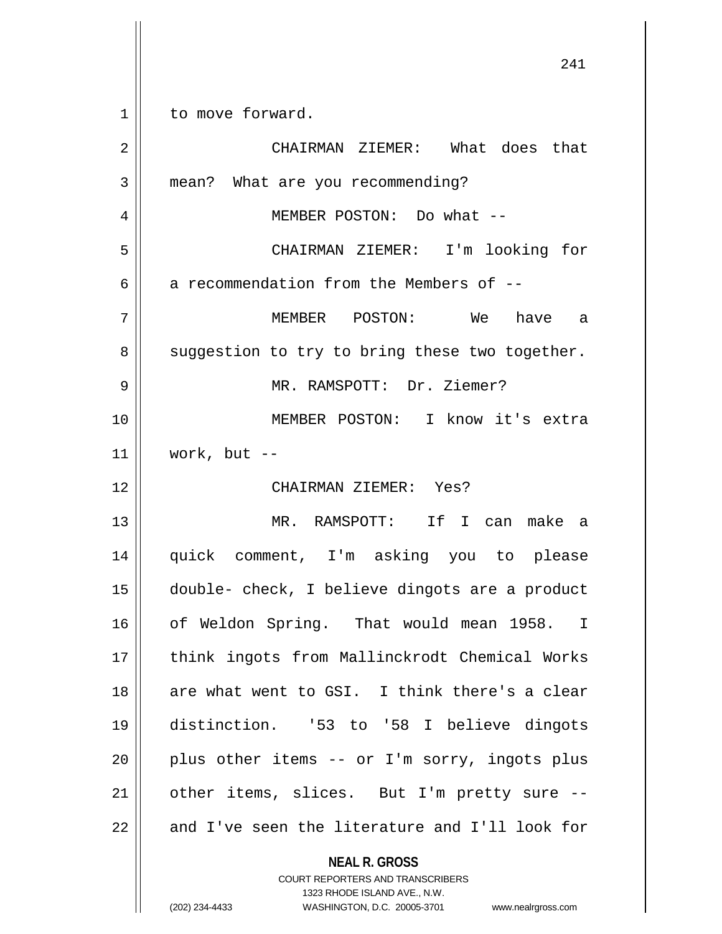| 1  | to move forward.                                                                       |
|----|----------------------------------------------------------------------------------------|
| 2  | CHAIRMAN ZIEMER: What does that                                                        |
| 3  | mean? What are you recommending?                                                       |
| 4  | MEMBER POSTON: Do what --                                                              |
| 5  | CHAIRMAN ZIEMER: I'm looking for                                                       |
| 6  | a recommendation from the Members of --                                                |
| 7  | MEMBER POSTON: We<br>have a                                                            |
| 8  | suggestion to try to bring these two together.                                         |
| 9  | MR. RAMSPOTT: Dr. Ziemer?                                                              |
| 10 | MEMBER POSTON: I know it's extra                                                       |
| 11 | work, but $--$                                                                         |
| 12 | CHAIRMAN ZIEMER: Yes?                                                                  |
| 13 | MR. RAMSPOTT: If I can make a                                                          |
| 14 | quick comment, I'm asking you to please                                                |
| 15 | double- check, I believe dingots are a product                                         |
| 16 | of Weldon Spring. That would mean 1958. I                                              |
| 17 | think ingots from Mallinckrodt Chemical Works                                          |
| 18 | are what went to GSI. I think there's a clear                                          |
| 19 | distinction. '53 to '58 I believe dingots                                              |
| 20 | plus other items -- or I'm sorry, ingots plus                                          |
| 21 | other items, slices. But I'm pretty sure --                                            |
| 22 | and I've seen the literature and I'll look for                                         |
|    | <b>NEAL R. GROSS</b><br>COURT REPORTERS AND TRANSCRIBERS<br>1323 RHODE ISLAND AVE N.W. |

1323 RHODE ISLAND AVE., N.W.

 $\prod_{i=1}^{n}$ 

(202) 234-4433 WASHINGTON, D.C. 20005-3701 www.nealrgross.com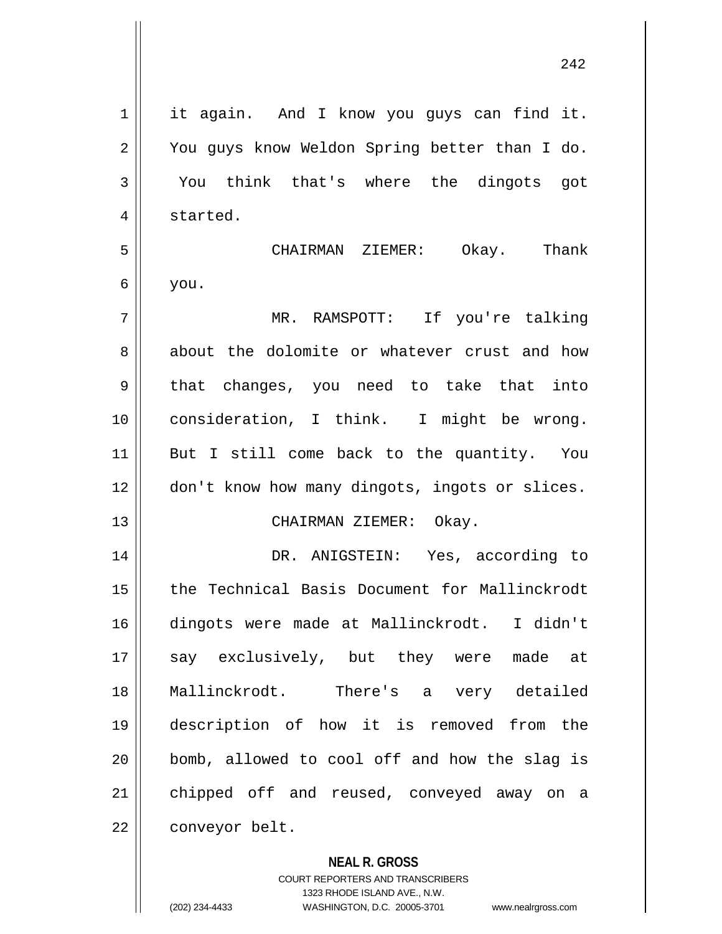| $\mathbf 1$    | it again. And I know you guys can find it.     |
|----------------|------------------------------------------------|
| $\overline{2}$ | You guys know Weldon Spring better than I do.  |
| 3              | think that's where the dingots got<br>You      |
| 4              | started.                                       |
| 5              | CHAIRMAN ZIEMER: Okay. Thank                   |
| 6              | you.                                           |
| 7              | MR. RAMSPOTT: If you're talking                |
| 8              | about the dolomite or whatever crust and how   |
| 9              | that changes, you need to take that into       |
| 10             | consideration, I think. I might be wrong.      |
| 11             | But I still come back to the quantity. You     |
| 12             | don't know how many dingots, ingots or slices. |
| 13             | CHAIRMAN ZIEMER: Okay.                         |
| 14             | DR. ANIGSTEIN: Yes, according to               |
| 15             | the Technical Basis Document for Mallinckrodt  |
| 16             | dingots were made at Mallinckrodt. I didn't    |
| 17             | say exclusively, but they were made at         |
| 18             | Mallinckrodt. There's a very detailed          |
| 19             | description of how it is removed from the      |
| 20             | bomb, allowed to cool off and how the slag is  |
| 21             | chipped off and reused, conveyed away on a     |
| 22             | conveyor belt.                                 |
|                |                                                |

**NEAL R. GROSS**

COURT REPORTERS AND TRANSCRIBERS 1323 RHODE ISLAND AVE., N.W. (202) 234-4433 WASHINGTON, D.C. 20005-3701 www.nealrgross.com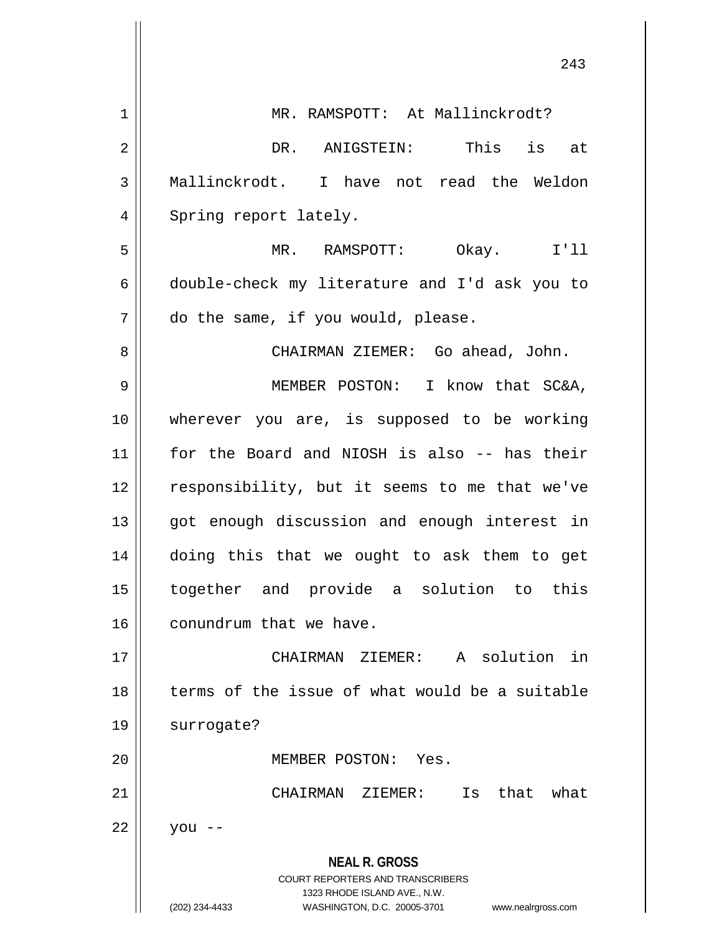|    | 243                                                                                                                                                                    |
|----|------------------------------------------------------------------------------------------------------------------------------------------------------------------------|
| 1  | MR. RAMSPOTT: At Mallinckrodt?                                                                                                                                         |
| 2  | DR. ANIGSTEIN: This is at                                                                                                                                              |
| 3  | Mallinckrodt. I have not read the Weldon                                                                                                                               |
| 4  | Spring report lately.                                                                                                                                                  |
| 5  | MR. RAMSPOTT:<br>Okay. I'll                                                                                                                                            |
| 6  | double-check my literature and I'd ask you to                                                                                                                          |
| 7  | do the same, if you would, please.                                                                                                                                     |
| 8  | CHAIRMAN ZIEMER: Go ahead, John.                                                                                                                                       |
| 9  | MEMBER POSTON: I know that SC&A,                                                                                                                                       |
| 10 | wherever you are, is supposed to be working                                                                                                                            |
| 11 | for the Board and NIOSH is also -- has their                                                                                                                           |
| 12 | responsibility, but it seems to me that we've                                                                                                                          |
| 13 | got enough discussion and enough interest in                                                                                                                           |
| 14 | doing this that we ought to ask them to get                                                                                                                            |
| 15 | together and provide a solution to<br>this                                                                                                                             |
| 16 | conundrum that we have.                                                                                                                                                |
| 17 | CHAIRMAN ZIEMER: A solution in                                                                                                                                         |
| 18 | terms of the issue of what would be a suitable                                                                                                                         |
| 19 | surrogate?                                                                                                                                                             |
| 20 | MEMBER POSTON: Yes.                                                                                                                                                    |
| 21 | Is that<br>what<br>CHAIRMAN<br>ZIEMER:                                                                                                                                 |
| 22 | you                                                                                                                                                                    |
|    | <b>NEAL R. GROSS</b><br><b>COURT REPORTERS AND TRANSCRIBERS</b><br>1323 RHODE ISLAND AVE., N.W.<br>(202) 234-4433<br>WASHINGTON, D.C. 20005-3701<br>www.nealrgross.com |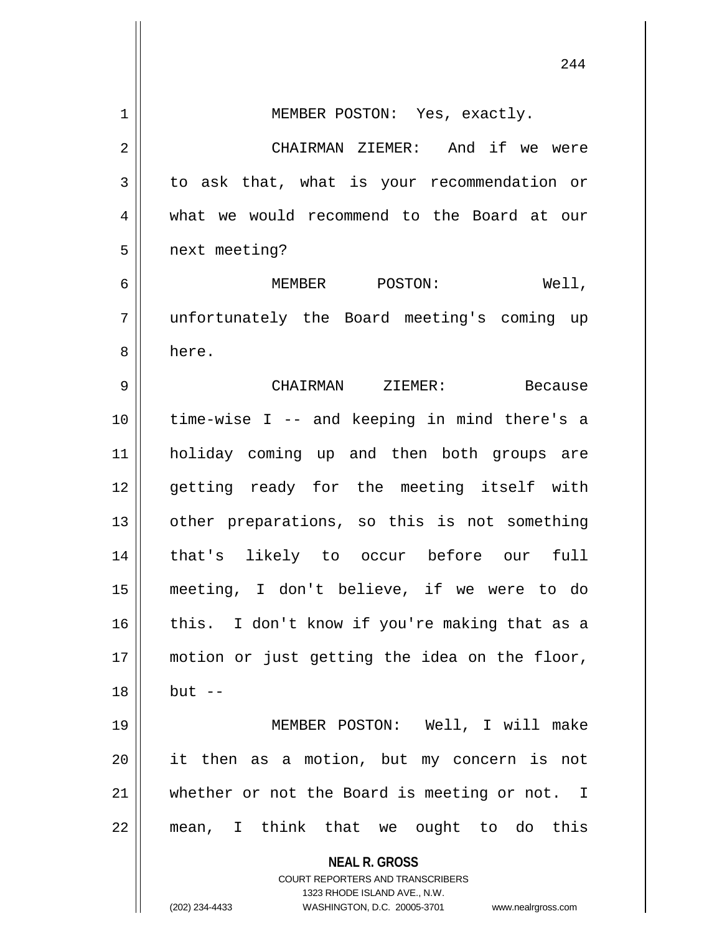|    | 244                                                                                             |
|----|-------------------------------------------------------------------------------------------------|
| 1  | MEMBER POSTON: Yes, exactly.                                                                    |
| 2  | CHAIRMAN ZIEMER: And if we were                                                                 |
| 3  | to ask that, what is your recommendation or                                                     |
| 4  | what we would recommend to the Board at our                                                     |
| 5  | next meeting?                                                                                   |
| 6  | MEMBER POSTON:<br>Well,                                                                         |
| 7  | unfortunately the Board meeting's coming up                                                     |
| 8  | here.                                                                                           |
| 9  | CHAIRMAN ZIEMER:<br>Because                                                                     |
| 10 | time-wise I -- and keeping in mind there's a                                                    |
| 11 | holiday coming up and then both groups are                                                      |
| 12 | getting ready for the meeting itself with                                                       |
| 13 | other preparations, so this is not something                                                    |
| 14 | that's likely to occur before our<br>full                                                       |
| 15 | meeting, I don't believe, if we were to do                                                      |
| 16 | this. I don't know if you're making that as a                                                   |
| 17 | motion or just getting the idea on the floor,                                                   |
| 18 | $but --$                                                                                        |
| 19 | MEMBER POSTON: Well, I will make                                                                |
| 20 | it then as a motion, but my concern is not                                                      |
| 21 | whether or not the Board is meeting or not. I                                                   |
| 22 | mean, I think that we ought to do this                                                          |
|    | <b>NEAL R. GROSS</b><br><b>COURT REPORTERS AND TRANSCRIBERS</b><br>1323 RHODE ISLAND AVE., N.W. |
|    | (202) 234-4433<br>WASHINGTON, D.C. 20005-3701 www.nealrgross.com                                |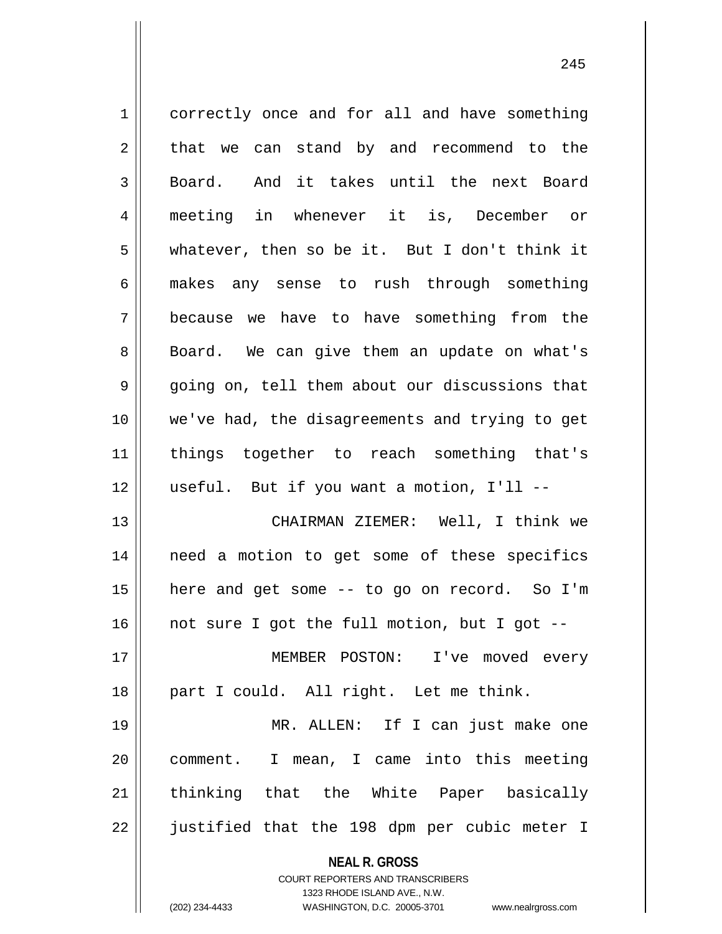**NEAL R. GROSS** COURT REPORTERS AND TRANSCRIBERS 1 correctly once and for all and have something  $2 \parallel$  that we can stand by and recommend to the 3 || Board. And it takes until the next Board 4 meeting in whenever it is, December or 5 whatever, then so be it. But I don't think it 6 makes any sense to rush through something 7 because we have to have something from the 8 || Board. We can give them an update on what's  $9 \parallel$  going on, tell them about our discussions that 10 we've had, the disagreements and trying to get 11 things together to reach something that's  $12$  || useful. But if you want a motion, I'll --13 CHAIRMAN ZIEMER: Well, I think we 14 need a motion to get some of these specifics 15 here and get some -- to go on record. So I'm  $16$  | not sure I got the full motion, but I got --17 || MEMBER POSTON: I've moved every 18 || part I could. All right. Let me think. 19 MR. ALLEN: If I can just make one 20 comment. I mean, I came into this meeting 21 || thinking that the White Paper basically 22 || justified that the 198 dpm per cubic meter I

1323 RHODE ISLAND AVE., N.W.

(202) 234-4433 WASHINGTON, D.C. 20005-3701 www.nealrgross.com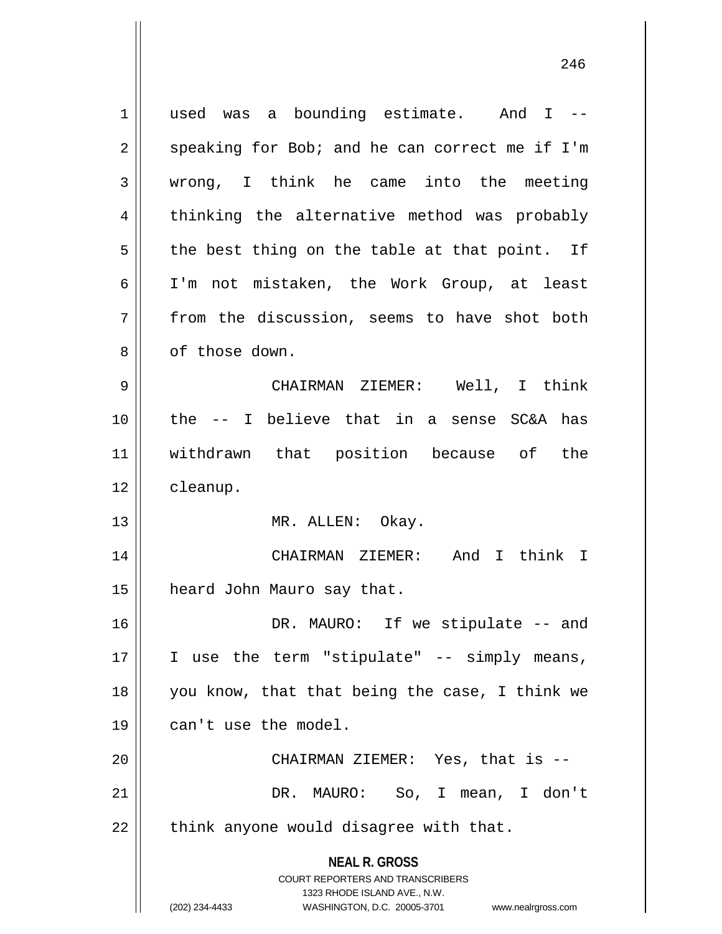**NEAL R. GROSS** COURT REPORTERS AND TRANSCRIBERS 1323 RHODE ISLAND AVE., N.W. (202) 234-4433 WASHINGTON, D.C. 20005-3701 www.nealrgross.com 1 || used was a bounding estimate. And I -- $2 \parallel$  speaking for Bob; and he can correct me if I'm 3 wrong, I think he came into the meeting 4 || thinking the alternative method was probably  $5 \parallel$  the best thing on the table at that point. If 6 I'm not mistaken, the Work Group, at least 7 from the discussion, seems to have shot both 8 | cf those down. 9 CHAIRMAN ZIEMER: Well, I think 10 the -- I believe that in a sense SC&A has 11 withdrawn that position because of the 12 cleanup. 13 || MR. ALLEN: Okay. 14 CHAIRMAN ZIEMER: And I think I 15 | heard John Mauro say that. 16 DR. MAURO: If we stipulate -- and  $17$  | I use the term "stipulate" -- simply means, 18 you know, that that being the case, I think we 19 || can't use the model. 20 CHAIRMAN ZIEMER: Yes, that is -- 21 DR. MAURO: So, I mean, I don't  $22$  || think anyone would disagree with that.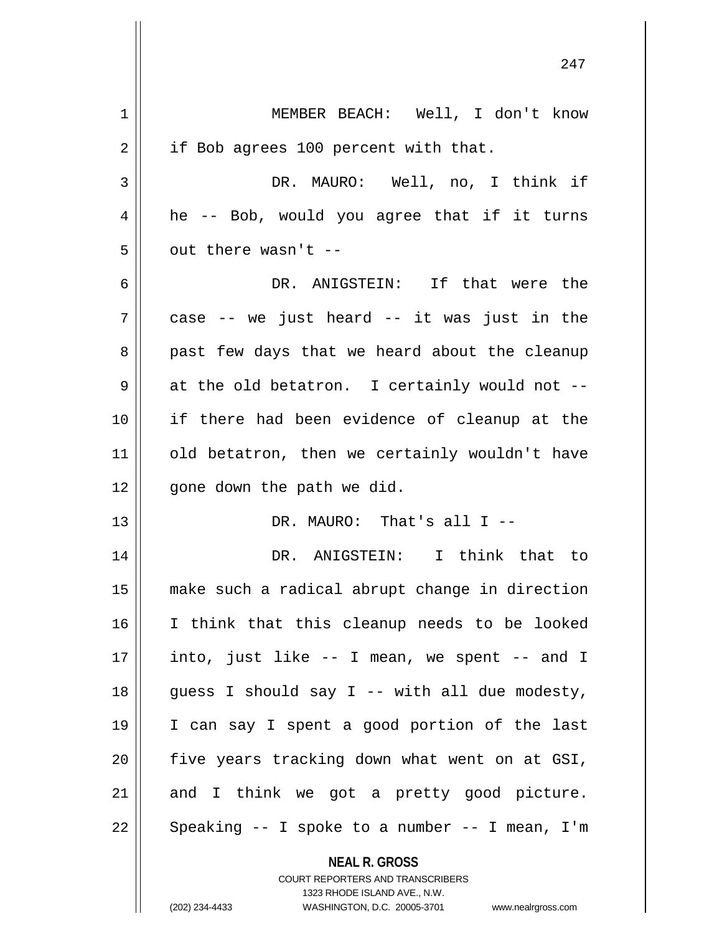1 || MEMBER BEACH: Well, I don't know 2 | if Bob agrees 100 percent with that. 3 DR. MAURO: Well, no, I think if  $4 \parallel$  he -- Bob, would you agree that if it turns  $5$  | out there wasn't --6 DR. ANIGSTEIN: If that were the  $7 \parallel$  case -- we just heard -- it was just in the 8 || past few days that we heard about the cleanup  $9 \parallel$  at the old betatron. I certainly would not --10 if there had been evidence of cleanup at the 11 || old betatron, then we certainly wouldn't have  $12$  | qone down the path we did. 13 || DR. MAURO: That's all I --14 DR. ANIGSTEIN: I think that to 15 make such a radical abrupt change in direction 16 I think that this cleanup needs to be looked  $17$  || into, just like -- I mean, we spent -- and I 18 || guess I should say I -- with all due modesty, 19 I can say I spent a good portion of the last  $20$  | five years tracking down what went on at GSI,  $21$  and I think we got a pretty good picture. 22 || Speaking -- I spoke to a number -- I mean, I'm

> **NEAL R. GROSS** COURT REPORTERS AND TRANSCRIBERS 1323 RHODE ISLAND AVE., N.W.

(202) 234-4433 WASHINGTON, D.C. 20005-3701 www.nealrgross.com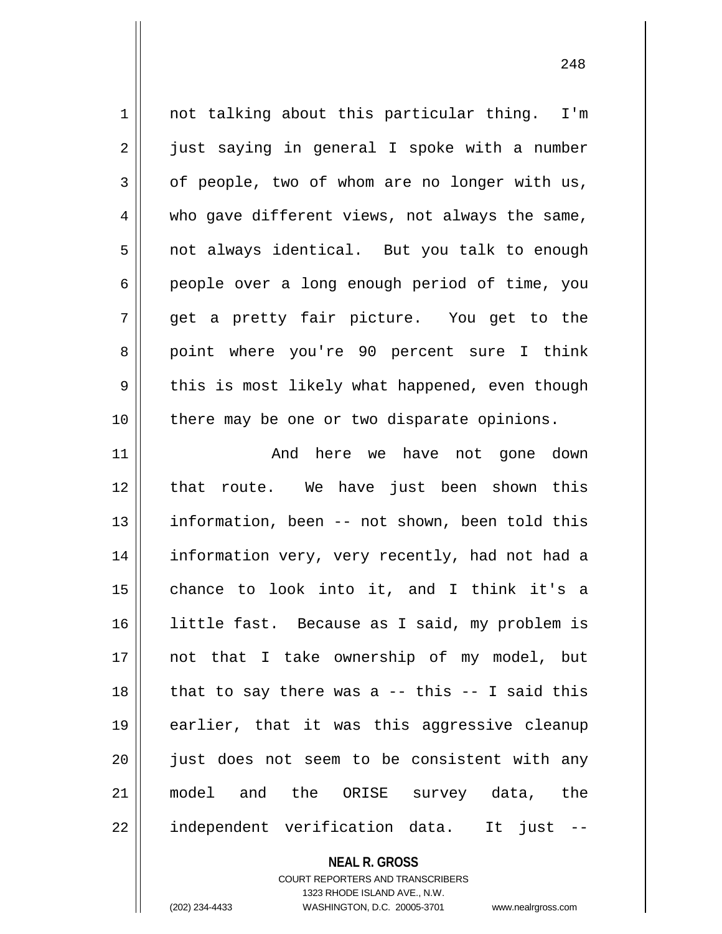1 || not talking about this particular thing. I'm 2 || just saying in general I spoke with a number  $3 \parallel$  of people, two of whom are no longer with us, 4 who gave different views, not always the same, 5 | not always identical. But you talk to enough 6 people over a long enough period of time, you 7 || qet a pretty fair picture. You get to the 8 || point where you're 90 percent sure I think 9 || this is most likely what happened, even though 10 there may be one or two disparate opinions. 11 And here we have not gone down 12 that route. We have just been shown this 13 || information, been -- not shown, been told this 14 || information very, very recently, had not had a 15 chance to look into it, and I think it's a 16 || little fast. Because as I said, my problem is 17 not that I take ownership of my model, but  $18$  || that to say there was a -- this -- I said this 19 earlier, that it was this aggressive cleanup 20 || just does not seem to be consistent with any 21 model and the ORISE survey data, the

22 || independent verification data. It just --

**NEAL R. GROSS**

COURT REPORTERS AND TRANSCRIBERS 1323 RHODE ISLAND AVE., N.W. (202) 234-4433 WASHINGTON, D.C. 20005-3701 www.nealrgross.com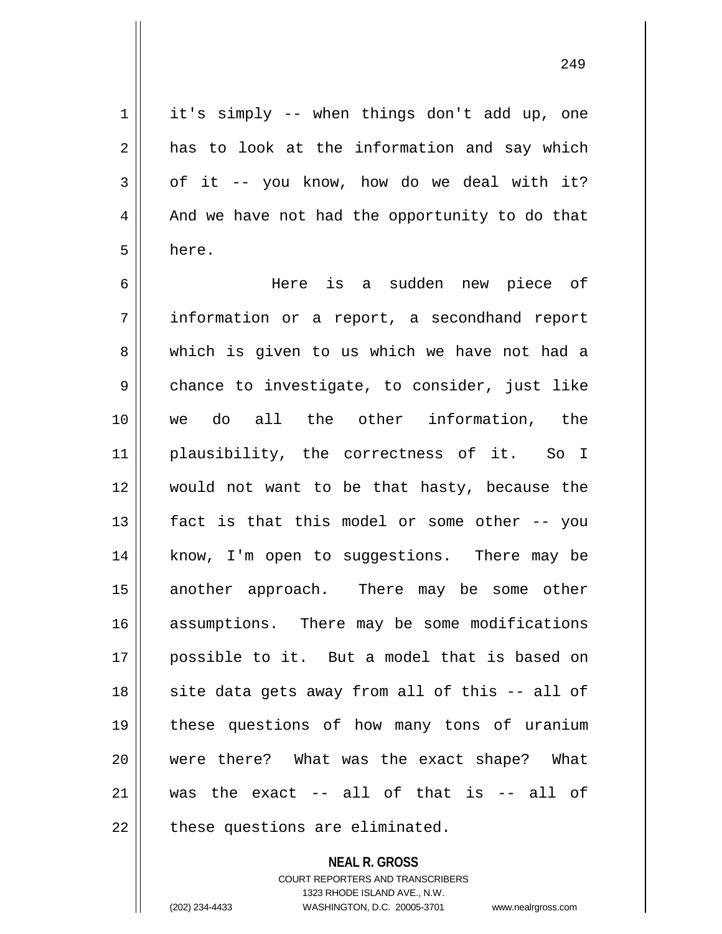$1 \parallel$  it's simply -- when things don't add up, one  $2 \parallel$  has to look at the information and say which  $3 \parallel$  of it -- you know, how do we deal with it?  $4 \parallel$  And we have not had the opportunity to do that  $5 \parallel$  here.

 Here is a sudden new piece of information or a report, a secondhand report 8 which is given to us which we have not had a  $9 \parallel$  chance to investigate, to consider, just like we do all the other information, the plausibility, the correctness of it. So I would not want to be that hasty, because the || fact is that this model or some other -- you 14 || know, I'm open to suggestions. There may be 15 || another approach. There may be some other 16 assumptions. There may be some modifications possible to it. But a model that is based on 18 || site data gets away from all of this -- all of these questions of how many tons of uranium were there? What was the exact shape? What  $\parallel$  was the exact  $-$  all of that is  $-$  all of  $\parallel$  these questions are eliminated.

> **NEAL R. GROSS** COURT REPORTERS AND TRANSCRIBERS 1323 RHODE ISLAND AVE., N.W. (202) 234-4433 WASHINGTON, D.C. 20005-3701 www.nealrgross.com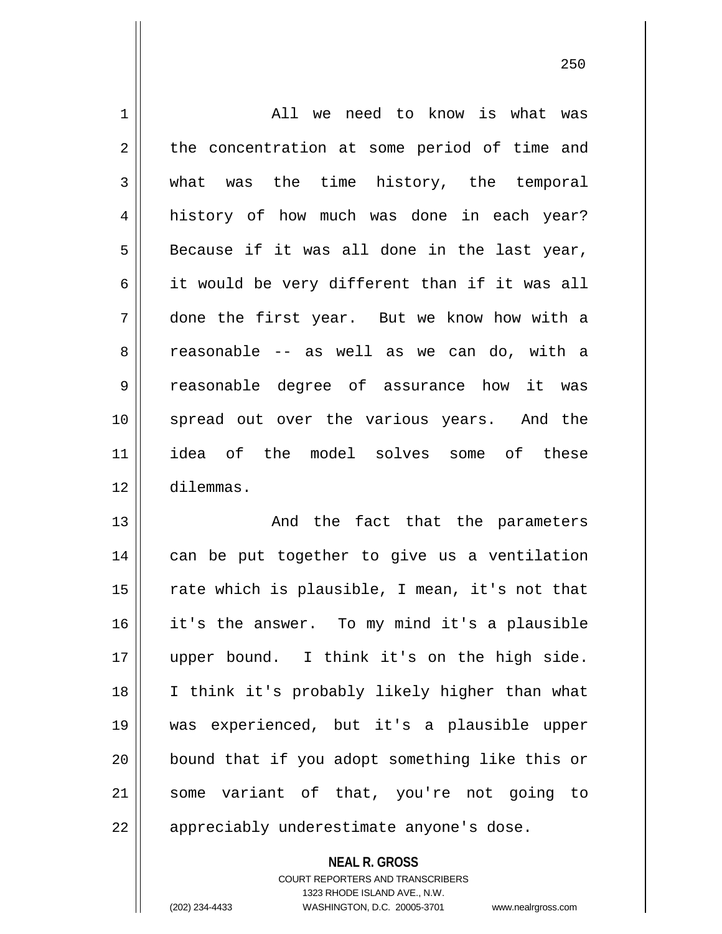| 1  | All we need to know is what was                |
|----|------------------------------------------------|
| 2  | the concentration at some period of time and   |
| 3  | what was the time history, the temporal        |
| 4  | history of how much was done in each year?     |
| 5  | Because if it was all done in the last year,   |
| 6  | it would be very different than if it was all  |
| 7  | done the first year. But we know how with a    |
| 8  | reasonable -- as well as we can do, with a     |
| 9  | reasonable degree of assurance how it was      |
| 10 | spread out over the various years. And the     |
| 11 | idea of the model solves some of these         |
| 12 | dilemmas.                                      |
| 13 | And the fact that the parameters               |
| 14 | can be put together to give us a ventilation   |
| 15 | rate which is plausible, I mean, it's not that |
| 16 | it's the answer. To my mind it's a plausible   |
| 17 | upper bound. I think it's on the high side.    |
| 18 | I think it's probably likely higher than what  |
| 19 | was experienced, but it's a plausible upper    |
| 20 | bound that if you adopt something like this or |
| 21 | some variant of that, you're not going to      |
| 22 | appreciably underestimate anyone's dose.       |

**NEAL R. GROSS** COURT REPORTERS AND TRANSCRIBERS 1323 RHODE ISLAND AVE., N.W. (202) 234-4433 WASHINGTON, D.C. 20005-3701 www.nealrgross.com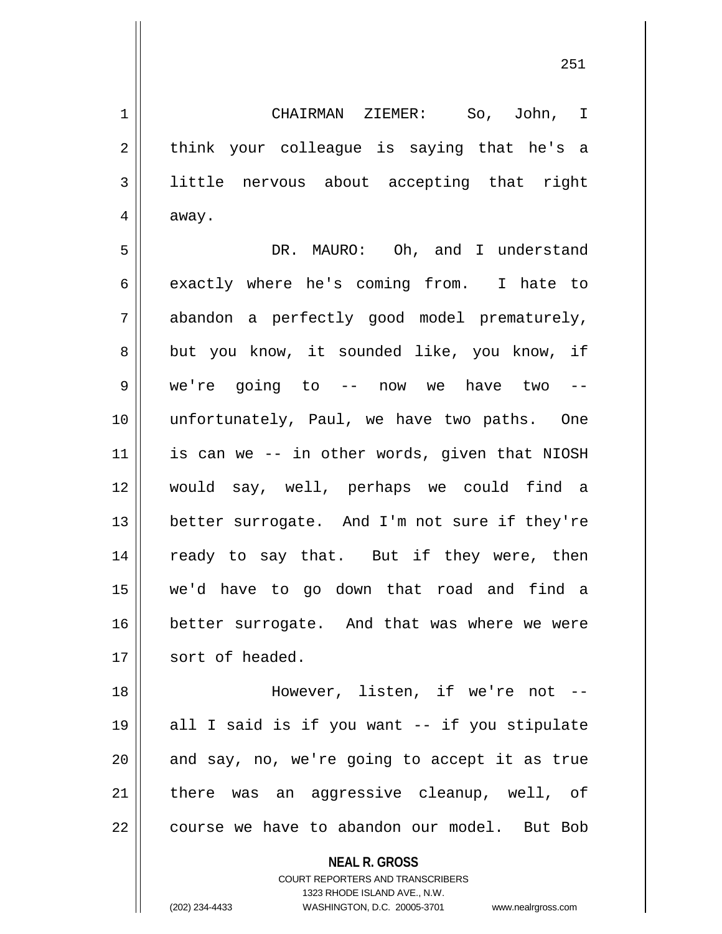1 CHAIRMAN ZIEMER: So, John, I  $2 \parallel$  think your colleague is saying that he's a 3 little nervous about accepting that right  $4 \parallel$  away.

5 DR. MAURO: Oh, and I understand  $6 \parallel$  exactly where he's coming from. I hate to 7 || abandon a perfectly good model prematurely, 8 but you know, it sounded like, you know, if 9 || we're going to -- now we have two --10 unfortunately, Paul, we have two paths. One  $11$  is can we -- in other words, given that NIOSH 12 would say, well, perhaps we could find a 13 || better surrogate. And I'm not sure if they're 14 || ready to say that. But if they were, then 15 we'd have to go down that road and find a 16 better surrogate. And that was where we were 17 | sort of headed.

18 || However, listen, if we're not --19 all I said is if you want -- if you stipulate  $20$  || and say, no, we're going to accept it as true 21 || there was an aggressive cleanup, well, of 22 | course we have to abandon our model. But Bob

**NEAL R. GROSS**

COURT REPORTERS AND TRANSCRIBERS 1323 RHODE ISLAND AVE., N.W. (202) 234-4433 WASHINGTON, D.C. 20005-3701 www.nealrgross.com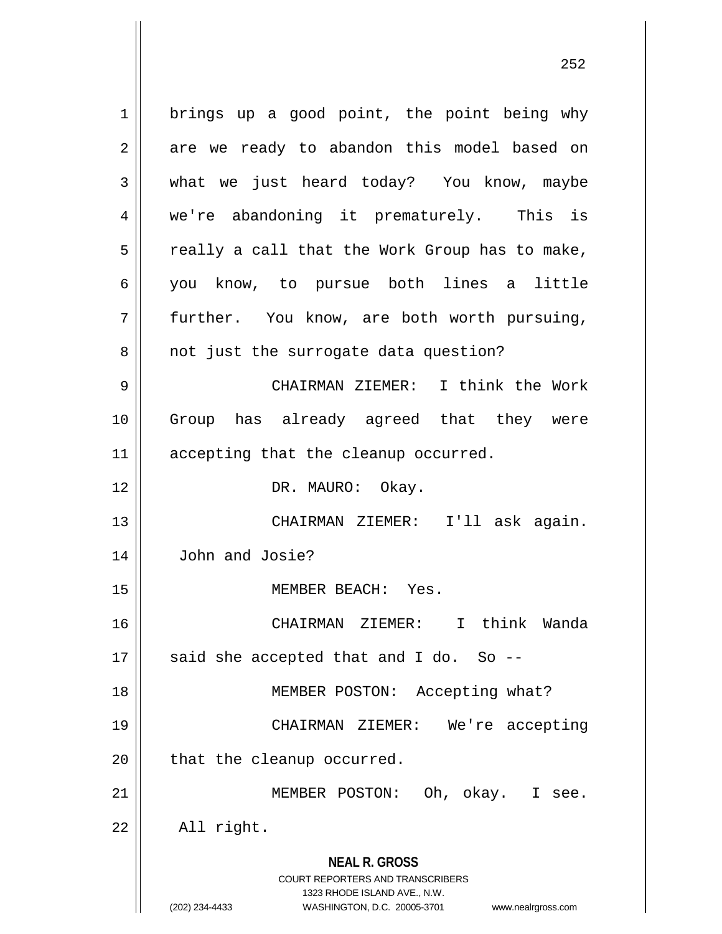**NEAL R. GROSS** COURT REPORTERS AND TRANSCRIBERS 1323 RHODE ISLAND AVE., N.W. (202) 234-4433 WASHINGTON, D.C. 20005-3701 www.nealrgross.com 1 | brings up a good point, the point being why 2 || are we ready to abandon this model based on  $3 \parallel$  what we just heard today? You know, maybe 4 we're abandoning it prematurely. This is  $5 \parallel$  really a call that the Work Group has to make, 6 you know, to pursue both lines a little 7 further. You know, are both worth pursuing, 8 || not just the surrogate data question? 9 CHAIRMAN ZIEMER: I think the Work 10 Group has already agreed that they were 11 || accepting that the cleanup occurred. 12 || DR. MAURO: Okay. 13 CHAIRMAN ZIEMER: I'll ask again. 14 John and Josie? 15 || MEMBER BEACH: Yes. 16 CHAIRMAN ZIEMER: I think Wanda  $17 \parallel$  said she accepted that and I do. So --18 || MEMBER POSTON: Accepting what? 19 CHAIRMAN ZIEMER: We're accepting 20 || that the cleanup occurred. 21 MEMBER POSTON: Oh, okay. I see.  $22 \parallel$  All right.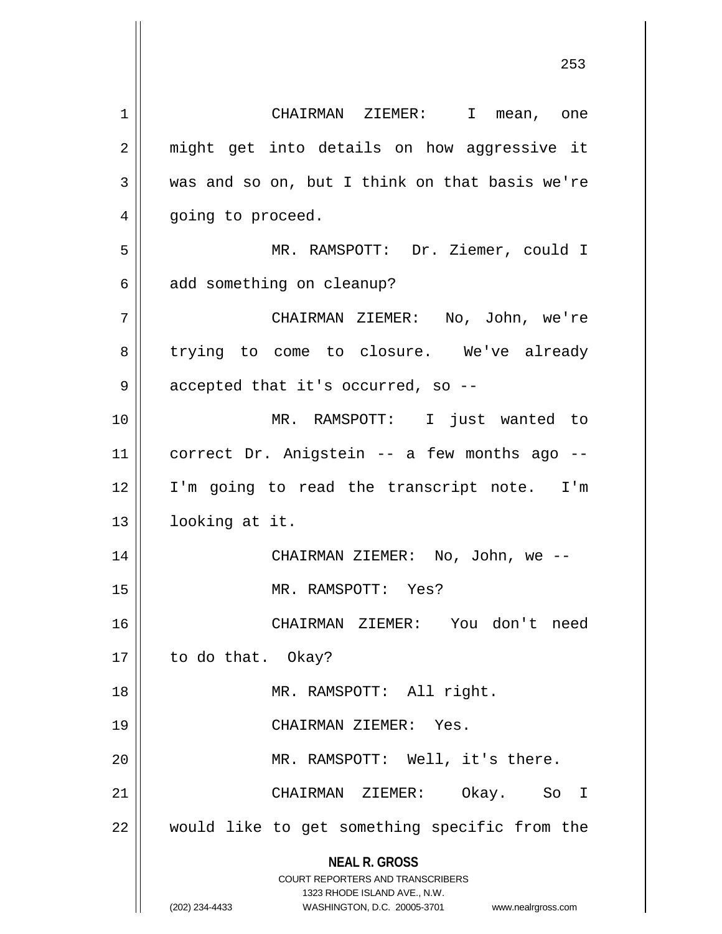**NEAL R. GROSS** COURT REPORTERS AND TRANSCRIBERS 1323 RHODE ISLAND AVE., N.W. (202) 234-4433 WASHINGTON, D.C. 20005-3701 www.nealrgross.com 1 CHAIRMAN ZIEMER: I mean, one 2 || might get into details on how aggressive it  $3 \parallel$  was and so on, but I think on that basis we're 4 || going to proceed. 5 MR. RAMSPOTT: Dr. Ziemer, could I  $6 \parallel$  add something on cleanup? 7 CHAIRMAN ZIEMER: No, John, we're 8 trying to come to closure. We've already 9 | accepted that it's occurred, so --10 MR. RAMSPOTT: I just wanted to 11 correct Dr. Anigstein -- a few months ago -- 12 || I'm going to read the transcript note. I'm 13 || looking at it. 14 CHAIRMAN ZIEMER: No, John, we -- 15 MR. RAMSPOTT: Yes? 16 CHAIRMAN ZIEMER: You don't need 17 || to do that. Okay? 18 || MR. RAMSPOTT: All right. 19 CHAIRMAN ZIEMER: Yes. 20 MR. RAMSPOTT: Well, it's there. 21 CHAIRMAN ZIEMER: Okay. So I 22 || would like to get something specific from the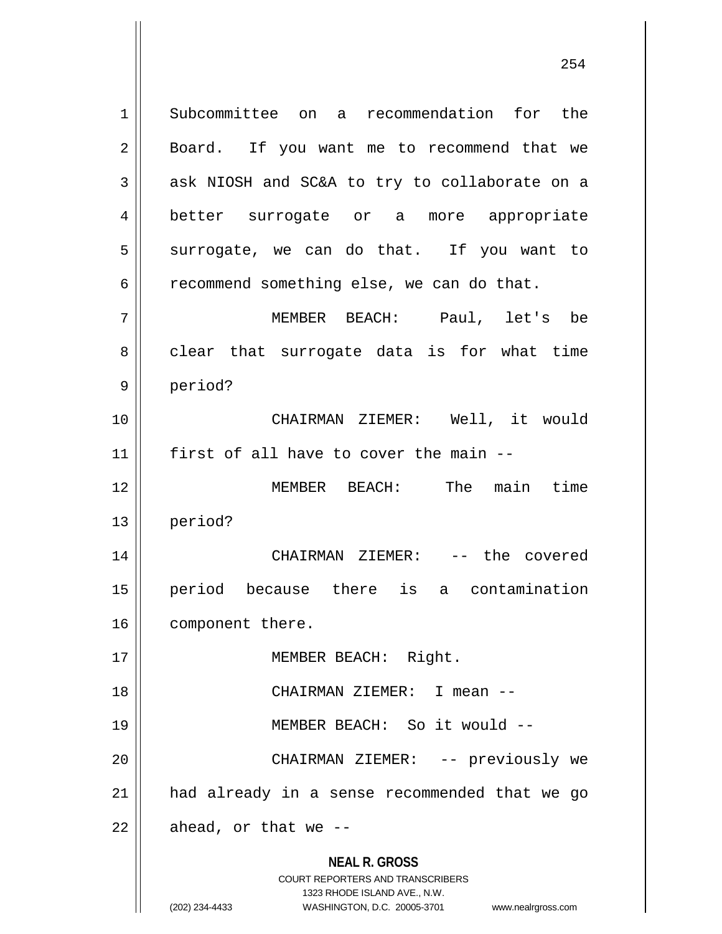**NEAL R. GROSS** COURT REPORTERS AND TRANSCRIBERS 1323 RHODE ISLAND AVE., N.W. 1 Subcommittee on a recommendation for the 2 || Board. If you want me to recommend that we  $3 \parallel$  ask NIOSH and SC&A to try to collaborate on a 4 better surrogate or a more appropriate  $5 \parallel$  surrogate, we can do that. If you want to  $6 \parallel$  recommend something else, we can do that. 7 MEMBER BEACH: Paul, let's be  $8 \parallel$  clear that surrogate data is for what time 9 || period? 10 CHAIRMAN ZIEMER: Well, it would  $11$  | first of all have to cover the main --12 MEMBER BEACH: The main time 13 period? 14 CHAIRMAN ZIEMER: -- the covered 15 period because there is a contamination 16 | component there. 17 || **MEMBER BEACH:** Right. 18 CHAIRMAN ZIEMER: I mean -- 19 MEMBER BEACH: So it would -- 20 CHAIRMAN ZIEMER: -- previously we 21 had already in a sense recommended that we go  $22$  | ahead, or that we --

<sup>(202) 234-4433</sup> WASHINGTON, D.C. 20005-3701 www.nealrgross.com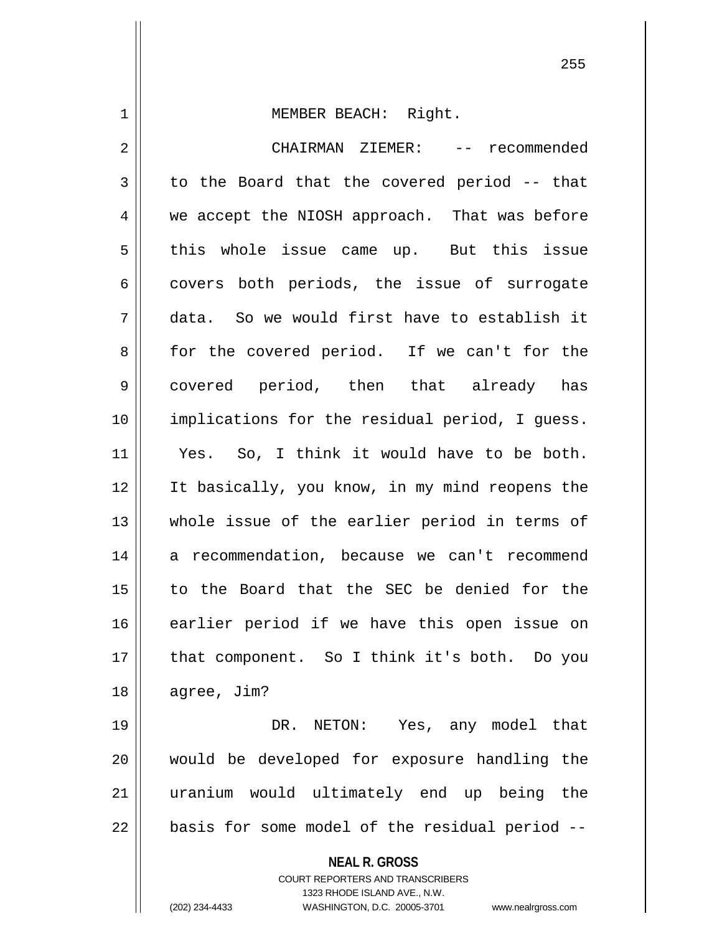1 MEMBER BEACH: Right. 2 CHAIRMAN ZIEMER: -- recommended  $3 \parallel$  to the Board that the covered period -- that 4 we accept the NIOSH approach. That was before  $5$  this whole issue came up. But this issue 6 covers both periods, the issue of surrogate 7 data. So we would first have to establish it 8 for the covered period. If we can't for the 9 covered period, then that already has 10 implications for the residual period, I guess. 11 || Yes. So, I think it would have to be both. 12 It basically, you know, in my mind reopens the 13 || whole issue of the earlier period in terms of 14 a recommendation, because we can't recommend 15 to the Board that the SEC be denied for the 16 earlier period if we have this open issue on 17 || that component. So I think it's both. Do you

 agree, Jim? DR. NETON: Yes, any model that would be developed for exposure handling the uranium would ultimately end up being the

 $22$  | basis for some model of the residual period  $-$ 

**NEAL R. GROSS**

COURT REPORTERS AND TRANSCRIBERS 1323 RHODE ISLAND AVE., N.W. (202) 234-4433 WASHINGTON, D.C. 20005-3701 www.nealrgross.com

```
255
```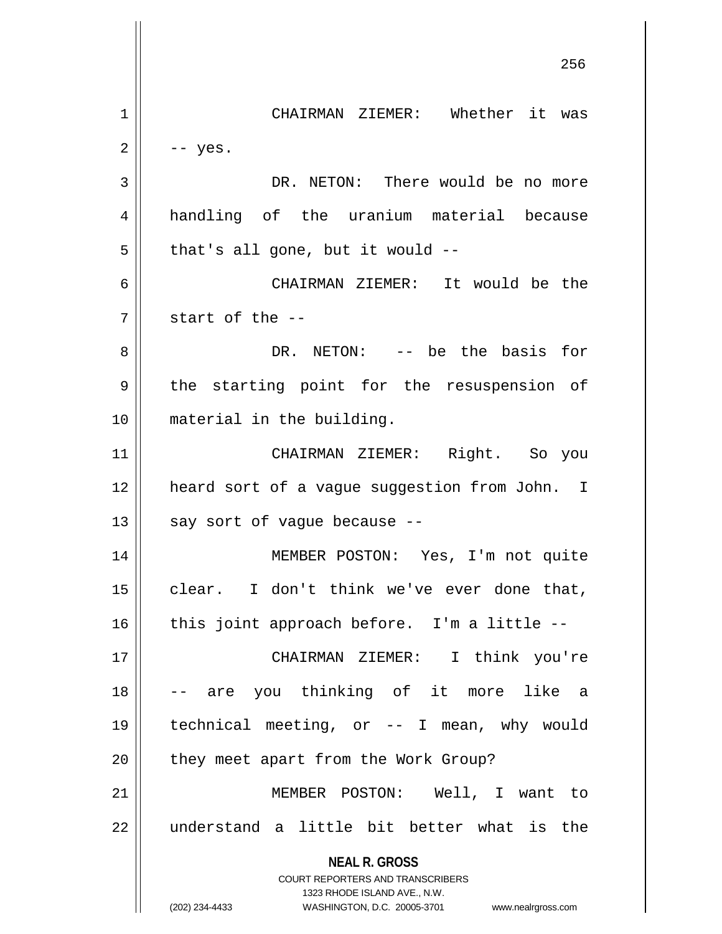**NEAL R. GROSS** COURT REPORTERS AND TRANSCRIBERS 1323 RHODE ISLAND AVE., N.W. (202) 234-4433 WASHINGTON, D.C. 20005-3701 www.nealrgross.com CHAIRMAN ZIEMER: Whether it was  $2 \parallel - - \text{yes}.$  DR. NETON: There would be no more handling of the uranium material because  $5 \parallel$  that's all gone, but it would -- CHAIRMAN ZIEMER: It would be the  $7 \parallel$  start of the  $-$  DR. NETON: -- be the basis for 9 || the starting point for the resuspension of material in the building. CHAIRMAN ZIEMER: Right. So you heard sort of a vague suggestion from John. I | say sort of vague because --14 || MEMBER POSTON: Yes, I'm not quite clear. I don't think we've ever done that, | this joint approach before. I'm a little -- CHAIRMAN ZIEMER: I think you're -- are you thinking of it more like a technical meeting, or -- I mean, why would | they meet apart from the Work Group? MEMBER POSTON: Well, I want to  $\parallel$  understand a little bit better what is the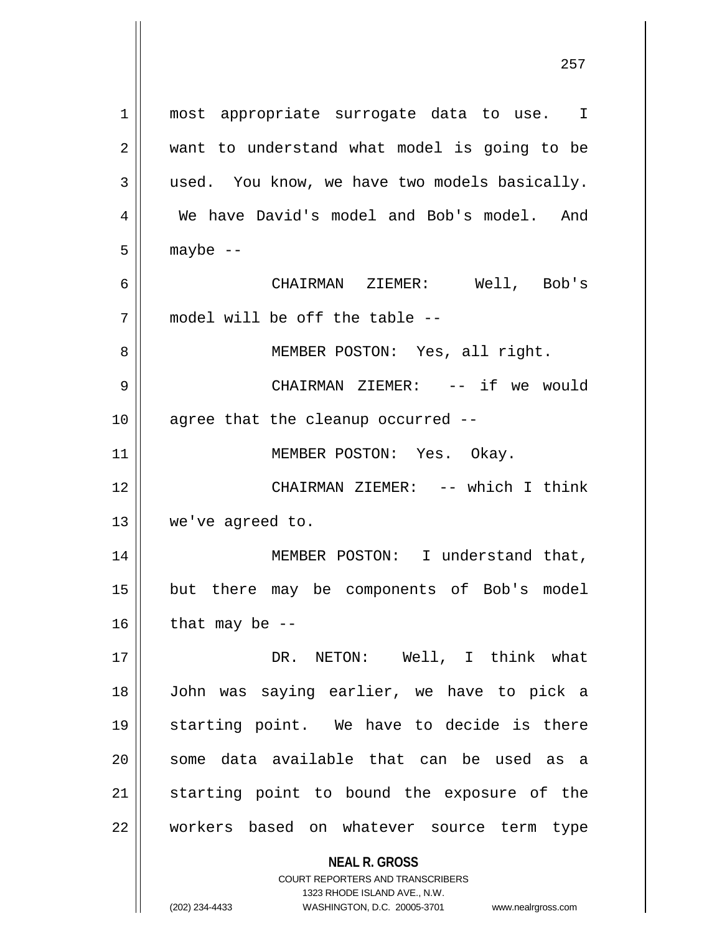**NEAL R. GROSS** COURT REPORTERS AND TRANSCRIBERS 1323 RHODE ISLAND AVE., N.W. 1 || most appropriate surrogate data to use. I 2 || want to understand what model is going to be  $3 \parallel$  used. You know, we have two models basically. 4 We have David's model and Bob's model. And  $5 \parallel$  maybe  $-$ 6 CHAIRMAN ZIEMER: Well, Bob's 7 model will be off the table -- 8 || MEMBER POSTON: Yes, all right. 9 CHAIRMAN ZIEMER: -- if we would  $10$  || agree that the cleanup occurred  $-$ 11 || MEMBER POSTON: Yes. Okay. 12 CHAIRMAN ZIEMER: -- which I think 13 we've agreed to. 14 || MEMBER POSTON: I understand that, 15 but there may be components of Bob's model  $16$  | that may be --17 DR. NETON: Well, I think what 18 John was saying earlier, we have to pick a 19 starting point. We have to decide is there  $20$  some data available that can be used as a 21 || starting point to bound the exposure of the 22 || workers based on whatever source term type

(202) 234-4433 WASHINGTON, D.C. 20005-3701 www.nealrgross.com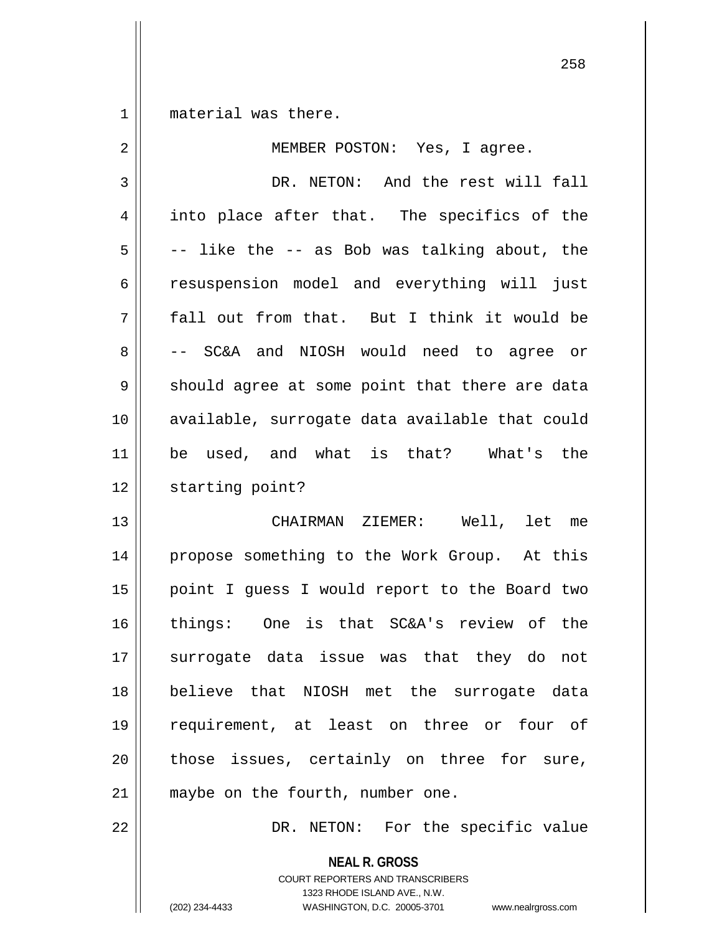1 || material was there.

| 2  | MEMBER POSTON: Yes, I agree.                   |
|----|------------------------------------------------|
| 3  | DR. NETON: And the rest will fall              |
| 4  | into place after that. The specifics of the    |
| 5  | -- like the -- as Bob was talking about, the   |
| 6  | resuspension model and everything will just    |
| 7  | fall out from that. But I think it would be    |
| 8  | -- SC&A and NIOSH would need to agree or       |
| 9  | should agree at some point that there are data |
| 10 | available, surrogate data available that could |
| 11 | be used, and what is that? What's the          |
| 12 | starting point?                                |
| 13 | CHAIRMAN ZIEMER: Well, let me                  |
| 14 | propose something to the Work Group. At this   |
| 15 | point I guess I would report to the Board two  |
| 16 | things: One is that SC&A's review of the       |
| 17 | surrogate data issue was that they do not      |
| 18 | believe that NIOSH met the surrogate data      |
| 19 | requirement, at least on three or four of      |
| 20 | those issues, certainly on three for sure,     |
| 21 | maybe on the fourth, number one.               |
| 22 | DR. NETON: For the specific value              |
|    | <b>NEAL R. GROSS</b>                           |

COURT REPORTERS AND TRANSCRIBERS 1323 RHODE ISLAND AVE., N.W.

(202) 234-4433 WASHINGTON, D.C. 20005-3701 www.nealrgross.com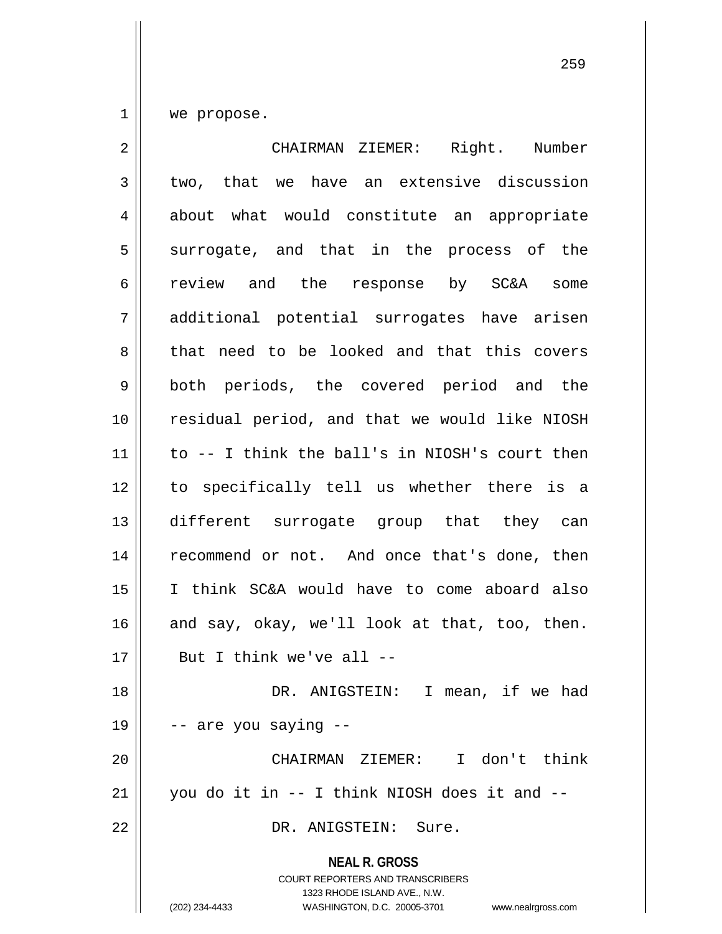$1 \parallel$  we propose.

| $\overline{2}$ | CHAIRMAN ZIEMER: Right. Number                                                                                                                                         |
|----------------|------------------------------------------------------------------------------------------------------------------------------------------------------------------------|
| 3              | two, that we have an extensive discussion                                                                                                                              |
| 4              | about what would constitute an appropriate                                                                                                                             |
| 5              | surrogate, and that in the process of the                                                                                                                              |
| 6              | review and the response by SC&A some                                                                                                                                   |
| 7              | additional potential surrogates have arisen                                                                                                                            |
| 8              | that need to be looked and that this covers                                                                                                                            |
| 9              | both periods, the covered period and the                                                                                                                               |
| 10             | residual period, and that we would like NIOSH                                                                                                                          |
| 11             | to -- I think the ball's in NIOSH's court then                                                                                                                         |
| 12             | to specifically tell us whether there is a                                                                                                                             |
| 13             | different surrogate group that they can                                                                                                                                |
| 14             | recommend or not. And once that's done, then                                                                                                                           |
| 15             | I think SC&A would have to come aboard also                                                                                                                            |
| 16             | and say, okay, we'll look at that, too, then.                                                                                                                          |
| 17             | But I think we've all --                                                                                                                                               |
| 18             | DR. ANIGSTEIN: I mean, if we had                                                                                                                                       |
| 19             | -- are you saying --                                                                                                                                                   |
| 20             | CHAIRMAN ZIEMER: I don't think                                                                                                                                         |
| 21             | you do it in -- I think NIOSH does it and --                                                                                                                           |
| 22             | DR. ANIGSTEIN: Sure.                                                                                                                                                   |
|                | <b>NEAL R. GROSS</b><br><b>COURT REPORTERS AND TRANSCRIBERS</b><br>1323 RHODE ISLAND AVE., N.W.<br>(202) 234-4433<br>WASHINGTON, D.C. 20005-3701<br>www.nealrgross.com |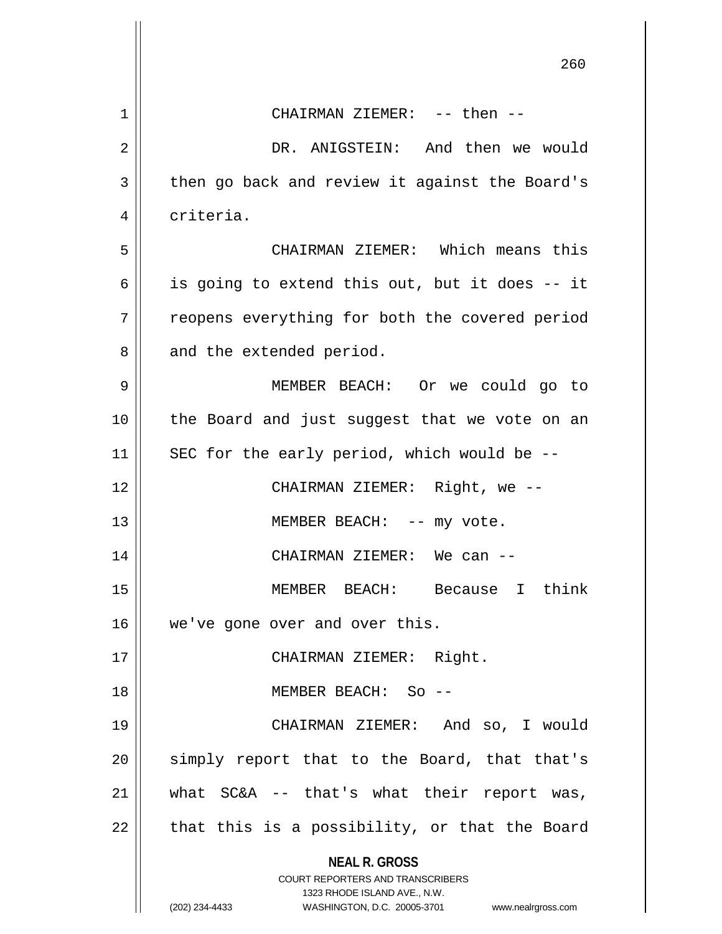|    | 260                                                                                                                                                                    |
|----|------------------------------------------------------------------------------------------------------------------------------------------------------------------------|
| 1  | CHAIRMAN ZIEMER: -- then --                                                                                                                                            |
| 2  | DR. ANIGSTEIN: And then we would                                                                                                                                       |
| 3  | then go back and review it against the Board's                                                                                                                         |
| 4  | criteria.                                                                                                                                                              |
| 5  | CHAIRMAN ZIEMER: Which means this                                                                                                                                      |
| 6  | is going to extend this out, but it does -- it                                                                                                                         |
| 7  | reopens everything for both the covered period                                                                                                                         |
| 8  | and the extended period.                                                                                                                                               |
| 9  | MEMBER BEACH: Or we could go to                                                                                                                                        |
| 10 | the Board and just suggest that we vote on an                                                                                                                          |
| 11 | SEC for the early period, which would be --                                                                                                                            |
| 12 | CHAIRMAN ZIEMER: Right, we --                                                                                                                                          |
| 13 | MEMBER BEACH: -- my vote.                                                                                                                                              |
| 14 | CHAIRMAN ZIEMER: We can --                                                                                                                                             |
| 15 | MEMBER BEACH: Because I think                                                                                                                                          |
| 16 | we've gone over and over this.                                                                                                                                         |
| 17 | CHAIRMAN ZIEMER: Right.                                                                                                                                                |
| 18 | MEMBER BEACH: So --                                                                                                                                                    |
| 19 | CHAIRMAN ZIEMER: And so, I would                                                                                                                                       |
| 20 | simply report that to the Board, that that's                                                                                                                           |
| 21 | what $SC&A -- that's what their report was,$                                                                                                                           |
| 22 | that this is a possibility, or that the Board                                                                                                                          |
|    | <b>NEAL R. GROSS</b><br><b>COURT REPORTERS AND TRANSCRIBERS</b><br>1323 RHODE ISLAND AVE., N.W.<br>(202) 234-4433<br>WASHINGTON, D.C. 20005-3701<br>www.nealrgross.com |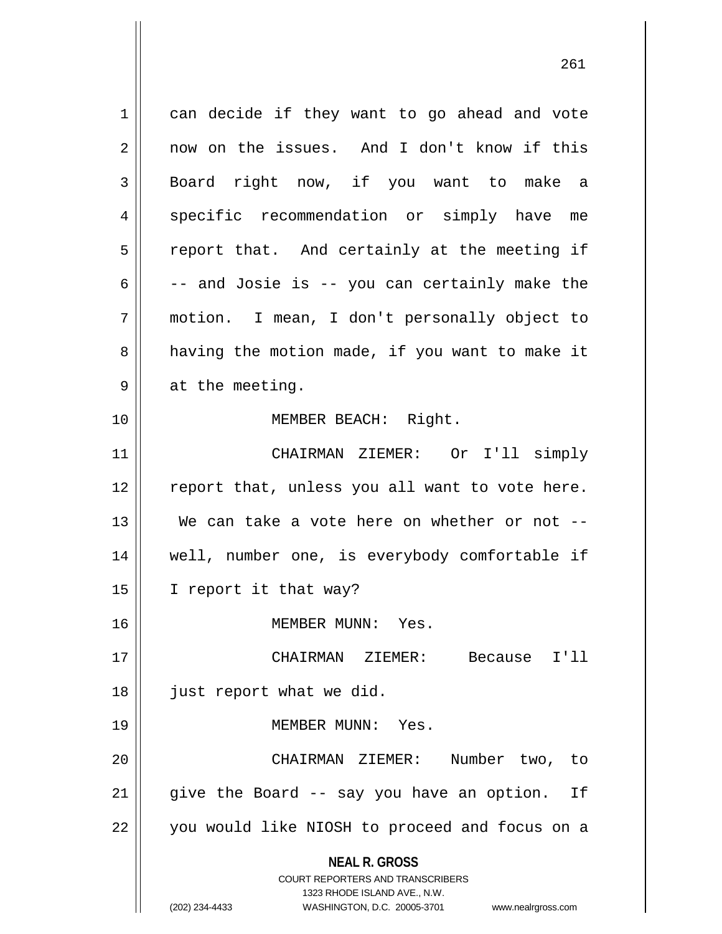**NEAL R. GROSS** COURT REPORTERS AND TRANSCRIBERS 1323 RHODE ISLAND AVE., N.W. (202) 234-4433 WASHINGTON, D.C. 20005-3701 www.nealrgross.com 1 || can decide if they want to go ahead and vote 2 now on the issues. And I don't know if this 3 || Board right now, if you want to make a 4 specific recommendation or simply have me  $5 \parallel$  report that. And certainly at the meeting if  $6 \parallel$  -- and Josie is -- you can certainly make the 7 motion. I mean, I don't personally object to 8 || having the motion made, if you want to make it  $9 \parallel$  at the meeting. 10 MEMBER BEACH: Right. 11 CHAIRMAN ZIEMER: Or I'll simply 12 || report that, unless you all want to vote here. 13 We can take a vote here on whether or not -- 14 well, number one, is everybody comfortable if 15 | I report it that way? 16 MEMBER MUNN: Yes. 17 CHAIRMAN ZIEMER: Because I'll 18 || just report what we did. 19 MEMBER MUNN: Yes. 20 CHAIRMAN ZIEMER: Number two, to 21 || give the Board -- say you have an option. If 22 || you would like NIOSH to proceed and focus on a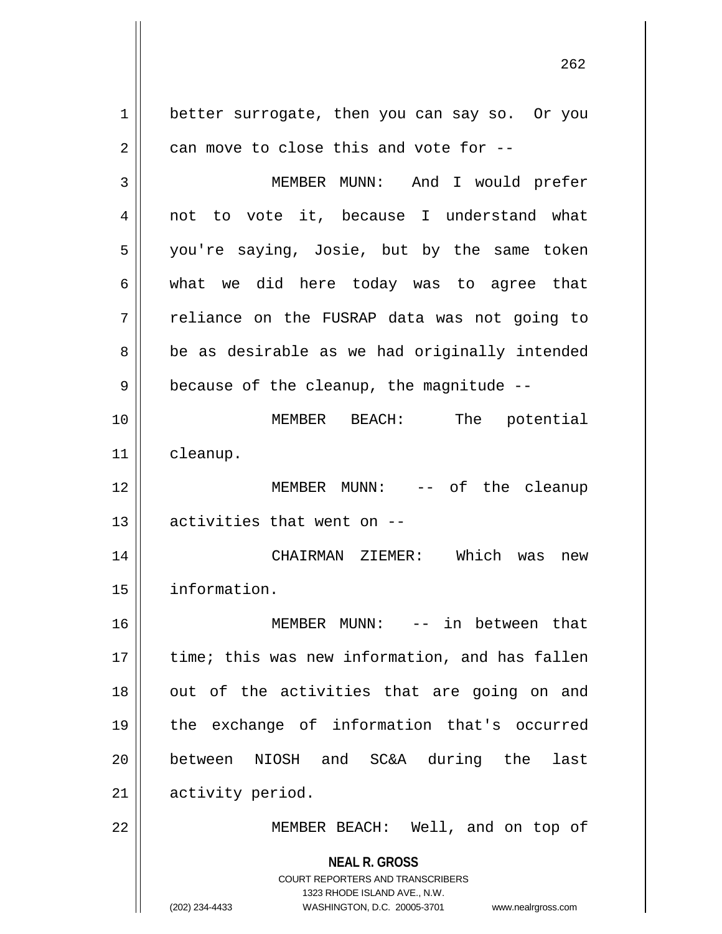**NEAL R. GROSS** COURT REPORTERS AND TRANSCRIBERS 1323 RHODE ISLAND AVE., N.W. (202) 234-4433 WASHINGTON, D.C. 20005-3701 www.nealrgross.com 1 better surrogate, then you can say so. Or you  $2 \parallel$  can move to close this and vote for --3 MEMBER MUNN: And I would prefer 4 || not to vote it, because I understand what 5 || you're saying, Josie, but by the same token  $6 \parallel$  what we did here today was to agree that 7 || reliance on the FUSRAP data was not going to 8 be as desirable as we had originally intended  $9 \parallel$  because of the cleanup, the magnitude --10 MEMBER BEACH: The potential 11 cleanup. 12 MEMBER MUNN: -- of the cleanup  $13$  || activities that went on  $-$ 14 CHAIRMAN ZIEMER: Which was new 15 information. 16 MEMBER MUNN: -- in between that 17 || time; this was new information, and has fallen  $18$  || out of the activities that are going on and 19 the exchange of information that's occurred 20 between NIOSH and SC&A during the last 21 || activity period. 22 || MEMBER BEACH: Well, and on top of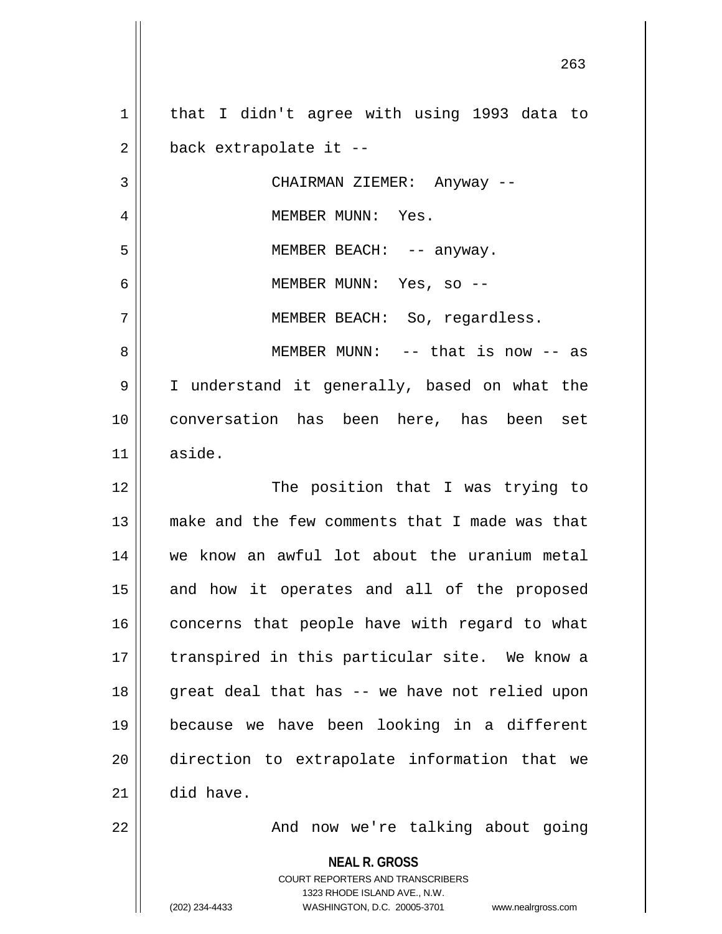**NEAL R. GROSS** COURT REPORTERS AND TRANSCRIBERS 1323 RHODE ISLAND AVE., N.W. 1 || that I didn't agree with using 1993 data to  $2 \parallel$  back extrapolate it --3 CHAIRMAN ZIEMER: Anyway -- 4 MEMBER MUNN: Yes. 5 MEMBER BEACH: -- anyway. 6 MEMBER MUNN: Yes, so -- 7 MEMBER BEACH: So, regardless. 8 MEMBER MUNN: -- that is now -- as 9 I understand it generally, based on what the 10 conversation has been here, has been set  $11 \parallel$  aside. 12 || The position that I was trying to 13 make and the few comments that I made was that 14 we know an awful lot about the uranium metal 15 || and how it operates and all of the proposed  $16$  concerns that people have with regard to what 17 || transpired in this particular site. We know a 18 || great deal that has -- we have not relied upon 19 because we have been looking in a different 20 direction to extrapolate information that we  $21$  did have. 22 And now we're talking about going

(202) 234-4433 WASHINGTON, D.C. 20005-3701 www.nealrgross.com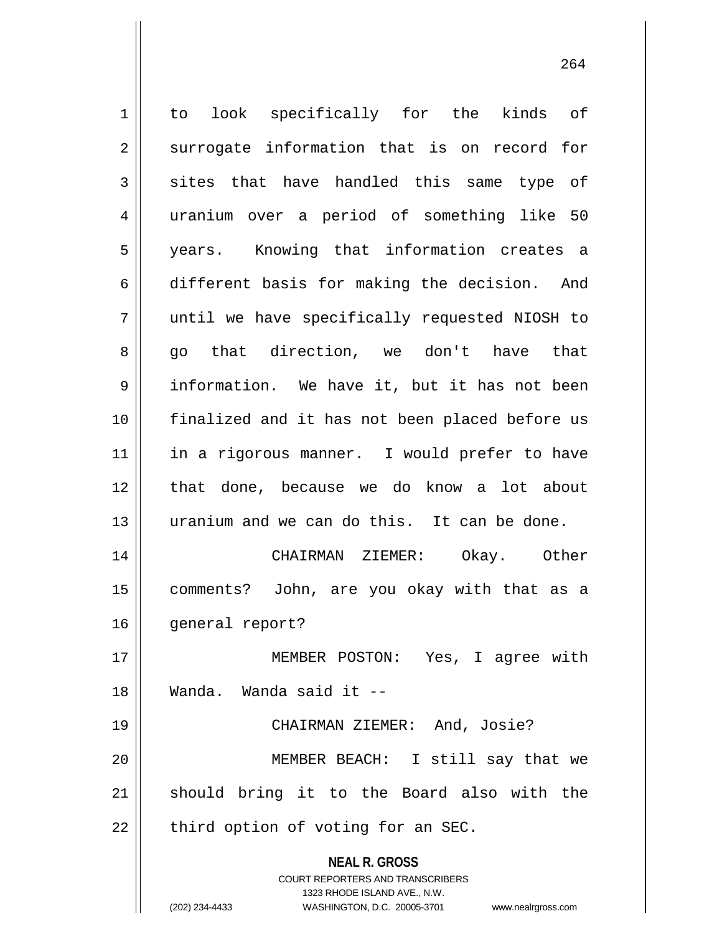**NEAL R. GROSS** COURT REPORTERS AND TRANSCRIBERS 1323 RHODE ISLAND AVE., N.W. (202) 234-4433 WASHINGTON, D.C. 20005-3701 www.nealrgross.com 1 || to look specifically for the kinds of  $2 \parallel$  surrogate information that is on record for  $3 \parallel$  sites that have handled this same type of 4 uranium over a period of something like 50 5 years. Knowing that information creates a 6 different basis for making the decision. And 7 until we have specifically requested NIOSH to 8 go that direction, we don't have that 9 information. We have it, but it has not been 10 finalized and it has not been placed before us 11 || in a rigorous manner. I would prefer to have 12 || that done, because we do know a lot about 13 uranium and we can do this. It can be done. 14 CHAIRMAN ZIEMER: Okay. Other 15 comments? John, are you okay with that as a 16 | general report? 17 MEMBER POSTON: Yes, I agree with 18 Wanda. Wanda said it -- 19 CHAIRMAN ZIEMER: And, Josie? 20 MEMBER BEACH: I still say that we 21 || should bring it to the Board also with the  $22$  || third option of voting for an SEC.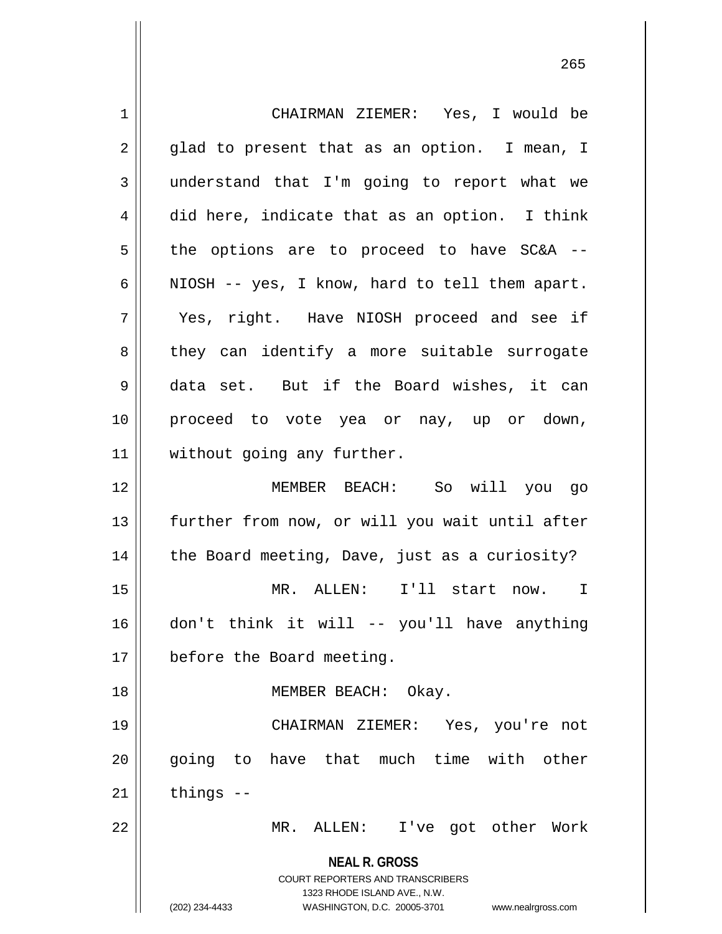**NEAL R. GROSS** COURT REPORTERS AND TRANSCRIBERS 1323 RHODE ISLAND AVE., N.W. (202) 234-4433 WASHINGTON, D.C. 20005-3701 www.nealrgross.com 1 CHAIRMAN ZIEMER: Yes, I would be  $2 \parallel$  glad to present that as an option. I mean, I 3 understand that I'm going to report what we  $4 \parallel$  did here, indicate that as an option. I think  $5 \parallel$  the options are to proceed to have SC&A --6 | NIOSH  $-$  yes, I know, hard to tell them apart. 7 Yes, right. Have NIOSH proceed and see if 8 || they can identify a more suitable surrogate 9 data set. But if the Board wishes, it can 10 proceed to vote yea or nay, up or down, 11 | without going any further. 12 MEMBER BEACH: So will you go 13 further from now, or will you wait until after 14 || the Board meeting, Dave, just as a curiosity? 15 MR. ALLEN: I'll start now. I 16 don't think it will -- you'll have anything 17 | before the Board meeting. 18 || MEMBER BEACH: Okay. 19 CHAIRMAN ZIEMER: Yes, you're not 20 || qoing to have that much time with other  $21$  things  $-$ 22 MR. ALLEN: I've got other Work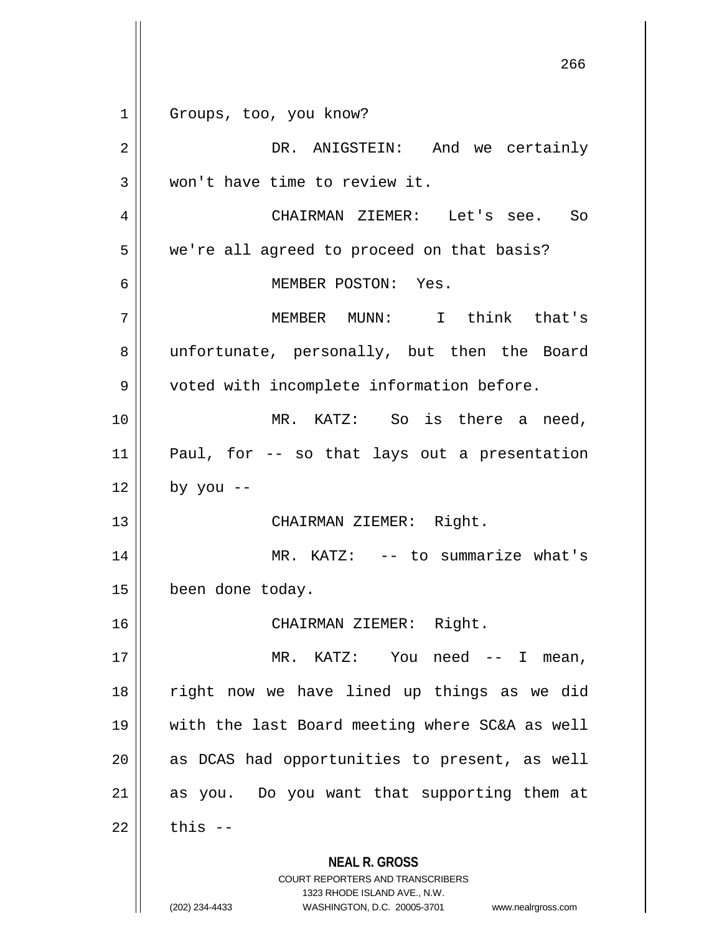**NEAL R. GROSS** COURT REPORTERS AND TRANSCRIBERS 1323 RHODE ISLAND AVE., N.W. (202) 234-4433 WASHINGTON, D.C. 20005-3701 www.nealrgross.com 1 || Groups, too, you know? 2 DR. ANIGSTEIN: And we certainly 3 Won't have time to review it. 4 CHAIRMAN ZIEMER: Let's see. So 5 | we're all agreed to proceed on that basis? 6 MEMBER POSTON: Yes. 7 MEMBER MUNN: I think that's 8 || unfortunate, personally, but then the Board 9 | voted with incomplete information before. 10 || MR. KATZ: So is there a need, 11 Paul, for -- so that lays out a presentation  $12 \parallel$  by you --13 || CHAIRMAN ZIEMER: Right. 14 || MR. KATZ: -- to summarize what's 15 | been done today. 16 CHAIRMAN ZIEMER: Right. 17 || MR. KATZ: You need -- I mean, 18 right now we have lined up things as we did 19 with the last Board meeting where SC&A as well  $20$  || as DCAS had opportunities to present, as well  $21$  as you. Do you want that supporting them at  $22$   $\parallel$  this  $-$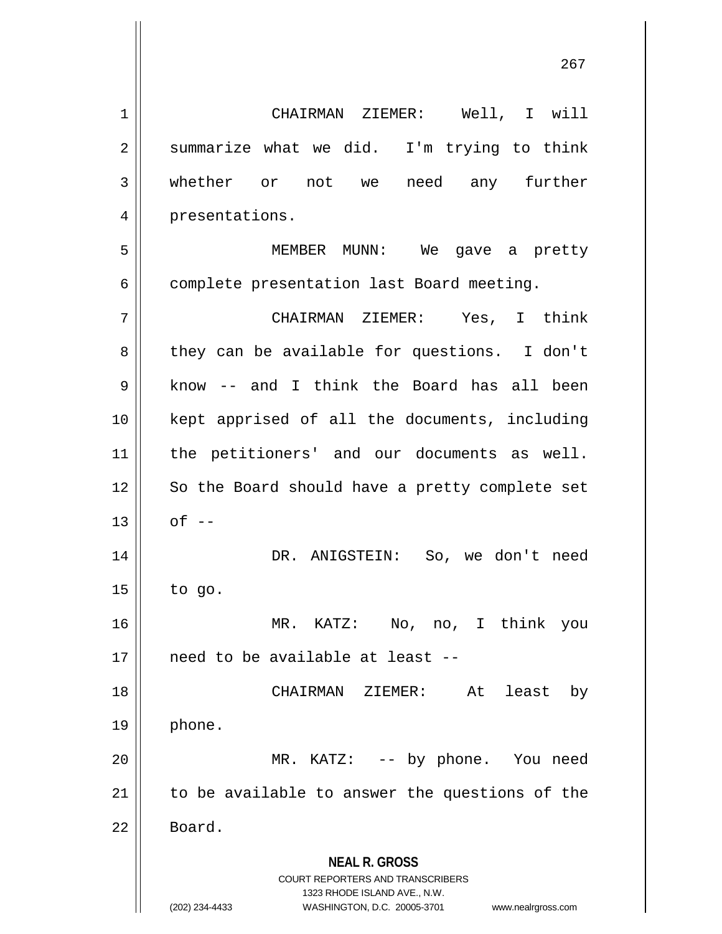**NEAL R. GROSS** COURT REPORTERS AND TRANSCRIBERS 1323 RHODE ISLAND AVE., N.W. 1 CHAIRMAN ZIEMER: Well, I will  $2 \parallel$  summarize what we did. I'm trying to think 3 whether or not we need any further 4 || presentations. 5 MEMBER MUNN: We gave a pretty 6 | complete presentation last Board meeting. 7 CHAIRMAN ZIEMER: Yes, I think 8 || they can be available for questions. I don't 9 know -- and I think the Board has all been 10 kept apprised of all the documents, including 11 || the petitioners' and our documents as well. 12 || So the Board should have a pretty complete set  $13 \parallel$  of  $-$ 14 DR. ANIGSTEIN: So, we don't need  $15$  | to go. 16 MR. KATZ: No, no, I think you 17 || need to be available at least --18 CHAIRMAN ZIEMER: At least by  $19 \parallel$  phone. 20 MR. KATZ: -- by phone. You need 21 || to be available to answer the questions of the 22 Board.

<sup>(202) 234-4433</sup> WASHINGTON, D.C. 20005-3701 www.nealrgross.com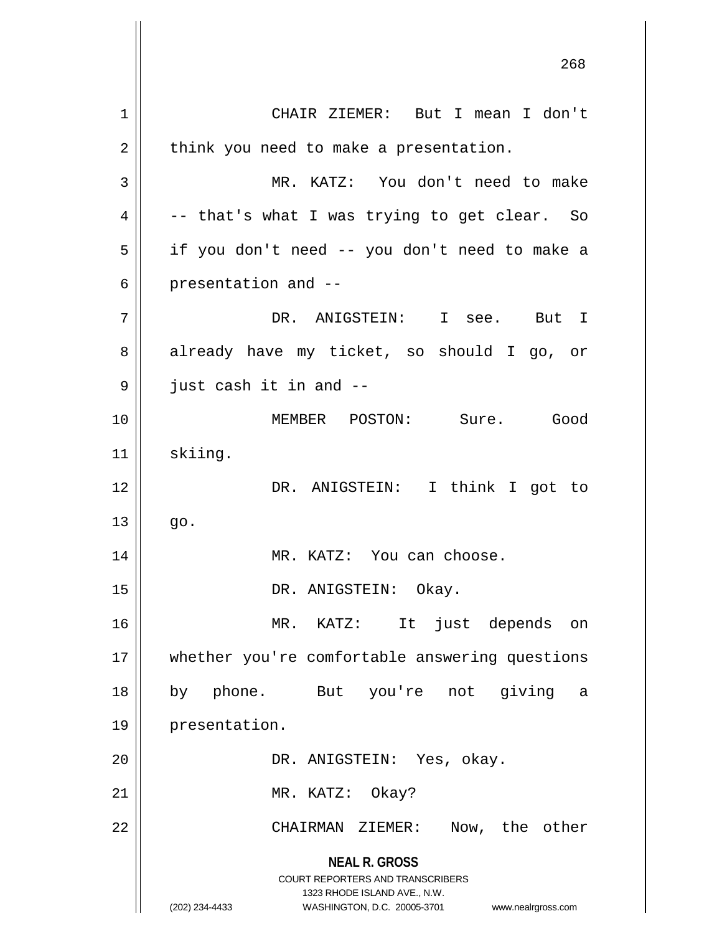**NEAL R. GROSS** COURT REPORTERS AND TRANSCRIBERS 1323 RHODE ISLAND AVE., N.W. (202) 234-4433 WASHINGTON, D.C. 20005-3701 www.nealrgross.com 1 CHAIR ZIEMER: But I mean I don't  $2 \parallel$  think you need to make a presentation. 3 MR. KATZ: You don't need to make  $4 \parallel$  -- that's what I was trying to get clear. So 5 if you don't need -- you don't need to make a  $6 \parallel$  presentation and  $-$ 7 DR. ANIGSTEIN: I see. But I 8 already have my ticket, so should I go, or  $9 \parallel$  just cash it in and  $-$ 10 MEMBER POSTON: Sure. Good 11 | skiing. 12 || DR. ANIGSTEIN: I think I got to  $13 \parallel$  go. 14 || MR. KATZ: You can choose. 15 || DR. ANIGSTEIN: Okay. 16 MR. KATZ: It just depends on 17 whether you're comfortable answering questions 18 by phone. But you're not giving a 19 presentation. 20 DR. ANIGSTEIN: Yes, okay. 21 || MR. KATZ: Okay? 22 CHAIRMAN ZIEMER: Now, the other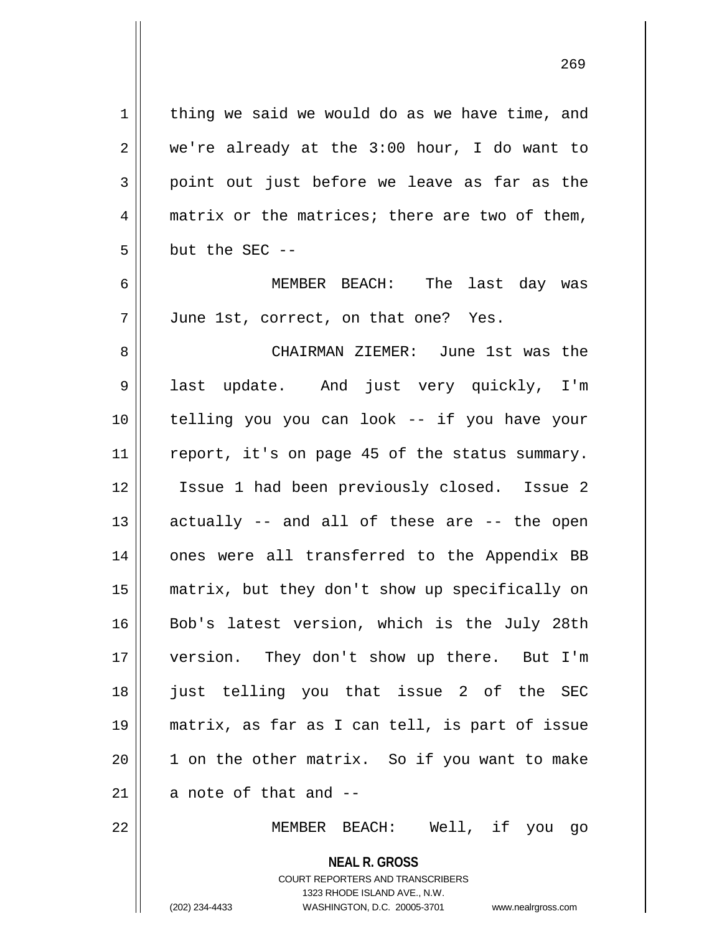$1$  thing we said we would do as we have time, and  $2 \parallel$  we're already at the 3:00 hour, I do want to  $3 \parallel$  point out just before we leave as far as the  $4 \parallel$  matrix or the matrices; there are two of them,  $5 \parallel$  but the SEC --

6 MEMBER BEACH: The last day was 7 | June 1st, correct, on that one? Yes.

 CHAIRMAN ZIEMER: June 1st was the 9 || last update. And just very quickly, I'm telling you you can look -- if you have your 11 || report, it's on page 45 of the status summary. Issue 1 had been previously closed. Issue 2 actually  $-$  and all of these are  $-$  the open 14 || ones were all transferred to the Appendix BB matrix, but they don't show up specifically on 16 Bob's latest version, which is the July 28th version. They don't show up there. But I'm 18 || just telling you that issue 2 of the SEC matrix, as far as I can tell, is part of issue || 1 on the other matrix. So if you want to make  $\parallel$  a note of that and  $-$ 

22 MEMBER BEACH: Well, if you go

**NEAL R. GROSS** COURT REPORTERS AND TRANSCRIBERS 1323 RHODE ISLAND AVE., N.W. (202) 234-4433 WASHINGTON, D.C. 20005-3701 www.nealrgross.com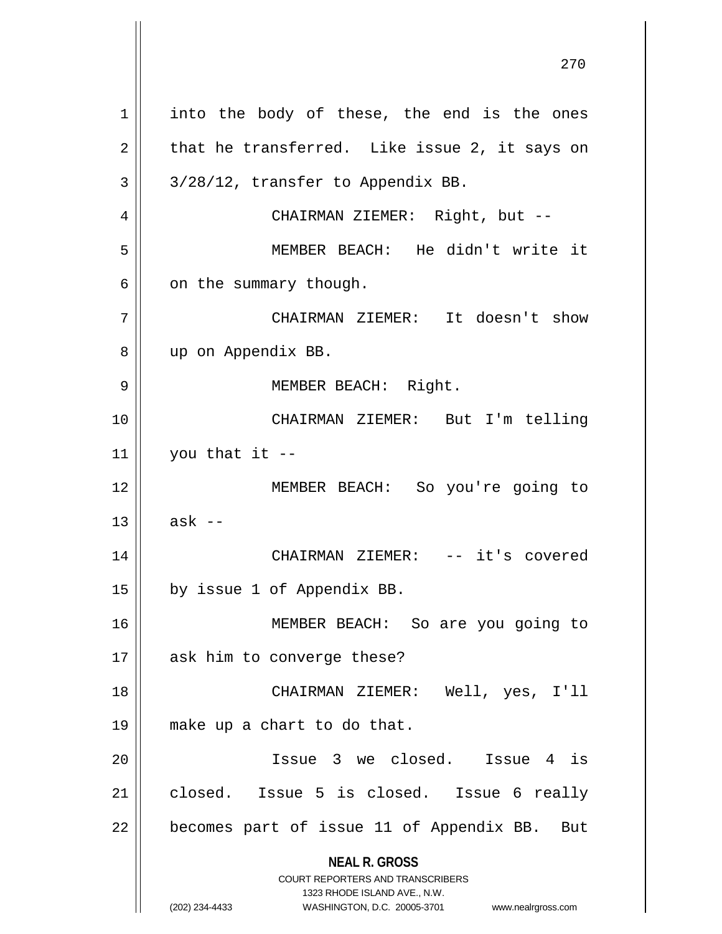**NEAL R. GROSS** COURT REPORTERS AND TRANSCRIBERS 1323 RHODE ISLAND AVE., N.W. (202) 234-4433 WASHINGTON, D.C. 20005-3701 www.nealrgross.com  $1 \parallel$  into the body of these, the end is the ones  $2 \parallel$  that he transferred. Like issue 2, it says on  $3 \parallel 3/28/12$ , transfer to Appendix BB. 4 CHAIRMAN ZIEMER: Right, but -- 5 MEMBER BEACH: He didn't write it  $6 \parallel$  on the summary though. 7 CHAIRMAN ZIEMER: It doesn't show 8 || up on Appendix BB. 9 || MEMBER BEACH: Right. 10 CHAIRMAN ZIEMER: But I'm telling 11 |  $\sqrt{2}$  you that it --12 MEMBER BEACH: So you're going to  $13 \parallel$  ask --14 CHAIRMAN ZIEMER: -- it's covered 15 | by issue 1 of Appendix BB. 16 MEMBER BEACH: So are you going to 17 || ask him to converge these? 18 CHAIRMAN ZIEMER: Well, yes, I'll 19 make up a chart to do that. 20 Issue 3 we closed. Issue 4 is 21 closed. Issue 5 is closed. Issue 6 really 22 || becomes part of issue 11 of Appendix BB. But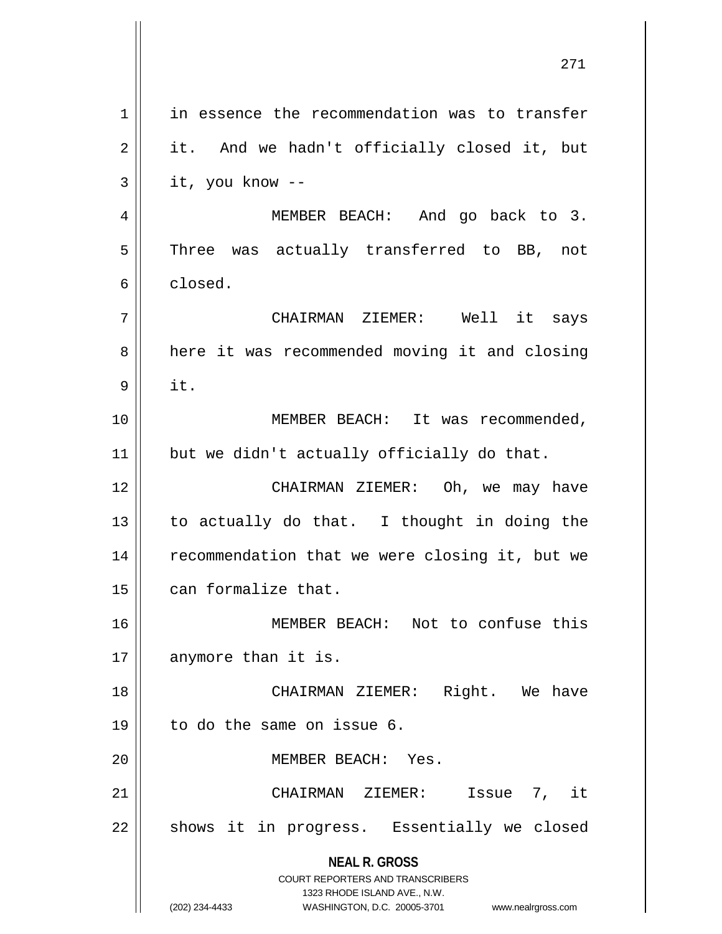**NEAL R. GROSS** COURT REPORTERS AND TRANSCRIBERS 1323 RHODE ISLAND AVE., N.W. (202) 234-4433 WASHINGTON, D.C. 20005-3701 www.nealrgross.com 1 | in essence the recommendation was to transfer  $2 \parallel$  it. And we hadn't officially closed it, but  $3 \parallel$  it, you know --4 MEMBER BEACH: And go back to 3.  $5$  Three was actually transferred to BB, not 6 closed. 7 CHAIRMAN ZIEMER: Well it says 8 | here it was recommended moving it and closing  $9$  it. 10 || **MEMBER BEACH:** It was recommended, 11 || but we didn't actually officially do that. 12 CHAIRMAN ZIEMER: Oh, we may have 13  $\parallel$  to actually do that. I thought in doing the 14 | recommendation that we were closing it, but we 15 can formalize that. 16 MEMBER BEACH: Not to confuse this  $17$  anymore than it is. 18 || CHAIRMAN ZIEMER: Right. We have 19 to do the same on issue 6. 20 MEMBER BEACH: Yes. 21 CHAIRMAN ZIEMER: Issue 7, it  $22$  || shows it in progress. Essentially we closed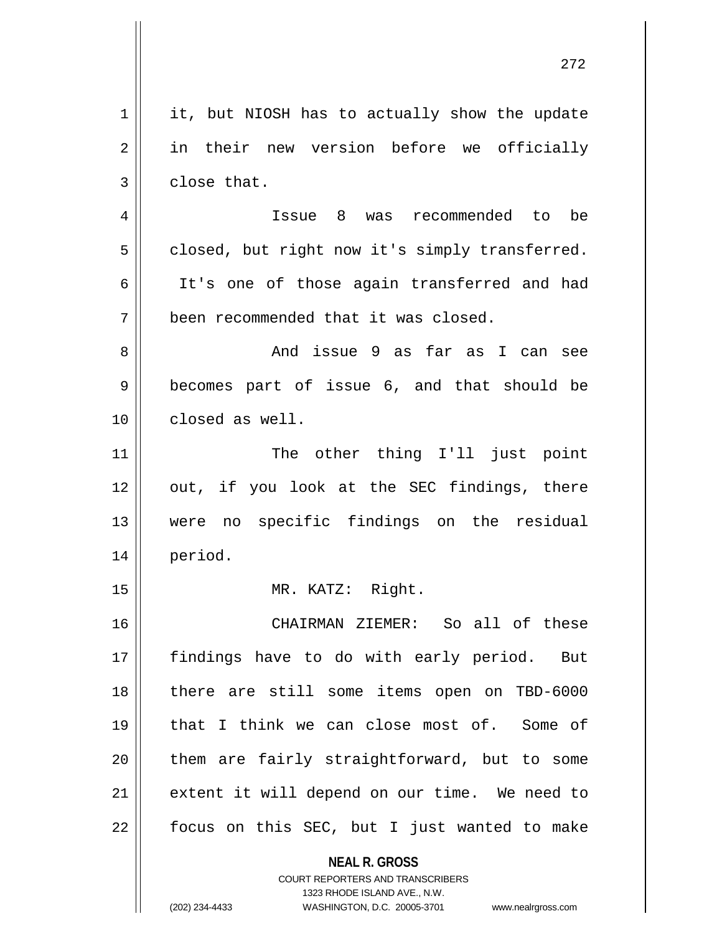| 1  | it, but NIOSH has to actually show the update            |
|----|----------------------------------------------------------|
| 2  | in their new version before we officially                |
| 3  | close that.                                              |
| 4  | Issue 8 was recommended to be                            |
| 5  | closed, but right now it's simply transferred.           |
| 6  | It's one of those again transferred and had              |
| 7  | been recommended that it was closed.                     |
| 8  | And issue 9 as far as I can see                          |
| 9  | becomes part of issue 6, and that should be              |
| 10 | closed as well.                                          |
| 11 | The other thing I'll just point                          |
| 12 | out, if you look at the SEC findings, there              |
| 13 | were no specific findings on the residual                |
| 14 | period.                                                  |
| 15 | MR. KATZ: Right.                                         |
| 16 | CHAIRMAN ZIEMER: So all of these                         |
| 17 | findings have to do with early period. But               |
| 18 | there are still some items open on TBD-6000              |
| 19 | that I think we can close most of. Some of               |
| 20 | them are fairly straightforward, but to some             |
| 21 | extent it will depend on our time. We need to            |
| 22 | focus on this SEC, but I just wanted to make             |
|    | <b>NEAL R. GROSS</b><br>COURT REPORTERS AND TRANSCRIBERS |

1323 RHODE ISLAND AVE., N.W.

 $\overline{\phantom{a}}$  $\prod_{i=1}^{n}$ 

(202) 234-4433 WASHINGTON, D.C. 20005-3701 www.nealrgross.com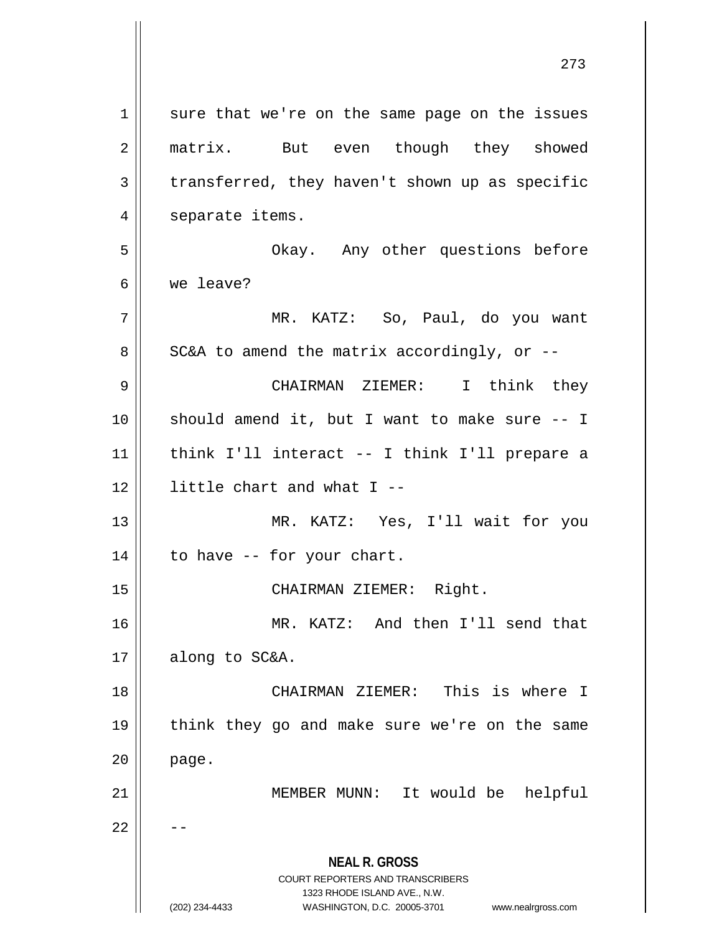**NEAL R. GROSS** COURT REPORTERS AND TRANSCRIBERS 1323 RHODE ISLAND AVE., N.W. (202) 234-4433 WASHINGTON, D.C. 20005-3701 www.nealrgross.com 1 || sure that we're on the same page on the issues 2 || matrix. But even though they showed  $3 \parallel$  transferred, they haven't shown up as specific 4 | separate items. 5 Okay. Any other questions before 6 we leave? 7 MR. KATZ: So, Paul, do you want  $8 \parallel$  SC&A to amend the matrix accordingly, or --9 CHAIRMAN ZIEMER: I think they 10 should amend it, but I want to make sure -- I 11 think I'll interact -- I think I'll prepare a 12 little chart and what I -- 13 MR. KATZ: Yes, I'll wait for you  $14$  | to have -- for your chart. 15 || CHAIRMAN ZIEMER: Right. 16 MR. KATZ: And then I'll send that  $17$  | along to SC&A. 18 CHAIRMAN ZIEMER: This is where I 19 || think they go and make sure we're on the same  $20$  | page. 21 || MEMBER MUNN: It would be helpful  $22$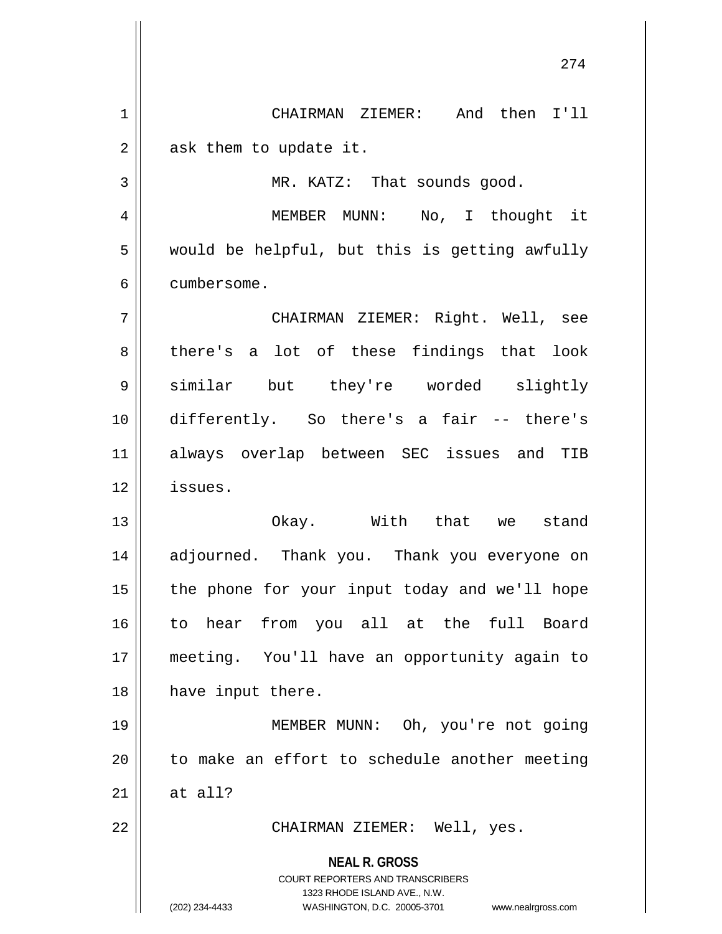**NEAL R. GROSS** COURT REPORTERS AND TRANSCRIBERS 1323 RHODE ISLAND AVE., N.W. 274 1 CHAIRMAN ZIEMER: And then I'll  $2 \parallel$  ask them to update it. 3 || MR. KATZ: That sounds good. 4 MEMBER MUNN: No, I thought it  $5 \parallel$  would be helpful, but this is getting awfully 6 cumbersome. 7 CHAIRMAN ZIEMER: Right. Well, see  $8 \parallel$  there's a lot of these findings that look 9 similar but they're worded slightly 10 differently. So there's a fair -- there's 11 always overlap between SEC issues and TIB 12 issues. 13 Okay. With that we stand 14 adjourned. Thank you. Thank you everyone on  $15$  | the phone for your input today and we'll hope 16 to hear from you all at the full Board 17 meeting. You'll have an opportunity again to 18 || have input there. 19 MEMBER MUNN: Oh, you're not going 20 || to make an effort to schedule another meeting 21  $\parallel$  at all? 22 || CHAIRMAN ZIEMER: Well, yes.

(202) 234-4433 WASHINGTON, D.C. 20005-3701 www.nealrgross.com